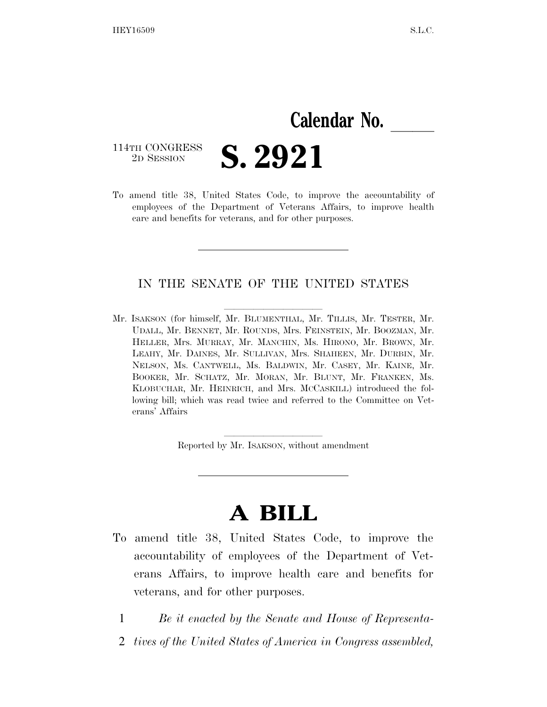# **Calendar No.**

114TH CONGRESS<br>2D SESSION

**S. 2921** 

To amend title 38, United States Code, to improve the accountability of employees of the Department of Veterans Affairs, to improve health care and benefits for veterans, and for other purposes.

# IN THE SENATE OF THE UNITED STATES

Mr. ISAKSON (for himself, Mr. BLUMENTHAL, Mr. TILLIS, Mr. TESTER, Mr. UDALL, Mr. BENNET, Mr. ROUNDS, Mrs. FEINSTEIN, Mr. BOOZMAN, Mr. HELLER, Mrs. MURRAY, Mr. MANCHIN, Ms. HIRONO, Mr. BROWN, Mr. LEAHY, Mr. DAINES, Mr. SULLIVAN, Mrs. SHAHEEN, Mr. DURBIN, Mr. NELSON, Ms. CANTWELL, Ms. BALDWIN, Mr. CASEY, Mr. KAINE, Mr. BOOKER, Mr. SCHATZ, Mr. MORAN, Mr. BLUNT, Mr. FRANKEN, Ms. KLOBUCHAR, Mr. HEINRICH, and Mrs. MCCASKILL) introduced the following bill; which was read twice and referred to the Committee on Veterans' Affairs

Reported by Mr. ISAKSON, without amendment

# **A BILL**

- To amend title 38, United States Code, to improve the accountability of employees of the Department of Veterans Affairs, to improve health care and benefits for veterans, and for other purposes.
	- 1 *Be it enacted by the Senate and House of Representa-*
	- 2 *tives of the United States of America in Congress assembled,*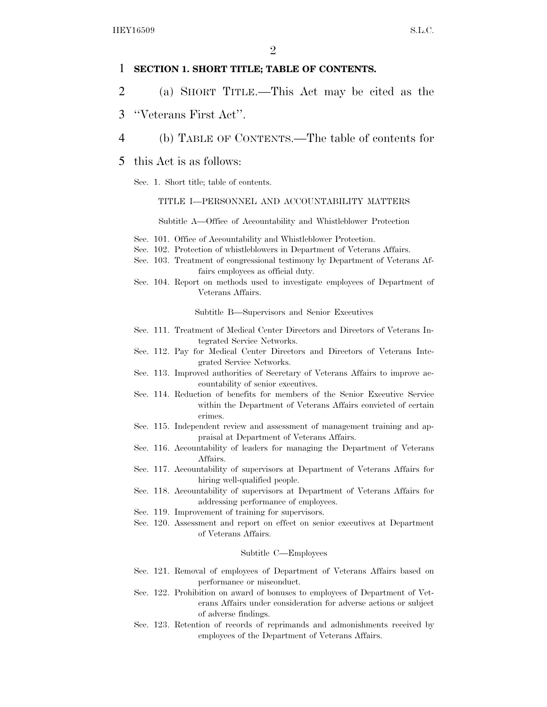## 1 **SECTION 1. SHORT TITLE; TABLE OF CONTENTS.**

- 2 (a) SHORT TITLE.—This Act may be cited as the
- 3 ''Veterans First Act''.
- 4 (b) TABLE OF CONTENTS.—The table of contents for
- 5 this Act is as follows:
	- Sec. 1. Short title; table of contents.

#### TITLE I—PERSONNEL AND ACCOUNTABILITY MATTERS

Subtitle A—Office of Accountability and Whistleblower Protection

- Sec. 101. Office of Accountability and Whistleblower Protection.
- Sec. 102. Protection of whistleblowers in Department of Veterans Affairs.
- Sec. 103. Treatment of congressional testimony by Department of Veterans Affairs employees as official duty.
- Sec. 104. Report on methods used to investigate employees of Department of Veterans Affairs.

Subtitle B—Supervisors and Senior Executives

- Sec. 111. Treatment of Medical Center Directors and Directors of Veterans Integrated Service Networks.
- Sec. 112. Pay for Medical Center Directors and Directors of Veterans Integrated Service Networks.
- Sec. 113. Improved authorities of Secretary of Veterans Affairs to improve accountability of senior executives.
- Sec. 114. Reduction of benefits for members of the Senior Executive Service within the Department of Veterans Affairs convicted of certain crimes.
- Sec. 115. Independent review and assessment of management training and appraisal at Department of Veterans Affairs.
- Sec. 116. Accountability of leaders for managing the Department of Veterans Affairs.
- Sec. 117. Accountability of supervisors at Department of Veterans Affairs for hiring well-qualified people.
- Sec. 118. Accountability of supervisors at Department of Veterans Affairs for addressing performance of employees.
- Sec. 119. Improvement of training for supervisors.
- Sec. 120. Assessment and report on effect on senior executives at Department of Veterans Affairs.

#### Subtitle C—Employees

- Sec. 121. Removal of employees of Department of Veterans Affairs based on performance or misconduct.
- Sec. 122. Prohibition on award of bonuses to employees of Department of Veterans Affairs under consideration for adverse actions or subject of adverse findings.
- Sec. 123. Retention of records of reprimands and admonishments received by employees of the Department of Veterans Affairs.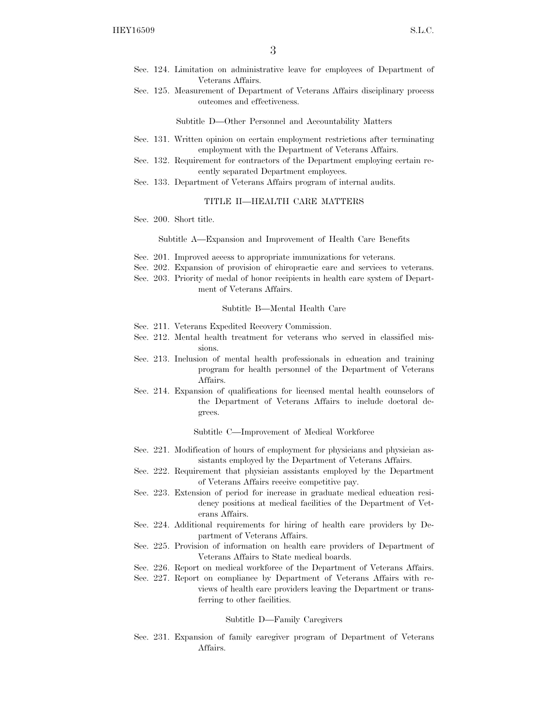- Sec. 124. Limitation on administrative leave for employees of Department of Veterans Affairs.
- Sec. 125. Measurement of Department of Veterans Affairs disciplinary process outcomes and effectiveness.

Subtitle D—Other Personnel and Accountability Matters

- Sec. 131. Written opinion on certain employment restrictions after terminating employment with the Department of Veterans Affairs.
- Sec. 132. Requirement for contractors of the Department employing certain recently separated Department employees.
- Sec. 133. Department of Veterans Affairs program of internal audits.

### TITLE II—HEALTH CARE MATTERS

Sec. 200. Short title.

Subtitle A—Expansion and Improvement of Health Care Benefits

- Sec. 201. Improved access to appropriate immunizations for veterans.
- Sec. 202. Expansion of provision of chiropractic care and services to veterans.
- Sec. 203. Priority of medal of honor recipients in health care system of Department of Veterans Affairs.

#### Subtitle B—Mental Health Care

- Sec. 211. Veterans Expedited Recovery Commission.
- Sec. 212. Mental health treatment for veterans who served in classified missions.
- Sec. 213. Inclusion of mental health professionals in education and training program for health personnel of the Department of Veterans Affairs.
- Sec. 214. Expansion of qualifications for licensed mental health counselors of the Department of Veterans Affairs to include doctoral degrees.

Subtitle C—Improvement of Medical Workforce

- Sec. 221. Modification of hours of employment for physicians and physician assistants employed by the Department of Veterans Affairs.
- Sec. 222. Requirement that physician assistants employed by the Department of Veterans Affairs receive competitive pay.
- Sec. 223. Extension of period for increase in graduate medical education residency positions at medical facilities of the Department of Veterans Affairs.
- Sec. 224. Additional requirements for hiring of health care providers by Department of Veterans Affairs.
- Sec. 225. Provision of information on health care providers of Department of Veterans Affairs to State medical boards.
- Sec. 226. Report on medical workforce of the Department of Veterans Affairs.
- Sec. 227. Report on compliance by Department of Veterans Affairs with reviews of health care providers leaving the Department or transferring to other facilities.

#### Subtitle D—Family Caregivers

Sec. 231. Expansion of family caregiver program of Department of Veterans Affairs.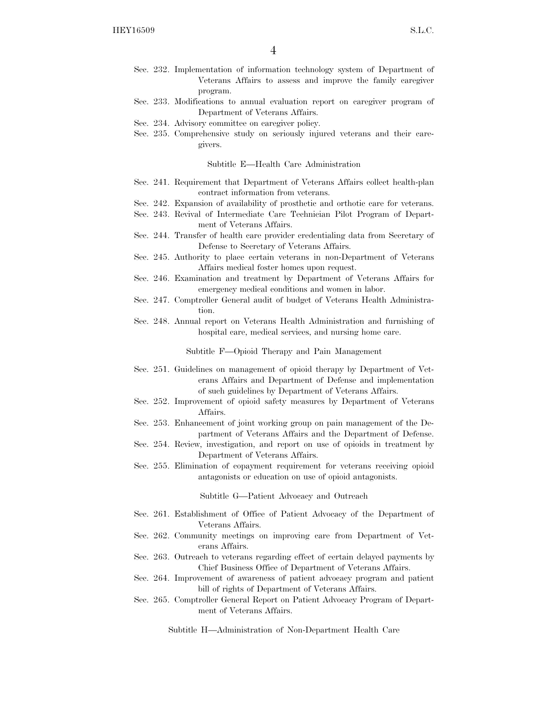- Sec. 232. Implementation of information technology system of Department of Veterans Affairs to assess and improve the family caregiver program.
- Sec. 233. Modifications to annual evaluation report on caregiver program of Department of Veterans Affairs.
- Sec. 234. Advisory committee on caregiver policy.
- Sec. 235. Comprehensive study on seriously injured veterans and their caregivers.

#### Subtitle E—Health Care Administration

- Sec. 241. Requirement that Department of Veterans Affairs collect health-plan contract information from veterans.
- Sec. 242. Expansion of availability of prosthetic and orthotic care for veterans.
- Sec. 243. Revival of Intermediate Care Technician Pilot Program of Department of Veterans Affairs.
- Sec. 244. Transfer of health care provider credentialing data from Secretary of Defense to Secretary of Veterans Affairs.
- Sec. 245. Authority to place certain veterans in non-Department of Veterans Affairs medical foster homes upon request.
- Sec. 246. Examination and treatment by Department of Veterans Affairs for emergency medical conditions and women in labor.
- Sec. 247. Comptroller General audit of budget of Veterans Health Administration.
- Sec. 248. Annual report on Veterans Health Administration and furnishing of hospital care, medical services, and nursing home care.

Subtitle F—Opioid Therapy and Pain Management

- Sec. 251. Guidelines on management of opioid therapy by Department of Veterans Affairs and Department of Defense and implementation of such guidelines by Department of Veterans Affairs.
- Sec. 252. Improvement of opioid safety measures by Department of Veterans Affairs.
- Sec. 253. Enhancement of joint working group on pain management of the Department of Veterans Affairs and the Department of Defense.
- Sec. 254. Review, investigation, and report on use of opioids in treatment by Department of Veterans Affairs.
- Sec. 255. Elimination of copayment requirement for veterans receiving opioid antagonists or education on use of opioid antagonists.

Subtitle G—Patient Advocacy and Outreach

- Sec. 261. Establishment of Office of Patient Advocacy of the Department of Veterans Affairs.
- Sec. 262. Community meetings on improving care from Department of Veterans Affairs.
- Sec. 263. Outreach to veterans regarding effect of certain delayed payments by Chief Business Office of Department of Veterans Affairs.
- Sec. 264. Improvement of awareness of patient advocacy program and patient bill of rights of Department of Veterans Affairs.
- Sec. 265. Comptroller General Report on Patient Advocacy Program of Department of Veterans Affairs.

Subtitle H—Administration of Non-Department Health Care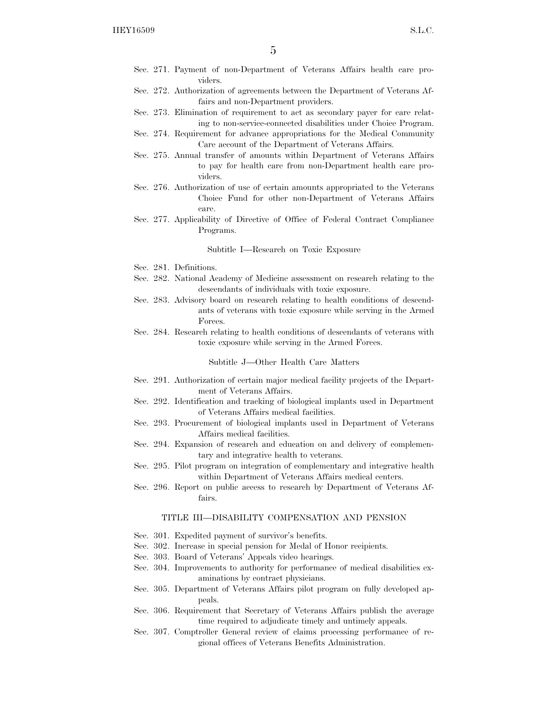- Sec. 271. Payment of non-Department of Veterans Affairs health care providers.
- Sec. 272. Authorization of agreements between the Department of Veterans Affairs and non-Department providers.
- Sec. 273. Elimination of requirement to act as secondary payer for care relating to non-service-connected disabilities under Choice Program.
- Sec. 274. Requirement for advance appropriations for the Medical Community Care account of the Department of Veterans Affairs.
- Sec. 275. Annual transfer of amounts within Department of Veterans Affairs to pay for health care from non-Department health care providers.
- Sec. 276. Authorization of use of certain amounts appropriated to the Veterans Choice Fund for other non-Department of Veterans Affairs care.
- Sec. 277. Applicability of Directive of Office of Federal Contract Compliance Programs.

#### Subtitle I—Research on Toxic Exposure

- Sec. 281. Definitions.
- Sec. 282. National Academy of Medicine assessment on research relating to the descendants of individuals with toxic exposure.
- Sec. 283. Advisory board on research relating to health conditions of descendants of veterans with toxic exposure while serving in the Armed Forces.
- Sec. 284. Research relating to health conditions of descendants of veterans with toxic exposure while serving in the Armed Forces.

#### Subtitle J—Other Health Care Matters

- Sec. 291. Authorization of certain major medical facility projects of the Department of Veterans Affairs.
- Sec. 292. Identification and tracking of biological implants used in Department of Veterans Affairs medical facilities.
- Sec. 293. Procurement of biological implants used in Department of Veterans Affairs medical facilities.
- Sec. 294. Expansion of research and education on and delivery of complementary and integrative health to veterans.
- Sec. 295. Pilot program on integration of complementary and integrative health within Department of Veterans Affairs medical centers.
- Sec. 296. Report on public access to research by Department of Veterans Affairs.

#### TITLE III—DISABILITY COMPENSATION AND PENSION

- Sec. 301. Expedited payment of survivor's benefits.
- Sec. 302. Increase in special pension for Medal of Honor recipients.
- Sec. 303. Board of Veterans' Appeals video hearings.
- Sec. 304. Improvements to authority for performance of medical disabilities examinations by contract physicians.
- Sec. 305. Department of Veterans Affairs pilot program on fully developed appeals.
- Sec. 306. Requirement that Secretary of Veterans Affairs publish the average time required to adjudicate timely and untimely appeals.
- Sec. 307. Comptroller General review of claims processing performance of regional offices of Veterans Benefits Administration.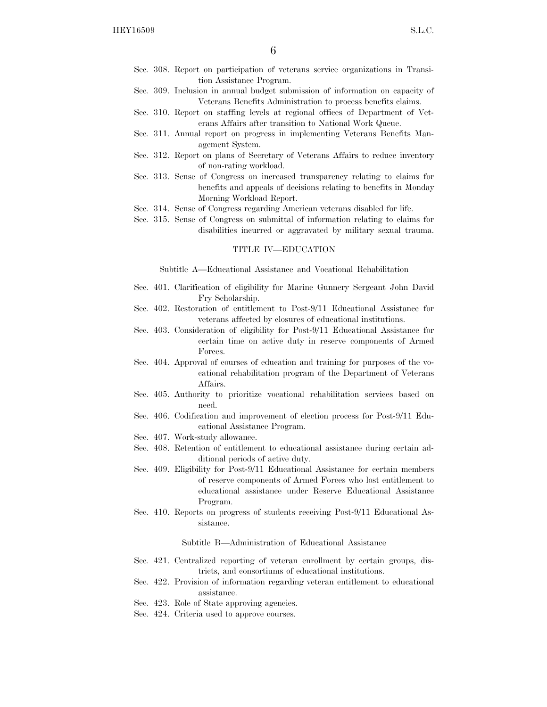- Sec. 308. Report on participation of veterans service organizations in Transition Assistance Program.
- Sec. 309. Inclusion in annual budget submission of information on capacity of Veterans Benefits Administration to process benefits claims.
- Sec. 310. Report on staffing levels at regional offices of Department of Veterans Affairs after transition to National Work Queue.
- Sec. 311. Annual report on progress in implementing Veterans Benefits Management System.
- Sec. 312. Report on plans of Secretary of Veterans Affairs to reduce inventory of non-rating workload.
- Sec. 313. Sense of Congress on increased transparency relating to claims for benefits and appeals of decisions relating to benefits in Monday Morning Workload Report.
- Sec. 314. Sense of Congress regarding American veterans disabled for life.
- Sec. 315. Sense of Congress on submittal of information relating to claims for disabilities incurred or aggravated by military sexual trauma.

#### TITLE IV—EDUCATION

Subtitle A—Educational Assistance and Vocational Rehabilitation

- Sec. 401. Clarification of eligibility for Marine Gunnery Sergeant John David Fry Scholarship.
- Sec. 402. Restoration of entitlement to Post-9/11 Educational Assistance for veterans affected by closures of educational institutions.
- Sec. 403. Consideration of eligibility for Post-9/11 Educational Assistance for certain time on active duty in reserve components of Armed Forces.
- Sec. 404. Approval of courses of education and training for purposes of the vocational rehabilitation program of the Department of Veterans Affairs.
- Sec. 405. Authority to prioritize vocational rehabilitation services based on need.
- Sec. 406. Codification and improvement of election process for Post-9/11 Educational Assistance Program.
- Sec. 407. Work-study allowance.
- Sec. 408. Retention of entitlement to educational assistance during certain additional periods of active duty.
- Sec. 409. Eligibility for Post-9/11 Educational Assistance for certain members of reserve components of Armed Forces who lost entitlement to educational assistance under Reserve Educational Assistance Program.
- Sec. 410. Reports on progress of students receiving Post-9/11 Educational Assistance.

Subtitle B—Administration of Educational Assistance

- Sec. 421. Centralized reporting of veteran enrollment by certain groups, districts, and consortiums of educational institutions.
- Sec. 422. Provision of information regarding veteran entitlement to educational assistance.
- Sec. 423. Role of State approving agencies.
- Sec. 424. Criteria used to approve courses.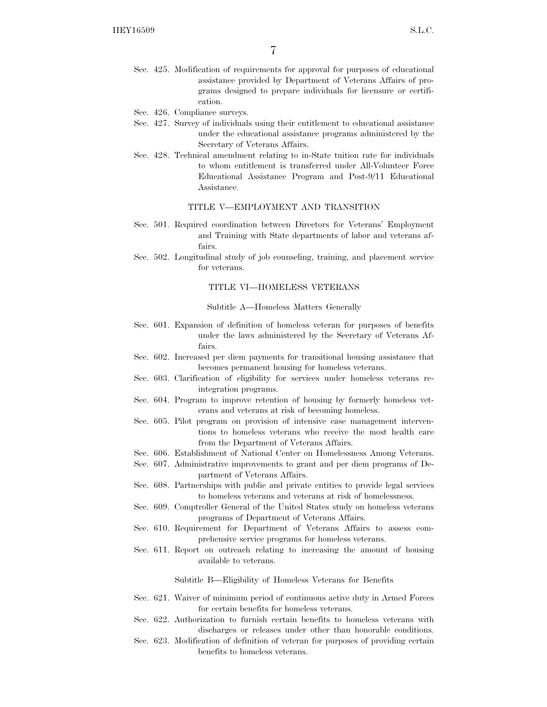- Sec. 425. Modification of requirements for approval for purposes of educational assistance provided by Department of Veterans Affairs of programs designed to prepare individuals for licensure or certification.
- Sec. 426. Compliance surveys.
- Sec. 427. Survey of individuals using their entitlement to educational assistance under the educational assistance programs administered by the Secretary of Veterans Affairs.
- Sec. 428. Technical amendment relating to in-State tuition rate for individuals to whom entitlement is transferred under All-Volunteer Force Educational Assistance Program and Post-9/11 Educational Assistance.

#### TITLE V—EMPLOYMENT AND TRANSITION

- Sec. 501. Required coordination between Directors for Veterans' Employment and Training with State departments of labor and veterans affairs.
- Sec. 502. Longitudinal study of job counseling, training, and placement service for veterans.

#### TITLE VI—HOMELESS VETERANS

#### Subtitle A—Homeless Matters Generally

- Sec. 601. Expansion of definition of homeless veteran for purposes of benefits under the laws administered by the Secretary of Veterans Affairs.
- Sec. 602. Increased per diem payments for transitional housing assistance that becomes permanent housing for homeless veterans.
- Sec. 603. Clarification of eligibility for services under homeless veterans reintegration programs.
- Sec. 604. Program to improve retention of housing by formerly homeless veterans and veterans at risk of becoming homeless.
- Sec. 605. Pilot program on provision of intensive case management interventions to homeless veterans who receive the most health care from the Department of Veterans Affairs.
- Sec. 606. Establishment of National Center on Homelessness Among Veterans.
- Sec. 607. Administrative improvements to grant and per diem programs of Department of Veterans Affairs.
- Sec. 608. Partnerships with public and private entities to provide legal services to homeless veterans and veterans at risk of homelessness.
- Sec. 609. Comptroller General of the United States study on homeless veterans programs of Department of Veterans Affairs.
- Sec. 610. Requirement for Department of Veterans Affairs to assess comprehensive service programs for homeless veterans.
- Sec. 611. Report on outreach relating to increasing the amount of housing available to veterans.

Subtitle B—Eligibility of Homeless Veterans for Benefits

- Sec. 621. Waiver of minimum period of continuous active duty in Armed Forces for certain benefits for homeless veterans.
- Sec. 622. Authorization to furnish certain benefits to homeless veterans with discharges or releases under other than honorable conditions.
- Sec. 623. Modification of definition of veteran for purposes of providing certain benefits to homeless veterans.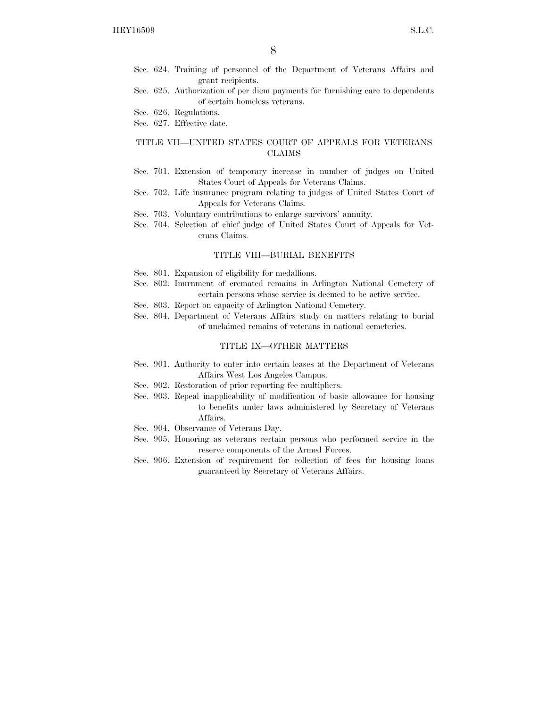- Sec. 624. Training of personnel of the Department of Veterans Affairs and grant recipients.
- Sec. 625. Authorization of per diem payments for furnishing care to dependents of certain homeless veterans.

Sec. 626. Regulations.

Sec. 627. Effective date.

## TITLE VII—UNITED STATES COURT OF APPEALS FOR VETERANS CLAIMS

- Sec. 701. Extension of temporary increase in number of judges on United States Court of Appeals for Veterans Claims.
- Sec. 702. Life insurance program relating to judges of United States Court of Appeals for Veterans Claims.
- Sec. 703. Voluntary contributions to enlarge survivors' annuity.
- Sec. 704. Selection of chief judge of United States Court of Appeals for Veterans Claims.

### TITLE VIII—BURIAL BENEFITS

- Sec. 801. Expansion of eligibility for medallions.
- Sec. 802. Inurnment of cremated remains in Arlington National Cemetery of certain persons whose service is deemed to be active service.
- Sec. 803. Report on capacity of Arlington National Cemetery.
- Sec. 804. Department of Veterans Affairs study on matters relating to burial of unclaimed remains of veterans in national cemeteries.

#### TITLE IX—OTHER MATTERS

- Sec. 901. Authority to enter into certain leases at the Department of Veterans Affairs West Los Angeles Campus.
- Sec. 902. Restoration of prior reporting fee multipliers.
- Sec. 903. Repeal inapplicability of modification of basic allowance for housing to benefits under laws administered by Secretary of Veterans Affairs.
- Sec. 904. Observance of Veterans Day.
- Sec. 905. Honoring as veterans certain persons who performed service in the reserve components of the Armed Forces.
- Sec. 906. Extension of requirement for collection of fees for housing loans guaranteed by Secretary of Veterans Affairs.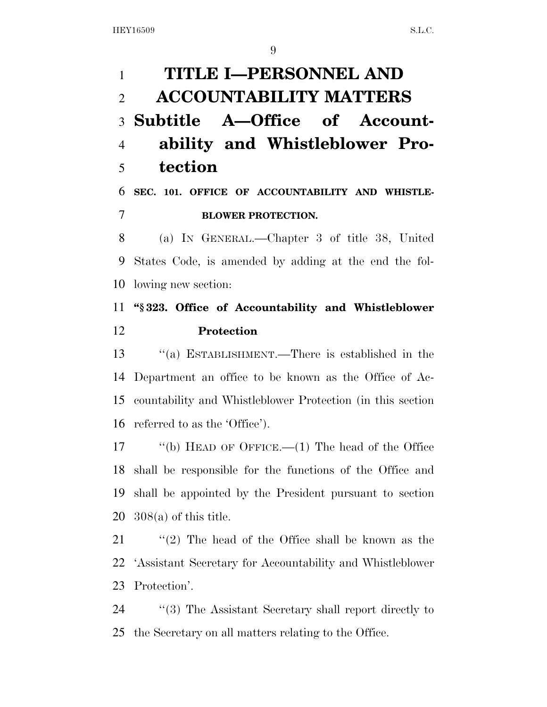**TITLE I—PERSONNEL AND ACCOUNTABILITY MATTERS Subtitle A—Office of Account- ability and Whistleblower Pro-tection** 

 **SEC. 101. OFFICE OF ACCOUNTABILITY AND WHISTLE-BLOWER PROTECTION.** 

 (a) IN GENERAL.—Chapter 3 of title 38, United States Code, is amended by adding at the end the fol-lowing new section:

# **''§ 323. Office of Accountability and Whistleblower Protection**

 ''(a) ESTABLISHMENT.—There is established in the Department an office to be known as the Office of Ac- countability and Whistleblower Protection (in this section referred to as the 'Office').

 ''(b) HEAD OF OFFICE.—(1) The head of the Office shall be responsible for the functions of the Office and shall be appointed by the President pursuant to section 308(a) of this title.

 ''(2) The head of the Office shall be known as the 'Assistant Secretary for Accountability and Whistleblower Protection'.

24 ''(3) The Assistant Secretary shall report directly to the Secretary on all matters relating to the Office.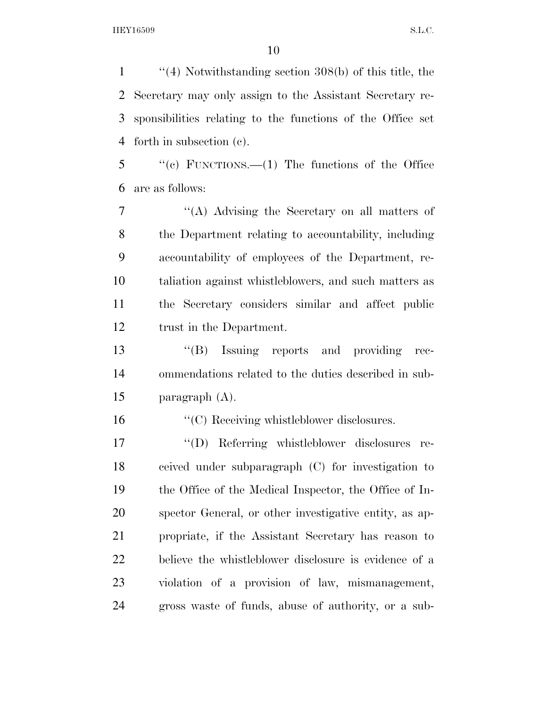''(4) Notwithstanding section 308(b) of this title, the Secretary may only assign to the Assistant Secretary re- sponsibilities relating to the functions of the Office set forth in subsection (c).

 ''(c) FUNCTIONS.—(1) The functions of the Office are as follows:

 ''(A) Advising the Secretary on all matters of the Department relating to accountability, including accountability of employees of the Department, re- taliation against whistleblowers, and such matters as the Secretary considers similar and affect public trust in the Department.

 ''(B) Issuing reports and providing rec- ommendations related to the duties described in sub-paragraph (A).

''(C) Receiving whistleblower disclosures.

 ''(D) Referring whistleblower disclosures re- ceived under subparagraph (C) for investigation to the Office of the Medical Inspector, the Office of In- spector General, or other investigative entity, as ap- propriate, if the Assistant Secretary has reason to believe the whistleblower disclosure is evidence of a violation of a provision of law, mismanagement, gross waste of funds, abuse of authority, or a sub-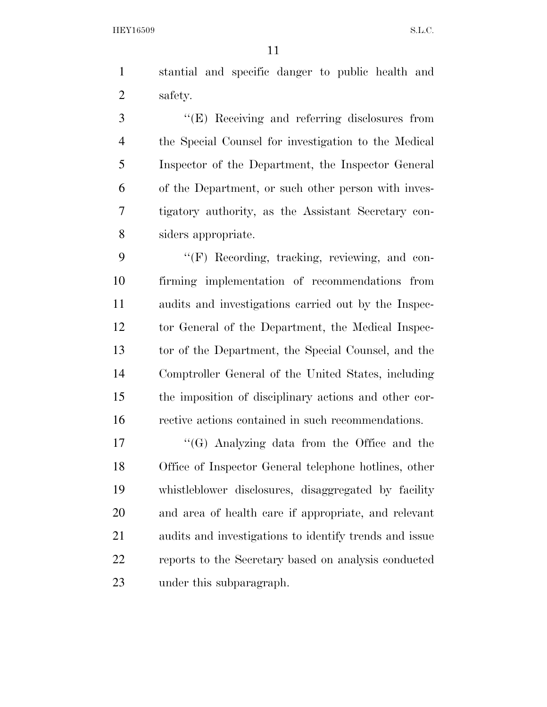stantial and specific danger to public health and safety.

 ''(E) Receiving and referring disclosures from the Special Counsel for investigation to the Medical Inspector of the Department, the Inspector General of the Department, or such other person with inves- tigatory authority, as the Assistant Secretary con-siders appropriate.

9 "'(F) Recording, tracking, reviewing, and con- firming implementation of recommendations from audits and investigations carried out by the Inspec- tor General of the Department, the Medical Inspec- tor of the Department, the Special Counsel, and the Comptroller General of the United States, including the imposition of disciplinary actions and other cor-rective actions contained in such recommendations.

 ''(G) Analyzing data from the Office and the Office of Inspector General telephone hotlines, other whistleblower disclosures, disaggregated by facility and area of health care if appropriate, and relevant audits and investigations to identify trends and issue reports to the Secretary based on analysis conducted under this subparagraph.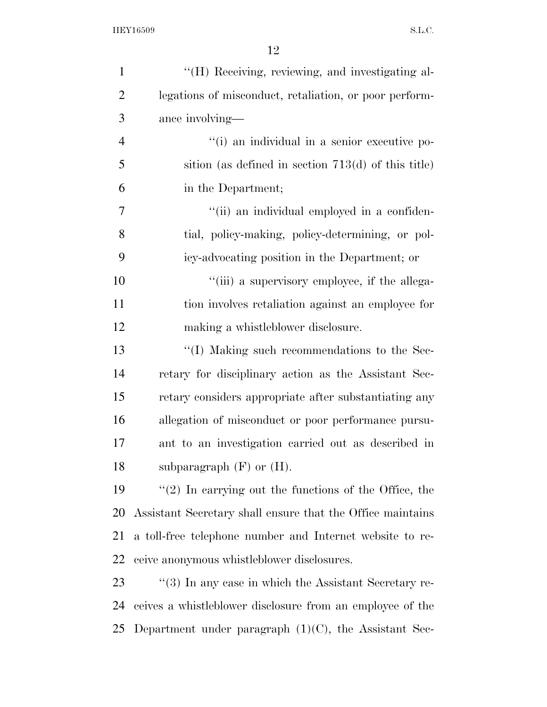| $\mathbf{1}$   | "(H) Receiving, reviewing, and investigating al-                  |
|----------------|-------------------------------------------------------------------|
| $\overline{2}$ | legations of misconduct, retaliation, or poor perform-            |
| 3              | ance involving—                                                   |
| $\overline{4}$ | "(i) an individual in a senior executive po-                      |
| 5              | sition (as defined in section $713(d)$ of this title)             |
| 6              | in the Department;                                                |
| 7              | "(ii) an individual employed in a confiden-                       |
| 8              | tial, policy-making, policy-determining, or pol-                  |
| 9              | icy-advocating position in the Department; or                     |
| 10             | "(iii) a supervisory employee, if the allega-                     |
| 11             | tion involves retaliation against an employee for                 |
| 12             | making a whistleblower disclosure.                                |
| 13             | "(I) Making such recommendations to the Sec-                      |
| 14             | retary for disciplinary action as the Assistant Sec-              |
| 15             | retary considers appropriate after substantiating any             |
| 16             | allegation of misconduct or poor performance pursu-               |
| 17             | ant to an investigation carried out as described in               |
| 18             | subparagraph $(F)$ or $(H)$ .                                     |
| 19             | $f'(2)$ In carrying out the functions of the Office, the          |
| 20             | Assistant Secretary shall ensure that the Office maintains        |
| 21             | a toll-free telephone number and Internet website to re-          |
| 22             | ceive anonymous whistleblower disclosures.                        |
| 23             | $\cdot\cdot$ (3) In any case in which the Assistant Secretary re- |
| 24             | ceives a whistleblower disclosure from an employee of the         |
| 25             | Department under paragraph $(1)(C)$ , the Assistant Sec-          |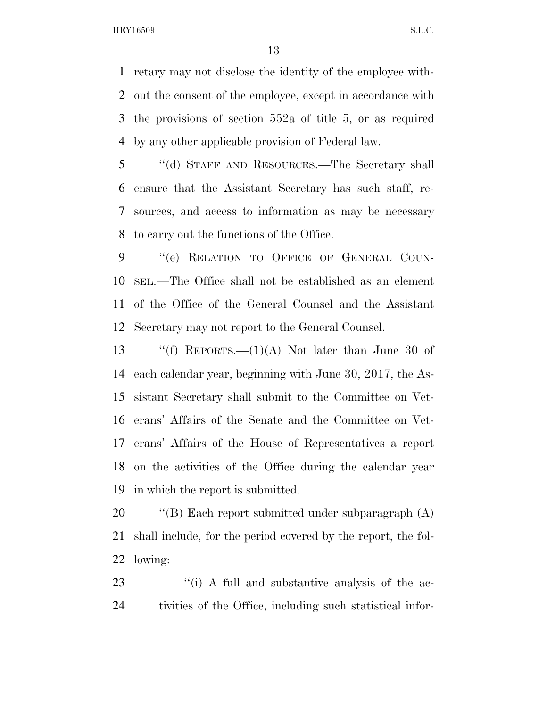retary may not disclose the identity of the employee with- out the consent of the employee, except in accordance with the provisions of section 552a of title 5, or as required by any other applicable provision of Federal law.

 ''(d) STAFF AND RESOURCES.—The Secretary shall ensure that the Assistant Secretary has such staff, re- sources, and access to information as may be necessary to carry out the functions of the Office.

 ''(e) RELATION TO OFFICE OF GENERAL COUN- SEL.—The Office shall not be established as an element of the Office of the General Counsel and the Assistant Secretary may not report to the General Counsel.

 $\text{``(f)}$  REPORTS.—(1)(A) Not later than June 30 of each calendar year, beginning with June 30, 2017, the As- sistant Secretary shall submit to the Committee on Vet- erans' Affairs of the Senate and the Committee on Vet- erans' Affairs of the House of Representatives a report on the activities of the Office during the calendar year in which the report is submitted.

 ''(B) Each report submitted under subparagraph (A) shall include, for the period covered by the report, the fol-lowing:

23 ''(i) A full and substantive analysis of the ac-tivities of the Office, including such statistical infor-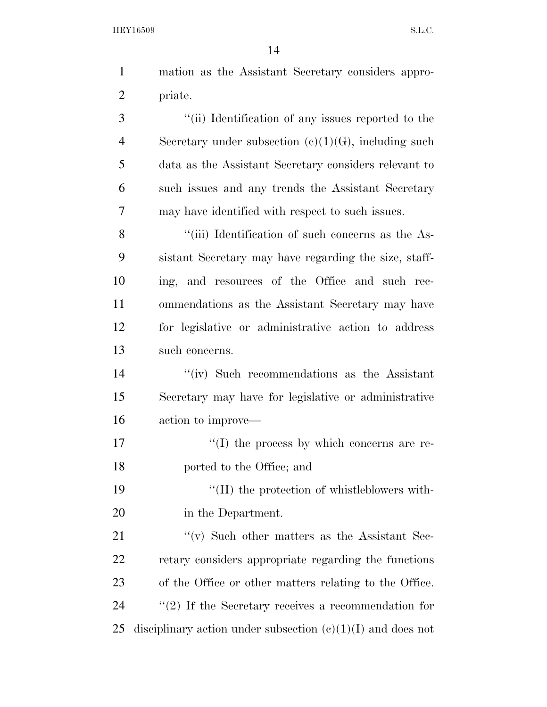mation as the Assistant Secretary considers appro-priate.

 ''(ii) Identification of any issues reported to the Secretary under subsection (c)(1)(G), including such data as the Assistant Secretary considers relevant to such issues and any trends the Assistant Secretary may have identified with respect to such issues.

8 ''(iii) Identification of such concerns as the As- sistant Secretary may have regarding the size, staff- ing, and resources of the Office and such rec- ommendations as the Assistant Secretary may have for legislative or administrative action to address such concerns.

 ''(iv) Such recommendations as the Assistant Secretary may have for legislative or administrative action to improve—

17  $\langle (I)$  the process by which concerns are re-ported to the Office; and

19  $\frac{1}{2}$  (II) the protection of whistleblowers with-in the Department.

21 ''(v) Such other matters as the Assistant Sec- retary considers appropriate regarding the functions of the Office or other matters relating to the Office. 24  $\frac{1}{2}$  (2) If the Secretary receives a recommendation for 25 disciplinary action under subsection  $(c)(1)(I)$  and does not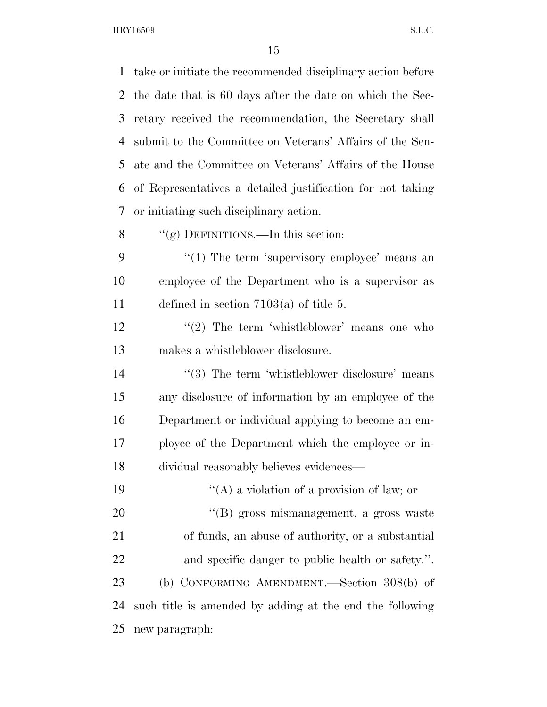take or initiate the recommended disciplinary action before the date that is 60 days after the date on which the Sec- retary received the recommendation, the Secretary shall submit to the Committee on Veterans' Affairs of the Sen- ate and the Committee on Veterans' Affairs of the House of Representatives a detailed justification for not taking or initiating such disciplinary action. 8 "(g) DEFINITIONS.—In this section: 9 "(1) The term 'supervisory employee' means an employee of the Department who is a supervisor as defined in section 7103(a) of title 5.  $\frac{12}{2}$  The term 'whistleblower' means one who makes a whistleblower disclosure. 14 ''(3) The term 'whistleblower disclosure' means any disclosure of information by an employee of the Department or individual applying to become an em- ployee of the Department which the employee or in- dividual reasonably believes evidences—  $"({\rm A})$  a violation of a provision of law; or ''(B) gross mismanagement, a gross waste of funds, an abuse of authority, or a substantial and specific danger to public health or safety.''. (b) CONFORMING AMENDMENT.—Section 308(b) of such title is amended by adding at the end the following new paragraph: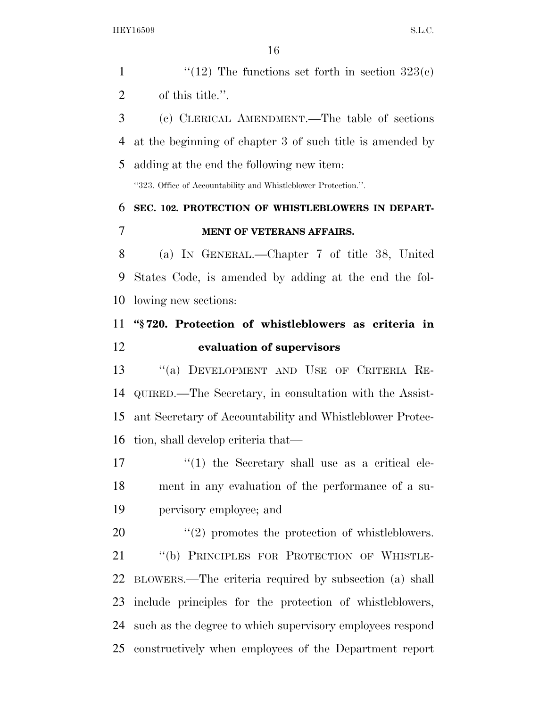$\frac{1}{2}$  The functions set forth in section 323(c) of this title.''. (c) CLERICAL AMENDMENT.—The table of sections at the beginning of chapter 3 of such title is amended by adding at the end the following new item: ''323. Office of Accountability and Whistleblower Protection.''. **SEC. 102. PROTECTION OF WHISTLEBLOWERS IN DEPART- MENT OF VETERANS AFFAIRS.**  (a) IN GENERAL.—Chapter 7 of title 38, United States Code, is amended by adding at the end the fol- lowing new sections: **''§ 720. Protection of whistleblowers as criteria in evaluation of supervisors**  ''(a) DEVELOPMENT AND USE OF CRITERIA RE- QUIRED.—The Secretary, in consultation with the Assist- ant Secretary of Accountability and Whistleblower Protec- tion, shall develop criteria that— 17 ''(1) the Secretary shall use as a critical ele- ment in any evaluation of the performance of a su- pervisory employee; and  $(2)$  promotes the protection of whistleblowers. ''(b) PRINCIPLES FOR PROTECTION OF WHISTLE- BLOWERS.—The criteria required by subsection (a) shall include principles for the protection of whistleblowers, such as the degree to which supervisory employees respond

constructively when employees of the Department report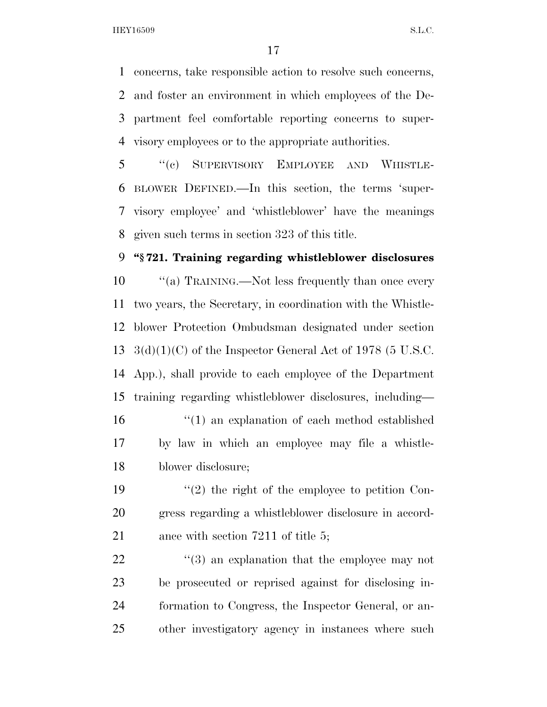concerns, take responsible action to resolve such concerns, and foster an environment in which employees of the De- partment feel comfortable reporting concerns to super-visory employees or to the appropriate authorities.

 ''(c) SUPERVISORY EMPLOYEE AND WHISTLE- BLOWER DEFINED.—In this section, the terms 'super- visory employee' and 'whistleblower' have the meanings given such terms in section 323 of this title.

## **''§ 721. Training regarding whistleblower disclosures**

 $\cdot$  ''(a) TRAINING.—Not less frequently than once every two years, the Secretary, in coordination with the Whistle- blower Protection Ombudsman designated under section  $3(d)(1)(C)$  of the Inspector General Act of 1978 (5 U.S.C. App.), shall provide to each employee of the Department training regarding whistleblower disclosures, including—

 ''(1) an explanation of each method established by law in which an employee may file a whistle-blower disclosure;

19  $\frac{1}{2}$  the right of the employee to petition Con- gress regarding a whistleblower disclosure in accord-21 ance with section 7211 of title 5;

 $\frac{4}{3}$  an explanation that the employee may not be prosecuted or reprised against for disclosing in- formation to Congress, the Inspector General, or an-other investigatory agency in instances where such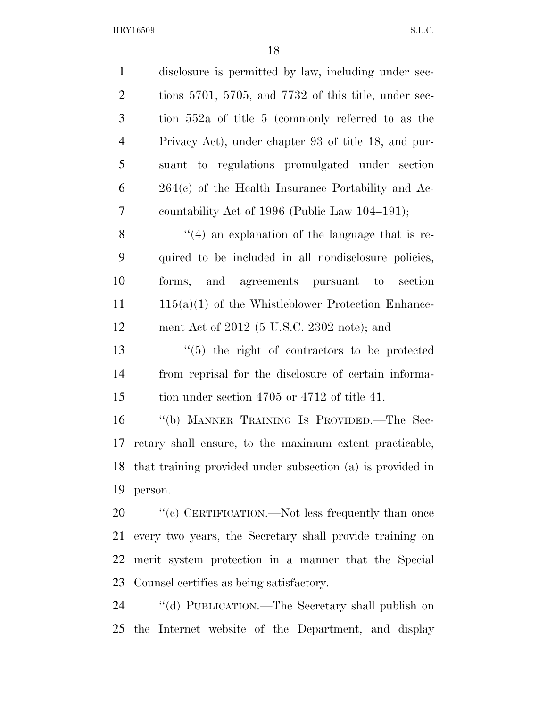| $\mathbf{1}$   | disclosure is permitted by law, including under sec-          |
|----------------|---------------------------------------------------------------|
| $\overline{2}$ | tions 5701, 5705, and 7732 of this title, under sec-          |
| 3              | tion 552a of title 5 (commonly referred to as the             |
| $\overline{4}$ | Privacy Act), under chapter 93 of title 18, and pur-          |
| 5              | suant to regulations promulgated under section                |
| 6              | $264(e)$ of the Health Insurance Portability and Ac-          |
| 7              | countability Act of 1996 (Public Law 104–191);                |
| 8              | $\cdot$ (4) an explanation of the language that is re-        |
| 9              | quired to be included in all nondisclosure policies,          |
| 10             | forms, and agreements pursuant to<br>section                  |
| 11             | $115(a)(1)$ of the Whistleblower Protection Enhance-          |
| 12             | ment Act of $2012$ (5 U.S.C. 2302 note); and                  |
| 13             | $\cdot$ (5) the right of contractors to be protected          |
| 14             | from reprisal for the disclosure of certain informa-          |
| 15             | tion under section 4705 or 4712 of title 41.                  |
| 16             | "(b) MANNER TRAINING IS PROVIDED.—The Sec-                    |
| 17             | retary shall ensure, to the maximum extent practicable,       |
|                | 18 that training provided under subsection (a) is provided in |
| 19             | person.                                                       |
| 20             | "(c) CERTIFICATION.—Not less frequently than once             |
| 21             | every two years, the Secretary shall provide training on      |
| 22             | merit system protection in a manner that the Special          |
| 23             | Counsel certifies as being satisfactory.                      |
| 24             | "(d) PUBLICATION.—The Secretary shall publish on              |
| 25             | the Internet website of the Department, and display           |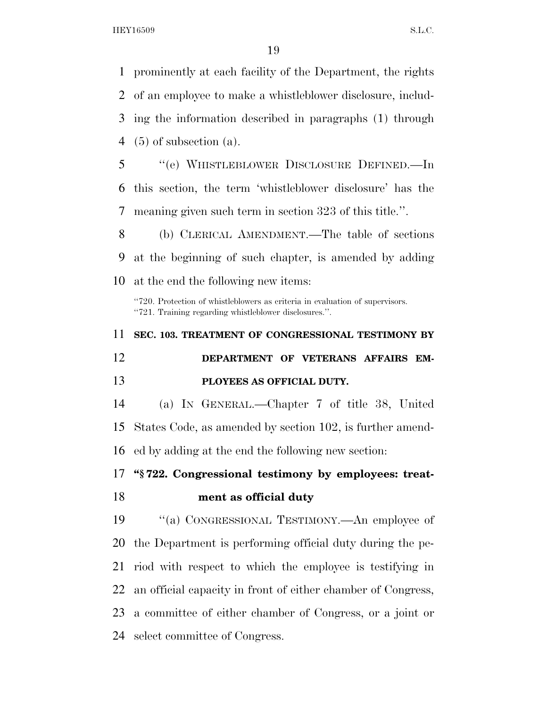prominently at each facility of the Department, the rights of an employee to make a whistleblower disclosure, includ- ing the information described in paragraphs (1) through (5) of subsection (a). ''(e) WHISTLEBLOWER DISCLOSURE DEFINED.—In this section, the term 'whistleblower disclosure' has the meaning given such term in section 323 of this title.''. (b) CLERICAL AMENDMENT.—The table of sections at the beginning of such chapter, is amended by adding at the end the following new items: ''720. Protection of whistleblowers as criteria in evaluation of supervisors. ''721. Training regarding whistleblower disclosures.''. **SEC. 103. TREATMENT OF CONGRESSIONAL TESTIMONY BY DEPARTMENT OF VETERANS AFFAIRS EM- PLOYEES AS OFFICIAL DUTY.**  (a) IN GENERAL.—Chapter 7 of title 38, United States Code, as amended by section 102, is further amend- ed by adding at the end the following new section: **''§ 722. Congressional testimony by employees: treat- ment as official duty**  ''(a) CONGRESSIONAL TESTIMONY.—An employee of the Department is performing official duty during the pe- riod with respect to which the employee is testifying in an official capacity in front of either chamber of Congress,

 a committee of either chamber of Congress, or a joint or select committee of Congress.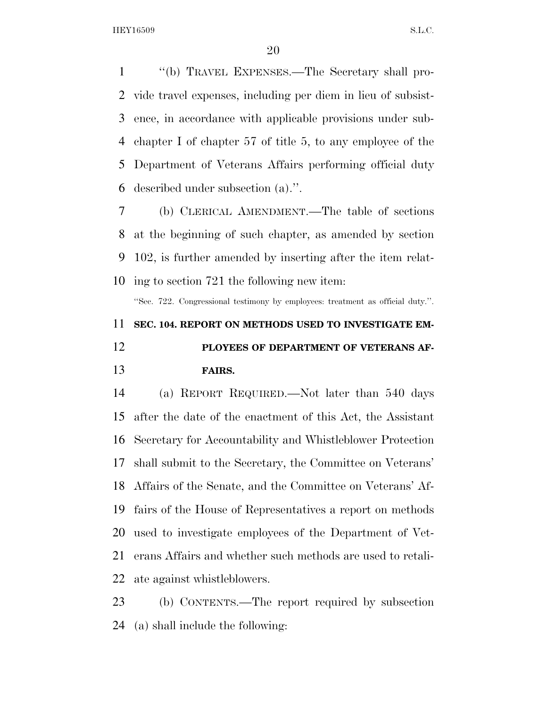''(b) TRAVEL EXPENSES.—The Secretary shall pro- vide travel expenses, including per diem in lieu of subsist- ence, in accordance with applicable provisions under sub- chapter I of chapter 57 of title 5, to any employee of the Department of Veterans Affairs performing official duty described under subsection (a).''.

 (b) CLERICAL AMENDMENT.—The table of sections at the beginning of such chapter, as amended by section 102, is further amended by inserting after the item relat-ing to section 721 the following new item:

''Sec. 722. Congressional testimony by employees: treatment as official duty.''.

# **SEC. 104. REPORT ON METHODS USED TO INVESTIGATE EM-**

 **PLOYEES OF DEPARTMENT OF VETERANS AF-FAIRS.** 

 (a) REPORT REQUIRED.—Not later than 540 days after the date of the enactment of this Act, the Assistant Secretary for Accountability and Whistleblower Protection shall submit to the Secretary, the Committee on Veterans' Affairs of the Senate, and the Committee on Veterans' Af- fairs of the House of Representatives a report on methods used to investigate employees of the Department of Vet- erans Affairs and whether such methods are used to retali-ate against whistleblowers.

 (b) CONTENTS.—The report required by subsection (a) shall include the following: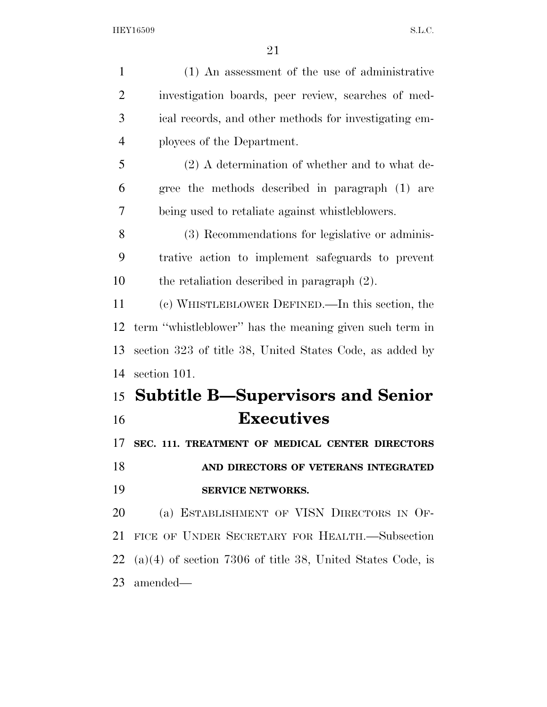| $\mathbf{1}$   | (1) An assessment of the use of administrative               |
|----------------|--------------------------------------------------------------|
| $\overline{2}$ | investigation boards, peer review, searches of med-          |
| 3              | ical records, and other methods for investigating em-        |
|                |                                                              |
| $\overline{4}$ | ployees of the Department.                                   |
| 5              | $(2)$ A determination of whether and to what de-             |
| 6              | gree the methods described in paragraph (1) are              |
| 7              | being used to retaliate against whistleblowers.              |
| 8              | (3) Recommendations for legislative or adminis-              |
| 9              | trative action to implement safeguards to prevent            |
| 10             | the retaliation described in paragraph $(2)$ .               |
| 11             | (c) WHISTLEBLOWER DEFINED.—In this section, the              |
| 12             | term "whistleblower" has the meaning given such term in      |
| 13             | section 323 of title 38, United States Code, as added by     |
| 14             | section 101.                                                 |
|                | 15 Subtitle B—Supervisors and Senior                         |
| 16             | <b>Executives</b>                                            |
| 17             | SEC. 111. TREATMENT OF MEDICAL CENTER DIRECTORS              |
| 18             | AND DIRECTORS OF VETERANS INTEGRATED                         |
| 19             | SERVICE NETWORKS.                                            |
| 20             | (a) ESTABLISHMENT OF VISN DIRECTORS IN OF-                   |
| 21             | FICE OF UNDER SECRETARY FOR HEALTH.-Subsection               |
| 22             | $(a)(4)$ of section 7306 of title 38, United States Code, is |
| 23             | amended—                                                     |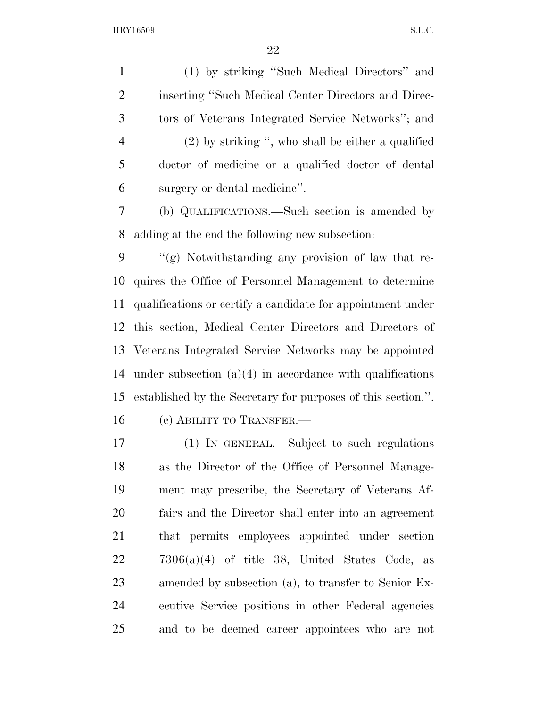(1) by striking ''Such Medical Directors'' and inserting ''Such Medical Center Directors and Direc- tors of Veterans Integrated Service Networks''; and (2) by striking '', who shall be either a qualified doctor of medicine or a qualified doctor of dental surgery or dental medicine''.

 (b) QUALIFICATIONS.—Such section is amended by adding at the end the following new subsection:

 $\langle \langle \rangle$  ''(g) Notwithstanding any provision of law that re- quires the Office of Personnel Management to determine qualifications or certify a candidate for appointment under this section, Medical Center Directors and Directors of Veterans Integrated Service Networks may be appointed under subsection (a)(4) in accordance with qualifications established by the Secretary for purposes of this section.''. 16 (c) ABILITY TO TRANSFER.

 (1) IN GENERAL.—Subject to such regulations as the Director of the Office of Personnel Manage- ment may prescribe, the Secretary of Veterans Af- fairs and the Director shall enter into an agreement that permits employees appointed under section  $7306(a)(4)$  of title 38, United States Code, as amended by subsection (a), to transfer to Senior Ex- ecutive Service positions in other Federal agencies and to be deemed career appointees who are not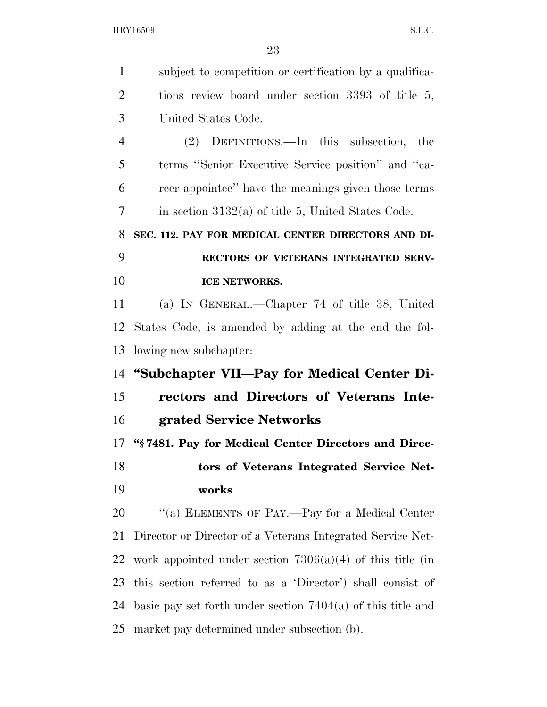| $\mathbf{1}$   | subject to competition or certification by a qualifica-       |
|----------------|---------------------------------------------------------------|
| $\overline{2}$ | tions review board under section 3393 of title 5,             |
| 3              | United States Code.                                           |
| $\overline{4}$ | (2) DEFINITIONS.—In this subsection,<br>the                   |
| 5              | terms "Senior Executive Service position" and "ca-            |
| 6              | reer appointee" have the meanings given those terms           |
| 7              | in section $3132(a)$ of title 5, United States Code.          |
| 8              | SEC. 112. PAY FOR MEDICAL CENTER DIRECTORS AND DI-            |
| 9              | RECTORS OF VETERANS INTEGRATED SERV-                          |
| 10             | <b>ICE NETWORKS.</b>                                          |
| 11             | (a) IN GENERAL.—Chapter 74 of title 38, United                |
| 12             | States Code, is amended by adding at the end the fol-         |
| 13             | lowing new subchapter:                                        |
| 14             | "Subchapter VII—Pay for Medical Center Di-                    |
| 15             | rectors and Directors of Veterans Inte-                       |
| 16             | grated Service Networks                                       |
| 17             | "§7481. Pay for Medical Center Directors and Direc-           |
| 18             | tors of Veterans Integrated Service Net-                      |
| 19             | works                                                         |
| 20             | "(a) ELEMENTS OF PAY.—Pay for a Medical Center                |
| 21             | Director or Director of a Veterans Integrated Service Net-    |
| 22             | work appointed under section $7306(a)(4)$ of this title (in   |
| 23             | this section referred to as a 'Director') shall consist of    |
| 24             | basic pay set forth under section $7404(a)$ of this title and |
| 25             | market pay determined under subsection (b).                   |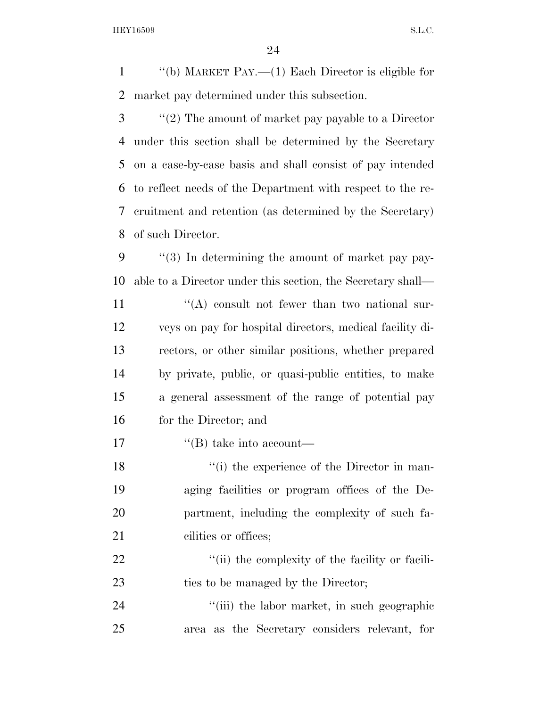''(b) MARKET PAY.—(1) Each Director is eligible for market pay determined under this subsection.

 ''(2) The amount of market pay payable to a Director under this section shall be determined by the Secretary on a case-by-case basis and shall consist of pay intended to reflect needs of the Department with respect to the re- cruitment and retention (as determined by the Secretary) of such Director.

 ''(3) In determining the amount of market pay pay- able to a Director under this section, the Secretary shall—  $'$ (A) consult not fewer than two national sur- veys on pay for hospital directors, medical facility di- rectors, or other similar positions, whether prepared by private, public, or quasi-public entities, to make a general assessment of the range of potential pay for the Director; and

17  $\text{``(B) take into account}$ 

18 ''(i) the experience of the Director in man- aging facilities or program offices of the De- partment, including the complexity of such fa-21 cilities or offices;

22  $\frac{1}{1}$  (ii) the complexity of the facility or facili-23 ties to be managed by the Director;

24 ''(iii) the labor market, in such geographic area as the Secretary considers relevant, for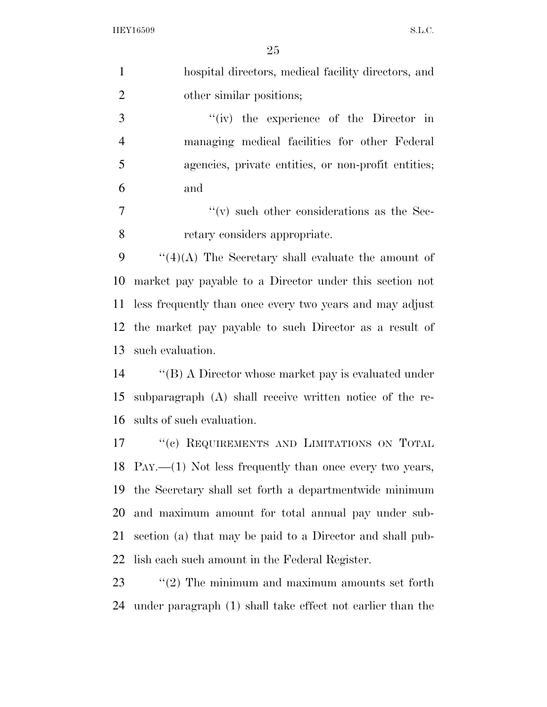| $\mathbf{1}$   | hospital directors, medical facility directors, and           |
|----------------|---------------------------------------------------------------|
| $\overline{2}$ | other similar positions;                                      |
| 3              | $``(iv)$ the experience of the Director in                    |
| $\overline{4}$ | managing medical facilities for other Federal                 |
| 5              | agencies, private entities, or non-profit entities;           |
| 6              | and                                                           |
| 7              | $\lq\lq$ such other considerations as the Sec-                |
| 8              | retary considers appropriate.                                 |
| 9              | $``(4)(A)$ The Secretary shall evaluate the amount of         |
| 10             | market pay payable to a Director under this section not       |
| 11             | less frequently than once every two years and may adjust      |
| 12             | the market pay payable to such Director as a result of        |
| 13             | such evaluation.                                              |
| 14             | " $(B)$ A Director whose market pay is evaluated under        |
| 15             | subparagraph $(A)$ shall receive written notice of the re-    |
| 16             | sults of such evaluation.                                     |
| 17             | "(c) REQUIREMENTS AND LIMITATIONS ON TOTAL                    |
|                | 18 PAY.— $(1)$ Not less frequently than once every two years, |
| 19             | the Secretary shall set forth a department wide minimum       |
| 20             | and maximum amount for total annual pay under sub-            |
| 21             | section (a) that may be paid to a Director and shall pub-     |
| 22             | lish each such amount in the Federal Register.                |
| 23             | $\lq(2)$ The minimum and maximum amounts set forth            |
| 24             | under paragraph (1) shall take effect not earlier than the    |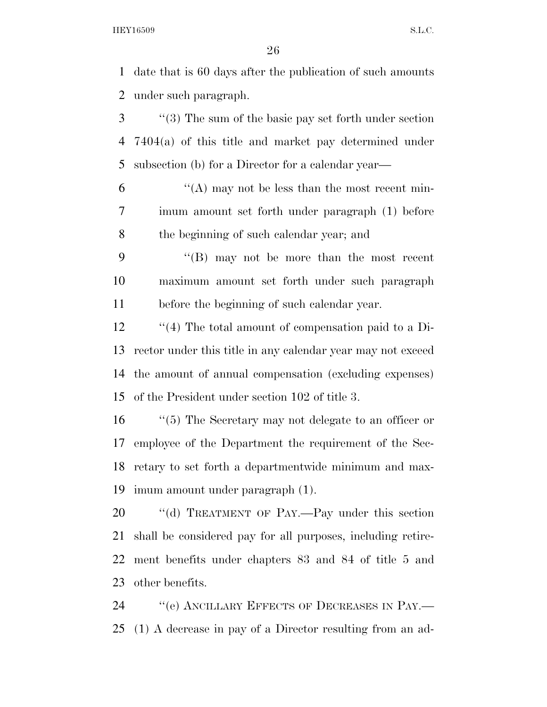date that is 60 days after the publication of such amounts under such paragraph.

 ''(3) The sum of the basic pay set forth under section 7404(a) of this title and market pay determined under subsection (b) for a Director for a calendar year—

 $(6)$  "'(A) may not be less than the most recent min- imum amount set forth under paragraph (1) before the beginning of such calendar year; and

 ''(B) may not be more than the most recent maximum amount set forth under such paragraph before the beginning of such calendar year.

 ''(4) The total amount of compensation paid to a Di- rector under this title in any calendar year may not exceed the amount of annual compensation (excluding expenses) of the President under section 102 of title 3.

 ''(5) The Secretary may not delegate to an officer or employee of the Department the requirement of the Sec- retary to set forth a departmentwide minimum and max-imum amount under paragraph (1).

20 "(d) TREATMENT OF PAY.—Pay under this section shall be considered pay for all purposes, including retire- ment benefits under chapters 83 and 84 of title 5 and other benefits.

24 "(e) ANCILLARY EFFECTS OF DECREASES IN PAY.— (1) A decrease in pay of a Director resulting from an ad-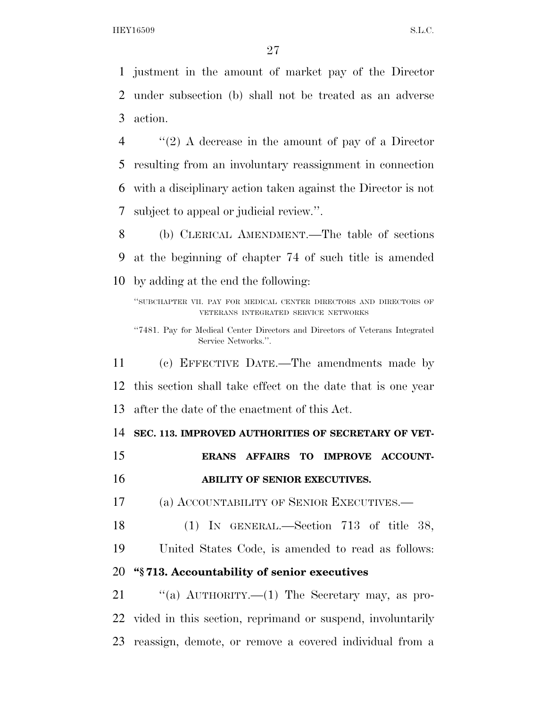justment in the amount of market pay of the Director under subsection (b) shall not be treated as an adverse action.

 ''(2) A decrease in the amount of pay of a Director resulting from an involuntary reassignment in connection with a disciplinary action taken against the Director is not subject to appeal or judicial review.''.

 (b) CLERICAL AMENDMENT.—The table of sections at the beginning of chapter 74 of such title is amended by adding at the end the following:

''SUBCHAPTER VII. PAY FOR MEDICAL CENTER DIRECTORS AND DIRECTORS OF VETERANS INTEGRATED SERVICE NETWORKS

''7481. Pay for Medical Center Directors and Directors of Veterans Integrated Service Networks.''.

 (c) EFFECTIVE DATE.—The amendments made by this section shall take effect on the date that is one year after the date of the enactment of this Act.

**SEC. 113. IMPROVED AUTHORITIES OF SECRETARY OF VET-**

 **ERANS AFFAIRS TO IMPROVE ACCOUNT-ABILITY OF SENIOR EXECUTIVES.** 

(a) ACCOUNTABILITY OF SENIOR EXECUTIVES.—

(1) IN GENERAL.—Section 713 of title 38,

United States Code, is amended to read as follows:

# **''§ 713. Accountability of senior executives**

21 "(a) AUTHORITY.—(1) The Secretary may, as pro- vided in this section, reprimand or suspend, involuntarily reassign, demote, or remove a covered individual from a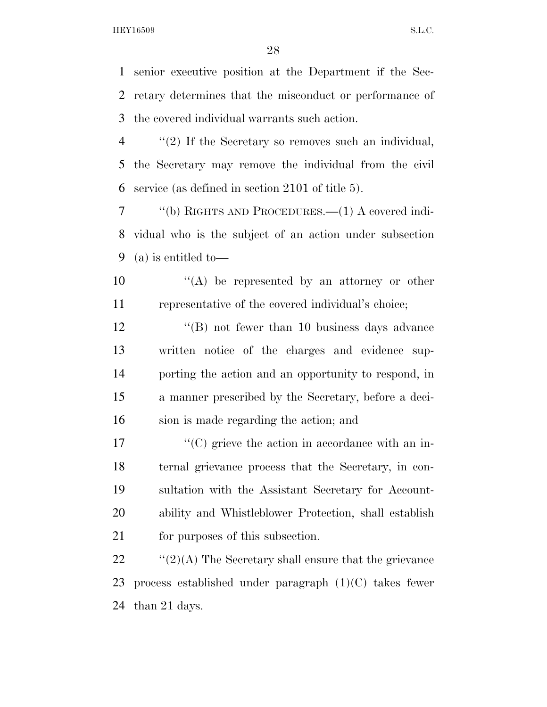senior executive position at the Department if the Sec- retary determines that the misconduct or performance of the covered individual warrants such action.

 ''(2) If the Secretary so removes such an individual, the Secretary may remove the individual from the civil service (as defined in section 2101 of title 5).

 ''(b) RIGHTS AND PROCEDURES.—(1) A covered indi- vidual who is the subject of an action under subsection (a) is entitled to—

 ''(A) be represented by an attorney or other representative of the covered individual's choice;

12 ''(B) not fewer than 10 business days advance written notice of the charges and evidence sup- porting the action and an opportunity to respond, in a manner prescribed by the Secretary, before a deci-sion is made regarding the action; and

 $\langle ^{\prime}(C) \rangle$  grieve the action in accordance with an in- ternal grievance process that the Secretary, in con- sultation with the Assistant Secretary for Account- ability and Whistleblower Protection, shall establish 21 for purposes of this subsection.

22  $\frac{1}{2}(2)(A)$  The Secretary shall ensure that the grievance process established under paragraph (1)(C) takes fewer than 21 days.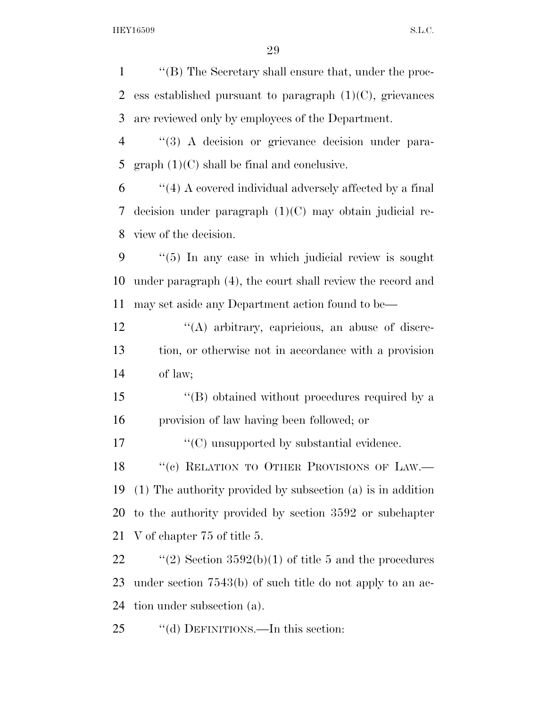''(B) The Secretary shall ensure that, under the proc-2 ess established pursuant to paragraph  $(1)(C)$ , grievances are reviewed only by employees of the Department. ''(3) A decision or grievance decision under para-5 graph  $(1)(C)$  shall be final and conclusive. ''(4) A covered individual adversely affected by a final decision under paragraph (1)(C) may obtain judicial re- view of the decision. ''(5) In any case in which judicial review is sought under paragraph (4), the court shall review the record and may set aside any Department action found to be— 12 "(A) arbitrary, capricious, an abuse of discre- tion, or otherwise not in accordance with a provision of law; ''(B) obtained without procedures required by a

provision of law having been followed; or

17  $\langle ^{\prime}(C) \rangle$  unsupported by substantial evidence.

18 "(c) RELATION TO OTHER PROVISIONS OF LAW.— (1) The authority provided by subsection (a) is in addition to the authority provided by section 3592 or subchapter V of chapter 75 of title 5.

22  $\text{``(2)}$  Section 3592(b)(1) of title 5 and the procedures under section 7543(b) of such title do not apply to an ac-tion under subsection (a).

25 "(d) DEFINITIONS.—In this section: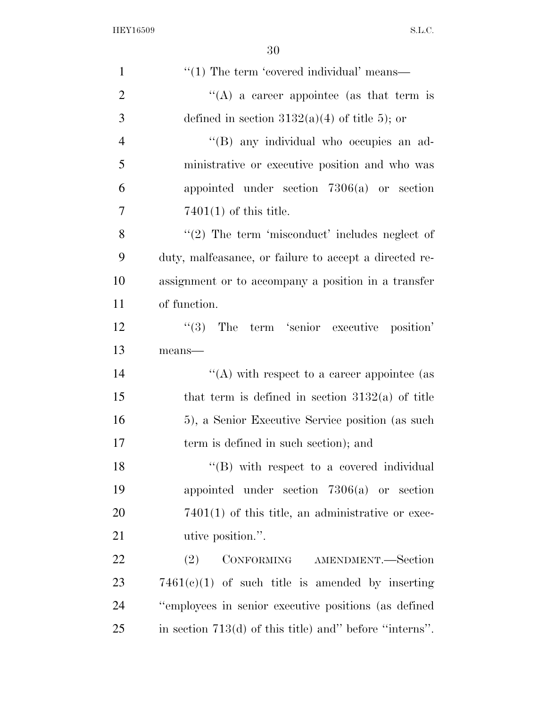| $\mathbf{1}$   | $\cdot\cdot\cdot(1)$ The term 'covered individual' means— |
|----------------|-----------------------------------------------------------|
| $\overline{2}$ | "(A) a career appointee (as that term is                  |
| 3              | defined in section $3132(a)(4)$ of title 5); or           |
| $\overline{4}$ | "(B) any individual who occupies an ad-                   |
| 5              | ministrative or executive position and who was            |
| 6              | appointed under section $7306(a)$ or section              |
| 7              | $7401(1)$ of this title.                                  |
| 8              | $\lq(2)$ The term 'misconduct' includes neglect of        |
| 9              | duty, malfeasance, or failure to accept a directed re-    |
| 10             | assignment or to accompany a position in a transfer       |
| 11             | of function.                                              |
| 12             | $(3)$ The term 'senior executive position'                |
| 13             | means-                                                    |
| 14             | "(A) with respect to a career appointee (as               |
| 15             | that term is defined in section $3132(a)$ of title        |
| 16             | 5), a Senior Executive Service position (as such          |
| 17             | term is defined in such section); and                     |
| 18             | "(B) with respect to a covered individual                 |
| 19             | appointed under section $7306(a)$ or section              |
| 20             | $7401(1)$ of this title, an administrative or exec-       |
| 21             | utive position.".                                         |
| 22             | CONFORMING AMENDMENT.-Section<br>(2)                      |
| 23             | $7461(c)(1)$ of such title is amended by inserting        |
| 24             | "employees in senior executive positions (as defined      |
| 25             | in section $713(d)$ of this title) and" before "interns". |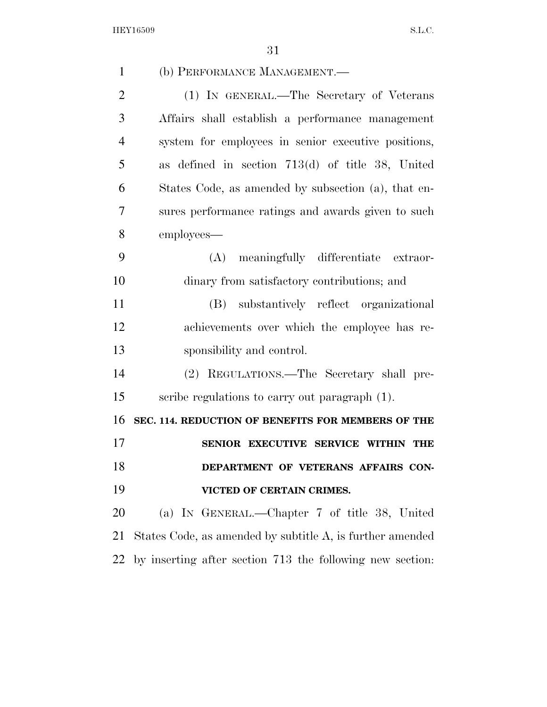| $\mathbf{1}$   | (b) PERFORMANCE MANAGEMENT.—                              |
|----------------|-----------------------------------------------------------|
| $\overline{2}$ | (1) IN GENERAL.—The Secretary of Veterans                 |
| 3              | Affairs shall establish a performance management          |
| $\overline{4}$ | system for employees in senior executive positions,       |
| 5              | as defined in section 713(d) of title 38, United          |
| 6              | States Code, as amended by subsection (a), that en-       |
| 7              | sures performance ratings and awards given to such        |
| 8              | employees—                                                |
| 9              | meaningfully differentiate extraor-<br>(A)                |
| 10             | dinary from satisfactory contributions; and               |
| 11             | substantively reflect organizational<br>(B)               |
| 12             | achievements over which the employee has re-              |
| 13             | sponsibility and control.                                 |
| 14             | (2) REGULATIONS.—The Secretary shall pre-                 |
| 15             | scribe regulations to carry out paragraph (1).            |
| 16             | SEC. 114. REDUCTION OF BENEFITS FOR MEMBERS OF THE        |
| 17             | SENIOR EXECUTIVE SERVICE WITHIN THE                       |
| 18             | DEPARTMENT OF VETERANS AFFAIRS CON-                       |
| 19             | VICTED OF CERTAIN CRIMES.                                 |
| 20             | (a) IN GENERAL.—Chapter 7 of title 38, United             |
| 21             | States Code, as amended by subtitle A, is further amended |
| 22             | by inserting after section 713 the following new section: |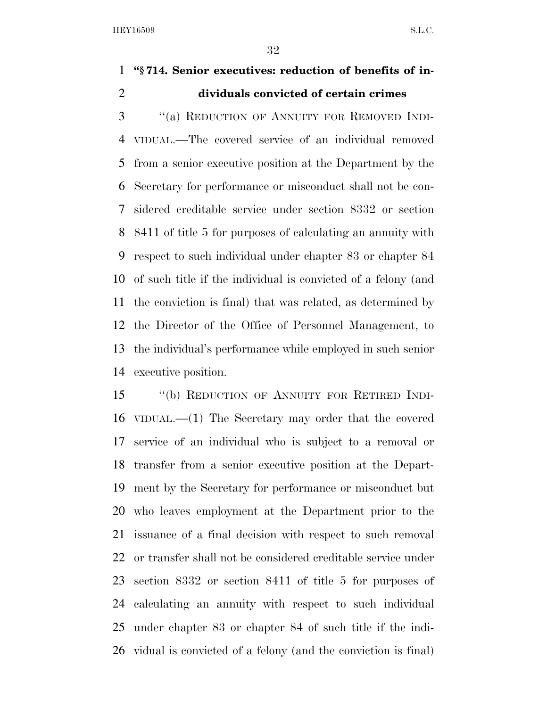# **''§ 714. Senior executives: reduction of benefits of in-dividuals convicted of certain crimes**

 ''(a) REDUCTION OF ANNUITY FOR REMOVED INDI- VIDUAL.—The covered service of an individual removed from a senior executive position at the Department by the Secretary for performance or misconduct shall not be con- sidered creditable service under section 8332 or section 8411 of title 5 for purposes of calculating an annuity with respect to such individual under chapter 83 or chapter 84 of such title if the individual is convicted of a felony (and the conviction is final) that was related, as determined by the Director of the Office of Personnel Management, to the individual's performance while employed in such senior executive position.

 ''(b) REDUCTION OF ANNUITY FOR RETIRED INDI- VIDUAL.—(1) The Secretary may order that the covered service of an individual who is subject to a removal or transfer from a senior executive position at the Depart- ment by the Secretary for performance or misconduct but who leaves employment at the Department prior to the issuance of a final decision with respect to such removal or transfer shall not be considered creditable service under section 8332 or section 8411 of title 5 for purposes of calculating an annuity with respect to such individual under chapter 83 or chapter 84 of such title if the indi-vidual is convicted of a felony (and the conviction is final)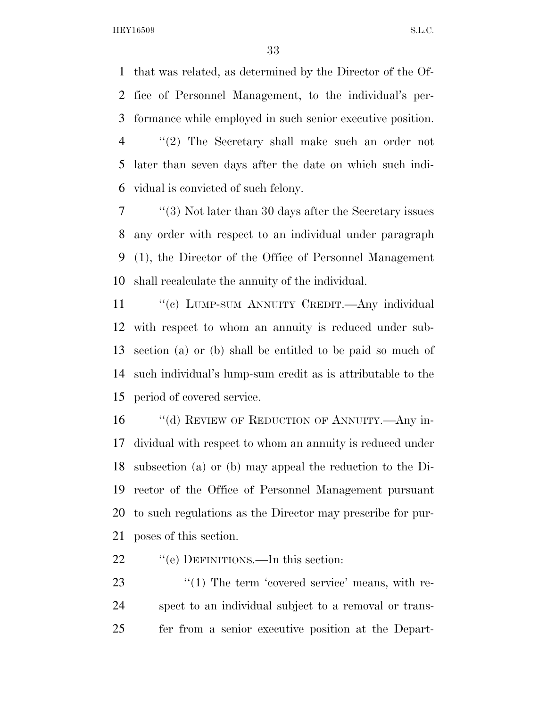that was related, as determined by the Director of the Of- fice of Personnel Management, to the individual's per- formance while employed in such senior executive position. ''(2) The Secretary shall make such an order not later than seven days after the date on which such indi-

vidual is convicted of such felony.

 ''(3) Not later than 30 days after the Secretary issues any order with respect to an individual under paragraph (1), the Director of the Office of Personnel Management shall recalculate the annuity of the individual.

11 ""(c) LUMP-SUM ANNUITY CREDIT.—Any individual with respect to whom an annuity is reduced under sub- section (a) or (b) shall be entitled to be paid so much of such individual's lump-sum credit as is attributable to the period of covered service.

16 "(d) REVIEW OF REDUCTION OF ANNUITY.—Any in- dividual with respect to whom an annuity is reduced under subsection (a) or (b) may appeal the reduction to the Di- rector of the Office of Personnel Management pursuant to such regulations as the Director may prescribe for pur-poses of this section.

22 "'(e) DEFINITIONS.—In this section:

23  $\frac{1}{2}$  The term 'covered service' means, with re- spect to an individual subject to a removal or trans-fer from a senior executive position at the Depart-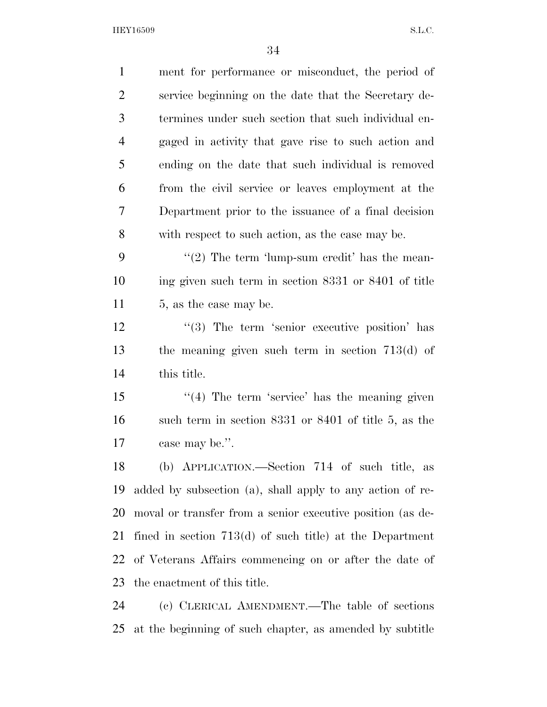| $\mathbf{1}$   | ment for performance or misconduct, the period of          |
|----------------|------------------------------------------------------------|
| 2              | service beginning on the date that the Secretary de-       |
| 3              | termines under such section that such individual en-       |
| $\overline{4}$ | gaged in activity that gave rise to such action and        |
| 5              | ending on the date that such individual is removed         |
| 6              | from the civil service or leaves employment at the         |
| 7              | Department prior to the issuance of a final decision       |
| 8              | with respect to such action, as the case may be.           |
| 9              | $\lq(2)$ The term 'lump-sum credit' has the mean-          |
| 10             | ing given such term in section 8331 or 8401 of title       |
| 11             | 5, as the case may be.                                     |
| 12             | $\cdot$ (3) The term 'senior executive position' has       |
| 13             | the meaning given such term in section $713(d)$ of         |
| 14             | this title.                                                |
| 15             | $"$ (4) The term 'service' has the meaning given           |
| 16             | such term in section 8331 or 8401 of title 5, as the       |
| 17             | case may be.".                                             |
| 18             | (b) APPLICATION.—Section 714 of such title, as             |
| 19             | added by subsection (a), shall apply to any action of re-  |
| 20             | moval or transfer from a senior executive position (as de- |
| 21             | fined in section $713(d)$ of such title) at the Department |
| 22             | of Veterans Affairs commencing on or after the date of     |
| 23             | the enactment of this title.                               |
| 24             | (c) CLERICAL AMENDMENT.—The table of sections              |
| 25             | at the beginning of such chapter, as amended by subtitle   |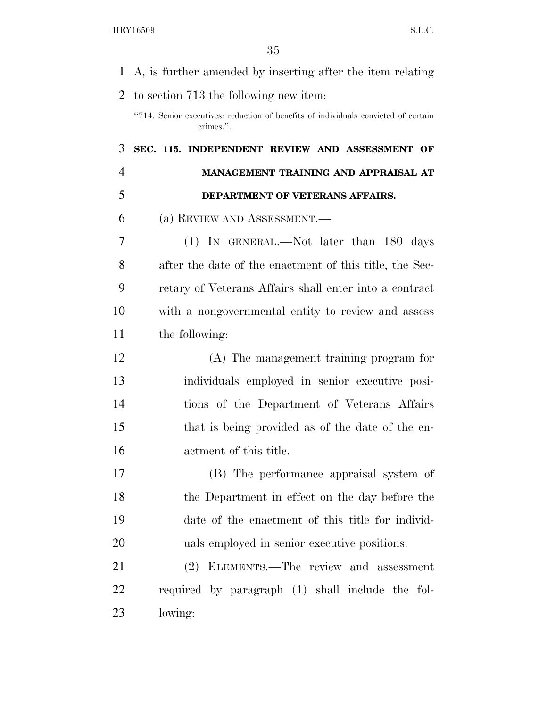| $\mathbf{1}$   | A, is further amended by inserting after the item relating                                      |
|----------------|-------------------------------------------------------------------------------------------------|
| $\overline{2}$ | to section 713 the following new item:                                                          |
|                | "714. Senior executives: reduction of benefits of individuals convicted of certain<br>crimes.". |
| 3              | SEC. 115. INDEPENDENT REVIEW AND ASSESSMENT OF                                                  |
| $\overline{4}$ | MANAGEMENT TRAINING AND APPRAISAL AT                                                            |
| 5              | DEPARTMENT OF VETERANS AFFAIRS.                                                                 |
| 6              | (a) REVIEW AND ASSESSMENT.                                                                      |
| 7              | $(1)$ IN GENERAL.—Not later than 180 days                                                       |
| 8              | after the date of the enactment of this title, the Sec-                                         |
| 9              | retary of Veterans Affairs shall enter into a contract                                          |
| 10             | with a nongovernmental entity to review and assess                                              |
| 11             | the following:                                                                                  |
| 12             | (A) The management training program for                                                         |
| 13             | individuals employed in senior executive posi-                                                  |
| 14             | tions of the Department of Veterans Affairs                                                     |
| 15             | that is being provided as of the date of the en-                                                |
| 16             | actment of this title.                                                                          |
| 17             | (B) The performance appraisal system of                                                         |
| 18             | the Department in effect on the day before the                                                  |
| 19             | date of the enactment of this title for individ-                                                |
| 20             | uals employed in senior executive positions.                                                    |
| 21             | ELEMENTS.—The review and assessment<br>(2)                                                      |
| 22             | required by paragraph (1) shall include the fol-                                                |
| 23             | lowing:                                                                                         |
|                |                                                                                                 |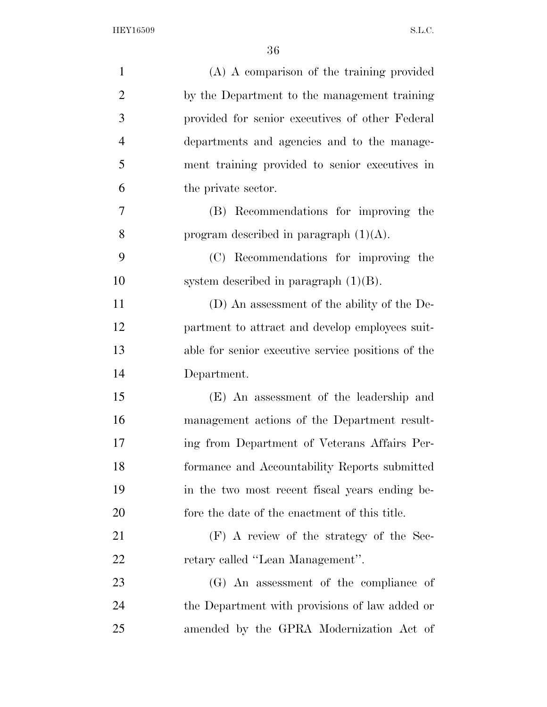| $\mathbf{1}$   | (A) A comparison of the training provided          |
|----------------|----------------------------------------------------|
| $\overline{2}$ | by the Department to the management training       |
| 3              | provided for senior executives of other Federal    |
| $\overline{4}$ | departments and agencies and to the manage-        |
| 5              | ment training provided to senior executives in     |
| 6              | the private sector.                                |
| 7              | (B) Recommendations for improving the              |
| 8              | program described in paragraph $(1)(A)$ .          |
| 9              | (C) Recommendations for improving the              |
| 10             | system described in paragraph $(1)(B)$ .           |
| 11             | (D) An assessment of the ability of the De-        |
| 12             | partment to attract and develop employees suit-    |
| 13             | able for senior executive service positions of the |
| 14             | Department.                                        |
| 15             | (E) An assessment of the leadership and            |
| 16             | management actions of the Department result-       |
| 17             | ing from Department of Veterans Affairs Per-       |
| 18             | formance and Accountability Reports submitted      |
| 19             | in the two most recent fiscal years ending be-     |
| 20             | fore the date of the enactment of this title.      |
| 21             | (F) A review of the strategy of the Sec-           |
| 22             | retary called "Lean Management".                   |
| 23             | (G) An assessment of the compliance of             |
| 24             | the Department with provisions of law added or     |
| 25             | amended by the GPRA Modernization Act of           |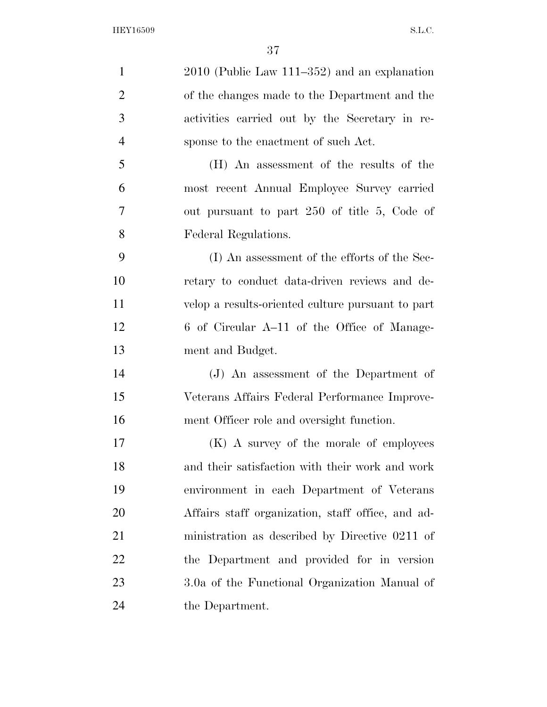| $\mathbf{1}$   | $2010$ (Public Law 111–352) and an explanation    |
|----------------|---------------------------------------------------|
| $\overline{2}$ | of the changes made to the Department and the     |
| 3              | activities carried out by the Secretary in re-    |
| $\overline{4}$ | sponse to the enactment of such Act.              |
| 5              | (H) An assessment of the results of the           |
| 6              | most recent Annual Employee Survey carried        |
| 7              | out pursuant to part 250 of title 5, Code of      |
| 8              | Federal Regulations.                              |
| 9              | (I) An assessment of the efforts of the Sec-      |
| 10             | retary to conduct data-driven reviews and de-     |
| 11             | velop a results-oriented culture pursuant to part |
| 12             | 6 of Circular A-11 of the Office of Manage-       |
| 13             | ment and Budget.                                  |
| 14             | (J) An assessment of the Department of            |
| 15             | Veterans Affairs Federal Performance Improve-     |
| 16             | ment Officer role and oversight function.         |
| 17             | (K) A survey of the morale of employees           |
| 18             | and their satisfaction with their work and work   |
| 19             | environment in each Department of Veterans        |
| 20             | Affairs staff organization, staff office, and ad- |
| 21             | ministration as described by Directive 0211 of    |
| 22             | the Department and provided for in version        |
| 23             | 3.0a of the Functional Organization Manual of     |
| 24             | the Department.                                   |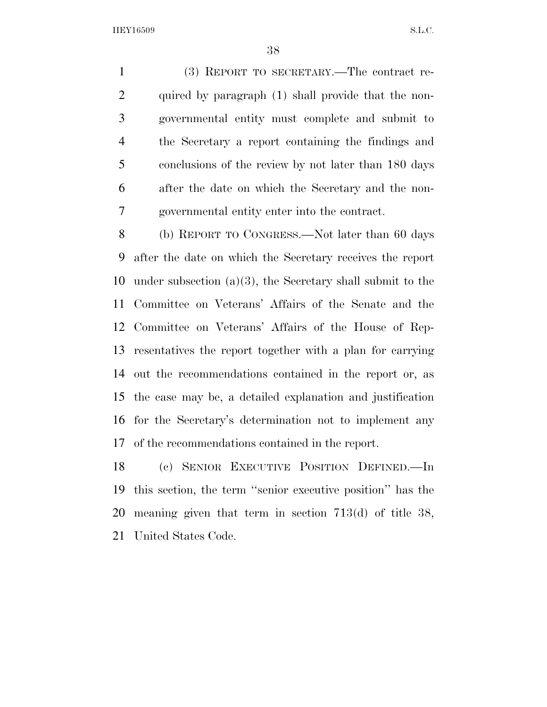(3) REPORT TO SECRETARY.—The contract re- quired by paragraph (1) shall provide that the non- governmental entity must complete and submit to the Secretary a report containing the findings and conclusions of the review by not later than 180 days after the date on which the Secretary and the non-governmental entity enter into the contract.

 (b) REPORT TO CONGRESS.—Not later than 60 days after the date on which the Secretary receives the report under subsection (a)(3), the Secretary shall submit to the Committee on Veterans' Affairs of the Senate and the Committee on Veterans' Affairs of the House of Rep- resentatives the report together with a plan for carrying out the recommendations contained in the report or, as the case may be, a detailed explanation and justification for the Secretary's determination not to implement any of the recommendations contained in the report.

 (c) SENIOR EXECUTIVE POSITION DEFINED.—In this section, the term ''senior executive position'' has the meaning given that term in section 713(d) of title 38, United States Code.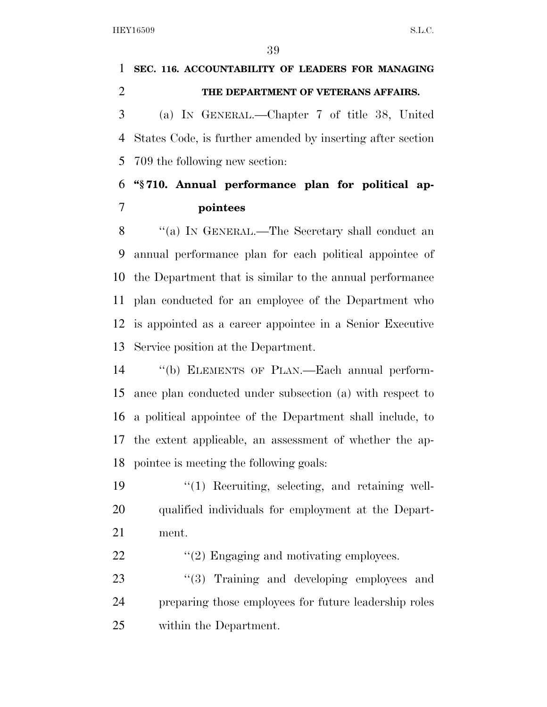# **SEC. 116. ACCOUNTABILITY OF LEADERS FOR MANAGING THE DEPARTMENT OF VETERANS AFFAIRS.**  (a) IN GENERAL.—Chapter 7 of title 38, United States Code, is further amended by inserting after section 709 the following new section:

## **''§ 710. Annual performance plan for political ap-pointees**

 ''(a) IN GENERAL.—The Secretary shall conduct an annual performance plan for each political appointee of the Department that is similar to the annual performance plan conducted for an employee of the Department who is appointed as a career appointee in a Senior Executive Service position at the Department.

 ''(b) ELEMENTS OF PLAN.—Each annual perform- ance plan conducted under subsection (a) with respect to a political appointee of the Department shall include, to the extent applicable, an assessment of whether the ap-pointee is meeting the following goals:

19 ''(1) Recruiting, selecting, and retaining well- qualified individuals for employment at the Depart-ment.

22  $\frac{1}{2}$  Engaging and motivating employees.

23 ''(3) Training and developing employees and preparing those employees for future leadership roles within the Department.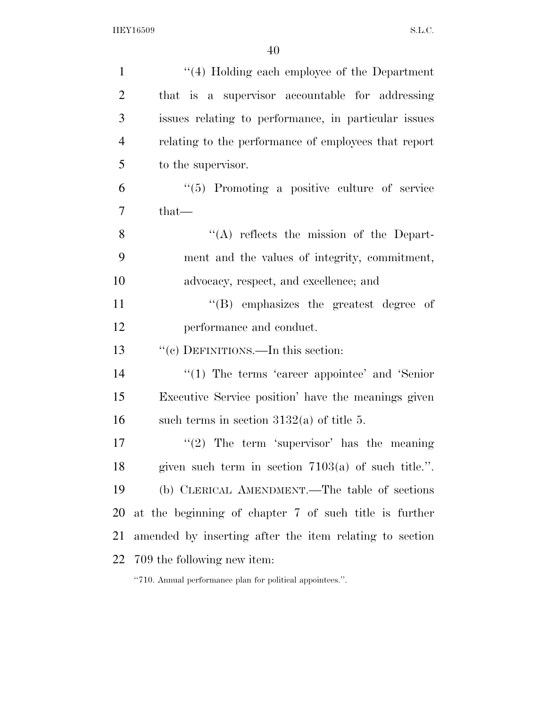| $\mathbf{1}$   | "(4) Holding each employee of the Department            |
|----------------|---------------------------------------------------------|
| $\overline{2}$ | that is a supervisor accountable for addressing         |
| 3              | issues relating to performance, in particular issues    |
| $\overline{4}$ | relating to the performance of employees that report    |
| 5              | to the supervisor.                                      |
| 6              | $\lq(5)$ Promoting a positive culture of service        |
| 7              | that—                                                   |
| 8              | $\lq\lq$ reflects the mission of the Depart-            |
| 9              | ment and the values of integrity, commitment,           |
| 10             | advocacy, respect, and excellence; and                  |
| 11             | $\lq\lq(B)$ emphasizes the greatest degree of           |
|                |                                                         |
| 12             | performance and conduct.                                |
| 13             | "(c) DEFINITIONS.—In this section:                      |
| 14             | $\lq(1)$ The terms 'career appointee' and 'Senior'      |
| 15             | Executive Service position' have the meanings given     |
| 16             | such terms in section $3132(a)$ of title 5.             |
| 17             | "(2) The term 'supervisor' has the meaning              |
| 18             | given such term in section $7103(a)$ of such title.".   |
|                | (b) CLERICAL AMENDMENT.—The table of sections           |
| 19<br>20       | at the beginning of chapter 7 of such title is further  |
| 21             | amended by inserting after the item relating to section |

''710. Annual performance plan for political appointees.''.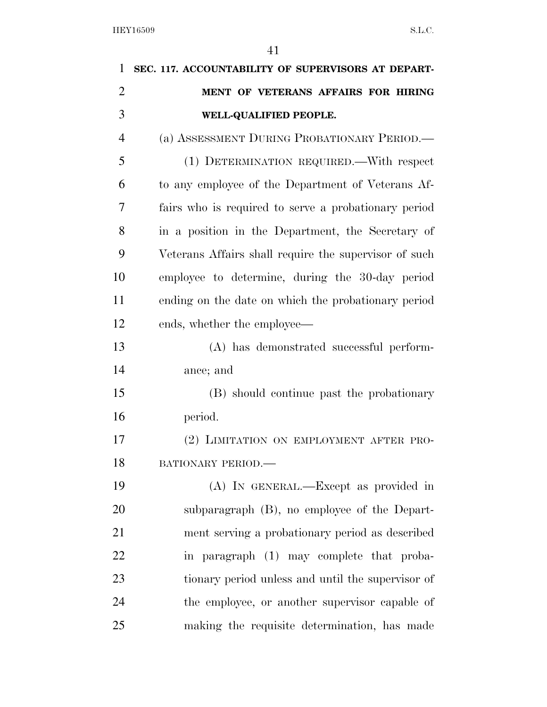| $\mathbf{1}$   | SEC. 117. ACCOUNTABILITY OF SUPERVISORS AT DEPART-    |
|----------------|-------------------------------------------------------|
| $\overline{2}$ | MENT OF VETERANS AFFAIRS FOR HIRING                   |
| 3              | WELL-QUALIFIED PEOPLE.                                |
| $\overline{4}$ | (a) ASSESSMENT DURING PROBATIONARY PERIOD.            |
| 5              | (1) DETERMINATION REQUIRED.—With respect              |
| 6              | to any employee of the Department of Veterans Af-     |
| 7              | fairs who is required to serve a probationary period  |
| 8              | in a position in the Department, the Secretary of     |
| 9              | Veterans Affairs shall require the supervisor of such |
| 10             | employee to determine, during the 30-day period       |
| 11             | ending on the date on which the probationary period   |
| 12             | ends, whether the employee—                           |
| 13             | (A) has demonstrated successful perform-              |
| 14             | ance; and                                             |
| 15             | (B) should continue past the probationary             |
| 16             | period.                                               |
| 17             | (2) LIMITATION ON EMPLOYMENT AFTER PRO-               |
| 18             | BATIONARY PERIOD.                                     |
| 19             | (A) IN GENERAL.—Except as provided in                 |
| 20             | subparagraph (B), no employee of the Depart-          |
| 21             | ment serving a probationary period as described       |
| 22             | in paragraph (1) may complete that proba-             |
| 23             | tionary period unless and until the supervisor of     |
| 24             | the employee, or another supervisor capable of        |
| 25             | making the requisite determination, has made          |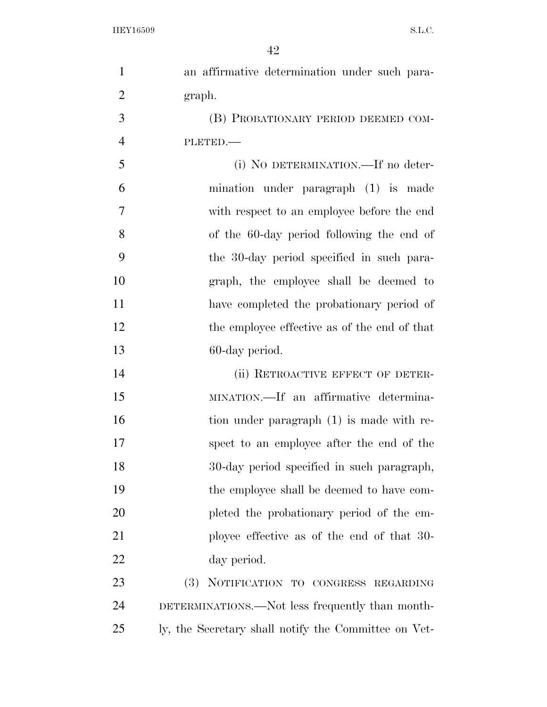| $\mathbf{1}$   | an affirmative determination under such para-        |
|----------------|------------------------------------------------------|
| $\overline{2}$ | graph.                                               |
| 3              | (B) PROBATIONARY PERIOD DEEMED COM-                  |
| $\overline{4}$ | PLETED.                                              |
| 5              | (i) NO DETERMINATION.—If no deter-                   |
| 6              | mination under paragraph (1) is made                 |
| $\overline{7}$ | with respect to an employee before the end           |
| 8              | of the 60-day period following the end of            |
| 9              | the 30-day period specified in such para-            |
| 10             | graph, the employee shall be deemed to               |
| 11             | have completed the probationary period of            |
| 12             | the employee effective as of the end of that         |
| 13             | 60-day period.                                       |
| 14             | (ii) RETROACTIVE EFFECT OF DETER-                    |
| 15             | MINATION.—If an affirmative determina-               |
| 16             | tion under paragraph (1) is made with re-            |
| 17             | spect to an employee after the end of the            |
| 18             | 30-day period specified in such paragraph,           |
| 19             | the employee shall be deemed to have com-            |
| 20             | pleted the probationary period of the em-            |
| 21             | ployee effective as of the end of that 30-           |
| 22             | day period.                                          |
| 23             | (3) NOTIFICATION TO CONGRESS REGARDING               |
| 24             | DETERMINATIONS.—Not less frequently than month-      |
| 25             | ly, the Secretary shall notify the Committee on Vet- |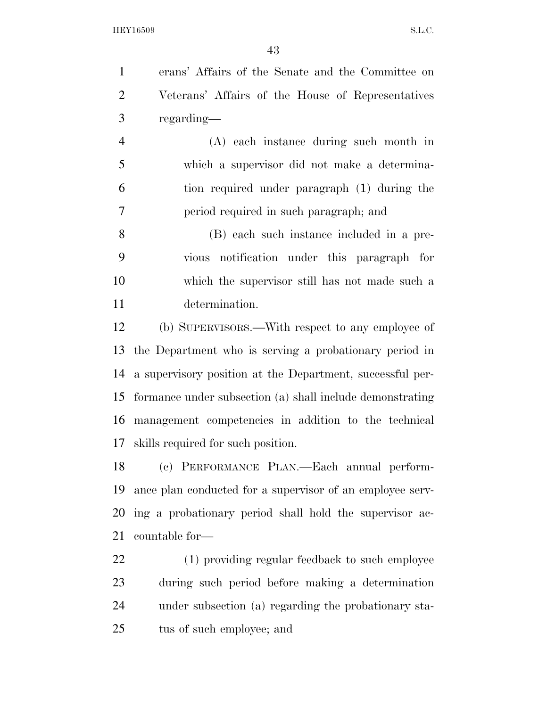erans' Affairs of the Senate and the Committee on Veterans' Affairs of the House of Representatives regarding—

 (A) each instance during such month in which a supervisor did not make a determina- tion required under paragraph (1) during the period required in such paragraph; and

 (B) each such instance included in a pre- vious notification under this paragraph for which the supervisor still has not made such a determination.

 (b) SUPERVISORS.—With respect to any employee of the Department who is serving a probationary period in a supervisory position at the Department, successful per- formance under subsection (a) shall include demonstrating management competencies in addition to the technical skills required for such position.

 (c) PERFORMANCE PLAN.—Each annual perform- ance plan conducted for a supervisor of an employee serv- ing a probationary period shall hold the supervisor ac-countable for—

 (1) providing regular feedback to such employee during such period before making a determination under subsection (a) regarding the probationary sta-tus of such employee; and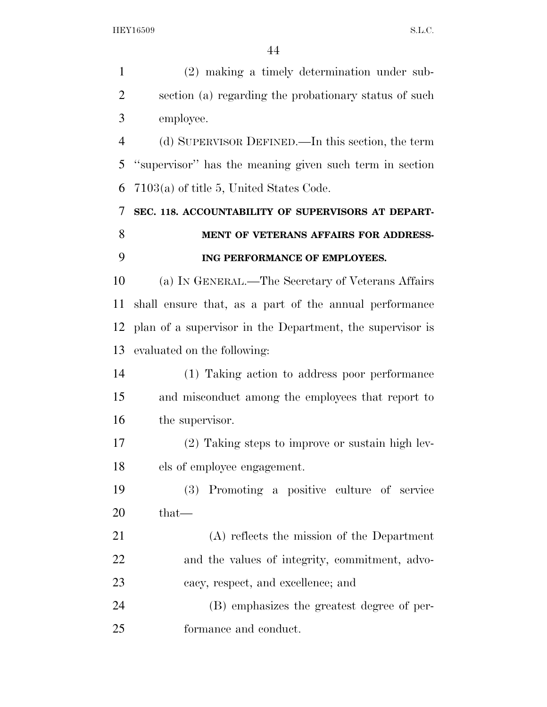| $\mathbf{1}$   | (2) making a timely determination under sub-              |
|----------------|-----------------------------------------------------------|
| $\overline{2}$ | section (a) regarding the probationary status of such     |
| 3              | employee.                                                 |
| $\overline{4}$ | (d) SUPERVISOR DEFINED.—In this section, the term         |
| 5              | "supervisor" has the meaning given such term in section   |
| 6              | $7103(a)$ of title 5, United States Code.                 |
| 7              | SEC. 118. ACCOUNTABILITY OF SUPERVISORS AT DEPART-        |
| 8              | MENT OF VETERANS AFFAIRS FOR ADDRESS-                     |
| 9              | ING PERFORMANCE OF EMPLOYEES.                             |
| 10             | (a) IN GENERAL.—The Secretary of Veterans Affairs         |
| 11             | shall ensure that, as a part of the annual performance    |
| 12             | plan of a supervisor in the Department, the supervisor is |
| 13             | evaluated on the following:                               |
| 14             | (1) Taking action to address poor performance             |
| 15             | and misconduct among the employees that report to         |
| 16             | the supervisor.                                           |
| 17             | (2) Taking steps to improve or sustain high lev-          |
| 18             | els of employee engagement.                               |
| 19             | (3) Promoting a positive culture of service               |
| 20             | $that-$                                                   |
| 21             | (A) reflects the mission of the Department                |
| 22             | and the values of integrity, commitment, advo-            |
| 23             | cacy, respect, and excellence; and                        |
| 24             | (B) emphasizes the greatest degree of per-                |
| 25             | formance and conduct.                                     |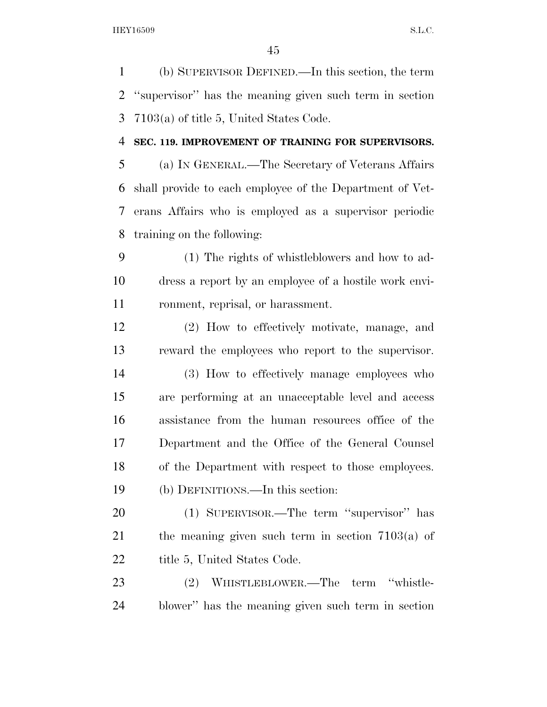(b) SUPERVISOR DEFINED.—In this section, the term ''supervisor'' has the meaning given such term in section 7103(a) of title 5, United States Code.

### **SEC. 119. IMPROVEMENT OF TRAINING FOR SUPERVISORS.**

 (a) IN GENERAL.—The Secretary of Veterans Affairs shall provide to each employee of the Department of Vet- erans Affairs who is employed as a supervisor periodic training on the following:

 (1) The rights of whistleblowers and how to ad- dress a report by an employee of a hostile work envi-ronment, reprisal, or harassment.

 (2) How to effectively motivate, manage, and reward the employees who report to the supervisor.

 (3) How to effectively manage employees who are performing at an unacceptable level and access assistance from the human resources office of the Department and the Office of the General Counsel of the Department with respect to those employees. (b) DEFINITIONS.—In this section:

 (1) SUPERVISOR.—The term ''supervisor'' has the meaning given such term in section 7103(a) of 22 title 5, United States Code.

 (2) WHISTLEBLOWER.—The term ''whistle-blower'' has the meaning given such term in section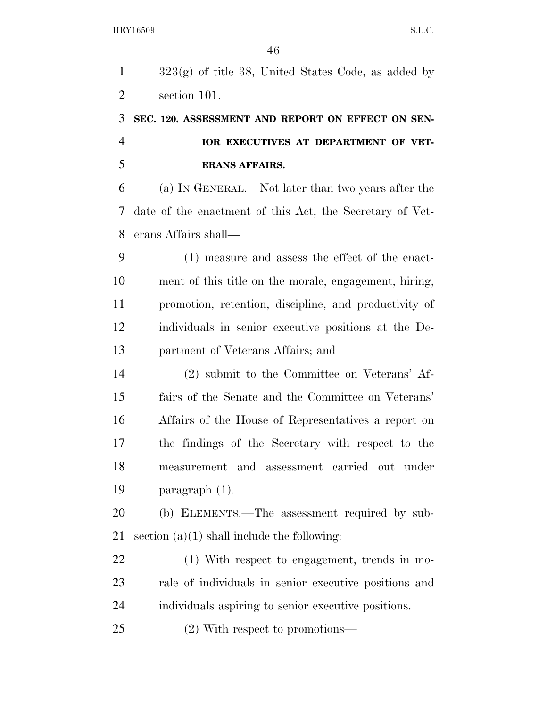| $\mathbf{1}$   | $323(g)$ of title 38, United States Code, as added by    |
|----------------|----------------------------------------------------------|
| $\overline{2}$ | section 101.                                             |
| 3              | SEC. 120. ASSESSMENT AND REPORT ON EFFECT ON SEN-        |
| $\overline{4}$ | IOR EXECUTIVES AT DEPARTMENT OF VET-                     |
| 5              | <b>ERANS AFFAIRS.</b>                                    |
| 6              | (a) IN GENERAL.—Not later than two years after the       |
| 7              | date of the enactment of this Act, the Secretary of Vet- |
| 8              | erans Affairs shall—                                     |
| 9              | (1) measure and assess the effect of the enact-          |
| 10             | ment of this title on the morale, engagement, hiring,    |
| 11             | promotion, retention, discipline, and productivity of    |
| 12             | individuals in senior executive positions at the De-     |
| 13             | partment of Veterans Affairs; and                        |
| 14             | (2) submit to the Committee on Veterans' Af-             |
| 15             | fairs of the Senate and the Committee on Veterans'       |
| 16             | Affairs of the House of Representatives a report on      |
| 17             | the findings of the Secretary with respect to the        |
| 18             | measurement and assessment carried out under             |
| 19             | paragraph $(1)$ .                                        |
| 20             | (b) ELEMENTS.—The assessment required by sub-            |
| 21             | section $(a)(1)$ shall include the following:            |
| 22             | (1) With respect to engagement, trends in mo-            |
| 23             | rale of individuals in senior executive positions and    |
| 24             | individuals aspiring to senior executive positions.      |
|                |                                                          |

(2) With respect to promotions—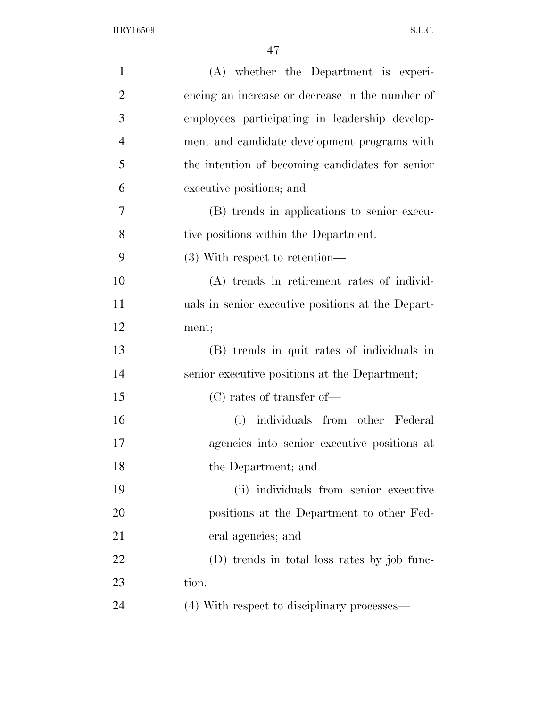| $\mathbf{1}$   | (A) whether the Department is experi-             |
|----------------|---------------------------------------------------|
| $\overline{2}$ | encing an increase or decrease in the number of   |
| 3              | employees participating in leadership develop-    |
| $\overline{4}$ | ment and candidate development programs with      |
| 5              | the intention of becoming candidates for senior   |
| 6              | executive positions; and                          |
| 7              | (B) trends in applications to senior execu-       |
| 8              | tive positions within the Department.             |
| 9              | $(3)$ With respect to retention—                  |
| 10             | (A) trends in retirement rates of individ-        |
| 11             | uals in senior executive positions at the Depart- |
| 12             | ment;                                             |
| 13             | (B) trends in quit rates of individuals in        |
| 14             | senior executive positions at the Department;     |
| 15             | $(C)$ rates of transfer of —                      |
| 16             | individuals from other Federal<br>(i)             |
| 17             | agencies into senior executive positions at       |
| 18             | the Department; and                               |
| 19             | (ii) individuals from senior executive            |
| 20             | positions at the Department to other Fed-         |
| 21             | eral agencies; and                                |
| 22             | (D) trends in total loss rates by job func-       |
| 23             | tion.                                             |
| 24             | (4) With respect to disciplinary processes—       |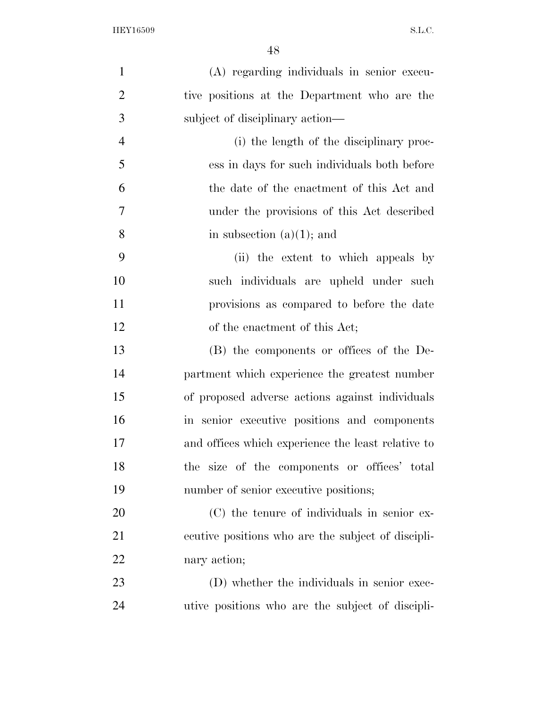| $\mathbf{1}$   | (A) regarding individuals in senior execu-         |
|----------------|----------------------------------------------------|
| $\overline{2}$ | tive positions at the Department who are the       |
| 3              | subject of disciplinary action—                    |
| $\overline{4}$ | (i) the length of the disciplinary proc-           |
| 5              | ess in days for such individuals both before       |
| 6              | the date of the enactment of this Act and          |
| $\tau$         | under the provisions of this Act described         |
| 8              | in subsection $(a)(1)$ ; and                       |
| 9              | (ii) the extent to which appeals by                |
| 10             | such individuals are upheld under such             |
| 11             | provisions as compared to before the date          |
| 12             | of the enactment of this Act;                      |
| 13             | (B) the components or offices of the De-           |
| 14             | partment which experience the greatest number      |
| 15             | of proposed adverse actions against individuals    |
| 16             | in senior executive positions and components       |
| 17             | and offices which experience the least relative to |
| 18             | the size of the components or offices' total       |
| 19             | number of senior executive positions;              |
| 20             | (C) the tenure of individuals in senior ex-        |
| 21             | ecutive positions who are the subject of discipli- |
| 22             | nary action;                                       |
| 23             | (D) whether the individuals in senior exec-        |
| 24             | utive positions who are the subject of discipli-   |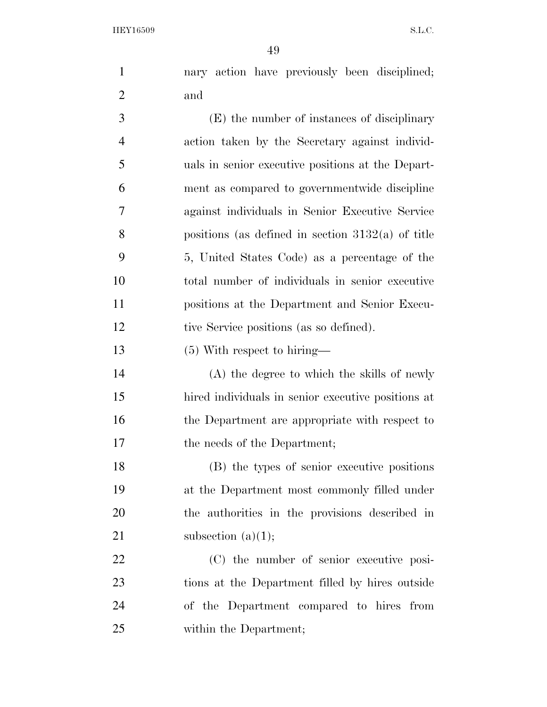nary action have previously been disciplined; and

 (E) the number of instances of disciplinary action taken by the Secretary against individ- uals in senior executive positions at the Depart- ment as compared to governmentwide discipline against individuals in Senior Executive Service positions (as defined in section 3132(a) of title 5, United States Code) as a percentage of the total number of individuals in senior executive positions at the Department and Senior Execu-tive Service positions (as so defined).

(5) With respect to hiring—

 (A) the degree to which the skills of newly hired individuals in senior executive positions at 16 the Department are appropriate with respect to 17 the needs of the Department;

 (B) the types of senior executive positions at the Department most commonly filled under the authorities in the provisions described in 21 subsection  $(a)(1);$ 

 (C) the number of senior executive posi- tions at the Department filled by hires outside of the Department compared to hires from within the Department;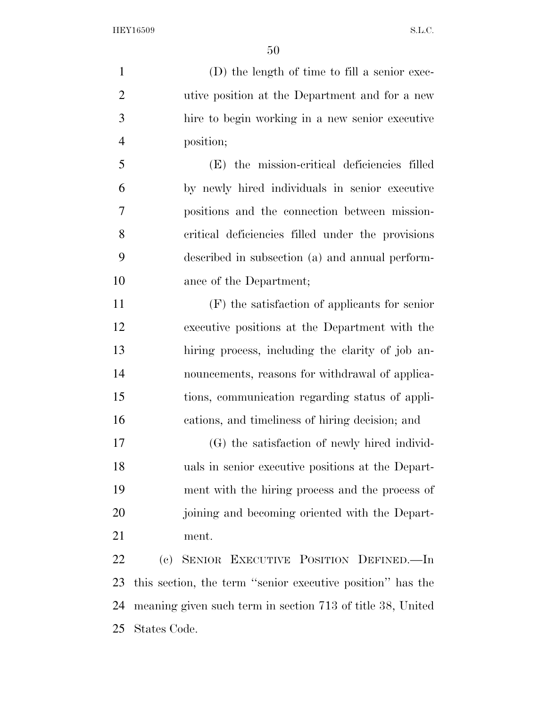(D) the length of time to fill a senior exec- utive position at the Department and for a new hire to begin working in a new senior executive position; (E) the mission-critical deficiencies filled by newly hired individuals in senior executive positions and the connection between mission-critical deficiencies filled under the provisions

 described in subsection (a) and annual perform-ance of the Department;

 (F) the satisfaction of applicants for senior executive positions at the Department with the hiring process, including the clarity of job an- nouncements, reasons for withdrawal of applica- tions, communication regarding status of appli-cations, and timeliness of hiring decision; and

 (G) the satisfaction of newly hired individ- uals in senior executive positions at the Depart- ment with the hiring process and the process of joining and becoming oriented with the Depart-ment.

 (c) SENIOR EXECUTIVE POSITION DEFINED.—In this section, the term ''senior executive position'' has the meaning given such term in section 713 of title 38, United States Code.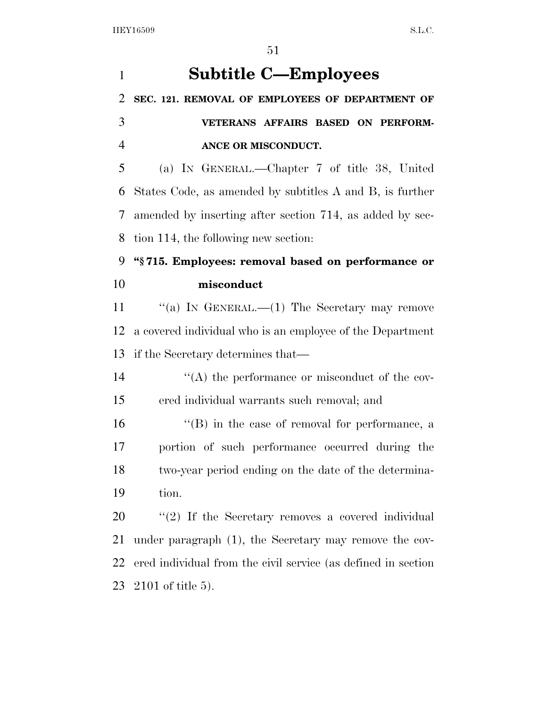| $\mathbf{1}$   | <b>Subtitle C—Employees</b>                                   |
|----------------|---------------------------------------------------------------|
| $\overline{2}$ | SEC. 121. REMOVAL OF EMPLOYEES OF DEPARTMENT OF               |
| 3              | VETERANS AFFAIRS BASED ON PERFORM-                            |
| $\overline{4}$ | ANCE OR MISCONDUCT.                                           |
| 5              | (a) IN GENERAL.—Chapter 7 of title 38, United                 |
| 6              | States Code, as amended by subtitles A and B, is further      |
| 7              | amended by inserting after section 714, as added by sec-      |
| 8              | tion 114, the following new section:                          |
| 9              | "§715. Employees: removal based on performance or             |
| 10             | misconduct                                                    |
| 11             | "(a) IN GENERAL.— $(1)$ The Secretary may remove              |
| 12             | a covered individual who is an employee of the Department     |
| 13             | if the Secretary determines that—                             |
| 14             | "(A) the performance or misconduct of the cov-                |
| 15             | ered individual warrants such removal; and                    |
| 16             | $\lq\lq (B)$ in the case of removal for performance, a        |
| 17             | portion of such performance occurred during the               |
| 18             | two-year period ending on the date of the determina-          |
| 19             | tion.                                                         |
| 20             | $\lq(2)$ If the Secretary removes a covered individual        |
| 21             | under paragraph (1), the Secretary may remove the cov-        |
| 22             | ered individual from the civil service (as defined in section |
| 23             | $2101$ of title 5).                                           |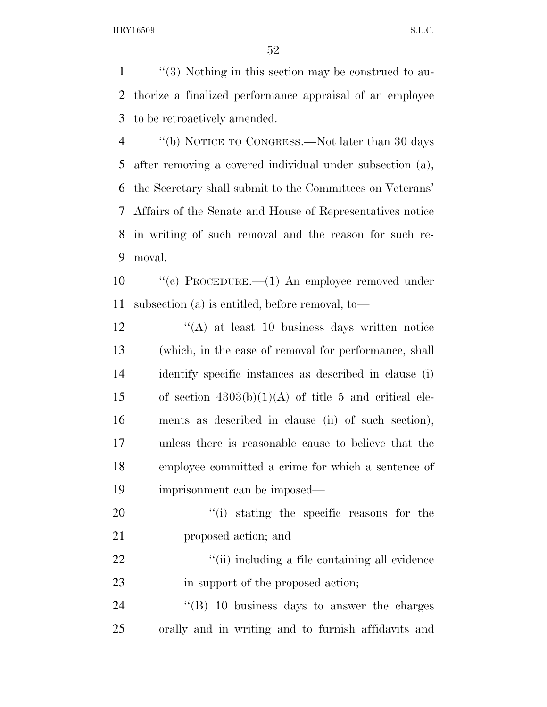''(3) Nothing in this section may be construed to au- thorize a finalized performance appraisal of an employee to be retroactively amended.

 ''(b) NOTICE TO CONGRESS.—Not later than 30 days after removing a covered individual under subsection (a), the Secretary shall submit to the Committees on Veterans' Affairs of the Senate and House of Representatives notice in writing of such removal and the reason for such re-moval.

 ''(c) PROCEDURE.—(1) An employee removed under subsection (a) is entitled, before removal, to—

12 ''(A) at least 10 business days written notice (which, in the case of removal for performance, shall identify specific instances as described in clause (i) 15 of section  $4303(b)(1)(A)$  of title 5 and critical ele- ments as described in clause (ii) of such section), unless there is reasonable cause to believe that the employee committed a crime for which a sentence of imprisonment can be imposed—

20  $\frac{1}{2}$  (i) stating the specific reasons for the proposed action; and

22  $\frac{1}{2}$   $\frac{1}{2}$   $\frac{1}{2}$   $\frac{1}{2}$   $\frac{1}{2}$  including a file containing all evidence 23 in support of the proposed action;

24 "(B) 10 business days to answer the charges orally and in writing and to furnish affidavits and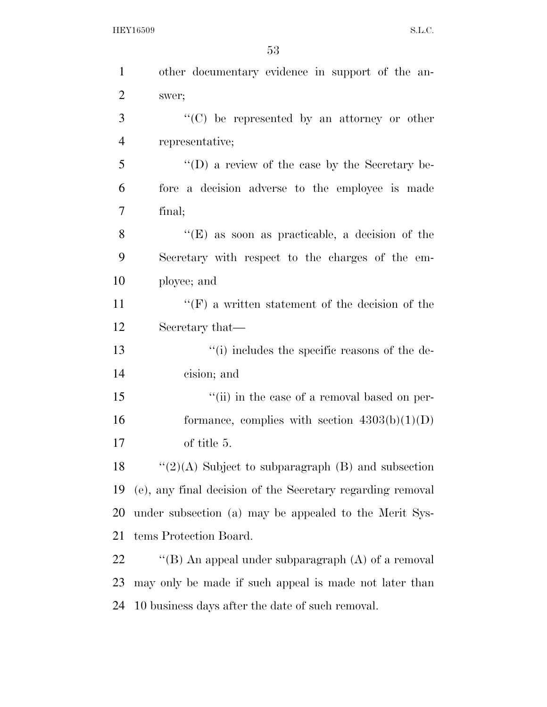| $\mathbf{1}$   | other documentary evidence in support of the an-           |
|----------------|------------------------------------------------------------|
| $\overline{2}$ | swer;                                                      |
| 3              | "(C) be represented by an attorney or other                |
| $\overline{4}$ | representative;                                            |
| 5              | $\lq\lq$ (D) a review of the case by the Secretary be-     |
| 6              | fore a decision adverse to the employee is made            |
| 7              | final;                                                     |
| 8              | " $(E)$ as soon as practicable, a decision of the          |
| 9              | Secretary with respect to the charges of the em-           |
| 10             | ployee; and                                                |
| 11             | $\lq\lq(F)$ a written statement of the decision of the     |
| 12             | Secretary that—                                            |
| 13             | "(i) includes the specific reasons of the de-              |
| 14             | cision; and                                                |
| 15             | "(ii) in the case of a removal based on per-               |
| 16             | formance, complies with section $4303(b)(1)(D)$            |
| 17             | of title 5.                                                |
| 18             | " $(2)(A)$ Subject to subparagraph $(B)$ and subsection    |
| 19             | (e), any final decision of the Secretary regarding removal |
| <b>20</b>      | under subsection (a) may be appealed to the Merit Sys-     |
| 21             | tems Protection Board.                                     |
| 22             | "(B) An appeal under subparagraph $(A)$ of a removal       |
| 23             | may only be made if such appeal is made not later than     |
| 24             | 10 business days after the date of such removal.           |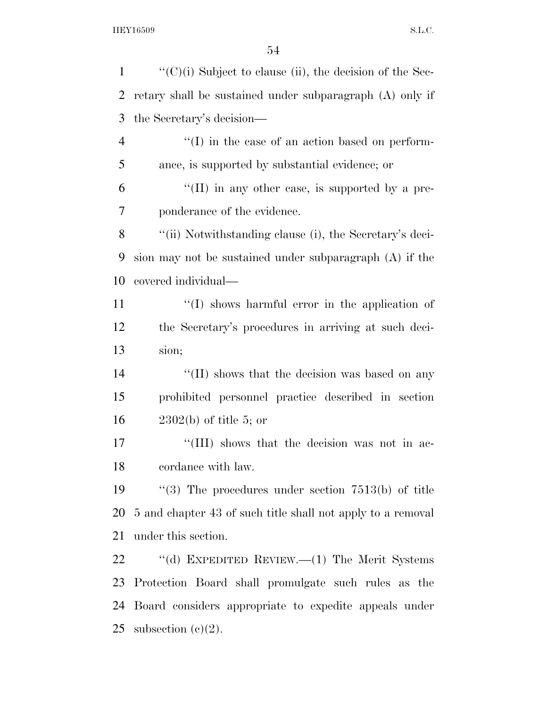$\mathcal{L}$  ''(C)(i) Subject to clause (ii), the decision of the Sec- retary shall be sustained under subparagraph (A) only if the Secretary's decision—  $\langle (I) \rangle$  in the case of an action based on perform- ance, is supported by substantial evidence; or "(II) in any other case, is supported by a pre- ponderance of the evidence. ''(ii) Notwithstanding clause (i), the Secretary's deci- sion may not be sustained under subparagraph (A) if the covered individual— 11 ''(I) shows harmful error in the application of the Secretary's procedures in arriving at such deci- sion; 14 ''(II) shows that the decision was based on any prohibited personnel practice described in section 2302(b) of title 5; or 17 ''(III) shows that the decision was not in ac- cordance with law. ''(3) The procedures under section 7513(b) of title 5 and chapter 43 of such title shall not apply to a removal under this section. ''(d) EXPEDITED REVIEW.—(1) The Merit Systems Protection Board shall promulgate such rules as the Board considers appropriate to expedite appeals under 25 subsection  $(c)(2)$ .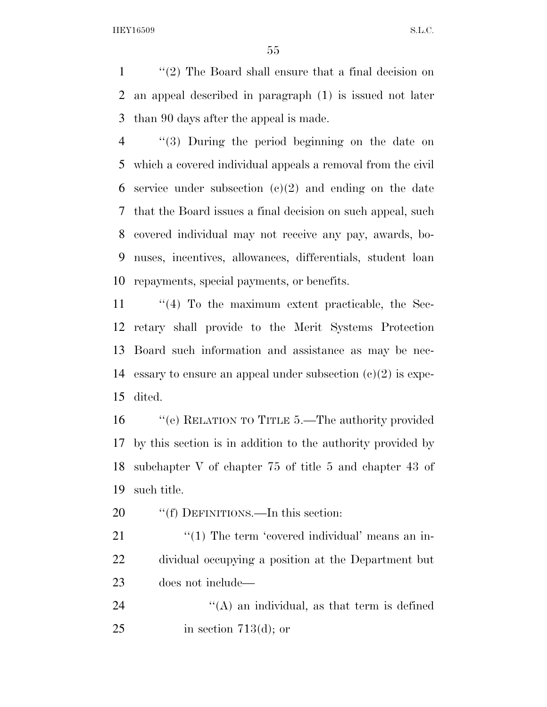''(2) The Board shall ensure that a final decision on an appeal described in paragraph (1) is issued not later than 90 days after the appeal is made.

 ''(3) During the period beginning on the date on which a covered individual appeals a removal from the civil 6 service under subsection  $(e)(2)$  and ending on the date that the Board issues a final decision on such appeal, such covered individual may not receive any pay, awards, bo- nuses, incentives, allowances, differentials, student loan repayments, special payments, or benefits.

 ''(4) To the maximum extent practicable, the Sec- retary shall provide to the Merit Systems Protection Board such information and assistance as may be nec-14 essary to ensure an appeal under subsection  $(c)(2)$  is expe-dited.

 ''(e) RELATION TO TITLE 5.—The authority provided by this section is in addition to the authority provided by subchapter V of chapter 75 of title 5 and chapter 43 of such title.

20 ""(f) DEFINITIONS.—In this section:

21 ''(1) The term 'covered individual' means an in- dividual occupying a position at the Department but does not include—

24 ''(A) an individual, as that term is defined 25 in section 713(d); or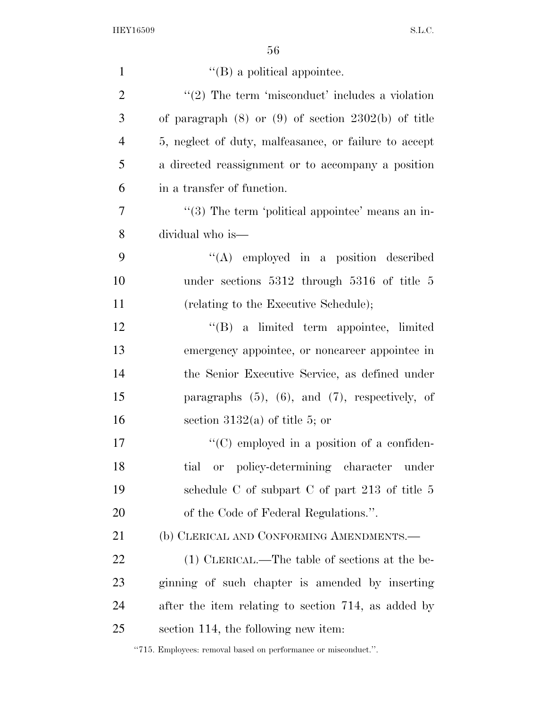| $\mathbf{1}$   | $\lq\lq$ (B) a political appointee.                     |
|----------------|---------------------------------------------------------|
| $\overline{2}$ | $"(2)$ The term 'misconduct' includes a violation       |
| 3              | of paragraph $(8)$ or $(9)$ of section 2302(b) of title |
| $\overline{4}$ | 5, neglect of duty, malfeasance, or failure to accept   |
| 5              | a directed reassignment or to accompany a position      |
| 6              | in a transfer of function.                              |
| $\overline{7}$ | "(3) The term 'political appointee' means an in-        |
| 8              | dividual who is—                                        |
| 9              | $\lq\lq$ employed in a position described               |
| 10             | under sections $5312$ through $5316$ of title 5         |
| 11             | (relating to the Executive Schedule);                   |
| 12             | "(B) a limited term appointee, limited                  |
| 13             | emergency appointee, or noncareer appointee in          |
| 14             | the Senior Executive Service, as defined under          |
| 15             | paragraphs $(5)$ , $(6)$ , and $(7)$ , respectively, of |
| 16             | section $3132(a)$ of title 5; or                        |
| 17             | $\lq\lq$ employed in a position of a confiden-          |
| 18             | tial<br>policy-determining character<br>0r<br>under     |
| 19             | schedule C of subpart C of part 213 of title $5$        |
| 20             | of the Code of Federal Regulations.".                   |
| 21             | (b) CLERICAL AND CONFORMING AMENDMENTS.—                |
| 22             | (1) CLERICAL.—The table of sections at the be-          |
| 23             | ginning of such chapter is amended by inserting         |
| 24             | after the item relating to section 714, as added by     |
| 25             | section 114, the following new item:                    |

''715. Employees: removal based on performance or misconduct.''.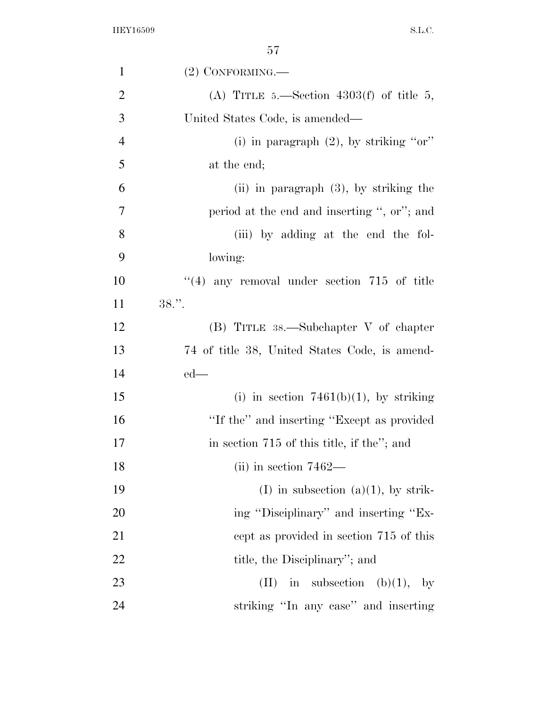| $\mathbf{1}$   | $(2)$ CONFORMING.—                            |
|----------------|-----------------------------------------------|
| $\overline{2}$ | (A) TITLE 5.—Section 4303(f) of title 5,      |
| 3              | United States Code, is amended—               |
| $\overline{4}$ | (i) in paragraph $(2)$ , by striking "or"     |
| 5              | at the end;                                   |
| 6              | $(ii)$ in paragraph $(3)$ , by striking the   |
| 7              | period at the end and inserting ", or"; and   |
| 8              | (iii) by adding at the end the fol-           |
| 9              | lowing:                                       |
| 10             | $(4)$ any removal under section 715 of title  |
| 11             | $38.$ ".                                      |
| 12             | $(B)$ TITLE 38.—Subchapter V of chapter       |
| 13             | 74 of title 38, United States Code, is amend- |
| 14             | $ed$ —                                        |
| 15             | (i) in section $7461(b)(1)$ , by striking     |
| 16             | "If the" and inserting "Except as provided    |
| 17             | in section 715 of this title, if the"; and    |
| 18             | $(iii)$ in section 7462—                      |
| 19             | (I) in subsection (a)(1), by strik-           |
| 20             | ing "Disciplinary" and inserting "Ex-         |
| 21             | cept as provided in section 715 of this       |
| 22             | title, the Disciplinary"; and                 |
| 23             | in subsection (b)(1), by<br>(II)              |
| 24             | striking "In any case" and inserting          |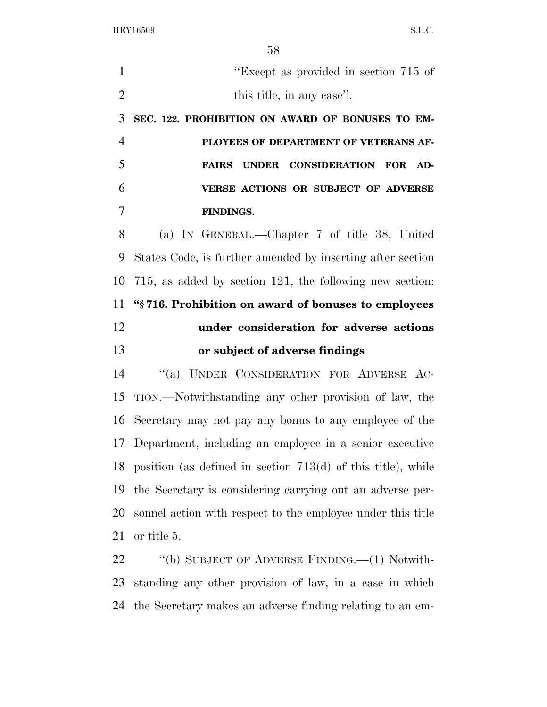''Except as provided in section 715 of 2 this title, in any case". **SEC. 122. PROHIBITION ON AWARD OF BONUSES TO EM- PLOYEES OF DEPARTMENT OF VETERANS AF- FAIRS UNDER CONSIDERATION FOR AD- VERSE ACTIONS OR SUBJECT OF ADVERSE FINDINGS.**  (a) IN GENERAL.—Chapter 7 of title 38, United States Code, is further amended by inserting after section 715, as added by section 121, the following new section: **''§ 716. Prohibition on award of bonuses to employees under consideration for adverse actions or subject of adverse findings**  ''(a) UNDER CONSIDERATION FOR ADVERSE AC- TION.—Notwithstanding any other provision of law, the Secretary may not pay any bonus to any employee of the Department, including an employee in a senior executive position (as defined in section 713(d) of this title), while the Secretary is considering carrying out an adverse per- sonnel action with respect to the employee under this title or title 5. 22 "(b) SUBJECT OF ADVERSE FINDING.—(1) Notwith-

 standing any other provision of law, in a case in which the Secretary makes an adverse finding relating to an em-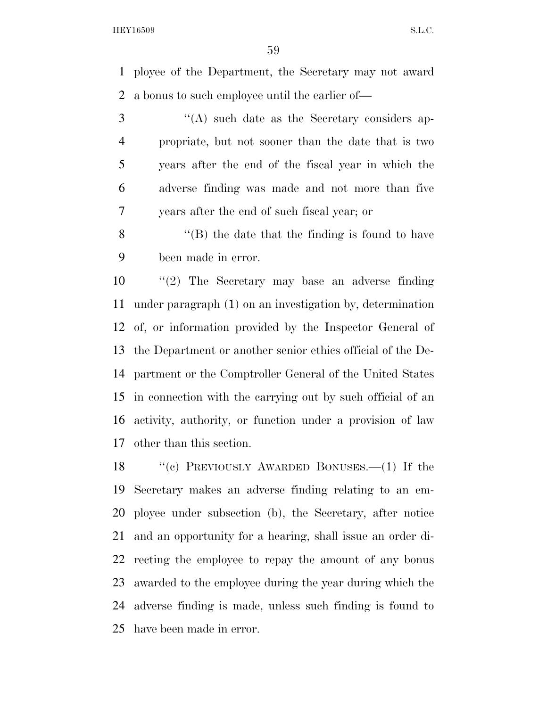ployee of the Department, the Secretary may not award a bonus to such employee until the earlier of—

 ''(A) such date as the Secretary considers ap- propriate, but not sooner than the date that is two years after the end of the fiscal year in which the adverse finding was made and not more than five years after the end of such fiscal year; or

 ''(B) the date that the finding is found to have been made in error.

 ''(2) The Secretary may base an adverse finding under paragraph (1) on an investigation by, determination of, or information provided by the Inspector General of the Department or another senior ethics official of the De- partment or the Comptroller General of the United States in connection with the carrying out by such official of an activity, authority, or function under a provision of law other than this section.

 ''(c) PREVIOUSLY AWARDED BONUSES.—(1) If the Secretary makes an adverse finding relating to an em- ployee under subsection (b), the Secretary, after notice and an opportunity for a hearing, shall issue an order di- recting the employee to repay the amount of any bonus awarded to the employee during the year during which the adverse finding is made, unless such finding is found to have been made in error.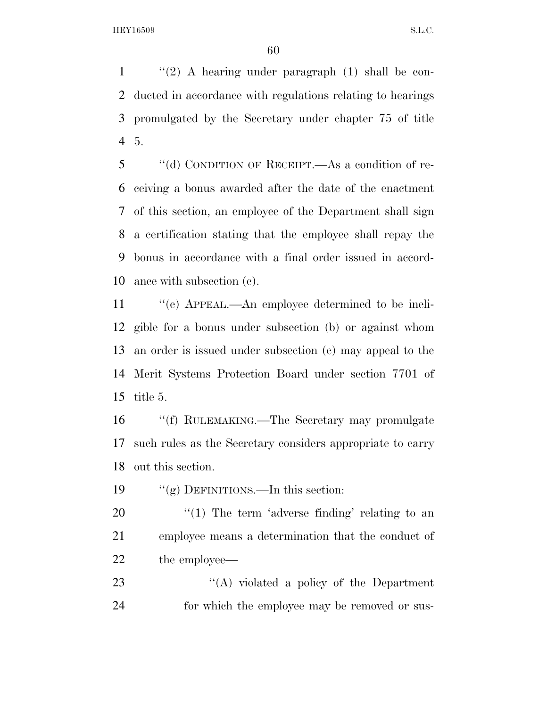''(2) A hearing under paragraph (1) shall be con- ducted in accordance with regulations relating to hearings promulgated by the Secretary under chapter 75 of title 5.

 ''(d) CONDITION OF RECEIPT.—As a condition of re- ceiving a bonus awarded after the date of the enactment of this section, an employee of the Department shall sign a certification stating that the employee shall repay the bonus in accordance with a final order issued in accord-ance with subsection (c).

 ''(e) APPEAL.—An employee determined to be ineli- gible for a bonus under subsection (b) or against whom an order is issued under subsection (c) may appeal to the Merit Systems Protection Board under section 7701 of title 5.

 ''(f) RULEMAKING.—The Secretary may promulgate such rules as the Secretary considers appropriate to carry out this section.

''(g) DEFINITIONS.—In this section:

20  $\frac{1}{20}$  The term 'adverse finding' relating to an employee means a determination that the conduct of the employee—

23 "(A) violated a policy of the Department for which the employee may be removed or sus-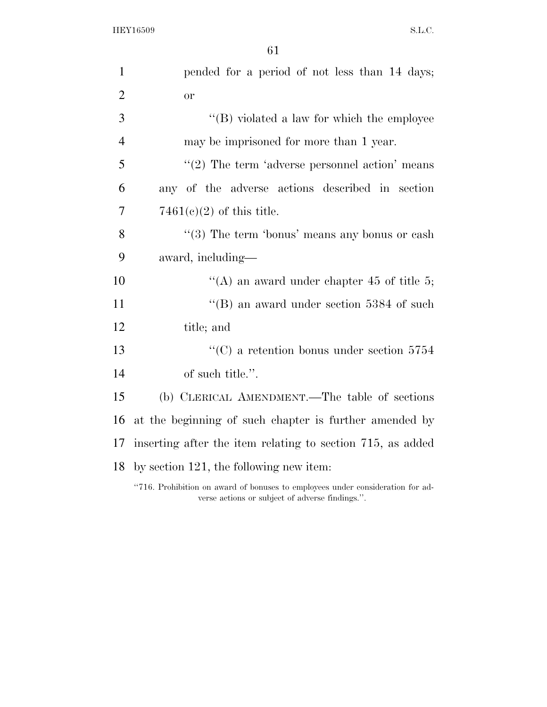61

| $\mathbf{1}$   | pended for a period of not less than 14 days;                                  |
|----------------|--------------------------------------------------------------------------------|
| $\overline{2}$ | <b>or</b>                                                                      |
| 3              | $\lq\lq (B)$ violated a law for which the employee                             |
| $\overline{4}$ | may be imprisoned for more than 1 year.                                        |
| 5              | $\lq(2)$ The term 'adverse personnel action' means                             |
| 6              | any of the adverse actions described in section                                |
| $\overline{7}$ | $7461(e)(2)$ of this title.                                                    |
| 8              | $\cdot\cdot$ (3) The term 'bonus' means any bonus or eash                      |
| 9              | award, including—                                                              |
| 10             | "(A) an award under chapter 45 of title 5;                                     |
| 11             | "(B) an award under section $5384$ of such                                     |
| 12             | title; and                                                                     |
| 13             | "(C) a retention bonus under section $5754$                                    |
| 14             | of such title.".                                                               |
| 15             | (b) CLERICAL AMENDMENT.—The table of sections                                  |
| 16             | at the beginning of such chapter is further amended by                         |
| 17             | inserting after the item relating to section 715, as added                     |
| 18             | by section 121, the following new item:                                        |
|                | "716. Prohibition on award of bonuses to employees under consideration for ad- |

verse actions or subject of adverse findings.''.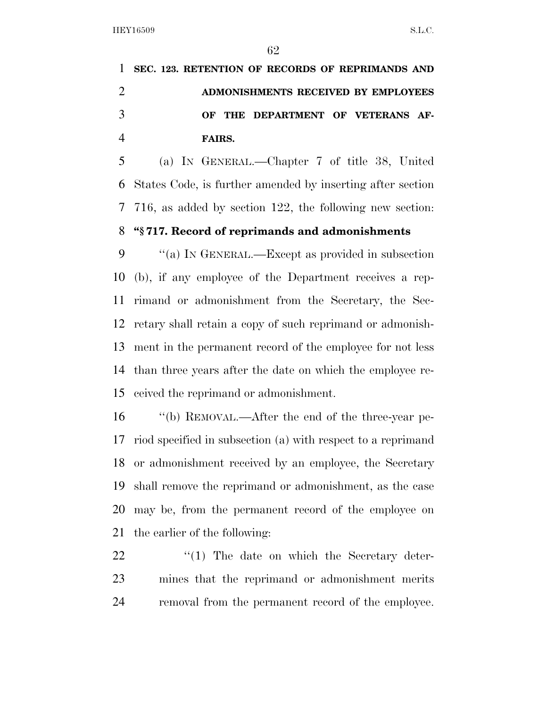**SEC. 123. RETENTION OF RECORDS OF REPRIMANDS AND ADMONISHMENTS RECEIVED BY EMPLOYEES OF THE DEPARTMENT OF VETERANS AF-FAIRS.** 

 (a) IN GENERAL.—Chapter 7 of title 38, United States Code, is further amended by inserting after section 716, as added by section 122, the following new section: **''§ 717. Record of reprimands and admonishments** 

 ''(a) IN GENERAL.—Except as provided in subsection (b), if any employee of the Department receives a rep- rimand or admonishment from the Secretary, the Sec- retary shall retain a copy of such reprimand or admonish- ment in the permanent record of the employee for not less than three years after the date on which the employee re-ceived the reprimand or admonishment.

 ''(b) REMOVAL.—After the end of the three-year pe- riod specified in subsection (a) with respect to a reprimand or admonishment received by an employee, the Secretary shall remove the reprimand or admonishment, as the case may be, from the permanent record of the employee on the earlier of the following:

22 ''(1) The date on which the Secretary deter- mines that the reprimand or admonishment merits removal from the permanent record of the employee.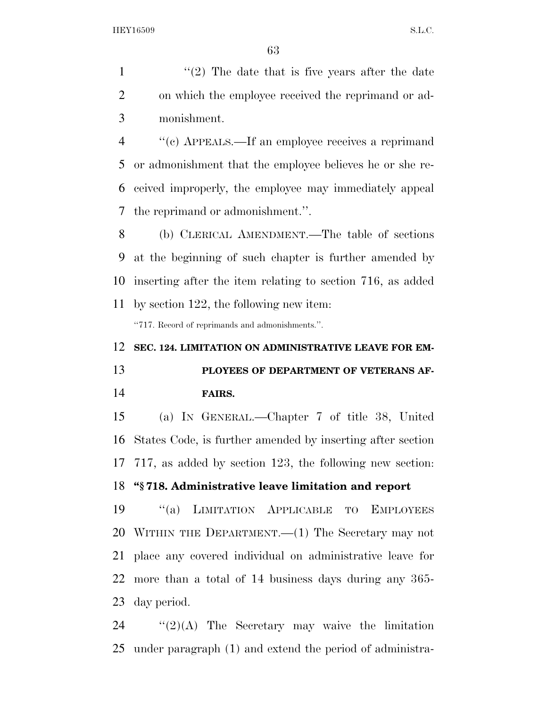1  $\frac{1}{2}$  The date that is five years after the date on which the employee received the reprimand or ad-monishment.

 ''(c) APPEALS.—If an employee receives a reprimand or admonishment that the employee believes he or she re- ceived improperly, the employee may immediately appeal the reprimand or admonishment.''.

 (b) CLERICAL AMENDMENT.—The table of sections at the beginning of such chapter is further amended by inserting after the item relating to section 716, as added by section 122, the following new item:

''717. Record of reprimands and admonishments.''.

#### **SEC. 124. LIMITATION ON ADMINISTRATIVE LEAVE FOR EM-**

 **PLOYEES OF DEPARTMENT OF VETERANS AF-FAIRS.** 

 (a) IN GENERAL.—Chapter 7 of title 38, United States Code, is further amended by inserting after section 717, as added by section 123, the following new section:

## **''§ 718. Administrative leave limitation and report**

 ''(a) LIMITATION APPLICABLE TO EMPLOYEES WITHIN THE DEPARTMENT.—(1) The Secretary may not place any covered individual on administrative leave for more than a total of 14 business days during any 365- day period.

24  $\frac{1}{2}(2)(A)$  The Secretary may waive the limitation under paragraph (1) and extend the period of administra-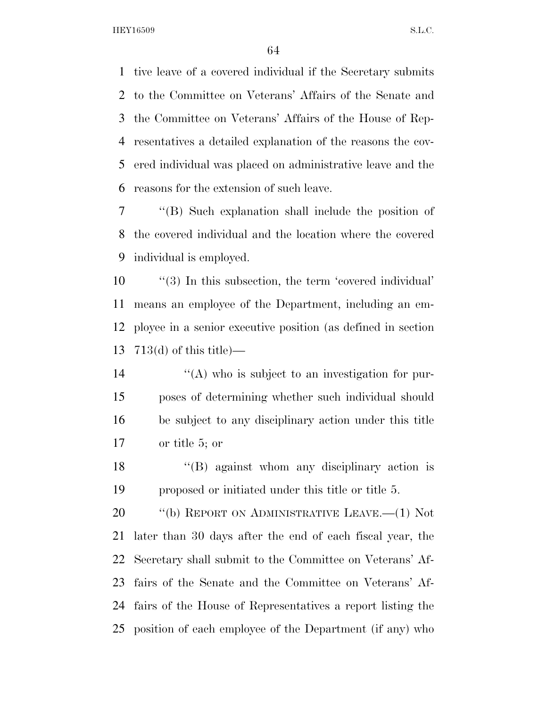tive leave of a covered individual if the Secretary submits to the Committee on Veterans' Affairs of the Senate and the Committee on Veterans' Affairs of the House of Rep- resentatives a detailed explanation of the reasons the cov- ered individual was placed on administrative leave and the reasons for the extension of such leave.

 ''(B) Such explanation shall include the position of the covered individual and the location where the covered individual is employed.

 $\frac{10}{10}$  (3) In this subsection, the term 'covered individual' means an employee of the Department, including an em- ployee in a senior executive position (as defined in section 713(d) of this title)—

 $\langle (A) \rangle$  who is subject to an investigation for pur- poses of determining whether such individual should be subject to any disciplinary action under this title or title 5; or

 ''(B) against whom any disciplinary action is proposed or initiated under this title or title 5.

20 "(b) REPORT ON ADMINISTRATIVE LEAVE.—(1) Not later than 30 days after the end of each fiscal year, the Secretary shall submit to the Committee on Veterans' Af- fairs of the Senate and the Committee on Veterans' Af- fairs of the House of Representatives a report listing the position of each employee of the Department (if any) who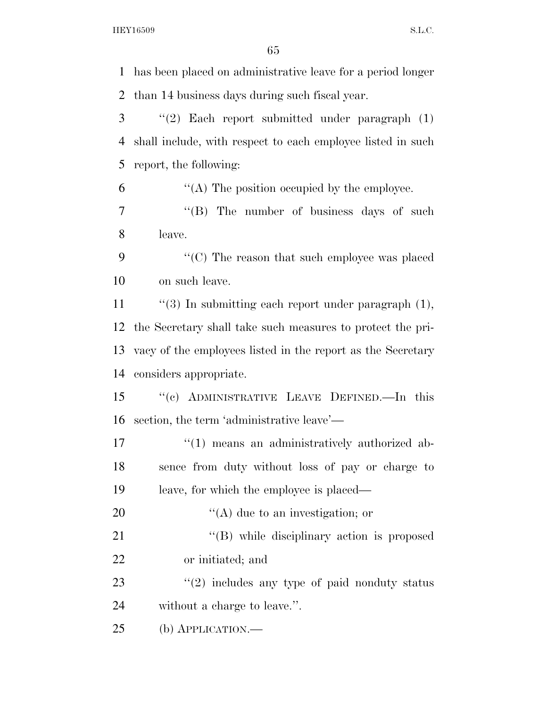has been placed on administrative leave for a period longer than 14 business days during such fiscal year. ''(2) Each report submitted under paragraph (1) shall include, with respect to each employee listed in such report, the following:  $\mathfrak{g}$   $\mathfrak{g}$   $\mathfrak{g}$   $\mathfrak{g}$  The position occupied by the employee. 7 "'(B) The number of business days of such leave. 9 "'(C) The reason that such employee was placed on such leave. 11 ''(3) In submitting each report under paragraph (1), the Secretary shall take such measures to protect the pri- vacy of the employees listed in the report as the Secretary considers appropriate. ''(c) ADMINISTRATIVE LEAVE DEFINED.—In this section, the term 'administrative leave'—  $\frac{1}{2}$  (1) means an administratively authorized ab- sence from duty without loss of pay or charge to leave, for which the employee is placed—  $"({\rm A})$  due to an investigation; or 21 ''(B) while disciplinary action is proposed or initiated; and 23 "(2) includes any type of paid nonduty status without a charge to leave.''. (b) APPLICATION.—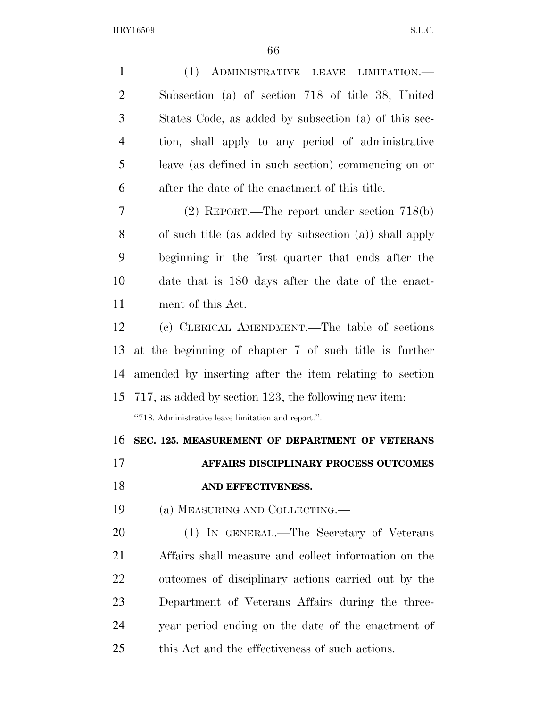| $\mathbf{1}$   | (1) ADMINISTRATIVE LEAVE LIMITATION.-                     |
|----------------|-----------------------------------------------------------|
| $\overline{2}$ | Subsection (a) of section 718 of title 38, United         |
| 3              | States Code, as added by subsection (a) of this sec-      |
| $\overline{4}$ | tion, shall apply to any period of administrative         |
| 5              | leave (as defined in such section) commencing on or       |
| 6              | after the date of the enactment of this title.            |
| 7              | $(2)$ REPORT.—The report under section 718(b)             |
| 8              | of such title (as added by subsection $(a)$ ) shall apply |
| 9              | beginning in the first quarter that ends after the        |
| 10             | date that is 180 days after the date of the enact-        |
| 11             | ment of this Act.                                         |
| 12             | (c) CLERICAL AMENDMENT.—The table of sections             |
| 13             | at the beginning of chapter 7 of such title is further    |
| 14             | amended by inserting after the item relating to section   |
| 15             | 717, as added by section 123, the following new item:     |
|                | "718. Administrative leave limitation and report.".       |
| 16             |                                                           |
|                | SEC. 125. MEASUREMENT OF DEPARTMENT OF VETERANS           |
| 17             | AFFAIRS DISCIPLINARY PROCESS OUTCOMES                     |
| 18             | AND EFFECTIVENESS.                                        |
| 19             | (a) MEASURING AND COLLECTING.—                            |
| <b>20</b>      | (1) IN GENERAL.—The Secretary of Veterans                 |
| 21             | Affairs shall measure and collect information on the      |
| 22             | outcomes of disciplinary actions carried out by the       |
| 23             | Department of Veterans Affairs during the three-          |
| 24             | year period ending on the date of the enactment of        |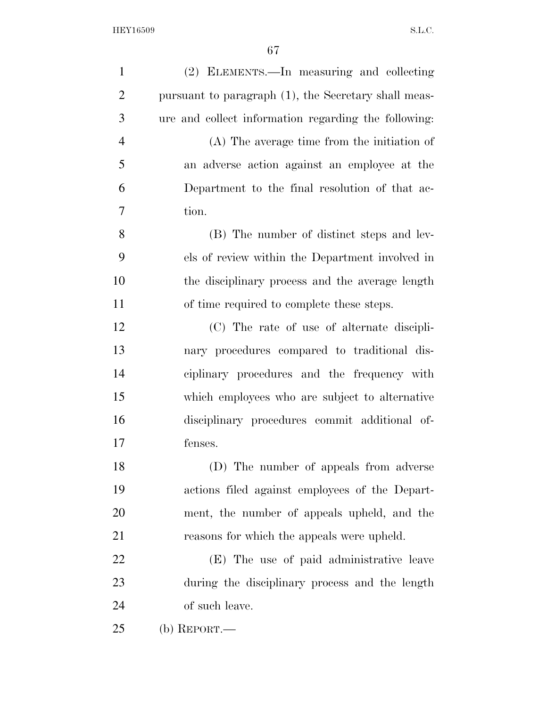| $\mathbf{1}$   | (2) ELEMENTS.—In measuring and collecting            |
|----------------|------------------------------------------------------|
| $\overline{2}$ | pursuant to paragraph (1), the Secretary shall meas- |
| 3              | ure and collect information regarding the following: |
| $\overline{4}$ | (A) The average time from the initiation of          |
| 5              | an adverse action against an employee at the         |
| 6              | Department to the final resolution of that ac-       |
| 7              | tion.                                                |
| 8              | (B) The number of distinct steps and lev-            |
| 9              | els of review within the Department involved in      |
| 10             | the disciplinary process and the average length      |
| 11             | of time required to complete these steps.            |
| 12             | (C) The rate of use of alternate discipli-           |
| 13             | nary procedures compared to traditional dis-         |
| 14             | ciplinary procedures and the frequency with          |
| 15             | which employees who are subject to alternative       |
| 16             | disciplinary procedures commit additional of-        |
| 17             | fenses.                                              |
| 18             | (D) The number of appeals from adverse               |
| 19             | actions filed against employees of the Depart-       |
| 20             | ment, the number of appeals upheld, and the          |
| 21             | reasons for which the appeals were upheld.           |
| 22             | (E) The use of paid administrative leave             |
| 23             | during the disciplinary process and the length       |
| 24             | of such leave.                                       |
| 25             | (b) REPORT.—                                         |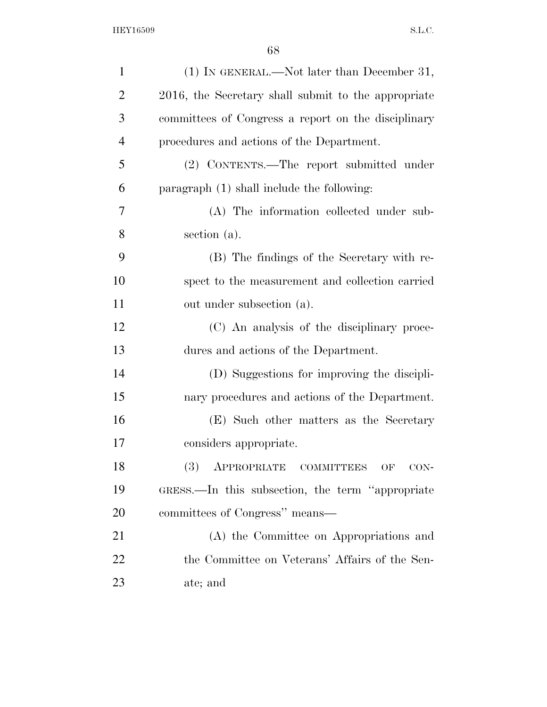| $\mathbf{1}$   | (1) IN GENERAL.—Not later than December 31,         |
|----------------|-----------------------------------------------------|
| $\overline{2}$ | 2016, the Secretary shall submit to the appropriate |
| 3              | committees of Congress a report on the disciplinary |
| $\overline{4}$ | procedures and actions of the Department.           |
| 5              | (2) CONTENTS.—The report submitted under            |
| 6              | paragraph (1) shall include the following:          |
| 7              | (A) The information collected under sub-            |
| 8              | section (a).                                        |
| 9              | (B) The findings of the Secretary with re-          |
| 10             | spect to the measurement and collection carried     |
| 11             | out under subsection (a).                           |
| 12             | (C) An analysis of the disciplinary proce-          |
| 13             | dures and actions of the Department.                |
| 14             | (D) Suggestions for improving the discipli-         |
| 15             | nary procedures and actions of the Department.      |
| 16             | (E) Such other matters as the Secretary             |
| 17             | considers appropriate.                              |
| 18             | APPROPRIATE COMMITTEES<br>$CON-$<br>OF              |
| 19             | GRESS.—In this subsection, the term "appropriate"   |
| 20             | committees of Congress" means—                      |
| 21             | (A) the Committee on Appropriations and             |
| 22             | the Committee on Veterans' Affairs of the Sen-      |
| 23             | ate; and                                            |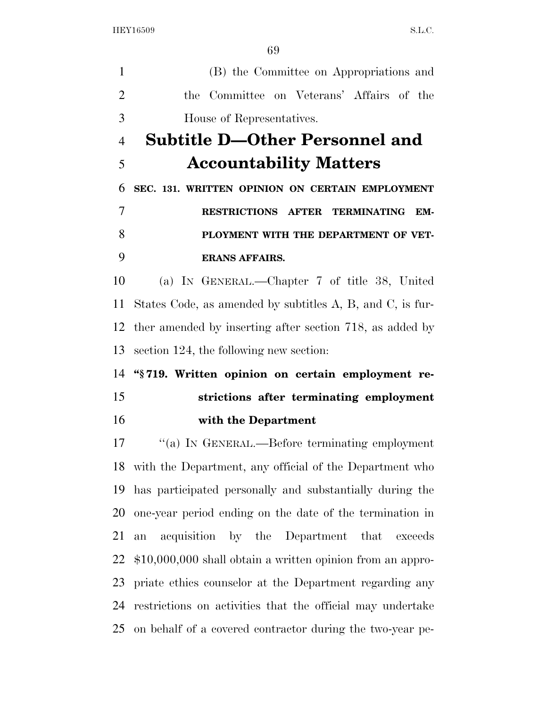(B) the Committee on Appropriations and the Committee on Veterans' Affairs of the House of Representatives. **Subtitle D—Other Personnel and Accountability Matters SEC. 131. WRITTEN OPINION ON CERTAIN EMPLOYMENT RESTRICTIONS AFTER TERMINATING EM- PLOYMENT WITH THE DEPARTMENT OF VET- ERANS AFFAIRS.**  (a) IN GENERAL.—Chapter 7 of title 38, United States Code, as amended by subtitles A, B, and C, is fur- ther amended by inserting after section 718, as added by section 124, the following new section: **''§ 719. Written opinion on certain employment re- strictions after terminating employment with the Department**  ''(a) IN GENERAL.—Before terminating employment with the Department, any official of the Department who has participated personally and substantially during the

 one-year period ending on the date of the termination in an acquisition by the Department that exceeds \$10,000,000 shall obtain a written opinion from an appro- priate ethics counselor at the Department regarding any restrictions on activities that the official may undertake on behalf of a covered contractor during the two-year pe-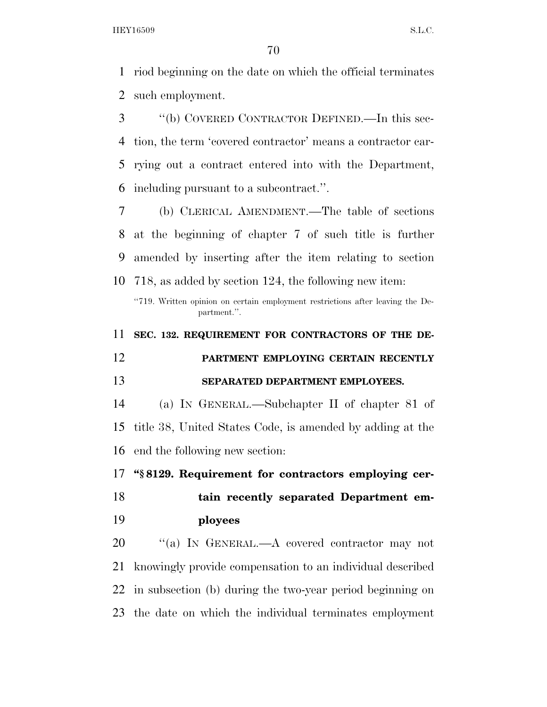riod beginning on the date on which the official terminates such employment.

 ''(b) COVERED CONTRACTOR DEFINED.—In this sec- tion, the term 'covered contractor' means a contractor car- rying out a contract entered into with the Department, including pursuant to a subcontract.''.

 (b) CLERICAL AMENDMENT.—The table of sections at the beginning of chapter 7 of such title is further amended by inserting after the item relating to section 718, as added by section 124, the following new item:

''719. Written opinion on certain employment restrictions after leaving the Department.''.

 **SEC. 132. REQUIREMENT FOR CONTRACTORS OF THE DE- PARTMENT EMPLOYING CERTAIN RECENTLY SEPARATED DEPARTMENT EMPLOYEES.**  (a) IN GENERAL.—Subchapter II of chapter 81 of title 38, United States Code, is amended by adding at the

end the following new section:

**''§ 8129. Requirement for contractors employing cer-**

 **tain recently separated Department em-ployees** 

20 "(a) IN GENERAL.—A covered contractor may not knowingly provide compensation to an individual described in subsection (b) during the two-year period beginning on the date on which the individual terminates employment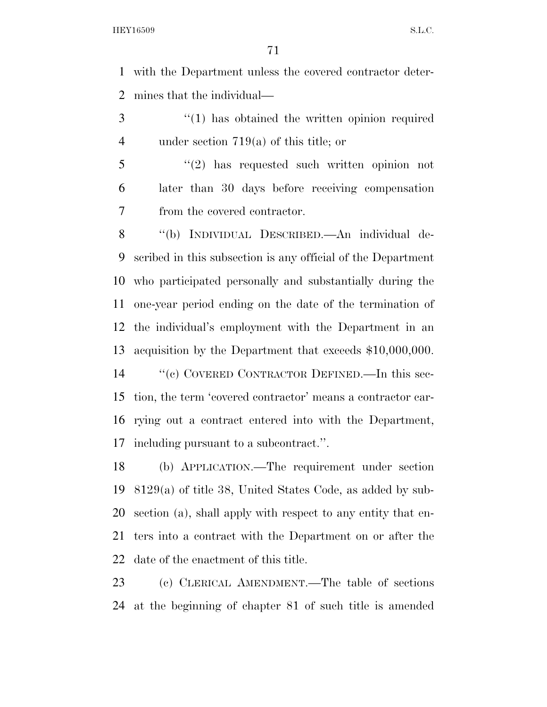with the Department unless the covered contractor deter-mines that the individual—

3 (1) has obtained the written opinion required under section 719(a) of this title; or

 ''(2) has requested such written opinion not later than 30 days before receiving compensation from the covered contractor.

 ''(b) INDIVIDUAL DESCRIBED.—An individual de- scribed in this subsection is any official of the Department who participated personally and substantially during the one-year period ending on the date of the termination of the individual's employment with the Department in an acquisition by the Department that exceeds \$10,000,000.

 ''(c) COVERED CONTRACTOR DEFINED.—In this sec- tion, the term 'covered contractor' means a contractor car- rying out a contract entered into with the Department, including pursuant to a subcontract.''.

 (b) APPLICATION.—The requirement under section 8129(a) of title 38, United States Code, as added by sub- section (a), shall apply with respect to any entity that en- ters into a contract with the Department on or after the date of the enactment of this title.

 (c) CLERICAL AMENDMENT.—The table of sections at the beginning of chapter 81 of such title is amended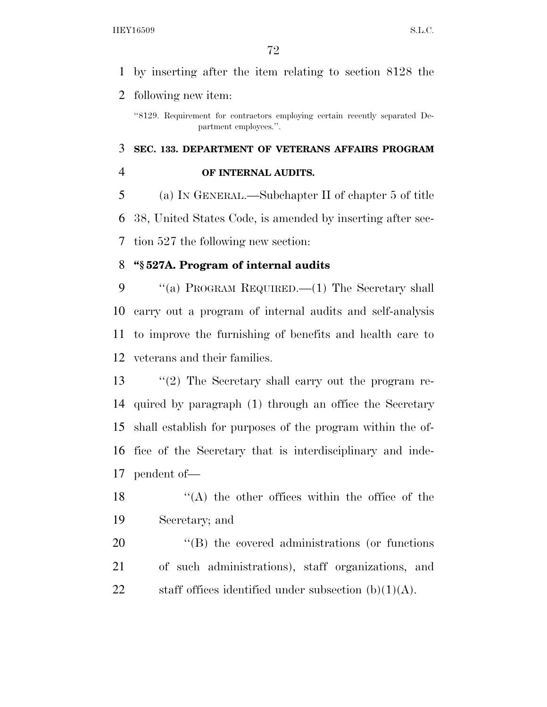## by inserting after the item relating to section 8128 the

following new item:

 **SEC. 133. DEPARTMENT OF VETERANS AFFAIRS PROGRAM OF INTERNAL AUDITS.** 

 (a) IN GENERAL.—Subchapter II of chapter 5 of title 38, United States Code, is amended by inserting after sec-tion 527 the following new section:

## **''§ 527A. Program of internal audits**

9 "(a) PROGRAM REQUIRED.—(1) The Secretary shall carry out a program of internal audits and self-analysis to improve the furnishing of benefits and health care to veterans and their families.

 ''(2) The Secretary shall carry out the program re- quired by paragraph (1) through an office the Secretary shall establish for purposes of the program within the of- fice of the Secretary that is interdisciplinary and inde-pendent of—

 $'$ (A) the other offices within the office of the Secretary; and

20  $\langle$  (B) the covered administrations (or functions of such administrations), staff organizations, and 22 staff offices identified under subsection  $(b)(1)(A)$ .

<sup>&#</sup>x27;'8129. Requirement for contractors employing certain recently separated Department employees.''.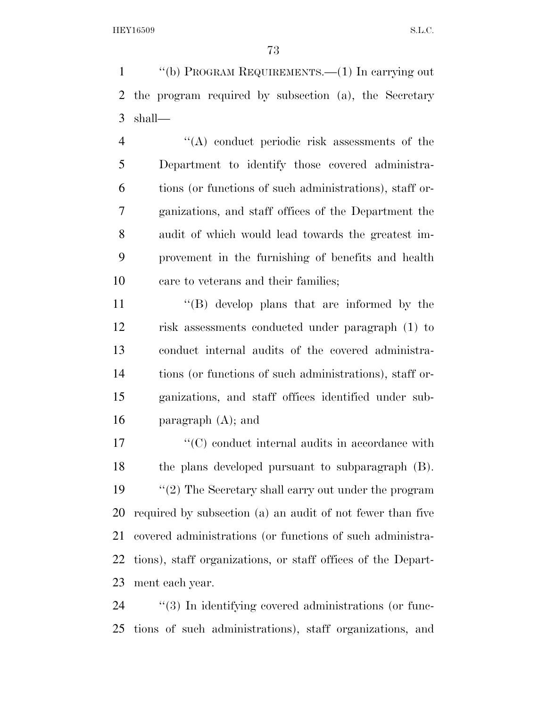''(b) PROGRAM REQUIREMENTS.—(1) In carrying out the program required by subsection (a), the Secretary shall—

 ''(A) conduct periodic risk assessments of the Department to identify those covered administra- tions (or functions of such administrations), staff or- ganizations, and staff offices of the Department the audit of which would lead towards the greatest im- provement in the furnishing of benefits and health care to veterans and their families;

11 ''(B) develop plans that are informed by the risk assessments conducted under paragraph (1) to conduct internal audits of the covered administra- tions (or functions of such administrations), staff or- ganizations, and staff offices identified under sub-16 paragraph  $(A)$ ; and

 $\langle ^{\prime}(C) \rangle$  conduct internal audits in accordance with the plans developed pursuant to subparagraph (B). 19 ''(2) The Secretary shall carry out under the program required by subsection (a) an audit of not fewer than five covered administrations (or functions of such administra- tions), staff organizations, or staff offices of the Depart-ment each year.

24  $\frac{1}{3}$  In identifying covered administrations (or func-tions of such administrations), staff organizations, and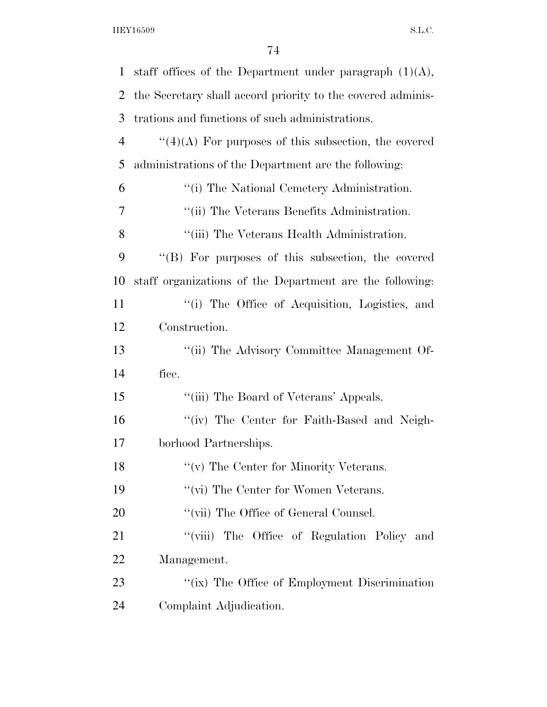| $\mathbf{1}$   | staff offices of the Department under paragraph $(1)(A)$ ,  |
|----------------|-------------------------------------------------------------|
| 2              | the Secretary shall accord priority to the covered adminis- |
| 3              | trations and functions of such administrations.             |
| $\overline{4}$ | $\lq(4)(A)$ For purposes of this subsection, the covered    |
| 5              | administrations of the Department are the following:        |
| 6              | "(i) The National Cemetery Administration.                  |
| 7              | "(ii) The Veterans Benefits Administration.                 |
| 8              | "(iii) The Veterans Health Administration.                  |
| 9              | "(B) For purposes of this subsection, the covered           |
| 10             | staff organizations of the Department are the following:    |
| 11             | "(i) The Office of Acquisition, Logistics, and              |
| 12             | Construction.                                               |
| 13             | "(ii) The Advisory Committee Management Of-                 |
| 14             | fice.                                                       |
| 15             | "(iii) The Board of Veterans' Appeals.                      |
| 16             | "(iv) The Center for Faith-Based and Neigh-                 |
| 17             | borhood Partnerships.                                       |
| 18             | "(v) The Center for Minority Veterans.                      |
| 19             | $``$ (vi) The Center for Women Veterans.                    |
| <b>20</b>      | "(vii) The Office of General Counsel.                       |
| 21             | "(viii) The Office of Regulation Policy and                 |
| 22             | Management.                                                 |
| 23             | "(ix) The Office of Employment Discrimination               |
| 24             | Complaint Adjudication.                                     |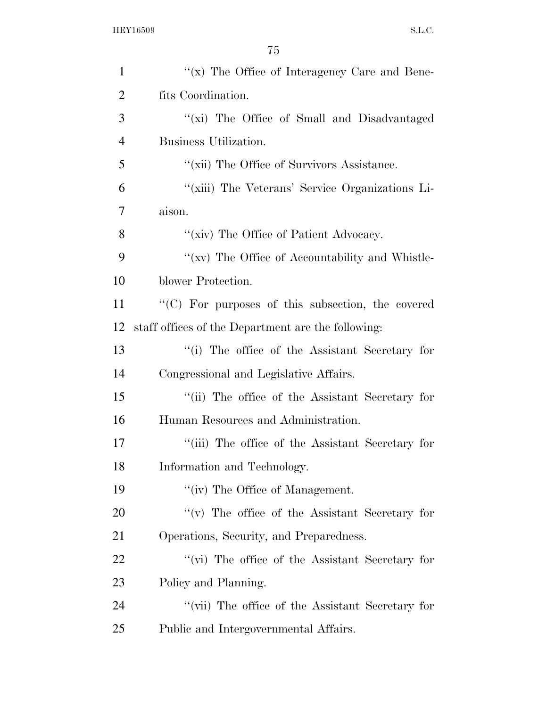| $\mathbf{1}$   | " $(x)$ The Office of Interagency Care and Bene-         |
|----------------|----------------------------------------------------------|
| $\overline{2}$ | fits Coordination.                                       |
| 3              | "(xi) The Office of Small and Disadvantaged              |
| $\overline{4}$ | Business Utilization.                                    |
| 5              | "(xii) The Office of Survivors Assistance.               |
| 6              | "(xiii) The Veterans' Service Organizations Li-          |
| 7              | aison.                                                   |
| 8              | "(xiv) The Office of Patient Advocacy.                   |
| 9              | "(xv) The Office of Accountability and Whistle-          |
| 10             | blower Protection.                                       |
| 11             | $\cdot$ (C) For purposes of this subsection, the covered |
| 12             | staff offices of the Department are the following:       |
| 13             | "(i) The office of the Assistant Secretary for           |
| 14             | Congressional and Legislative Affairs.                   |
| 15             | "(ii) The office of the Assistant Secretary for          |
| 16             | Human Resources and Administration.                      |
| 17             | "(iii) The office of the Assistant Secretary for         |
| 18             | Information and Technology.                              |
| 19             | "(iv) The Office of Management.                          |
| <b>20</b>      | "(v) The office of the Assistant Secretary for           |
| 21             | Operations, Security, and Preparedness.                  |
| 22             | $\lq\lq$ (vi) The office of the Assistant Secretary for  |
| 23             | Policy and Planning.                                     |
| 24             | "(vii) The office of the Assistant Secretary for         |
| 25             | Public and Intergovernmental Affairs.                    |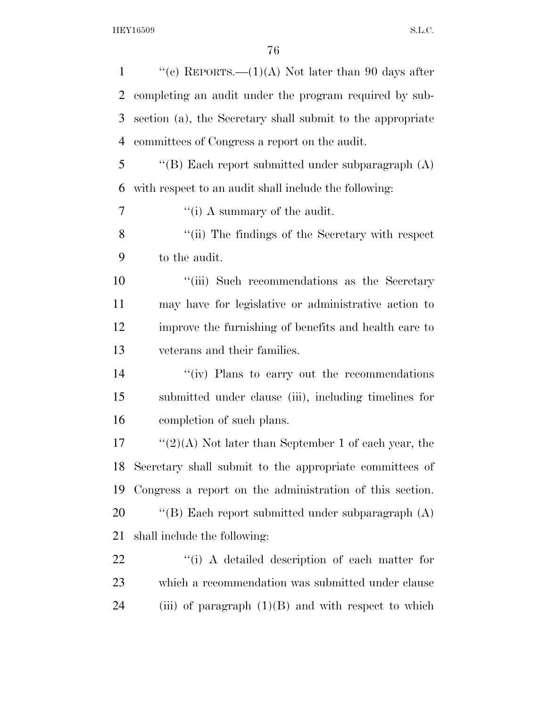| "(c) REPORTS.— $(1)(A)$ Not later than 90 days after       |
|------------------------------------------------------------|
| completing an audit under the program required by sub-     |
| section (a), the Secretary shall submit to the appropriate |
| committees of Congress a report on the audit.              |
| "(B) Each report submitted under subparagraph $(A)$        |
| with respect to an audit shall include the following:      |
| "(i) A summary of the audit.                               |
| "(ii) The findings of the Secretary with respect           |
| to the audit.                                              |
| "(iii) Such recommendations as the Secretary               |
| may have for legislative or administrative action to       |
| improve the furnishing of benefits and health care to      |
| veterans and their families.                               |
| "(iv) Plans to carry out the recommendations"              |
| submitted under clause (iii), including timelines for      |
| completion of such plans.                                  |
| " $(2)(A)$ Not later than September 1 of each year, the    |
| 18 Secretary shall submit to the appropriate committees of |
| Congress a report on the administration of this section.   |
| "(B) Each report submitted under subparagraph $(A)$        |
| shall include the following:                               |
| "(i) A detailed description of each matter for             |
| which a recommendation was submitted under clause          |
| (iii) of paragraph $(1)(B)$ and with respect to which      |
|                                                            |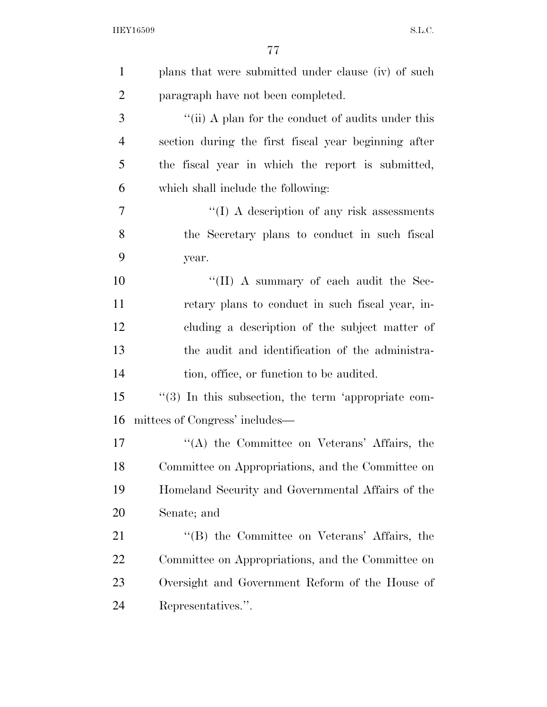| $\mathbf{1}$   | plans that were submitted under clause (iv) of such  |
|----------------|------------------------------------------------------|
| $\overline{2}$ | paragraph have not been completed.                   |
| 3              | "(ii) A plan for the conduct of audits under this    |
| $\overline{4}$ | section during the first fiscal year beginning after |
| 5              | the fiscal year in which the report is submitted,    |
| 6              | which shall include the following:                   |
| $\overline{7}$ | $\lq\lq$ (I) A description of any risk assessments   |
| 8              | the Secretary plans to conduct in such fiscal        |
| 9              | year.                                                |
| 10             | "(II) A summary of each audit the Sec-               |
| 11             | retary plans to conduct in such fiscal year, in-     |
| 12             | cluding a description of the subject matter of       |
| 13             | the audit and identification of the administra-      |
| 14             | tion, office, or function to be audited.             |
| 15             | "(3) In this subsection, the term 'appropriate com-  |
| 16             | mittees of Congress' includes—                       |
| 17             | "(A) the Committee on Veterans' Affairs, the         |
| 18             | Committee on Appropriations, and the Committee on    |
| 19             | Homeland Security and Governmental Affairs of the    |
| 20             | Senate; and                                          |
| 21             | "(B) the Committee on Veterans' Affairs, the         |
| 22             | Committee on Appropriations, and the Committee on    |
| 23             | Oversight and Government Reform of the House of      |
| 24             | Representatives.".                                   |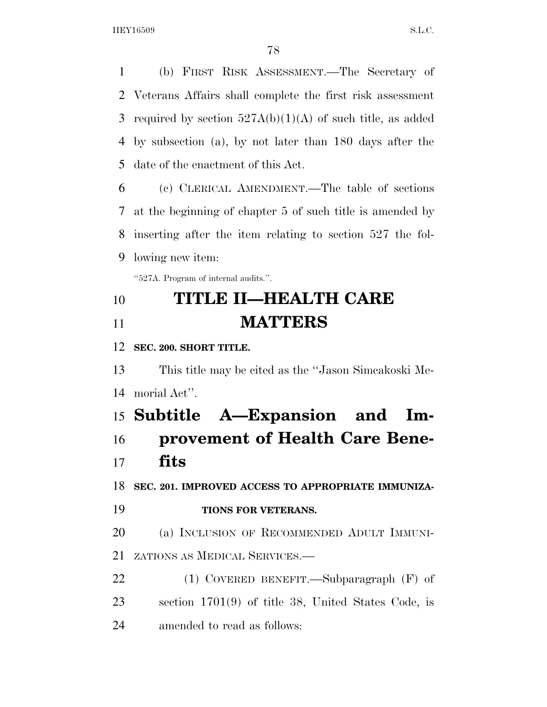(b) FIRST RISK ASSESSMENT.—The Secretary of Veterans Affairs shall complete the first risk assessment 3 required by section  $527A(b)(1)(A)$  of such title, as added by subsection (a), by not later than 180 days after the date of the enactment of this Act.

 (c) CLERICAL AMENDMENT.—The table of sections at the beginning of chapter 5 of such title is amended by inserting after the item relating to section 527 the fol-lowing new item:

''527A. Program of internal audits.''.

# **TITLE II—HEALTH CARE MATTERS**

**SEC. 200. SHORT TITLE.** 

 This title may be cited as the ''Jason Simcakoski Me-morial Act''.

 **Subtitle A—Expansion and Im- provement of Health Care Bene-fits** 

**SEC. 201. IMPROVED ACCESS TO APPROPRIATE IMMUNIZA-**

**TIONS FOR VETERANS.** 

 (a) INCLUSION OF RECOMMENDED ADULT IMMUNI-ZATIONS AS MEDICAL SERVICES.—

 (1) COVERED BENEFIT.—Subparagraph (F) of section 1701(9) of title 38, United States Code, is amended to read as follows: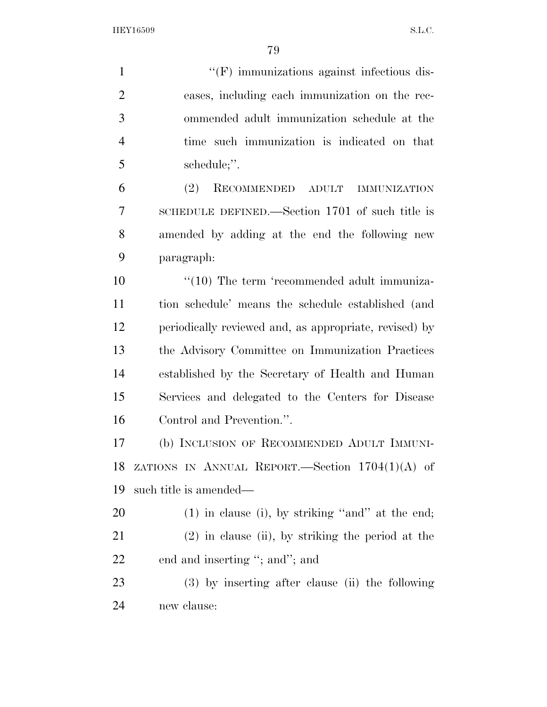| $\mathbf{1}$   | "(F) immunizations against infectious dis-             |
|----------------|--------------------------------------------------------|
| $\overline{2}$ | eases, including each immunization on the rec-         |
| 3              | ommended adult immunization schedule at the            |
| $\overline{4}$ | time such immunization is indicated on that            |
| 5              | schedule;".                                            |
| 6              | (2)<br>RECOMMENDED ADULT<br><b>IMMUNIZATION</b>        |
| 7              | SCHEDULE DEFINED.—Section 1701 of such title is        |
| 8              | amended by adding at the end the following new         |
| 9              | paragraph:                                             |
| 10             | $\lq(10)$ The term 'recommended adult immuniza-        |
| 11             | tion schedule' means the schedule established (and     |
| 12             | periodically reviewed and, as appropriate, revised) by |
| 13             | the Advisory Committee on Immunization Practices       |
| 14             | established by the Secretary of Health and Human       |
| 15             | Services and delegated to the Centers for Disease      |
| 16             | Control and Prevention.".                              |
| 17             | (b) INCLUSION OF RECOMMENDED ADULT IMMUNI-             |
| 18             | ZATIONS IN ANNUAL REPORT. Section $1704(1)(A)$ of      |
| 19             | such title is amended—                                 |
| 20             | $(1)$ in clause (i), by striking "and" at the end;     |
| 21             | $(2)$ in clause (ii), by striking the period at the    |
| 22             | end and inserting "; and"; and                         |
| 23             | (3) by inserting after clause (ii) the following       |
| 24             | new clause:                                            |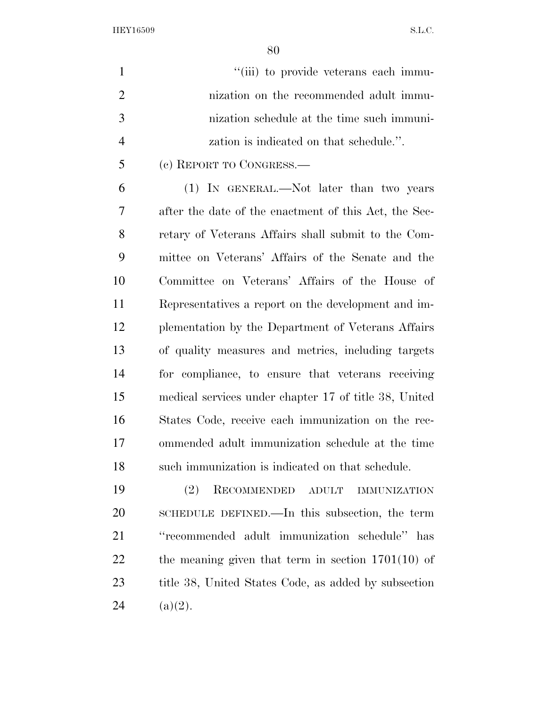| $\mathbf{1}$   | "(iii) to provide veterans each immu-                 |
|----------------|-------------------------------------------------------|
| $\overline{2}$ | nization on the recommended adult immu-               |
| 3              | nization schedule at the time such immuni-            |
| $\overline{4}$ | zation is indicated on that schedule.".               |
| 5              | (c) REPORT TO CONGRESS.                               |
| 6              | (1) IN GENERAL.—Not later than two years              |
| 7              | after the date of the enactment of this Act, the Sec- |
| 8              | retary of Veterans Affairs shall submit to the Com-   |
| 9              | mittee on Veterans' Affairs of the Senate and the     |
| 10             | Committee on Veterans' Affairs of the House of        |
| 11             | Representatives a report on the development and im-   |
| 12             | plementation by the Department of Veterans Affairs    |
| 13             | of quality measures and metrics, including targets    |
| 14             | for compliance, to ensure that veterans receiving     |
| 15             | medical services under chapter 17 of title 38, United |
| 16             | States Code, receive each immunization on the rec-    |
| 17             | ommended adult immunization schedule at the time      |
| 18             | such immunization is indicated on that schedule.      |
| 19             | RECOMMENDED ADULT<br>(2)<br><b>IMMUNIZATION</b>       |
| 20             | SCHEDULE DEFINED.—In this subsection, the term        |
| 21             | "recommended adult immunization schedule" has         |
| 22             | the meaning given that term in section $1701(10)$ of  |
| 23             | title 38, United States Code, as added by subsection  |

24 (a)(2).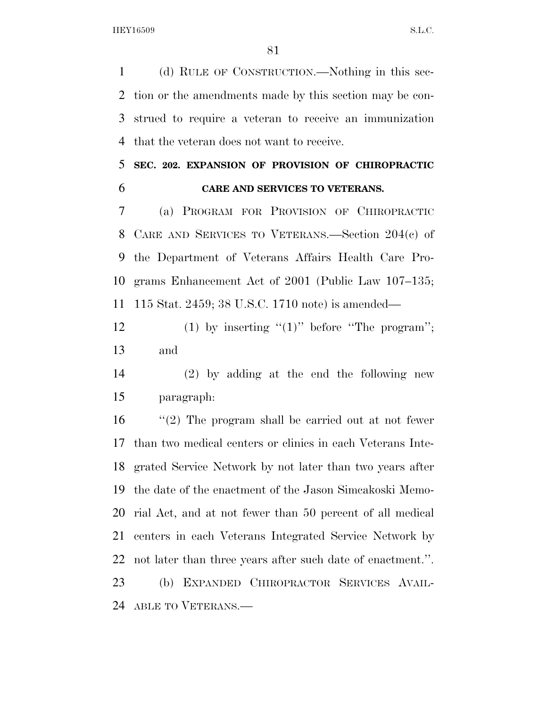(d) RULE OF CONSTRUCTION.—Nothing in this sec- tion or the amendments made by this section may be con- strued to require a veteran to receive an immunization that the veteran does not want to receive.

#### **SEC. 202. EXPANSION OF PROVISION OF CHIROPRACTIC CARE AND SERVICES TO VETERANS.**

 (a) PROGRAM FOR PROVISION OF CHIROPRACTIC CARE AND SERVICES TO VETERANS.—Section 204(c) of the Department of Veterans Affairs Health Care Pro- grams Enhancement Act of 2001 (Public Law 107–135; 115 Stat. 2459; 38 U.S.C. 1710 note) is amended—

12 (1) by inserting  $"(1)"$  before "The program"; and

 (2) by adding at the end the following new paragraph:

 ''(2) The program shall be carried out at not fewer than two medical centers or clinics in each Veterans Inte- grated Service Network by not later than two years after the date of the enactment of the Jason Simcakoski Memo- rial Act, and at not fewer than 50 percent of all medical centers in each Veterans Integrated Service Network by not later than three years after such date of enactment.''. (b) EXPANDED CHIROPRACTOR SERVICES AVAIL-ABLE TO VETERANS.—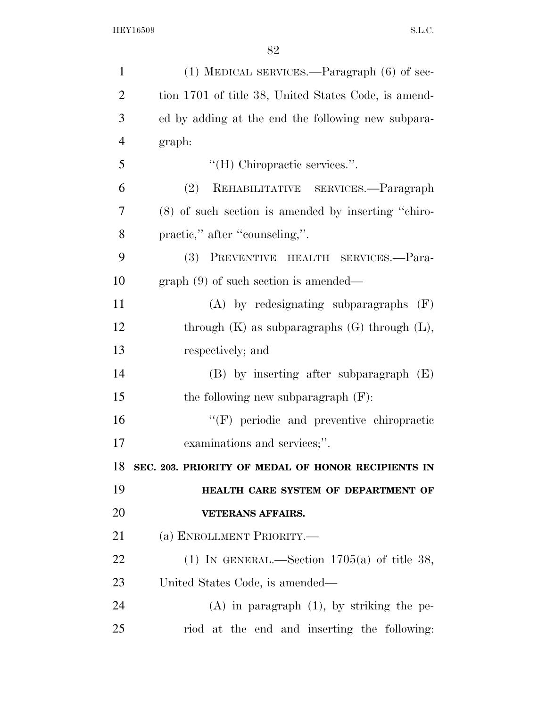| $\mathbf{1}$   | $(1)$ MEDICAL SERVICES.—Paragraph $(6)$ of sec-      |
|----------------|------------------------------------------------------|
| $\overline{2}$ | tion 1701 of title 38, United States Code, is amend- |
| 3              | ed by adding at the end the following new subpara-   |
| $\overline{4}$ | graph:                                               |
| 5              | "(H) Chiropractic services.".                        |
| 6              | REHABILITATIVE SERVICES.-Paragraph<br>(2)            |
| 7              | (8) of such section is amended by inserting "chiro-  |
| 8              | practic," after "counseling,".                       |
| 9              | (3) PREVENTIVE HEALTH SERVICES.-Para-                |
| 10             | $graph(9)$ of such section is amended—               |
| 11             | $(A)$ by redesignating subparagraphs $(F)$           |
| 12             | through $(K)$ as subparagraphs $(G)$ through $(L)$ , |
| 13             | respectively; and                                    |
| 14             | $(B)$ by inserting after subparagraph $(E)$          |
| 15             | the following new subparagraph $(F)$ :               |
| 16             | "(F) periodic and preventive chiropractic            |
| 17             | examinations and services;".                         |
| 18             | SEC. 203. PRIORITY OF MEDAL OF HONOR RECIPIENTS IN   |
| 19             | HEALTH CARE SYSTEM OF DEPARTMENT OF                  |
| 20             | <b>VETERANS AFFAIRS.</b>                             |
| 21             | (a) ENROLLMENT PRIORITY.—                            |
| 22             | (1) IN GENERAL.—Section $1705(a)$ of title 38,       |
| 23             | United States Code, is amended—                      |
| 24             | $(A)$ in paragraph $(1)$ , by striking the pe-       |
| 25             | riod at the end and inserting the following:         |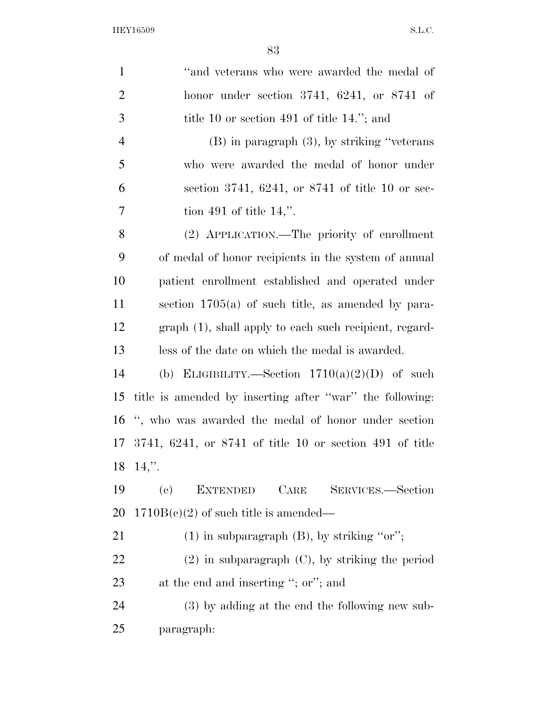| $\mathbf{1}$   | "and veterans who were awarded the medal of              |
|----------------|----------------------------------------------------------|
| $\overline{2}$ | honor under section 3741, $6241$ , or $8741$ of          |
| 3              | title 10 or section 491 of title 14."; and               |
| $\overline{4}$ | $(B)$ in paragraph $(3)$ , by striking "veterans"        |
| 5              | who were awarded the medal of honor under                |
| 6              | section 3741, 6241, or 8741 of title 10 or sec-          |
| 7              | tion 491 of title $14$ ,".                               |
| 8              | (2) APPLICATION.—The priority of enrollment              |
| 9              | of medal of honor recipients in the system of annual     |
| 10             | patient enrollment established and operated under        |
| 11             | section $1705(a)$ of such title, as amended by para-     |
| 12             | graph (1), shall apply to each such recipient, regard-   |
| 13             | less of the date on which the medal is awarded.          |
| 14             | (b) ELIGIBILITY.—Section $1710(a)(2)(D)$ of such         |
| 15             | title is amended by inserting after "war" the following: |
| 16             | ", who was awarded the medal of honor under section      |
| 17             | 3741, 6241, or 8741 of title 10 or section 491 of title  |
|                | $18 \t14$ ,".                                            |
| 19             | <b>EXTENDED</b><br>CARE<br>SERVICES.-Section<br>(e)      |
| <b>20</b>      | $1710B(e)(2)$ of such title is amended—                  |
| 21             | $(1)$ in subparagraph $(B)$ , by striking "or";          |
| <u>22</u>      | $(2)$ in subparagraph $(C)$ , by striking the period     |
| 23             | at the end and inserting "; or"; and                     |
| 24             | (3) by adding at the end the following new sub-          |
| 25             | paragraph:                                               |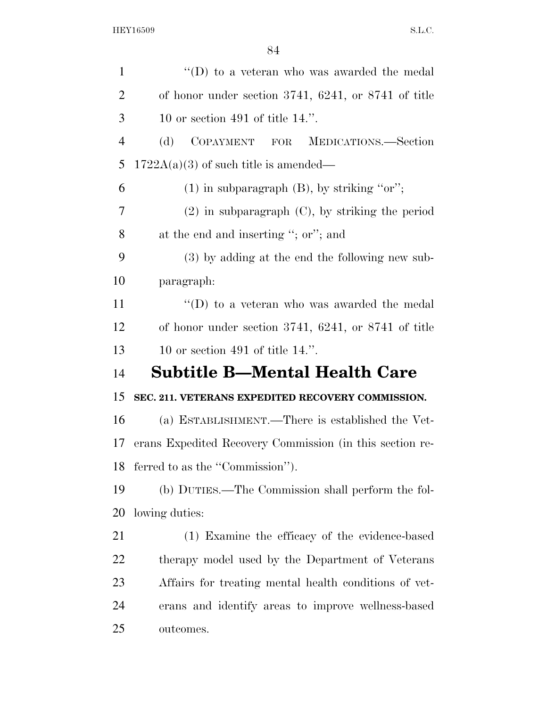| $\mathbf{1}$   | "(D) to a veteran who was awarded the medal              |
|----------------|----------------------------------------------------------|
| $\overline{2}$ | of honor under section 3741, 6241, or 8741 of title      |
| 3              | 10 or section 491 of title $14$ .".                      |
| $\overline{4}$ | COPAYMENT FOR MEDICATIONS.-Section<br>(d)                |
| 5              | $1722A(a)(3)$ of such title is amended—                  |
| 6              | $(1)$ in subparagraph $(B)$ , by striking "or";          |
| 7              | $(2)$ in subparagraph $(C)$ , by striking the period     |
| 8              | at the end and inserting "; or"; and                     |
| 9              | (3) by adding at the end the following new sub-          |
| 10             | paragraph:                                               |
| 11             | $\lq\lq$ to a veteran who was awarded the medal          |
| 12             | of honor under section $3741, 6241$ , or $8741$ of title |
| 13             | 10 or section 491 of title $14$ .".                      |
| 14             | Subtitle B—Mental Health Care                            |
|                |                                                          |
| 15             | SEC. 211. VETERANS EXPEDITED RECOVERY COMMISSION.        |
| 16             | (a) ESTABLISHMENT.—There is established the Vet-         |
| 17             | erans Expedited Recovery Commission (in this section re- |
| 18             | ferred to as the "Commission").                          |
| 19             | (b) DUTIES.—The Commission shall perform the fol-        |
| 20             | lowing duties:                                           |
| 21             | (1) Examine the efficacy of the evidence-based           |
| 22             | therapy model used by the Department of Veterans         |
| 23             | Affairs for treating mental health conditions of vet-    |
| 24             | erans and identify areas to improve wellness-based       |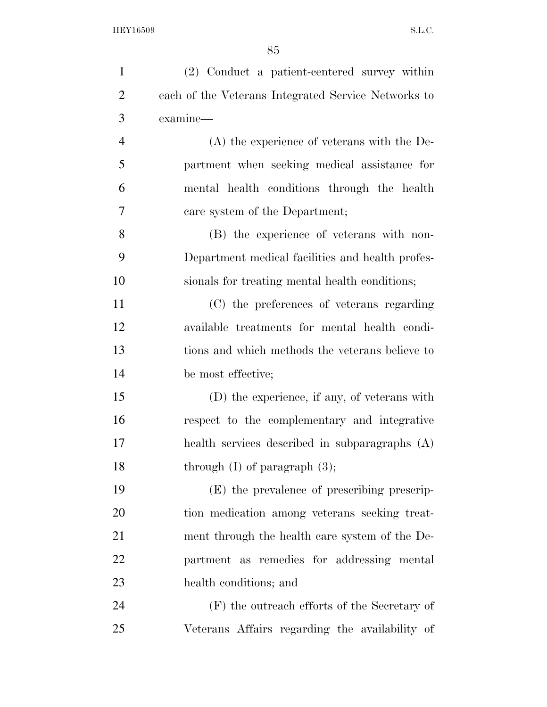| $\mathbf{1}$   | (2) Conduct a patient-centered survey within        |
|----------------|-----------------------------------------------------|
| $\overline{2}$ | each of the Veterans Integrated Service Networks to |
| 3              | examine—                                            |
| $\overline{4}$ | $(A)$ the experience of veterans with the De-       |
| 5              | partment when seeking medical assistance for        |
| 6              | mental health conditions through the health         |
| 7              | care system of the Department;                      |
| 8              | (B) the experience of veterans with non-            |
| 9              | Department medical facilities and health profes-    |
| 10             | sionals for treating mental health conditions;      |
| 11             | (C) the preferences of veterans regarding           |
| 12             | available treatments for mental health condi-       |
| 13             | tions and which methods the veterans believe to     |
| 14             | be most effective;                                  |
| 15             | (D) the experience, if any, of veterans with        |
| 16             | respect to the complementary and integrative        |
| 17             | health services described in subparagraphs (A)      |
| 18             | through $(I)$ of paragraph $(3)$ ;                  |
| 19             | (E) the prevalence of prescribing prescrip-         |
| 20             | tion medication among veterans seeking treat-       |
| 21             | ment through the health care system of the De-      |
| 22             | partment as remedies for addressing mental          |
| 23             | health conditions; and                              |
| 24             | $(F)$ the outreach efforts of the Secretary of      |
| 25             | Veterans Affairs regarding the availability of      |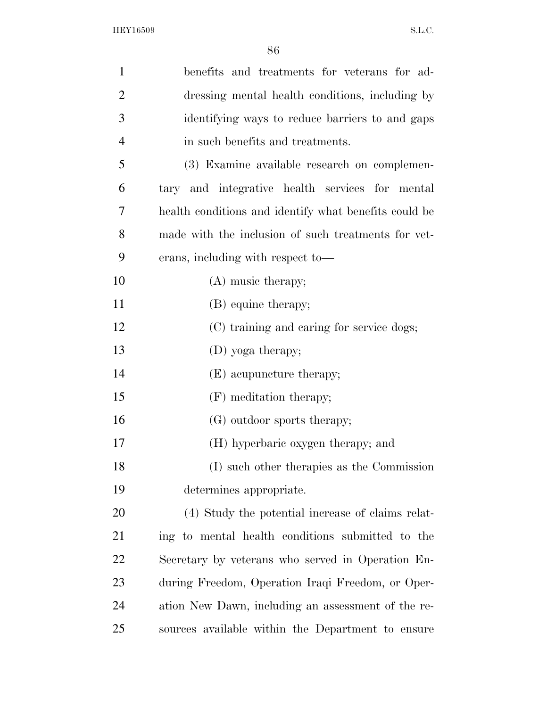| $\mathbf{1}$   | benefits and treatments for veterans for ad-          |
|----------------|-------------------------------------------------------|
| $\overline{2}$ | dressing mental health conditions, including by       |
| 3              | identifying ways to reduce barriers to and gaps       |
| $\overline{4}$ | in such benefits and treatments.                      |
| 5              | (3) Examine available research on complemen-          |
| 6              | tary and integrative health services for mental       |
| 7              | health conditions and identify what benefits could be |
| 8              | made with the inclusion of such treatments for vet-   |
| 9              | erans, including with respect to-                     |
| 10             | $(A)$ music therapy;                                  |
| 11             | (B) equine therapy;                                   |
| 12             | (C) training and caring for service dogs;             |
| 13             | (D) yoga therapy;                                     |
| 14             | (E) acupuncture therapy;                              |
| 15             | (F) meditation therapy;                               |
| 16             | (G) outdoor sports therapy;                           |
| 17             | (H) hyperbaric oxygen therapy; and                    |
| 18             | (I) such other therapies as the Commission            |
| 19             | determines appropriate.                               |
| 20             | (4) Study the potential increase of claims relat-     |
| 21             | ing to mental health conditions submitted to the      |
| 22             | Secretary by veterans who served in Operation En-     |
| 23             | during Freedom, Operation Iraqi Freedom, or Oper-     |
| 24             | ation New Dawn, including an assessment of the re-    |
| 25             | sources available within the Department to ensure     |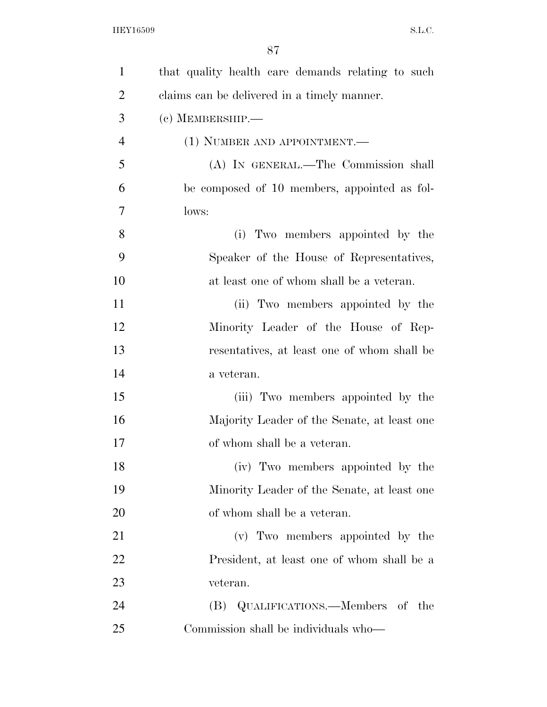| $\mathbf{1}$   | that quality health care demands relating to such |
|----------------|---------------------------------------------------|
| $\overline{2}$ | claims can be delivered in a timely manner.       |
| 3              | $(c)$ MEMBERSHIP.—                                |
| $\overline{4}$ | (1) NUMBER AND APPOINTMENT.—                      |
| 5              | (A) IN GENERAL.—The Commission shall              |
| 6              | be composed of 10 members, appointed as fol-      |
| 7              | lows:                                             |
| 8              | Two members appointed by the<br>(i)               |
| 9              | Speaker of the House of Representatives,          |
| 10             | at least one of whom shall be a veteran.          |
| 11             | (ii) Two members appointed by the                 |
| 12             | Minority Leader of the House of Rep-              |
| 13             | resentatives, at least one of whom shall be       |
| 14             | a veteran.                                        |
| 15             | (iii) Two members appointed by the                |
| 16             | Majority Leader of the Senate, at least one       |
| 17             | of whom shall be a veteran.                       |
| 18             | (iv) Two members appointed by the                 |
| 19             | Minority Leader of the Senate, at least one       |
| 20             | of whom shall be a veteran.                       |
| 21             | (v) Two members appointed by the                  |
| 22             | President, at least one of whom shall be a        |
| 23             | veteran.                                          |
| 24             | (B) QUALIFICATIONS.—Members of the                |
| 25             | Commission shall be individuals who—              |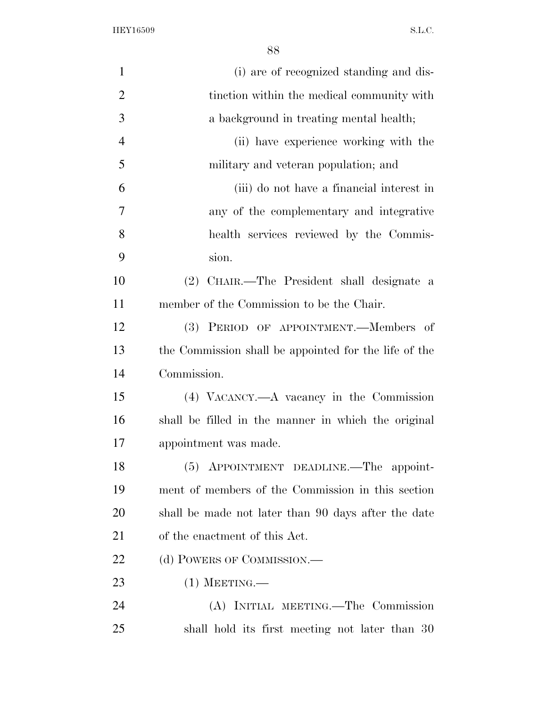| $\mathbf{1}$   | (i) are of recognized standing and dis-               |
|----------------|-------------------------------------------------------|
| $\overline{2}$ | tinction within the medical community with            |
| 3              | a background in treating mental health;               |
| $\overline{4}$ | (ii) have experience working with the                 |
| 5              | military and veteran population; and                  |
| 6              | (iii) do not have a financial interest in             |
| 7              | any of the complementary and integrative              |
| 8              | health services reviewed by the Commis-               |
| 9              | sion.                                                 |
| 10             | CHAIR.—The President shall designate a<br>(2)         |
| 11             | member of the Commission to be the Chair.             |
| 12             | (3) PERIOD OF APPOINTMENT.—Members of                 |
| 13             | the Commission shall be appointed for the life of the |
| 14             | Commission.                                           |
| 15             | (4) VACANCY.—A vacancy in the Commission              |
| 16             | shall be filled in the manner in which the original   |
| 17             | appointment was made.                                 |
| 18             | (5) APPOINTMENT DEADLINE.—The appoint-                |
| 19             | ment of members of the Commission in this section     |
| 20             | shall be made not later than 90 days after the date   |
| 21             | of the enactment of this Act.                         |
| 22             | (d) POWERS OF COMMISSION.—                            |
| 23             | $(1)$ MEETING.—                                       |
| 24             | (A) INITIAL MEETING.—The Commission                   |
| 25             | shall hold its first meeting not later than 30        |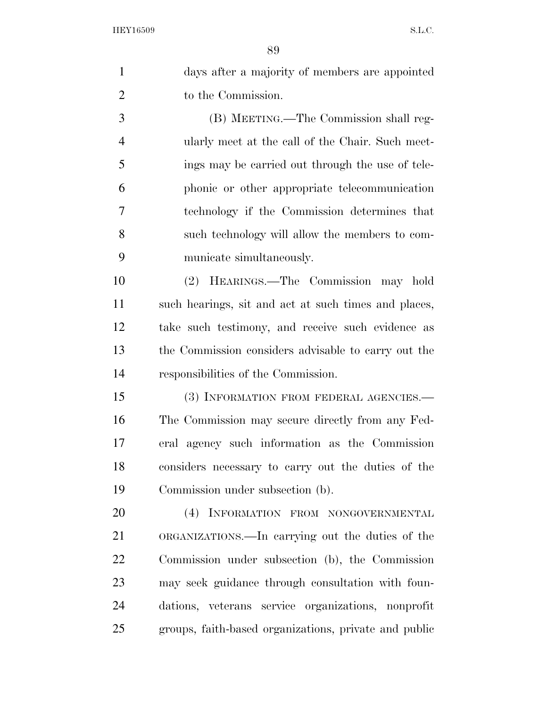$\circ$ 

|                | 89                                                   |
|----------------|------------------------------------------------------|
| $\mathbf{1}$   | days after a majority of members are appointed       |
| $\overline{2}$ | to the Commission.                                   |
| 3              | (B) MEETING.—The Commission shall reg-               |
| $\overline{4}$ | ularly meet at the call of the Chair. Such meet-     |
| 5              | ings may be carried out through the use of tele-     |
| 6              | phonic or other appropriate telecommunication        |
| 7              | technology if the Commission determines that         |
| 8              | such technology will allow the members to com-       |
| 9              | municate simultaneously.                             |
| 10             | (2) HEARINGS.—The Commission may hold                |
| 11             | such hearings, sit and act at such times and places, |
| 12             | take such testimony, and receive such evidence as    |
| 13             | the Commission considers advisable to carry out the  |
| 14             | responsibilities of the Commission.                  |
| 15             | (3) INFORMATION FROM FEDERAL AGENCIES.—              |
| 16             | The Commission may secure directly from any Fed-     |
| 17             | eral agency such information as the Commission       |
| 18             | considers necessary to carry out the duties of the   |
| 19             | Commission under subsection (b).                     |
| 20             | (4) INFORMATION FROM NONGOVERNMENTAL                 |
| 21             | ORGANIZATIONS.—In carrying out the duties of the     |
| 22             | Commission under subsection (b), the Commission      |
| 23             | may seek guidance through consultation with foun-    |
| 24             | dations, veterans service organizations, nonprofit   |

groups, faith-based organizations, private and public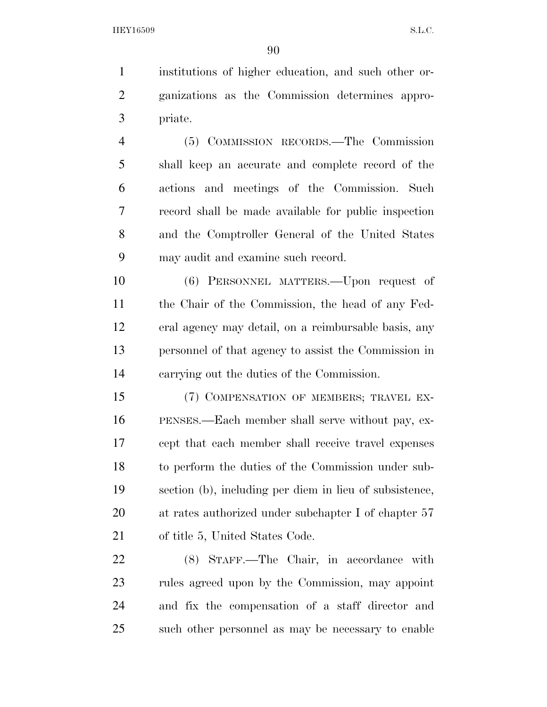institutions of higher education, and such other or- ganizations as the Commission determines appro-priate.

 (5) COMMISSION RECORDS.—The Commission shall keep an accurate and complete record of the actions and meetings of the Commission. Such record shall be made available for public inspection and the Comptroller General of the United States may audit and examine such record.

 (6) PERSONNEL MATTERS.—Upon request of the Chair of the Commission, the head of any Fed- eral agency may detail, on a reimbursable basis, any personnel of that agency to assist the Commission in carrying out the duties of the Commission.

 (7) COMPENSATION OF MEMBERS; TRAVEL EX- PENSES.—Each member shall serve without pay, ex- cept that each member shall receive travel expenses to perform the duties of the Commission under sub- section (b), including per diem in lieu of subsistence, at rates authorized under subchapter I of chapter 57 of title 5, United States Code.

 (8) STAFF.—The Chair, in accordance with rules agreed upon by the Commission, may appoint and fix the compensation of a staff director and such other personnel as may be necessary to enable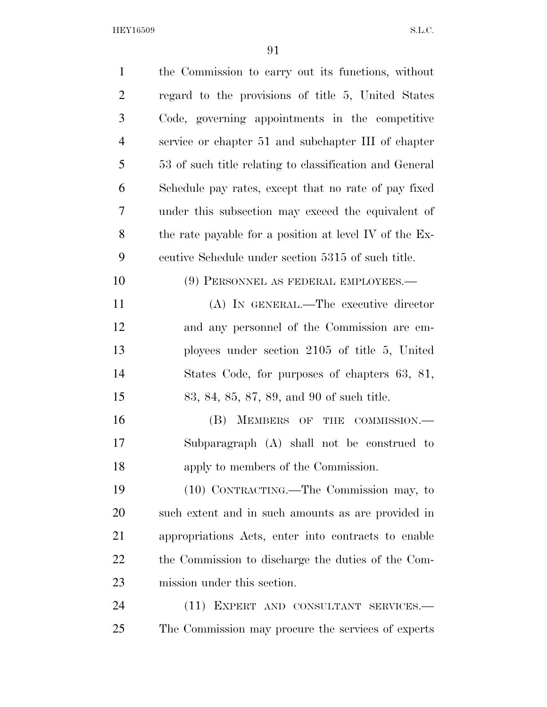| $\mathbf{1}$   | the Commission to carry out its functions, without      |
|----------------|---------------------------------------------------------|
| $\overline{2}$ | regard to the provisions of title 5, United States      |
| 3              | Code, governing appointments in the competitive         |
| $\overline{4}$ | service or chapter 51 and subchapter III of chapter     |
| 5              | 53 of such title relating to classification and General |
| 6              | Schedule pay rates, except that no rate of pay fixed    |
| 7              | under this subsection may exceed the equivalent of      |
| 8              | the rate payable for a position at level IV of the Ex-  |
| 9              | ecutive Schedule under section 5315 of such title.      |
| 10             | (9) PERSONNEL AS FEDERAL EMPLOYEES.-                    |
| 11             | (A) IN GENERAL.—The executive director                  |
| 12             | and any personnel of the Commission are em-             |
| 13             | ployees under section $2105$ of title 5, United         |
| 14             | States Code, for purposes of chapters 63, 81,           |
| 15             | 83, 84, 85, 87, 89, and 90 of such title.               |
| 16             | MEMBERS OF THE COMMISSION.<br>(B)                       |
| 17             | Subparagraph (A) shall not be construed to              |
| 18             | apply to members of the Commission.                     |
| 19             | (10) CONTRACTING.—The Commission may, to                |
| 20             | such extent and in such amounts as are provided in      |
| 21             | appropriations Acts, enter into contracts to enable     |
| 22             | the Commission to discharge the duties of the Com-      |
| 23             | mission under this section.                             |
| 24             | (11) EXPERT AND CONSULTANT SERVICES.-                   |
| 25             | The Commission may procure the services of experts      |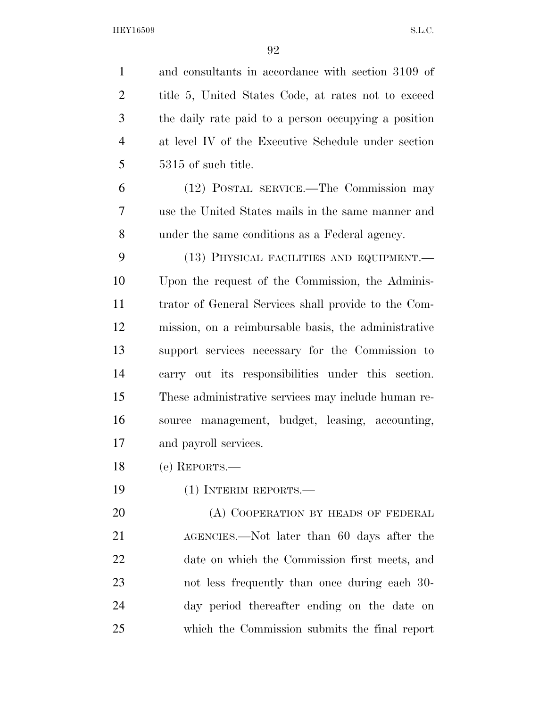| $\mathbf{1}$   | and consultants in accordance with section 3109 of   |
|----------------|------------------------------------------------------|
| $\overline{2}$ | title 5, United States Code, at rates not to exceed  |
| 3              | the daily rate paid to a person occupying a position |
| $\overline{4}$ | at level IV of the Executive Schedule under section  |
| 5              | 5315 of such title.                                  |
| 6              | (12) POSTAL SERVICE.—The Commission may              |
| 7              | use the United States mails in the same manner and   |
| 8              | under the same conditions as a Federal agency.       |
| 9              | (13) PHYSICAL FACILITIES AND EQUIPMENT.—             |
| 10             | Upon the request of the Commission, the Adminis-     |
| 11             | trator of General Services shall provide to the Com- |
| 12             | mission, on a reimbursable basis, the administrative |
| 13             | support services necessary for the Commission to     |
| 14             | carry out its responsibilities under this section.   |
| 15             | These administrative services may include human re-  |
| 16             | source management, budget, leasing, accounting,      |
| 17             | and payroll services.                                |
| 18             | (e) REPORTS.-                                        |
| 19             | $(1)$ INTERIM REPORTS.—                              |
| 20             | (A) COOPERATION BY HEADS OF FEDERAL                  |
| 21             | AGENCIES.—Not later than 60 days after the           |
| 22             | date on which the Commission first meets, and        |
| 23             | not less frequently than once during each 30-        |
| 24             | day period thereafter ending on the date on          |
| 25             | which the Commission submits the final report        |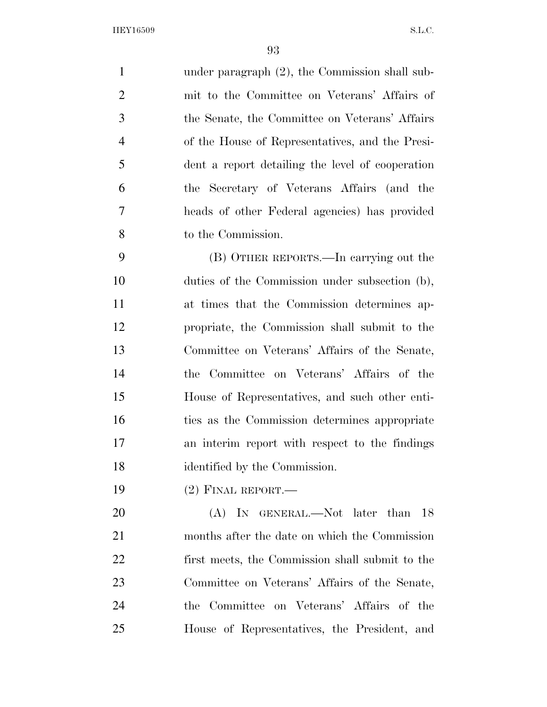under paragraph (2), the Commission shall sub- mit to the Committee on Veterans' Affairs of the Senate, the Committee on Veterans' Affairs of the House of Representatives, and the Presi- dent a report detailing the level of cooperation the Secretary of Veterans Affairs (and the heads of other Federal agencies) has provided to the Commission. (B) OTHER REPORTS.—In carrying out the

 duties of the Commission under subsection (b), at times that the Commission determines ap- propriate, the Commission shall submit to the Committee on Veterans' Affairs of the Senate, the Committee on Veterans' Affairs of the House of Representatives, and such other enti- ties as the Commission determines appropriate an interim report with respect to the findings identified by the Commission.

(2) FINAL REPORT.—

20 (A) In GENERAL.—Not later than 18 months after the date on which the Commission first meets, the Commission shall submit to the Committee on Veterans' Affairs of the Senate, the Committee on Veterans' Affairs of the House of Representatives, the President, and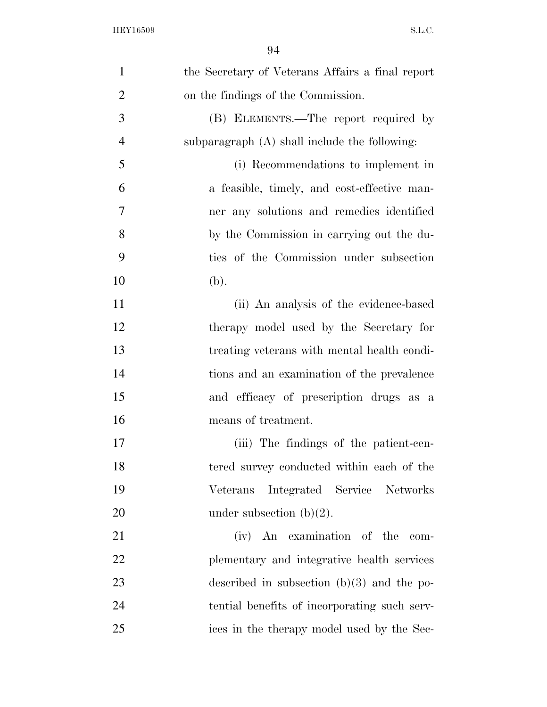| $\mathbf{1}$   | the Secretary of Veterans Affairs a final report |
|----------------|--------------------------------------------------|
| $\overline{2}$ | on the findings of the Commission.               |
| 3              | (B) ELEMENTS.—The report required by             |
| $\overline{4}$ | subparagraph $(A)$ shall include the following:  |
| 5              | (i) Recommendations to implement in              |
| 6              | a feasible, timely, and cost-effective man-      |
| 7              | ner any solutions and remedies identified        |
| 8              | by the Commission in carrying out the du-        |
| 9              | ties of the Commission under subsection          |
| 10             | (b).                                             |
| 11             | (ii) An analysis of the evidence-based           |
| 12             | therapy model used by the Secretary for          |
| 13             | treating veterans with mental health condi-      |
| 14             | tions and an examination of the prevalence       |
| 15             | and efficacy of prescription drugs as a          |
| 16             | means of treatment.                              |
| 17             | (iii) The findings of the patient-cen-           |
| 18             | tered survey conducted within each of the        |
| 19             | Integrated Service Networks<br>Veterans          |
| 20             | under subsection $(b)(2)$ .                      |
| 21             | (iv) An examination of the<br>com-               |
| 22             | plementary and integrative health services       |
| 23             | described in subsection $(b)(3)$ and the po-     |
| 24             | tential benefits of incorporating such serv-     |
| 25             | ices in the therapy model used by the Sec-       |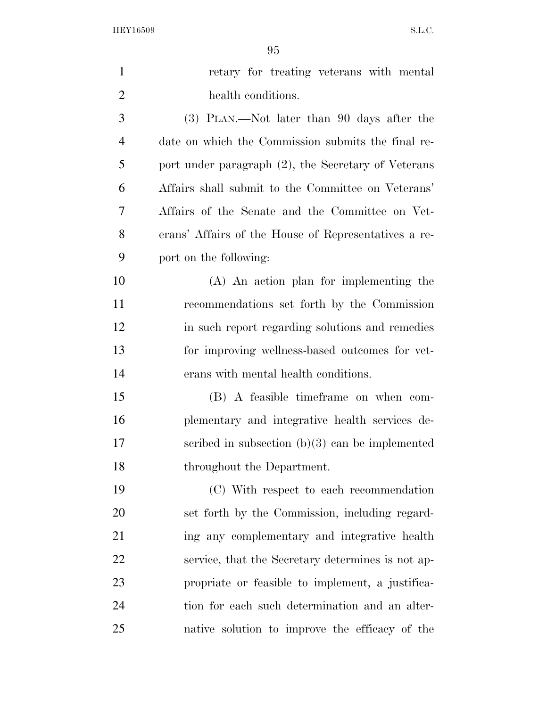| $\mathbf{1}$   | retary for treating veterans with mental             |
|----------------|------------------------------------------------------|
| $\overline{2}$ | health conditions.                                   |
| 3              | (3) PLAN.—Not later than 90 days after the           |
| $\overline{4}$ | date on which the Commission submits the final re-   |
| 5              | port under paragraph (2), the Secretary of Veterans  |
| 6              | Affairs shall submit to the Committee on Veterans'   |
| 7              | Affairs of the Senate and the Committee on Vet-      |
| 8              | erans' Affairs of the House of Representatives a re- |
| 9              | port on the following:                               |
| 10             | (A) An action plan for implementing the              |
| 11             | recommendations set forth by the Commission          |
| 12             | in such report regarding solutions and remedies      |
| 13             | for improving wellness-based outcomes for vet-       |
| 14             | erans with mental health conditions.                 |
| 15             | (B) A feasible time frame on when com-               |
| 16             | plementary and integrative health services de-       |
| 17             | scribed in subsection $(b)(3)$ can be implemented    |
| 18             | throughout the Department.                           |
| 19             | (C) With respect to each recommendation              |
| 20             | set forth by the Commission, including regard-       |
| 21             | ing any complementary and integrative health         |
| 22             | service, that the Secretary determines is not ap-    |
| 23             | propriate or feasible to implement, a justifica-     |
| 24             | tion for each such determination and an alter-       |
| 25             | native solution to improve the efficacy of the       |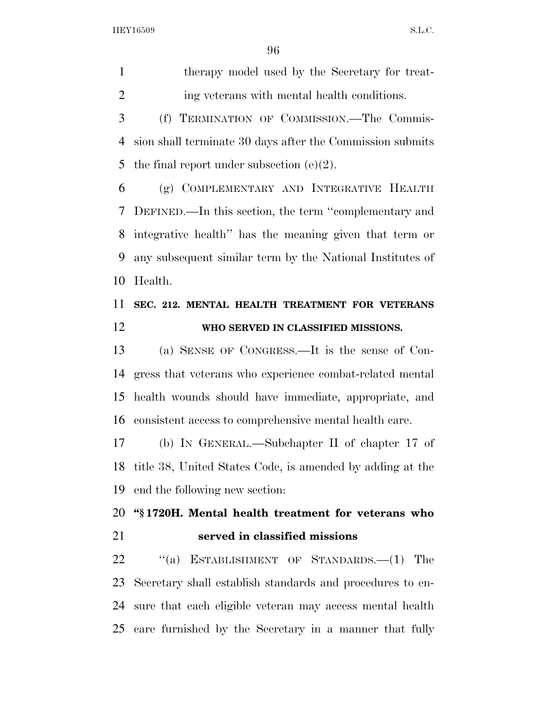therapy model used by the Secretary for treat-ing veterans with mental health conditions.

 (f) TERMINATION OF COMMISSION.—The Commis- sion shall terminate 30 days after the Commission submits 5 the final report under subsection  $(e)(2)$ .

 (g) COMPLEMENTARY AND INTEGRATIVE HEALTH DEFINED.—In this section, the term ''complementary and integrative health'' has the meaning given that term or any subsequent similar term by the National Institutes of Health.

### **SEC. 212. MENTAL HEALTH TREATMENT FOR VETERANS WHO SERVED IN CLASSIFIED MISSIONS.**

 (a) SENSE OF CONGRESS.—It is the sense of Con- gress that veterans who experience combat-related mental health wounds should have immediate, appropriate, and consistent access to comprehensive mental health care.

 (b) IN GENERAL.—Subchapter II of chapter 17 of title 38, United States Code, is amended by adding at the end the following new section:

### **''§ 1720H. Mental health treatment for veterans who served in classified missions**

22 "(a) ESTABLISHMENT OF STANDARDS.—(1) The Secretary shall establish standards and procedures to en- sure that each eligible veteran may access mental health care furnished by the Secretary in a manner that fully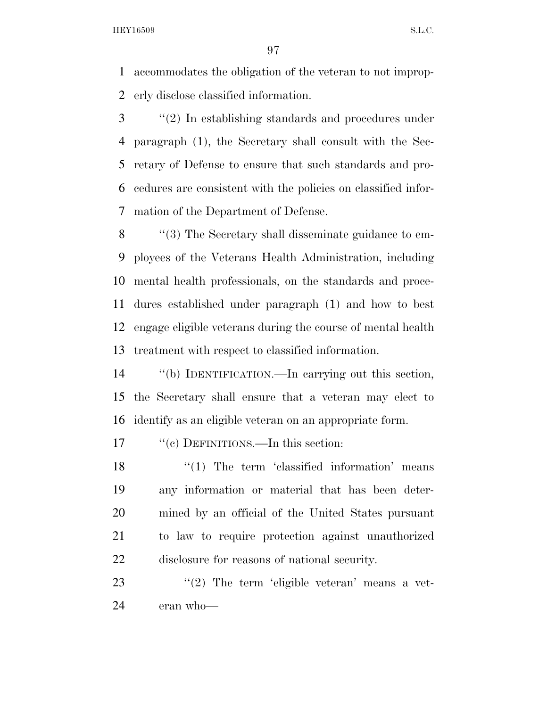accommodates the obligation of the veteran to not improp-erly disclose classified information.

 ''(2) In establishing standards and procedures under paragraph (1), the Secretary shall consult with the Sec- retary of Defense to ensure that such standards and pro- cedures are consistent with the policies on classified infor-mation of the Department of Defense.

 ''(3) The Secretary shall disseminate guidance to em- ployees of the Veterans Health Administration, including mental health professionals, on the standards and proce- dures established under paragraph (1) and how to best engage eligible veterans during the course of mental health treatment with respect to classified information.

 ''(b) IDENTIFICATION.—In carrying out this section, the Secretary shall ensure that a veteran may elect to identify as an eligible veteran on an appropriate form.

17  $\text{``(c)}$  DEFINITIONS.—In this section:

 ''(1) The term 'classified information' means any information or material that has been deter- mined by an official of the United States pursuant to law to require protection against unauthorized disclosure for reasons of national security.

23 ''(2) The term 'eligible veteran' means a vet-eran who—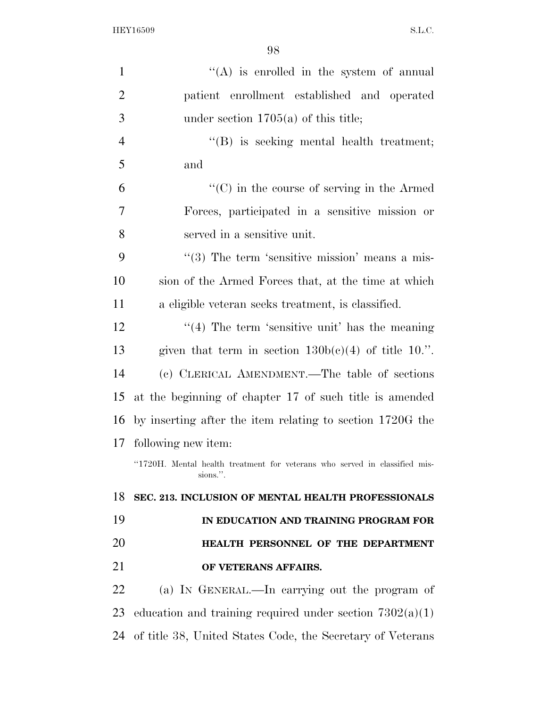| $\mathbf{1}$   | $\lq\lq$ is enrolled in the system of annual                                           |
|----------------|----------------------------------------------------------------------------------------|
| $\overline{2}$ | patient enrollment established and operated                                            |
| 3              | under section $1705(a)$ of this title;                                                 |
| $\overline{4}$ | $\lq\lq (B)$ is seeking mental health treatment;                                       |
| 5              | and                                                                                    |
| 6              | $\lq\lq$ (C) in the course of serving in the Armed                                     |
| $\overline{7}$ | Forces, participated in a sensitive mission or                                         |
| 8              | served in a sensitive unit.                                                            |
| 9              | $\cdot\cdot$ (3) The term 'sensitive mission' means a mis-                             |
| 10             | sion of the Armed Forces that, at the time at which                                    |
| 11             | a eligible veteran seeks treatment, is classified.                                     |
| 12             | $\cdot$ (4) The term 'sensitive unit' has the meaning                                  |
| 13             | given that term in section $130b(c)(4)$ of title 10.".                                 |
| 14             | (c) CLERICAL AMENDMENT.—The table of sections                                          |
| 15             | at the beginning of chapter 17 of such title is amended                                |
| 16             | by inserting after the item relating to section 1720G the                              |
| 17             | following new item:                                                                    |
|                | "1720H. Mental health treatment for veterans who served in classified mis-<br>sions.". |
| 18             | SEC. 213. INCLUSION OF MENTAL HEALTH PROFESSIONALS                                     |
| 19             | IN EDUCATION AND TRAINING PROGRAM FOR                                                  |
| 20             | HEALTH PERSONNEL OF THE DEPARTMENT                                                     |
| 21             | OF VETERANS AFFAIRS.                                                                   |
| 22             | (a) IN GENERAL.—In carrying out the program of                                         |
| 23             | education and training required under section $7302(a)(1)$                             |
| 24             | of title 38, United States Code, the Secretary of Veterans                             |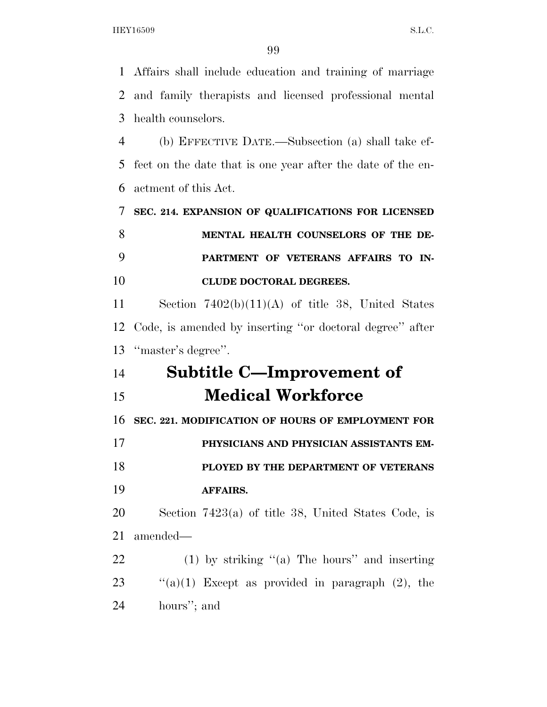Affairs shall include education and training of marriage and family therapists and licensed professional mental health counselors. (b) EFFECTIVE DATE.—Subsection (a) shall take ef-fect on the date that is one year after the date of the en-

actment of this Act.

 **SEC. 214. EXPANSION OF QUALIFICATIONS FOR LICENSED MENTAL HEALTH COUNSELORS OF THE DE- PARTMENT OF VETERANS AFFAIRS TO IN-CLUDE DOCTORAL DEGREES.** 

 Section 7402(b)(11)(A) of title 38, United States Code, is amended by inserting ''or doctoral degree'' after ''master's degree''.

## **Subtitle C—Improvement of Medical Workforce**

**SEC. 221. MODIFICATION OF HOURS OF EMPLOYMENT FOR** 

**PHYSICIANS AND PHYSICIAN ASSISTANTS EM-**

 **PLOYED BY THE DEPARTMENT OF VETERANS AFFAIRS.** 

 Section 7423(a) of title 38, United States Code, is amended—

 (1) by striking ''(a) The hours'' and inserting 23  $\cdot$  "(a)(1) Except as provided in paragraph (2), the hours''; and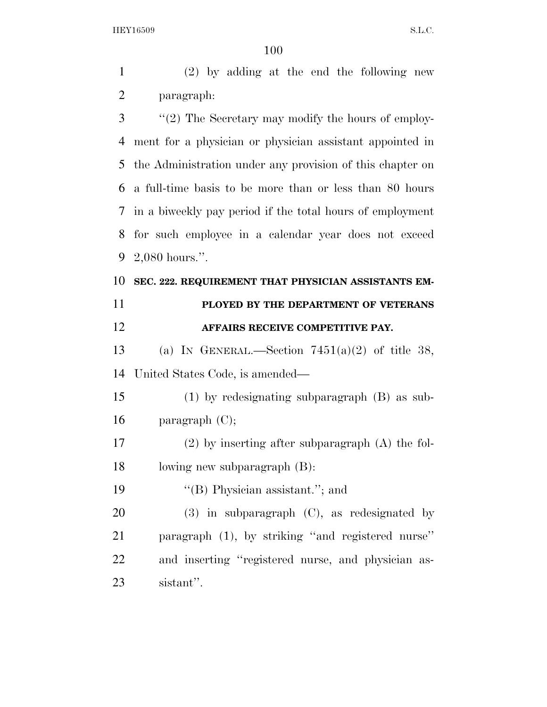(2) by adding at the end the following new paragraph:

 ''(2) The Secretary may modify the hours of employ- ment for a physician or physician assistant appointed in the Administration under any provision of this chapter on a full-time basis to be more than or less than 80 hours in a biweekly pay period if the total hours of employment for such employee in a calendar year does not exceed 2,080 hours.''.

#### **SEC. 222. REQUIREMENT THAT PHYSICIAN ASSISTANTS EM-**

# **PLOYED BY THE DEPARTMENT OF VETERANS AFFAIRS RECEIVE COMPETITIVE PAY.**

13 (a) IN GENERAL.—Section  $7451(a)(2)$  of title 38, United States Code, is amended—

 (1) by redesignating subparagraph (B) as sub-16 paragraph  $(C)$ ;

 (2) by inserting after subparagraph (A) the fol-lowing new subparagraph (B):

19 ''(B) Physician assistant.''; and

 (3) in subparagraph (C), as redesignated by paragraph (1), by striking ''and registered nurse'' and inserting ''registered nurse, and physician as-sistant''.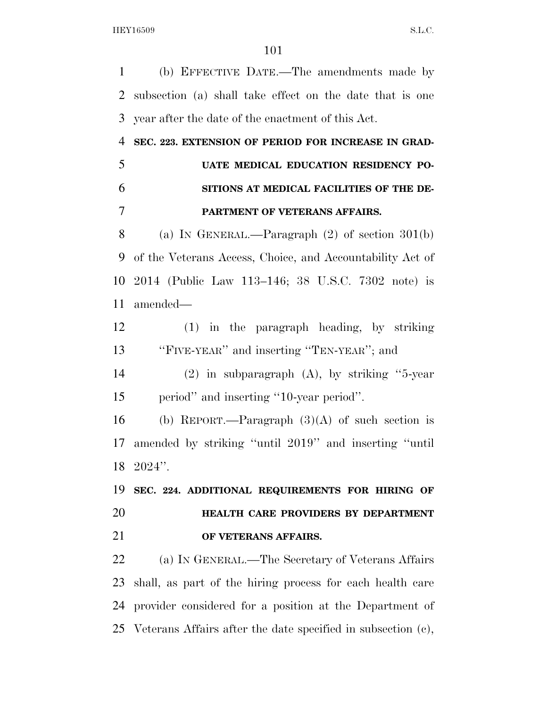(b) EFFECTIVE DATE.—The amendments made by subsection (a) shall take effect on the date that is one year after the date of the enactment of this Act.

 **SEC. 223. EXTENSION OF PERIOD FOR INCREASE IN GRAD- UATE MEDICAL EDUCATION RESIDENCY PO- SITIONS AT MEDICAL FACILITIES OF THE DE-PARTMENT OF VETERANS AFFAIRS.** 

 (a) IN GENERAL.—Paragraph (2) of section 301(b) of the Veterans Access, Choice, and Accountability Act of 2014 (Public Law 113–146; 38 U.S.C. 7302 note) is amended—

 (1) in the paragraph heading, by striking ''FIVE-YEAR'' and inserting ''TEN-YEAR''; and

 (2) in subparagraph (A), by striking ''5-year period'' and inserting ''10-year period''.

16 (b) REPORT.—Paragraph  $(3)(A)$  of such section is amended by striking ''until 2019'' and inserting ''until 2024''.

 **SEC. 224. ADDITIONAL REQUIREMENTS FOR HIRING OF HEALTH CARE PROVIDERS BY DEPARTMENT OF VETERANS AFFAIRS.** 

 (a) IN GENERAL.—The Secretary of Veterans Affairs shall, as part of the hiring process for each health care provider considered for a position at the Department of Veterans Affairs after the date specified in subsection (c),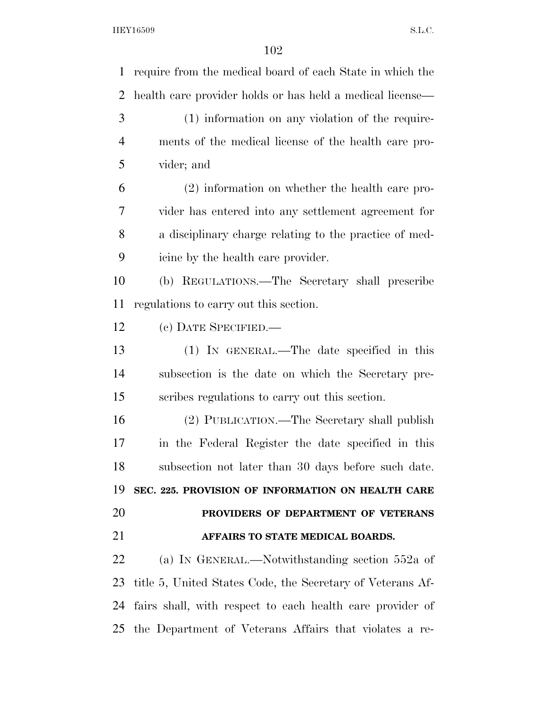require from the medical board of each State in which the health care provider holds or has held a medical license— (1) information on any violation of the require- ments of the medical license of the health care pro- vider; and (2) information on whether the health care pro- vider has entered into any settlement agreement for a disciplinary charge relating to the practice of med- icine by the health care provider. (b) REGULATIONS.—The Secretary shall prescribe regulations to carry out this section. (c) DATE SPECIFIED.— (1) IN GENERAL.—The date specified in this subsection is the date on which the Secretary pre- scribes regulations to carry out this section. (2) PUBLICATION.—The Secretary shall publish in the Federal Register the date specified in this subsection not later than 30 days before such date. **SEC. 225. PROVISION OF INFORMATION ON HEALTH CARE PROVIDERS OF DEPARTMENT OF VETERANS AFFAIRS TO STATE MEDICAL BOARDS.**  (a) IN GENERAL.—Notwithstanding section 552a of title 5, United States Code, the Secretary of Veterans Af- fairs shall, with respect to each health care provider of the Department of Veterans Affairs that violates a re-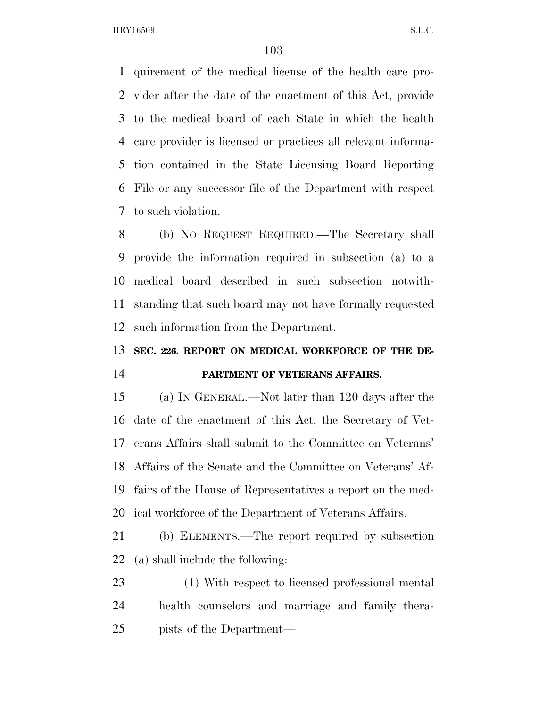quirement of the medical license of the health care pro- vider after the date of the enactment of this Act, provide to the medical board of each State in which the health care provider is licensed or practices all relevant informa- tion contained in the State Licensing Board Reporting File or any successor file of the Department with respect to such violation.

 (b) NO REQUEST REQUIRED.—The Secretary shall provide the information required in subsection (a) to a medical board described in such subsection notwith- standing that such board may not have formally requested such information from the Department.

## **SEC. 226. REPORT ON MEDICAL WORKFORCE OF THE DE-**

#### **PARTMENT OF VETERANS AFFAIRS.**

 (a) IN GENERAL.—Not later than 120 days after the date of the enactment of this Act, the Secretary of Vet- erans Affairs shall submit to the Committee on Veterans' Affairs of the Senate and the Committee on Veterans' Af- fairs of the House of Representatives a report on the med-ical workforce of the Department of Veterans Affairs.

 (b) ELEMENTS.—The report required by subsection (a) shall include the following:

 (1) With respect to licensed professional mental health counselors and marriage and family thera-pists of the Department—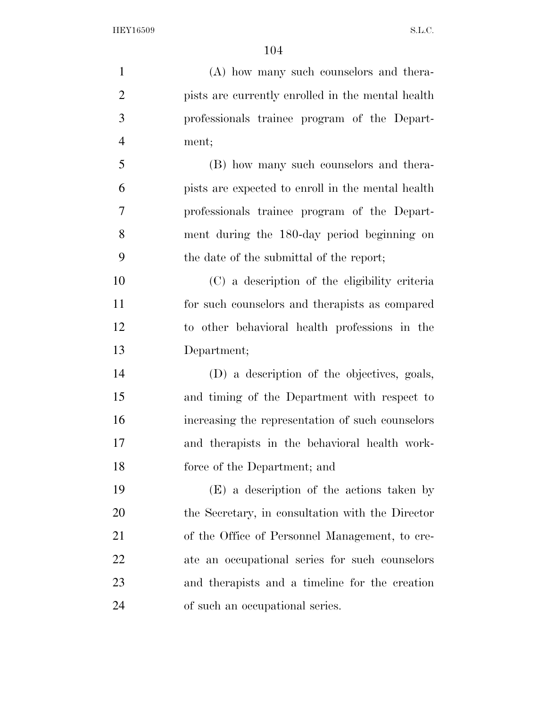(A) how many such counselors and thera- pists are currently enrolled in the mental health professionals trainee program of the Depart- ment; (B) how many such counselors and thera- pists are expected to enroll in the mental health professionals trainee program of the Depart- ment during the 180-day period beginning on the date of the submittal of the report; (C) a description of the eligibility criteria for such counselors and therapists as compared to other behavioral health professions in the Department; (D) a description of the objectives, goals, and timing of the Department with respect to increasing the representation of such counselors and therapists in the behavioral health work- force of the Department; and (E) a description of the actions taken by the Secretary, in consultation with the Director of the Office of Personnel Management, to cre- ate an occupational series for such counselors and therapists and a timeline for the creation

of such an occupational series.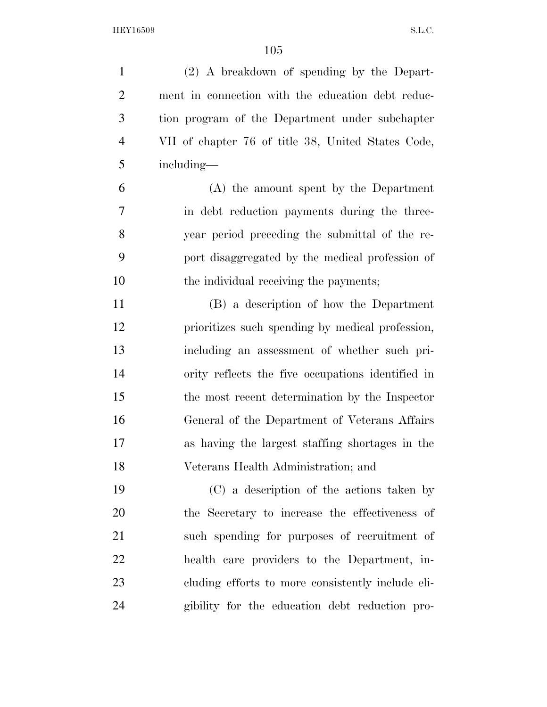(2) A breakdown of spending by the Depart- ment in connection with the education debt reduc- tion program of the Department under subchapter VII of chapter 76 of title 38, United States Code, including— (A) the amount spent by the Department in debt reduction payments during the three- year period preceding the submittal of the re- port disaggregated by the medical profession of 10 the individual receiving the payments; (B) a description of how the Department prioritizes such spending by medical profession, including an assessment of whether such pri- ority reflects the five occupations identified in the most recent determination by the Inspector General of the Department of Veterans Affairs as having the largest staffing shortages in the Veterans Health Administration; and (C) a description of the actions taken by the Secretary to increase the effectiveness of such spending for purposes of recruitment of health care providers to the Department, in- cluding efforts to more consistently include eli-gibility for the education debt reduction pro-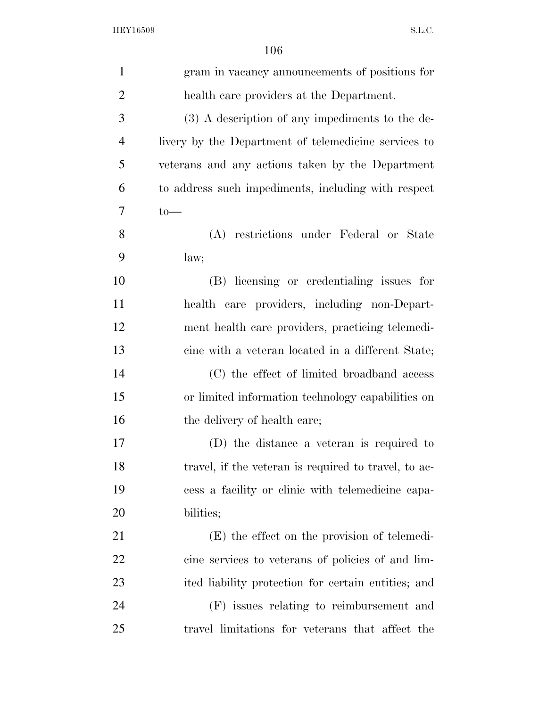| $\mathbf{1}$   | gram in vacancy announcements of positions for       |
|----------------|------------------------------------------------------|
| $\overline{2}$ | health care providers at the Department.             |
| 3              | (3) A description of any impediments to the de-      |
| $\overline{4}$ | livery by the Department of telemedicine services to |
| 5              | veterans and any actions taken by the Department     |
| 6              | to address such impediments, including with respect  |
| 7              | $to-$                                                |
| 8              | (A) restrictions under Federal or State              |
| 9              | law;                                                 |
| 10             | (B) licensing or credentialing issues for            |
| 11             | health care providers, including non-Depart-         |
| 12             | ment health care providers, practicing telemedi-     |
| 13             | cine with a veteran located in a different State;    |
| 14             | (C) the effect of limited broadband access           |
| 15             | or limited information technology capabilities on    |
| 16             | the delivery of health care;                         |
| 17             | (D) the distance a veteran is required to            |
| 18             | travel, if the veteran is required to travel, to ac- |
| 19             | cess a facility or clinic with telemedicine capa-    |
| 20             | bilities;                                            |
| 21             | (E) the effect on the provision of telemedi-         |
| 22             | cine services to veterans of policies of and lim-    |
| 23             | ited liability protection for certain entities; and  |
| 24             | (F) issues relating to reimbursement and             |
| 25             | travel limitations for veterans that affect the      |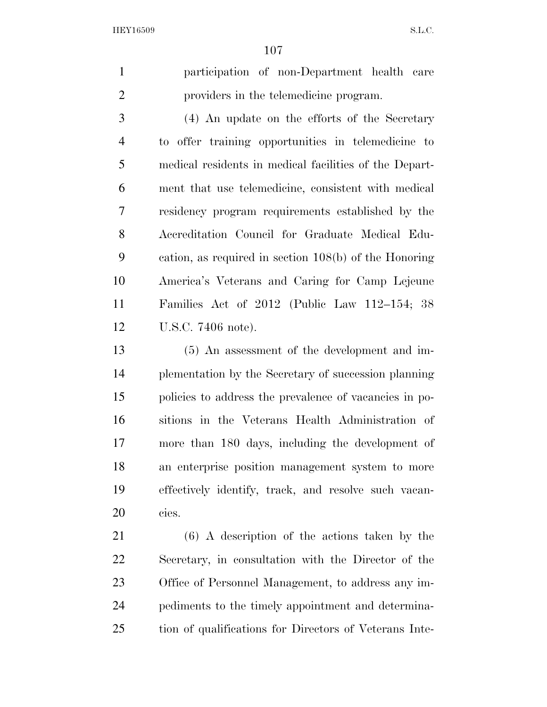participation of non-Department health care providers in the telemedicine program.

 (4) An update on the efforts of the Secretary to offer training opportunities in telemedicine to medical residents in medical facilities of the Depart- ment that use telemedicine, consistent with medical residency program requirements established by the Accreditation Council for Graduate Medical Edu- cation, as required in section 108(b) of the Honoring America's Veterans and Caring for Camp Lejeune Families Act of 2012 (Public Law 112–154; 38 U.S.C. 7406 note).

 (5) An assessment of the development and im- plementation by the Secretary of succession planning policies to address the prevalence of vacancies in po- sitions in the Veterans Health Administration of more than 180 days, including the development of an enterprise position management system to more effectively identify, track, and resolve such vacan-cies.

 (6) A description of the actions taken by the Secretary, in consultation with the Director of the Office of Personnel Management, to address any im- pediments to the timely appointment and determina-tion of qualifications for Directors of Veterans Inte-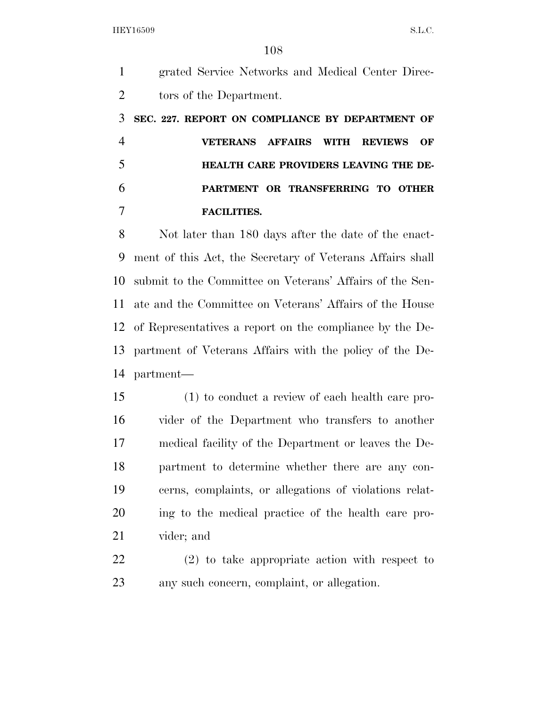grated Service Networks and Medical Center Direc- tors of the Department. **SEC. 227. REPORT ON COMPLIANCE BY DEPARTMENT OF VETERANS AFFAIRS WITH REVIEWS OF HEALTH CARE PROVIDERS LEAVING THE DE- PARTMENT OR TRANSFERRING TO OTHER FACILITIES.**  Not later than 180 days after the date of the enact- ment of this Act, the Secretary of Veterans Affairs shall submit to the Committee on Veterans' Affairs of the Sen- ate and the Committee on Veterans' Affairs of the House of Representatives a report on the compliance by the De- partment of Veterans Affairs with the policy of the De- partment— (1) to conduct a review of each health care pro- vider of the Department who transfers to another medical facility of the Department or leaves the De- partment to determine whether there are any con- cerns, complaints, or allegations of violations relat- ing to the medical practice of the health care pro- vider; and (2) to take appropriate action with respect to any such concern, complaint, or allegation.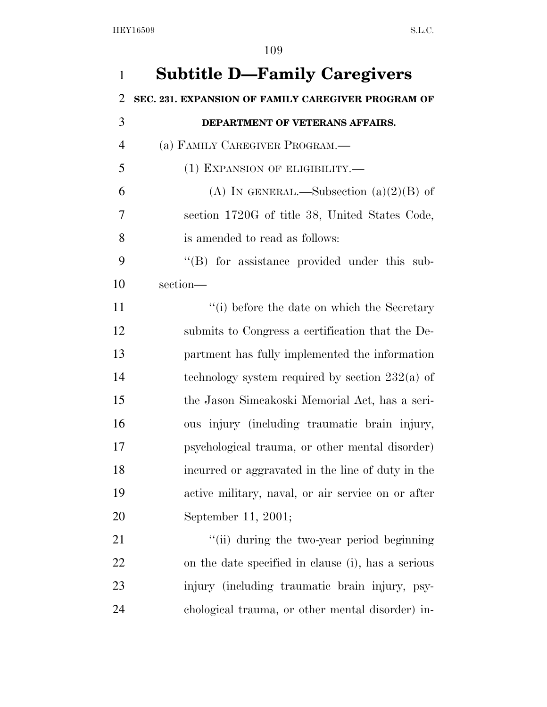| $\mathbf{1}$   | <b>Subtitle D-Family Caregivers</b>                |
|----------------|----------------------------------------------------|
| $\overline{2}$ | SEC. 231. EXPANSION OF FAMILY CAREGIVER PROGRAM OF |
| 3              | DEPARTMENT OF VETERANS AFFAIRS.                    |
| $\overline{4}$ | (a) FAMILY CAREGIVER PROGRAM.—                     |
| 5              | (1) EXPANSION OF ELIGIBILITY.—                     |
| 6              | (A) IN GENERAL.—Subsection $(a)(2)(B)$ of          |
| 7              | section 1720G of title 38, United States Code,     |
| 8              | is amended to read as follows:                     |
| 9              | "(B) for assistance provided under this sub-       |
| 10             | section-                                           |
| 11             | "(i) before the date on which the Secretary        |
| 12             | submits to Congress a certification that the De-   |
| 13             | partment has fully implemented the information     |
| 14             | technology system required by section $232(a)$ of  |
| 15             | the Jason Simcakoski Memorial Act, has a seri-     |
| 16             | ous injury (including traumatic brain injury,      |
| 17             | psychological trauma, or other mental disorder)    |
| 18             | incurred or aggravated in the line of duty in the  |
| 19             | active military, naval, or air service on or after |
| 20             | September 11, 2001;                                |
| 21             | "(ii) during the two-year period beginning         |
| 22             | on the date specified in clause (i), has a serious |
| 23             | injury (including traumatic brain injury, psy-     |
| 24             | chological trauma, or other mental disorder) in-   |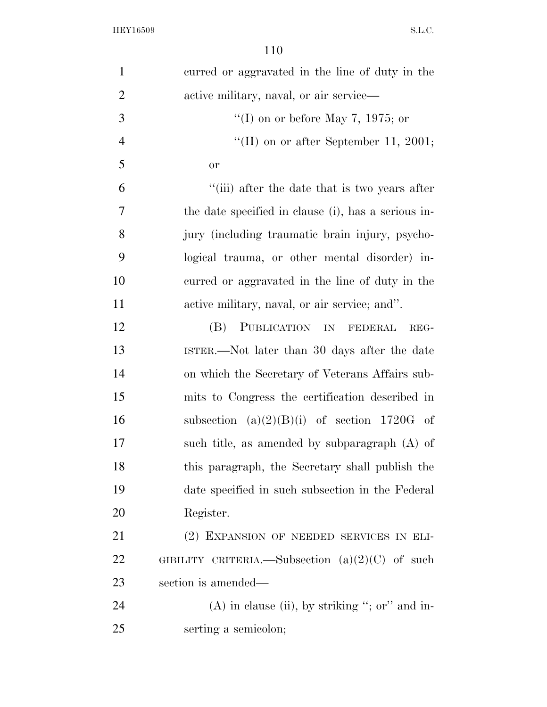| $\mathbf{1}$   | curred or aggravated in the line of duty in the     |
|----------------|-----------------------------------------------------|
| $\overline{2}$ | active military, naval, or air service—             |
| 3              | "(I) on or before May 7, 1975; or                   |
| $\overline{4}$ | "(II) on or after September 11, 2001;               |
| 5              | <b>or</b>                                           |
| 6              | "(iii) after the date that is two years after       |
| 7              | the date specified in clause (i), has a serious in- |
| 8              | jury (including traumatic brain injury, psycho-     |
| 9              | logical trauma, or other mental disorder) in-       |
| 10             | curred or aggravated in the line of duty in the     |
| 11             | active military, naval, or air service; and".       |
| 12             | (B)<br>PUBLICATION IN FEDERAL<br>REG-               |
| 13             | ISTER.—Not later than 30 days after the date        |
| 14             | on which the Secretary of Veterans Affairs sub-     |
| 15             | mits to Congress the certification described in     |
| 16             | subsection $(a)(2)(B)(i)$ of section 1720G of       |
| 17             | such title, as amended by subparagraph $(A)$ of     |
| 18             | this paragraph, the Secretary shall publish the     |
| 19             | date specified in such subsection in the Federal    |
| 20             | Register.                                           |
| 21             | (2) EXPANSION OF NEEDED SERVICES IN ELI-            |
| 22             | GIBILITY CRITERIA.—Subsection $(a)(2)(C)$ of such   |
| 23             | section is amended—                                 |
| 24             | $(A)$ in clause (ii), by striking "; or" and in-    |
| 25             | serting a semicolon;                                |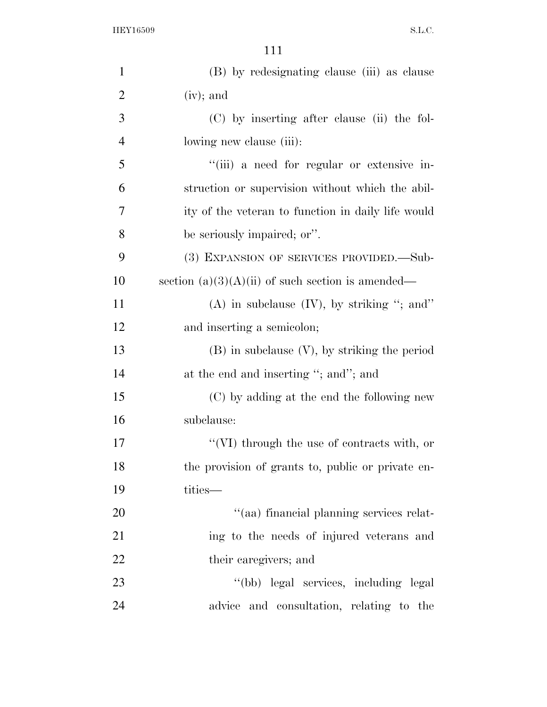| $\mathbf{1}$   | (B) by redesignating clause (iii) as clause         |
|----------------|-----------------------------------------------------|
| $\overline{2}$ | $(iv)$ ; and                                        |
| 3              | (C) by inserting after clause (ii) the fol-         |
| $\overline{4}$ | lowing new clause (iii):                            |
| 5              | "(iii) a need for regular or extensive in-          |
| 6              | struction or supervision without which the abil-    |
| 7              | ity of the veteran to function in daily life would  |
| 8              | be seriously impaired; or".                         |
| 9              | (3) EXPANSION OF SERVICES PROVIDED.—Sub-            |
| 10             | section $(a)(3)(A)(ii)$ of such section is amended— |
| 11             | $(A)$ in subclause $(IV)$ , by striking "; and"     |
| 12             | and inserting a semicolon;                          |
| 13             | $(B)$ in subclause $(V)$ , by striking the period   |
| 14             | at the end and inserting "; and"; and               |
| 15             | (C) by adding at the end the following new          |
| 16             | subclause:                                          |
| 17             | $\lq\lq$ (VI) through the use of contracts with, or |
| 18             | the provision of grants to, public or private en-   |
| 19             | tities-                                             |
| 20             | "(aa) financial planning services relat-            |
| 21             | ing to the needs of injured veterans and            |
| 22             | their caregivers; and                               |
| 23             | "(bb) legal services, including legal               |
| 24             | advice and consultation, relating to the            |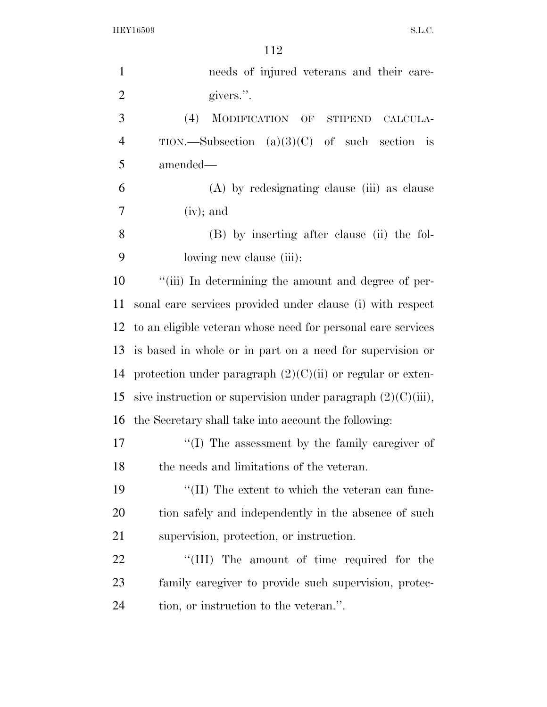| $\mathbf{1}$   | needs of injured veterans and their care-                       |
|----------------|-----------------------------------------------------------------|
| $\overline{2}$ | givers.".                                                       |
| 3              | (4)<br>MODIFICATION OF STIPEND<br>CALCULA-                      |
| $\overline{4}$ | TION.—Subsection $(a)(3)(C)$ of such section is                 |
| 5              | amended—                                                        |
| 6              | (A) by redesignating clause (iii) as clause                     |
| 7              | $(iv)$ ; and                                                    |
| 8              | (B) by inserting after clause (ii) the fol-                     |
| 9              | lowing new clause (iii):                                        |
| 10             | "(iii) In determining the amount and degree of per-             |
| 11             | sonal care services provided under clause (i) with respect      |
| 12             | to an eligible veteran whose need for personal care services    |
| 13             | is based in whole or in part on a need for supervision or       |
| 14             | protection under paragraph $(2)(C)(ii)$ or regular or exten-    |
| 15             | sive instruction or supervision under paragraph $(2)(C)(iii)$ , |
|                | 16 the Secretary shall take into account the following:         |
| 17             | "(I) The assessment by the family caregiver of                  |
| 18             | the needs and limitations of the veteran.                       |
| 19             | "(II) The extent to which the veteran can func-                 |
| 20             | tion safely and independently in the absence of such            |
| 21             | supervision, protection, or instruction.                        |
| 22             | "(III) The amount of time required for the                      |
| 23             | family caregiver to provide such supervision, protec-           |
| 24             | tion, or instruction to the veteran.".                          |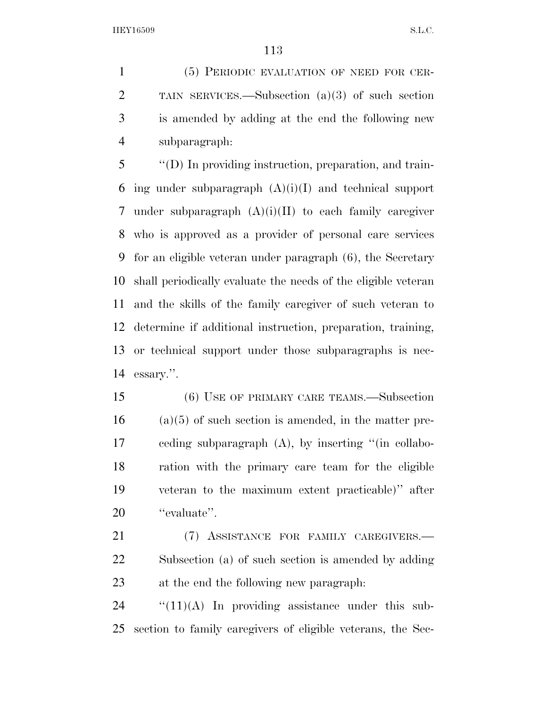(5) PERIODIC EVALUATION OF NEED FOR CER- TAIN SERVICES.—Subsection (a)(3) of such section is amended by adding at the end the following new subparagraph:

 ''(D) In providing instruction, preparation, and train-6 ing under subparagraph  $(A)(i)(I)$  and technical support 7 under subparagraph  $(A)(i)(II)$  to each family caregiver who is approved as a provider of personal care services for an eligible veteran under paragraph (6), the Secretary shall periodically evaluate the needs of the eligible veteran and the skills of the family caregiver of such veteran to determine if additional instruction, preparation, training, or technical support under those subparagraphs is nec-essary.''.

 (6) USE OF PRIMARY CARE TEAMS.—Subsection (a)(5) of such section is amended, in the matter pre- ceding subparagraph (A), by inserting ''(in collabo- ration with the primary care team for the eligible veteran to the maximum extent practicable)'' after 20 "evaluate".

 (7) ASSISTANCE FOR FAMILY CAREGIVERS.— Subsection (a) of such section is amended by adding at the end the following new paragraph:

 "(11)(A) In providing assistance under this sub-section to family caregivers of eligible veterans, the Sec-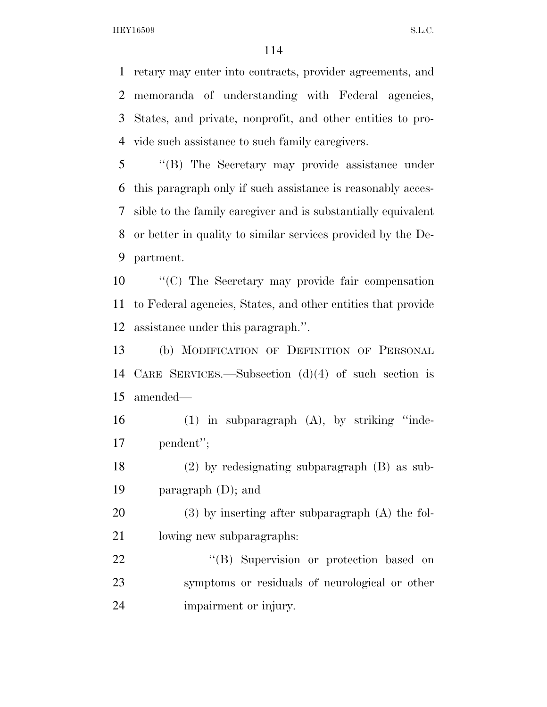retary may enter into contracts, provider agreements, and memoranda of understanding with Federal agencies, States, and private, nonprofit, and other entities to pro-vide such assistance to such family caregivers.

 ''(B) The Secretary may provide assistance under this paragraph only if such assistance is reasonably acces- sible to the family caregiver and is substantially equivalent or better in quality to similar services provided by the De-partment.

 ''(C) The Secretary may provide fair compensation to Federal agencies, States, and other entities that provide assistance under this paragraph.''.

 (b) MODIFICATION OF DEFINITION OF PERSONAL CARE SERVICES.—Subsection (d)(4) of such section is amended—

 (1) in subparagraph (A), by striking ''inde-pendent'';

 (2) by redesignating subparagraph (B) as sub-paragraph (D); and

 (3) by inserting after subparagraph (A) the fol-lowing new subparagraphs:

22 "'(B) Supervision or protection based on symptoms or residuals of neurological or other impairment or injury.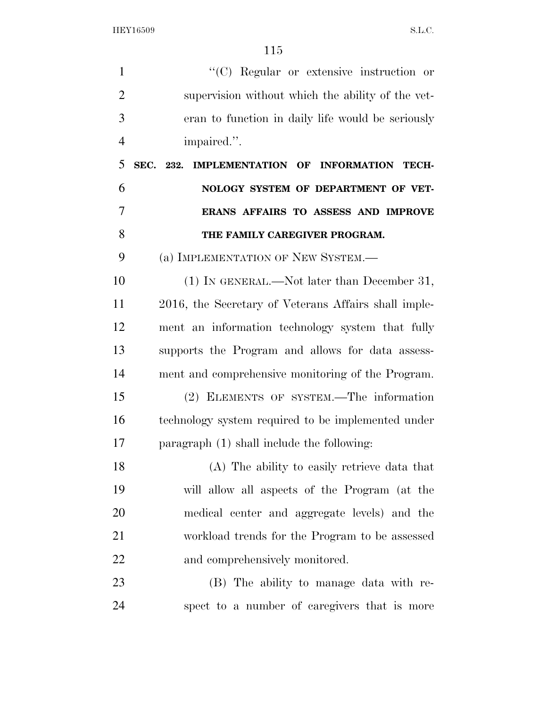$\langle ^{\prime}(C)$  Regular or extensive instruction or supervision without which the ability of the vet- eran to function in daily life would be seriously impaired.''. **SEC. 232. IMPLEMENTATION OF INFORMATION TECH- NOLOGY SYSTEM OF DEPARTMENT OF VET- ERANS AFFAIRS TO ASSESS AND IMPROVE THE FAMILY CAREGIVER PROGRAM.**  (a) IMPLEMENTATION OF NEW SYSTEM.— 10 (1) IN GENERAL.—Not later than December 31, 2016, the Secretary of Veterans Affairs shall imple- ment an information technology system that fully supports the Program and allows for data assess- ment and comprehensive monitoring of the Program. (2) ELEMENTS OF SYSTEM.—The information technology system required to be implemented under paragraph (1) shall include the following: (A) The ability to easily retrieve data that will allow all aspects of the Program (at the medical center and aggregate levels) and the workload trends for the Program to be assessed and comprehensively monitored. (B) The ability to manage data with re-spect to a number of caregivers that is more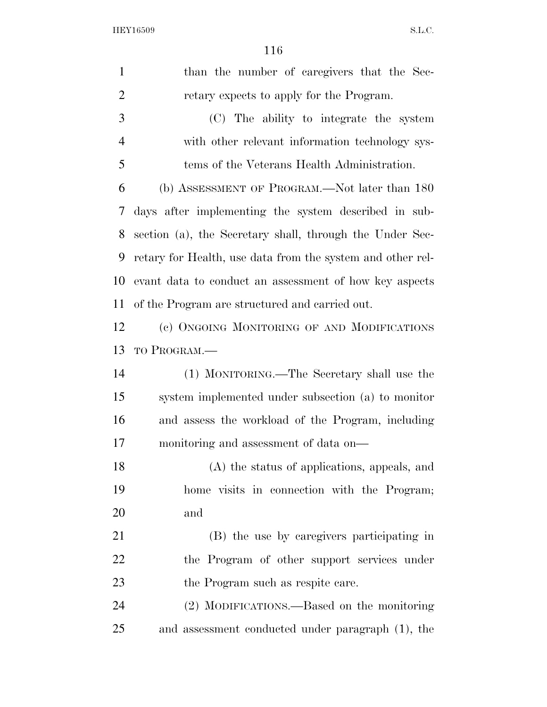| $\mathbf{1}$   | than the number of caregivers that the Sec-                |
|----------------|------------------------------------------------------------|
| $\overline{2}$ | retary expects to apply for the Program.                   |
| 3              | (C) The ability to integrate the system                    |
| $\overline{4}$ | with other relevant information technology sys-            |
| 5              | tems of the Veterans Health Administration.                |
| 6              | (b) ASSESSMENT OF PROGRAM.—Not later than 180              |
| 7              | days after implementing the system described in sub-       |
| 8              | section (a), the Secretary shall, through the Under Sec-   |
| 9              | retary for Health, use data from the system and other rel- |
| 10             | evant data to conduct an assessment of how key aspects     |
| 11             | of the Program are structured and carried out.             |
| 12             | (c) ONGOING MONITORING OF AND MODIFICATIONS                |
| 13             | TO PROGRAM.                                                |
| 14             | (1) MONITORING.—The Secretary shall use the                |
| 15             | system implemented under subsection (a) to monitor         |
| 16             | and assess the workload of the Program, including          |
| 17             | monitoring and assessment of data on—                      |
| 18             | (A) the status of applications, appeals, and               |
| 19             | home visits in connection with the Program;                |
| 20             | and                                                        |
| 21             | (B) the use by caregivers participating in                 |
| 22             | the Program of other support services under                |
| 23             | the Program such as respite care.                          |
| 24             | (2) MODIFICATIONS.—Based on the monitoring                 |
| 25             | and assessment conducted under paragraph (1), the          |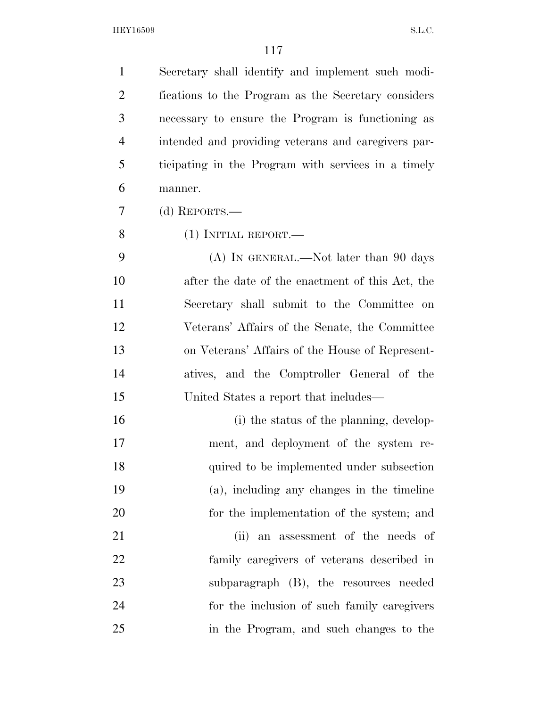Secretary shall identify and implement such modi- fications to the Program as the Secretary considers necessary to ensure the Program is functioning as intended and providing veterans and caregivers par- ticipating in the Program with services in a timely manner.

(d) REPORTS.—

(1) INITIAL REPORT.—

 (A) IN GENERAL.—Not later than 90 days after the date of the enactment of this Act, the Secretary shall submit to the Committee on Veterans' Affairs of the Senate, the Committee on Veterans' Affairs of the House of Represent- atives, and the Comptroller General of the United States a report that includes—

16 (i) the status of the planning, develop- ment, and deployment of the system re- quired to be implemented under subsection (a), including any changes in the timeline for the implementation of the system; and 21 (ii) an assessment of the needs of family caregivers of veterans described in subparagraph (B), the resources needed for the inclusion of such family caregivers

in the Program, and such changes to the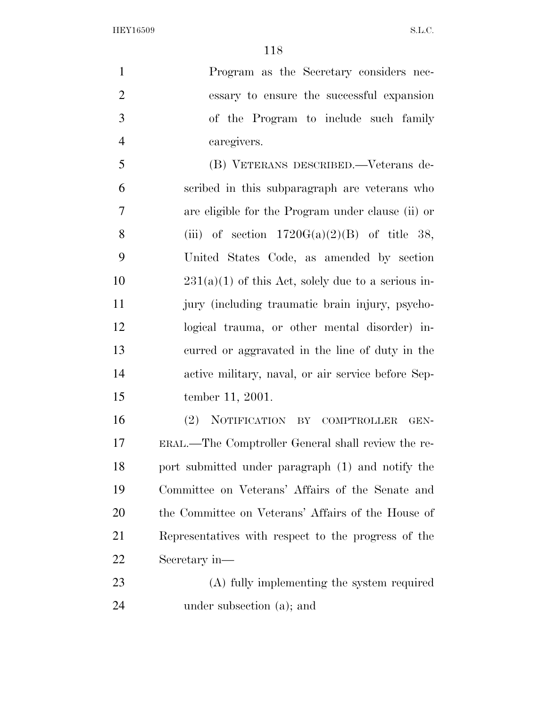Program as the Secretary considers nec- essary to ensure the successful expansion of the Program to include such family caregivers. (B) VETERANS DESCRIBED.—Veterans de- scribed in this subparagraph are veterans who are eligible for the Program under clause (ii) or 8 (iii) of section  $1720G(a)(2)(B)$  of title 38, United States Code, as amended by section 10 231(a)(1) of this Act, solely due to a serious in- jury (including traumatic brain injury, psycho- logical trauma, or other mental disorder) in- curred or aggravated in the line of duty in the active military, naval, or air service before Sep-

tember 11, 2001.

 (2) NOTIFICATION BY COMPTROLLER GEN- ERAL.—The Comptroller General shall review the re- port submitted under paragraph (1) and notify the Committee on Veterans' Affairs of the Senate and the Committee on Veterans' Affairs of the House of Representatives with respect to the progress of the Secretary in—

 (A) fully implementing the system required under subsection (a); and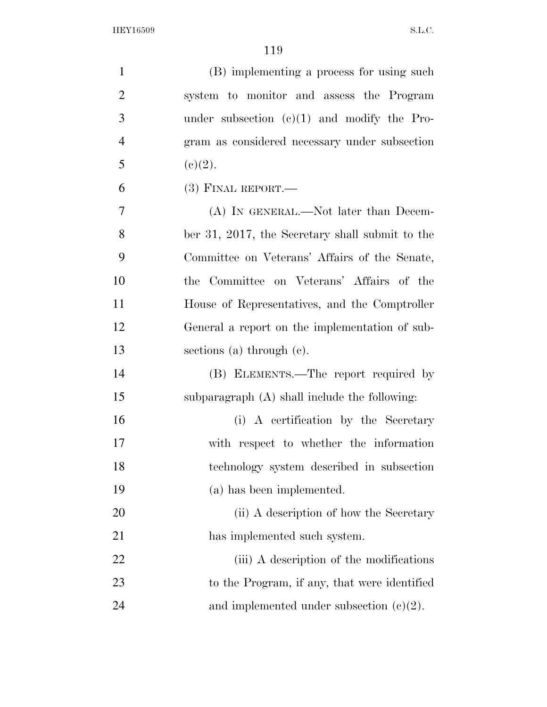| $\mathbf{1}$   | (B) implementing a process for using such       |
|----------------|-------------------------------------------------|
| $\overline{2}$ | system to monitor and assess the Program        |
| 3              | under subsection $(c)(1)$ and modify the Pro-   |
| $\overline{4}$ | gram as considered necessary under subsection   |
| 5              | (c)(2).                                         |
| 6              | $(3)$ FINAL REPORT.—                            |
| 7              | (A) IN GENERAL.—Not later than Decem-           |
| 8              | ber 31, 2017, the Secretary shall submit to the |
| 9              | Committee on Veterans' Affairs of the Senate,   |
| 10             | the Committee on Veterans' Affairs of the       |
| 11             | House of Representatives, and the Comptroller   |
| 12             | General a report on the implementation of sub-  |
| 13             | sections (a) through $(e)$ .                    |
| 14             | (B) ELEMENTS.—The report required by            |
| 15             | subparagraph (A) shall include the following:   |
| 16             | (i) A certification by the Secretary            |
| 17             | with respect to whether the information         |
| 18             | technology system described in subsection       |
| 19             | (a) has been implemented.                       |
| 20             | (ii) A description of how the Secretary         |
| 21             | has implemented such system.                    |
| 22             | (iii) A description of the modifications        |
| 23             | to the Program, if any, that were identified    |
| 24             | and implemented under subsection $(c)(2)$ .     |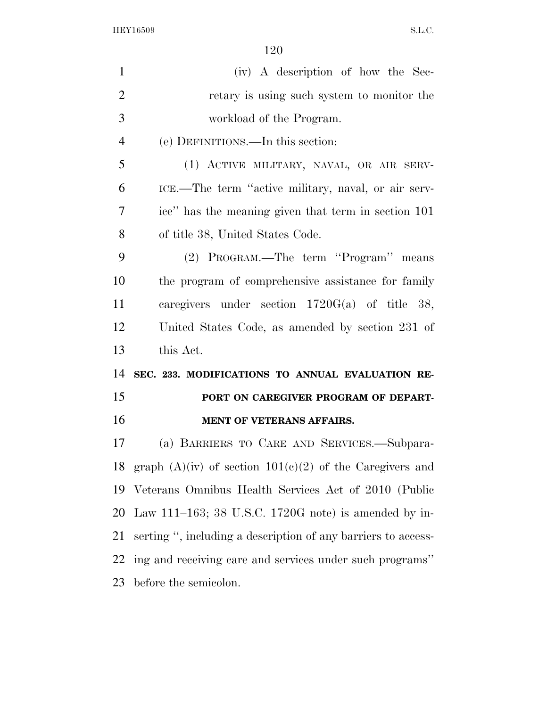| $\mathbf{1}$   | (iv) A description of how the Sec-                              |
|----------------|-----------------------------------------------------------------|
| $\overline{2}$ | retary is using such system to monitor the                      |
| 3              | workload of the Program.                                        |
| $\overline{4}$ | (e) DEFINITIONS.—In this section:                               |
| 5              | (1) ACTIVE MILITARY, NAVAL, OR AIR SERV-                        |
| 6              | ICE.—The term "active military, naval, or air serv-             |
| $\overline{7}$ | ice" has the meaning given that term in section 101             |
| 8              | of title 38, United States Code.                                |
| 9              | (2) PROGRAM.—The term "Program" means                           |
| 10             | the program of comprehensive assistance for family              |
| 11             | caregivers under section $1720G(a)$ of title 38,                |
| 12             | United States Code, as amended by section 231 of                |
| 13             | this Act.                                                       |
| 14             | SEC. 233. MODIFICATIONS TO ANNUAL EVALUATION RE-                |
| 15             | PORT ON CAREGIVER PROGRAM OF DEPART-                            |
| 16             | MENT OF VETERANS AFFAIRS.                                       |
| 17             | (a) BARRIERS TO CARE AND SERVICES.—Subpara-                     |
|                | 18 graph $(A)(iv)$ of section $101(c)(2)$ of the Caregivers and |
| 19             | Veterans Omnibus Health Services Act of 2010 (Public            |
| 20             | Law 111–163; 38 U.S.C. 1720G note) is amended by in-            |
| 21             | serting", including a description of any barriers to access-    |
| 22             | ing and receiving care and services under such programs"        |
| 23             | before the semicolon.                                           |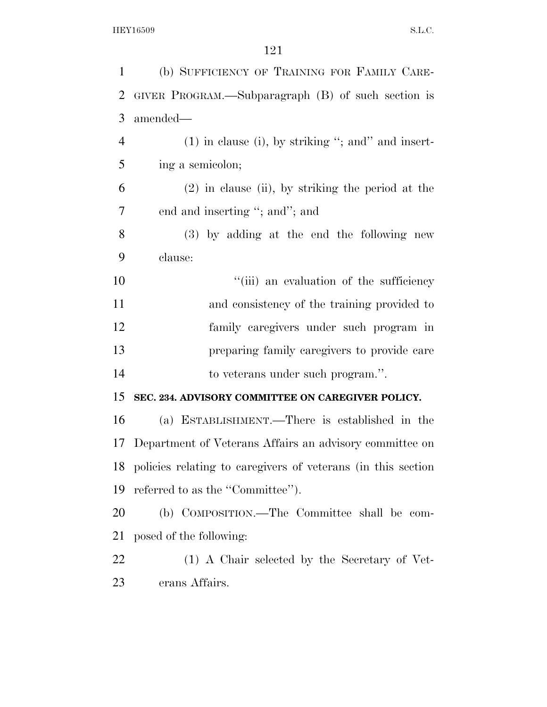| (b) SUFFICIENCY OF TRAINING FOR FAMILY CARE-                    |
|-----------------------------------------------------------------|
| GIVER PROGRAM.—Subparagraph (B) of such section is              |
| amended—                                                        |
| $(1)$ in clause (i), by striking "; and" and insert-            |
| ing a semicolon;                                                |
| $(2)$ in clause (ii), by striking the period at the             |
| end and inserting "; and"; and                                  |
| $(3)$ by adding at the end the following new                    |
| clause:                                                         |
| "(iii) an evaluation of the sufficiency                         |
| and consistency of the training provided to                     |
| family caregivers under such program in                         |
| preparing family caregivers to provide care                     |
| to veterans under such program.".                               |
| SEC. 234. ADVISORY COMMITTEE ON CAREGIVER POLICY.               |
| (a) ESTABLISHMENT.—There is established in the                  |
| Department of Veterans Affairs an advisory committee on         |
| 18 policies relating to caregivers of veterans (in this section |
| referred to as the "Committee".                                 |
| (b) COMPOSITION.—The Committee shall be com-                    |
| posed of the following:                                         |
| (1) A Chair selected by the Secretary of Vet-                   |
| erans Affairs.                                                  |
|                                                                 |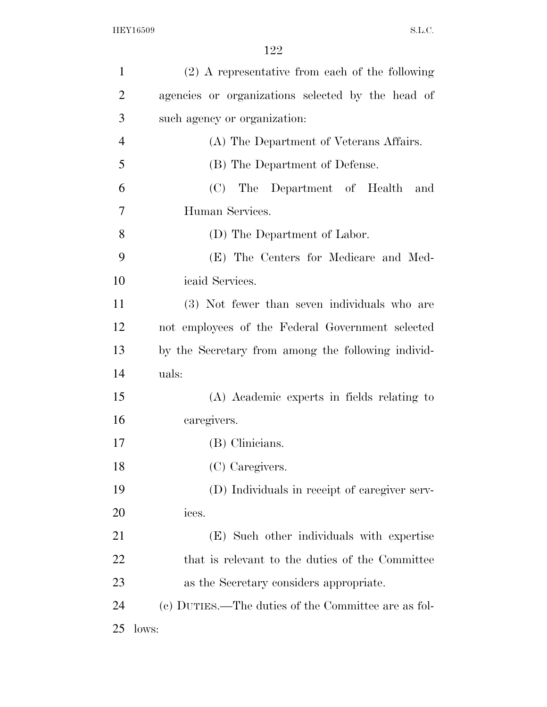| $\mathbf{1}$   | (2) A representative from each of the following     |
|----------------|-----------------------------------------------------|
| $\overline{2}$ | agencies or organizations selected by the head of   |
| 3              | such agency or organization:                        |
| $\overline{4}$ | (A) The Department of Veterans Affairs.             |
| 5              | (B) The Department of Defense.                      |
| 6              | (C) The Department of Health<br>and                 |
| $\overline{7}$ | Human Services.                                     |
| 8              | (D) The Department of Labor.                        |
| 9              | (E) The Centers for Medicare and Med-               |
| 10             | icaid Services.                                     |
| 11             | (3) Not fewer than seven individuals who are        |
| 12             | not employees of the Federal Government selected    |
| 13             | by the Secretary from among the following individ-  |
| 14             | uals:                                               |
| 15             | (A) Academic experts in fields relating to          |
| 16             | caregivers.                                         |
| 17             | (B) Clinicians.                                     |
| 18             | (C) Caregivers.                                     |
| 19             | (D) Individuals in receipt of caregiver serv-       |
| 20             | ices.                                               |
| 21             | (E) Such other individuals with expertise           |
| 22             | that is relevant to the duties of the Committee     |
| 23             | as the Secretary considers appropriate.             |
| 24             | (c) DUTIES.—The duties of the Committee are as fol- |
| 25             | lows:                                               |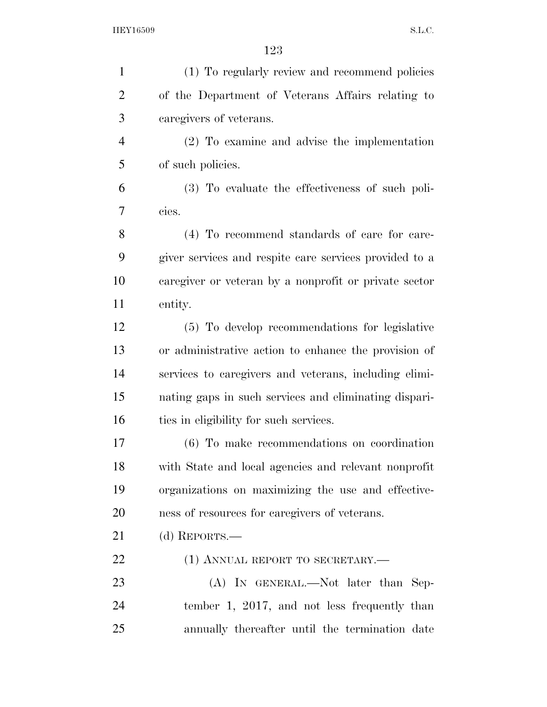| $\mathbf{1}$   | (1) To regularly review and recommend policies         |
|----------------|--------------------------------------------------------|
| $\overline{2}$ | of the Department of Veterans Affairs relating to      |
| 3              | caregivers of veterans.                                |
| $\overline{4}$ | $(2)$ To examine and advise the implementation         |
| 5              | of such policies.                                      |
| 6              | (3) To evaluate the effectiveness of such poli-        |
| 7              | cies.                                                  |
| 8              | (4) To recommend standards of care for care-           |
| 9              | giver services and respite care services provided to a |
| 10             | caregiver or veteran by a nonprofit or private sector  |
| 11             | entity.                                                |
| 12             | (5) To develop recommendations for legislative         |
| 13             | or administrative action to enhance the provision of   |
| 14             | services to caregivers and veterans, including elimi-  |
| 15             | nating gaps in such services and eliminating dispari-  |
| 16             | ties in eligibility for such services.                 |
| 17             | (6) To make recommendations on coordination            |
| 18             | with State and local agencies and relevant nonprofit   |
| 19             | organizations on maximizing the use and effective-     |
| 20             | ness of resources for caregivers of veterans.          |
| 21             | (d) REPORTS.—                                          |
| 22             | (1) ANNUAL REPORT TO SECRETARY.—                       |
| 23             | (A) IN GENERAL.—Not later than Sep-                    |
| 24             | tember 1, 2017, and not less frequently than           |
| 25             | annually thereafter until the termination date         |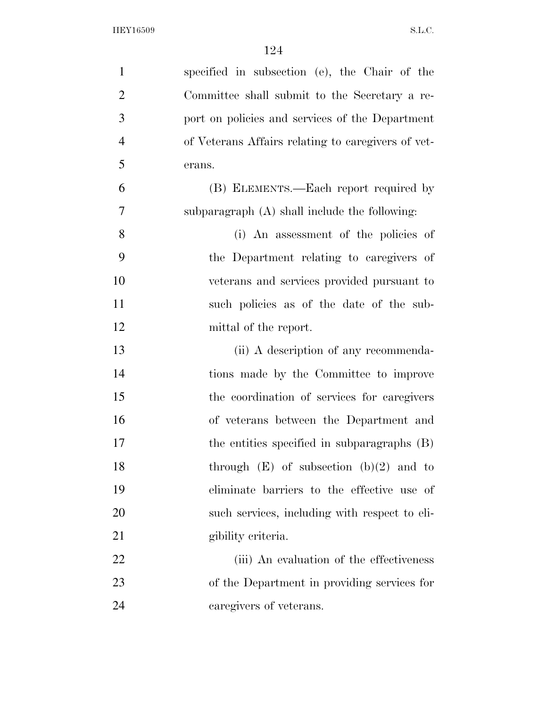| $\mathbf{1}$   | specified in subsection (e), the Chair of the      |
|----------------|----------------------------------------------------|
| $\overline{2}$ | Committee shall submit to the Secretary a re-      |
| 3              | port on policies and services of the Department    |
| $\overline{4}$ | of Veterans Affairs relating to caregivers of vet- |
| 5              | erans.                                             |
| 6              | (B) ELEMENTS.—Each report required by              |
| 7              | subparagraph $(A)$ shall include the following:    |
| 8              | (i) An assessment of the policies of               |
| 9              | the Department relating to caregivers of           |
| 10             | veterans and services provided pursuant to         |
| 11             | such policies as of the date of the sub-           |
| 12             | mittal of the report.                              |
| 13             | (ii) A description of any recommenda-              |
| 14             | tions made by the Committee to improve             |
| 15             | the coordination of services for caregivers        |
| 16             | of veterans between the Department and             |
| 17             | the entities specified in subparagraphs (B)        |
| 18             | through $(E)$ of subsection $(b)(2)$ and to        |
| 19             | eliminate barriers to the effective use of         |
| 20             | such services, including with respect to eli-      |
| 21             | gibility criteria.                                 |
| 22             | (iii) An evaluation of the effectiveness           |
| 23             | of the Department in providing services for        |
| 24             | caregivers of veterans.                            |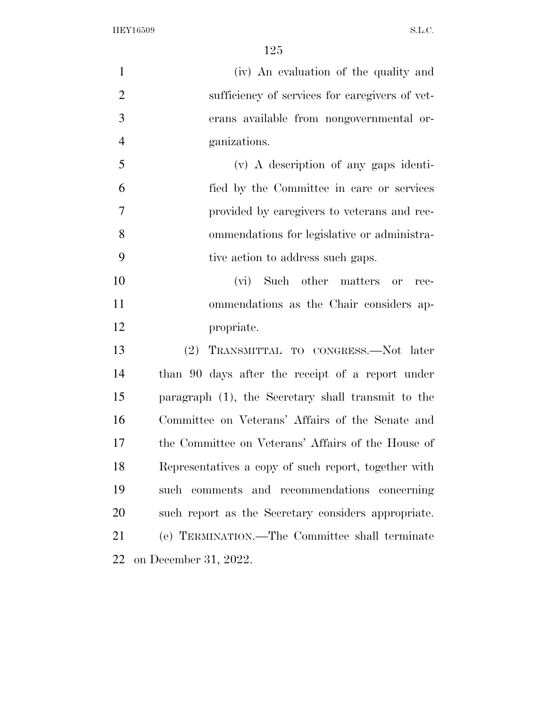| $\mathbf{1}$   | (iv) An evaluation of the quality and                |
|----------------|------------------------------------------------------|
| $\overline{2}$ | sufficiency of services for caregivers of vet-       |
| 3              | erans available from nongovernmental or-             |
| $\overline{4}$ | ganizations.                                         |
| 5              | $(v)$ A description of any gaps identi-              |
| 6              | fied by the Committee in care or services            |
| 7              | provided by caregivers to veterans and rec-          |
| 8              | ommendations for legislative or administra-          |
| 9              | tive action to address such gaps.                    |
| 10             | (vi) Such other matters<br>or<br>rec-                |
| 11             | ommendations as the Chair considers ap-              |
| 12             | propriate.                                           |
| 13             | (2)<br>TRANSMITTAL TO CONGRESS.-Not later            |
| 14             | than 90 days after the receipt of a report under     |
| 15             | paragraph (1), the Secretary shall transmit to the   |
| 16             | Committee on Veterans' Affairs of the Senate and     |
| 17             | the Committee on Veterans' Affairs of the House of   |
| 18             | Representatives a copy of such report, together with |
| 19             | such comments and recommendations concerning         |
| 20             | such report as the Secretary considers appropriate.  |
| 21             | (e) TERMINATION.—The Committee shall terminate       |
| 22             | on December 31, 2022.                                |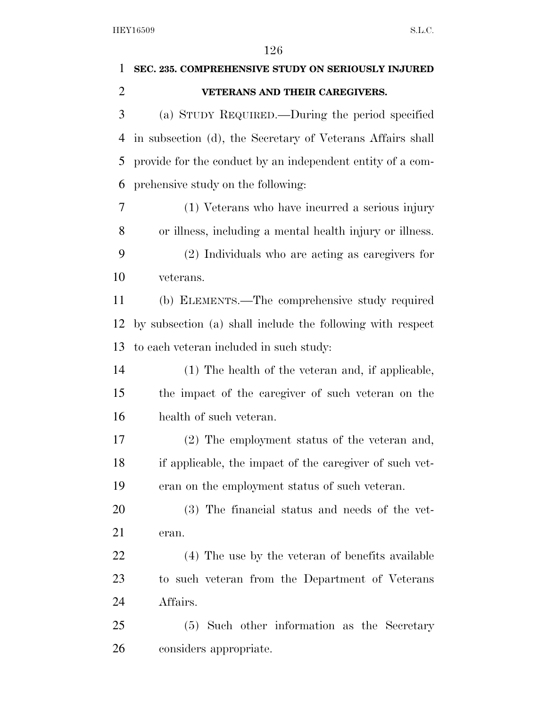| 1              | SEC. 235. COMPREHENSIVE STUDY ON SERIOUSLY INJURED         |
|----------------|------------------------------------------------------------|
| $\overline{2}$ | VETERANS AND THEIR CAREGIVERS.                             |
| 3              | (a) STUDY REQUIRED.—During the period specified            |
| 4              | in subsection (d), the Secretary of Veterans Affairs shall |
| 5              | provide for the conduct by an independent entity of a com- |
| 6              | prehensive study on the following:                         |
| 7              | (1) Veterans who have incurred a serious injury            |
| 8              | or illness, including a mental health injury or illness.   |
| 9              | (2) Individuals who are acting as caregivers for           |
| 10             | veterans.                                                  |
| 11             | (b) ELEMENTS.—The comprehensive study required             |
| 12             | by subsection (a) shall include the following with respect |
| 13             | to each veteran included in such study:                    |
| 14             | (1) The health of the veteran and, if applicable,          |
| 15             | the impact of the caregiver of such veteran on the         |
| 16             | health of such veteran.                                    |
| 17             | (2) The employment status of the veteran and,              |
| 18             | if applicable, the impact of the caregiver of such vet-    |
| 19             | eran on the employment status of such veteran.             |
| 20             | (3) The financial status and needs of the vet-             |
| 21             | eran.                                                      |
| 22             | (4) The use by the veteran of benefits available           |
| 23             | to such veteran from the Department of Veterans            |
| 24             | Affairs.                                                   |
| 25             | (5) Such other information as the Secretary                |
| 26             | considers appropriate.                                     |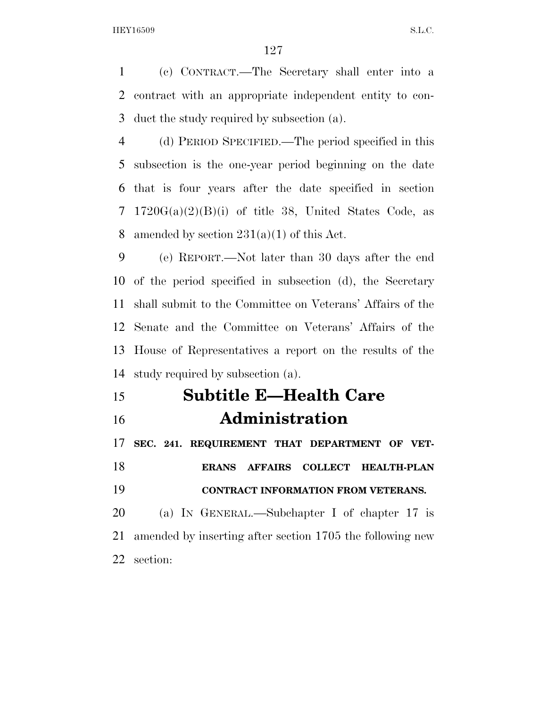(c) CONTRACT.—The Secretary shall enter into a contract with an appropriate independent entity to con-duct the study required by subsection (a).

 (d) PERIOD SPECIFIED.—The period specified in this subsection is the one-year period beginning on the date that is four years after the date specified in section 7 1720 $G(a)(2)(B)(i)$  of title 38, United States Code, as 8 amended by section  $231(a)(1)$  of this Act.

 (e) REPORT.—Not later than 30 days after the end of the period specified in subsection (d), the Secretary shall submit to the Committee on Veterans' Affairs of the Senate and the Committee on Veterans' Affairs of the House of Representatives a report on the results of the study required by subsection (a).

 **Subtitle E—Health Care Administration** 

 **SEC. 241. REQUIREMENT THAT DEPARTMENT OF VET- ERANS AFFAIRS COLLECT HEALTH-PLAN CONTRACT INFORMATION FROM VETERANS.**  (a) IN GENERAL.—Subchapter I of chapter 17 is amended by inserting after section 1705 the following new section: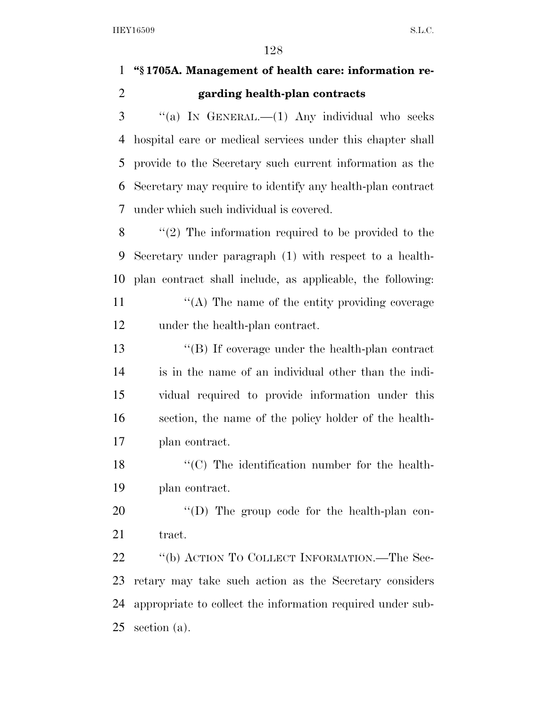### **''§ 1705A. Management of health care: information re-garding health-plan contracts**

 "(a) In GENERAL.—(1) Any individual who seeks hospital care or medical services under this chapter shall provide to the Secretary such current information as the Secretary may require to identify any health-plan contract under which such individual is covered.

 $\langle$  (2) The information required to be provided to the Secretary under paragraph (1) with respect to a health- plan contract shall include, as applicable, the following:  $\langle (A)$  The name of the entity providing coverage under the health-plan contract.

 ''(B) If coverage under the health-plan contract is in the name of an individual other than the indi- vidual required to provide information under this section, the name of the policy holder of the health-plan contract.

18 ''(C) The identification number for the health-plan contract.

20  $\langle\text{`(D)}\rangle$  The group code for the health-plan con-21 tract.

22 "(b) ACTION TO COLLECT INFORMATION.—The Sec- retary may take such action as the Secretary considers appropriate to collect the information required under sub-section (a).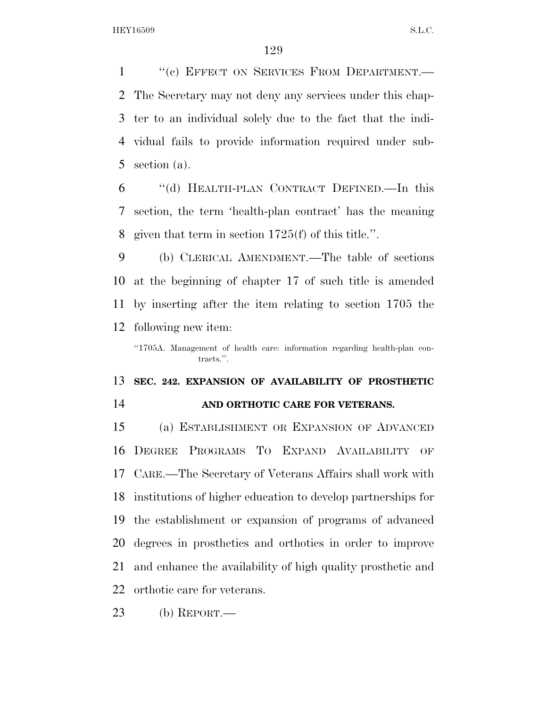1 "(c) EFFECT ON SERVICES FROM DEPARTMENT. The Secretary may not deny any services under this chap- ter to an individual solely due to the fact that the indi- vidual fails to provide information required under sub-section (a).

 ''(d) HEALTH-PLAN CONTRACT DEFINED.—In this section, the term 'health-plan contract' has the meaning given that term in section 1725(f) of this title.''.

 (b) CLERICAL AMENDMENT.—The table of sections at the beginning of chapter 17 of such title is amended by inserting after the item relating to section 1705 the following new item:

"1705A. Management of health care: information regarding health-plan contracts.''.

#### **SEC. 242. EXPANSION OF AVAILABILITY OF PROSTHETIC**

#### **AND ORTHOTIC CARE FOR VETERANS.**

 (a) ESTABLISHMENT OR EXPANSION OF ADVANCED DEGREE PROGRAMS TO EXPAND AVAILABILITY OF CARE.—The Secretary of Veterans Affairs shall work with institutions of higher education to develop partnerships for the establishment or expansion of programs of advanced degrees in prosthetics and orthotics in order to improve and enhance the availability of high quality prosthetic and orthotic care for veterans.

(b) REPORT.—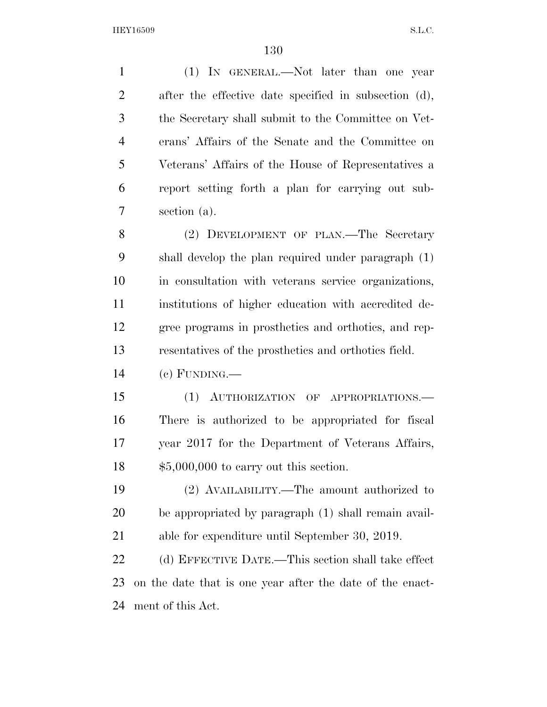(1) IN GENERAL.—Not later than one year after the effective date specified in subsection (d), the Secretary shall submit to the Committee on Vet- erans' Affairs of the Senate and the Committee on Veterans' Affairs of the House of Representatives a report setting forth a plan for carrying out sub- section (a). 8 (2) DEVELOPMENT OF PLAN.—The Secretary

 shall develop the plan required under paragraph (1) in consultation with veterans service organizations, institutions of higher education with accredited de- gree programs in prosthetics and orthotics, and rep-resentatives of the prosthetics and orthotics field.

 $14 \quad (e)$  FUNDING.—

 (1) AUTHORIZATION OF APPROPRIATIONS.— There is authorized to be appropriated for fiscal year 2017 for the Department of Veterans Affairs, \$5,000,000 to carry out this section.

 (2) AVAILABILITY.—The amount authorized to be appropriated by paragraph (1) shall remain avail-able for expenditure until September 30, 2019.

 (d) EFFECTIVE DATE.—This section shall take effect on the date that is one year after the date of the enact-ment of this Act.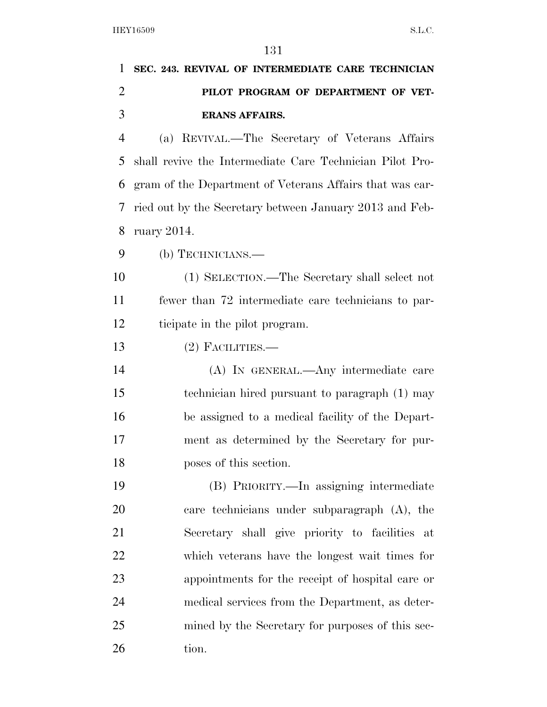| 1              | SEC. 243. REVIVAL OF INTERMEDIATE CARE TECHNICIAN        |
|----------------|----------------------------------------------------------|
| $\overline{2}$ | PILOT PROGRAM OF DEPARTMENT OF VET-                      |
| 3              | <b>ERANS AFFAIRS.</b>                                    |
| 4              | (a) REVIVAL.—The Secretary of Veterans Affairs           |
| 5              | shall revive the Intermediate Care Technician Pilot Pro- |
| 6              | gram of the Department of Veterans Affairs that was car- |
| 7              | ried out by the Secretary between January 2013 and Feb-  |
| 8              | ruary $2014$ .                                           |
| 9              | (b) TECHNICIANS.—                                        |
| 10             | (1) SELECTION.—The Secretary shall select not            |
| 11             | fewer than 72 intermediate care technicians to par-      |
| 12             | ticipate in the pilot program.                           |
| 13             | $(2)$ FACILITIES.—                                       |
| 14             | (A) IN GENERAL.—Any intermediate care                    |
| 15             | technician hired pursuant to paragraph (1) may           |
| 16             | be assigned to a medical facility of the Depart-         |
| 17             | ment as determined by the Secretary for pur-             |
| 18             | poses of this section.                                   |
| 19             | (B) PRIORITY.—In assigning intermediate                  |
| 20             | care technicians under subparagraph (A), the             |
| 21             | Secretary shall give priority to facilities at           |
| 22             | which veterans have the longest wait times for           |
| 23             | appointments for the receipt of hospital care or         |
| 24             | medical services from the Department, as deter-          |
| 25             | mined by the Secretary for purposes of this sec-         |
| 26             | tion.                                                    |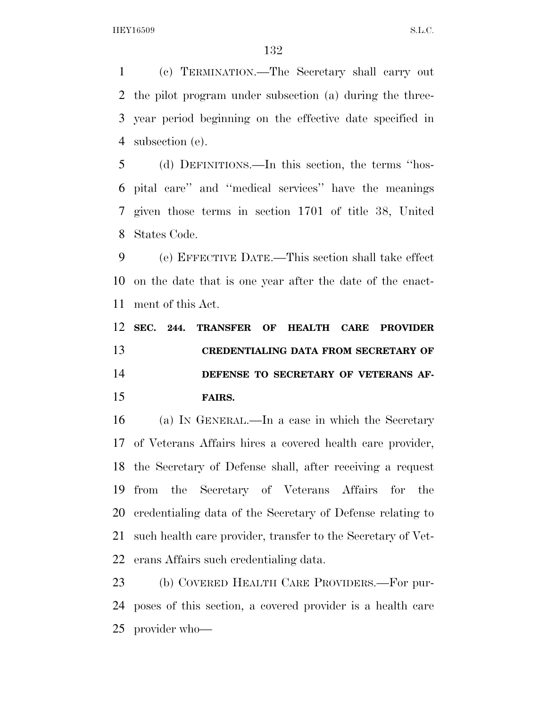(c) TERMINATION.—The Secretary shall carry out the pilot program under subsection (a) during the three- year period beginning on the effective date specified in subsection (e).

 (d) DEFINITIONS.—In this section, the terms ''hos- pital care'' and ''medical services'' have the meanings given those terms in section 1701 of title 38, United States Code.

 (e) EFFECTIVE DATE.—This section shall take effect on the date that is one year after the date of the enact-ment of this Act.

## **SEC. 244. TRANSFER OF HEALTH CARE PROVIDER CREDENTIALING DATA FROM SECRETARY OF DEFENSE TO SECRETARY OF VETERANS AF-FAIRS.**

 (a) IN GENERAL.—In a case in which the Secretary of Veterans Affairs hires a covered health care provider, the Secretary of Defense shall, after receiving a request from the Secretary of Veterans Affairs for the credentialing data of the Secretary of Defense relating to such health care provider, transfer to the Secretary of Vet-erans Affairs such credentialing data.

 (b) COVERED HEALTH CARE PROVIDERS.—For pur- poses of this section, a covered provider is a health care provider who—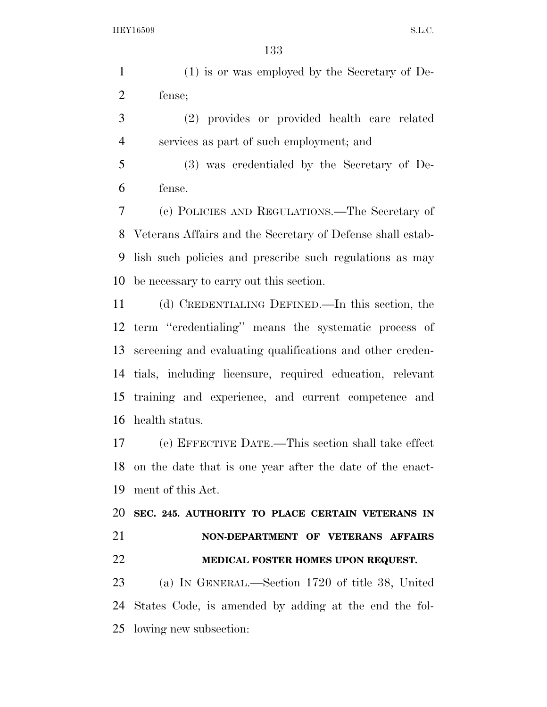(1) is or was employed by the Secretary of De-fense;

 (2) provides or provided health care related services as part of such employment; and

 (3) was credentialed by the Secretary of De-fense.

 (c) POLICIES AND REGULATIONS.—The Secretary of Veterans Affairs and the Secretary of Defense shall estab- lish such policies and prescribe such regulations as may be necessary to carry out this section.

 (d) CREDENTIALING DEFINED.—In this section, the term ''credentialing'' means the systematic process of screening and evaluating qualifications and other creden- tials, including licensure, required education, relevant training and experience, and current competence and health status.

 (e) EFFECTIVE DATE.—This section shall take effect on the date that is one year after the date of the enact-ment of this Act.

 **SEC. 245. AUTHORITY TO PLACE CERTAIN VETERANS IN NON-DEPARTMENT OF VETERANS AFFAIRS MEDICAL FOSTER HOMES UPON REQUEST.** 

 (a) IN GENERAL.—Section 1720 of title 38, United States Code, is amended by adding at the end the fol-lowing new subsection: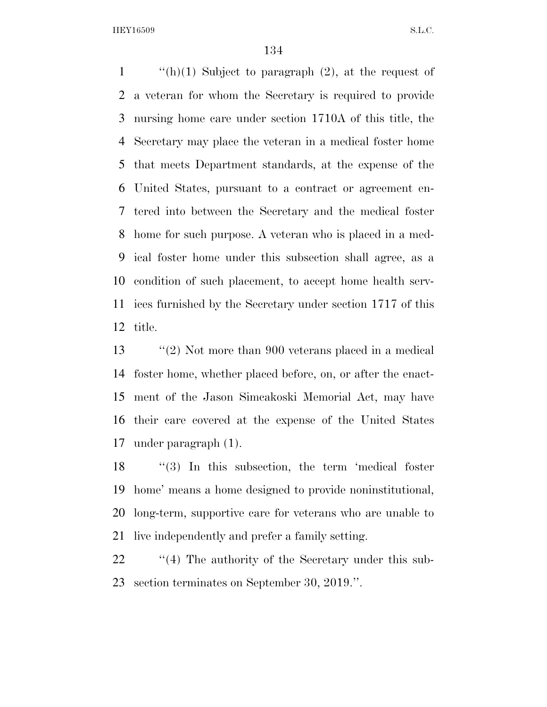$\frac{1}{\ln(1)}$  Subject to paragraph (2), at the request of a veteran for whom the Secretary is required to provide nursing home care under section 1710A of this title, the Secretary may place the veteran in a medical foster home that meets Department standards, at the expense of the United States, pursuant to a contract or agreement en- tered into between the Secretary and the medical foster home for such purpose. A veteran who is placed in a med- ical foster home under this subsection shall agree, as a condition of such placement, to accept home health serv- ices furnished by the Secretary under section 1717 of this title.

 ''(2) Not more than 900 veterans placed in a medical foster home, whether placed before, on, or after the enact- ment of the Jason Simcakoski Memorial Act, may have their care covered at the expense of the United States under paragraph (1).

18 "(3) In this subsection, the term 'medical foster home' means a home designed to provide noninstitutional, long-term, supportive care for veterans who are unable to live independently and prefer a family setting.

22 ''(4) The authority of the Secretary under this sub-section terminates on September 30, 2019.''.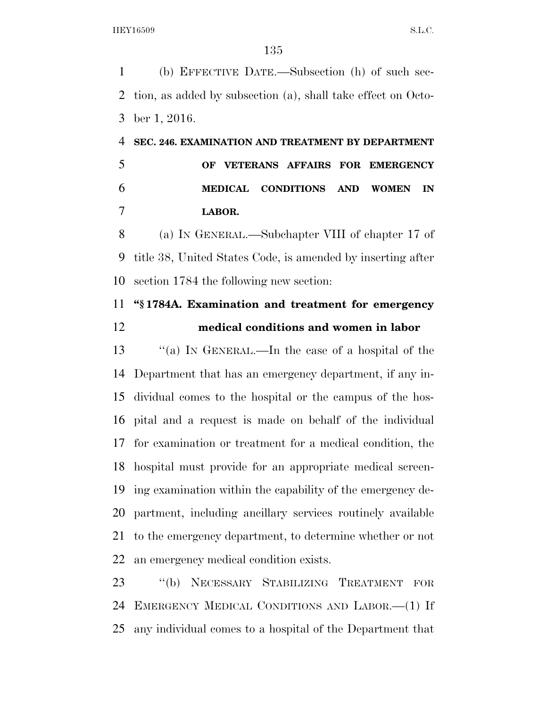(b) EFFECTIVE DATE.—Subsection (h) of such sec- tion, as added by subsection (a), shall take effect on Octo-ber 1, 2016.

# **SEC. 246. EXAMINATION AND TREATMENT BY DEPARTMENT OF VETERANS AFFAIRS FOR EMERGENCY MEDICAL CONDITIONS AND WOMEN IN LABOR.**

 (a) IN GENERAL.—Subchapter VIII of chapter 17 of title 38, United States Code, is amended by inserting after section 1784 the following new section:

### **''§ 1784A. Examination and treatment for emergency medical conditions and women in labor**

 ''(a) IN GENERAL.—In the case of a hospital of the Department that has an emergency department, if any in- dividual comes to the hospital or the campus of the hos- pital and a request is made on behalf of the individual for examination or treatment for a medical condition, the hospital must provide for an appropriate medical screen- ing examination within the capability of the emergency de- partment, including ancillary services routinely available to the emergency department, to determine whether or not an emergency medical condition exists.

 ''(b) NECESSARY STABILIZING TREATMENT FOR EMERGENCY MEDICAL CONDITIONS AND LABOR.—(1) If any individual comes to a hospital of the Department that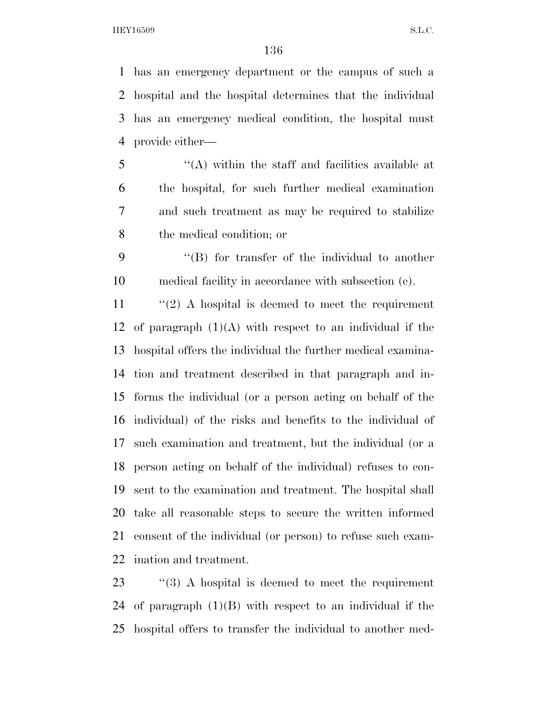has an emergency department or the campus of such a hospital and the hospital determines that the individual has an emergency medical condition, the hospital must provide either—

 ''(A) within the staff and facilities available at the hospital, for such further medical examination and such treatment as may be required to stabilize the medical condition; or

 ''(B) for transfer of the individual to another medical facility in accordance with subsection (c).

 ''(2) A hospital is deemed to meet the requirement 12 of paragraph  $(1)(A)$  with respect to an individual if the hospital offers the individual the further medical examina- tion and treatment described in that paragraph and in- forms the individual (or a person acting on behalf of the individual) of the risks and benefits to the individual of such examination and treatment, but the individual (or a person acting on behalf of the individual) refuses to con- sent to the examination and treatment. The hospital shall take all reasonable steps to secure the written informed consent of the individual (or person) to refuse such exam-ination and treatment.

 ''(3) A hospital is deemed to meet the requirement 24 of paragraph  $(1)(B)$  with respect to an individual if the hospital offers to transfer the individual to another med-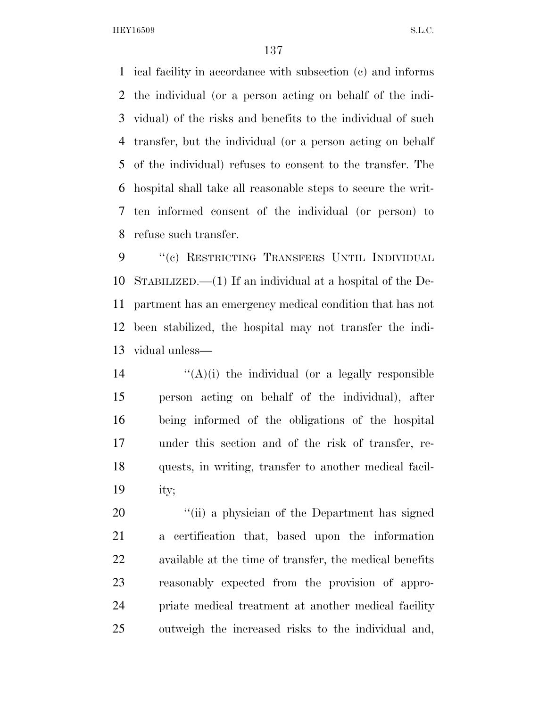ical facility in accordance with subsection (c) and informs the individual (or a person acting on behalf of the indi- vidual) of the risks and benefits to the individual of such transfer, but the individual (or a person acting on behalf of the individual) refuses to consent to the transfer. The hospital shall take all reasonable steps to secure the writ- ten informed consent of the individual (or person) to refuse such transfer.

 ''(c) RESTRICTING TRANSFERS UNTIL INDIVIDUAL STABILIZED.—(1) If an individual at a hospital of the De- partment has an emergency medical condition that has not been stabilized, the hospital may not transfer the indi-vidual unless—

 $((A)(i)$  the individual (or a legally responsible person acting on behalf of the individual), after being informed of the obligations of the hospital under this section and of the risk of transfer, re- quests, in writing, transfer to another medical facil-ity;

20 "(ii) a physician of the Department has signed a certification that, based upon the information available at the time of transfer, the medical benefits reasonably expected from the provision of appro- priate medical treatment at another medical facility outweigh the increased risks to the individual and,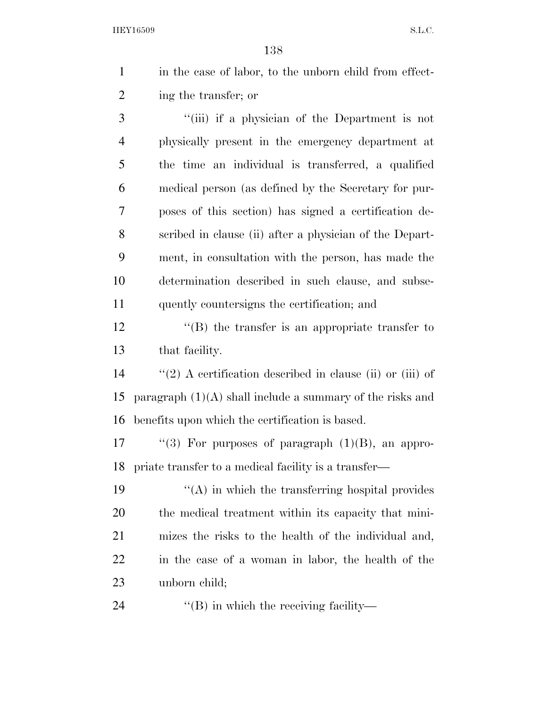| $\mathbf{1}$   | in the case of labor, to the unborn child from effect-      |
|----------------|-------------------------------------------------------------|
| $\overline{2}$ | ing the transfer; or                                        |
| 3              | "(iii) if a physician of the Department is not              |
| $\overline{4}$ | physically present in the emergency department at           |
| 5              | the time an individual is transferred, a qualified          |
| 6              | medical person (as defined by the Secretary for pur-        |
| 7              | poses of this section) has signed a certification de-       |
| 8              | scribed in clause (ii) after a physician of the Depart-     |
| 9              | ment, in consultation with the person, has made the         |
| 10             | determination described in such clause, and subse-          |
| 11             | quently countersigns the certification; and                 |
| 12             | "(B) the transfer is an appropriate transfer to             |
| 13             | that facility.                                              |
| 14             | "(2) A certification described in clause (ii) or (iii) of   |
| 15             | paragraph $(1)(A)$ shall include a summary of the risks and |
| 16             | benefits upon which the certification is based.             |
| 17             | "(3) For purposes of paragraph $(1)(B)$ , an appro-         |
| 18             | priate transfer to a medical facility is a transfer—        |
| 19             | $\lq\lq$ (A) in which the transferring hospital provides    |

 $\mathbf{19}$   $\mathbf{(A)}$  in which the transferring hospital provides the medical treatment within its capacity that mini- mizes the risks to the health of the individual and, in the case of a woman in labor, the health of the unborn child;

24 ''(B) in which the receiving facility-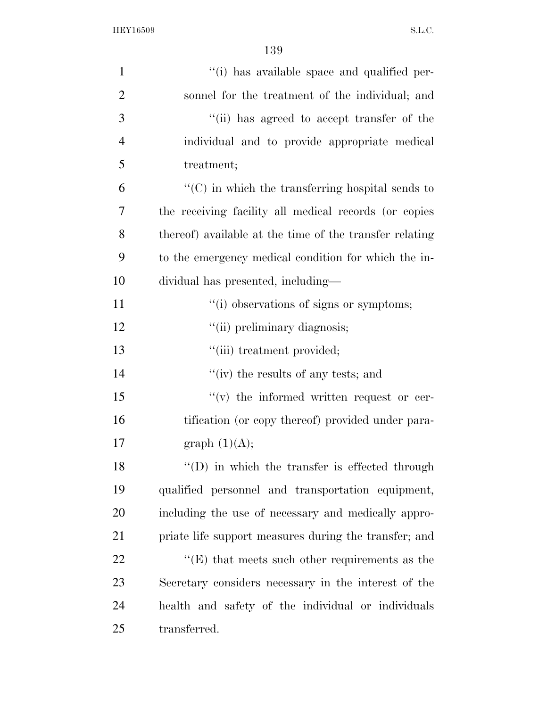| $\mathbf{1}$   | "(i) has available space and qualified per-                           |
|----------------|-----------------------------------------------------------------------|
| $\overline{2}$ | sonnel for the treatment of the individual; and                       |
| 3              | "(ii) has agreed to accept transfer of the                            |
| 4              | individual and to provide appropriate medical                         |
| 5              | treatment;                                                            |
| 6              | $\lq\lq$ <sup>*</sup> (C) in which the transferring hospital sends to |
| 7              | the receiving facility all medical records (or copies                 |
| 8              | thereof) available at the time of the transfer relating               |
| 9              | to the emergency medical condition for which the in-                  |
| 10             | dividual has presented, including—                                    |
| 11             | "(i) observations of signs or symptoms;                               |
| 12             | "(ii) preliminary diagnosis;                                          |
| 13             | "(iii) treatment provided;                                            |
| 14             | "(iv) the results of any tests; and                                   |
| 15             | $f'(v)$ the informed written request or cer-                          |
| 16             | tification (or copy thereof) provided under para-                     |
| 17             | graph $(1)(A);$                                                       |
| 18             | $``(D)$ in which the transfer is effected through                     |
| 19             | qualified personnel and transportation equipment,                     |
| 20             | including the use of necessary and medically appro-                   |
| 21             | priate life support measures during the transfer; and                 |
| 22             | $\lq\lq(E)$ that meets such other requirements as the                 |
| 23             | Secretary considers necessary in the interest of the                  |
| 24             | health and safety of the individual or individuals                    |
| 25             | transferred.                                                          |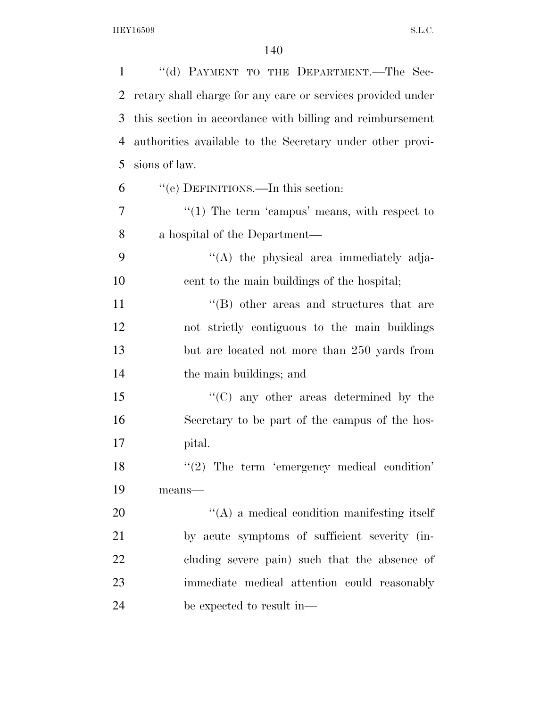| $\mathbf{1}$   | "(d) PAYMENT TO THE DEPARTMENT.—The Sec-                    |
|----------------|-------------------------------------------------------------|
| 2              | retary shall charge for any care or services provided under |
| 3              | this section in accordance with billing and reimbursement   |
| 4              | authorities available to the Secretary under other provi-   |
| 5              | sions of law.                                               |
| 6              | "(e) DEFINITIONS.—In this section:                          |
| $\overline{7}$ | $\lq(1)$ The term 'campus' means, with respect to           |
| 8              | a hospital of the Department—                               |
| 9              | $\lq\lq$ the physical area immediately adja-                |
| 10             | cent to the main buildings of the hospital;                 |
| 11             | $\lq\lq$ other areas and structures that are                |
| 12             | not strictly contiguous to the main buildings               |
| 13             | but are located not more than 250 yards from                |
| 14             | the main buildings; and                                     |
| 15             | $\lq\lq$ (C) any other areas determined by the              |
| 16             | Secretary to be part of the campus of the hos-              |
| 17             | pital.                                                      |
| 18             | $"(2)$ The term 'emergency medical condition'               |
| 19             | means-                                                      |
| 20             | $\lq\lq$ a medical condition manifesting itself             |
| 21             | by acute symptoms of sufficient severity (in-               |
| 22             | cluding severe pain) such that the absence of               |
| 23             | immediate medical attention could reasonably                |
| 24             | be expected to result in—                                   |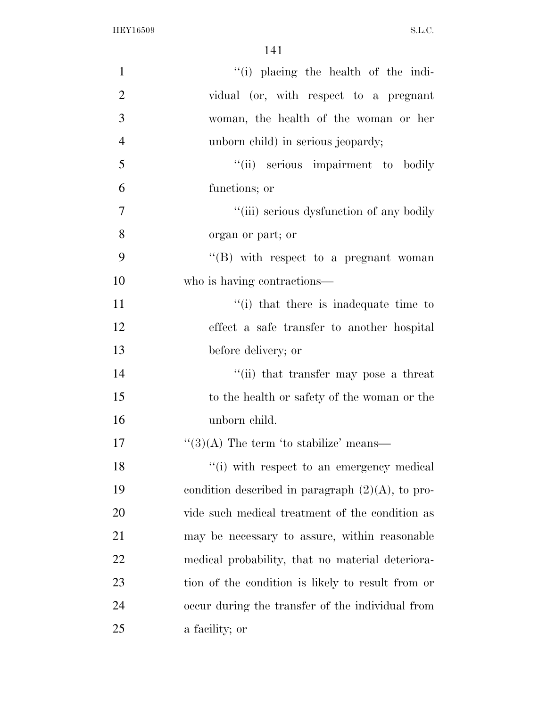| $\mathbf{1}$   | "(i) placing the health of the indi-                |
|----------------|-----------------------------------------------------|
| $\overline{2}$ | vidual (or, with respect to a pregnant              |
| 3              | woman, the health of the woman or her               |
| $\overline{4}$ | unborn child) in serious jeopardy;                  |
| 5              | "(ii) serious impairment to bodily                  |
| 6              | functions; or                                       |
| 7              | "(iii) serious dysfunction of any bodily            |
| 8              | organ or part; or                                   |
| 9              | "(B) with respect to a pregnant woman               |
| 10             | who is having contractions—                         |
| 11             | "(i) that there is inadequate time to               |
| 12             | effect a safe transfer to another hospital          |
| 13             | before delivery; or                                 |
| 14             | "(ii) that transfer may pose a threat               |
| 15             | to the health or safety of the woman or the         |
| 16             | unborn child.                                       |
| 17             | " $(3)(A)$ The term 'to stabilize' means—           |
| 18             | "(i) with respect to an emergency medical           |
| 19             | condition described in paragraph $(2)(A)$ , to pro- |
| 20             | vide such medical treatment of the condition as     |
| 21             | may be necessary to assure, within reasonable       |
| 22             | medical probability, that no material deteriora-    |
| 23             | tion of the condition is likely to result from or   |
| 24             | occur during the transfer of the individual from    |
| 25             | a facility; or                                      |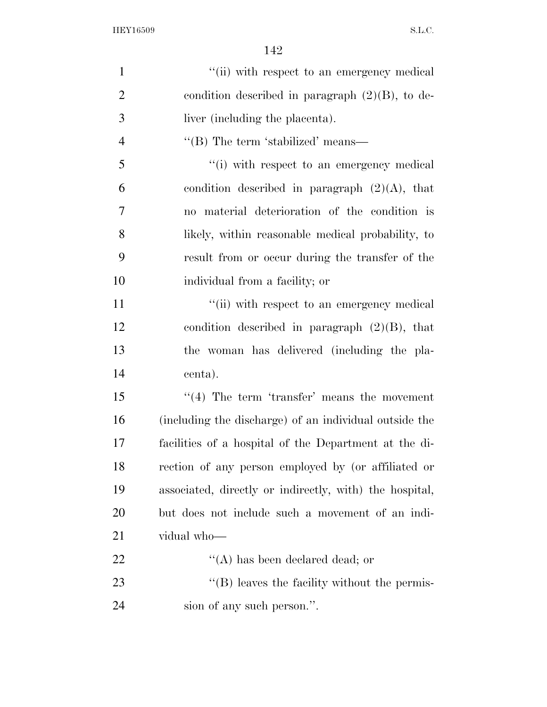| $\mathbf{1}$   | "(ii) with respect to an emergency medical             |
|----------------|--------------------------------------------------------|
| $\overline{2}$ | condition described in paragraph $(2)(B)$ , to de-     |
| 3              | liver (including the placenta).                        |
| $\overline{4}$ | "(B) The term 'stabilized' means—                      |
| 5              | "(i) with respect to an emergency medical              |
| 6              | condition described in paragraph $(2)(A)$ , that       |
| 7              | no material deterioration of the condition is          |
| 8              | likely, within reasonable medical probability, to      |
| 9              | result from or occur during the transfer of the        |
| 10             | individual from a facility; or                         |
| 11             | "(ii) with respect to an emergency medical             |
| 12             | condition described in paragraph $(2)(B)$ , that       |
| 13             | the woman has delivered (including the pla-            |
| 14             | centa).                                                |
| 15             | $\lq(4)$ The term 'transfer' means the movement        |
| 16             | (including the discharge) of an individual outside the |
| 17             | facilities of a hospital of the Department at the di-  |
| 18             | rection of any person employed by (or affiliated or    |
| 19             | associated, directly or indirectly, with the hospital, |
| 20             | but does not include such a movement of an indi-       |
| 21             | vidual who-                                            |
| 22             | $\lq\lq$ has been declared dead; or                    |
| 23             | "(B) leaves the facility without the permis-           |
| 24             | sion of any such person.".                             |
|                |                                                        |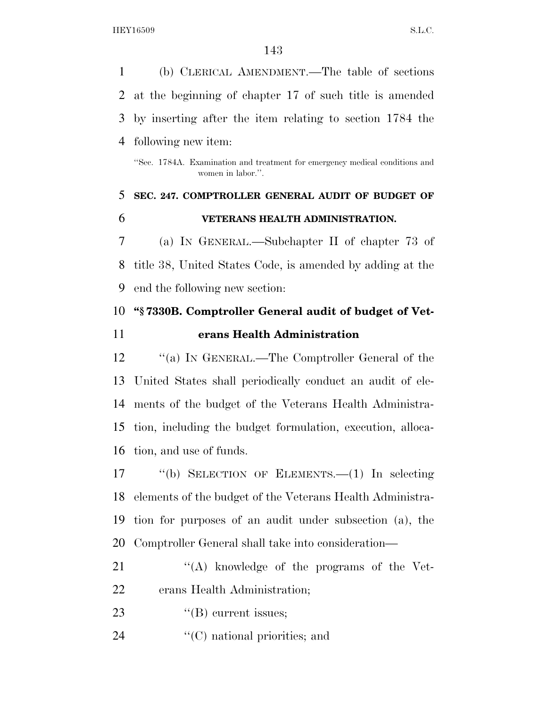| 1  | (b) CLERICAL AMENDMENT.—The table of sections                                                    |
|----|--------------------------------------------------------------------------------------------------|
| 2  | at the beginning of chapter 17 of such title is amended                                          |
| 3  | by inserting after the item relating to section 1784 the                                         |
| 4  | following new item:                                                                              |
|    | "Sec. 1784A. Examination and treatment for emergency medical conditions and<br>women in labor.". |
| 5  | SEC. 247. COMPTROLLER GENERAL AUDIT OF BUDGET OF                                                 |
| 6  | VETERANS HEALTH ADMINISTRATION.                                                                  |
| 7  | (a) IN GENERAL.—Subchapter II of chapter 73 of                                                   |
| 8  | title 38, United States Code, is amended by adding at the                                        |
| 9  | end the following new section:                                                                   |
| 10 | "\\$7330B. Comptroller General audit of budget of Vet-                                           |
| 11 | erans Health Administration                                                                      |
| 12 | "(a) IN GENERAL.—The Comptroller General of the                                                  |
| 13 | United States shall periodically conduct an audit of ele-                                        |
| 14 | ments of the budget of the Veterans Health Administra-                                           |
| 15 | tion, including the budget formulation, execution, alloca-                                       |
| 16 | tion, and use of funds.                                                                          |
|    |                                                                                                  |

 ''(b) SELECTION OF ELEMENTS.—(1) In selecting elements of the budget of the Veterans Health Administra- tion for purposes of an audit under subsection (a), the Comptroller General shall take into consideration—

- 21 ''(A) knowledge of the programs of the Vet-erans Health Administration;
- 23  $\text{``(B) current issues;}$
- 24  $\text{``(C)}$  national priorities; and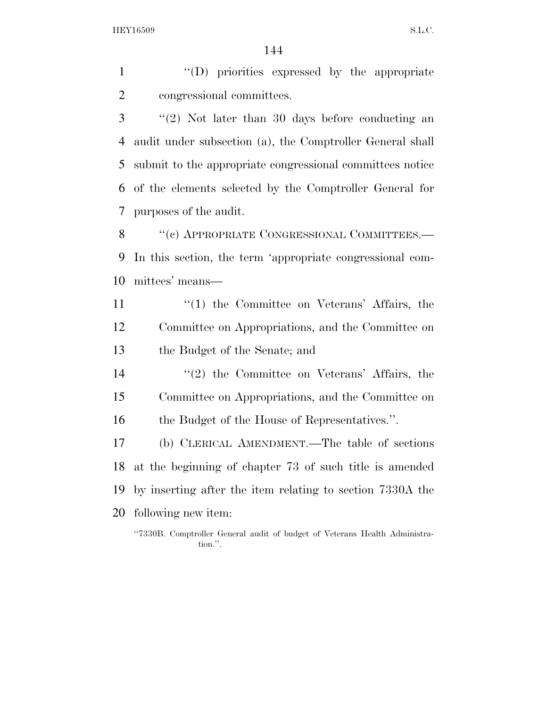''(D) priorities expressed by the appropriate congressional committees.

 ''(2) Not later than 30 days before conducting an audit under subsection (a), the Comptroller General shall submit to the appropriate congressional committees notice of the elements selected by the Comptroller General for purposes of the audit.

8 "(c) APPROPRIATE CONGRESSIONAL COMMITTEES.— In this section, the term 'appropriate congressional com-mittees' means—

11 ''(1) the Committee on Veterans' Affairs, the Committee on Appropriations, and the Committee on the Budget of the Senate; and

 ''(2) the Committee on Veterans' Affairs, the Committee on Appropriations, and the Committee on 16 the Budget of the House of Representatives.".

 (b) CLERICAL AMENDMENT.—The table of sections at the beginning of chapter 73 of such title is amended by inserting after the item relating to section 7330A the following new item:

''7330B. Comptroller General audit of budget of Veterans Health Administration.''.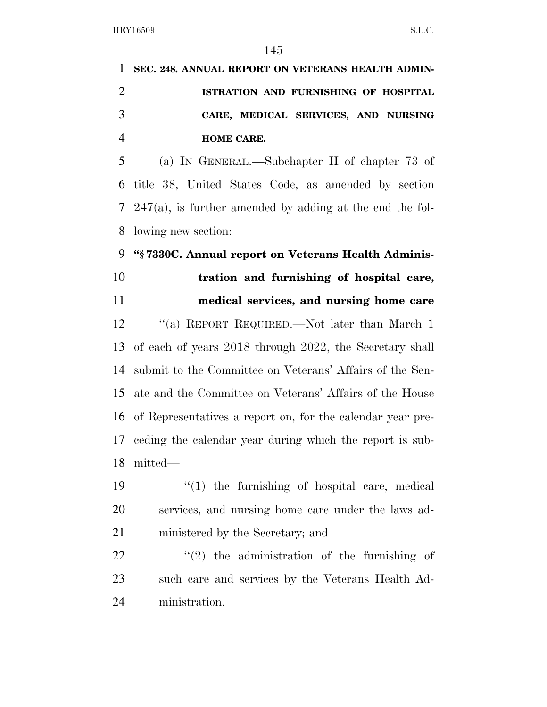**SEC. 248. ANNUAL REPORT ON VETERANS HEALTH ADMIN- ISTRATION AND FURNISHING OF HOSPITAL CARE, MEDICAL SERVICES, AND NURSING HOME CARE.** 

 (a) IN GENERAL.—Subchapter II of chapter 73 of title 38, United States Code, as amended by section 247(a), is further amended by adding at the end the fol-lowing new section:

#### **''§ 7330C. Annual report on Veterans Health Adminis-**

**tration and furnishing of hospital care,** 

# **medical services, and nursing home care**

 ''(a) REPORT REQUIRED.—Not later than March 1 of each of years 2018 through 2022, the Secretary shall submit to the Committee on Veterans' Affairs of the Sen- ate and the Committee on Veterans' Affairs of the House of Representatives a report on, for the calendar year pre- ceding the calendar year during which the report is sub-mitted—

19  $\frac{1}{2}$  (1) the furnishing of hospital care, medical services, and nursing home care under the laws ad-ministered by the Secretary; and

  $\qquad$   $\qquad$   $(2)$  the administration of the furnishing of such care and services by the Veterans Health Ad-ministration.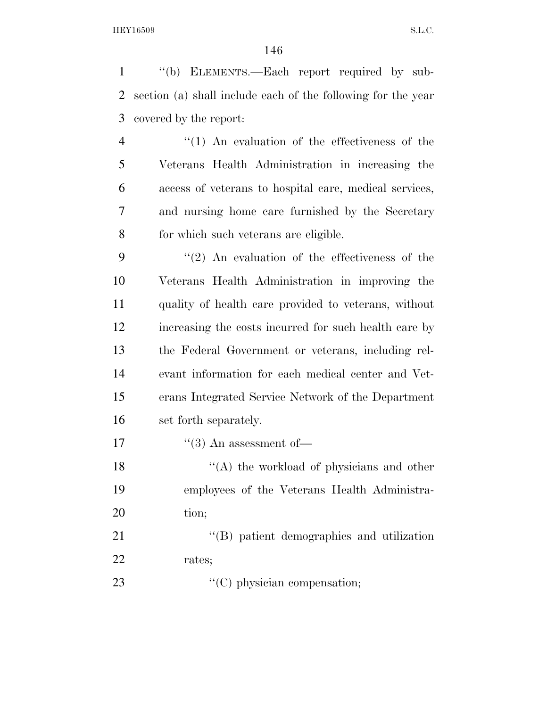''(b) ELEMENTS.—Each report required by sub- section (a) shall include each of the following for the year covered by the report:

 ''(1) An evaluation of the effectiveness of the Veterans Health Administration in increasing the access of veterans to hospital care, medical services, and nursing home care furnished by the Secretary for which such veterans are eligible.

 ''(2) An evaluation of the effectiveness of the Veterans Health Administration in improving the quality of health care provided to veterans, without increasing the costs incurred for such health care by the Federal Government or veterans, including rel- evant information for each medical center and Vet- erans Integrated Service Network of the Department set forth separately.

17  $\text{``(3)}$  An assessment of—

18 ''(A) the workload of physicians and other employees of the Veterans Health Administra-20 tion;

21 ''(B) patient demographics and utilization rates;

23  $\cdot$  (C) physician compensation;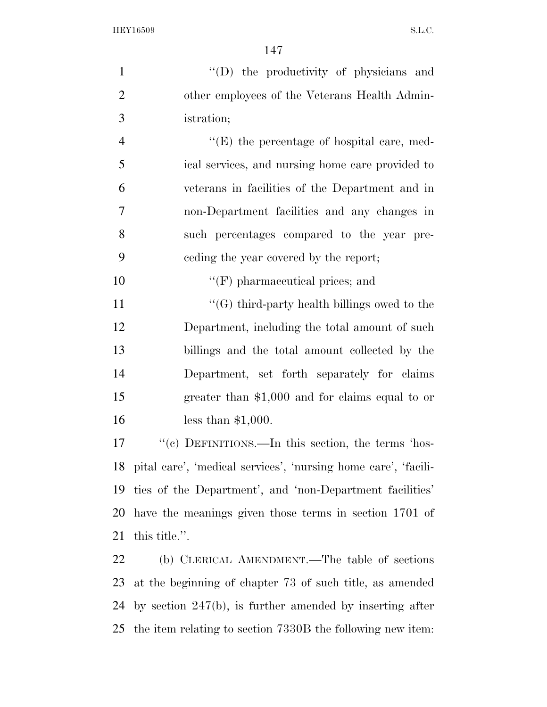| $\mathbf{1}$   | "(D) the productivity of physicians and                           |
|----------------|-------------------------------------------------------------------|
| $\overline{2}$ | other employees of the Veterans Health Admin-                     |
| 3              | istration;                                                        |
| $\overline{4}$ | $\lq\lq(E)$ the percentage of hospital care, med-                 |
| 5              | ical services, and nursing home care provided to                  |
| 6              | veterans in facilities of the Department and in                   |
| $\tau$         | non-Department facilities and any changes in                      |
| 8              | such percentages compared to the year pre-                        |
| 9              | ceding the year covered by the report;                            |
| 10             | $\lq\lq(F)$ pharmaceutical prices; and                            |
| 11             | " $(G)$ third-party health billings owed to the                   |
| 12             | Department, including the total amount of such                    |
| 13             | billings and the total amount collected by the                    |
| 14             | Department, set forth separately for claims                       |
| 15             | greater than $$1,000$ and for claims equal to or                  |
| 16             | less than $$1,000$ .                                              |
| 17             | "(c) DEFINITIONS.—In this section, the terms 'hos-                |
|                | 18 pital care', 'medical services', 'nursing home care', 'facili- |
| 19             | ties of the Department', and 'non-Department facilities'          |
| 20             | have the meanings given those terms in section 1701 of            |
| 21             | this title.".                                                     |
| 22             | (b) CLERICAL AMENDMENT.—The table of sections                     |
| 23             | at the beginning of chapter 73 of such title, as amended          |
| 24             | by section $247(b)$ , is further amended by inserting after       |

the item relating to section 7330B the following new item: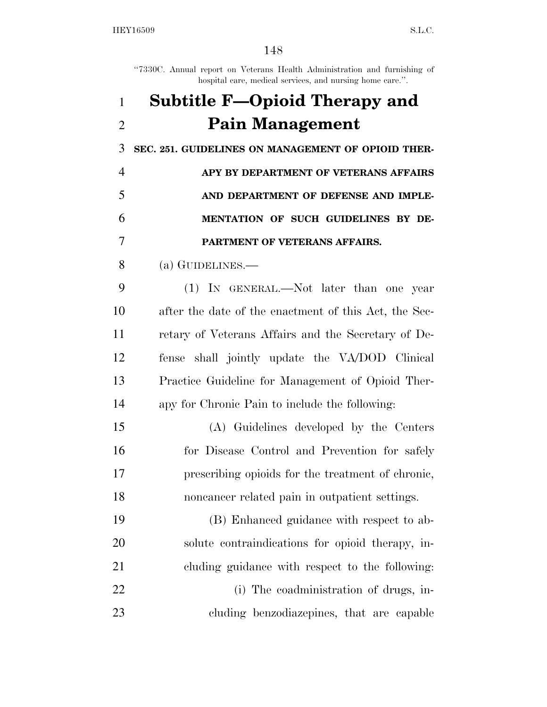''7330C. Annual report on Veterans Health Administration and furnishing of hospital care, medical services, and nursing home care.".

## **Subtitle F—Opioid Therapy and Pain Management SEC. 251. GUIDELINES ON MANAGEMENT OF OPIOID THER- APY BY DEPARTMENT OF VETERANS AFFAIRS AND DEPARTMENT OF DEFENSE AND IMPLE- MENTATION OF SUCH GUIDELINES BY DE-PARTMENT OF VETERANS AFFAIRS.**

### (a) GUIDELINES.—

 (1) IN GENERAL.—Not later than one year after the date of the enactment of this Act, the Sec- retary of Veterans Affairs and the Secretary of De- fense shall jointly update the VA/DOD Clinical Practice Guideline for Management of Opioid Ther-apy for Chronic Pain to include the following:

 (A) Guidelines developed by the Centers 16 for Disease Control and Prevention for safely prescribing opioids for the treatment of chronic, noncancer related pain in outpatient settings.

 (B) Enhanced guidance with respect to ab- solute contraindications for opioid therapy, in-cluding guidance with respect to the following:

22 (i) The coadministration of drugs, in-cluding benzodiazepines, that are capable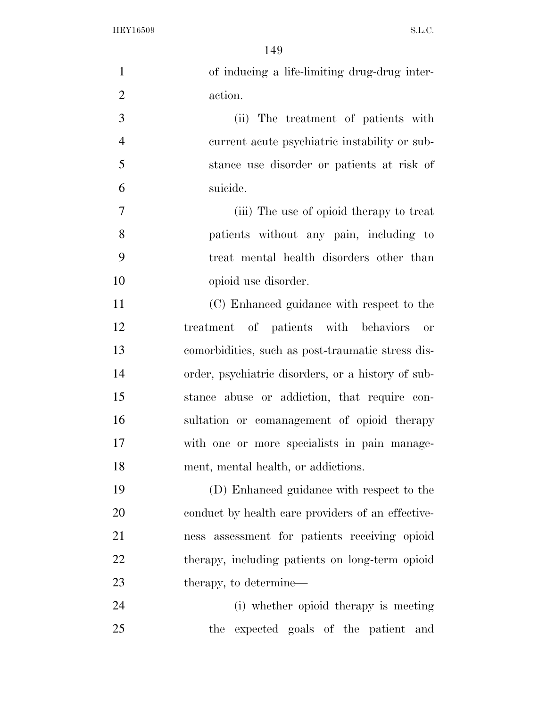| $\mathbf{1}$   | of inducing a life-limiting drug-drug inter-       |
|----------------|----------------------------------------------------|
| $\overline{2}$ | action.                                            |
| 3              | (ii) The treatment of patients with                |
| $\overline{4}$ | current acute psychiatric instability or sub-      |
| 5              | stance use disorder or patients at risk of         |
| 6              | suicide.                                           |
| $\overline{7}$ | (iii) The use of opioid therapy to treat           |
| 8              | patients without any pain, including to            |
| 9              | treat mental health disorders other than           |
| 10             | opioid use disorder.                               |
| 11             | (C) Enhanced guidance with respect to the          |
| 12             | treatment of patients with behaviors<br>or         |
| 13             | comorbidities, such as post-traumatic stress dis-  |
| 14             | order, psychiatric disorders, or a history of sub- |
| 15             | stance abuse or addiction, that require con-       |
| 16             | sultation or comanagement of opioid therapy        |
| 17             | with one or more specialists in pain manage-       |
| 18             | ment, mental health, or addictions.                |
| 19             | (D) Enhanced guidance with respect to the          |
| 20             | conduct by health care providers of an effective-  |
| 21             | ness assessment for patients receiving opioid      |
| 22             | therapy, including patients on long-term opioid    |
| 23             | therapy, to determine—                             |
| 24             | (i) whether opioid therapy is meeting              |
| 25             | the expected goals of the patient and              |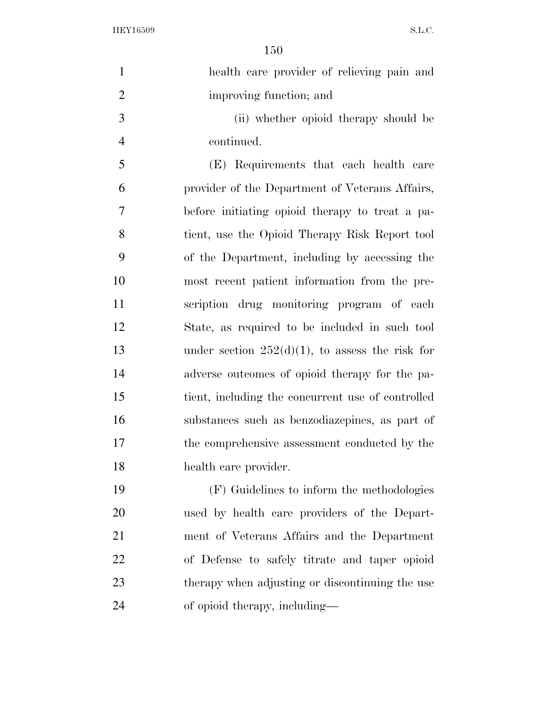| health care provider of relieving pain and         |
|----------------------------------------------------|
| improving function; and                            |
| (ii) whether opioid therapy should be              |
| continued.                                         |
| (E) Requirements that each health care             |
| provider of the Department of Veterans Affairs,    |
| before initiating opioid therapy to treat a pa-    |
| tient, use the Opioid Therapy Risk Report tool     |
| of the Department, including by accessing the      |
| most recent patient information from the pre-      |
| scription drug monitoring program of each          |
| State, as required to be included in such tool     |
| under section $252(d)(1)$ , to assess the risk for |
| adverse outcomes of opioid therapy for the pa-     |
| tient, including the concurrent use of controlled  |
| substances such as benzodiazepines, as part of     |
| the comprehensive assessment conducted by the      |
| health care provider.                              |
| (F) Guidelines to inform the methodologies         |
| used by health care providers of the Depart-       |
| ment of Veterans Affairs and the Department        |
| of Defense to safely titrate and taper opioid      |
| therapy when adjusting or discontinuing the use    |
| of opioid therapy, including—                      |
|                                                    |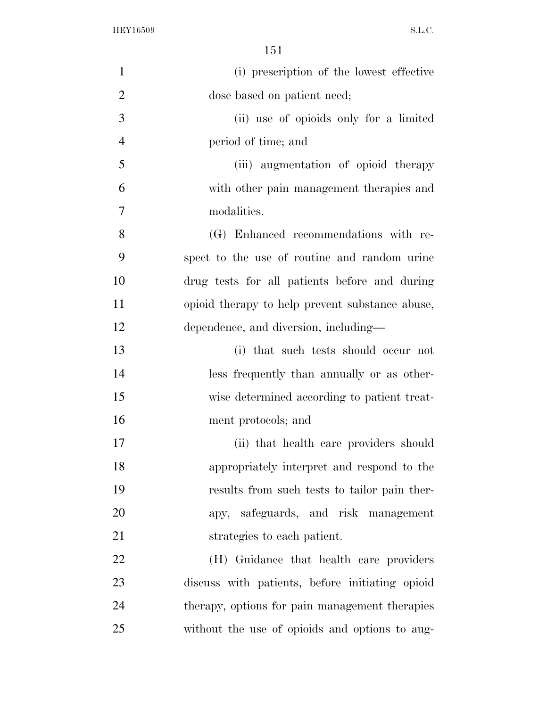| $\mathbf{1}$   | (i) prescription of the lowest effective        |
|----------------|-------------------------------------------------|
| $\overline{2}$ | dose based on patient need;                     |
| 3              | (ii) use of opioids only for a limited          |
| $\overline{4}$ | period of time; and                             |
| 5              | (iii) augmentation of opioid therapy            |
| 6              | with other pain management therapies and        |
| $\overline{7}$ | modalities.                                     |
| 8              | (G) Enhanced recommendations with re-           |
| 9              | spect to the use of routine and random urine    |
| 10             | drug tests for all patients before and during   |
| 11             | opioid therapy to help prevent substance abuse, |
| 12             | dependence, and diversion, including—           |
| 13             | (i) that such tests should occur not            |
| 14             | less frequently than annually or as other-      |
| 15             | wise determined according to patient treat-     |
| 16             | ment protocols; and                             |
| 17             | (ii) that health care providers should          |
| 18             | appropriately interpret and respond to the      |
| 19             | results from such tests to tailor pain ther-    |
| 20             | apy, safeguards, and risk management            |
| 21             | strategies to each patient.                     |
| 22             | (H) Guidance that health care providers         |
| 23             | discuss with patients, before initiating opioid |
| 24             | therapy, options for pain management therapies  |
| 25             | without the use of opioids and options to aug-  |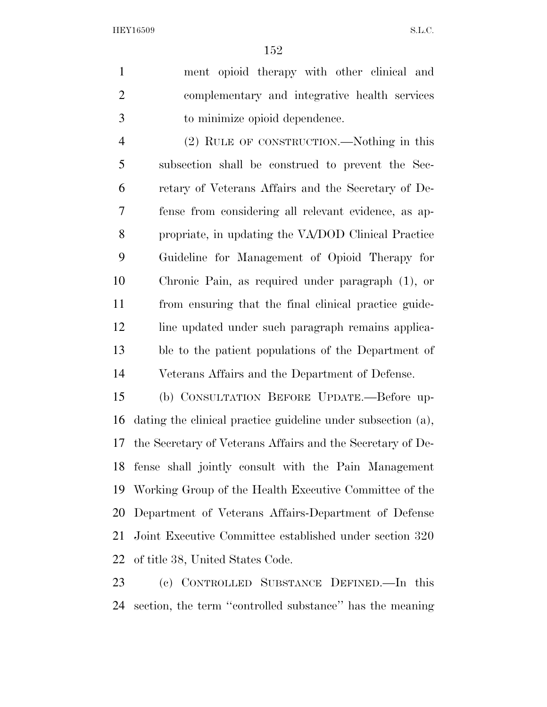ment opioid therapy with other clinical and complementary and integrative health services to minimize opioid dependence.

 (2) RULE OF CONSTRUCTION.—Nothing in this subsection shall be construed to prevent the Sec- retary of Veterans Affairs and the Secretary of De- fense from considering all relevant evidence, as ap- propriate, in updating the VA/DOD Clinical Practice Guideline for Management of Opioid Therapy for Chronic Pain, as required under paragraph (1), or from ensuring that the final clinical practice guide-12 line updated under such paragraph remains applica- ble to the patient populations of the Department of Veterans Affairs and the Department of Defense.

 (b) CONSULTATION BEFORE UPDATE.—Before up- dating the clinical practice guideline under subsection (a), the Secretary of Veterans Affairs and the Secretary of De- fense shall jointly consult with the Pain Management Working Group of the Health Executive Committee of the Department of Veterans Affairs-Department of Defense Joint Executive Committee established under section 320 of title 38, United States Code.

 (c) CONTROLLED SUBSTANCE DEFINED.—In this section, the term ''controlled substance'' has the meaning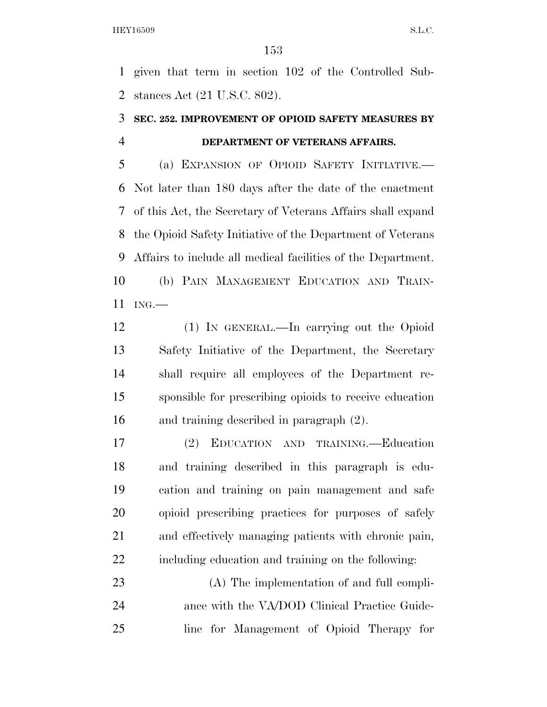given that term in section 102 of the Controlled Sub-stances Act (21 U.S.C. 802).

#### **SEC. 252. IMPROVEMENT OF OPIOID SAFETY MEASURES BY DEPARTMENT OF VETERANS AFFAIRS.**

 (a) EXPANSION OF OPIOID SAFETY INITIATIVE.— Not later than 180 days after the date of the enactment of this Act, the Secretary of Veterans Affairs shall expand the Opioid Safety Initiative of the Department of Veterans Affairs to include all medical facilities of the Department. (b) PAIN MANAGEMENT EDUCATION AND TRAIN-ING.—

 (1) IN GENERAL.—In carrying out the Opioid Safety Initiative of the Department, the Secretary shall require all employees of the Department re- sponsible for prescribing opioids to receive education and training described in paragraph (2).

 (2) EDUCATION AND TRAINING.—Education and training described in this paragraph is edu- cation and training on pain management and safe opioid prescribing practices for purposes of safely and effectively managing patients with chronic pain, including education and training on the following:

 (A) The implementation of and full compli-24 ance with the VA/DOD Clinical Practice Guide-line for Management of Opioid Therapy for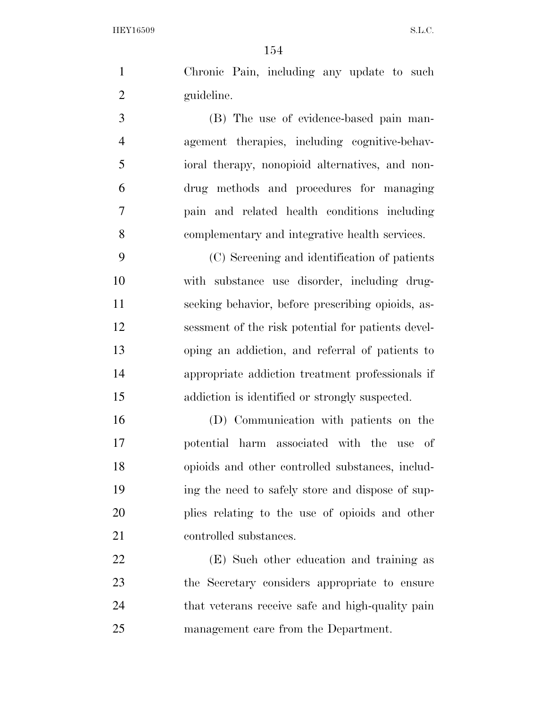Chronic Pain, including any update to such guideline.

 (B) The use of evidence-based pain man- agement therapies, including cognitive-behav- ioral therapy, nonopioid alternatives, and non- drug methods and procedures for managing pain and related health conditions including complementary and integrative health services.

 (C) Screening and identification of patients with substance use disorder, including drug- seeking behavior, before prescribing opioids, as- sessment of the risk potential for patients devel- oping an addiction, and referral of patients to appropriate addiction treatment professionals if addiction is identified or strongly suspected.

 (D) Communication with patients on the potential harm associated with the use of opioids and other controlled substances, includ- ing the need to safely store and dispose of sup- plies relating to the use of opioids and other 21 controlled substances.

 (E) Such other education and training as the Secretary considers appropriate to ensure that veterans receive safe and high-quality pain management care from the Department.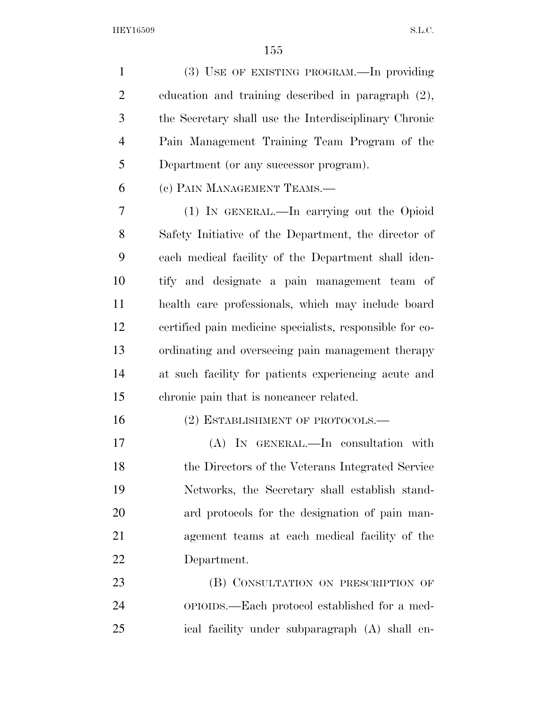(3) USE OF EXISTING PROGRAM.—In providing education and training described in paragraph (2), the Secretary shall use the Interdisciplinary Chronic Pain Management Training Team Program of the Department (or any successor program).

(c) PAIN MANAGEMENT TEAMS.—

 (1) IN GENERAL.—In carrying out the Opioid Safety Initiative of the Department, the director of each medical facility of the Department shall iden- tify and designate a pain management team of health care professionals, which may include board certified pain medicine specialists, responsible for co- ordinating and overseeing pain management therapy at such facility for patients experiencing acute and chronic pain that is noncancer related.

16 (2) ESTABLISHMENT OF PROTOCOLS.—

 (A) IN GENERAL.—In consultation with the Directors of the Veterans Integrated Service Networks, the Secretary shall establish stand- ard protocols for the designation of pain man- agement teams at each medical facility of the Department.

23 (B) CONSULTATION ON PRESCRIPTION OF OPIOIDS.—Each protocol established for a med-ical facility under subparagraph (A) shall en-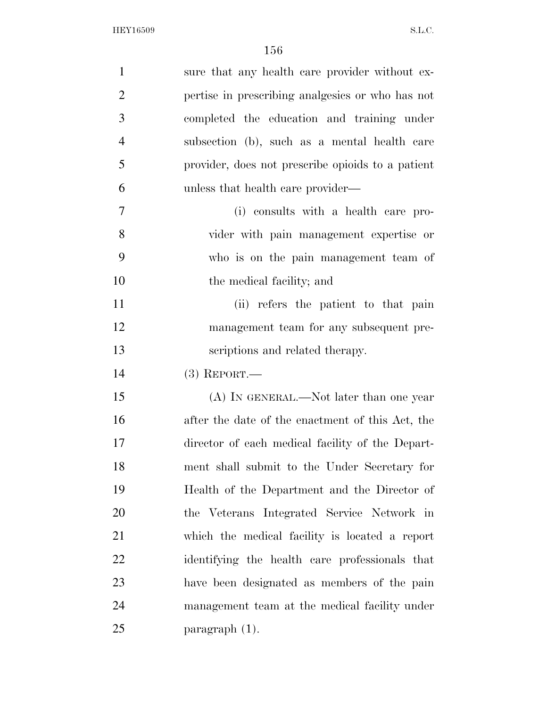| $\mathbf{1}$   | sure that any health care provider without ex-    |
|----------------|---------------------------------------------------|
| $\overline{2}$ | pertise in prescribing analgesies or who has not  |
| 3              | completed the education and training under        |
| $\overline{4}$ | subsection (b), such as a mental health care      |
| 5              | provider, does not prescribe opioids to a patient |
| 6              | unless that health care provider—                 |
| 7              | (i) consults with a health care pro-              |
| 8              | vider with pain management expertise or           |
| 9              | who is on the pain management team of             |
| 10             | the medical facility; and                         |
| 11             | (ii) refers the patient to that pain              |
| 12             | management team for any subsequent pre-           |
| 13             | scriptions and related therapy.                   |
| 14             | $(3)$ REPORT.—                                    |
| 15             | (A) IN GENERAL.—Not later than one year           |
| 16             | after the date of the enactment of this Act, the  |
| 17             | director of each medical facility of the Depart-  |
| 18             | ment shall submit to the Under Secretary for      |
| 19             | Health of the Department and the Director of      |
| 20             | the Veterans Integrated Service Network in        |
| 21             | which the medical facility is located a report    |
| <u>22</u>      | identifying the health care professionals that    |
| 23             | have been designated as members of the pain       |
| 24             | management team at the medical facility under     |
| 25             | paragraph (1).                                    |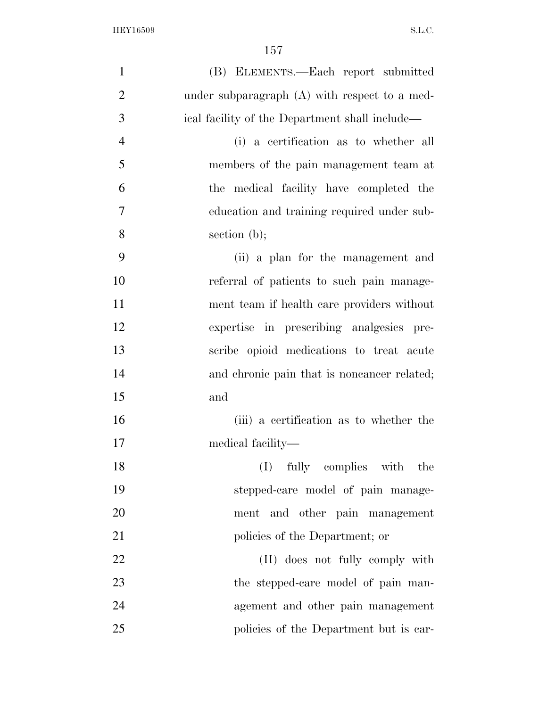| $\mathbf{1}$   | (B) ELEMENTS.—Each report submitted             |
|----------------|-------------------------------------------------|
| $\overline{2}$ | under subparagraph $(A)$ with respect to a med- |
| 3              | ical facility of the Department shall include—  |
| $\overline{4}$ | (i) a certification as to whether all           |
| 5              | members of the pain management team at          |
| 6              | the medical facility have completed the         |
| $\tau$         | education and training required under sub-      |
| 8              | section $(b)$ ;                                 |
| 9              | (ii) a plan for the management and              |
| 10             | referral of patients to such pain manage-       |
| 11             | ment team if health care providers without      |
| 12             | expertise in prescribing analgesics pre-        |
| 13             | scribe opioid medications to treat acute        |
| 14             | and chronic pain that is noncancer related;     |
| 15             | and                                             |
| 16             | (iii) a certification as to whether the         |
| 17             | medical facility—                               |
| 18             | fully complies with the<br>(I)                  |
| 19             | stepped-care model of pain manage-              |
| 20             | ment and other pain management                  |
| 21             | policies of the Department; or                  |
| 22             | (II) does not fully comply with                 |
| 23             | the stepped-care model of pain man-             |
| 24             | agement and other pain management               |
| 25             | policies of the Department but is car-          |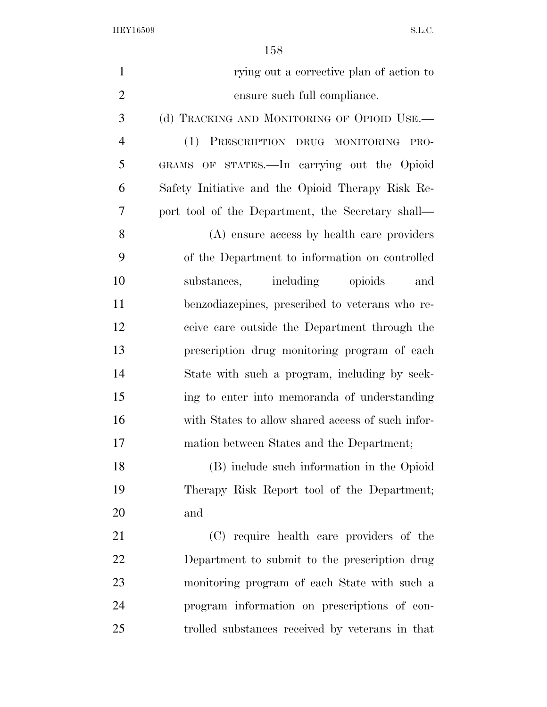| $\mathbf{1}$   | rying out a corrective plan of action to          |
|----------------|---------------------------------------------------|
| $\overline{2}$ | ensure such full compliance.                      |
| 3              | (d) TRACKING AND MONITORING OF OPIOID USE.—       |
| 4              | (1) PRESCRIPTION DRUG MONITORING<br>PRO-          |
| 5              | GRAMS OF STATES.—In carrying out the Opioid       |
| 6              | Safety Initiative and the Opioid Therapy Risk Re- |
| 7              | port tool of the Department, the Secretary shall— |
| 8              | (A) ensure access by health care providers        |
| 9              | of the Department to information on controlled    |
| 10             | substances, including opioids<br>and              |
| 11             | benzodiazepines, prescribed to veterans who re-   |
| 12             | ceive care outside the Department through the     |
| 13             | prescription drug monitoring program of each      |
| 14             | State with such a program, including by seek-     |
| 15             | ing to enter into memoranda of understanding      |
| 16             | with States to allow shared access of such infor- |
| 17             | mation between States and the Department;         |
| 18             | (B) include such information in the Opioid        |
| 19             | Therapy Risk Report tool of the Department;       |
| 20             | and                                               |
| 21             | (C) require health care providers of the          |
| 22             | Department to submit to the prescription drug     |
| 23             | monitoring program of each State with such a      |
| 24             | program information on prescriptions of con-      |
| 25             | trolled substances received by veterans in that   |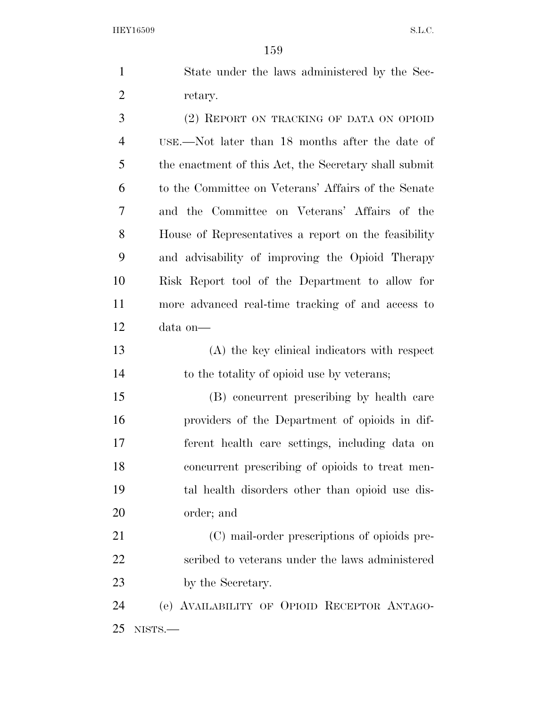|   | State under the laws administered by the Sec-         |
|---|-------------------------------------------------------|
| 2 | retary.                                               |
| 3 | (2) REPORT ON TRACKING OF DATA ON OPIOID              |
| 4 | USE.—Not later than 18 months after the date of       |
| 5 | the enactment of this Act, the Secretary shall submit |
| 6 | to the Committee on Veterans' Affairs of the Senate   |
| 7 | and the Committee on Veterans' Affairs of the         |
| 8 | House of Representatives a report on the feasibility  |

 and advisability of improving the Opioid Therapy Risk Report tool of the Department to allow for more advanced real-time tracking of and access to data on—

 (A) the key clinical indicators with respect to the totality of opioid use by veterans;

 (B) concurrent prescribing by health care providers of the Department of opioids in dif- ferent health care settings, including data on concurrent prescribing of opioids to treat men- tal health disorders other than opioid use dis-order; and

 (C) mail-order prescriptions of opioids pre- scribed to veterans under the laws administered 23 by the Secretary.

 (e) AVAILABILITY OF OPIOID RECEPTOR ANTAGO-NISTS.—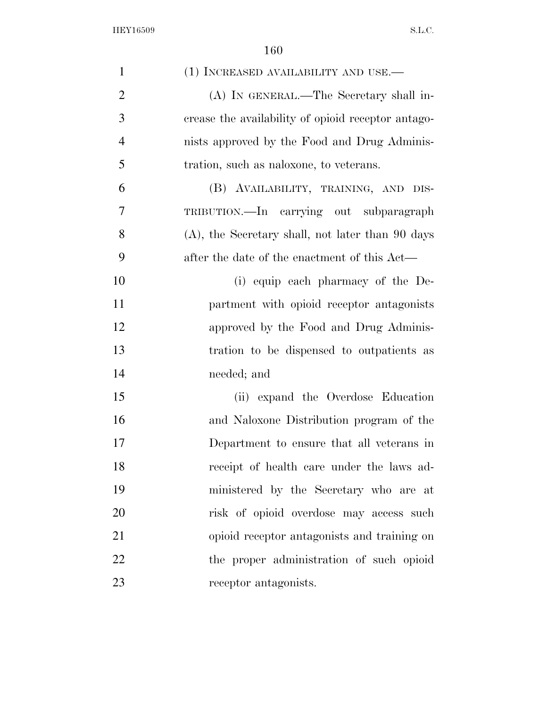| $\mathbf{1}$   | (1) INCREASED AVAILABILITY AND USE.—                |
|----------------|-----------------------------------------------------|
| $\overline{2}$ | (A) IN GENERAL.—The Secretary shall in-             |
| 3              | crease the availability of opioid receptor antago-  |
| $\overline{4}$ | nists approved by the Food and Drug Adminis-        |
| 5              | tration, such as naloxone, to veterans.             |
| 6              | (B) AVAILABILITY, TRAINING, AND DIS-                |
| $\overline{7}$ | TRIBUTION.—In carrying out subparagraph             |
| 8              | $(A)$ , the Secretary shall, not later than 90 days |
| 9              | after the date of the enactment of this Act—        |
| 10             | (i) equip each pharmacy of the De-                  |
| 11             | partment with opioid receptor antagonists           |
| 12             | approved by the Food and Drug Adminis-              |
| 13             | tration to be dispensed to outpatients as           |
| 14             | needed; and                                         |
| 15             | (ii) expand the Overdose Education                  |
| 16             | and Naloxone Distribution program of the            |
| 17             | Department to ensure that all veterans in           |
| 18             | receipt of health care under the laws ad-           |
| 19             | ministered by the Secretary who are at              |
| 20             | risk of opioid overdose may access such             |
| 21             | opioid receptor antagonists and training on         |
| 22             | the proper administration of such opioid            |
| 23             | receptor antagonists.                               |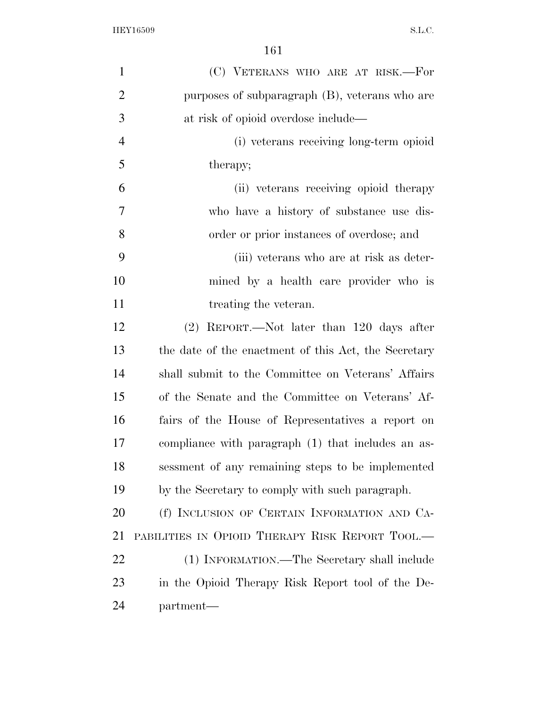| $\mathbf{1}$   | (C) VETERANS WHO ARE AT RISK.-For                    |
|----------------|------------------------------------------------------|
| $\overline{2}$ | purposes of subparagraph (B), veterans who are       |
| 3              | at risk of opioid overdose include—                  |
| $\overline{4}$ | (i) veterans receiving long-term opioid              |
| 5              | therapy;                                             |
| 6              | (ii) veterans receiving opioid therapy               |
| 7              | who have a history of substance use dis-             |
| 8              | order or prior instances of overdose; and            |
| 9              | (iii) veterans who are at risk as deter-             |
| 10             | mined by a health care provider who is               |
| 11             | treating the veteran.                                |
| 12             | $(2)$ REPORT.—Not later than 120 days after          |
| 13             | the date of the enactment of this Act, the Secretary |
| 14             | shall submit to the Committee on Veterans' Affairs   |
| 15             | of the Senate and the Committee on Veterans' Af-     |
| 16             | fairs of the House of Representatives a report on    |
| 17             | compliance with paragraph (1) that includes an as-   |
| 18             | sessment of any remaining steps to be implemented    |
| 19             | by the Secretary to comply with such paragraph.      |
| 20             | (f) INCLUSION OF CERTAIN INFORMATION AND CA-         |
| 21             | PABILITIES IN OPIOID THERAPY RISK REPORT TOOL.-      |
| 22             | (1) INFORMATION.—The Secretary shall include         |
| 23             | in the Opioid Therapy Risk Report tool of the De-    |
| 24             | partment-                                            |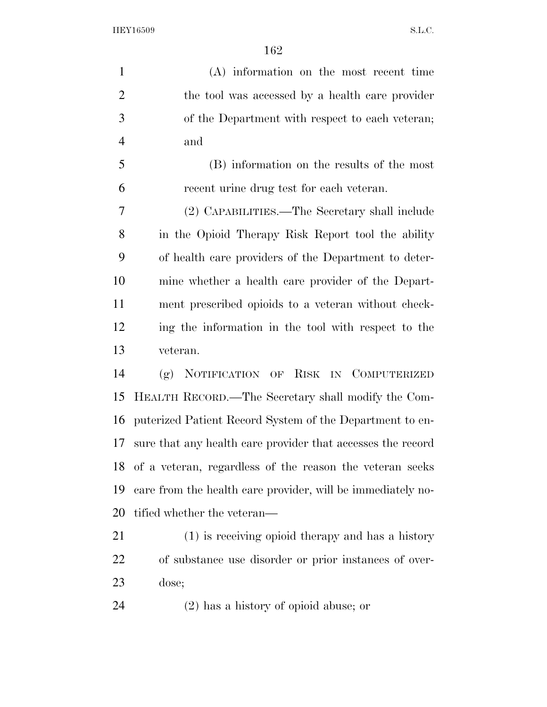(A) information on the most recent time the tool was accessed by a health care provider of the Department with respect to each veteran; and (B) information on the results of the most recent urine drug test for each veteran. (2) CAPABILITIES.—The Secretary shall include in the Opioid Therapy Risk Report tool the ability of health care providers of the Department to deter- mine whether a health care provider of the Depart- ment prescribed opioids to a veteran without check- ing the information in the tool with respect to the veteran. (g) NOTIFICATION OF RISK IN COMPUTERIZED HEALTH RECORD.—The Secretary shall modify the Com- puterized Patient Record System of the Department to en- sure that any health care provider that accesses the record of a veteran, regardless of the reason the veteran seeks care from the health care provider, will be immediately no- tified whether the veteran— (1) is receiving opioid therapy and has a history of substance use disorder or prior instances of over-dose;

(2) has a history of opioid abuse; or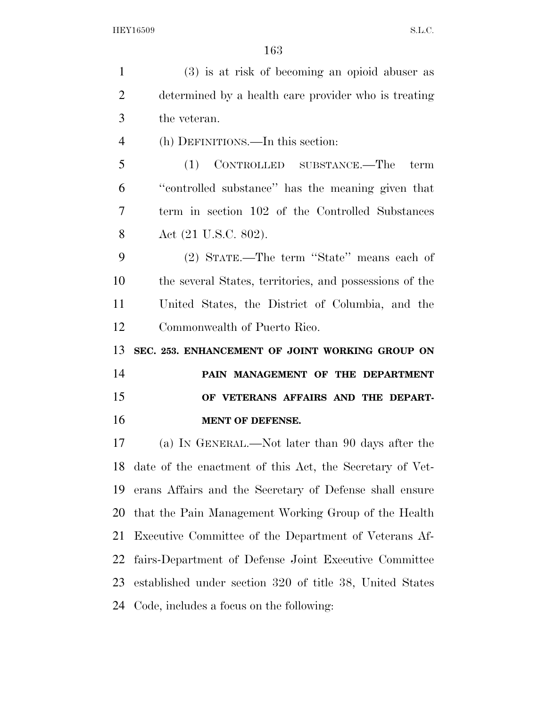(3) is at risk of becoming an opioid abuser as determined by a health care provider who is treating the veteran. (h) DEFINITIONS.—In this section: (1) CONTROLLED SUBSTANCE.—The term ''controlled substance'' has the meaning given that term in section 102 of the Controlled Substances Act (21 U.S.C. 802). (2) STATE.—The term ''State'' means each of the several States, territories, and possessions of the United States, the District of Columbia, and the Commonwealth of Puerto Rico. **SEC. 253. ENHANCEMENT OF JOINT WORKING GROUP ON PAIN MANAGEMENT OF THE DEPARTMENT OF VETERANS AFFAIRS AND THE DEPART- MENT OF DEFENSE.**  (a) IN GENERAL.—Not later than 90 days after the date of the enactment of this Act, the Secretary of Vet- erans Affairs and the Secretary of Defense shall ensure that the Pain Management Working Group of the Health Executive Committee of the Department of Veterans Af- fairs-Department of Defense Joint Executive Committee established under section 320 of title 38, United States Code, includes a focus on the following: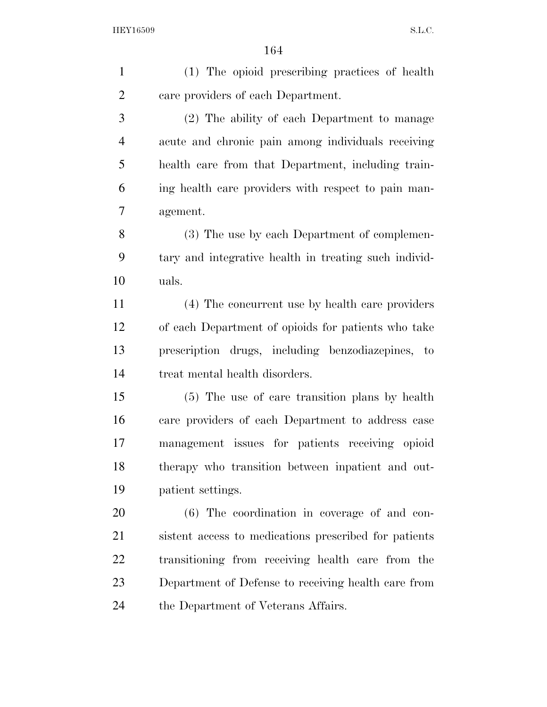| $\mathbf{1}$   | (1) The opioid prescribing practices of health        |
|----------------|-------------------------------------------------------|
| $\overline{2}$ | care providers of each Department.                    |
| 3              | (2) The ability of each Department to manage          |
| $\overline{4}$ | acute and chronic pain among individuals receiving    |
| 5              | health care from that Department, including train-    |
| 6              | ing health care providers with respect to pain man-   |
| $\overline{7}$ | agement.                                              |
| 8              | (3) The use by each Department of complemen-          |
| 9              | tary and integrative health in treating such individ- |
| 10             | uals.                                                 |
| 11             | (4) The concurrent use by health care providers       |
| 12             | of each Department of opioids for patients who take   |
| 13             | prescription drugs, including benzodiazepines, to     |
| 14             | treat mental health disorders.                        |
| 15             | (5) The use of care transition plans by health        |
| 16             | care providers of each Department to address case     |
| 17             | management issues for patients receiving opioid       |
| 18             | therapy who transition between inpatient and out-     |
| 19             | patient settings.                                     |
| 20             | (6) The coordination in coverage of and con-          |
| 21             | sistent access to medications prescribed for patients |
| 22             | transitioning from receiving health care from the     |
| 23             | Department of Defense to receiving health care from   |
| 24             | the Department of Veterans Affairs.                   |
|                |                                                       |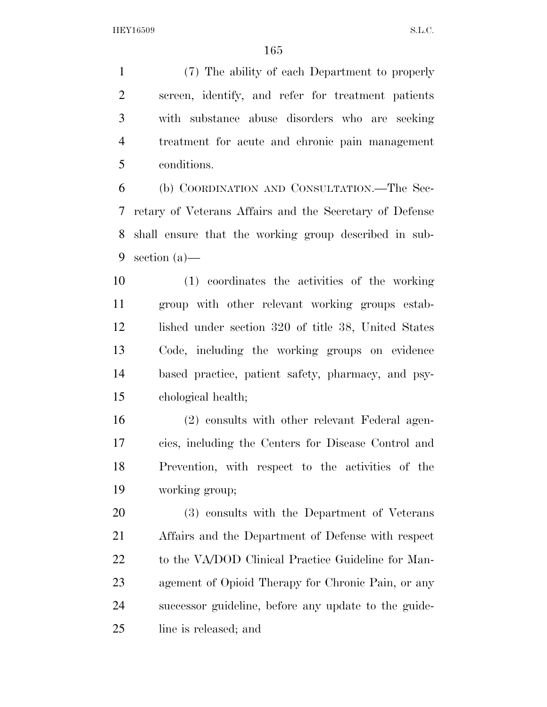(7) The ability of each Department to properly screen, identify, and refer for treatment patients with substance abuse disorders who are seeking treatment for acute and chronic pain management conditions.

 (b) COORDINATION AND CONSULTATION.—The Sec- retary of Veterans Affairs and the Secretary of Defense shall ensure that the working group described in sub-section (a)—

 (1) coordinates the activities of the working group with other relevant working groups estab- lished under section 320 of title 38, United States Code, including the working groups on evidence based practice, patient safety, pharmacy, and psy-chological health;

 (2) consults with other relevant Federal agen- cies, including the Centers for Disease Control and Prevention, with respect to the activities of the working group;

 (3) consults with the Department of Veterans Affairs and the Department of Defense with respect 22 to the VA/DOD Clinical Practice Guideline for Man- agement of Opioid Therapy for Chronic Pain, or any successor guideline, before any update to the guide-line is released; and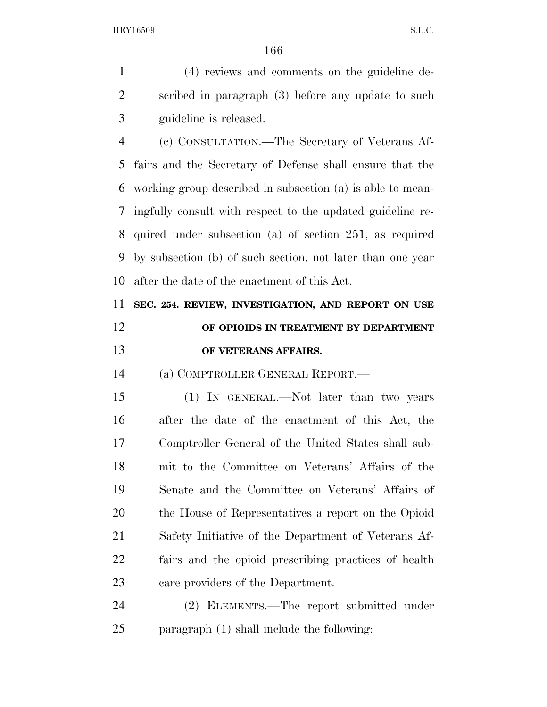(4) reviews and comments on the guideline de- scribed in paragraph (3) before any update to such guideline is released.

 (c) CONSULTATION.—The Secretary of Veterans Af- fairs and the Secretary of Defense shall ensure that the working group described in subsection (a) is able to mean- ingfully consult with respect to the updated guideline re- quired under subsection (a) of section 251, as required by subsection (b) of such section, not later than one year after the date of the enactment of this Act.

#### **SEC. 254. REVIEW, INVESTIGATION, AND REPORT ON USE OF OPIOIDS IN TREATMENT BY DEPARTMENT OF VETERANS AFFAIRS.**

(a) COMPTROLLER GENERAL REPORT.—

 (1) IN GENERAL.—Not later than two years after the date of the enactment of this Act, the Comptroller General of the United States shall sub- mit to the Committee on Veterans' Affairs of the Senate and the Committee on Veterans' Affairs of the House of Representatives a report on the Opioid Safety Initiative of the Department of Veterans Af- fairs and the opioid prescribing practices of health care providers of the Department.

 (2) ELEMENTS.—The report submitted under paragraph (1) shall include the following: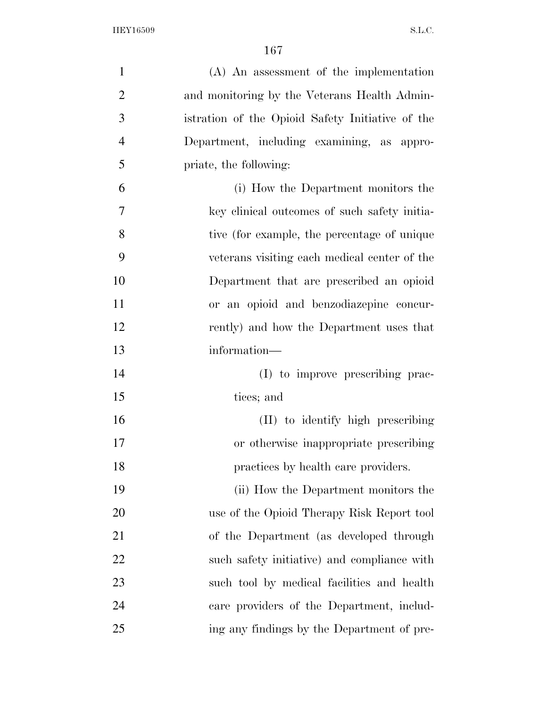| $\mathbf{1}$   | $(A)$ An assessment of the implementation        |
|----------------|--------------------------------------------------|
| $\overline{2}$ | and monitoring by the Veterans Health Admin-     |
| 3              | istration of the Opioid Safety Initiative of the |
| $\overline{4}$ | Department, including examining, as appro-       |
| 5              | priate, the following:                           |
| 6              | (i) How the Department monitors the              |
| 7              | key clinical outcomes of such safety initia-     |
| 8              | tive (for example, the percentage of unique      |
| 9              | veterans visiting each medical center of the     |
| 10             | Department that are prescribed an opioid         |
| 11             | or an opioid and benzodiazepine concur-          |
| 12             | rently) and how the Department uses that         |
| 13             | information—                                     |
| 14             | (I) to improve prescribing prac-                 |
| 15             | tices; and                                       |
| 16             | (II) to identify high prescribing                |
| 17             | or otherwise inappropriate prescribing           |
| 18             | practices by health care providers.              |
| 19             | (ii) How the Department monitors the             |
| 20             | use of the Opioid Therapy Risk Report tool       |
| 21             | of the Department (as developed through          |
| <u>22</u>      | such safety initiative) and compliance with      |
| 23             | such tool by medical facilities and health       |
| 24             | care providers of the Department, includ-        |
| 25             | ing any findings by the Department of pre-       |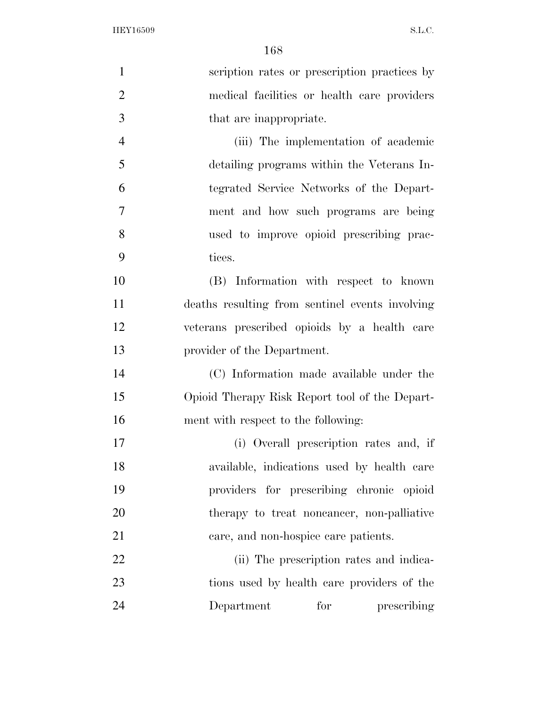| $\mathbf{1}$   | scription rates or prescription practices by    |
|----------------|-------------------------------------------------|
| $\overline{2}$ | medical facilities or health care providers     |
| 3              | that are inappropriate.                         |
| $\overline{4}$ | (iii) The implementation of academic            |
| 5              | detailing programs within the Veterans In-      |
| 6              | tegrated Service Networks of the Depart-        |
| 7              | ment and how such programs are being            |
| 8              | used to improve opioid prescribing prac-        |
| 9              | tices.                                          |
| 10             | (B) Information with respect to known           |
| 11             | deaths resulting from sentinel events involving |
| 12             | veterans prescribed opioids by a health care    |
| 13             | provider of the Department.                     |
| 14             | (C) Information made available under the        |
| 15             | Opioid Therapy Risk Report tool of the Depart-  |
| 16             | ment with respect to the following:             |
| 17             | (i) Overall prescription rates and, if          |
| 18             | available, indications used by health care      |
| 19             | providers for prescribing chronic opioid        |
| 20             | therapy to treat noncancer, non-palliative      |
| 21             | care, and non-hospice care patients.            |
| 22             | (ii) The prescription rates and indica-         |
| 23             | tions used by health care providers of the      |
| 24             | for<br>Department<br>prescribing                |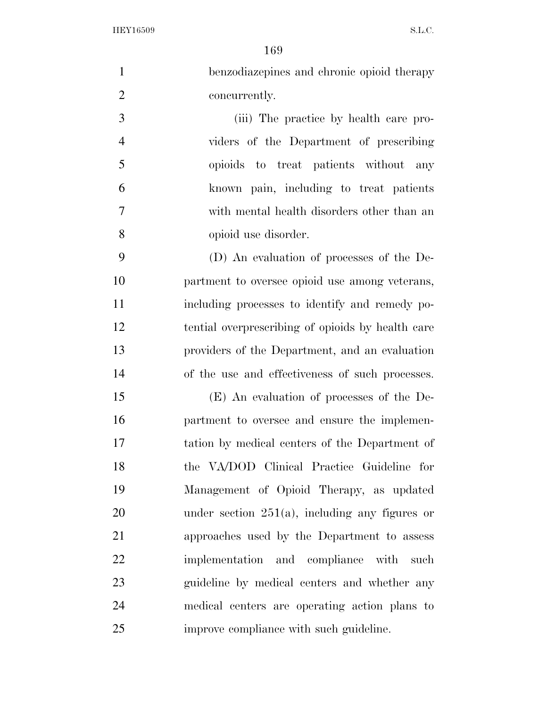| $\mathbf{1}$   | benzodiazepines and chronic opioid therapy        |
|----------------|---------------------------------------------------|
| $\mathfrak{2}$ | concurrently.                                     |
| 3              | (iii) The practice by health care pro-            |
| $\overline{4}$ | viders of the Department of prescribing           |
| 5              | opioids to treat patients without any             |
| 6              | known pain, including to treat patients           |
| 7              | with mental health disorders other than an        |
| 8              | opioid use disorder.                              |
| 9              | (D) An evaluation of processes of the De-         |
| 10             | partment to oversee opioid use among veterans,    |
| 11             | including processes to identify and remedy po-    |
| 12             | tential overprescribing of opioids by health care |
| 13             | providers of the Department, and an evaluation    |
| 14             | of the use and effectiveness of such processes.   |
| 15             | (E) An evaluation of processes of the De-         |
| 16             | partment to oversee and ensure the implemen-      |
| 17             | tation by medical centers of the Department of    |
| 18             | the VA/DOD Clinical Practice Guideline for        |
| 19             | Management of Opioid Therapy, as updated          |
| 20             | under section $251(a)$ , including any figures or |
| 21             | approaches used by the Department to assess       |
| 22             | implementation and compliance with<br>such        |
| 23             | guideline by medical centers and whether any      |
| 24             | medical centers are operating action plans to     |
| 25             | improve compliance with such guideline.           |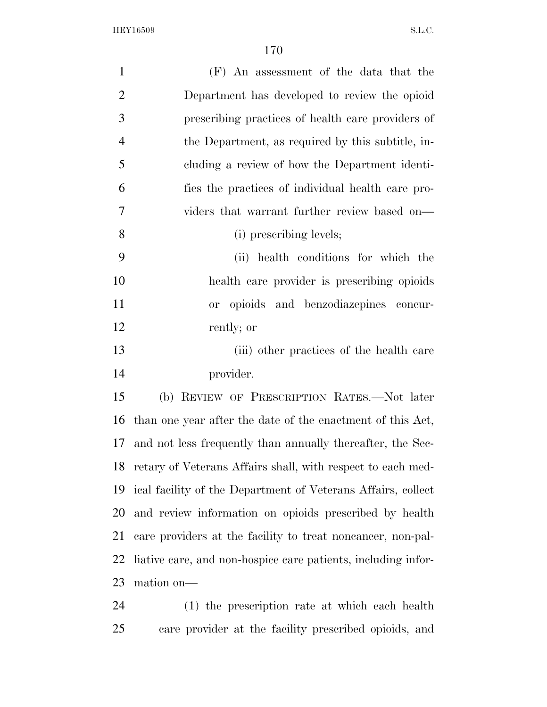| $\mathbf{1}$   | (F) An assessment of the data that the                        |
|----------------|---------------------------------------------------------------|
| $\overline{2}$ | Department has developed to review the opioid                 |
| 3              | prescribing practices of health care providers of             |
| $\overline{4}$ | the Department, as required by this subtitle, in-             |
| 5              | cluding a review of how the Department identi-                |
| 6              | fies the practices of individual health care pro-             |
| 7              | viders that warrant further review based on—                  |
| 8              | (i) prescribing levels;                                       |
| 9              | (ii) health conditions for which the                          |
| 10             | health care provider is prescribing opioids                   |
| 11             | opioids and benzodiazepines concur-<br>or                     |
| 12             | rently; or                                                    |
| 13             | (iii) other practices of the health care                      |
| 14             | provider.                                                     |
| 15             | (b) REVIEW OF PRESCRIPTION RATES.—Not later                   |
| 16             | than one year after the date of the enactment of this Act,    |
| 17             | and not less frequently than annually thereafter, the Sec-    |
| 18             | retary of Veterans Affairs shall, with respect to each med-   |
| 19             | ical facility of the Department of Veterans Affairs, collect  |
| 20             | and review information on opioids prescribed by health        |
| 21             | care providers at the facility to treat noncancer, non-pal-   |
| 22             | liative care, and non-hospice care patients, including infor- |
|                |                                                               |

mation on—

 (1) the prescription rate at which each health care provider at the facility prescribed opioids, and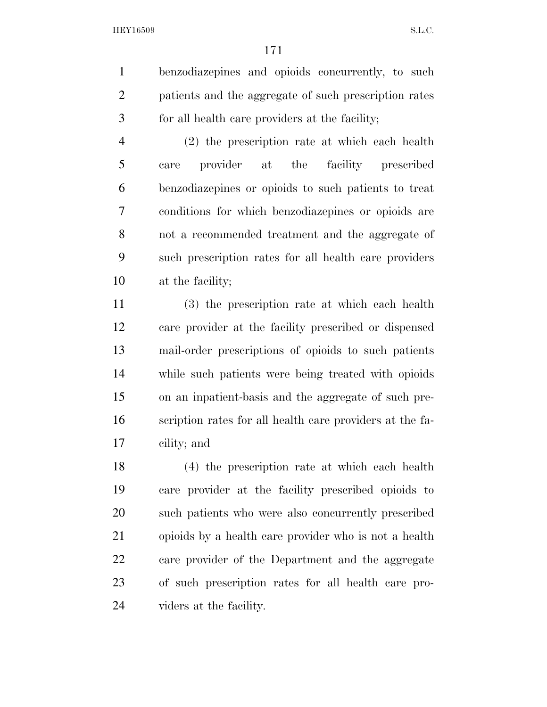benzodiazepines and opioids concurrently, to such patients and the aggregate of such prescription rates for all health care providers at the facility;

 (2) the prescription rate at which each health care provider at the facility prescribed benzodiazepines or opioids to such patients to treat conditions for which benzodiazepines or opioids are not a recommended treatment and the aggregate of such prescription rates for all health care providers at the facility;

 (3) the prescription rate at which each health care provider at the facility prescribed or dispensed mail-order prescriptions of opioids to such patients while such patients were being treated with opioids on an inpatient-basis and the aggregate of such pre- scription rates for all health care providers at the fa-cility; and

 (4) the prescription rate at which each health care provider at the facility prescribed opioids to such patients who were also concurrently prescribed opioids by a health care provider who is not a health care provider of the Department and the aggregate of such prescription rates for all health care pro-viders at the facility.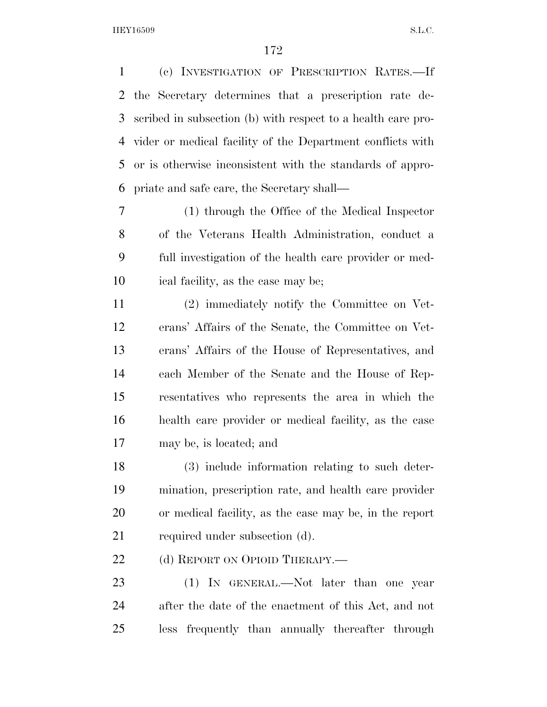(c) INVESTIGATION OF PRESCRIPTION RATES.—If the Secretary determines that a prescription rate de- scribed in subsection (b) with respect to a health care pro- vider or medical facility of the Department conflicts with or is otherwise inconsistent with the standards of appro-priate and safe care, the Secretary shall—

 (1) through the Office of the Medical Inspector of the Veterans Health Administration, conduct a full investigation of the health care provider or med-ical facility, as the case may be;

 (2) immediately notify the Committee on Vet- erans' Affairs of the Senate, the Committee on Vet- erans' Affairs of the House of Representatives, and each Member of the Senate and the House of Rep- resentatives who represents the area in which the health care provider or medical facility, as the case may be, is located; and

 (3) include information relating to such deter- mination, prescription rate, and health care provider or medical facility, as the case may be, in the report required under subsection (d).

22 (d) REPORT ON OPIOID THERAPY.—

23 (1) IN GENERAL.—Not later than one year after the date of the enactment of this Act, and not less frequently than annually thereafter through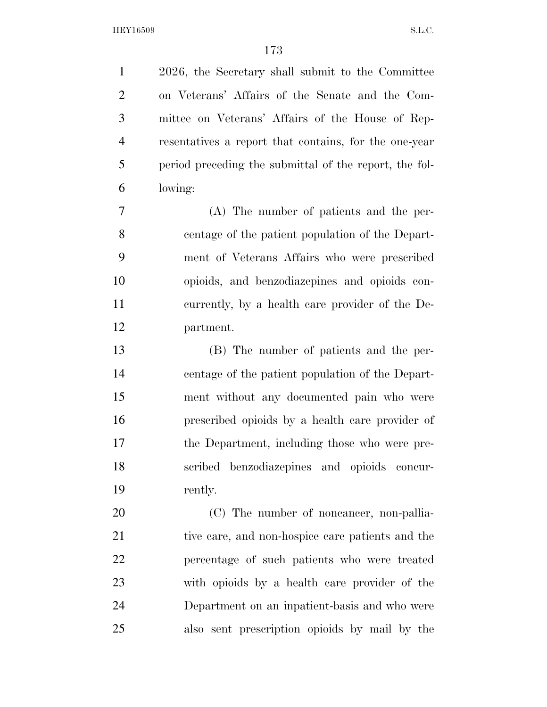2026, the Secretary shall submit to the Committee on Veterans' Affairs of the Senate and the Com- mittee on Veterans' Affairs of the House of Rep- resentatives a report that contains, for the one-year period preceding the submittal of the report, the fol-lowing:

 (A) The number of patients and the per- centage of the patient population of the Depart- ment of Veterans Affairs who were prescribed opioids, and benzodiazepines and opioids con- currently, by a health care provider of the De-partment.

 (B) The number of patients and the per- centage of the patient population of the Depart- ment without any documented pain who were prescribed opioids by a health care provider of the Department, including those who were pre- scribed benzodiazepines and opioids concur-rently.

20 (C) The number of noncancer, non-pallia- tive care, and non-hospice care patients and the percentage of such patients who were treated with opioids by a health care provider of the Department on an inpatient-basis and who were also sent prescription opioids by mail by the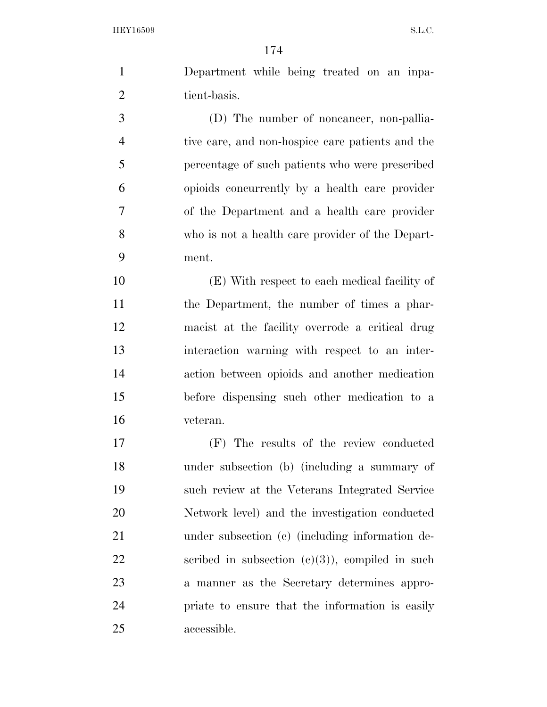Department while being treated on an inpa-2 tient-basis.

 (D) The number of noncancer, non-pallia- tive care, and non-hospice care patients and the percentage of such patients who were prescribed opioids concurrently by a health care provider of the Department and a health care provider who is not a health care provider of the Depart-ment.

 (E) With respect to each medical facility of the Department, the number of times a phar- macist at the facility overrode a critical drug interaction warning with respect to an inter- action between opioids and another medication before dispensing such other medication to a veteran.

 (F) The results of the review conducted under subsection (b) (including a summary of such review at the Veterans Integrated Service Network level) and the investigation conducted under subsection (c) (including information de-22 scribed in subsection  $(c)(3)$ , compiled in such a manner as the Secretary determines appro- priate to ensure that the information is easily accessible.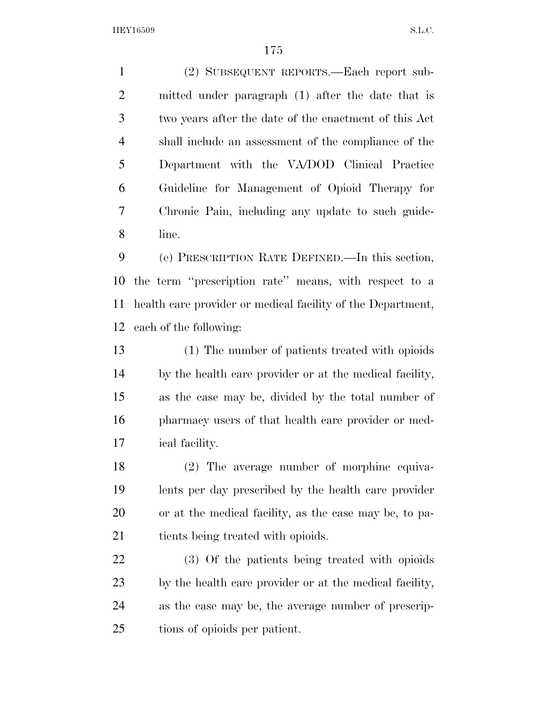(2) SUBSEQUENT REPORTS.—Each report sub- mitted under paragraph (1) after the date that is two years after the date of the enactment of this Act shall include an assessment of the compliance of the Department with the VA/DOD Clinical Practice Guideline for Management of Opioid Therapy for Chronic Pain, including any update to such guide-line.

 (e) PRESCRIPTION RATE DEFINED.—In this section, the term ''prescription rate'' means, with respect to a health care provider or medical facility of the Department, each of the following:

 (1) The number of patients treated with opioids by the health care provider or at the medical facility, as the case may be, divided by the total number of pharmacy users of that health care provider or med-ical facility.

 (2) The average number of morphine equiva- lents per day prescribed by the health care provider or at the medical facility, as the case may be, to pa-21 tients being treated with opioids.

 (3) Of the patients being treated with opioids by the health care provider or at the medical facility, as the case may be, the average number of prescrip-tions of opioids per patient.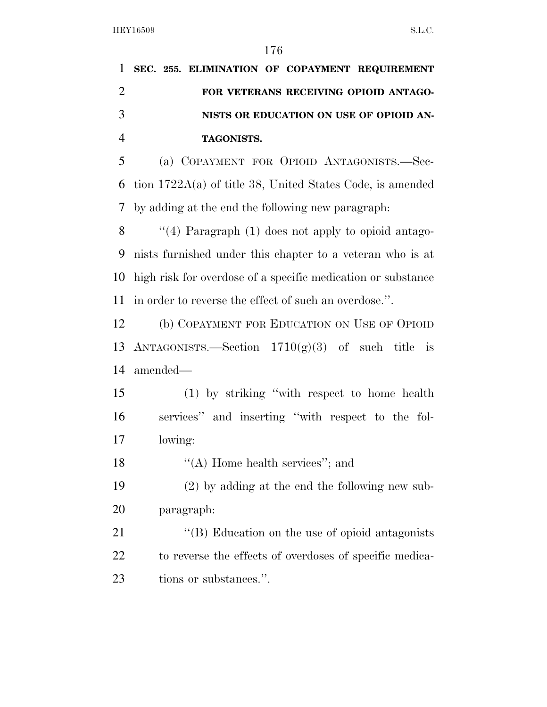|    | 1 SEC. 255. ELIMINATION OF COPAYMENT REQUIREMENT |
|----|--------------------------------------------------|
|    | FOR VETERANS RECEIVING OPIOID ANTAGO-            |
| -3 | NISTS OR EDUCATION ON USE OF OPIOID AN-          |
|    | <b>TAGONISTS.</b>                                |
| 5  | (a) COPAYMENT FOR OPIOID ANTAGONISTS.—Sec-       |

 tion 1722A(a) of title 38, United States Code, is amended by adding at the end the following new paragraph:

 ''(4) Paragraph (1) does not apply to opioid antago- nists furnished under this chapter to a veteran who is at high risk for overdose of a specific medication or substance in order to reverse the effect of such an overdose.''.

 (b) COPAYMENT FOR EDUCATION ON USE OF OPIOID 13 ANTAGONISTS.—Section  $1710(g)(3)$  of such title is amended—

 (1) by striking ''with respect to home health services'' and inserting ''with respect to the fol-lowing:

18 ''(A) Home health services''; and

 (2) by adding at the end the following new sub-paragraph:

21 ''(B) Education on the use of opioid antagonists 22 to reverse the effects of overdoses of specific medica-tions or substances.''.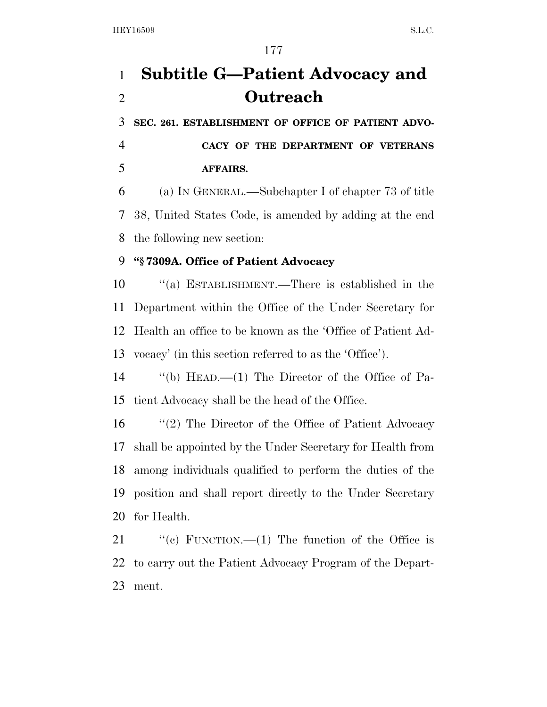## **Subtitle G—Patient Advocacy and Outreach**

 **SEC. 261. ESTABLISHMENT OF OFFICE OF PATIENT ADVO-CACY OF THE DEPARTMENT OF VETERANS** 

**AFFAIRS.** 

 (a) IN GENERAL.—Subchapter I of chapter 73 of title 38, United States Code, is amended by adding at the end the following new section:

#### **''§ 7309A. Office of Patient Advocacy**

 ''(a) ESTABLISHMENT.—There is established in the Department within the Office of the Under Secretary for Health an office to be known as the 'Office of Patient Ad-vocacy' (in this section referred to as the 'Office').

 ''(b) HEAD.—(1) The Director of the Office of Pa-tient Advocacy shall be the head of the Office.

 ''(2) The Director of the Office of Patient Advocacy shall be appointed by the Under Secretary for Health from among individuals qualified to perform the duties of the position and shall report directly to the Under Secretary for Health.

21 "(c) FUNCTION.—(1) The function of the Office is to carry out the Patient Advocacy Program of the Depart-ment.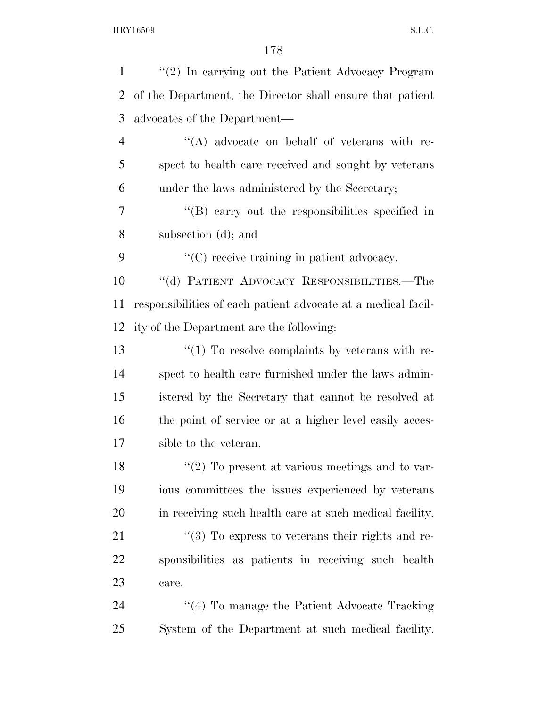| $\mathbf{1}$   | $\lq(2)$ In carrying out the Patient Advocacy Program         |
|----------------|---------------------------------------------------------------|
| 2              | of the Department, the Director shall ensure that patient     |
| 3              | advocates of the Department—                                  |
| $\overline{4}$ | $\lq\lq$ advocate on behalf of veterans with re-              |
| 5              | spect to health care received and sought by veterans          |
| 6              | under the laws administered by the Secretary;                 |
| 7              | $\lq\lq$ carry out the responsibilities specified in          |
| 8              | subsection (d); and                                           |
| 9              | "(C) receive training in patient advocacy.                    |
| 10             | "(d) PATIENT ADVOCACY RESPONSIBILITIES.—The                   |
| 11             | responsibilities of each patient advocate at a medical facil- |
| 12             | ity of the Department are the following:                      |
| 13             | $\lq(1)$ To resolve complaints by veterans with re-           |
| 14             | spect to health care furnished under the laws admin-          |
| 15             | istered by the Secretary that cannot be resolved at           |
| 16             | the point of service or at a higher level easily acces-       |
| 17             | sible to the veteran.                                         |
| 18             | $\lq(2)$ To present at various meetings and to var-           |
| 19             | ious committees the issues experienced by veterans            |
| 20             | in receiving such health care at such medical facility.       |
| 21             | $\lq(3)$ To express to veterans their rights and re-          |
| 22             | sponsibilities as patients in receiving such health           |
| 23             | care.                                                         |
| 24             | $\cdot$ (4) To manage the Patient Advocate Tracking           |
| 25             | System of the Department at such medical facility.            |
|                |                                                               |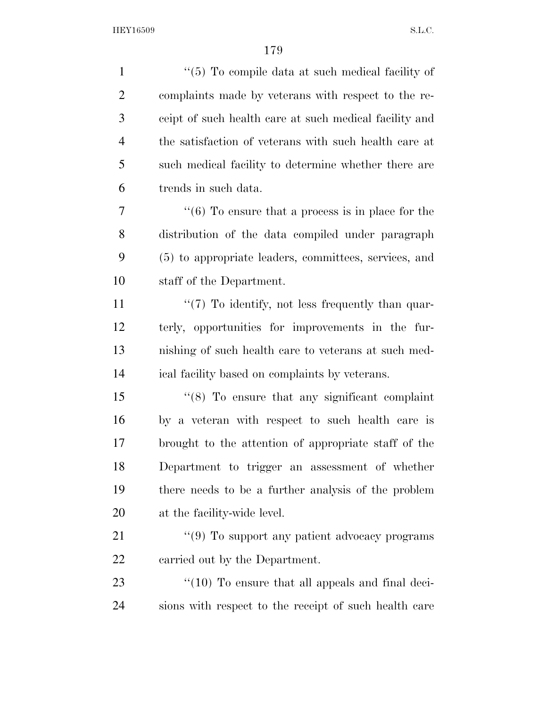| $\mathbf{1}$   | " $(5)$ To compile data at such medical facility of           |
|----------------|---------------------------------------------------------------|
| $\overline{2}$ | complaints made by veterans with respect to the re-           |
| 3              | ceipt of such health care at such medical facility and        |
| $\overline{4}$ | the satisfaction of veterans with such health care at         |
| 5              | such medical facility to determine whether there are          |
| 6              | trends in such data.                                          |
| 7              | $\cdot\cdot$ (6) To ensure that a process is in place for the |
| 8              | distribution of the data compiled under paragraph             |
| 9              | (5) to appropriate leaders, committees, services, and         |
| 10             | staff of the Department.                                      |
| 11             | $\lq(7)$ To identify, not less frequently than quar-          |
| 12             | terly, opportunities for improvements in the fur-             |
| 13             | nishing of such health care to veterans at such med-          |
| 14             | ical facility based on complaints by veterans.                |
| 15             | $\cdot$ (8) To ensure that any significant complaint          |
| 16             | by a veteran with respect to such health care is              |
| 17             | brought to the attention of appropriate staff of the          |
| 18             | Department to trigger an assessment of whether                |
| 19             | there needs to be a further analysis of the problem           |
| 20             | at the facility-wide level.                                   |
| 21             | $\lq(9)$ To support any patient advocacy programs             |
| 22             | carried out by the Department.                                |
| 23             | $\lq(10)$ To ensure that all appeals and final deci-          |
| 24             | sions with respect to the receipt of such health care         |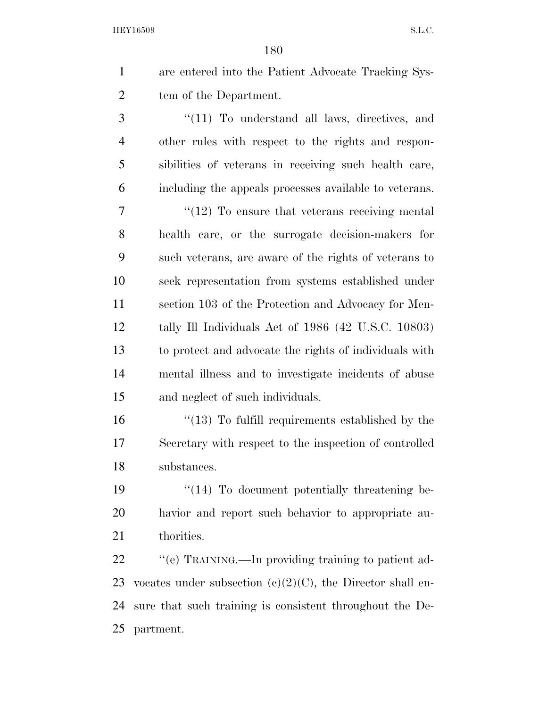are entered into the Patient Advocate Tracking Sys-tem of the Department.

 ''(11) To understand all laws, directives, and other rules with respect to the rights and respon- sibilities of veterans in receiving such health care, including the appeals processes available to veterans.

7 ''(12) To ensure that veterans receiving mental health care, or the surrogate decision-makers for such veterans, are aware of the rights of veterans to seek representation from systems established under section 103 of the Protection and Advocacy for Men- tally Ill Individuals Act of 1986 (42 U.S.C. 10803) to protect and advocate the rights of individuals with mental illness and to investigate incidents of abuse and neglect of such individuals.

16 ''(13) To fulfill requirements established by the Secretary with respect to the inspection of controlled substances.

19 "(14) To document potentially threatening be- havior and report such behavior to appropriate au-21 thorities.

 $\degree$  (e) TRAINING.—In providing training to patient ad-23 vocates under subsection  $(e)(2)(C)$ , the Director shall en- sure that such training is consistent throughout the De-partment.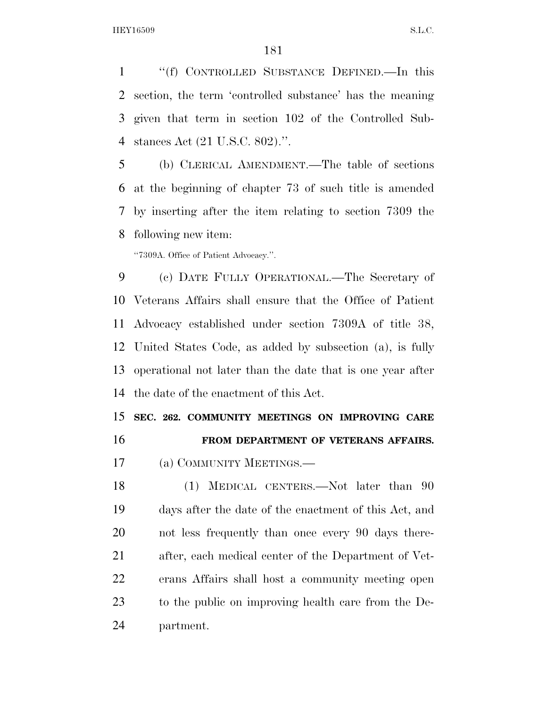''(f) CONTROLLED SUBSTANCE DEFINED.—In this section, the term 'controlled substance' has the meaning given that term in section 102 of the Controlled Sub-stances Act (21 U.S.C. 802).''.

 (b) CLERICAL AMENDMENT.—The table of sections at the beginning of chapter 73 of such title is amended by inserting after the item relating to section 7309 the following new item:

''7309A. Office of Patient Advocacy.''.

 (c) DATE FULLY OPERATIONAL.—The Secretary of Veterans Affairs shall ensure that the Office of Patient Advocacy established under section 7309A of title 38, United States Code, as added by subsection (a), is fully operational not later than the date that is one year after the date of the enactment of this Act.

 **SEC. 262. COMMUNITY MEETINGS ON IMPROVING CARE FROM DEPARTMENT OF VETERANS AFFAIRS.** 

(a) COMMUNITY MEETINGS.—

18 (1) MEDICAL CENTERS.—Not later than 90 days after the date of the enactment of this Act, and not less frequently than once every 90 days there- after, each medical center of the Department of Vet- erans Affairs shall host a community meeting open to the public on improving health care from the De-partment.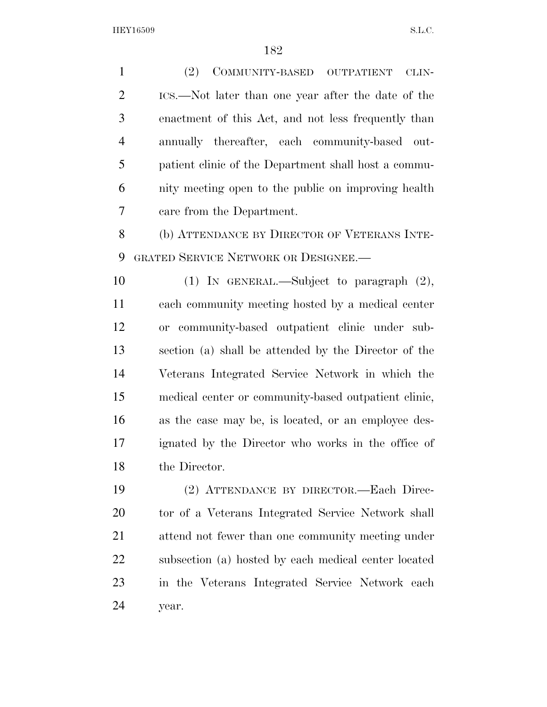(2) COMMUNITY-BASED OUTPATIENT CLIN- ICS.—Not later than one year after the date of the enactment of this Act, and not less frequently than annually thereafter, each community-based out- patient clinic of the Department shall host a commu- nity meeting open to the public on improving health care from the Department. (b) ATTENDANCE BY DIRECTOR OF VETERANS INTE- GRATED SERVICE NETWORK OR DESIGNEE.— (1) IN GENERAL.—Subject to paragraph (2), each community meeting hosted by a medical center or community-based outpatient clinic under sub- section (a) shall be attended by the Director of the Veterans Integrated Service Network in which the medical center or community-based outpatient clinic, as the case may be, is located, or an employee des- ignated by the Director who works in the office of the Director. (2) ATTENDANCE BY DIRECTOR.—Each Direc- tor of a Veterans Integrated Service Network shall attend not fewer than one community meeting under subsection (a) hosted by each medical center located

in the Veterans Integrated Service Network each

year.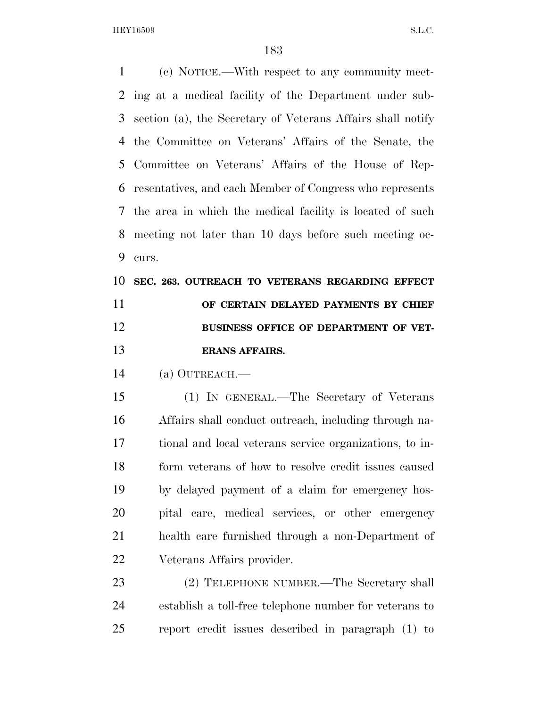(c) NOTICE.—With respect to any community meet- ing at a medical facility of the Department under sub- section (a), the Secretary of Veterans Affairs shall notify the Committee on Veterans' Affairs of the Senate, the Committee on Veterans' Affairs of the House of Rep- resentatives, and each Member of Congress who represents the area in which the medical facility is located of such meeting not later than 10 days before such meeting oc-curs.

## **SEC. 263. OUTREACH TO VETERANS REGARDING EFFECT OF CERTAIN DELAYED PAYMENTS BY CHIEF BUSINESS OFFICE OF DEPARTMENT OF VET-ERANS AFFAIRS.**

(a) OUTREACH.—

 (1) IN GENERAL.—The Secretary of Veterans Affairs shall conduct outreach, including through na- tional and local veterans service organizations, to in- form veterans of how to resolve credit issues caused by delayed payment of a claim for emergency hos- pital care, medical services, or other emergency health care furnished through a non-Department of Veterans Affairs provider.

 (2) TELEPHONE NUMBER.—The Secretary shall establish a toll-free telephone number for veterans to report credit issues described in paragraph (1) to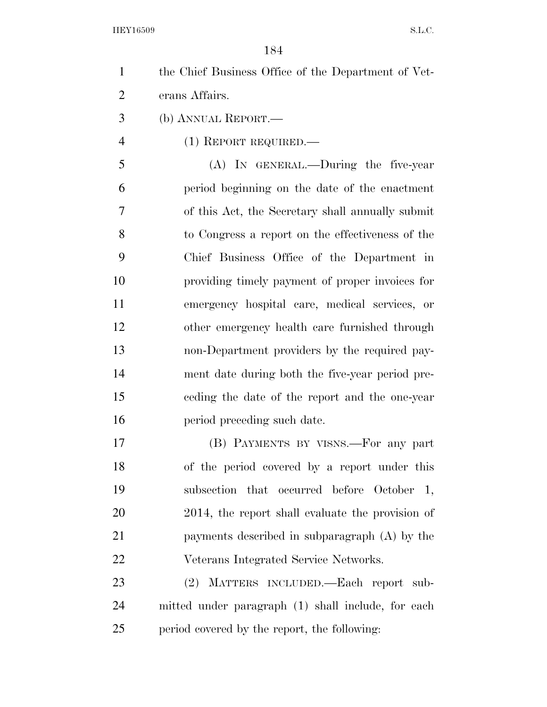| $\mathbf{1}$   | the Chief Business Office of the Department of Vet- |
|----------------|-----------------------------------------------------|
| $\overline{2}$ | erans Affairs.                                      |
| 3              | (b) ANNUAL REPORT.—                                 |
| 4              | $(1)$ REPORT REQUIRED.—                             |
| 5              | (A) In GENERAL.—During the five-year                |
| 6              | period beginning on the date of the enactment       |
| 7              | of this Act, the Secretary shall annually submit    |
| 8              | to Congress a report on the effectiveness of the    |
| 9              | Chief Business Office of the Department in          |
| 10             | providing timely payment of proper invoices for     |
| 11             | emergency hospital care, medical services, or       |
| 12             | other emergency health care furnished through       |
| 13             | non-Department providers by the required pay-       |
| 14             | ment date during both the five-year period pre-     |
| 15             | eeding the date of the report and the one-year      |
| 16             | period preceding such date.                         |
| 17             | (B) PAYMENTS BY VISNS.—For any part                 |
| 18             | of the period covered by a report under this        |
| 19             | subsection that occurred before October 1,          |
| 20             | 2014, the report shall evaluate the provision of    |
| 21             | payments described in subparagraph (A) by the       |
| 22             | Veterans Integrated Service Networks.               |
| 23             | MATTERS INCLUDED.—Each report sub-<br>(2)           |
| 24             | mitted under paragraph (1) shall include, for each  |
| 25             | period covered by the report, the following:        |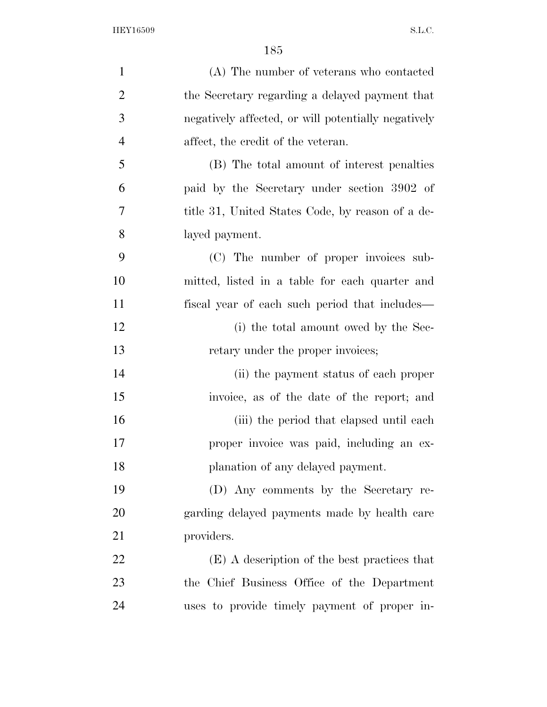| $\mathbf{1}$   | (A) The number of veterans who contacted            |
|----------------|-----------------------------------------------------|
| $\overline{2}$ | the Secretary regarding a delayed payment that      |
| 3              | negatively affected, or will potentially negatively |
| $\overline{4}$ | affect, the credit of the veteran.                  |
| 5              | (B) The total amount of interest penalties          |
| 6              | paid by the Secretary under section 3902 of         |
| 7              | title 31, United States Code, by reason of a de-    |
| 8              | layed payment.                                      |
| 9              | (C) The number of proper invoices sub-              |
| 10             | mitted, listed in a table for each quarter and      |
| 11             | fiscal year of each such period that includes—      |
| 12             | (i) the total amount owed by the Sec-               |
| 13             | retary under the proper invoices;                   |
| 14             | (ii) the payment status of each proper              |
| 15             | invoice, as of the date of the report; and          |
| 16             | (iii) the period that elapsed until each            |
| 17             | proper invoice was paid, including an ex-           |
| 18             | planation of any delayed payment.                   |
| 19             | (D) Any comments by the Secretary re-               |
| 20             | garding delayed payments made by health care        |
| 21             | providers.                                          |
| 22             | (E) A description of the best practices that        |
| 23             | the Chief Business Office of the Department         |
| 24             | uses to provide timely payment of proper in-        |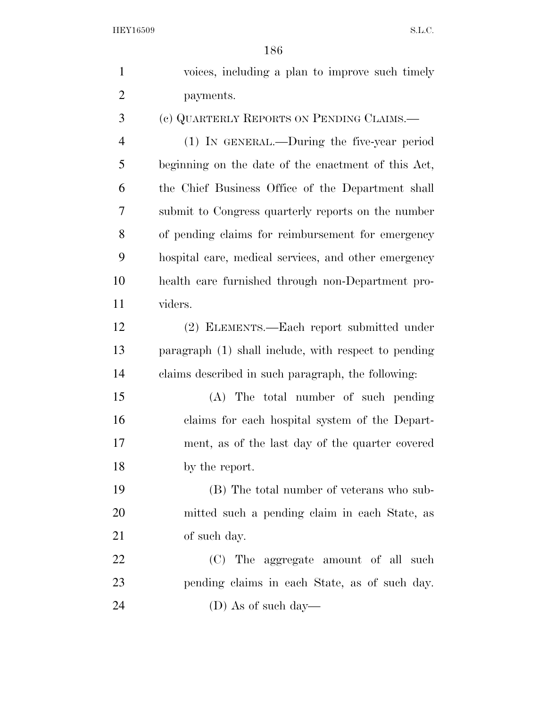| $\mathbf{1}$   | voices, including a plan to improve such timely      |
|----------------|------------------------------------------------------|
| $\overline{2}$ | payments.                                            |
| 3              | (c) QUARTERLY REPORTS ON PENDING CLAIMS.             |
| $\overline{4}$ | (1) IN GENERAL.—During the five-year period          |
| 5              | beginning on the date of the enactment of this Act,  |
| 6              | the Chief Business Office of the Department shall    |
| 7              | submit to Congress quarterly reports on the number   |
| 8              | of pending claims for reimbursement for emergency    |
| 9              | hospital care, medical services, and other emergency |
| 10             | health care furnished through non-Department pro-    |
| 11             | viders.                                              |
| 12             | (2) ELEMENTS.—Each report submitted under            |
| 13             | paragraph (1) shall include, with respect to pending |
| 14             | claims described in such paragraph, the following:   |
| 15             | (A) The total number of such pending                 |
| 16             | claims for each hospital system of the Depart-       |
| 17             | ment, as of the last day of the quarter covered      |
| 18             | by the report.                                       |
| 19             | (B) The total number of veterans who sub-            |
| 20             | mitted such a pending claim in each State, as        |
| 21             | of such day.                                         |
| 22             | (C) The aggregate amount of all such                 |
| 23             | pending claims in each State, as of such day.        |
| 24             | (D) As of such day—                                  |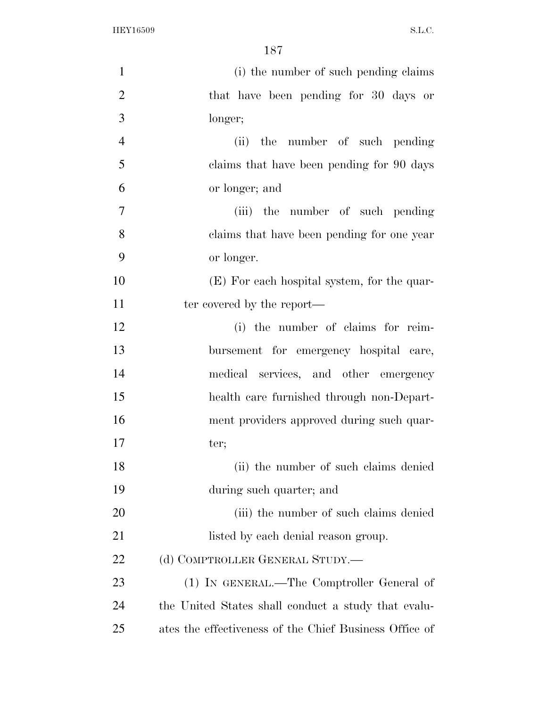| $\mathbf{1}$   | (i) the number of such pending claims                  |
|----------------|--------------------------------------------------------|
| $\overline{2}$ | that have been pending for 30 days or                  |
| 3              | longer;                                                |
| $\overline{4}$ | the number of such pending<br>(ii)                     |
| 5              | claims that have been pending for 90 days              |
| 6              | or longer; and                                         |
| 7              | (iii) the number of such pending                       |
| 8              | claims that have been pending for one year             |
| 9              | or longer.                                             |
| 10             | (E) For each hospital system, for the quar-            |
| 11             | ter covered by the report—                             |
| 12             | (i) the number of claims for reim-                     |
| 13             | bursement for emergency hospital care,                 |
| 14             | medical services, and other emergency                  |
| 15             | health care furnished through non-Depart-              |
| 16             | ment providers approved during such quar-              |
| 17             | ter;                                                   |
| 18             | (ii) the number of such claims denied                  |
| 19             | during such quarter; and                               |
| 20             | (iii) the number of such claims denied                 |
| 21             | listed by each denial reason group.                    |
| 22             | (d) COMPTROLLER GENERAL STUDY.—                        |
| 23             | (1) IN GENERAL.—The Comptroller General of             |
| 24             | the United States shall conduct a study that evalu-    |
| 25             | ates the effectiveness of the Chief Business Office of |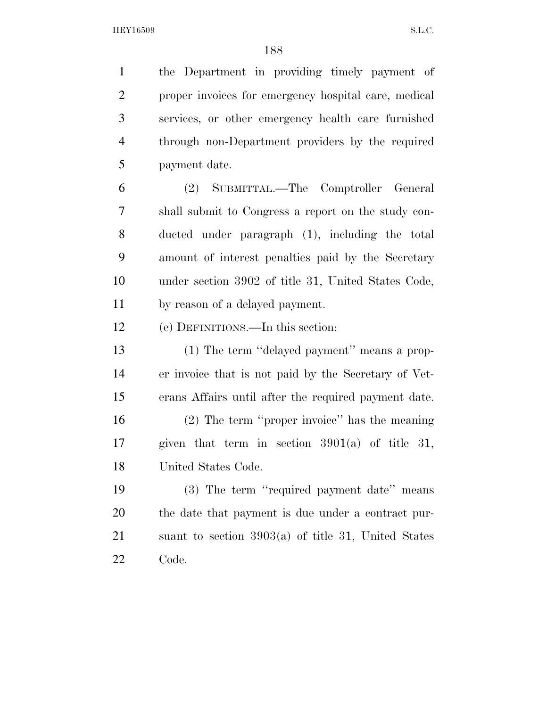the Department in providing timely payment of proper invoices for emergency hospital care, medical services, or other emergency health care furnished through non-Department providers by the required payment date. (2) SUBMITTAL.—The Comptroller General shall submit to Congress a report on the study con- ducted under paragraph (1), including the total amount of interest penalties paid by the Secretary under section 3902 of title 31, United States Code, by reason of a delayed payment. (e) DEFINITIONS.—In this section: (1) The term ''delayed payment'' means a prop- er invoice that is not paid by the Secretary of Vet- erans Affairs until after the required payment date. (2) The term ''proper invoice'' has the meaning given that term in section 3901(a) of title 31, United States Code. (3) The term ''required payment date'' means the date that payment is due under a contract pur- suant to section 3903(a) of title 31, United States Code.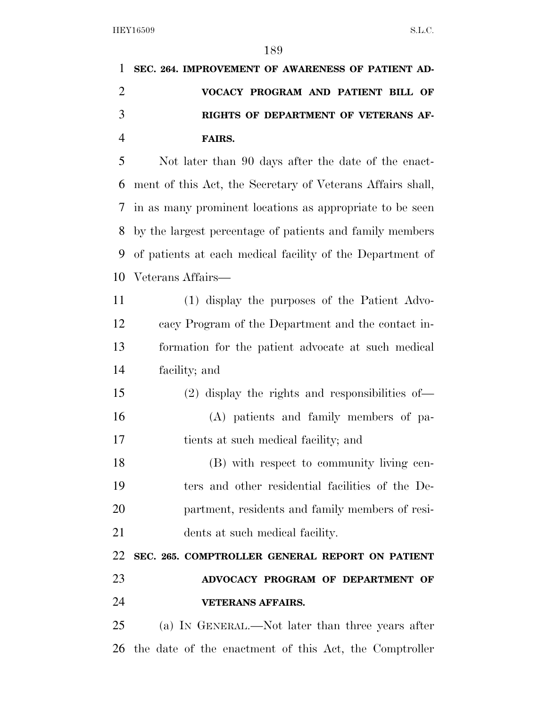| 1 SEC. 264. IMPROVEMENT OF AWARENESS OF PATIENT AD- |
|-----------------------------------------------------|
| VOCACY PROGRAM AND PATIENT BILL OF                  |
| RIGHTS OF DEPARTMENT OF VETERANS AF-                |
| <b>FAIRS.</b>                                       |

 Not later than 90 days after the date of the enact- ment of this Act, the Secretary of Veterans Affairs shall, in as many prominent locations as appropriate to be seen by the largest percentage of patients and family members of patients at each medical facility of the Department of Veterans Affairs—

 (1) display the purposes of the Patient Advo- cacy Program of the Department and the contact in- formation for the patient advocate at such medical facility; and

 (2) display the rights and responsibilities of— (A) patients and family members of pa-tients at such medical facility; and

 (B) with respect to community living cen- ters and other residential facilities of the De- partment, residents and family members of resi-dents at such medical facility.

**SEC. 265. COMPTROLLER GENERAL REPORT ON PATIENT** 

 **ADVOCACY PROGRAM OF DEPARTMENT OF VETERANS AFFAIRS.** 

 (a) IN GENERAL.—Not later than three years after the date of the enactment of this Act, the Comptroller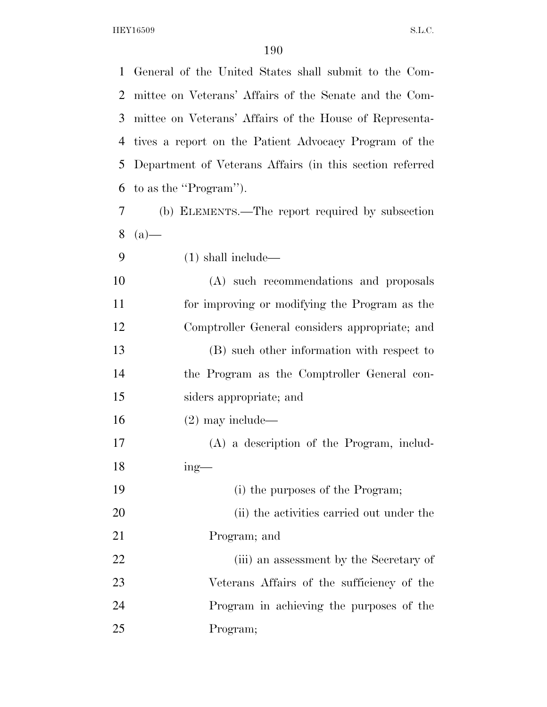General of the United States shall submit to the Com- mittee on Veterans' Affairs of the Senate and the Com- mittee on Veterans' Affairs of the House of Representa- tives a report on the Patient Advocacy Program of the Department of Veterans Affairs (in this section referred to as the ''Program'').

- (b) ELEMENTS.—The report required by subsection  $8(a)$ —
- (1) shall include—

 (A) such recommendations and proposals for improving or modifying the Program as the Comptroller General considers appropriate; and (B) such other information with respect to the Program as the Comptroller General con- siders appropriate; and (2) may include— (A) a description of the Program, includ-ing—

 (i) the purposes of the Program; 20 (ii) the activities carried out under the Program; and (iii) an assessment by the Secretary of Veterans Affairs of the sufficiency of the Program in achieving the purposes of the Program;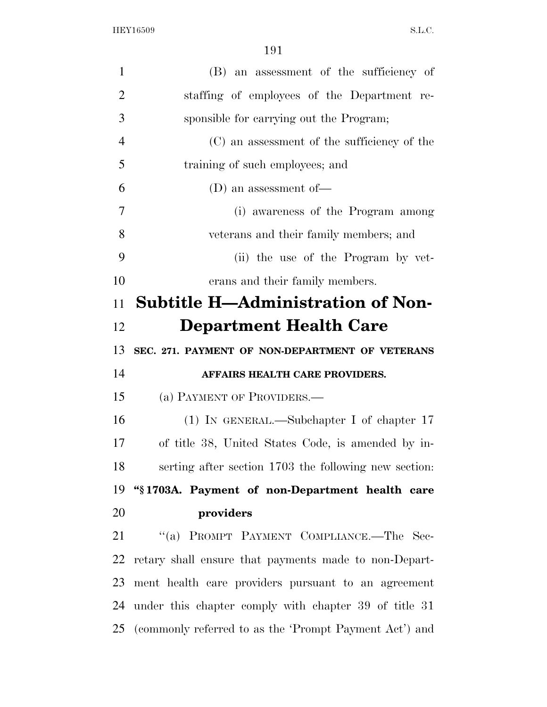| $\mathbf{1}$   | (B) an assessment of the sufficiency of                   |
|----------------|-----------------------------------------------------------|
| $\overline{2}$ | staffing of employees of the Department re-               |
| 3              | sponsible for carrying out the Program;                   |
| $\overline{4}$ | (C) an assessment of the sufficiency of the               |
| 5              | training of such employees; and                           |
| 6              | (D) an assessment of $-$                                  |
| 7              | (i) awareness of the Program among                        |
| 8              | veterans and their family members; and                    |
| 9              | (ii) the use of the Program by vet-                       |
| 10             | erans and their family members.                           |
| 11             | <b>Subtitle H—Administration of Non-</b>                  |
| 12             | <b>Department Health Care</b>                             |
| 13             | SEC. 271. PAYMENT OF NON-DEPARTMENT OF VETERANS           |
| 14             | AFFAIRS HEALTH CARE PROVIDERS.                            |
| 15             | (a) PAYMENT OF PROVIDERS.—                                |
| 16             | $(1)$ IN GENERAL.—Subchapter I of chapter 17              |
| 17             | of title 38, United States Code, is amended by in-        |
| 18             | serting after section 1703 the following new section:     |
| 19             | "§1703A. Payment of non-Department health care            |
| 20             | providers                                                 |
| 21             | "(a) PROMPT PAYMENT COMPLIANCE.—The Sec-                  |
| 22             | retary shall ensure that payments made to non-Depart-     |
| 23             | ment health care providers pursuant to an agreement       |
| 24             | under this chapter comply with chapter 39 of title 31     |
|                | 25 (commonly referred to as the 'Prompt Payment Act') and |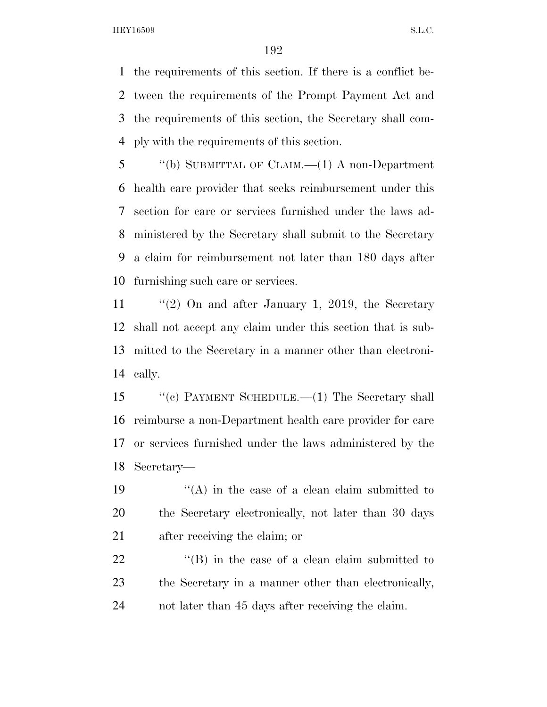the requirements of this section. If there is a conflict be- tween the requirements of the Prompt Payment Act and the requirements of this section, the Secretary shall com-ply with the requirements of this section.

 ''(b) SUBMITTAL OF CLAIM.—(1) A non-Department health care provider that seeks reimbursement under this section for care or services furnished under the laws ad- ministered by the Secretary shall submit to the Secretary a claim for reimbursement not later than 180 days after furnishing such care or services.

 ''(2) On and after January 1, 2019, the Secretary shall not accept any claim under this section that is sub- mitted to the Secretary in a manner other than electroni-cally.

 ''(c) PAYMENT SCHEDULE.—(1) The Secretary shall reimburse a non-Department health care provider for care or services furnished under the laws administered by the Secretary—

19  $\langle (A)$  in the case of a clean claim submitted to the Secretary electronically, not later than 30 days after receiving the claim; or

22 ''(B) in the case of a clean claim submitted to the Secretary in a manner other than electronically, not later than 45 days after receiving the claim.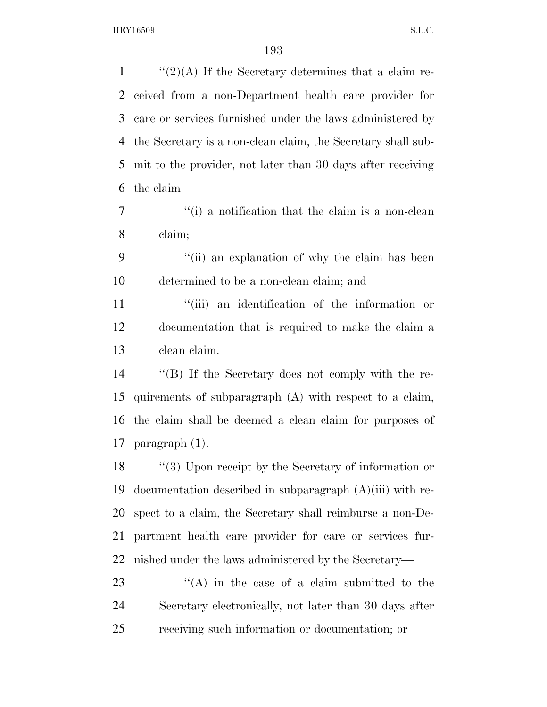$\frac{1}{2}(2)(A)$  If the Secretary determines that a claim re- ceived from a non-Department health care provider for care or services furnished under the laws administered by the Secretary is a non-clean claim, the Secretary shall sub- mit to the provider, not later than 30 days after receiving the claim— ''(i) a notification that the claim is a non-clean claim; ''(ii) an explanation of why the claim has been determined to be a non-clean claim; and  $\frac{1}{10}$  an identification of the information or documentation that is required to make the claim a clean claim. ''(B) If the Secretary does not comply with the re- quirements of subparagraph (A) with respect to a claim, the claim shall be deemed a clean claim for purposes of paragraph (1). ''(3) Upon receipt by the Secretary of information or documentation described in subparagraph (A)(iii) with re- spect to a claim, the Secretary shall reimburse a non-De- partment health care provider for care or services fur-nished under the laws administered by the Secretary—

23 ''(A) in the case of a claim submitted to the Secretary electronically, not later than 30 days after receiving such information or documentation; or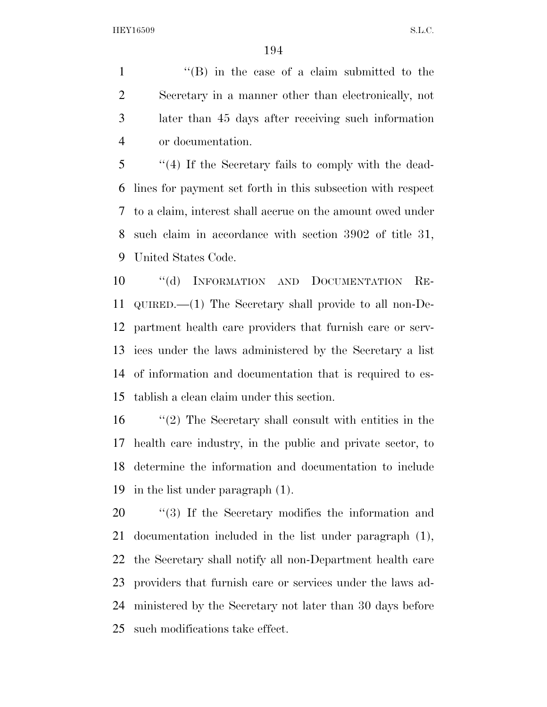1 ''(B) in the case of a claim submitted to the Secretary in a manner other than electronically, not later than 45 days after receiving such information or documentation.

 ''(4) If the Secretary fails to comply with the dead- lines for payment set forth in this subsection with respect to a claim, interest shall accrue on the amount owed under such claim in accordance with section 3902 of title 31, United States Code.

 ''(d) INFORMATION AND DOCUMENTATION RE- QUIRED.—(1) The Secretary shall provide to all non-De- partment health care providers that furnish care or serv- ices under the laws administered by the Secretary a list of information and documentation that is required to es-tablish a clean claim under this section.

 ''(2) The Secretary shall consult with entities in the health care industry, in the public and private sector, to determine the information and documentation to include in the list under paragraph (1).

 $\frac{1}{20}$  (3) If the Secretary modifies the information and documentation included in the list under paragraph (1), the Secretary shall notify all non-Department health care providers that furnish care or services under the laws ad- ministered by the Secretary not later than 30 days before such modifications take effect.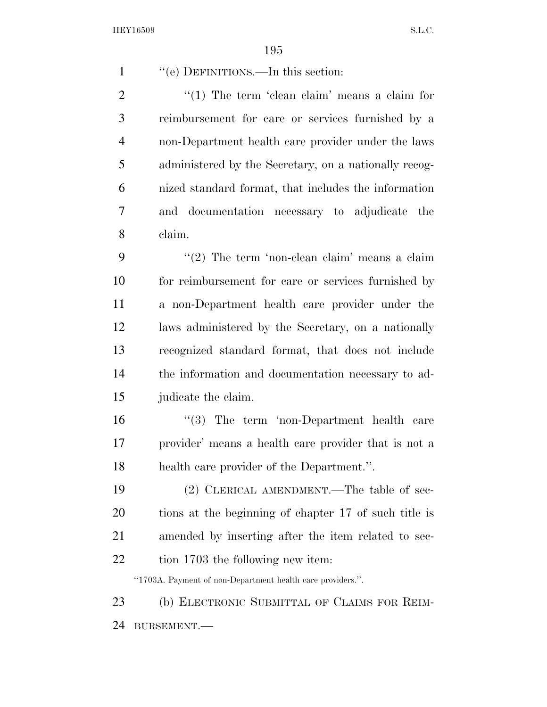1 ''(e) DEFINITIONS.—In this section: 2  $\frac{1}{2}$  (1) The term 'clean claim' means a claim for

 reimbursement for care or services furnished by a non-Department health care provider under the laws administered by the Secretary, on a nationally recog- nized standard format, that includes the information and documentation necessary to adjudicate the claim.

 $\frac{1}{2}$  The term 'non-clean claim' means a claim for reimbursement for care or services furnished by a non-Department health care provider under the laws administered by the Secretary, on a nationally recognized standard format, that does not include the information and documentation necessary to ad-judicate the claim.

16 ''(3) The term 'non-Department health care provider' means a health care provider that is not a health care provider of the Department.''.

 (2) CLERICAL AMENDMENT.—The table of sec- tions at the beginning of chapter 17 of such title is amended by inserting after the item related to sec-22 tion 1703 the following new item:

''1703A. Payment of non-Department health care providers.''.

23 (b) ELECTRONIC SUBMITTAL OF CLAIMS FOR REIM-BURSEMENT.—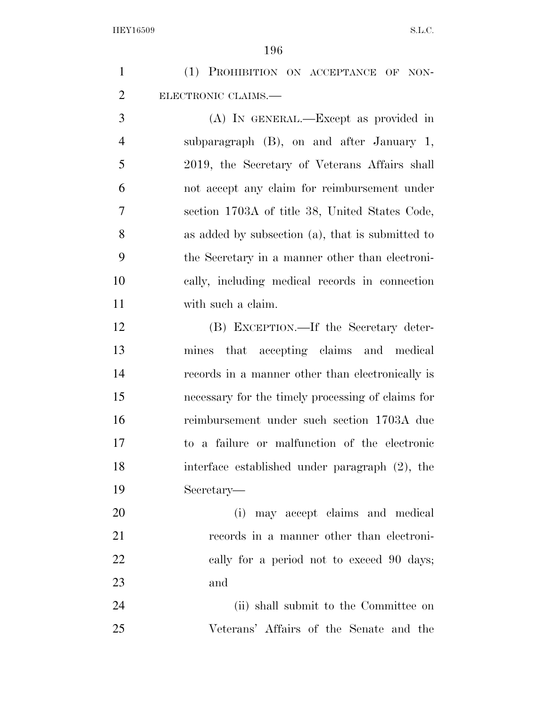|                | エシロ                                               |
|----------------|---------------------------------------------------|
| $\mathbf{1}$   | (1) PROHIBITION ON ACCEPTANCE OF NON-             |
| $\overline{c}$ | ELECTRONIC CLAIMS.-                               |
| 3              | (A) IN GENERAL.—Except as provided in             |
| $\overline{4}$ | subparagraph $(B)$ , on and after January 1,      |
| 5              | 2019, the Secretary of Veterans Affairs shall     |
| 6              | not accept any claim for reimbursement under      |
| 7              | section 1703A of title 38, United States Code,    |
| 8              | as added by subsection (a), that is submitted to  |
| 9              | the Secretary in a manner other than electroni-   |
| 10             | cally, including medical records in connection    |
| 11             | with such a claim.                                |
| 12             | (B) EXCEPTION.—If the Secretary deter-            |
| 13             | mines that accepting claims and medical           |
| 14             | records in a manner other than electronically is  |
| 15             | necessary for the timely processing of claims for |
| 16             | reimbursement under such section 1703A due        |
| 17             | to a failure or malfunction of the electronic     |
| 18             | interface established under paragraph (2), the    |
| 19             | Secretary—                                        |
| 20             | may accept claims and medical<br>(i)              |
| 21             | records in a manner other than electroni-         |
| 22             | cally for a period not to exceed 90 days;         |
| 23             | and                                               |
| 24             | (ii) shall submit to the Committee on             |
| 25             | Veterans' Affairs of the Senate and the           |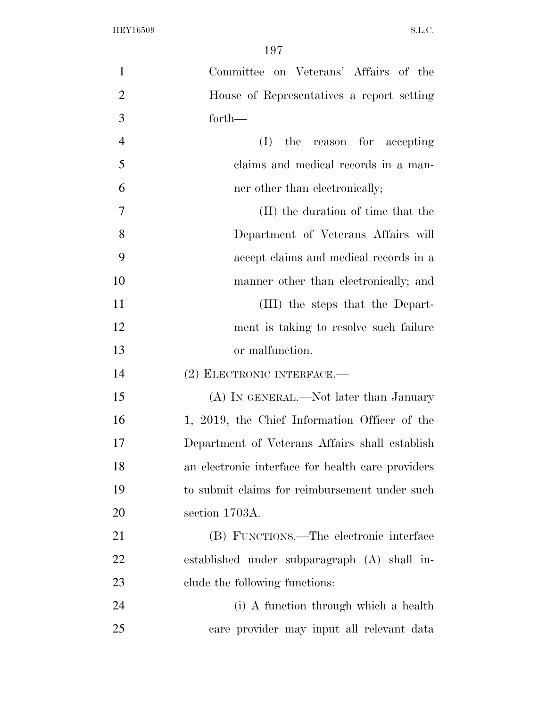| $\mathbf{1}$   | Committee on Veterans' Affairs of the             |
|----------------|---------------------------------------------------|
| $\overline{2}$ | House of Representatives a report setting         |
| 3              | forth-                                            |
| $\overline{4}$ | (I)<br>the reason for accepting                   |
| 5              | claims and medical records in a man-              |
| 6              | ner other than electronically;                    |
| $\overline{7}$ | (II) the duration of time that the                |
| 8              | Department of Veterans Affairs will               |
| 9              | accept claims and medical records in a            |
| 10             | manner other than electronically; and             |
| 11             | (III) the steps that the Depart-                  |
| 12             | ment is taking to resolve such failure            |
| 13             | or malfunction.                                   |
| 14             | (2) ELECTRONIC INTERFACE.-                        |
| 15             | (A) IN GENERAL.—Not later than January            |
| 16             | 1, 2019, the Chief Information Officer of the     |
| 17             | Department of Veterans Affairs shall establish    |
| 18             | an electronic interface for health care providers |
| 19             | to submit claims for reimbursement under such     |
| 20             | section 1703A.                                    |
| 21             | (B) FUNCTIONS.—The electronic interface           |
| 22             | established under subparagraph (A) shall in-      |
| 23             | clude the following functions:                    |
| 24             | (i) A function through which a health             |
| 25             | care provider may input all relevant data         |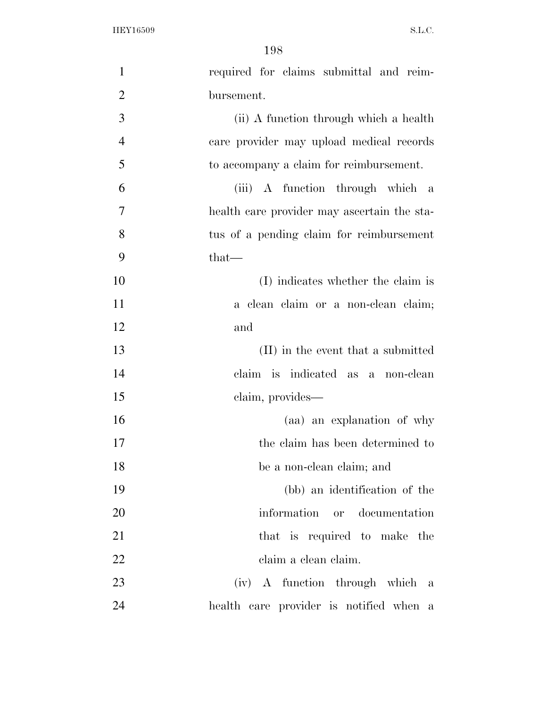| $\mathbf{1}$   | required for claims submittal and reim-     |
|----------------|---------------------------------------------|
| $\overline{2}$ | bursement.                                  |
| 3              | (ii) A function through which a health      |
| $\overline{4}$ | care provider may upload medical records    |
| 5              | to accompany a claim for reimbursement.     |
| 6              | (iii) A function through which a            |
| $\overline{7}$ | health care provider may ascertain the sta- |
| 8              | tus of a pending claim for reimbursement    |
| 9              | $that-$                                     |
| 10             | (I) indicates whether the claim is          |
| 11             | a clean claim or a non-clean claim;         |
| 12             | and                                         |
| 13             | (II) in the event that a submitted          |
| 14             | claim is indicated as a non-clean           |
| 15             | claim, provides-                            |
| 16             | (aa) an explanation of why                  |
| 17             | the claim has been determined to            |
| 18             | be a non-clean claim; and                   |
| 19             | (bb) an identification of the               |
| 20             | information or documentation                |
| 21             | that is required to make the                |
| 22             | claim a clean claim.                        |
| 23             | (iv) A function through which a             |
| 24             | health care provider is notified when a     |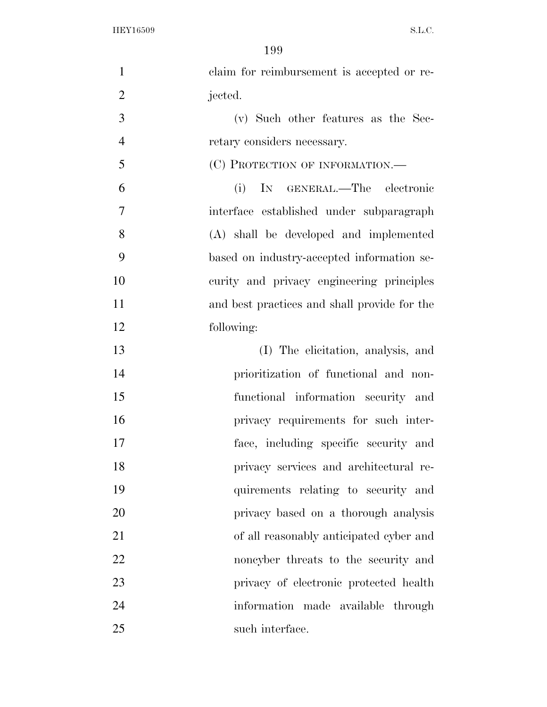| $\mathbf{1}$   | claim for reimbursement is accepted or re-   |
|----------------|----------------------------------------------|
| $\overline{2}$ | jected.                                      |
| 3              | (v) Such other features as the Sec-          |
| $\overline{4}$ | retary considers necessary.                  |
| 5              | (C) PROTECTION OF INFORMATION.—              |
| 6              | (i)<br>IN GENERAL.—The electronic            |
| $\overline{7}$ | interface established under subparagraph     |
| 8              | (A) shall be developed and implemented       |
| 9              | based on industry-accepted information se-   |
| 10             | curity and privacy engineering principles    |
| 11             | and best practices and shall provide for the |
| 12             | following:                                   |
| 13             | (I) The elicitation, analysis, and           |
| 14             | prioritization of functional and non-        |
| 15             | functional information security and          |
| 16             | privacy requirements for such inter-         |
| 17             | face, including specific security and        |
| 18             | privacy services and architectural re-       |
| 19             | quirements relating to security and          |
| 20             | privacy based on a thorough analysis         |
| 21             | of all reasonably anticipated cyber and      |
| 22             | noncyber threats to the security and         |
| 23             | privacy of electronic protected health       |
| 24             | information made available through           |
| 25             | such interface.                              |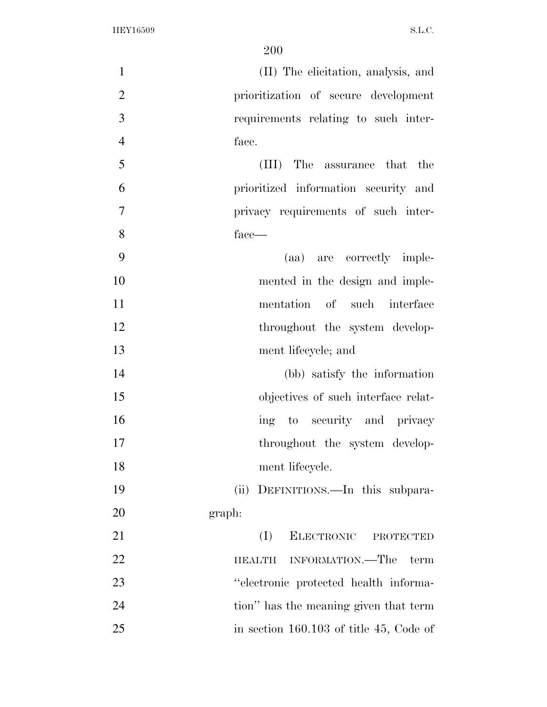| $\mathbf{1}$   | (II) The elicitation, analysis, and       |
|----------------|-------------------------------------------|
| $\overline{2}$ | prioritization of secure development      |
| 3              | requirements relating to such inter-      |
| $\overline{4}$ | face.                                     |
| 5              | The assurance that the<br>(III)           |
| 6              | prioritized information security and      |
| $\tau$         | privacy requirements of such inter-       |
| 8              | face—                                     |
| 9              | (aa) are correctly imple-                 |
| 10             | mented in the design and imple-           |
| 11             | mentation of such interface               |
| 12             | throughout the system develop-            |
| 13             | ment lifecycle; and                       |
| 14             | (bb) satisfy the information              |
| 15             | objectives of such interface relat-       |
| 16             | ing to security and privacy               |
| 17             | throughout the system develop-            |
| 18             | ment lifecycle.                           |
| 19             | (ii) DEFINITIONS.—In this subpara-        |
| 20             | graph:                                    |
| 21             | (I)<br>ELECTRONIC PROTECTED               |
| 22             | INFORMATION.—The<br>term<br><b>HEALTH</b> |
| 23             | "electronic protected health informa-     |
| 24             | tion" has the meaning given that term     |
| 25             | in section $160.103$ of title 45, Code of |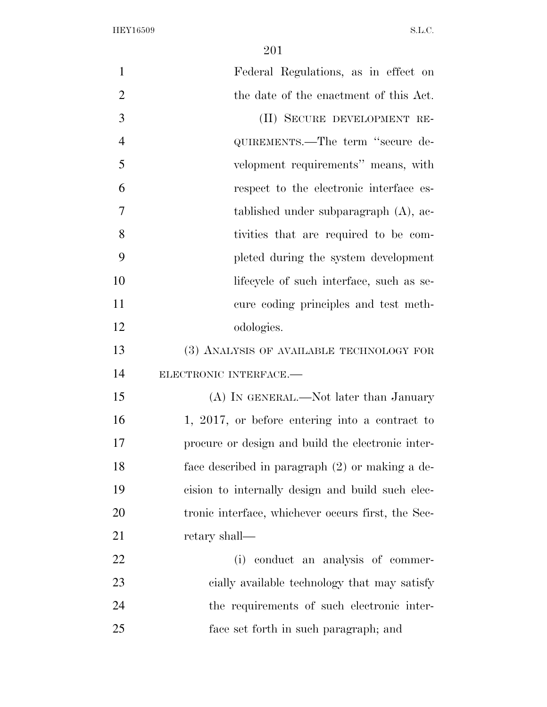| $\mathbf{1}$   | Federal Regulations, as in effect on               |
|----------------|----------------------------------------------------|
| $\overline{2}$ | the date of the enactment of this Act.             |
| 3              | (II) SECURE DEVELOPMENT RE-                        |
| $\overline{4}$ | QUIREMENTS.—The term "secure de-                   |
| 5              | velopment requirements" means, with                |
| 6              | respect to the electronic interface es-            |
| 7              | tablished under subparagraph (A), ac-              |
| 8              | tivities that are required to be com-              |
| 9              | pleted during the system development               |
| 10             | lifecycle of such interface, such as se-           |
| 11             | cure coding principles and test meth-              |
| 12             | odologies.                                         |
| 13             | (3) ANALYSIS OF AVAILABLE TECHNOLOGY FOR           |
| 14             | ELECTRONIC INTERFACE.-                             |
| 15             | (A) IN GENERAL.—Not later than January             |
| 16             | 1, 2017, or before entering into a contract to     |
| 17             | procure or design and build the electronic inter-  |
| 18             | face described in paragraph (2) or making a de-    |
| 19             | cision to internally design and build such elec-   |
| 20             | tronic interface, whichever occurs first, the Sec- |
| 21             | retary shall—                                      |
| 22             | conduct an analysis of commer-<br>(i)              |
| 23             | cially available technology that may satisfy       |
| 24             | the requirements of such electronic inter-         |
| 25             | face set forth in such paragraph; and              |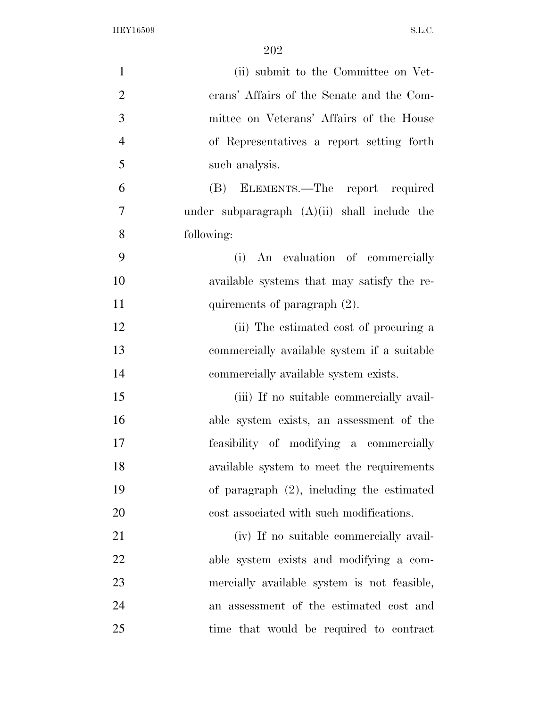| $\mathbf{1}$   | (ii) submit to the Committee on Vet-           |
|----------------|------------------------------------------------|
| $\overline{2}$ | erans' Affairs of the Senate and the Com-      |
| 3              | mittee on Veterans' Affairs of the House       |
| $\overline{4}$ | of Representatives a report setting forth      |
| 5              | such analysis.                                 |
| 6              | (B) ELEMENTS.—The report required              |
| $\overline{7}$ | under subparagraph $(A)(ii)$ shall include the |
| 8              | following:                                     |
| 9              | An evaluation of commercially<br>(i)           |
| 10             | available systems that may satisfy the re-     |
| 11             | quirements of paragraph (2).                   |
| 12             | (ii) The estimated cost of procuring a         |
| 13             | commercially available system if a suitable    |
| 14             | commercially available system exists.          |
| 15             | (iii) If no suitable commercially avail-       |
| 16             | able system exists, an assessment of the       |
| 17             | feasibility of modifying a commercially        |
| 18             | available system to meet the requirements      |
| 19             | of paragraph $(2)$ , including the estimated   |
| 20             | cost associated with such modifications.       |
| 21             | (iv) If no suitable commercially avail-        |
| 22             | able system exists and modifying a com-        |
| 23             | mercially available system is not feasible,    |
| 24             | an assessment of the estimated cost and        |
| 25             | time that would be required to contract        |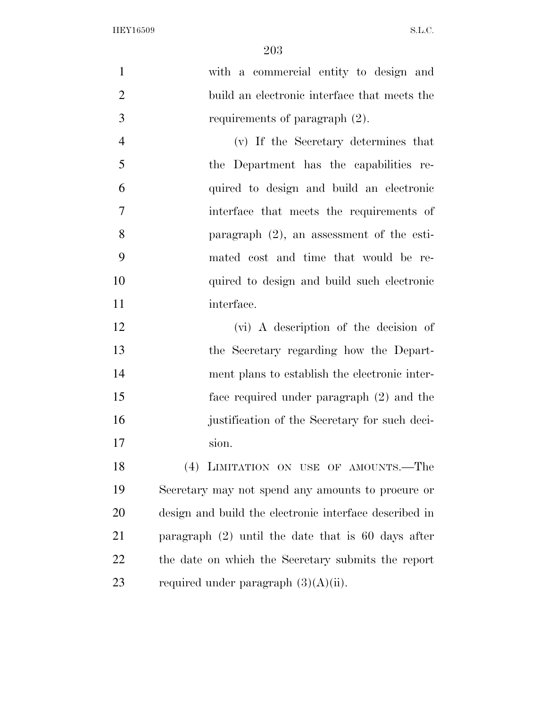| $\mathbf{1}$   | with a commercial entity to design and                 |
|----------------|--------------------------------------------------------|
| $\overline{2}$ | build an electronic interface that meets the           |
| 3              | requirements of paragraph (2).                         |
| $\overline{4}$ | (v) If the Secretary determines that                   |
| 5              | the Department has the capabilities re-                |
| 6              | quired to design and build an electronic               |
| 7              | interface that meets the requirements of               |
| 8              | paragraph $(2)$ , an assessment of the esti-           |
| 9              | mated cost and time that would be re-                  |
| 10             | quired to design and build such electronic             |
| 11             | interface.                                             |
| 12             | (vi) A description of the decision of                  |
| 13             | the Secretary regarding how the Depart-                |
| 14             | ment plans to establish the electronic inter-          |
| 15             | face required under paragraph (2) and the              |
| 16             | justification of the Secretary for such deci-          |
| 17             | sion.                                                  |
| 18             | (4) LIMITATION ON USE OF AMOUNTS.—The                  |
| 19             | Secretary may not spend any amounts to procure or      |
| 20             | design and build the electronic interface described in |
| 21             | paragraph $(2)$ until the date that is 60 days after   |
| 22             | the date on which the Secretary submits the report     |
| 23             | required under paragraph $(3)(A)(ii)$ .                |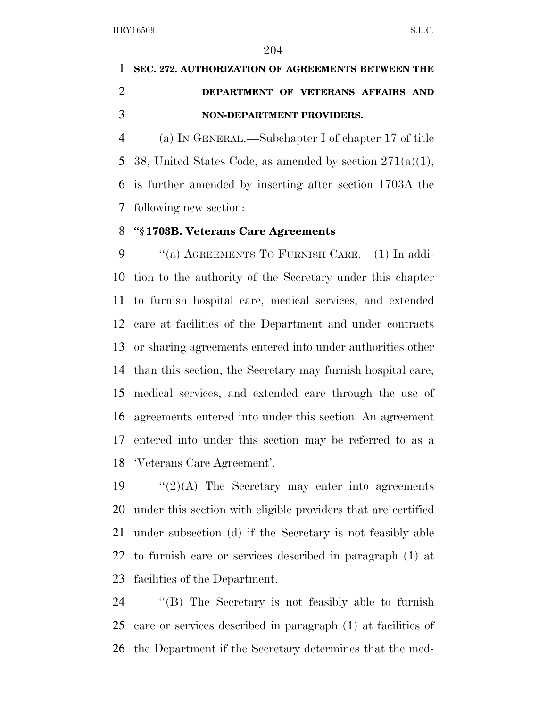## **SEC. 272. AUTHORIZATION OF AGREEMENTS BETWEEN THE DEPARTMENT OF VETERANS AFFAIRS AND NON-DEPARTMENT PROVIDERS.**

 (a) IN GENERAL.—Subchapter I of chapter 17 of title 5 38, United States Code, as amended by section  $271(a)(1)$ , is further amended by inserting after section 1703A the following new section:

## **''§ 1703B. Veterans Care Agreements**

9 "(a) AGREEMENTS TO FURNISH CARE.—(1) In addi- tion to the authority of the Secretary under this chapter to furnish hospital care, medical services, and extended care at facilities of the Department and under contracts or sharing agreements entered into under authorities other than this section, the Secretary may furnish hospital care, medical services, and extended care through the use of agreements entered into under this section. An agreement entered into under this section may be referred to as a 'Veterans Care Agreement'.

 $\frac{1}{2}(A)$  The Secretary may enter into agreements under this section with eligible providers that are certified under subsection (d) if the Secretary is not feasibly able to furnish care or services described in paragraph (1) at facilities of the Department.

 ''(B) The Secretary is not feasibly able to furnish care or services described in paragraph (1) at facilities of the Department if the Secretary determines that the med-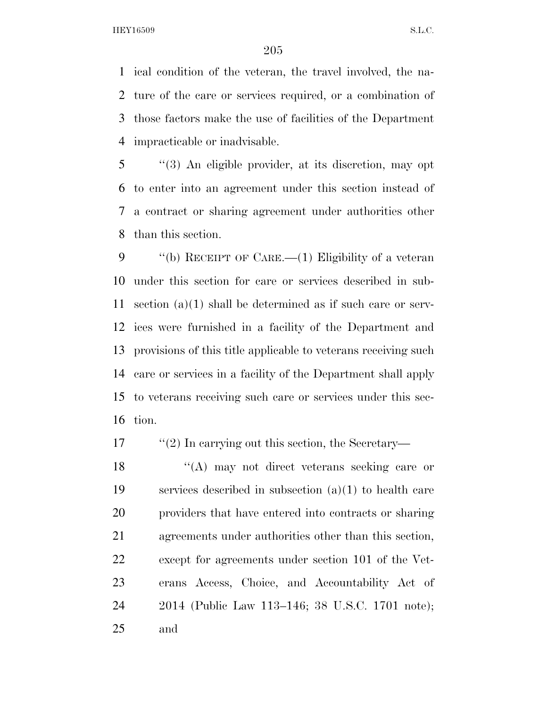ical condition of the veteran, the travel involved, the na- ture of the care or services required, or a combination of those factors make the use of facilities of the Department impracticable or inadvisable.

 ''(3) An eligible provider, at its discretion, may opt to enter into an agreement under this section instead of a contract or sharing agreement under authorities other than this section.

 ''(b) RECEIPT OF CARE.—(1) Eligibility of a veteran under this section for care or services described in sub- section (a)(1) shall be determined as if such care or serv- ices were furnished in a facility of the Department and provisions of this title applicable to veterans receiving such care or services in a facility of the Department shall apply to veterans receiving such care or services under this sec-tion.

17 ''(2) In carrying out this section, the Secretary-

18 ''(A) may not direct veterans seeking care or services described in subsection (a)(1) to health care providers that have entered into contracts or sharing agreements under authorities other than this section, except for agreements under section 101 of the Vet- erans Access, Choice, and Accountability Act of 2014 (Public Law 113–146; 38 U.S.C. 1701 note); and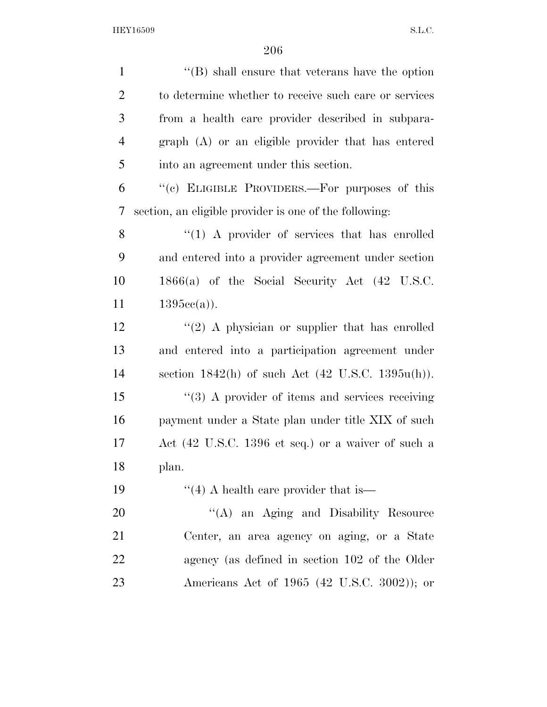| $\mathbf{1}$   | $\lq\lq$ shall ensure that veterans have the option             |
|----------------|-----------------------------------------------------------------|
| $\overline{2}$ | to determine whether to receive such care or services           |
| 3              | from a health care provider described in subpara-               |
| $\overline{4}$ | $graph(A)$ or an eligible provider that has entered             |
| 5              | into an agreement under this section.                           |
| 6              | "(c) ELIGIBLE PROVIDERS.—For purposes of this                   |
| 7              | section, an eligible provider is one of the following:          |
| 8              | $\lq(1)$ A provider of services that has enrolled               |
| 9              | and entered into a provider agreement under section             |
| 10             | $1866(a)$ of the Social Security Act $(42 \text{ U.S.C.})$      |
| 11             | $1395cc(a)$ ).                                                  |
| 12             | $\lq(2)$ A physician or supplier that has enrolled              |
| 13             | and entered into a participation agreement under                |
| 14             | section $1842(h)$ of such Act $(42 \text{ U.S.C. } 1395u(h))$ . |
| 15             | $\cdot$ (3) A provider of items and services receiving          |
| 16             | payment under a State plan under title XIX of such              |
| 17             | Act (42 U.S.C. 1396 et seq.) or a waiver of such a              |
| 18             | plan.                                                           |
| 19             | $\cdot$ (4) A health care provider that is —                    |
| 20             | "(A) an Aging and Disability Resource                           |
| 21             | Center, an area agency on aging, or a State                     |
| 22             | agency (as defined in section 102 of the Older                  |
| 23             | Americans Act of 1965 (42 U.S.C. 3002)); or                     |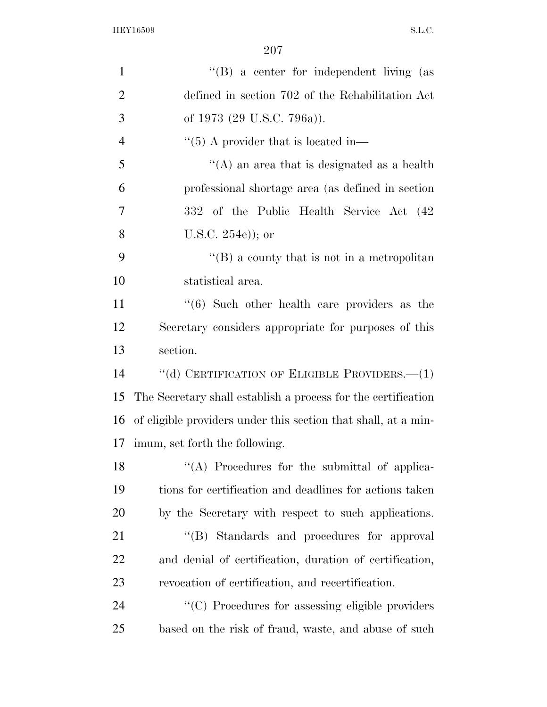| $\mathbf{1}$   | $\lq\lq (B)$ a center for independent living (as               |
|----------------|----------------------------------------------------------------|
| $\overline{2}$ | defined in section 702 of the Rehabilitation Act               |
| 3              | of 1973 (29 U.S.C. 796a)).                                     |
| $\overline{4}$ | $\cdot$ (5) A provider that is located in-                     |
| 5              | "(A) an area that is designated as a health                    |
| 6              | professional shortage area (as defined in section              |
| 7              | 332 of the Public Health Service Act (42)                      |
| 8              | U.S.C. $254e$ ); or                                            |
| 9              | $\lq\lq (B)$ a county that is not in a metropolitan            |
| 10             | statistical area.                                              |
| 11             | $\cdot$ (6) Such other health care providers as the            |
| 12             | Secretary considers appropriate for purposes of this           |
| 13             | section.                                                       |
| 14             | "(d) CERTIFICATION OF ELIGIBLE PROVIDERS.— $(1)$               |
| 15             | The Secretary shall establish a process for the certification  |
| 16             | of eligible providers under this section that shall, at a min- |
| 17             | imum, set forth the following.                                 |
| 18             | "(A) Procedures for the submittal of applica-                  |
| 19             | tions for certification and deadlines for actions taken        |
| 20             | by the Secretary with respect to such applications.            |
| 21             | "(B) Standards and procedures for approval                     |
| 22             | and denial of certification, duration of certification,        |
| 23             | revocation of certification, and recertification.              |
| 24             | "(C) Procedures for assessing eligible providers               |
| 25             | based on the risk of fraud, waste, and abuse of such           |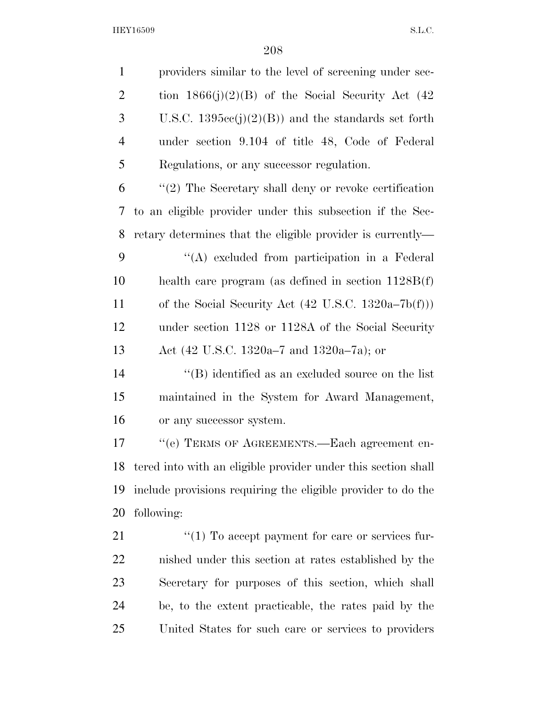| $\mathbf{1}$   | providers similar to the level of screening under sec-         |  |  |  |  |  |
|----------------|----------------------------------------------------------------|--|--|--|--|--|
| $\overline{2}$ | tion $1866(j)(2)(B)$ of the Social Security Act (42)           |  |  |  |  |  |
| 3              | U.S.C. $1395cc(j)(2)(B)$ and the standards set forth           |  |  |  |  |  |
| $\overline{4}$ | under section 9.104 of title 48, Code of Federal               |  |  |  |  |  |
| 5              | Regulations, or any successor regulation.                      |  |  |  |  |  |
| 6              | $\lq(2)$ The Secretary shall deny or revoke certification      |  |  |  |  |  |
| 7              | to an eligible provider under this subsection if the Sec-      |  |  |  |  |  |
| 8              | retary determines that the eligible provider is currently—     |  |  |  |  |  |
| 9              | "(A) excluded from participation in a Federal                  |  |  |  |  |  |
| 10             | health care program (as defined in section $1128B(f)$ )        |  |  |  |  |  |
| 11             | of the Social Security Act $(42 \text{ U.S.C. } 1320a-7b(f)))$ |  |  |  |  |  |
| 12             | under section 1128 or 1128A of the Social Security             |  |  |  |  |  |
| 13             | Act (42 U.S.C. 1320a–7 and 1320a–7a); or                       |  |  |  |  |  |
| 14             | $\lq\lq$ identified as an excluded source on the list          |  |  |  |  |  |
| 15             | maintained in the System for Award Management,                 |  |  |  |  |  |
| 16             | or any successor system.                                       |  |  |  |  |  |
| 17             | "(e) TERMS OF AGREEMENTS.—Each agreement en-                   |  |  |  |  |  |
| 18             | tered into with an eligible provider under this section shall  |  |  |  |  |  |
| 19             | include provisions requiring the eligible provider to do the   |  |  |  |  |  |
| 20             | following:                                                     |  |  |  |  |  |
| 21             | $\lq(1)$ To accept payment for care or services fur-           |  |  |  |  |  |
| 22             | nished under this section at rates established by the          |  |  |  |  |  |
| 23             | Secretary for purposes of this section, which shall            |  |  |  |  |  |
| 24             | be, to the extent practicable, the rates paid by the           |  |  |  |  |  |
| 25             | United States for such care or services to providers           |  |  |  |  |  |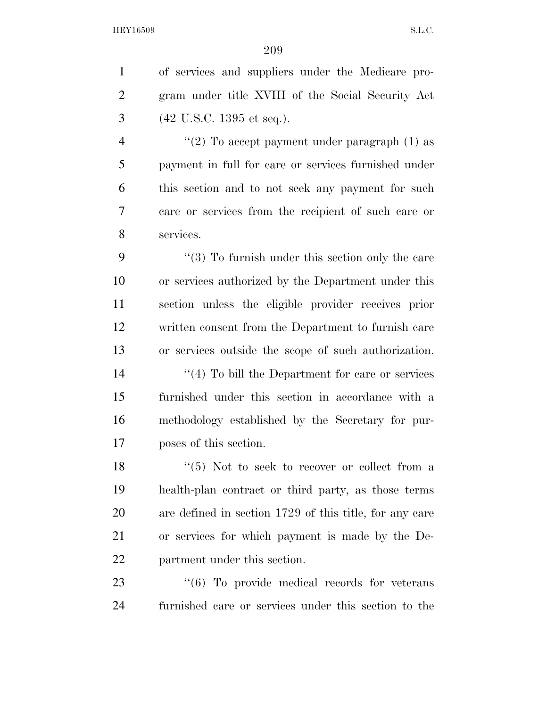of services and suppliers under the Medicare pro- gram under title XVIII of the Social Security Act (42 U.S.C. 1395 et seq.).  $\frac{4}{2}$  ''(2) To accept payment under paragraph (1) as payment in full for care or services furnished under this section and to not seek any payment for such care or services from the recipient of such care or services. 9 ''(3) To furnish under this section only the care or services authorized by the Department under this section unless the eligible provider receives prior written consent from the Department to furnish care or services outside the scope of such authorization. 14 ''(4) To bill the Department for care or services furnished under this section in accordance with a methodology established by the Secretary for pur- poses of this section.  $\frac{18}{18}$  ''(5) Not to seek to recover or collect from a health-plan contract or third party, as those terms are defined in section 1729 of this title, for any care or services for which payment is made by the De- partment under this section.  $\cdot$  (6) To provide medical records for veterans furnished care or services under this section to the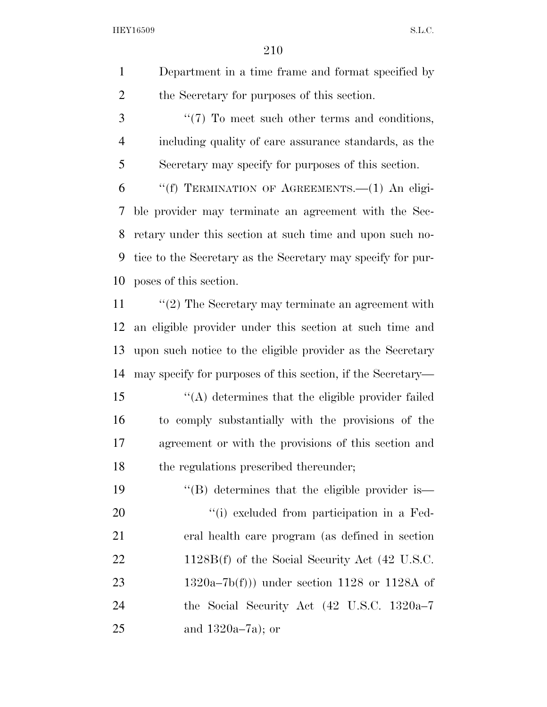Department in a time frame and format specified by the Secretary for purposes of this section.

3  $\frac{4}{7}$  To meet such other terms and conditions, including quality of care assurance standards, as the Secretary may specify for purposes of this section.

 ''(f) TERMINATION OF AGREEMENTS.—(1) An eligi- ble provider may terminate an agreement with the Sec- retary under this section at such time and upon such no- tice to the Secretary as the Secretary may specify for pur-poses of this section.

11 ''(2) The Secretary may terminate an agreement with an eligible provider under this section at such time and upon such notice to the eligible provider as the Secretary may specify for purposes of this section, if the Secretary—

 ''(A) determines that the eligible provider failed to comply substantially with the provisions of the agreement or with the provisions of this section and 18 the regulations prescribed thereunder;

19 ''(B) determines that the eligible provider is  $\frac{1}{1}$  excluded from participation in a Fed- eral health care program (as defined in section 22 1128B(f) of the Social Security Act (42 U.S.C. 1320a–7b(f))) under section 1128 or 1128A of the Social Security Act (42 U.S.C. 1320a–7 and 1320a–7a); or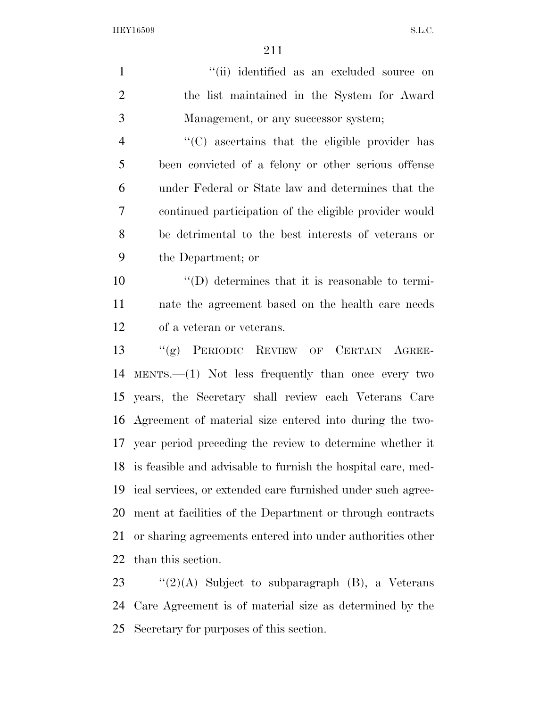| $\mathbf{1}$   | "(ii) identified as an excluded source on                       |  |  |  |  |  |  |
|----------------|-----------------------------------------------------------------|--|--|--|--|--|--|
| $\overline{2}$ | the list maintained in the System for Award                     |  |  |  |  |  |  |
| 3              | Management, or any successor system;                            |  |  |  |  |  |  |
| $\overline{4}$ | "(C) ascertains that the eligible provider has                  |  |  |  |  |  |  |
| 5              | been convicted of a felony or other serious offense             |  |  |  |  |  |  |
| 6              | under Federal or State law and determines that the              |  |  |  |  |  |  |
| 7              | continued participation of the eligible provider would          |  |  |  |  |  |  |
| 8              | be detrimental to the best interests of veterans or             |  |  |  |  |  |  |
| 9              | the Department; or                                              |  |  |  |  |  |  |
| 10             | $\lq\lq$ determines that it is reasonable to termi-             |  |  |  |  |  |  |
| 11             | nate the agreement based on the health care needs               |  |  |  |  |  |  |
| 12             | of a veteran or veterans.                                       |  |  |  |  |  |  |
| 13             | "(g) PERIODIC REVIEW OF CERTAIN AGREE-                          |  |  |  |  |  |  |
| 14             | $MENTS. (1)$ Not less frequently than once every two            |  |  |  |  |  |  |
| 15             | years, the Secretary shall review each Veterans Care            |  |  |  |  |  |  |
| 16             | Agreement of material size entered into during the two-         |  |  |  |  |  |  |
|                | 17 year period preceding the review to determine whether it     |  |  |  |  |  |  |
|                | 18 is feasible and advisable to furnish the hospital care, med- |  |  |  |  |  |  |
| 19             | ical services, or extended care furnished under such agree-     |  |  |  |  |  |  |
| 20             | ment at facilities of the Department or through contracts       |  |  |  |  |  |  |
| 21             | or sharing agreements entered into under authorities other      |  |  |  |  |  |  |
| 22             | than this section.                                              |  |  |  |  |  |  |
| 23             | " $(2)(A)$ Subject to subparagraph $(B)$ , a Veterans           |  |  |  |  |  |  |

 Care Agreement is of material size as determined by the Secretary for purposes of this section.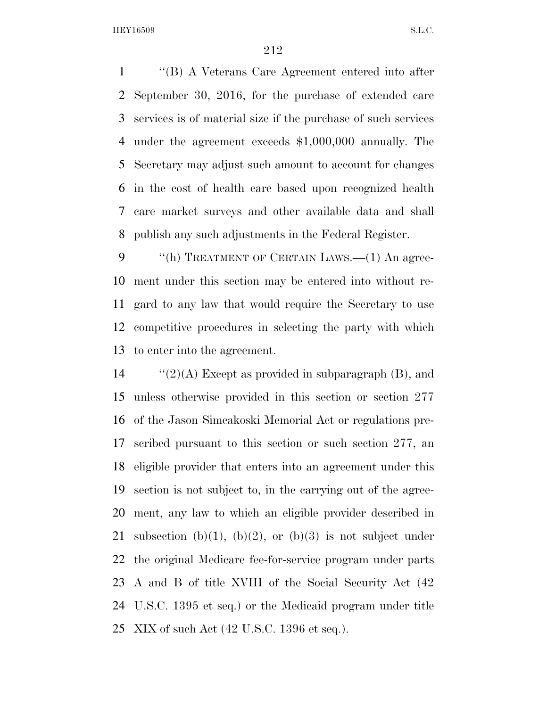''(B) A Veterans Care Agreement entered into after September 30, 2016, for the purchase of extended care services is of material size if the purchase of such services under the agreement exceeds \$1,000,000 annually. The Secretary may adjust such amount to account for changes in the cost of health care based upon recognized health care market surveys and other available data and shall publish any such adjustments in the Federal Register.

9 "(h) TREATMENT OF CERTAIN LAWS.—(1) An agree- ment under this section may be entered into without re- gard to any law that would require the Secretary to use competitive procedures in selecting the party with which to enter into the agreement.

 $\frac{1}{2}(A)$  Except as provided in subparagraph (B), and unless otherwise provided in this section or section 277 of the Jason Simcakoski Memorial Act or regulations pre- scribed pursuant to this section or such section 277, an eligible provider that enters into an agreement under this section is not subject to, in the carrying out of the agree- ment, any law to which an eligible provider described in 21 subsection (b)(1), (b)(2), or (b)(3) is not subject under the original Medicare fee-for-service program under parts A and B of title XVIII of the Social Security Act (42 U.S.C. 1395 et seq.) or the Medicaid program under title XIX of such Act (42 U.S.C. 1396 et seq.).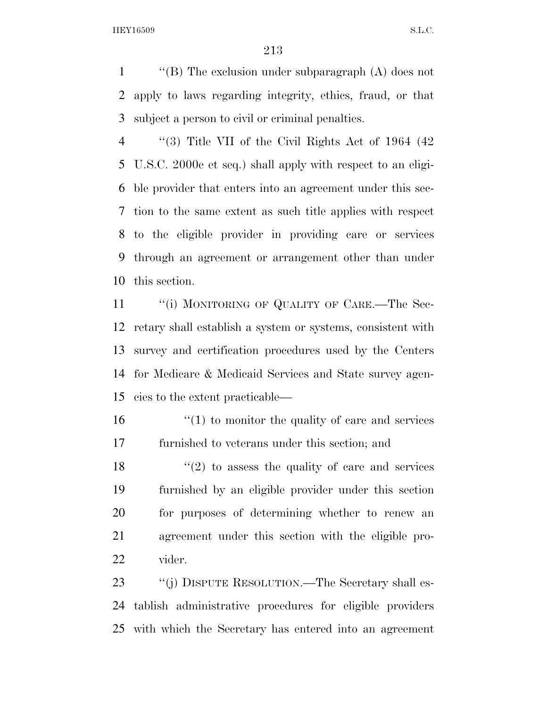1  $\langle$  "(B) The exclusion under subparagraph (A) does not apply to laws regarding integrity, ethics, fraud, or that subject a person to civil or criminal penalties.

 ''(3) Title VII of the Civil Rights Act of 1964 (42 U.S.C. 2000e et seq.) shall apply with respect to an eligi- ble provider that enters into an agreement under this sec- tion to the same extent as such title applies with respect to the eligible provider in providing care or services through an agreement or arrangement other than under this section.

11 ""(i) MONITORING OF QUALITY OF CARE.—The Sec- retary shall establish a system or systems, consistent with survey and certification procedures used by the Centers for Medicare & Medicaid Services and State survey agen-cies to the extent practicable—

 $\frac{16}{10}$  <sup>''</sup>(1) to monitor the quality of care and services furnished to veterans under this section; and

 $\frac{18}{20}$  to assess the quality of care and services furnished by an eligible provider under this section for purposes of determining whether to renew an agreement under this section with the eligible pro-vider.

23 "(j) DISPUTE RESOLUTION.—The Secretary shall es- tablish administrative procedures for eligible providers with which the Secretary has entered into an agreement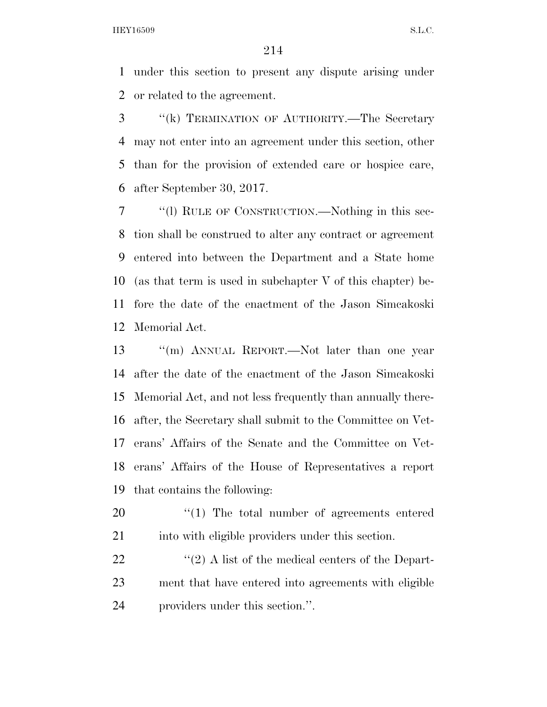under this section to present any dispute arising under or related to the agreement.

 ''(k) TERMINATION OF AUTHORITY.—The Secretary may not enter into an agreement under this section, other than for the provision of extended care or hospice care, after September 30, 2017.

 ''(l) RULE OF CONSTRUCTION.—Nothing in this sec- tion shall be construed to alter any contract or agreement entered into between the Department and a State home (as that term is used in subchapter V of this chapter) be- fore the date of the enactment of the Jason Simcakoski Memorial Act.

 ''(m) ANNUAL REPORT.—Not later than one year after the date of the enactment of the Jason Simcakoski Memorial Act, and not less frequently than annually there- after, the Secretary shall submit to the Committee on Vet- erans' Affairs of the Senate and the Committee on Vet- erans' Affairs of the House of Representatives a report that contains the following:

  $\frac{1}{2}$  The total number of agreements entered 21 into with eligible providers under this section.

22  $\langle \langle 2 \rangle$  A list of the medical centers of the Depart- ment that have entered into agreements with eligible providers under this section.''.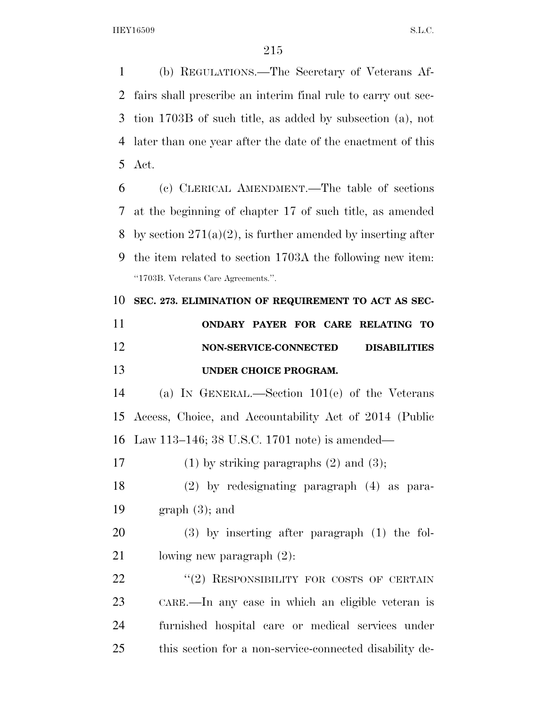(b) REGULATIONS.—The Secretary of Veterans Af- fairs shall prescribe an interim final rule to carry out sec- tion 1703B of such title, as added by subsection (a), not later than one year after the date of the enactment of this Act.

 (c) CLERICAL AMENDMENT.—The table of sections at the beginning of chapter 17 of such title, as amended 8 by section  $271(a)(2)$ , is further amended by inserting after the item related to section 1703A the following new item: ''1703B. Veterans Care Agreements.''.

**SEC. 273. ELIMINATION OF REQUIREMENT TO ACT AS SEC-**

| 11 |                       |  | ONDARY PAYER FOR CARE RELATING TO |  |
|----|-----------------------|--|-----------------------------------|--|
| 12 | NON-SERVICE-CONNECTED |  | <b>DISABILITIES</b>               |  |
| 13 | UNDER CHOICE PROGRAM. |  |                                   |  |

 (a) IN GENERAL.—Section 101(e) of the Veterans Access, Choice, and Accountability Act of 2014 (Public Law 113–146; 38 U.S.C. 1701 note) is amended—

17 (1) by striking paragraphs  $(2)$  and  $(3)$ ;

 (2) by redesignating paragraph (4) as para-19 graph  $(3)$ ; and

 (3) by inserting after paragraph (1) the fol-lowing new paragraph (2):

22 "(2) RESPONSIBILITY FOR COSTS OF CERTAIN CARE.—In any case in which an eligible veteran is furnished hospital care or medical services under this section for a non-service-connected disability de-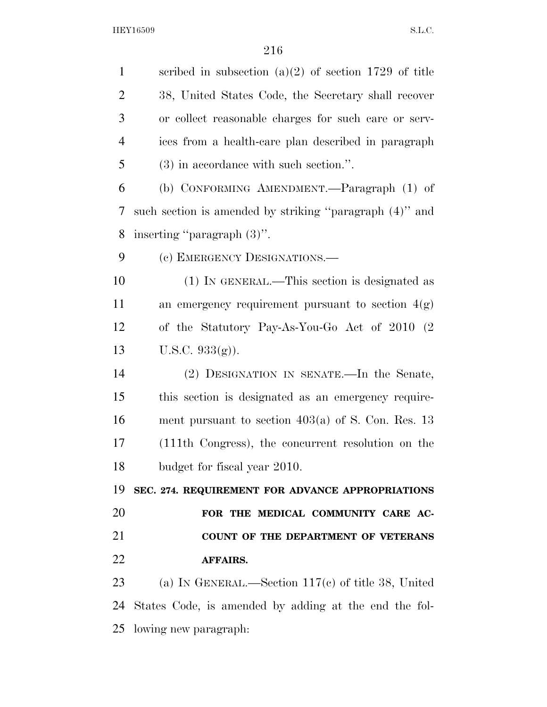scribed in subsection (a)(2) of section 1729 of title 38, United States Code, the Secretary shall recover or collect reasonable charges for such care or serv- ices from a health-care plan described in paragraph (3) in accordance with such section.''. (b) CONFORMING AMENDMENT.—Paragraph (1) of such section is amended by striking ''paragraph (4)'' and inserting ''paragraph (3)''. 9 (c) EMERGENCY DESIGNATIONS. (1) IN GENERAL.—This section is designated as 11 an emergency requirement pursuant to section  $4(g)$  of the Statutory Pay-As-You-Go Act of 2010 (2 U.S.C. 933(g)). (2) DESIGNATION IN SENATE.—In the Senate, this section is designated as an emergency require- ment pursuant to section 403(a) of S. Con. Res. 13 (111th Congress), the concurrent resolution on the budget for fiscal year 2010. **SEC. 274. REQUIREMENT FOR ADVANCE APPROPRIATIONS FOR THE MEDICAL COMMUNITY CARE AC- COUNT OF THE DEPARTMENT OF VETERANS AFFAIRS.**  (a) IN GENERAL.—Section 117(c) of title 38, United States Code, is amended by adding at the end the fol-lowing new paragraph: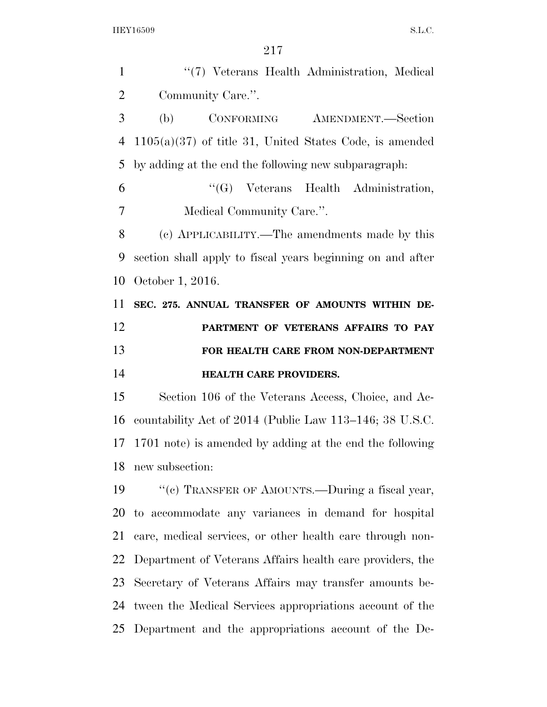| $\mathbf{1}$   | "(7) Veterans Health Administration, Medical               |
|----------------|------------------------------------------------------------|
| $\overline{2}$ | Community Care.".                                          |
| 3              | (b)<br>CONFORMING<br>AMENDMENT.—Section                    |
| $\overline{4}$ | $1105(a)(37)$ of title 31, United States Code, is amended  |
| 5              | by adding at the end the following new subparagraph.       |
| 6              | "(G) Veterans Health Administration,                       |
| 7              | Medical Community Care.".                                  |
| 8              | (c) APPLICABILITY.—The amendments made by this             |
| 9              | section shall apply to fiscal years beginning on and after |
| 10             | October 1, 2016.                                           |
| 11             | SEC. 275. ANNUAL TRANSFER OF AMOUNTS WITHIN DE-            |
| 12             | PARTMENT OF VETERANS AFFAIRS TO PAY                        |
|                |                                                            |
| 13             | FOR HEALTH CARE FROM NON-DEPARTMENT                        |
| 14             | <b>HEALTH CARE PROVIDERS.</b>                              |
| 15             | Section 106 of the Veterans Access, Choice, and Ac-        |
| 16             | countability Act of 2014 (Public Law 113–146; 38 U.S.C.    |
| 17             | 1701 note) is amended by adding at the end the following   |
| 18             | new subsection:                                            |
| 19             | "(c) TRANSFER OF AMOUNTS.—During a fiscal year,            |
| 20             | to accommodate any variances in demand for hospital        |
| 21             | care, medical services, or other health care through non-  |
| 22             | Department of Veterans Affairs health care providers, the  |
| 23             | Secretary of Veterans Affairs may transfer amounts be-     |
| 24             | tween the Medical Services appropriations account of the   |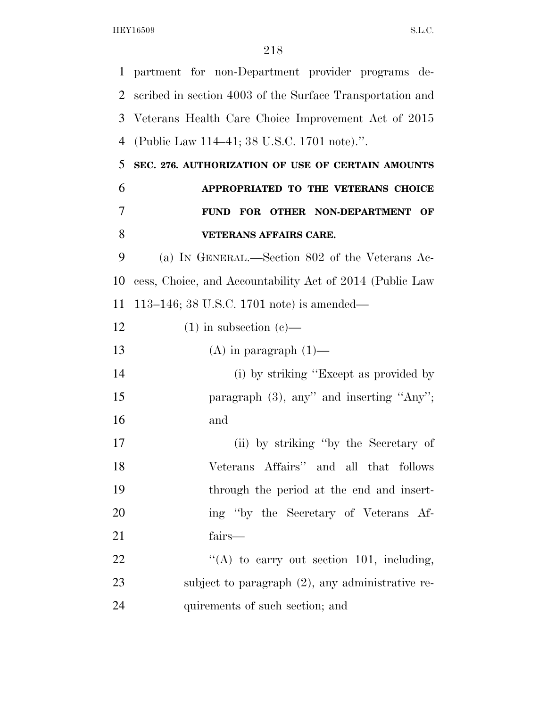partment for non-Department provider programs de- scribed in section 4003 of the Surface Transportation and Veterans Health Care Choice Improvement Act of 2015 (Public Law 114–41; 38 U.S.C. 1701 note).''. **SEC. 276. AUTHORIZATION OF USE OF CERTAIN AMOUNTS APPROPRIATED TO THE VETERANS CHOICE FUND FOR OTHER NON-DEPARTMENT OF VETERANS AFFAIRS CARE.**  (a) IN GENERAL.—Section 802 of the Veterans Ac- cess, Choice, and Accountability Act of 2014 (Public Law 113–146; 38 U.S.C. 1701 note) is amended— 12 (1) in subsection (c)— 13 (A) in paragraph  $(1)$ — 14 (i) by striking "Except as provided by 15 paragraph (3), any'' and inserting "Any''; and (ii) by striking ''by the Secretary of Veterans Affairs'' and all that follows through the period at the end and insert- ing ''by the Secretary of Veterans Af- fairs—  $\langle (A)$  to carry out section 101, including, subject to paragraph (2), any administrative re-quirements of such section; and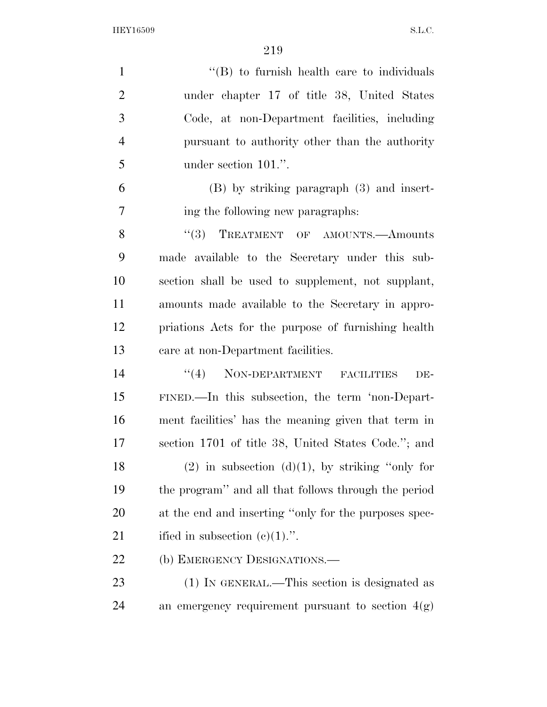| $\mathbf{1}$   | $\cdot$ (B) to furnish health care to individuals     |
|----------------|-------------------------------------------------------|
| $\overline{2}$ | under chapter 17 of title 38, United States           |
| 3              | Code, at non-Department facilities, including         |
| $\overline{4}$ | pursuant to authority other than the authority        |
| 5              | under section 101.".                                  |
| 6              | $(B)$ by striking paragraph $(3)$ and insert-         |
| $\overline{7}$ | ing the following new paragraphs:                     |
| 8              | "(3) TREATMENT OF AMOUNTS.—Amounts                    |
| 9              | made available to the Secretary under this sub-       |
| 10             | section shall be used to supplement, not supplant,    |
| 11             | amounts made available to the Secretary in appro-     |
| 12             | priations Acts for the purpose of furnishing health   |
| 13             | care at non-Department facilities.                    |
| 14             | "(4) NON-DEPARTMENT FACILITIES<br>DE-                 |
| 15             | FINED.—In this subsection, the term 'non-Depart-      |
| 16             | ment facilities' has the meaning given that term in   |
| 17             | section 1701 of title 38, United States Code."; and   |
| 18             | $(2)$ in subsection $(d)(1)$ , by striking "only for  |
| 19             | the program" and all that follows through the period  |
| 20             | at the end and inserting "only for the purposes spec- |
| 21             | ified in subsection $(c)(1)$ .".                      |
| 22             | (b) EMERGENCY DESIGNATIONS.—                          |
| 23             | (1) IN GENERAL.—This section is designated as         |
|                |                                                       |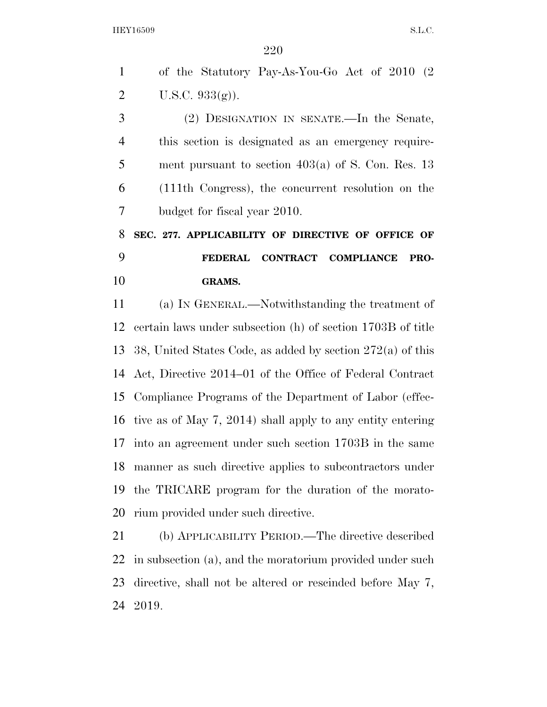of the Statutory Pay-As-You-Go Act of 2010 (2 U.S.C. 933(g)).

 (2) DESIGNATION IN SENATE.—In the Senate, this section is designated as an emergency require- ment pursuant to section 403(a) of S. Con. Res. 13 (111th Congress), the concurrent resolution on the budget for fiscal year 2010.

 **SEC. 277. APPLICABILITY OF DIRECTIVE OF OFFICE OF FEDERAL CONTRACT COMPLIANCE PRO-GRAMS.** 

 (a) IN GENERAL.—Notwithstanding the treatment of certain laws under subsection (h) of section 1703B of title 38, United States Code, as added by section 272(a) of this Act, Directive 2014–01 of the Office of Federal Contract Compliance Programs of the Department of Labor (effec- tive as of May 7, 2014) shall apply to any entity entering into an agreement under such section 1703B in the same manner as such directive applies to subcontractors under the TRICARE program for the duration of the morato-rium provided under such directive.

 (b) APPLICABILITY PERIOD.—The directive described in subsection (a), and the moratorium provided under such directive, shall not be altered or rescinded before May 7, 2019.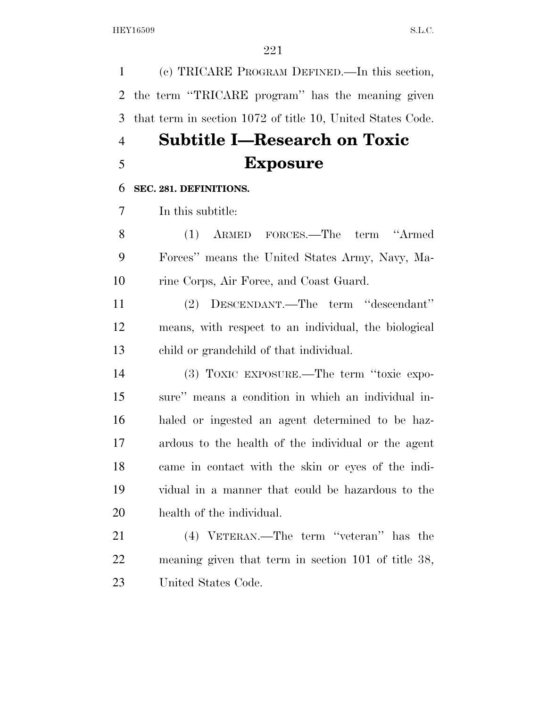(c) TRICARE PROGRAM DEFINED.—In this section, the term ''TRICARE program'' has the meaning given that term in section 1072 of title 10, United States Code.

### **Subtitle I—Research on Toxic Exposure**

#### **SEC. 281. DEFINITIONS.**

In this subtitle:

 (1) ARMED FORCES.—The term ''Armed Forces'' means the United States Army, Navy, Ma-rine Corps, Air Force, and Coast Guard.

 (2) DESCENDANT.—The term ''descendant'' means, with respect to an individual, the biological child or grandchild of that individual.

 (3) TOXIC EXPOSURE.—The term ''toxic expo- sure'' means a condition in which an individual in- haled or ingested an agent determined to be haz- ardous to the health of the individual or the agent came in contact with the skin or eyes of the indi- vidual in a manner that could be hazardous to the health of the individual.

21 (4) VETERAN.—The term "veteran" has the meaning given that term in section 101 of title 38, United States Code.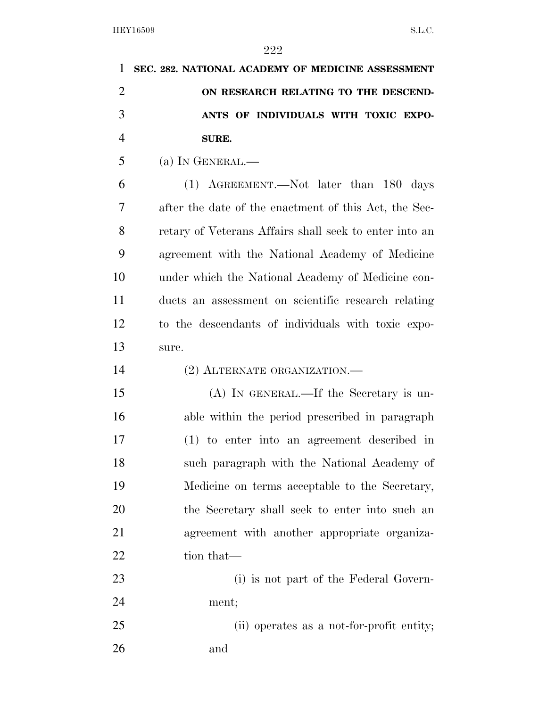| 1              | SEC. 282. NATIONAL ACADEMY OF MEDICINE ASSESSMENT      |
|----------------|--------------------------------------------------------|
| $\overline{2}$ | ON RESEARCH RELATING TO THE DESCEND-                   |
| 3              | ANTS OF INDIVIDUALS WITH TOXIC EXPO-                   |
| $\overline{4}$ | SURE.                                                  |
| 5              | (a) IN GENERAL.—                                       |
| 6              | $(1)$ AGREEMENT.—Not later than 180 days               |
| 7              | after the date of the enactment of this Act, the Sec-  |
| 8              | retary of Veterans Affairs shall seek to enter into an |
| 9              | agreement with the National Academy of Medicine        |
| 10             | under which the National Academy of Medicine con-      |
| 11             | ducts an assessment on scientific research relating    |
| 12             | to the descendants of individuals with toxic expo-     |
| 13             | sure.                                                  |
| 14             | (2) ALTERNATE ORGANIZATION.-                           |
| 15             | $(A)$ In GENERAL.—If the Secretary is un-              |
| 16             | able within the period prescribed in paragraph         |
| 17             | $(1)$ to enter into an agreement described in          |
| 18             | such paragraph with the National Academy of            |
| 19             | Medicine on terms acceptable to the Secretary,         |
| 20             | the Secretary shall seek to enter into such an         |
| 21             | agreement with another appropriate organiza-           |
| 22             | tion that—                                             |
| 23             | (i) is not part of the Federal Govern-                 |
| 24             | ment;                                                  |
| 25             | (ii) operates as a not-for-profit entity;              |
| 26             | and                                                    |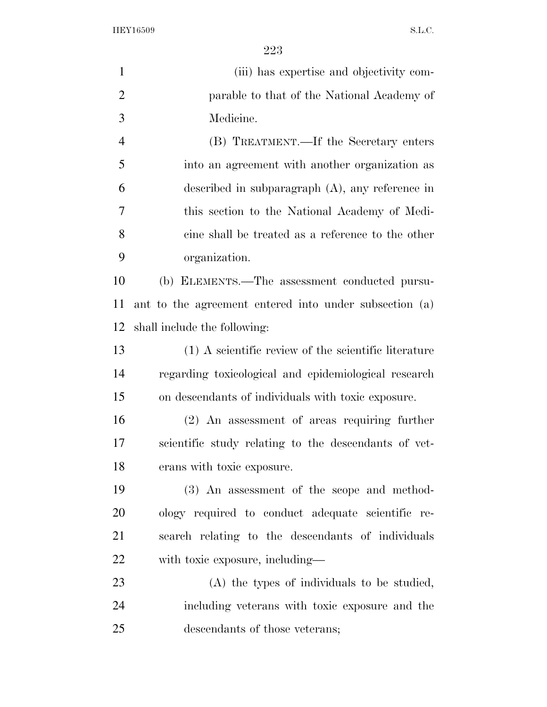| $\mathbf{1}$   | (iii) has expertise and objectivity com-               |
|----------------|--------------------------------------------------------|
| $\overline{2}$ | parable to that of the National Academy of             |
| 3              | Medicine.                                              |
| $\overline{4}$ | (B) TREATMENT.—If the Secretary enters                 |
| 5              | into an agreement with another organization as         |
| 6              | described in subparagraph $(A)$ , any reference in     |
| 7              | this section to the National Academy of Medi-          |
| 8              | cine shall be treated as a reference to the other      |
| 9              | organization.                                          |
| 10             | (b) ELEMENTS.—The assessment conducted pursu-          |
| 11             | ant to the agreement entered into under subsection (a) |
| 12             | shall include the following:                           |
| 13             | (1) A scientific review of the scientific literature   |
| 14             | regarding toxicological and epidemiological research   |
| 15             | on descendants of individuals with toxic exposure.     |
| 16             | $(2)$ An assessment of areas requiring further         |
| 17             | scientific study relating to the descendants of vet-   |
| 18             | erans with toxic exposure.                             |
| 19             | (3) An assessment of the scope and method-             |
| 20             | ology required to conduct adequate scientific re-      |
| 21             | search relating to the descendants of individuals      |
| 22             | with toxic exposure, including—                        |
| 23             | (A) the types of individuals to be studied,            |
| 24             | including veterans with toxic exposure and the         |
| 25             | descendants of those veterans;                         |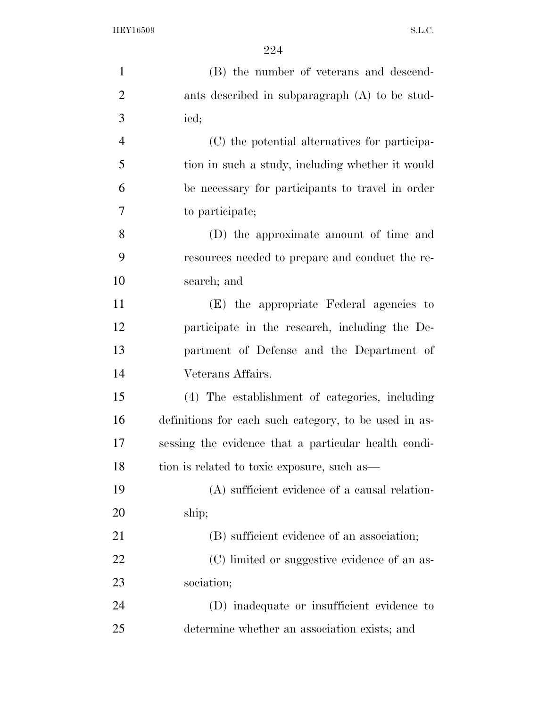| $\mathbf{1}$   | (B) the number of veterans and descend-               |
|----------------|-------------------------------------------------------|
| $\overline{2}$ | ants described in subparagraph (A) to be stud-        |
| 3              | ied;                                                  |
| $\overline{4}$ | (C) the potential alternatives for participa-         |
| 5              | tion in such a study, including whether it would      |
| 6              | be necessary for participants to travel in order      |
| 7              | to participate;                                       |
| 8              | (D) the approximate amount of time and                |
| 9              | resources needed to prepare and conduct the re-       |
| 10             | search; and                                           |
| 11             | (E) the appropriate Federal agencies to               |
| 12             | participate in the research, including the De-        |
| 13             | partment of Defense and the Department of             |
| 14             | Veterans Affairs.                                     |
| 15             | (4) The establishment of categories, including        |
| 16             | definitions for each such category, to be used in as- |
| 17             | sessing the evidence that a particular health condi-  |
| 18             | tion is related to toxic exposure, such as—           |
| 19             | (A) sufficient evidence of a causal relation-         |
| 20             | ship;                                                 |
| 21             | (B) sufficient evidence of an association;            |
| 22             | (C) limited or suggestive evidence of an as-          |
| 23             | sociation;                                            |
| 24             | (D) inadequate or insufficient evidence to            |
| 25             | determine whether an association exists; and          |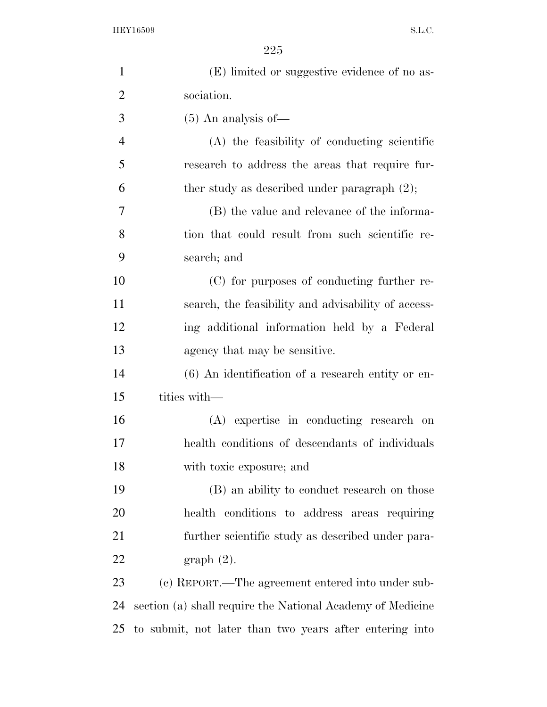| $\mathbf{1}$   | (E) limited or suggestive evidence of no as-               |
|----------------|------------------------------------------------------------|
| $\overline{2}$ | sociation.                                                 |
| 3              | $(5)$ An analysis of —                                     |
| $\overline{4}$ | (A) the feasibility of conducting scientific               |
| 5              | research to address the areas that require fur-            |
| 6              | ther study as described under paragraph $(2)$ ;            |
| 7              | (B) the value and relevance of the informa-                |
| 8              | tion that could result from such scientific re-            |
| 9              | search; and                                                |
| 10             | (C) for purposes of conducting further re-                 |
| 11             | search, the feasibility and advisability of access-        |
| 12             | ing additional information held by a Federal               |
| 13             | agency that may be sensitive.                              |
| 14             | $(6)$ An identification of a research entity or en-        |
| 15             | tities with—                                               |
| 16             | (A) expertise in conducting research on                    |
| 17             | health conditions of descendants of individuals            |
| 18             | with toxic exposure; and                                   |
| 19             | (B) an ability to conduct research on those                |
| 20             | health conditions to address areas requiring               |
| 21             | further scientific study as described under para-          |
| 22             | $graph(2)$ .                                               |
| 23             | (c) REPORT.—The agreement entered into under sub-          |
| 24             | section (a) shall require the National Academy of Medicine |
| 25             | to submit, not later than two years after entering into    |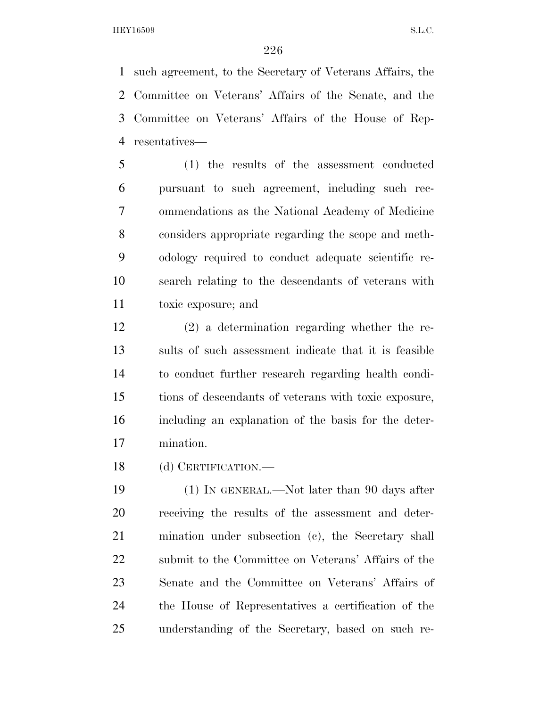such agreement, to the Secretary of Veterans Affairs, the Committee on Veterans' Affairs of the Senate, and the Committee on Veterans' Affairs of the House of Rep-resentatives—

 (1) the results of the assessment conducted pursuant to such agreement, including such rec- ommendations as the National Academy of Medicine considers appropriate regarding the scope and meth- odology required to conduct adequate scientific re- search relating to the descendants of veterans with toxic exposure; and

 (2) a determination regarding whether the re- sults of such assessment indicate that it is feasible to conduct further research regarding health condi- tions of descendants of veterans with toxic exposure, including an explanation of the basis for the deter-mination.

(d) CERTIFICATION.—

 (1) IN GENERAL.—Not later than 90 days after receiving the results of the assessment and deter- mination under subsection (c), the Secretary shall submit to the Committee on Veterans' Affairs of the Senate and the Committee on Veterans' Affairs of the House of Representatives a certification of the understanding of the Secretary, based on such re-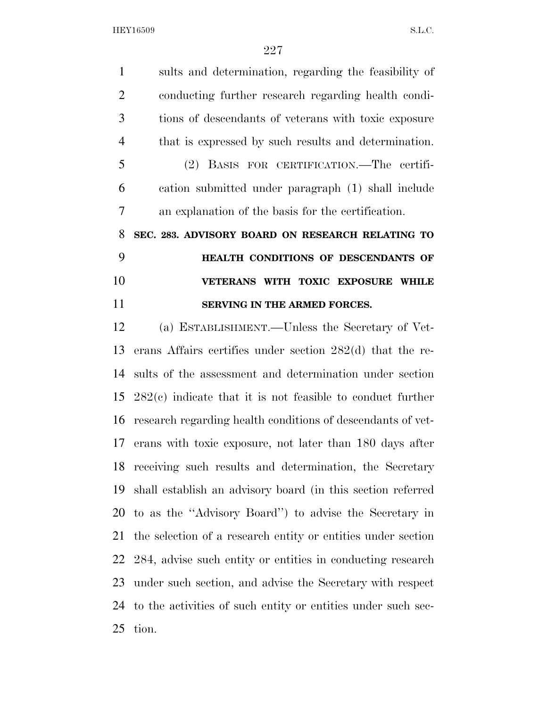sults and determination, regarding the feasibility of conducting further research regarding health condi- tions of descendants of veterans with toxic exposure that is expressed by such results and determination. (2) BASIS FOR CERTIFICATION.—The certifi- cation submitted under paragraph (1) shall include an explanation of the basis for the certification. **SEC. 283. ADVISORY BOARD ON RESEARCH RELATING TO HEALTH CONDITIONS OF DESCENDANTS OF VETERANS WITH TOXIC EXPOSURE WHILE SERVING IN THE ARMED FORCES.**  (a) ESTABLISHMENT.—Unless the Secretary of Vet- erans Affairs certifies under section 282(d) that the re- sults of the assessment and determination under section 282(c) indicate that it is not feasible to conduct further research regarding health conditions of descendants of vet- erans with toxic exposure, not later than 180 days after receiving such results and determination, the Secretary shall establish an advisory board (in this section referred to as the ''Advisory Board'') to advise the Secretary in the selection of a research entity or entities under section 284, advise such entity or entities in conducting research under such section, and advise the Secretary with respect to the activities of such entity or entities under such sec-tion.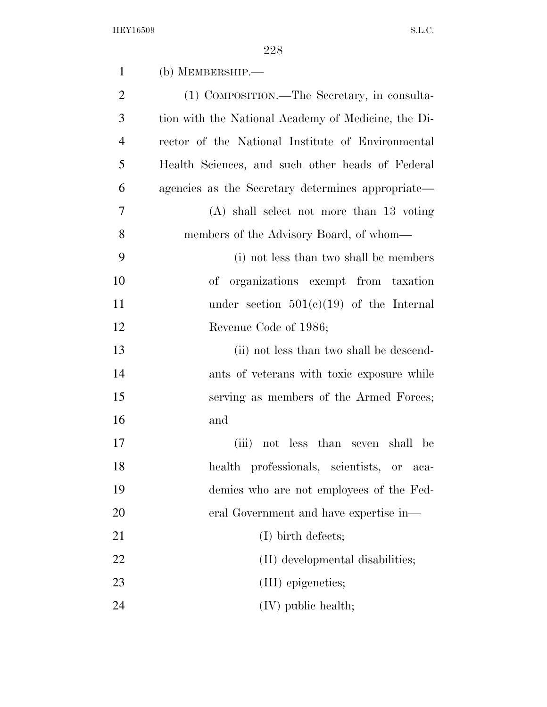| $\mathbf{1}$   | (b) MEMBERSHIP.—                                    |
|----------------|-----------------------------------------------------|
| $\overline{2}$ | (1) COMPOSITION.—The Secretary, in consulta-        |
| 3              | tion with the National Academy of Medicine, the Di- |
| 4              | rector of the National Institute of Environmental   |
| 5              | Health Sciences, and such other heads of Federal    |
| 6              | agencies as the Secretary determines appropriate—   |
| 7              | $(A)$ shall select not more than 13 voting          |
| 8              | members of the Advisory Board, of whom—             |
| 9              | (i) not less than two shall be members              |
| 10             | organizations exempt from taxation<br>οf            |
| 11             | under section $501(c)(19)$ of the Internal          |
| 12             | Revenue Code of 1986;                               |
| 13             | (ii) not less than two shall be descend-            |
| 14             | ants of veterans with toxic exposure while          |
| 15             | serving as members of the Armed Forces;             |
| 16             | and                                                 |
| 17             | not less than seven shall be<br>(iii)               |
| 18             | health professionals, scientists, or<br>$aca-$      |
| 19             | demics who are not employees of the Fed-            |
| 20             | eral Government and have expertise in—              |
| 21             | $(I)$ birth defects;                                |
| 22             | (II) developmental disabilities;                    |
| 23             | (III) epigenetics;                                  |
| 24             | $(IV)$ public health;                               |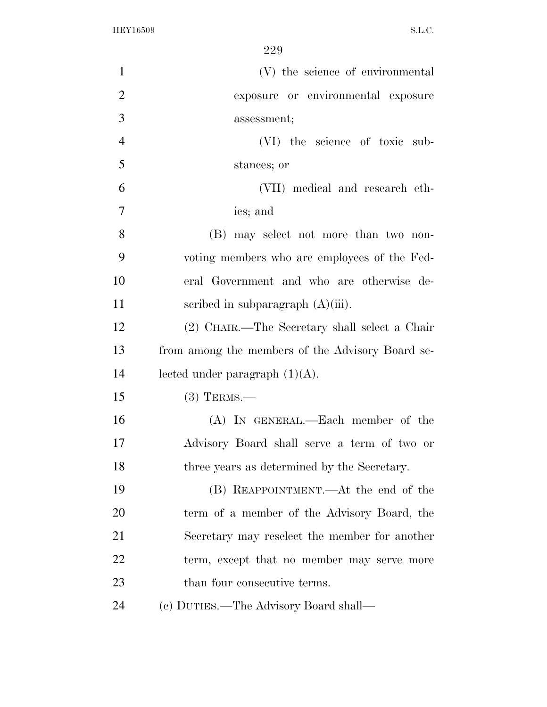| $\mathbf{1}$   | (V) the science of environmental                 |
|----------------|--------------------------------------------------|
| $\overline{2}$ | exposure or environmental exposure               |
| 3              | assessment;                                      |
| $\overline{4}$ | (VI) the science of toxic sub-                   |
| 5              | stances; or                                      |
| 6              | (VII) medical and research eth-                  |
| $\overline{7}$ | ics; and                                         |
| 8              | (B) may select not more than two non-            |
| 9              | voting members who are employees of the Fed-     |
| 10             | eral Government and who are otherwise de-        |
| 11             | scribed in subparagraph $(A)(iii)$ .             |
| 12             | (2) CHAIR.—The Secretary shall select a Chair    |
| 13             | from among the members of the Advisory Board se- |
| 14             | lected under paragraph $(1)(A)$ .                |
| 15             | $(3)$ TERMS.—                                    |
| 16             | (A) IN GENERAL.—Each member of the               |
| 17             | Advisory Board shall serve a term of two or      |
| 18             | three years as determined by the Secretary.      |
| 19             | (B) REAPPOINTMENT.—At the end of the             |
| 20             | term of a member of the Advisory Board, the      |
| 21             | Secretary may reselect the member for another    |
| 22             | term, except that no member may serve more       |
| 23             | than four consecutive terms.                     |
| 24             |                                                  |
|                | (c) DUTIES.—The Advisory Board shall—            |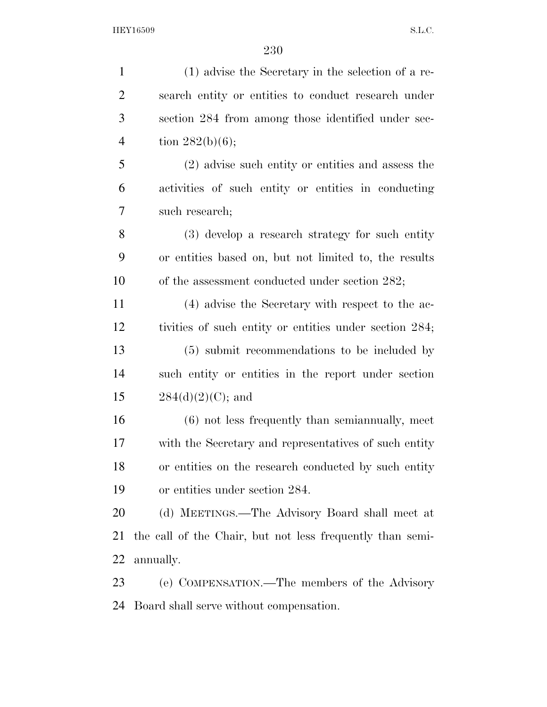(1) advise the Secretary in the selection of a re- search entity or entities to conduct research under section 284 from among those identified under sec-4 tion  $282(b)(6)$ ; (2) advise such entity or entities and assess the activities of such entity or entities in conducting such research; (3) develop a research strategy for such entity or entities based on, but not limited to, the results 10 of the assessment conducted under section 282; (4) advise the Secretary with respect to the ac- tivities of such entity or entities under section 284; (5) submit recommendations to be included by such entity or entities in the report under section  $284(d)(2)(C)$ ; and (6) not less frequently than semiannually, meet with the Secretary and representatives of such entity or entities on the research conducted by such entity or entities under section 284. (d) MEETINGS.—The Advisory Board shall meet at the call of the Chair, but not less frequently than semi- annually. (e) COMPENSATION.—The members of the Advisory Board shall serve without compensation.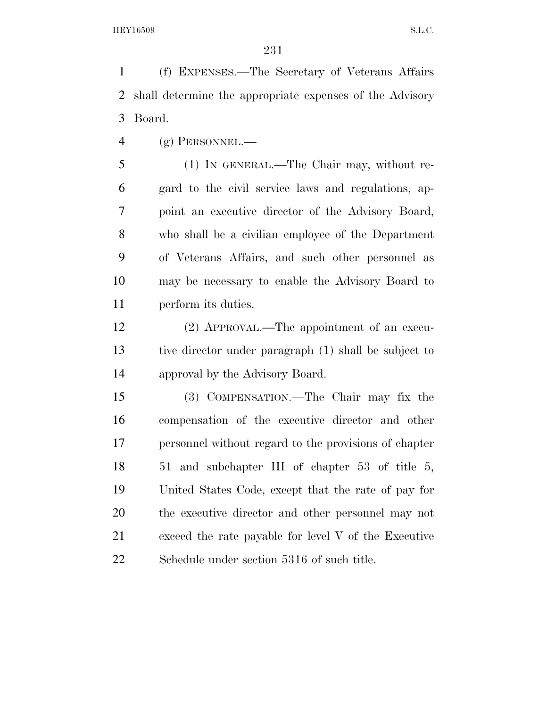(f) EXPENSES.—The Secretary of Veterans Affairs shall determine the appropriate expenses of the Advisory Board.

 $\frac{4}{9}$  (g) PERSONNEL.

 (1) IN GENERAL.—The Chair may, without re- gard to the civil service laws and regulations, ap- point an executive director of the Advisory Board, who shall be a civilian employee of the Department of Veterans Affairs, and such other personnel as may be necessary to enable the Advisory Board to perform its duties.

 (2) APPROVAL.—The appointment of an execu- tive director under paragraph (1) shall be subject to approval by the Advisory Board.

 (3) COMPENSATION.—The Chair may fix the compensation of the executive director and other personnel without regard to the provisions of chapter 51 and subchapter III of chapter 53 of title 5, United States Code, except that the rate of pay for the executive director and other personnel may not exceed the rate payable for level V of the Executive Schedule under section 5316 of such title.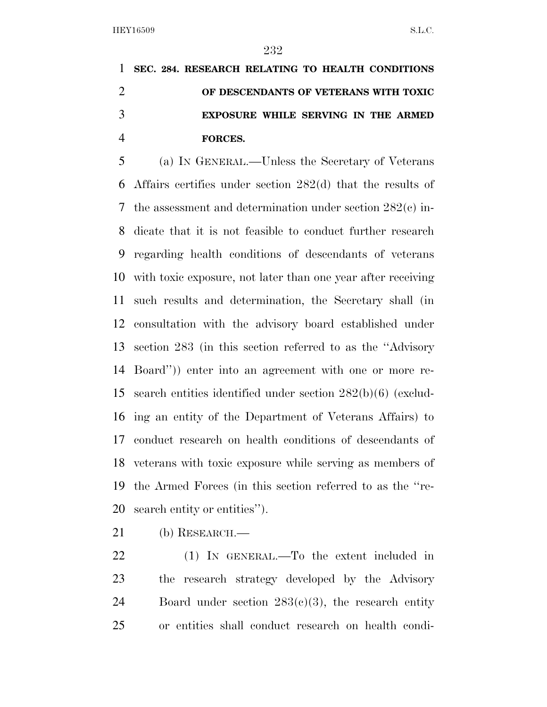## **SEC. 284. RESEARCH RELATING TO HEALTH CONDITIONS OF DESCENDANTS OF VETERANS WITH TOXIC EXPOSURE WHILE SERVING IN THE ARMED FORCES.**

 (a) IN GENERAL.—Unless the Secretary of Veterans Affairs certifies under section 282(d) that the results of the assessment and determination under section 282(c) in- dicate that it is not feasible to conduct further research regarding health conditions of descendants of veterans with toxic exposure, not later than one year after receiving such results and determination, the Secretary shall (in consultation with the advisory board established under section 283 (in this section referred to as the ''Advisory Board'')) enter into an agreement with one or more re- search entities identified under section 282(b)(6) (exclud- ing an entity of the Department of Veterans Affairs) to conduct research on health conditions of descendants of veterans with toxic exposure while serving as members of the Armed Forces (in this section referred to as the ''re-search entity or entities'').

(b) RESEARCH.—

 (1) IN GENERAL.—To the extent included in the research strategy developed by the Advisory 24 Board under section  $283(e)(3)$ , the research entity or entities shall conduct research on health condi-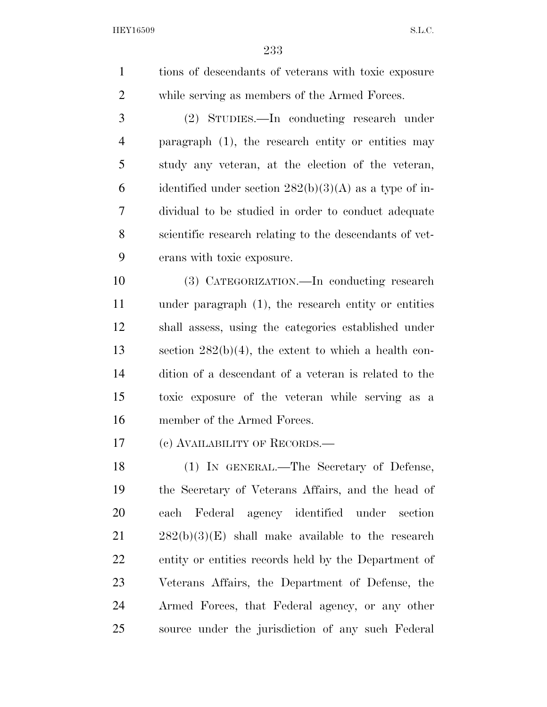tions of descendants of veterans with toxic exposure while serving as members of the Armed Forces.

 (2) STUDIES.—In conducting research under paragraph (1), the research entity or entities may study any veteran, at the election of the veteran, 6 identified under section  $282(b)(3)(A)$  as a type of in- dividual to be studied in order to conduct adequate scientific research relating to the descendants of vet-erans with toxic exposure.

 (3) CATEGORIZATION.—In conducting research under paragraph (1), the research entity or entities shall assess, using the categories established under section 282(b)(4), the extent to which a health con- dition of a descendant of a veteran is related to the toxic exposure of the veteran while serving as a member of the Armed Forces.

(c) AVAILABILITY OF RECORDS.—

 (1) IN GENERAL.—The Secretary of Defense, the Secretary of Veterans Affairs, and the head of each Federal agency identified under section 282(b)(3)(E) shall make available to the research entity or entities records held by the Department of Veterans Affairs, the Department of Defense, the Armed Forces, that Federal agency, or any other source under the jurisdiction of any such Federal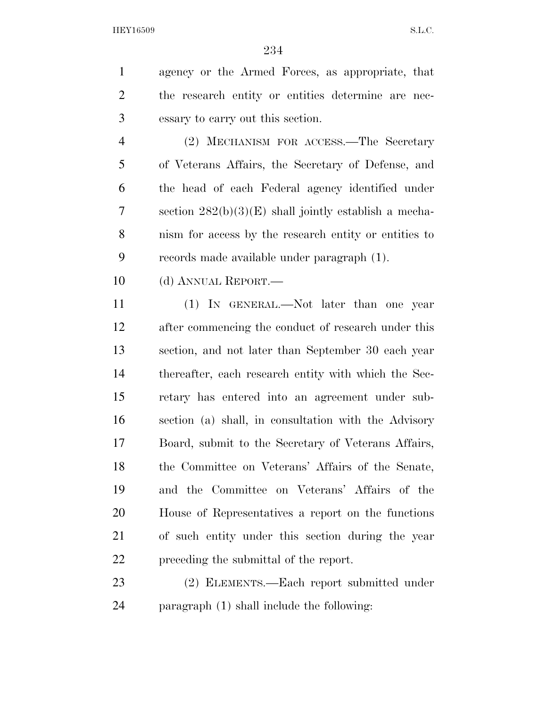agency or the Armed Forces, as appropriate, that the research entity or entities determine are nec-essary to carry out this section.

 (2) MECHANISM FOR ACCESS.—The Secretary of Veterans Affairs, the Secretary of Defense, and the head of each Federal agency identified under section 282(b)(3)(E) shall jointly establish a mecha- nism for access by the research entity or entities to records made available under paragraph (1).

10 (d) ANNUAL REPORT.—

 (1) IN GENERAL.—Not later than one year after commencing the conduct of research under this section, and not later than September 30 each year thereafter, each research entity with which the Sec- retary has entered into an agreement under sub- section (a) shall, in consultation with the Advisory Board, submit to the Secretary of Veterans Affairs, the Committee on Veterans' Affairs of the Senate, and the Committee on Veterans' Affairs of the House of Representatives a report on the functions of such entity under this section during the year preceding the submittal of the report.

 (2) ELEMENTS.—Each report submitted under paragraph (1) shall include the following: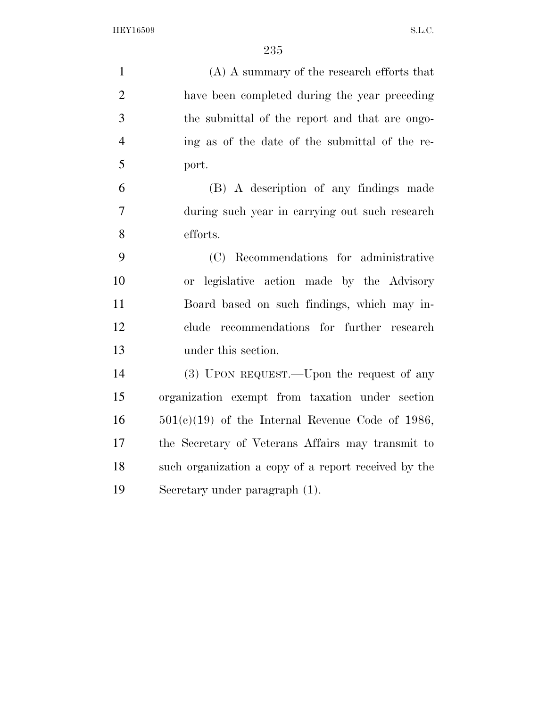| $\mathbf{1}$   | $(A)$ A summary of the research efforts that         |
|----------------|------------------------------------------------------|
| $\overline{2}$ | have been completed during the year preceding        |
| 3              | the submittal of the report and that are ongo-       |
| $\overline{4}$ | ing as of the date of the submittal of the re-       |
| 5              | port.                                                |
| 6              | (B) A description of any findings made               |
| 7              | during such year in carrying out such research       |
| 8              | efforts.                                             |
| 9              | (C) Recommendations for administrative               |
| 10             | or legislative action made by the Advisory           |
| 11             | Board based on such findings, which may in-          |
| 12             | recommendations for further research<br>clude        |
| 13             | under this section.                                  |
| 14             | (3) UPON REQUEST.—Upon the request of any            |
| 15             | organization exempt from taxation under section      |
| 16             | $501(c)(19)$ of the Internal Revenue Code of 1986,   |
| 17             | the Secretary of Veterans Affairs may transmit to    |
| 18             | such organization a copy of a report received by the |
| 19             | Secretary under paragraph (1).                       |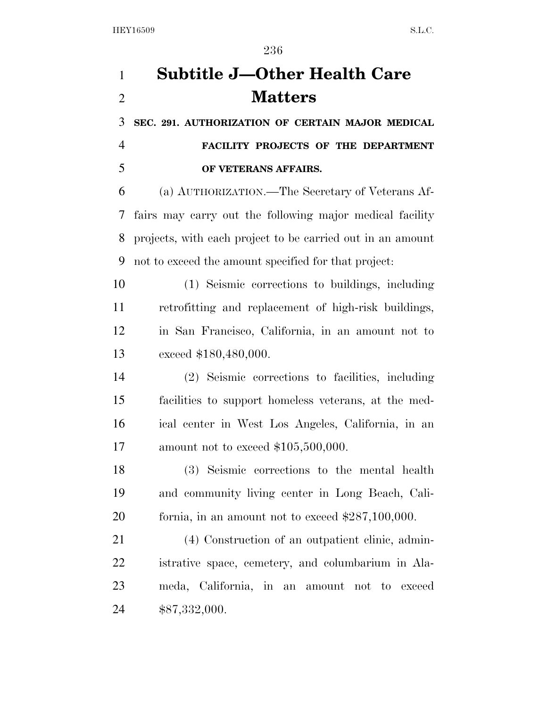# **Subtitle J—Other Health Care Matters**

 **SEC. 291. AUTHORIZATION OF CERTAIN MAJOR MEDICAL FACILITY PROJECTS OF THE DEPARTMENT OF VETERANS AFFAIRS.** 

 (a) AUTHORIZATION.—The Secretary of Veterans Af- fairs may carry out the following major medical facility projects, with each project to be carried out in an amount not to exceed the amount specified for that project:

 (1) Seismic corrections to buildings, including retrofitting and replacement of high-risk buildings, in San Francisco, California, in an amount not to exceed \$180,480,000.

 (2) Seismic corrections to facilities, including facilities to support homeless veterans, at the med- ical center in West Los Angeles, California, in an amount not to exceed \$105,500,000.

 (3) Seismic corrections to the mental health and community living center in Long Beach, Cali-fornia, in an amount not to exceed \$287,100,000.

 (4) Construction of an outpatient clinic, admin- istrative space, cemetery, and columbarium in Ala- meda, California, in an amount not to exceed \$87,332,000.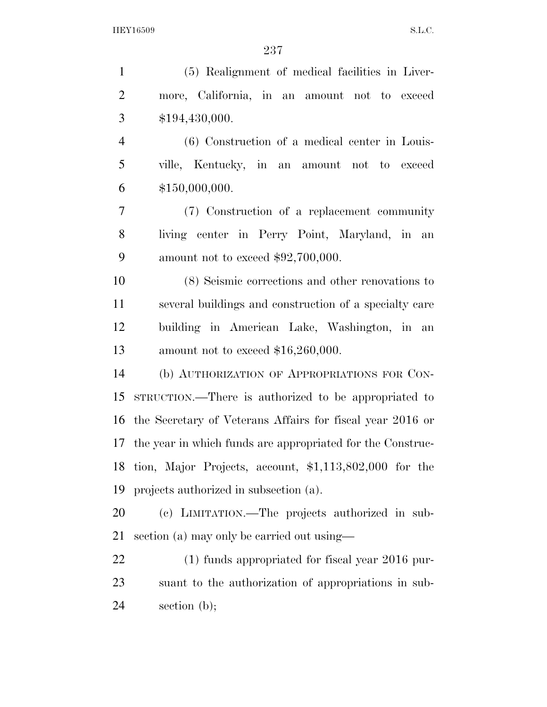(5) Realignment of medical facilities in Liver- more, California, in an amount not to exceed \$194,430,000. (6) Construction of a medical center in Louis- ville, Kentucky, in an amount not to exceed \$150,000,000. (7) Construction of a replacement community living center in Perry Point, Maryland, in an amount not to exceed \$92,700,000. (8) Seismic corrections and other renovations to several buildings and construction of a specialty care building in American Lake, Washington, in an amount not to exceed \$16,260,000. (b) AUTHORIZATION OF APPROPRIATIONS FOR CON- STRUCTION.—There is authorized to be appropriated to the Secretary of Veterans Affairs for fiscal year 2016 or the year in which funds are appropriated for the Construc- tion, Major Projects, account, \$1,113,802,000 for the projects authorized in subsection (a). (c) LIMITATION.—The projects authorized in sub- section (a) may only be carried out using— (1) funds appropriated for fiscal year 2016 pur- suant to the authorization of appropriations in sub-section (b);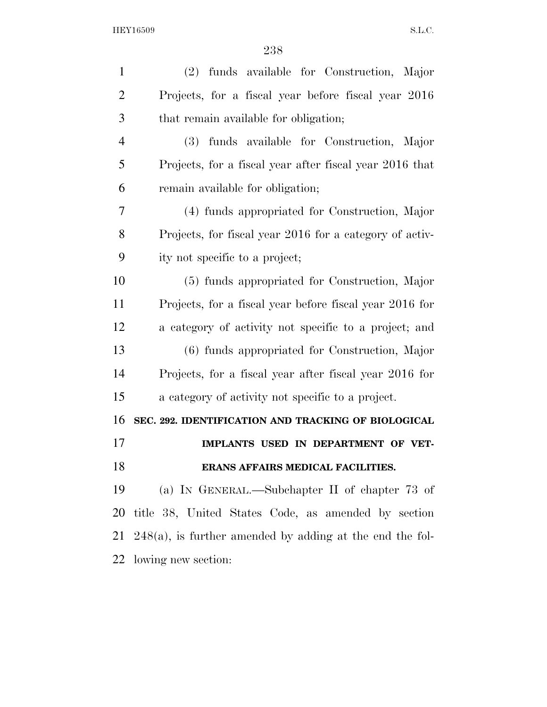| $\mathbf{1}$   | (2) funds available for Construction, Major                 |
|----------------|-------------------------------------------------------------|
| $\overline{2}$ | Projects, for a fiscal year before fiscal year 2016         |
| 3              | that remain available for obligation;                       |
| 4              | funds available for Construction, Major<br>(3)              |
| 5              | Projects, for a fiscal year after fiscal year 2016 that     |
| 6              | remain available for obligation;                            |
| 7              | (4) funds appropriated for Construction, Major              |
| 8              | Projects, for fiscal year 2016 for a category of activ-     |
| 9              | ity not specific to a project;                              |
| 10             | (5) funds appropriated for Construction, Major              |
| 11             | Projects, for a fiscal year before fiscal year 2016 for     |
| 12             | a category of activity not specific to a project; and       |
| 13             | (6) funds appropriated for Construction, Major              |
| 14             | Projects, for a fiscal year after fiscal year 2016 for      |
| 15             | a category of activity not specific to a project.           |
| 16             | SEC. 292. IDENTIFICATION AND TRACKING OF BIOLOGICAL         |
| 17             | IMPLANTS USED IN DEPARTMENT OF VET-                         |
| 18             | ERANS AFFAIRS MEDICAL FACILITIES.                           |
| 19             | (a) IN GENERAL.—Subchapter II of chapter $73$ of            |
| 20             | title 38, United States Code, as amended by section         |
| 21             | $248(a)$ , is further amended by adding at the end the fol- |
| 22             | lowing new section:                                         |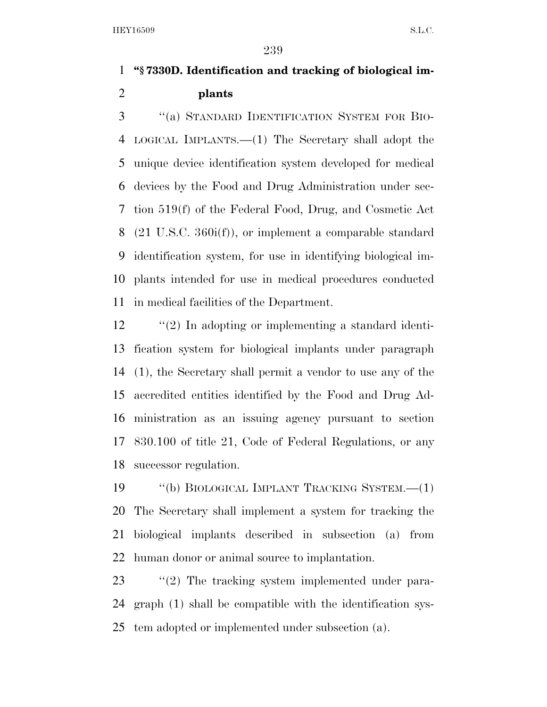#### **''§ 7330D. Identification and tracking of biological im-plants**

 ''(a) STANDARD IDENTIFICATION SYSTEM FOR BIO- LOGICAL IMPLANTS.—(1) The Secretary shall adopt the unique device identification system developed for medical devices by the Food and Drug Administration under sec- tion 519(f) of the Federal Food, Drug, and Cosmetic Act (21 U.S.C. 360i(f)), or implement a comparable standard identification system, for use in identifying biological im- plants intended for use in medical procedures conducted in medical facilities of the Department.

 ''(2) In adopting or implementing a standard identi- fication system for biological implants under paragraph (1), the Secretary shall permit a vendor to use any of the accredited entities identified by the Food and Drug Ad- ministration as an issuing agency pursuant to section 830.100 of title 21, Code of Federal Regulations, or any successor regulation.

 ''(b) BIOLOGICAL IMPLANT TRACKING SYSTEM.—(1) The Secretary shall implement a system for tracking the biological implants described in subsection (a) from human donor or animal source to implantation.

23  $\frac{1}{2}$  The tracking system implemented under para- graph (1) shall be compatible with the identification sys-tem adopted or implemented under subsection (a).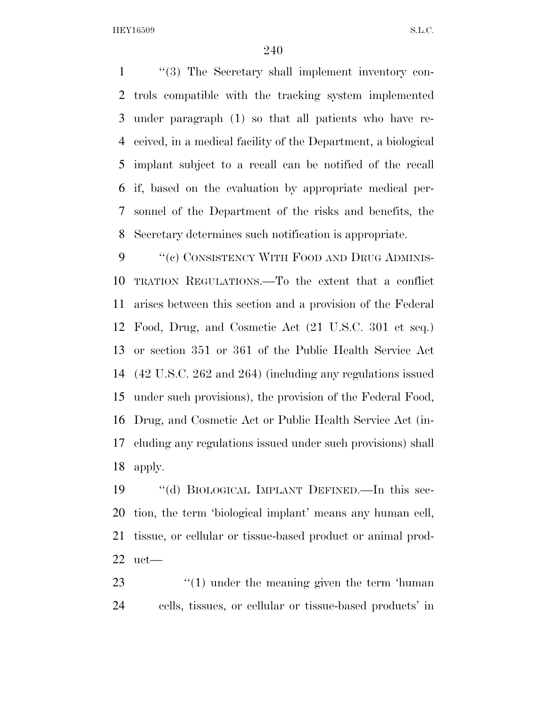''(3) The Secretary shall implement inventory con- trols compatible with the tracking system implemented under paragraph (1) so that all patients who have re- ceived, in a medical facility of the Department, a biological implant subject to a recall can be notified of the recall if, based on the evaluation by appropriate medical per- sonnel of the Department of the risks and benefits, the Secretary determines such notification is appropriate.

9 "(e) CONSISTENCY WITH FOOD AND DRUG ADMINIS- TRATION REGULATIONS.—To the extent that a conflict arises between this section and a provision of the Federal Food, Drug, and Cosmetic Act (21 U.S.C. 301 et seq.) or section 351 or 361 of the Public Health Service Act (42 U.S.C. 262 and 264) (including any regulations issued under such provisions), the provision of the Federal Food, Drug, and Cosmetic Act or Public Health Service Act (in- cluding any regulations issued under such provisions) shall apply.

 ''(d) BIOLOGICAL IMPLANT DEFINED.—In this sec- tion, the term 'biological implant' means any human cell, tissue, or cellular or tissue-based product or animal prod-uct—

23 ''(1) under the meaning given the term 'human cells, tissues, or cellular or tissue-based products' in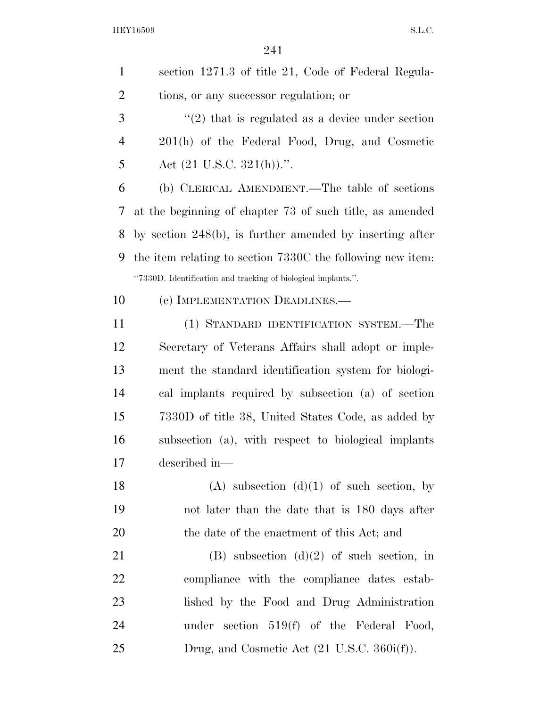| $\mathbf{1}$   | section 1271.3 of title 21, Code of Federal Regula-           |
|----------------|---------------------------------------------------------------|
| $\overline{2}$ | tions, or any successor regulation; or                        |
| 3              | $\lq(2)$ that is regulated as a device under section          |
| $\overline{4}$ | 201(h) of the Federal Food, Drug, and Cosmetic                |
| 5              | Act $(21 \text{ U.S.C. } 321(h))$ .".                         |
| 6              | (b) CLERICAL AMENDMENT.—The table of sections                 |
| 7              | at the beginning of chapter 73 of such title, as amended      |
| 8              | by section $248(b)$ , is further amended by inserting after   |
| 9              | the item relating to section 7330C the following new item.    |
|                | "7330D. Identification and tracking of biological implants.". |
| 10             | (c) IMPLEMENTATION DEADLINES.—                                |
| 11             | (1) STANDARD IDENTIFICATION SYSTEM.—The                       |
| 12             | Secretary of Veterans Affairs shall adopt or imple-           |
| 13             | ment the standard identification system for biologi-          |
| 14             | cal implants required by subsection (a) of section            |
| 15             | 7330D of title 38, United States Code, as added by            |
| 16             | subsection (a), with respect to biological implants           |
| 17             | described in-                                                 |
| 18             | $(A)$ subsection $(d)(1)$ of such section, by                 |
| 19             | not later than the date that is 180 days after                |
| 20             | the date of the enactment of this Act; and                    |
| 21             | (B) subsection $(d)(2)$ of such section, in                   |
| 22             | compliance with the compliance dates estab-                   |
| 23             | lished by the Food and Drug Administration                    |
| 24             | under section $519(f)$ of the Federal Food,                   |
| 25             | Drug, and Cosmetic Act $(21 \text{ U.S.C. } 360i(f)).$        |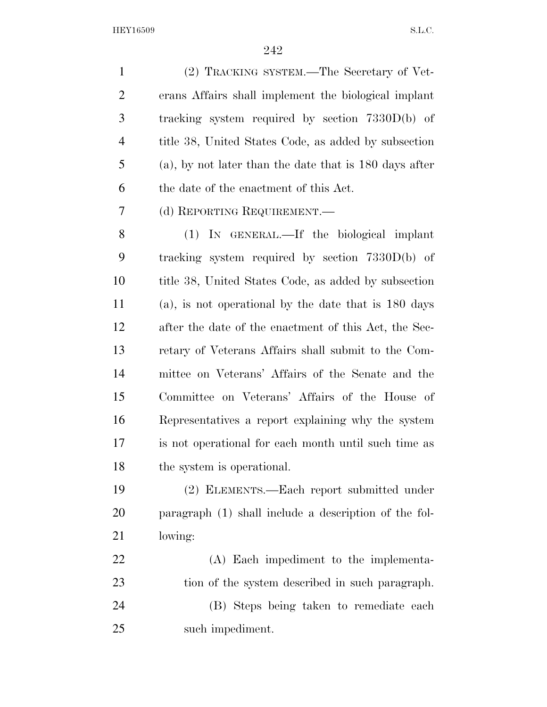(2) TRACKING SYSTEM.—The Secretary of Vet- erans Affairs shall implement the biological implant tracking system required by section 7330D(b) of title 38, United States Code, as added by subsection (a), by not later than the date that is 180 days after the date of the enactment of this Act. (d) REPORTING REQUIREMENT.—

 (1) IN GENERAL.—If the biological implant tracking system required by section 7330D(b) of title 38, United States Code, as added by subsection (a), is not operational by the date that is 180 days after the date of the enactment of this Act, the Sec- retary of Veterans Affairs shall submit to the Com- mittee on Veterans' Affairs of the Senate and the Committee on Veterans' Affairs of the House of Representatives a report explaining why the system is not operational for each month until such time as the system is operational.

 (2) ELEMENTS.—Each report submitted under paragraph (1) shall include a description of the fol-lowing:

 (A) Each impediment to the implementa- tion of the system described in such paragraph. (B) Steps being taken to remediate each such impediment.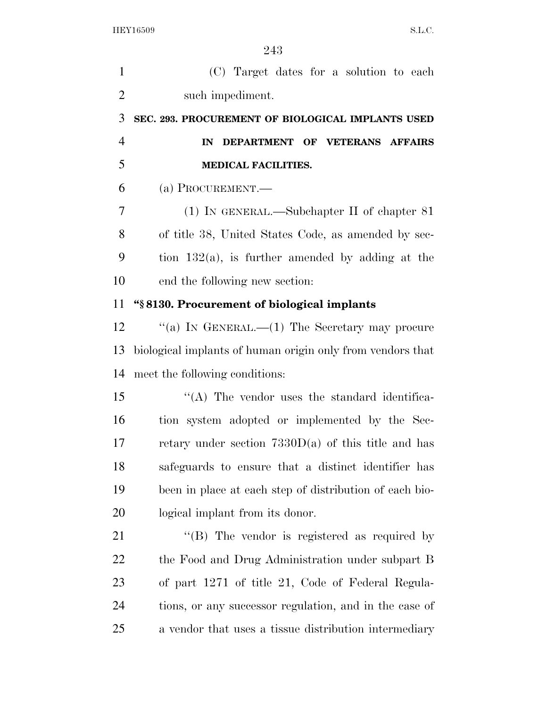(C) Target dates for a solution to each such impediment. **SEC. 293. PROCUREMENT OF BIOLOGICAL IMPLANTS USED IN DEPARTMENT OF VETERANS AFFAIRS MEDICAL FACILITIES.**  (a) PROCUREMENT.— (1) IN GENERAL.—Subchapter II of chapter 81 of title 38, United States Code, as amended by sec-9 tion  $132(a)$ , is further amended by adding at the end the following new section: **''§ 8130. Procurement of biological implants**  12 "(a) IN GENERAL.—(1) The Secretary may procure biological implants of human origin only from vendors that meet the following conditions: ''(A) The vendor uses the standard identifica- tion system adopted or implemented by the Sec- retary under section 7330D(a) of this title and has safeguards to ensure that a distinct identifier has been in place at each step of distribution of each bio- logical implant from its donor. 21 "(B) The vendor is registered as required by the Food and Drug Administration under subpart B of part 1271 of title 21, Code of Federal Regula- tions, or any successor regulation, and in the case of a vendor that uses a tissue distribution intermediary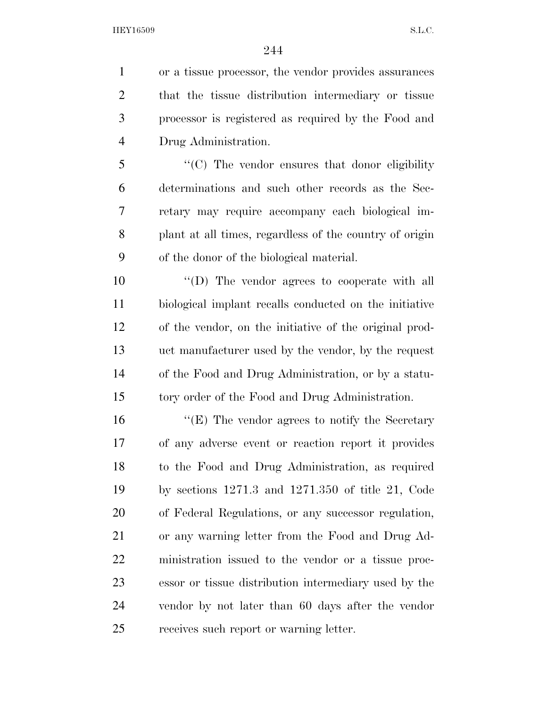or a tissue processor, the vendor provides assurances that the tissue distribution intermediary or tissue processor is registered as required by the Food and Drug Administration. ''(C) The vendor ensures that donor eligibility determinations and such other records as the Sec- retary may require accompany each biological im-plant at all times, regardless of the country of origin

of the donor of the biological material.

 $\langle \text{``(D)} \rangle$  The vendor agrees to cooperate with all biological implant recalls conducted on the initiative of the vendor, on the initiative of the original prod- uct manufacturer used by the vendor, by the request of the Food and Drug Administration, or by a statu-tory order of the Food and Drug Administration.

16 "(E) The vendor agrees to notify the Secretary of any adverse event or reaction report it provides to the Food and Drug Administration, as required by sections 1271.3 and 1271.350 of title 21, Code of Federal Regulations, or any successor regulation, or any warning letter from the Food and Drug Ad- ministration issued to the vendor or a tissue proc- essor or tissue distribution intermediary used by the vendor by not later than 60 days after the vendor receives such report or warning letter.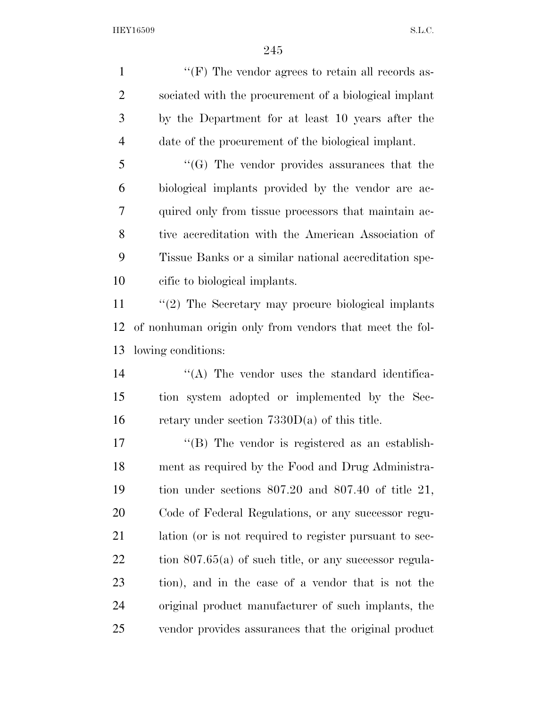$\langle$  (F) The vendor agrees to retain all records as- sociated with the procurement of a biological implant by the Department for at least 10 years after the date of the procurement of the biological implant. ''(G) The vendor provides assurances that the biological implants provided by the vendor are ac- quired only from tissue processors that maintain ac- tive accreditation with the American Association of Tissue Banks or a similar national accreditation spe- cific to biological implants. ''(2) The Secretary may procure biological implants of nonhuman origin only from vendors that meet the fol- lowing conditions: 14 ''(A) The vendor uses the standard identifica- tion system adopted or implemented by the Sec-16 retary under section  $7330D(a)$  of this title. 17 ''(B) The vendor is registered as an establish- ment as required by the Food and Drug Administra- tion under sections 807.20 and 807.40 of title 21, Code of Federal Regulations, or any successor regu- lation (or is not required to register pursuant to sec-22 tion 807.65(a) of such title, or any successor regula- tion), and in the case of a vendor that is not the original product manufacturer of such implants, the vendor provides assurances that the original product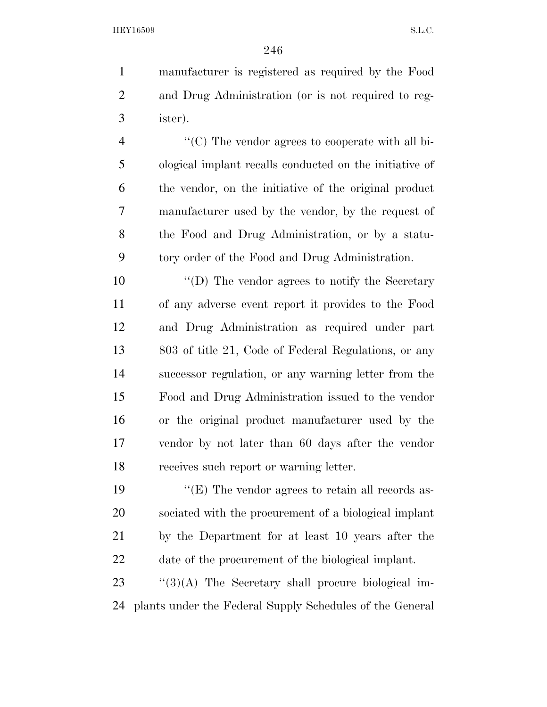manufacturer is registered as required by the Food and Drug Administration (or is not required to reg-ister).

 ''(C) The vendor agrees to cooperate with all bi- ological implant recalls conducted on the initiative of the vendor, on the initiative of the original product manufacturer used by the vendor, by the request of the Food and Drug Administration, or by a statu-tory order of the Food and Drug Administration.

 $\langle \text{``(D)} \rangle$  The vendor agrees to notify the Secretary of any adverse event report it provides to the Food and Drug Administration as required under part 803 of title 21, Code of Federal Regulations, or any successor regulation, or any warning letter from the Food and Drug Administration issued to the vendor or the original product manufacturer used by the vendor by not later than 60 days after the vendor receives such report or warning letter.

 $\langle$  (E) The vendor agrees to retain all records as- sociated with the procurement of a biological implant by the Department for at least 10 years after the date of the procurement of the biological implant.

 "(3)(A) The Secretary shall procure biological im-plants under the Federal Supply Schedules of the General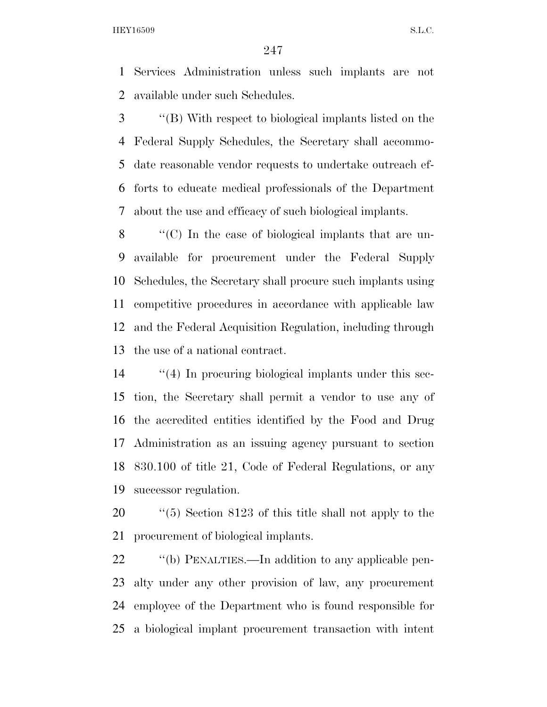Services Administration unless such implants are not available under such Schedules.

 ''(B) With respect to biological implants listed on the Federal Supply Schedules, the Secretary shall accommo- date reasonable vendor requests to undertake outreach ef- forts to educate medical professionals of the Department about the use and efficacy of such biological implants.

 ''(C) In the case of biological implants that are un- available for procurement under the Federal Supply Schedules, the Secretary shall procure such implants using competitive procedures in accordance with applicable law and the Federal Acquisition Regulation, including through the use of a national contract.

 ''(4) In procuring biological implants under this sec- tion, the Secretary shall permit a vendor to use any of the accredited entities identified by the Food and Drug Administration as an issuing agency pursuant to section 830.100 of title 21, Code of Federal Regulations, or any successor regulation.

20  $\frac{1}{20}$  (5) Section 8123 of this title shall not apply to the procurement of biological implants.

 $\qquad$  "(b) PENALTIES.—In addition to any applicable pen- alty under any other provision of law, any procurement employee of the Department who is found responsible for a biological implant procurement transaction with intent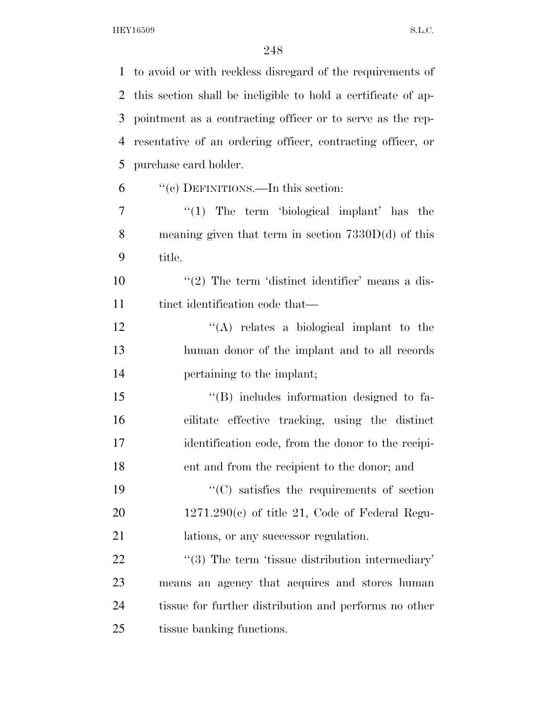| $\mathbf{1}$ | to avoid or with reckless disregard of the requirements of    |
|--------------|---------------------------------------------------------------|
| 2            | this section shall be ineligible to hold a certificate of ap- |
| 3            | pointment as a contracting officer or to serve as the rep-    |
| 4            | resentative of an ordering officer, contracting officer, or   |
| 5            | purchase card holder.                                         |
| 6            | "(c) DEFINITIONS.—In this section:                            |
| 7            | $\lq(1)$ The term 'biological implant' has the                |
| 8            | meaning given that term in section $7330D(d)$ of this         |
| 9            | title.                                                        |
| 10           | $\lq(2)$ The term 'distinct identifier' means a dis-          |
| 11           | tinct identification code that—                               |
| 12           | "(A) relates a biological implant to the                      |
| 13           | human donor of the implant and to all records                 |
| 14           | pertaining to the implant;                                    |
| 15           | $\lq\lq$ includes information designed to fa-                 |
| 16           | cilitate effective tracking, using the distinct               |
| 17           | identification code, from the donor to the recipi-            |
| 18           | ent and from the recipient to the donor; and                  |
| 19           | $\lq\lq$ satisfies the requirements of section                |
| 20           | $1271.290(c)$ of title 21, Code of Federal Regu-              |
| 21           | lations, or any successor regulation.                         |
| <u>22</u>    | $"$ (3) The term 'tissue distribution intermediary'           |
| 23           | means an agency that acquires and stores human                |
| 24           | tissue for further distribution and performs no other         |
| 25           | tissue banking functions.                                     |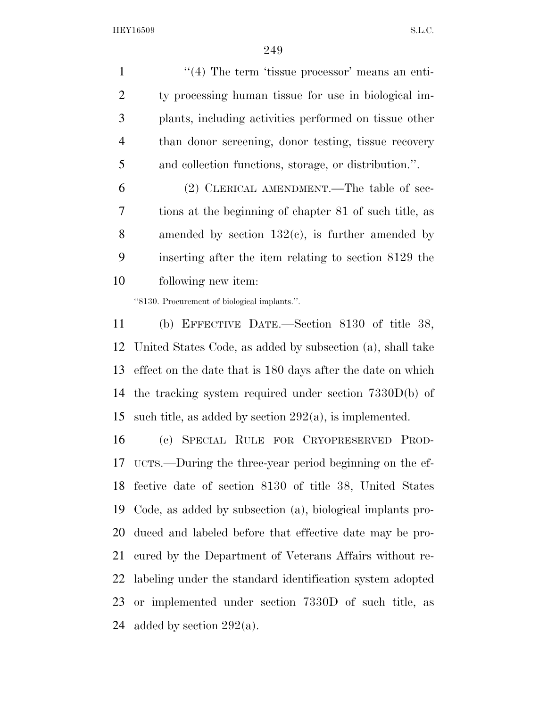1 ''(4) The term 'tissue processor' means an enti- ty processing human tissue for use in biological im- plants, including activities performed on tissue other than donor screening, donor testing, tissue recovery and collection functions, storage, or distribution.''.

 (2) CLERICAL AMENDMENT.—The table of sec- tions at the beginning of chapter 81 of such title, as 8 amended by section  $132(c)$ , is further amended by inserting after the item relating to section 8129 the following new item:

''8130. Procurement of biological implants.''.

 (b) EFFECTIVE DATE.—Section 8130 of title 38, United States Code, as added by subsection (a), shall take effect on the date that is 180 days after the date on which the tracking system required under section 7330D(b) of 15 such title, as added by section  $292(a)$ , is implemented.

 (c) SPECIAL RULE FOR CRYOPRESERVED PROD- UCTS.—During the three-year period beginning on the ef- fective date of section 8130 of title 38, United States Code, as added by subsection (a), biological implants pro- duced and labeled before that effective date may be pro- cured by the Department of Veterans Affairs without re- labeling under the standard identification system adopted or implemented under section 7330D of such title, as 24 added by section  $292(a)$ .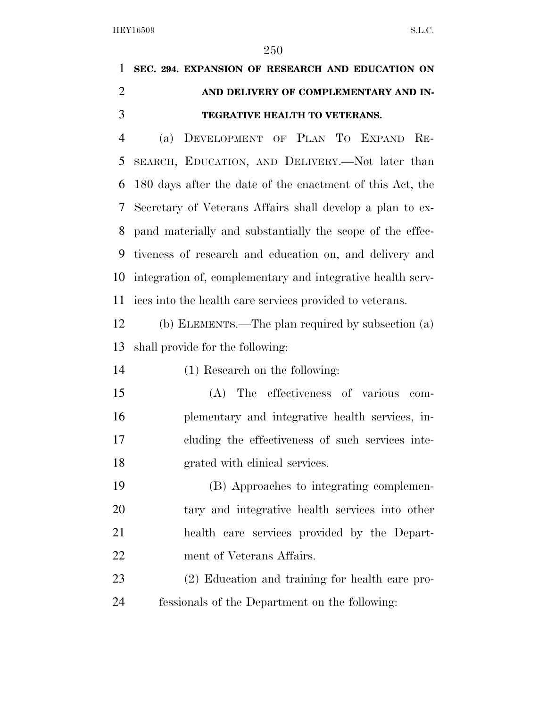**SEC. 294. EXPANSION OF RESEARCH AND EDUCATION ON AND DELIVERY OF COMPLEMENTARY AND IN-TEGRATIVE HEALTH TO VETERANS.** 

 (a) DEVELOPMENT OF PLAN TO EXPAND RE- SEARCH, EDUCATION, AND DELIVERY.—Not later than 180 days after the date of the enactment of this Act, the Secretary of Veterans Affairs shall develop a plan to ex- pand materially and substantially the scope of the effec- tiveness of research and education on, and delivery and integration of, complementary and integrative health serv-ices into the health care services provided to veterans.

 (b) ELEMENTS.—The plan required by subsection (a) shall provide for the following:

(1) Research on the following:

 (A) The effectiveness of various com- plementary and integrative health services, in- cluding the effectiveness of such services inte-grated with clinical services.

 (B) Approaches to integrating complemen- tary and integrative health services into other health care services provided by the Depart-ment of Veterans Affairs.

 (2) Education and training for health care pro-fessionals of the Department on the following: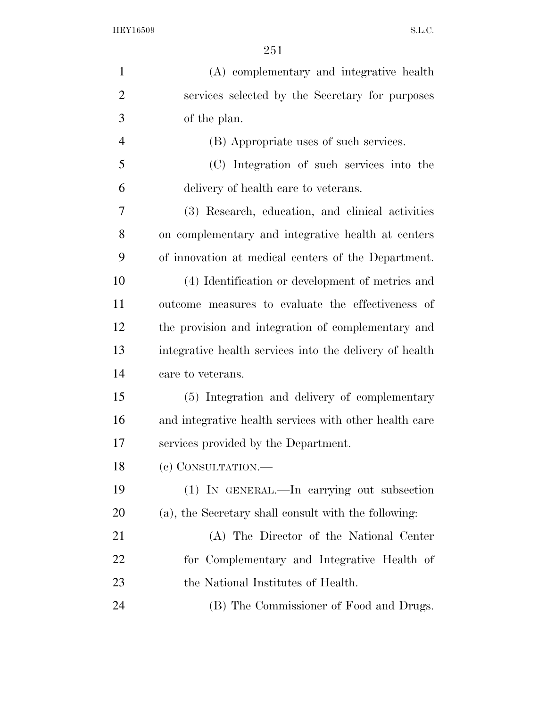| $\mathbf{1}$   | (A) complementary and integrative health                |
|----------------|---------------------------------------------------------|
| $\overline{2}$ | services selected by the Secretary for purposes         |
| 3              | of the plan.                                            |
| $\overline{4}$ | (B) Appropriate uses of such services.                  |
| 5              | (C) Integration of such services into the               |
| 6              | delivery of health care to veterans.                    |
| 7              | (3) Research, education, and clinical activities        |
| 8              | on complementary and integrative health at centers      |
| 9              | of innovation at medical centers of the Department.     |
| 10             | (4) Identification or development of metrics and        |
| 11             | outcome measures to evaluate the effectiveness of       |
| 12             | the provision and integration of complementary and      |
| 13             | integrative health services into the delivery of health |
| 14             | care to veterans.                                       |
| 15             | (5) Integration and delivery of complementary           |
| 16             | and integrative health services with other health care  |
| 17             | services provided by the Department.                    |
| 18             | (c) CONSULTATION.—                                      |
| 19             | (1) IN GENERAL.—In carrying out subsection              |
| <b>20</b>      | (a), the Secretary shall consult with the following:    |
| 21             | (A) The Director of the National Center                 |
| 22             | for Complementary and Integrative Health of             |
| 23             | the National Institutes of Health.                      |
| 24             | (B) The Commissioner of Food and Drugs.                 |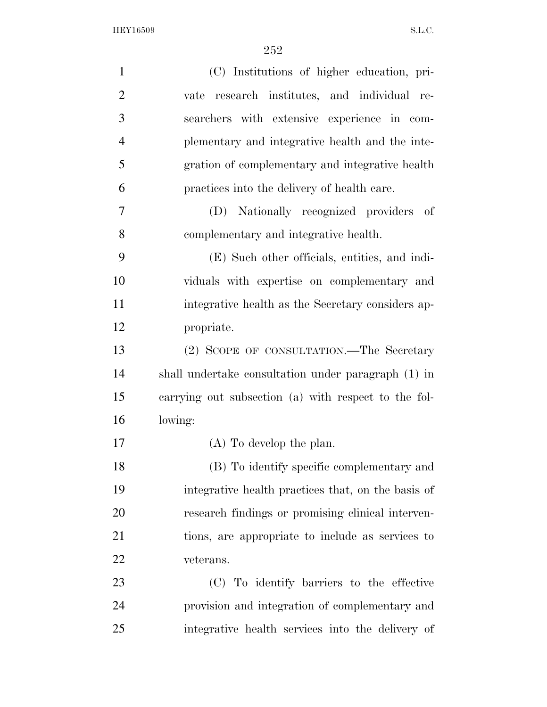| $\mathbf{1}$   | (C) Institutions of higher education, pri-           |
|----------------|------------------------------------------------------|
| $\overline{2}$ | vate research institutes, and individual re-         |
| 3              | searchers with extensive experience in com-          |
| $\overline{4}$ | plementary and integrative health and the inte-      |
| 5              | gration of complementary and integrative health      |
| 6              | practices into the delivery of health care.          |
| 7              | Nationally recognized providers<br>- of<br>(D)       |
| 8              | complementary and integrative health.                |
| 9              | (E) Such other officials, entities, and indi-        |
| 10             | viduals with expertise on complementary and          |
| 11             | integrative health as the Secretary considers ap-    |
| 12             | propriate.                                           |
| 13             | (2) SCOPE OF CONSULTATION.—The Secretary             |
| 14             | shall undertake consultation under paragraph (1) in  |
| 15             | carrying out subsection (a) with respect to the fol- |
| 16             | lowing:                                              |
| 17             | $(A)$ To develop the plan.                           |
| 18             | (B) To identify specific complementary and           |
| 19             | integrative health practices that, on the basis of   |
| 20             | research findings or promising clinical interven-    |
| 21             | tions, are appropriate to include as services to     |
| 22             | veterans.                                            |
| 23             | (C) To identify barriers to the effective            |
| 24             | provision and integration of complementary and       |
| 25             | integrative health services into the delivery of     |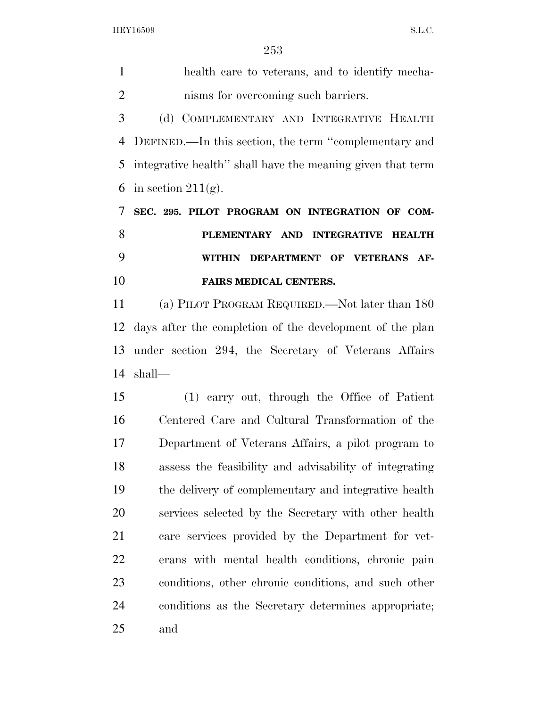health care to veterans, and to identify mecha-

 nisms for overcoming such barriers. (d) COMPLEMENTARY AND INTEGRATIVE HEALTH DEFINED.—In this section, the term ''complementary and integrative health'' shall have the meaning given that term 6 in section  $211(g)$ . **SEC. 295. PILOT PROGRAM ON INTEGRATION OF COM- PLEMENTARY AND INTEGRATIVE HEALTH WITHIN DEPARTMENT OF VETERANS AF- FAIRS MEDICAL CENTERS.**  (a) PILOT PROGRAM REQUIRED.—Not later than 180 days after the completion of the development of the plan under section 294, the Secretary of Veterans Affairs shall— (1) carry out, through the Office of Patient Centered Care and Cultural Transformation of the Department of Veterans Affairs, a pilot program to assess the feasibility and advisability of integrating the delivery of complementary and integrative health services selected by the Secretary with other health care services provided by the Department for vet- erans with mental health conditions, chronic pain conditions, other chronic conditions, and such other conditions as the Secretary determines appropriate; and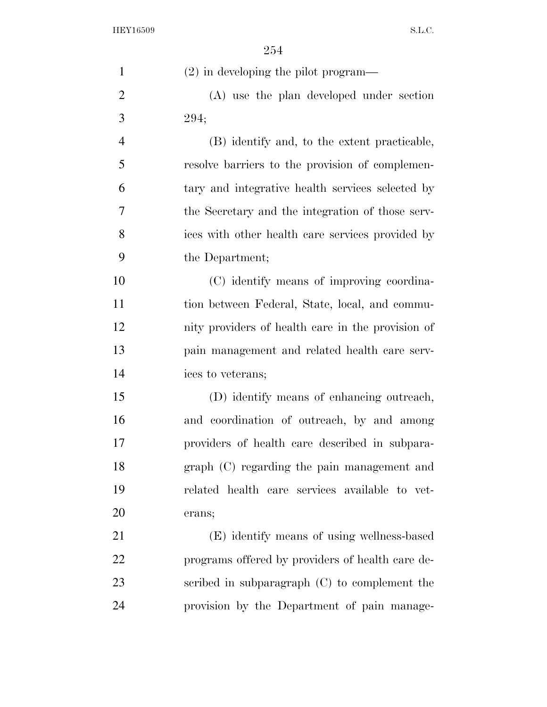| $\mathbf{1}$   | $(2)$ in developing the pilot program—            |
|----------------|---------------------------------------------------|
| $\overline{2}$ | (A) use the plan developed under section          |
| 3              | 294;                                              |
| $\overline{4}$ | (B) identify and, to the extent practicable,      |
| 5              | resolve barriers to the provision of complemen-   |
| 6              | tary and integrative health services selected by  |
| 7              | the Secretary and the integration of those serv-  |
| 8              | ices with other health care services provided by  |
| 9              | the Department;                                   |
| 10             | (C) identify means of improving coordina-         |
| 11             | tion between Federal, State, local, and commu-    |
| 12             | nity providers of health care in the provision of |
| 13             | pain management and related health care serv-     |
| 14             | ices to veterans;                                 |
| 15             | (D) identify means of enhancing outreach,         |
| 16             | and coordination of outreach, by and among        |
| 17             | providers of health care described in subpara-    |
| 18             | graph (C) regarding the pain management and       |
| 19             | related health care services available to vet-    |
| 20             | erans;                                            |
| 21             | (E) identify means of using wellness-based        |
| 22             | programs offered by providers of health care de-  |
| 23             | scribed in subparagraph $(C)$ to complement the   |
| 24             | provision by the Department of pain manage-       |
|                |                                                   |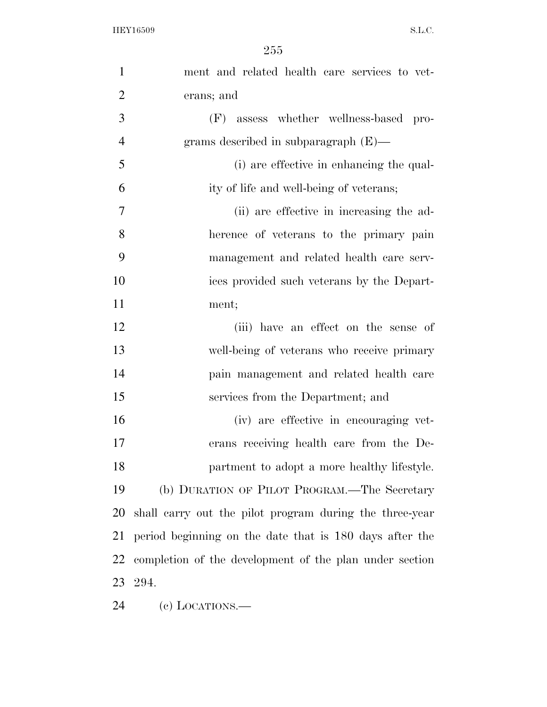| $\mathbf{1}$   | ment and related health care services to vet-           |
|----------------|---------------------------------------------------------|
| $\overline{2}$ | erans; and                                              |
| 3              | assess whether wellness-based pro-<br>(F)               |
| $\overline{4}$ | grams described in subparagraph $(E)$ —                 |
| 5              | (i) are effective in enhancing the qual-                |
| 6              | ity of life and well-being of veterans;                 |
| 7              | (ii) are effective in increasing the ad-                |
| 8              | herence of veterans to the primary pain                 |
| 9              | management and related health care serv-                |
| 10             | ices provided such veterans by the Depart-              |
| 11             | ment;                                                   |
| 12             | (iii) have an effect on the sense of                    |
| 13             | well-being of veterans who receive primary              |
| 14             | pain management and related health care                 |
| 15             | services from the Department; and                       |
| 16             | (iv) are effective in encouraging vet-                  |
| 17             | erans receiving health care from the De-                |
| 18             | partment to adopt a more healthy lifestyle.             |
| 19             | (b) DURATION OF PILOT PROGRAM.—The Secretary            |
| 20             | shall carry out the pilot program during the three-year |
| 21             | period beginning on the date that is 180 days after the |
| 22             | completion of the development of the plan under section |
| 23             | 294.                                                    |
| 24             | $(e)$ LOCATIONS.—                                       |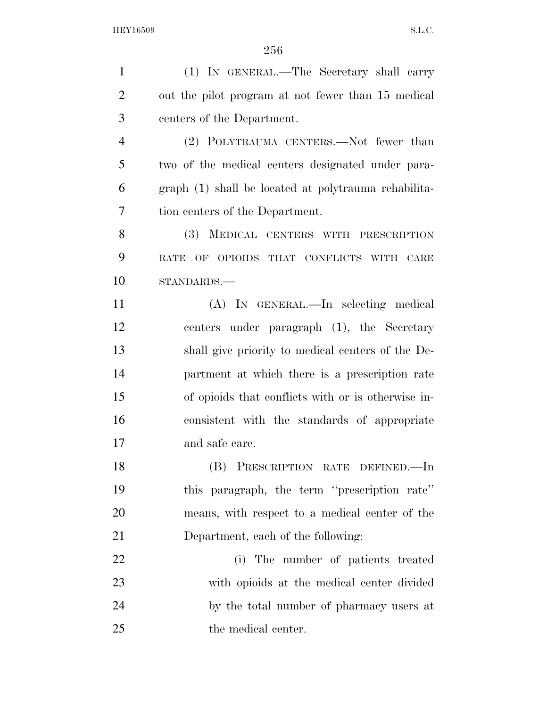(1) IN GENERAL.—The Secretary shall carry out the pilot program at not fewer than 15 medical centers of the Department. (2) POLYTRAUMA CENTERS.—Not fewer than two of the medical centers designated under para- graph (1) shall be located at polytrauma rehabilita- tion centers of the Department. (3) MEDICAL CENTERS WITH PRESCRIPTION RATE OF OPIOIDS THAT CONFLICTS WITH CARE STANDARDS.— (A) IN GENERAL.—In selecting medical centers under paragraph (1), the Secretary shall give priority to medical centers of the De- partment at which there is a prescription rate of opioids that conflicts with or is otherwise in- consistent with the standards of appropriate and safe care. (B) PRESCRIPTION RATE DEFINED.—In this paragraph, the term ''prescription rate'' means, with respect to a medical center of the Department, each of the following: (i) The number of patients treated with opioids at the medical center divided by the total number of pharmacy users at the medical center.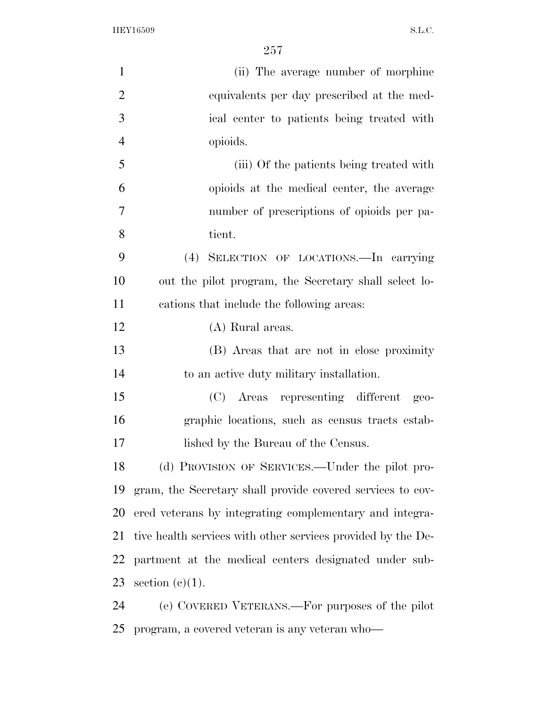| $\mathbf{1}$   | (ii) The average number of morphine                          |
|----------------|--------------------------------------------------------------|
| $\overline{2}$ | equivalents per day prescribed at the med-                   |
| 3              | ical center to patients being treated with                   |
| $\overline{4}$ | opioids.                                                     |
| 5              | (iii) Of the patients being treated with                     |
| 6              | opioids at the medical center, the average                   |
| $\tau$         | number of prescriptions of opioids per pa-                   |
| 8              | tient.                                                       |
| 9              | SELECTION OF LOCATIONS. In carrying<br>(4)                   |
| 10             | out the pilot program, the Secretary shall select lo-        |
| 11             | cations that include the following areas:                    |
| 12             | (A) Rural areas.                                             |
| 13             | (B) Areas that are not in close proximity                    |
| 14             | to an active duty military installation.                     |
| 15             | (C) Areas representing different<br>$geo-$                   |
| 16             | graphic locations, such as census tracts estab-              |
| 17             | lished by the Bureau of the Census.                          |
| 18             | (d) PROVISION OF SERVICES.—Under the pilot pro-              |
| 19             | gram, the Secretary shall provide covered services to cov-   |
| 20             | ered veterans by integrating complementary and integra-      |
| 21             | tive health services with other services provided by the De- |
| 22             | partment at the medical centers designated under sub-        |
| 23             | section $(c)(1)$ .                                           |
| 24             | (e) COVERED VETERANS.—For purposes of the pilot              |
| 25             | program, a covered veteran is any veteran who—               |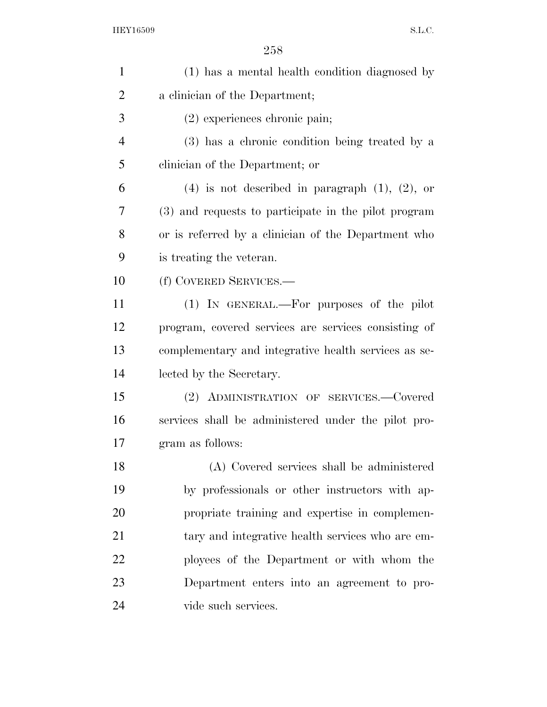| $\mathbf{1}$   | (1) has a mental health condition diagnosed by         |
|----------------|--------------------------------------------------------|
| 2              | a clinician of the Department;                         |
| 3              | $(2)$ experiences chronic pain;                        |
| $\overline{4}$ | (3) has a chronic condition being treated by a         |
| 5              | clinician of the Department; or                        |
| 6              | $(4)$ is not described in paragraph $(1)$ , $(2)$ , or |
| 7              | (3) and requests to participate in the pilot program   |
| 8              | or is referred by a clinician of the Department who    |
| 9              | is treating the veteran.                               |
| 10             | (f) COVERED SERVICES.-                                 |
| 11             | (1) IN GENERAL.—For purposes of the pilot              |
| 12             | program, covered services are services consisting of   |
| 13             | complementary and integrative health services as se-   |
| 14             | lected by the Secretary.                               |
| 15             | (2) ADMINISTRATION OF SERVICES.—Covered                |
| 16             | services shall be administered under the pilot pro-    |
| 17             | gram as follows:                                       |
| 18             | (A) Covered services shall be administered             |
| 19             | by professionals or other instructors with ap-         |
| 20             | propriate training and expertise in complemen-         |
| 21             | tary and integrative health services who are em-       |
| 22             | ployees of the Department or with whom the             |
| 23             | Department enters into an agreement to pro-            |
| 24             | vide such services.                                    |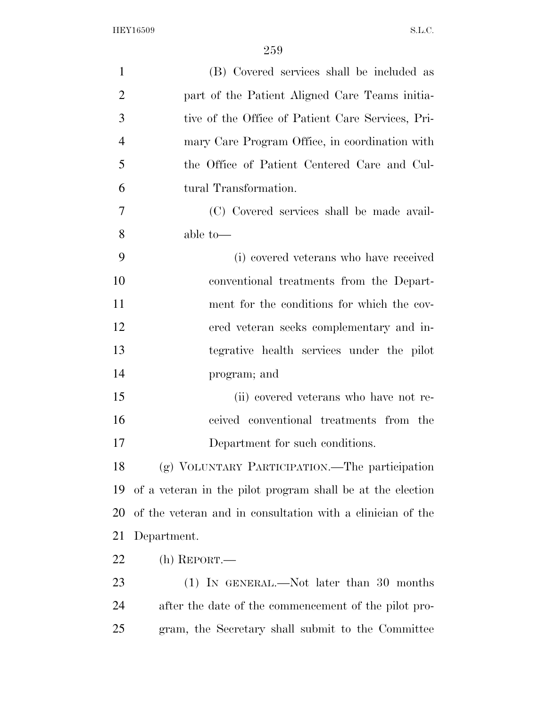| $\mathbf{1}$   | (B) Covered services shall be included as                  |
|----------------|------------------------------------------------------------|
| $\overline{2}$ | part of the Patient Aligned Care Teams initia-             |
| 3              | tive of the Office of Patient Care Services, Pri-          |
| $\overline{4}$ | mary Care Program Office, in coordination with             |
| 5              | the Office of Patient Centered Care and Cul-               |
| 6              | tural Transformation.                                      |
| 7              | (C) Covered services shall be made avail-                  |
| 8              | able to-                                                   |
| 9              | (i) covered veterans who have received                     |
| 10             | conventional treatments from the Depart-                   |
| 11             | ment for the conditions for which the cov-                 |
| 12             | ered veteran seeks complementary and in-                   |
| 13             | tegrative health services under the pilot                  |
| 14             | program; and                                               |
| 15             | (ii) covered veterans who have not re-                     |
| 16             | ceived conventional treatments from the                    |
| 17             | Department for such conditions.                            |
| 18             | (g) VOLUNTARY PARTICIPATION.—The participation             |
| 19             | of a veteran in the pilot program shall be at the election |
| 20             | of the veteran and in consultation with a clinician of the |
| 21             | Department.                                                |
| 22             | $(h)$ REPORT.—                                             |
| 23             | $(1)$ IN GENERAL.—Not later than 30 months                 |
| 24             | after the date of the commencement of the pilot pro-       |
| 25             | gram, the Secretary shall submit to the Committee          |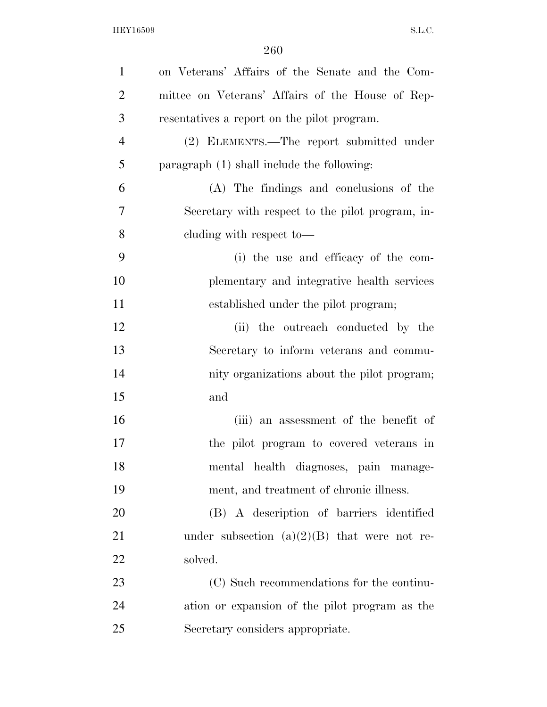| $\mathbf{1}$   | on Veterans' Affairs of the Senate and the Com-  |
|----------------|--------------------------------------------------|
| $\overline{2}$ | mittee on Veterans' Affairs of the House of Rep- |
| 3              | resentatives a report on the pilot program.      |
| $\overline{4}$ | (2) ELEMENTS.—The report submitted under         |
| 5              | paragraph (1) shall include the following:       |
| 6              | (A) The findings and conclusions of the          |
| $\overline{7}$ | Secretary with respect to the pilot program, in- |
| 8              | cluding with respect to-                         |
| 9              | (i) the use and efficacy of the com-             |
| 10             | plementary and integrative health services       |
| 11             | established under the pilot program;             |
| 12             | (ii) the outreach conducted by the               |
| 13             | Secretary to inform veterans and commu-          |
| 14             | nity organizations about the pilot program;      |
| 15             | and                                              |
| 16             | (iii) an assessment of the benefit of            |
| 17             | the pilot program to covered veterans in         |
| 18             | mental health diagnoses, pain manage-            |
| 19             | ment, and treatment of chronic illness.          |
| 20             | (B) A description of barriers identified         |
| 21             | under subsection $(a)(2)(B)$ that were not re-   |
| 22             | solved.                                          |
| 23             | (C) Such recommendations for the continu-        |
| 24             | ation or expansion of the pilot program as the   |
| 25             | Secretary considers appropriate.                 |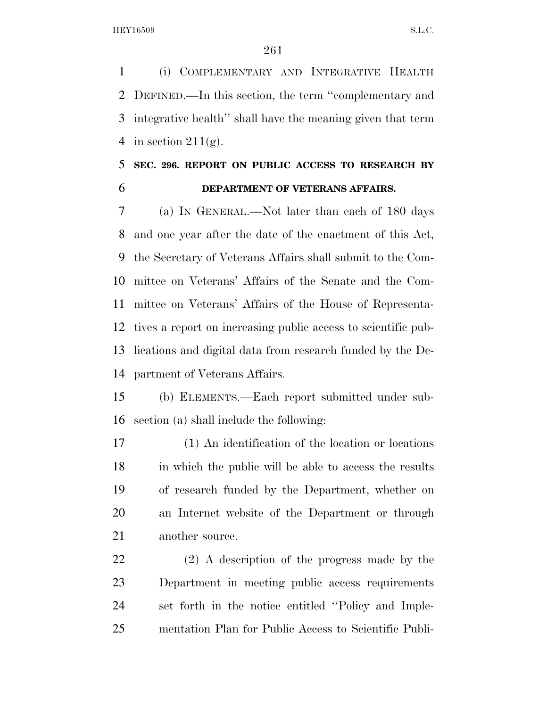(i) COMPLEMENTARY AND INTEGRATIVE HEALTH DEFINED.—In this section, the term ''complementary and integrative health'' shall have the meaning given that term 4 in section  $211(g)$ .

## **SEC. 296. REPORT ON PUBLIC ACCESS TO RESEARCH BY DEPARTMENT OF VETERANS AFFAIRS.**

 (a) IN GENERAL.—Not later than each of 180 days and one year after the date of the enactment of this Act, the Secretary of Veterans Affairs shall submit to the Com- mittee on Veterans' Affairs of the Senate and the Com- mittee on Veterans' Affairs of the House of Representa- tives a report on increasing public access to scientific pub- lications and digital data from research funded by the De-partment of Veterans Affairs.

 (b) ELEMENTS.—Each report submitted under sub-section (a) shall include the following:

 (1) An identification of the location or locations in which the public will be able to access the results of research funded by the Department, whether on an Internet website of the Department or through 21 another source.

 (2) A description of the progress made by the Department in meeting public access requirements set forth in the notice entitled ''Policy and Imple-mentation Plan for Public Access to Scientific Publi-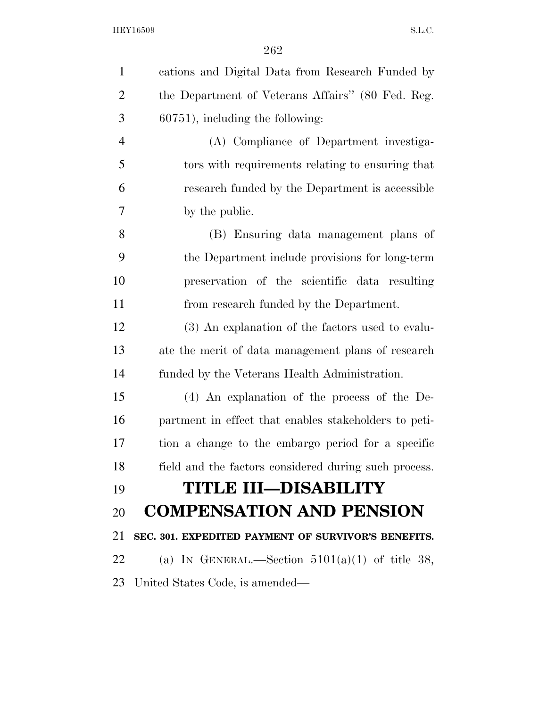| $\mathbf{1}$   | cations and Digital Data from Research Funded by      |
|----------------|-------------------------------------------------------|
| $\overline{2}$ | the Department of Veterans Affairs" (80 Fed. Reg.     |
| 3              | $60751$ , including the following:                    |
| $\overline{4}$ | (A) Compliance of Department investiga-               |
| 5              | tors with requirements relating to ensuring that      |
| 6              | research funded by the Department is accessible       |
| 7              | by the public.                                        |
| 8              | (B) Ensuring data management plans of                 |
| 9              | the Department include provisions for long-term       |
| 10             | preservation of the scientific data resulting         |
| 11             | from research funded by the Department.               |
| 12             | (3) An explanation of the factors used to evalu-      |
| 13             | ate the merit of data management plans of research    |
| 14             | funded by the Veterans Health Administration.         |
| 15             | $(4)$ An explanation of the process of the De-        |
| 16             | partment in effect that enables stakeholders to peti- |
| 17             | tion a change to the embargo period for a specific    |
| 18             | field and the factors considered during such process. |
| 19             | <b>TITLE III-DISABILITY</b>                           |
| 20             | <b>COMPENSATION AND PENSION</b>                       |
| 21             | SEC. 301. EXPEDITED PAYMENT OF SURVIVOR'S BENEFITS.   |
| 22             | (a) IN GENERAL.—Section $5101(a)(1)$ of title 38,     |
| 23             | United States Code, is amended—                       |
|                |                                                       |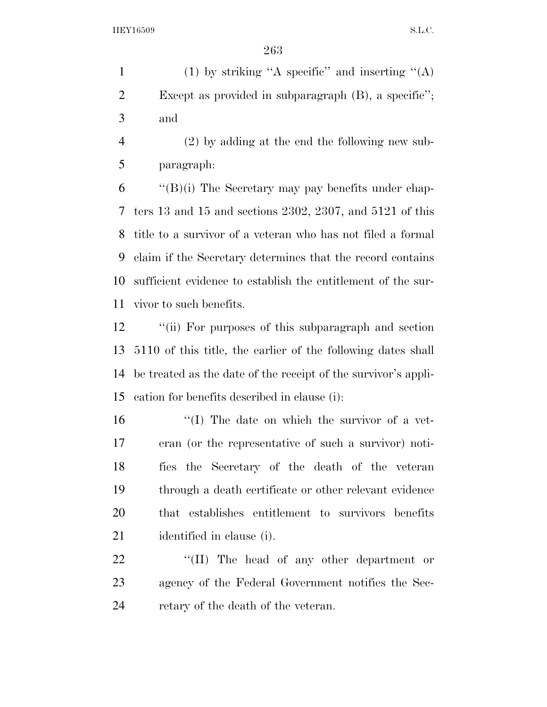1 (1) by striking "A specific" and inserting " $(A)$  Except as provided in subparagraph (B), a specific''; and

 (2) by adding at the end the following new sub-paragraph:

 "(B)(i) The Secretary may pay benefits under chap- ters 13 and 15 and sections 2302, 2307, and 5121 of this title to a survivor of a veteran who has not filed a formal claim if the Secretary determines that the record contains sufficient evidence to establish the entitlement of the sur-vivor to such benefits.

12 "(ii) For purposes of this subparagraph and section 5110 of this title, the earlier of the following dates shall be treated as the date of the receipt of the survivor's appli-cation for benefits described in clause (i):

16 ''(I) The date on which the survivor of a vet- eran (or the representative of such a survivor) noti- fies the Secretary of the death of the veteran through a death certificate or other relevant evidence that establishes entitlement to survivors benefits identified in clause (i).

22 "(II) The head of any other department or agency of the Federal Government notifies the Sec-24 retary of the death of the veteran.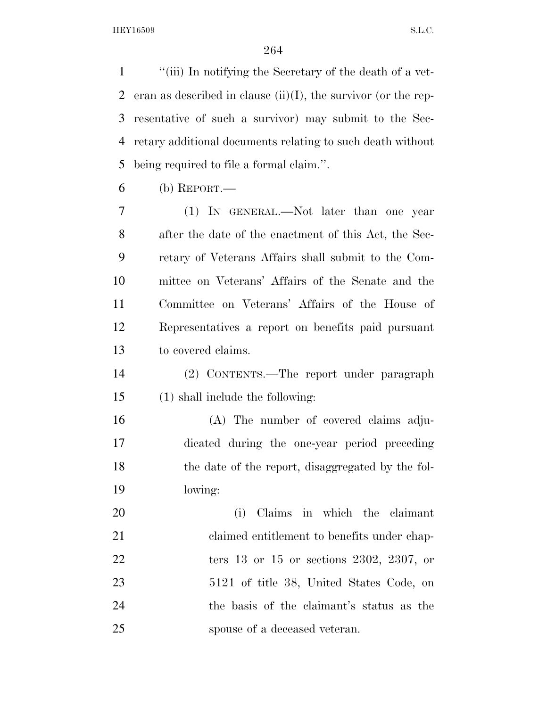''(iii) In notifying the Secretary of the death of a vet-2 eran as described in clause  $(ii)(I)$ , the survivor (or the rep- resentative of such a survivor) may submit to the Sec- retary additional documents relating to such death without being required to file a formal claim.''.

(b) REPORT.

 (1) IN GENERAL.—Not later than one year after the date of the enactment of this Act, the Sec- retary of Veterans Affairs shall submit to the Com- mittee on Veterans' Affairs of the Senate and the Committee on Veterans' Affairs of the House of Representatives a report on benefits paid pursuant to covered claims.

- (2) CONTENTS.—The report under paragraph (1) shall include the following:
- (A) The number of covered claims adju- dicated during the one-year period preceding the date of the report, disaggregated by the fol-lowing:

 (i) Claims in which the claimant 21 claimed entitlement to benefits under chap- ters 13 or 15 or sections 2302, 2307, or 5121 of title 38, United States Code, on the basis of the claimant's status as the spouse of a deceased veteran.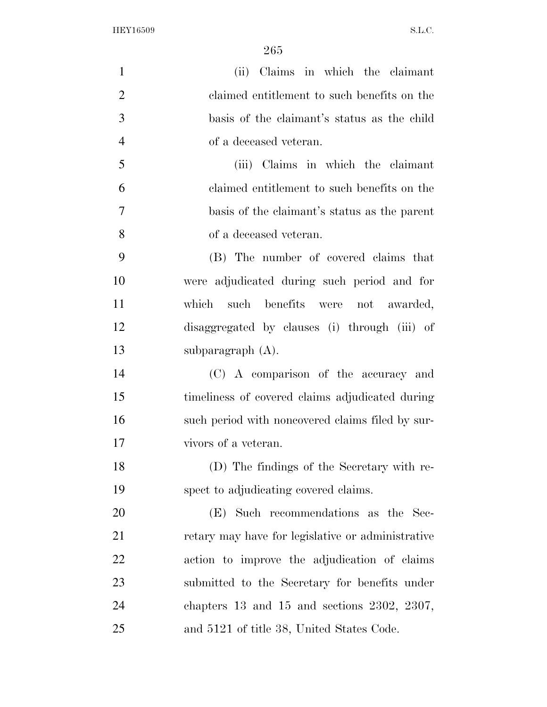| $\mathbf{1}$   | (ii) Claims in which the claimant                 |
|----------------|---------------------------------------------------|
| $\overline{2}$ | claimed entitlement to such benefits on the       |
| 3              | basis of the claimant's status as the child       |
| $\overline{4}$ | of a deceased veteran.                            |
| 5              | (iii) Claims in which the claimant                |
| 6              | claimed entitlement to such benefits on the       |
| $\overline{7}$ | basis of the claimant's status as the parent      |
| 8              | of a deceased veteran.                            |
| 9              | (B) The number of covered claims that             |
| 10             | were adjudicated during such period and for       |
| 11             | which such benefits were not awarded,             |
| 12             | disaggregated by clauses (i) through (iii) of     |
| 13             | subparagraph (A).                                 |
| 14             | (C) A comparison of the accuracy and              |
| 15             | timeliness of covered claims adjudicated during   |
| 16             | such period with noncovered claims filed by sur-  |
| 17             | vivors of a veteran.                              |
| 18             | (D) The findings of the Secretary with re-        |
| 19             | spect to adjudicating covered claims.             |
| 20             | (E) Such recommendations as the Sec-              |
| 21             | retary may have for legislative or administrative |
| 22             | action to improve the adjudication of claims      |
| 23             | submitted to the Secretary for benefits under     |
| 24             | chapters $13$ and $15$ and sections $2302, 2307,$ |
| 25             | and 5121 of title 38, United States Code.         |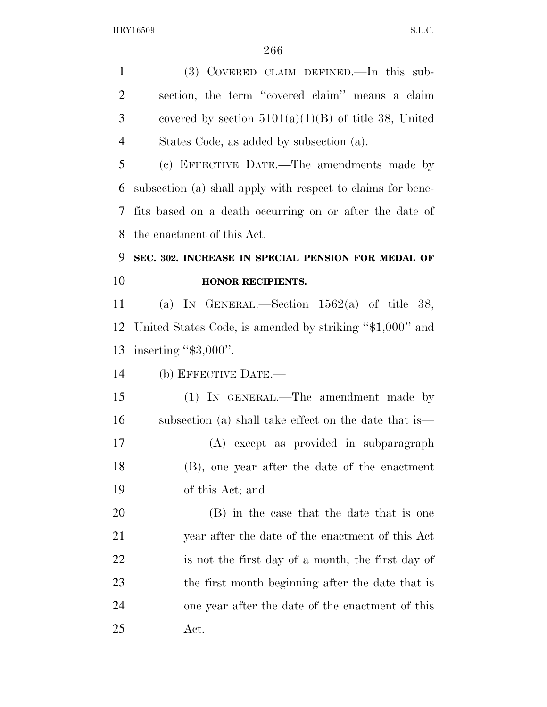(3) COVERED CLAIM DEFINED.—In this sub- section, the term ''covered claim'' means a claim 3 covered by section  $5101(a)(1)(B)$  of title 38, United States Code, as added by subsection (a).

 (c) EFFECTIVE DATE.—The amendments made by subsection (a) shall apply with respect to claims for bene- fits based on a death occurring on or after the date of the enactment of this Act.

## **SEC. 302. INCREASE IN SPECIAL PENSION FOR MEDAL OF HONOR RECIPIENTS.**

 (a) IN GENERAL.—Section 1562(a) of title 38, United States Code, is amended by striking ''\$1,000'' and inserting ''\$3,000''.

(b) EFFECTIVE DATE.—

 (1) IN GENERAL.—The amendment made by subsection (a) shall take effect on the date that is— (A) except as provided in subparagraph (B), one year after the date of the enactment of this Act; and

 (B) in the case that the date that is one year after the date of the enactment of this Act is not the first day of a month, the first day of the first month beginning after the date that is one year after the date of the enactment of this Act.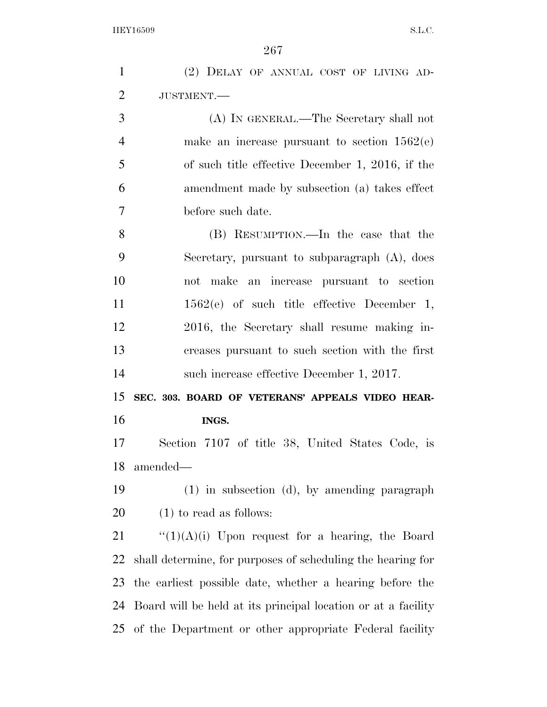| $\mathbf{1}$          | (2) DELAY OF ANNUAL COST OF LIVING AD-                        |
|-----------------------|---------------------------------------------------------------|
| $\overline{2}$        | JUSTMENT.-                                                    |
| 3                     | (A) IN GENERAL.—The Secretary shall not                       |
| $\overline{4}$        | make an increase pursuant to section $1562(e)$                |
| 5                     | of such title effective December 1, 2016, if the              |
| 6                     | amendment made by subsection (a) takes effect                 |
| $\overline{7}$        | before such date.                                             |
| 8                     | (B) RESUMPTION.—In the case that the                          |
| 9                     | Secretary, pursuant to subparagraph $(A)$ , does              |
| 10                    | not make an increase pursuant to section                      |
| 11                    | $1562(e)$ of such title effective December 1,                 |
| 12                    | 2016, the Secretary shall resume making in-                   |
| 13                    | creases pursuant to such section with the first               |
| 14                    | such increase effective December 1, 2017.                     |
|                       |                                                               |
| 15                    | SEC. 303. BOARD OF VETERANS' APPEALS VIDEO HEAR-              |
| 16                    | INGS.                                                         |
| 17                    | Section 7107 of title 38, United States Code, is              |
| 18                    | amended—                                                      |
|                       | $(1)$ in subsection $(d)$ , by amending paragraph             |
|                       | $(1)$ to read as follows:                                     |
| 19<br><b>20</b><br>21 | " $(1)(A)(i)$ Upon request for a hearing, the Board           |
| 22                    | shall determine, for purposes of scheduling the hearing for   |
| 23                    | the earliest possible date, whether a hearing before the      |
| 24                    | Board will be held at its principal location or at a facility |
| 25                    | of the Department or other appropriate Federal facility       |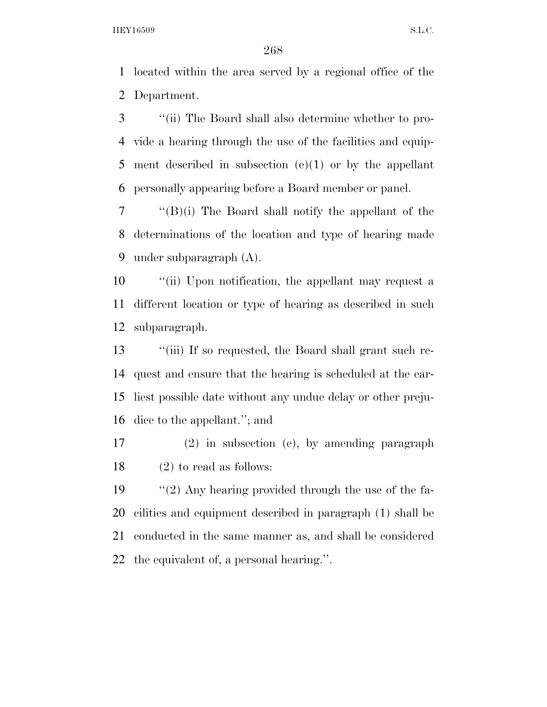located within the area served by a regional office of the Department.

 ''(ii) The Board shall also determine whether to pro- vide a hearing through the use of the facilities and equip- ment described in subsection (e)(1) or by the appellant personally appearing before a Board member or panel.

 ''(B)(i) The Board shall notify the appellant of the determinations of the location and type of hearing made under subparagraph (A).

 ''(ii) Upon notification, the appellant may request a different location or type of hearing as described in such subparagraph.

 ''(iii) If so requested, the Board shall grant such re- quest and ensure that the hearing is scheduled at the ear- liest possible date without any undue delay or other preju-dice to the appellant.''; and

 (2) in subsection (e), by amending paragraph (2) to read as follows:

 ''(2) Any hearing provided through the use of the fa- cilities and equipment described in paragraph (1) shall be conducted in the same manner as, and shall be considered the equivalent of, a personal hearing.''.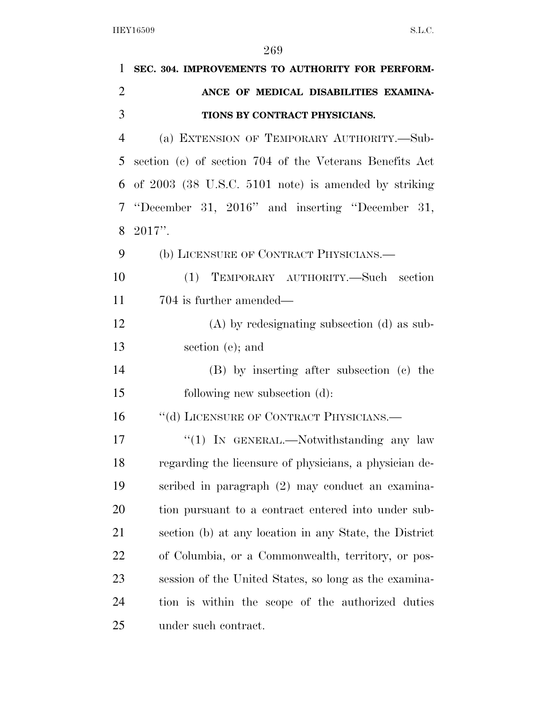| 1              | SEC. 304. IMPROVEMENTS TO AUTHORITY FOR PERFORM-        |
|----------------|---------------------------------------------------------|
| $\overline{2}$ | ANCE OF MEDICAL DISABILITIES EXAMINA-                   |
| 3              | TIONS BY CONTRACT PHYSICIANS.                           |
| $\overline{4}$ | (a) EXTENSION OF TEMPORARY AUTHORITY.-Sub-              |
| 5              | section (c) of section 704 of the Veterans Benefits Act |
| 6              | of 2003 (38 U.S.C. 5101 note) is amended by striking    |
| 7              | "December 31, 2016" and inserting "December 31,         |
| 8              | $2017$ ".                                               |
| 9              | (b) LICENSURE OF CONTRACT PHYSICIANS.                   |
| 10             | TEMPORARY AUTHORITY.—Such section<br>(1)                |
| 11             | 704 is further amended—                                 |
| 12             | $(A)$ by redesignating subsection $(d)$ as sub-         |
| 13             | section (e); and                                        |
| 14             | (B) by inserting after subsection (c) the               |
| 15             | following new subsection (d):                           |
| 16             | "(d) LICENSURE OF CONTRACT PHYSICIANS.—                 |
| 17             | "(1) IN GENERAL.—Notwithstanding any law                |
| 18             | regarding the licensure of physicians, a physician de-  |
| 19             | scribed in paragraph (2) may conduct an examina-        |
| 20             | tion pursuant to a contract entered into under sub-     |
| 21             | section (b) at any location in any State, the District  |
| 22             | of Columbia, or a Commonwealth, territory, or pos-      |
| 23             | session of the United States, so long as the examina-   |
| 24             | tion is within the scope of the authorized duties       |
| 25             | under such contract.                                    |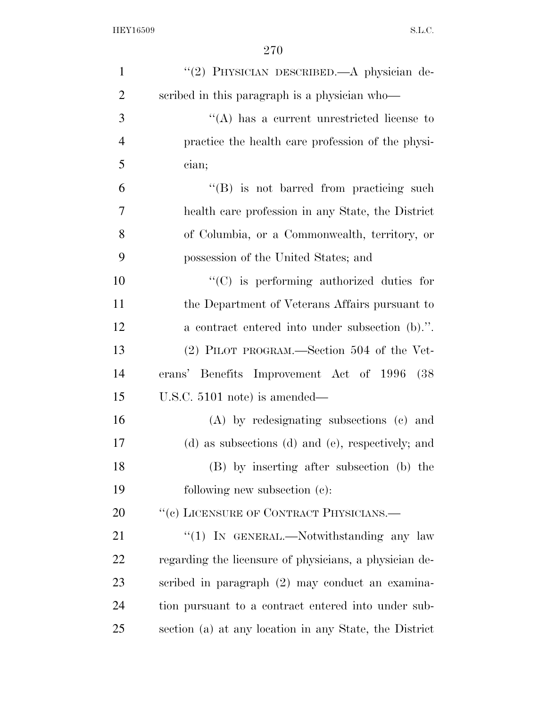| $\mathbf{1}$   | "(2) PHYSICIAN DESCRIBED.—A physician de-              |
|----------------|--------------------------------------------------------|
| $\overline{2}$ | scribed in this paragraph is a physician who-          |
| 3              | $\lq\lq$ has a current unrestricted license to         |
| $\overline{4}$ | practice the health care profession of the physi-      |
| 5              | cian;                                                  |
| 6              | "(B) is not barred from practicing such                |
| 7              | health care profession in any State, the District      |
| 8              | of Columbia, or a Commonwealth, territory, or          |
| 9              | possession of the United States; and                   |
| 10             | "(C) is performing authorized duties for               |
| 11             | the Department of Veterans Affairs pursuant to         |
| 12             | a contract entered into under subsection (b).".        |
| 13             | (2) PILOT PROGRAM.—Section 504 of the Vet-             |
| 14             | erans' Benefits Improvement Act of 1996<br>(38         |
| 15             | U.S.C. 5101 note) is amended—                          |
| 16             | (A) by redesignating subsections (c) and               |
| 17             | (d) as subsections (d) and (e), respectively; and      |
| 18             | (B) by inserting after subsection (b) the              |
| 19             | following new subsection $(c)$ :                       |
| 20             | "(c) LICENSURE OF CONTRACT PHYSICIANS.—                |
| 21             | "(1) IN GENERAL.—Notwithstanding any law               |
| 22             | regarding the licensure of physicians, a physician de- |
| 23             | scribed in paragraph (2) may conduct an examina-       |
| 24             | tion pursuant to a contract entered into under sub-    |
| 25             | section (a) at any location in any State, the District |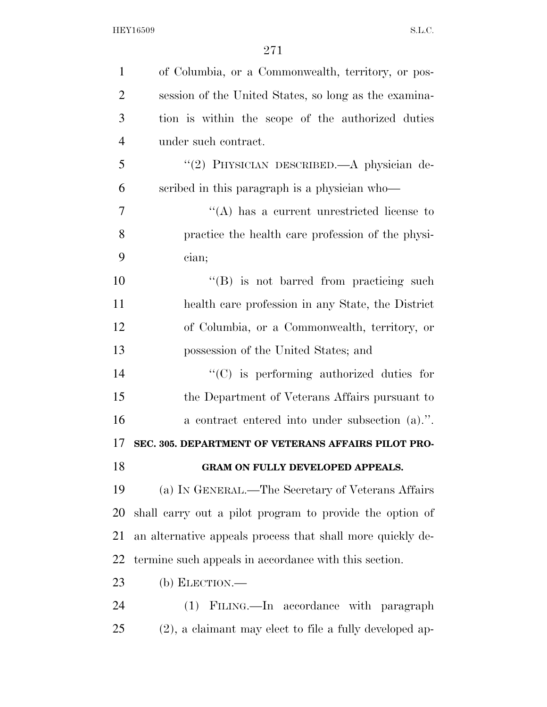| $\mathbf{1}$   | of Columbia, or a Commonwealth, territory, or pos-         |
|----------------|------------------------------------------------------------|
| $\overline{2}$ | session of the United States, so long as the examina-      |
| 3              | tion is within the scope of the authorized duties          |
| $\overline{4}$ | under such contract.                                       |
| 5              | "(2) PHYSICIAN DESCRIBED.—A physician de-                  |
| 6              | scribed in this paragraph is a physician who-              |
| 7              | "(A) has a current unrestricted license to                 |
| 8              | practice the health care profession of the physi-          |
| 9              | cian;                                                      |
| 10             | "(B) is not barred from practicing such                    |
| 11             | health care profession in any State, the District          |
| 12             | of Columbia, or a Commonwealth, territory, or              |
| 13             | possession of the United States; and                       |
| 14             | $\lq\lq$ (C) is performing authorized duties for           |
| 15             | the Department of Veterans Affairs pursuant to             |
| 16             | a contract entered into under subsection (a).".            |
| 17             | SEC. 305. DEPARTMENT OF VETERANS AFFAIRS PILOT PRO-        |
| 18             | GRAM ON FULLY DEVELOPED APPEALS.                           |
| 19             | (a) IN GENERAL.—The Secretary of Veterans Affairs          |
| 20             | shall carry out a pilot program to provide the option of   |
| 21             | an alternative appeals process that shall more quickly de- |
| 22             | termine such appeals in accordance with this section.      |
| 23             | (b) ELECTION.—                                             |
| 24             | (1) FILING.—In accordance with paragraph                   |
| 25             | $(2)$ , a claimant may elect to file a fully developed ap- |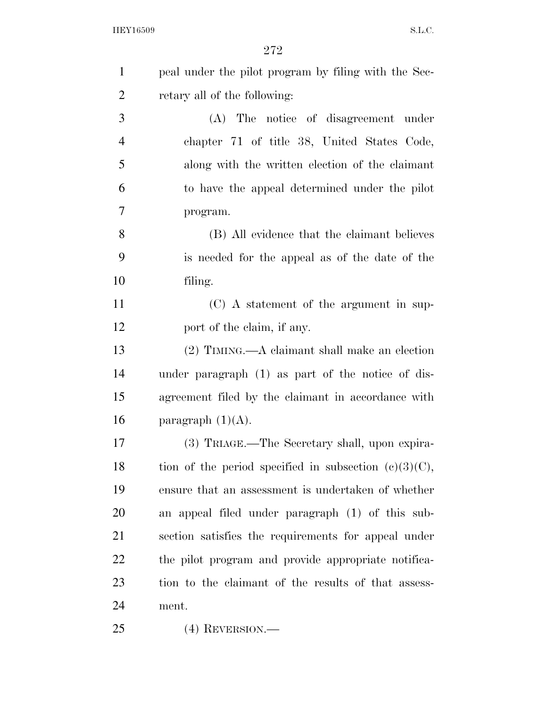| $\mathbf{1}$   | peal under the pilot program by filing with the Sec-     |
|----------------|----------------------------------------------------------|
| $\overline{2}$ | retary all of the following:                             |
| 3              | (A) The notice of disagreement under                     |
| $\overline{4}$ | chapter 71 of title 38, United States Code,              |
| 5              | along with the written election of the claimant          |
| 6              | to have the appeal determined under the pilot            |
| 7              | program.                                                 |
| 8              | (B) All evidence that the claimant believes              |
| 9              | is needed for the appeal as of the date of the           |
| 10             | filing.                                                  |
| 11             | (C) A statement of the argument in sup-                  |
| 12             | port of the claim, if any.                               |
| 13             | $(2)$ TIMING.—A claimant shall make an election          |
| 14             | under paragraph (1) as part of the notice of dis-        |
| 15             | agreement filed by the claimant in accordance with       |
| 16             | paragraph $(1)(A)$ .                                     |
| 17             | (3) TRIAGE.—The Secretary shall, upon expira-            |
| 18             | tion of the period specified in subsection $(c)(3)(C)$ , |
| 19             | ensure that an assessment is undertaken of whether       |
| 20             | an appeal filed under paragraph (1) of this sub-         |
| 21             | section satisfies the requirements for appeal under      |
| 22             | the pilot program and provide appropriate notifica-      |
| 23             | tion to the claimant of the results of that assess-      |
| 24             | ment.                                                    |
| 25             | $(4)$ REVERSION.—                                        |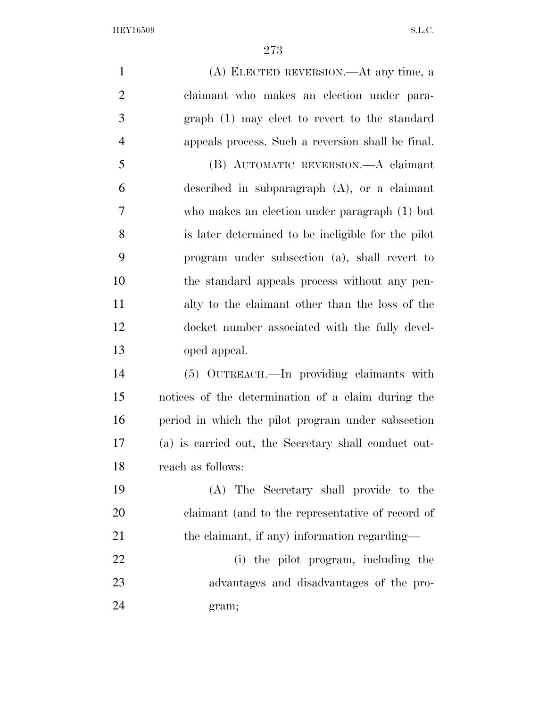(A) ELECTED REVERSION.—At any time, a claimant who makes an election under para- graph (1) may elect to revert to the standard appeals process. Such a reversion shall be final. (B) AUTOMATIC REVERSION.—A claimant described in subparagraph (A), or a claimant who makes an election under paragraph (1) but is later determined to be ineligible for the pilot program under subsection (a), shall revert to the standard appeals process without any pen- alty to the claimant other than the loss of the docket number associated with the fully devel- oped appeal. (5) OUTREACH.—In providing claimants with notices of the determination of a claim during the period in which the pilot program under subsection (a) is carried out, the Secretary shall conduct out- reach as follows: (A) The Secretary shall provide to the claimant (and to the representative of record of 21 the claimant, if any) information regarding— 22 (i) the pilot program, including the advantages and disadvantages of the pro-gram;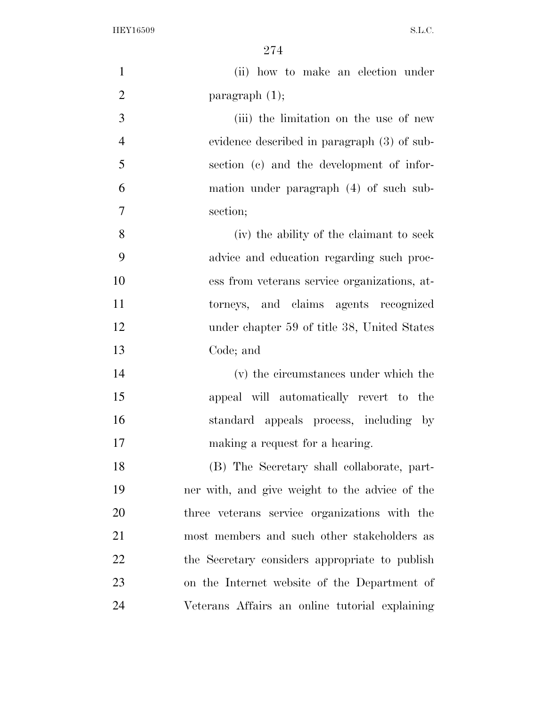| $\mathbf{1}$   | (ii) how to make an election under             |
|----------------|------------------------------------------------|
| $\overline{2}$ | paragraph $(1)$ ;                              |
| 3              | (iii) the limitation on the use of new         |
| $\overline{4}$ | evidence described in paragraph (3) of sub-    |
| 5              | section (c) and the development of infor-      |
| 6              | mation under paragraph (4) of such sub-        |
| 7              | section;                                       |
| 8              | (iv) the ability of the claimant to seek       |
| 9              | advice and education regarding such proc-      |
| 10             | ess from veterans service organizations, at-   |
| 11             | torneys, and claims agents recognized          |
| 12             | under chapter 59 of title 38, United States    |
| 13             | Code; and                                      |
| 14             | (v) the circumstances under which the          |
| 15             | appeal will automatically revert to the        |
| 16             | standard appeals process, including by         |
| 17             | making a request for a hearing.                |
| 18             | (B) The Secretary shall collaborate, part-     |
| 19             | ner with, and give weight to the advice of the |
| 20             | three veterans service organizations with the  |
| 21             | most members and such other stakeholders as    |
| 22             | the Secretary considers appropriate to publish |
| 23             | on the Internet website of the Department of   |
| 24             | Veterans Affairs an online tutorial explaining |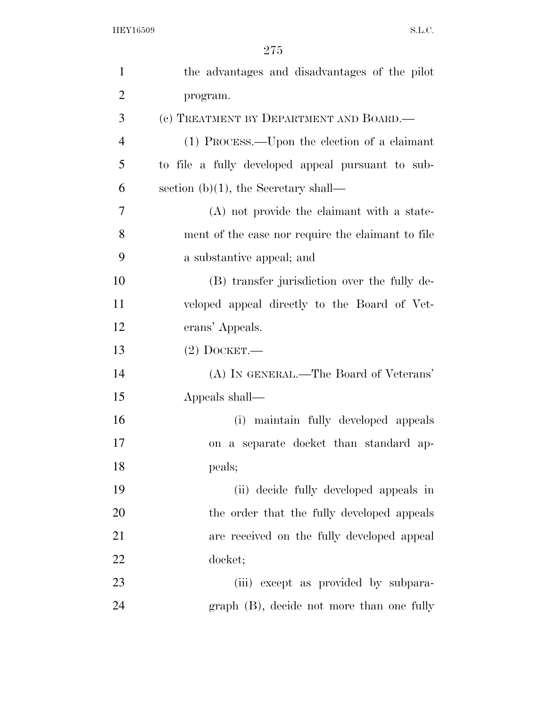| $\mathbf{1}$   | the advantages and disadvantages of the pilot     |
|----------------|---------------------------------------------------|
| $\overline{2}$ | program.                                          |
| 3              | (c) TREATMENT BY DEPARTMENT AND BOARD.—           |
| $\overline{4}$ | (1) PROCESS.—Upon the election of a claimant      |
| 5              | to file a fully developed appeal pursuant to sub- |
| 6              | section (b) $(1)$ , the Secretary shall—          |
| 7              | (A) not provide the claimant with a state-        |
| 8              | ment of the case nor require the claimant to file |
| 9              | a substantive appeal; and                         |
| 10             | (B) transfer jurisdiction over the fully de-      |
| 11             | veloped appeal directly to the Board of Vet-      |
| 12             | erans' Appeals.                                   |
| 13             | $(2)$ DOCKET.—                                    |
| 14             | (A) IN GENERAL.—The Board of Veterans'            |
| 15             | Appeals shall—                                    |
| 16             | (i) maintain fully developed appeals              |
| 17             | on a separate docket than standard ap-            |
| 18             | peals;                                            |
| 19             | (ii) decide fully developed appeals in            |
| 20             | the order that the fully developed appeals        |
| 21             | are received on the fully developed appeal        |
| 22             | docket;                                           |
| 23             | (iii) except as provided by subpara-              |
| 24             | graph (B), decide not more than one fully         |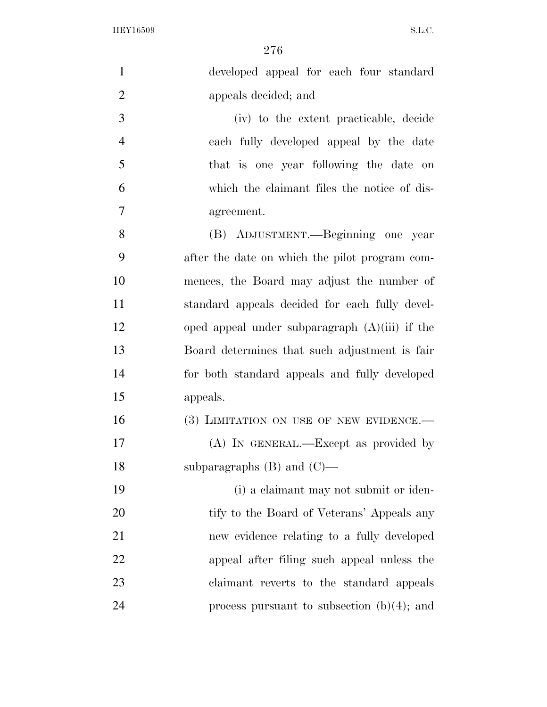| $\mathbf{1}$   | developed appeal for each four standard          |
|----------------|--------------------------------------------------|
| $\overline{2}$ | appeals decided; and                             |
| 3              | (iv) to the extent practicable, decide           |
| $\overline{4}$ | each fully developed appeal by the date          |
| 5              | that is one year following the date on           |
| 6              | which the claimant files the notice of dis-      |
| $\overline{7}$ | agreement.                                       |
| 8              | (B) ADJUSTMENT.—Beginning one year               |
| 9              | after the date on which the pilot program com-   |
| 10             | mences, the Board may adjust the number of       |
| 11             | standard appeals decided for each fully devel-   |
| 12             | oped appeal under subparagraph $(A)(iii)$ if the |
| 13             | Board determines that such adjustment is fair    |
| 14             | for both standard appeals and fully developed    |
| 15             | appeals.                                         |
| 16             | (3) LIMITATION ON USE OF NEW EVIDENCE.—          |
| 17             | (A) IN GENERAL.—Except as provided by            |
| 18             | subparagraphs $(B)$ and $(C)$ —                  |
| 19             | (i) a claimant may not submit or iden-           |
| 20             | tify to the Board of Veterans' Appeals any       |
| 21             | new evidence relating to a fully developed       |
| 22             | appeal after filing such appeal unless the       |
| 23             | claimant reverts to the standard appeals         |
| 24             | process pursuant to subsection $(b)(4)$ ; and    |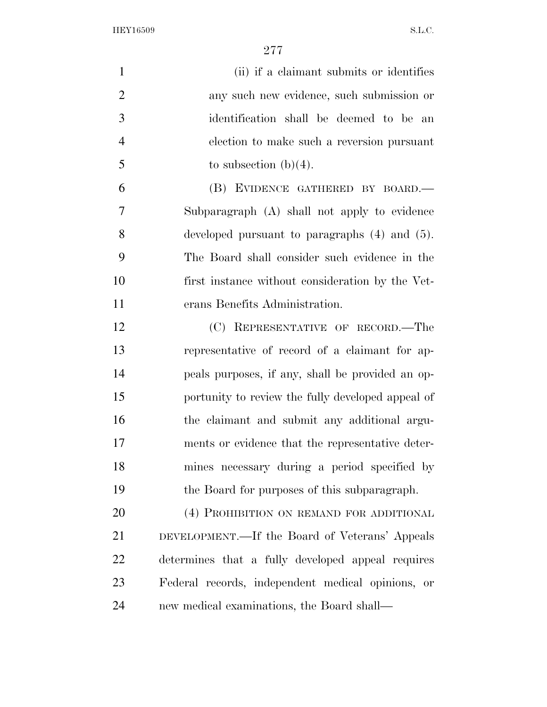| $\mathbf{1}$   | (ii) if a claimant submits or identifies           |
|----------------|----------------------------------------------------|
|                |                                                    |
| $\overline{2}$ | any such new evidence, such submission or          |
| 3              | identification shall be deemed to be an            |
| $\overline{4}$ | election to make such a reversion pursuant         |
| 5              | to subsection $(b)(4)$ .                           |
| 6              | (B) EVIDENCE GATHERED BY BOARD.-                   |
| 7              | Subparagraph (A) shall not apply to evidence       |
| 8              | developed pursuant to paragraphs $(4)$ and $(5)$ . |
| 9              | The Board shall consider such evidence in the      |
| 10             | first instance without consideration by the Vet-   |
| 11             | erans Benefits Administration.                     |
| 12             | (C) REPRESENTATIVE OF RECORD.—The                  |
| 13             | representative of record of a claimant for ap-     |
| 14             | peals purposes, if any, shall be provided an op-   |
| 15             | portunity to review the fully developed appeal of  |
| 16             | the claimant and submit any additional argu-       |
| 17             | ments or evidence that the representative deter-   |
| 18             | mines necessary during a period specified by       |
| 19             | the Board for purposes of this subparagraph.       |
| 20             | (4) PROHIBITION ON REMAND FOR ADDITIONAL           |
| 21             | DEVELOPMENT.—If the Board of Veterans' Appeals     |
| 22             | determines that a fully developed appeal requires  |
| 23             | Federal records, independent medical opinions, or  |
| 24             | new medical examinations, the Board shall—         |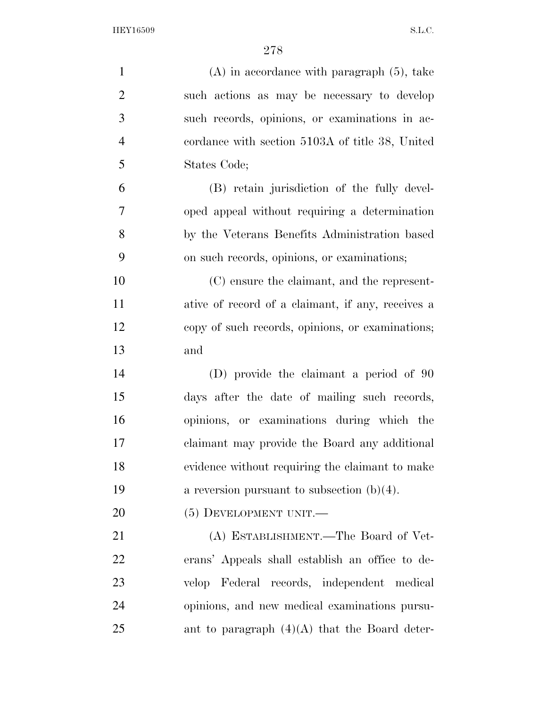| $\mathbf{1}$   | $(A)$ in accordance with paragraph $(5)$ , take   |
|----------------|---------------------------------------------------|
| $\overline{2}$ | such actions as may be necessary to develop       |
| 3              | such records, opinions, or examinations in ac-    |
| $\overline{4}$ | cordance with section 5103A of title 38, United   |
| 5              | States Code;                                      |
| 6              | (B) retain jurisdiction of the fully devel-       |
| $\overline{7}$ | oped appeal without requiring a determination     |
| 8              | by the Veterans Benefits Administration based     |
| 9              | on such records, opinions, or examinations;       |
| 10             | (C) ensure the claimant, and the represent-       |
| 11             | ative of record of a claimant, if any, receives a |
| 12             | copy of such records, opinions, or examinations;  |
| 13             | and                                               |
| 14             | (D) provide the claimant a period of 90           |
| 15             | days after the date of mailing such records,      |
| 16             | opinions, or examinations during which the        |
| 17             | claimant may provide the Board any additional     |
| 18             | evidence without requiring the claimant to make   |
| 19             | a reversion pursuant to subsection $(b)(4)$ .     |
| 20             | $(5)$ DEVELOPMENT UNIT.—                          |
| 21             | (A) ESTABLISHMENT.—The Board of Vet-              |
| 22             | erans' Appeals shall establish an office to de-   |
| 23             | velop Federal records, independent medical        |
| 24             | opinions, and new medical examinations pursu-     |
| 25             | ant to paragraph $(4)(A)$ that the Board deter-   |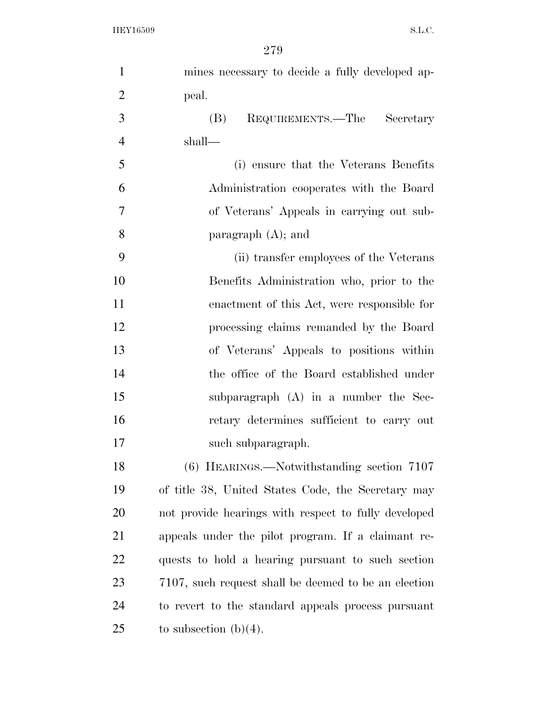| $\mathbf{1}$   | mines necessary to decide a fully developed ap-      |
|----------------|------------------------------------------------------|
| $\overline{2}$ | peal.                                                |
| 3              | REQUIREMENTS.—The<br>(B)<br>Secretary                |
| $\overline{4}$ | shall—                                               |
| 5              | (i) ensure that the Veterans Benefits                |
| 6              | Administration cooperates with the Board             |
| 7              | of Veterans' Appeals in carrying out sub-            |
| 8              | paragraph $(A)$ ; and                                |
| 9              | (ii) transfer employees of the Veterans              |
| 10             | Benefits Administration who, prior to the            |
| 11             | enactment of this Act, were responsible for          |
| 12             | processing claims remanded by the Board              |
| 13             | of Veterans' Appeals to positions within             |
| 14             | the office of the Board established under            |
| 15             | subparagraph $(A)$ in a number the Sec-              |
| 16             | retary determines sufficient to carry out            |
| 17             | such subparagraph.                                   |
| 18             | (6) HEARINGS.—Notwithstanding section 7107           |
| 19             | of title 38, United States Code, the Secretary may   |
| 20             | not provide hearings with respect to fully developed |
| 21             | appeals under the pilot program. If a claimant re-   |
| 22             | quests to hold a hearing pursuant to such section    |
| 23             | 7107, such request shall be deemed to be an election |
| 24             | to revert to the standard appeals process pursuant   |
| 25             | to subsection $(b)(4)$ .                             |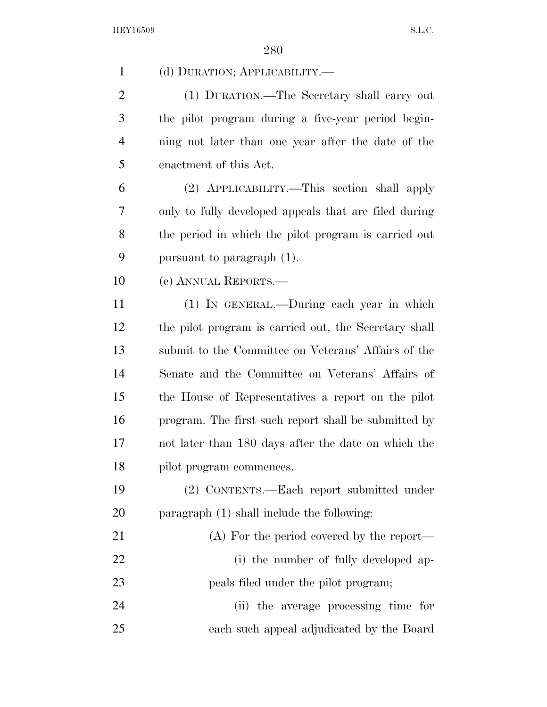| $\mathbf{1}$   | (d) DURATION; APPLICABILITY.                          |
|----------------|-------------------------------------------------------|
| $\overline{2}$ | (1) DURATION.—The Secretary shall carry out           |
| 3              | the pilot program during a five-year period begin-    |
| $\overline{4}$ | ning not later than one year after the date of the    |
| 5              | enactment of this Act.                                |
| 6              | (2) APPLICABILITY.—This section shall apply           |
| 7              | only to fully developed appeals that are filed during |
| 8              | the period in which the pilot program is carried out  |
| 9              | pursuant to paragraph $(1)$ .                         |
| 10             | (e) ANNUAL REPORTS.-                                  |
| 11             | (1) IN GENERAL.—During each year in which             |
| 12             | the pilot program is carried out, the Secretary shall |
| 13             | submit to the Committee on Veterans' Affairs of the   |
| 14             | Senate and the Committee on Veterans' Affairs of      |
| 15             | the House of Representatives a report on the pilot    |
| 16             | program. The first such report shall be submitted by  |
| 17             | not later than 180 days after the date on which the   |
| 18             | pilot program commences.                              |
| 19             | (2) CONTENTS.—Each report submitted under             |
| 20             | paragraph (1) shall include the following:            |
| 21             | (A) For the period covered by the report—             |
| 22             | (i) the number of fully developed ap-                 |
| 23             | peals filed under the pilot program;                  |
| 24             | (ii) the average processing time for                  |
| 25             | each such appeal adjudicated by the Board             |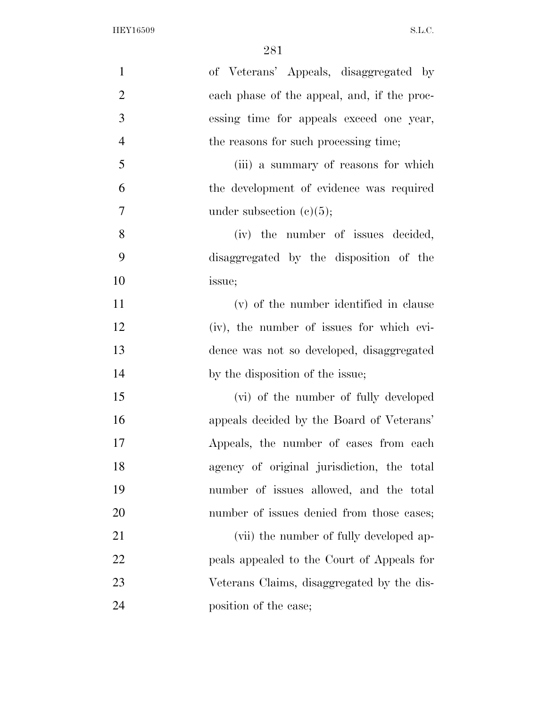| $\mathbf{1}$   | of Veterans' Appeals, disaggregated by      |
|----------------|---------------------------------------------|
| $\overline{2}$ | each phase of the appeal, and, if the proc- |
| 3              | essing time for appeals exceed one year,    |
| $\overline{4}$ | the reasons for such processing time;       |
| 5              | (iii) a summary of reasons for which        |
| 6              | the development of evidence was required    |
| $\overline{7}$ | under subsection $(c)(5)$ ;                 |
| 8              | (iv) the number of issues decided,          |
| 9              | disaggregated by the disposition of the     |
| 10             | issue;                                      |
| 11             | (v) of the number identified in clause      |
| 12             | (iv), the number of issues for which evi-   |
| 13             | dence was not so developed, disaggregated   |
| 14             | by the disposition of the issue;            |
| 15             | (vi) of the number of fully developed       |
| 16             | appeals decided by the Board of Veterans'   |
| 17             | Appeals, the number of cases from each      |
| 18             | agency of original jurisdiction, the total  |
| 19             | number of issues allowed, and the total     |
| 20             | number of issues denied from those cases;   |
| 21             | (vii) the number of fully developed ap-     |
| <u>22</u>      | peals appealed to the Court of Appeals for  |
| 23             | Veterans Claims, disaggregated by the dis-  |
| 24             | position of the case;                       |
|                |                                             |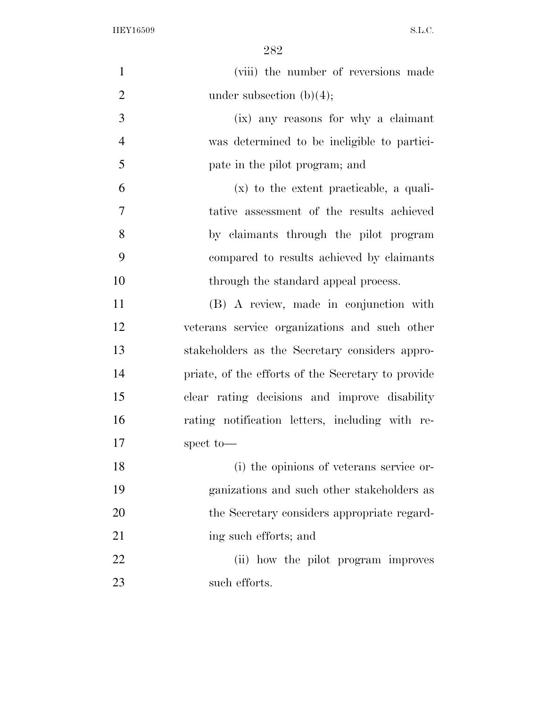| $\mathbf{1}$   | (viii) the number of reversions made               |
|----------------|----------------------------------------------------|
| $\overline{2}$ | under subsection $(b)(4)$ ;                        |
| 3              | (ix) any reasons for why a claimant                |
| $\overline{4}$ | was determined to be ineligible to partici-        |
| 5              | pate in the pilot program; and                     |
| 6              | $(x)$ to the extent practicable, a quali-          |
| $\overline{7}$ | tative assessment of the results achieved          |
| 8              | by claimants through the pilot program             |
| 9              | compared to results achieved by claimants          |
| 10             | through the standard appeal process.               |
| 11             | (B) A review, made in conjunction with             |
| 12             | veterans service organizations and such other      |
| 13             | stakeholders as the Secretary considers appro-     |
| 14             | priate, of the efforts of the Secretary to provide |
| 15             | clear rating decisions and improve disability      |
| 16             | rating notification letters, including with re-    |
| 17             | spect to-                                          |
| 18             | (i) the opinions of veterans service or-           |
| 19             | ganizations and such other stakeholders as         |
| 20             | the Secretary considers appropriate regard-        |
| 21             | ing such efforts; and                              |
| 22             | (ii) how the pilot program improves                |
| 23             | such efforts.                                      |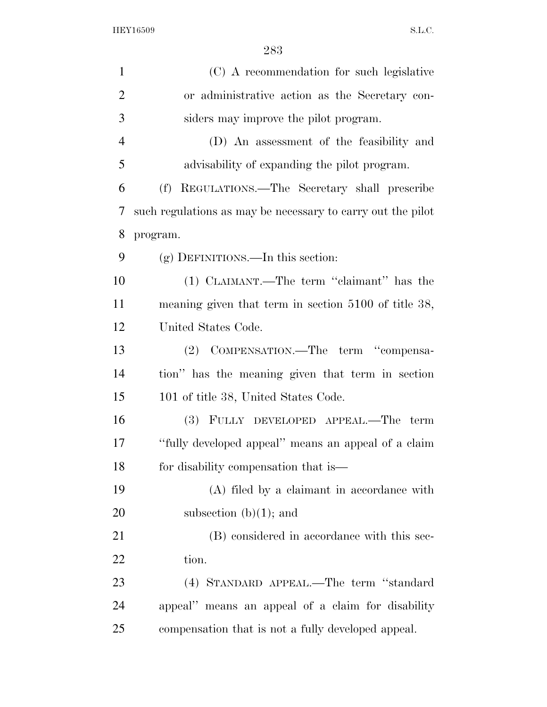| $\mathbf{1}$   | (C) A recommendation for such legislative                   |
|----------------|-------------------------------------------------------------|
| $\overline{2}$ | or administrative action as the Secretary con-              |
| 3              | siders may improve the pilot program.                       |
| $\overline{4}$ | (D) An assessment of the feasibility and                    |
| 5              | advisability of expanding the pilot program.                |
| 6              | REGULATIONS.—The Secretary shall prescribe<br>(f)           |
| 7              | such regulations as may be necessary to carry out the pilot |
| 8              | program.                                                    |
| 9              | $(g)$ DEFINITIONS.—In this section:                         |
| 10             | (1) CLAIMANT.—The term "claimant" has the                   |
| 11             | meaning given that term in section 5100 of title 38,        |
| 12             | United States Code.                                         |
| 13             | (2) COMPENSATION.—The term "compensa-                       |
| 14             | tion" has the meaning given that term in section            |
| 15             | 101 of title 38, United States Code.                        |
| 16             | (3) FULLY DEVELOPED APPEAL.—The term                        |
| 17             | "fully developed appeal" means an appeal of a claim         |
| 18             | for disability compensation that is—                        |
| 19             | (A) filed by a claimant in accordance with                  |
| 20             | subsection $(b)(1)$ ; and                                   |
| 21             | (B) considered in accordance with this sec-                 |
| 22             | tion.                                                       |
| 23             | (4) STANDARD APPEAL.—The term "standard                     |
| 24             | appeal" means an appeal of a claim for disability           |
| 25             | compensation that is not a fully developed appeal.          |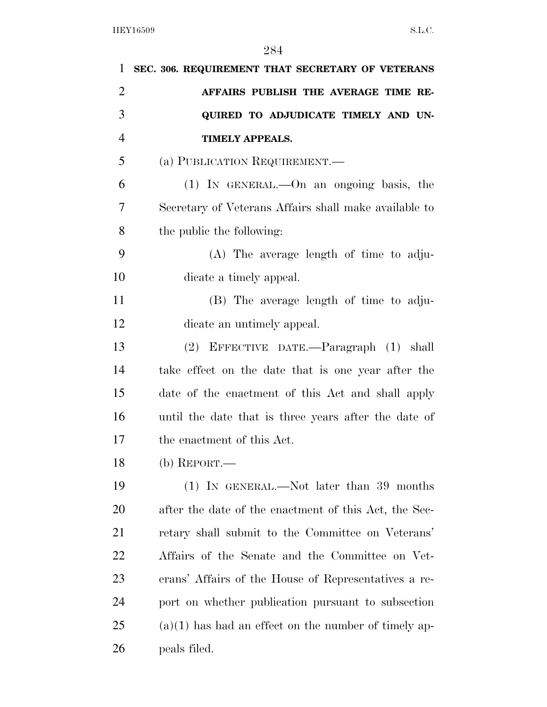| 1              | SEC. 306. REQUIREMENT THAT SECRETARY OF VETERANS       |
|----------------|--------------------------------------------------------|
| $\overline{2}$ | AFFAIRS PUBLISH THE AVERAGE TIME RE-                   |
| 3              | QUIRED TO ADJUDICATE TIMELY AND UN-                    |
| $\overline{4}$ | <b>TIMELY APPEALS.</b>                                 |
| 5              | (a) PUBLICATION REQUIREMENT.—                          |
| 6              | $(1)$ IN GENERAL.—On an ongoing basis, the             |
| 7              | Secretary of Veterans Affairs shall make available to  |
| 8              | the public the following:                              |
| 9              | $(A)$ The average length of time to adju-              |
| 10             | dicate a timely appeal.                                |
| 11             | (B) The average length of time to adju-                |
| 12             | dicate an untimely appeal.                             |
| 13             | (2) EFFECTIVE DATE.—Paragraph (1) shall                |
| 14             | take effect on the date that is one year after the     |
| 15             | date of the enactment of this Act and shall apply      |
| 16             | until the date that is three years after the date of   |
| 17             | the enactment of this Act.                             |
| 18             | $(b)$ REPORT.—                                         |
| 19             | $(1)$ In GENERAL.—Not later than 39 months             |
| 20             | after the date of the enactment of this Act, the Sec-  |
| 21             | retary shall submit to the Committee on Veterans'      |
| 22             | Affairs of the Senate and the Committee on Vet-        |
| 23             | erans' Affairs of the House of Representatives a re-   |
| 24             | port on whether publication pursuant to subsection     |
| 25             | $(a)(1)$ has had an effect on the number of timely ap- |
| 26             | peals filed.                                           |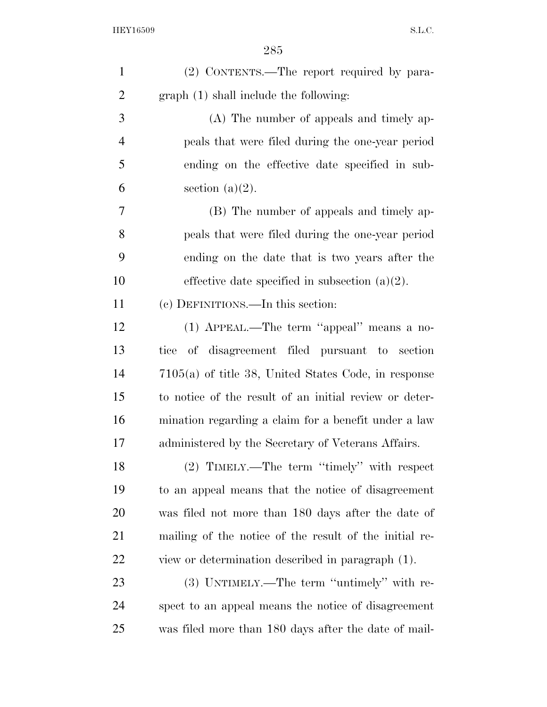| $\mathbf{1}$   | (2) CONTENTS.—The report required by para-             |
|----------------|--------------------------------------------------------|
| $\overline{2}$ | graph (1) shall include the following:                 |
| 3              | (A) The number of appeals and timely ap-               |
| $\overline{4}$ | peals that were filed during the one-year period       |
| 5              | ending on the effective date specified in sub-         |
| 6              | section $(a)(2)$ .                                     |
| 7              | (B) The number of appeals and timely ap-               |
| 8              | peals that were filed during the one-year period       |
| 9              | ending on the date that is two years after the         |
| 10             | effective date specified in subsection $(a)(2)$ .      |
| 11             | (c) DEFINITIONS.—In this section:                      |
| 12             | (1) APPEAL.—The term "appeal" means a no-              |
| 13             | tice of disagreement filed pursuant to section         |
| 14             | $7105(a)$ of title 38, United States Code, in response |
| 15             | to notice of the result of an initial review or deter- |
| 16             | mination regarding a claim for a benefit under a law   |
| 17             | administered by the Secretary of Veterans Affairs.     |
| 18             | (2) TIMELY.—The term "timely" with respect             |
| 19             | to an appeal means that the notice of disagreement     |
| 20             | was filed not more than 180 days after the date of     |
| 21             | mailing of the notice of the result of the initial re- |
| 22             | view or determination described in paragraph (1).      |
| 23             | (3) UNTIMELY.—The term "untimely" with re-             |
| 24             | spect to an appeal means the notice of disagreement    |
| 25             | was filed more than 180 days after the date of mail-   |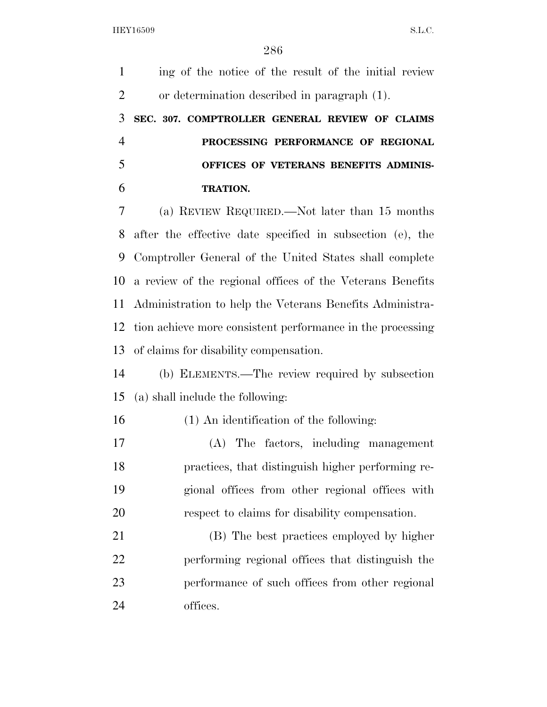ing of the notice of the result of the initial review or determination described in paragraph (1). **SEC. 307. COMPTROLLER GENERAL REVIEW OF CLAIMS PROCESSING PERFORMANCE OF REGIONAL OFFICES OF VETERANS BENEFITS ADMINIS- TRATION.**  (a) REVIEW REQUIRED.—Not later than 15 months after the effective date specified in subsection (e), the Comptroller General of the United States shall complete a review of the regional offices of the Veterans Benefits Administration to help the Veterans Benefits Administra- tion achieve more consistent performance in the processing of claims for disability compensation. (b) ELEMENTS.—The review required by subsection (a) shall include the following: (1) An identification of the following: (A) The factors, including management practices, that distinguish higher performing re- gional offices from other regional offices with respect to claims for disability compensation. (B) The best practices employed by higher performing regional offices that distinguish the performance of such offices from other regional offices.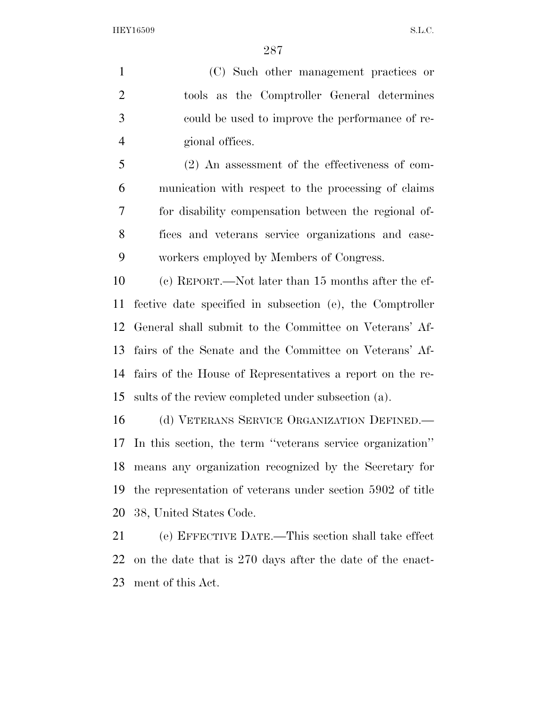(C) Such other management practices or tools as the Comptroller General determines could be used to improve the performance of re-gional offices.

 (2) An assessment of the effectiveness of com- munication with respect to the processing of claims for disability compensation between the regional of- fices and veterans service organizations and case-workers employed by Members of Congress.

 (c) REPORT.—Not later than 15 months after the ef- fective date specified in subsection (e), the Comptroller General shall submit to the Committee on Veterans' Af- fairs of the Senate and the Committee on Veterans' Af- fairs of the House of Representatives a report on the re-sults of the review completed under subsection (a).

16 (d) VETERANS SERVICE ORGANIZATION DEFINED. In this section, the term ''veterans service organization'' means any organization recognized by the Secretary for the representation of veterans under section 5902 of title 38, United States Code.

 (e) EFFECTIVE DATE.—This section shall take effect on the date that is 270 days after the date of the enact-ment of this Act.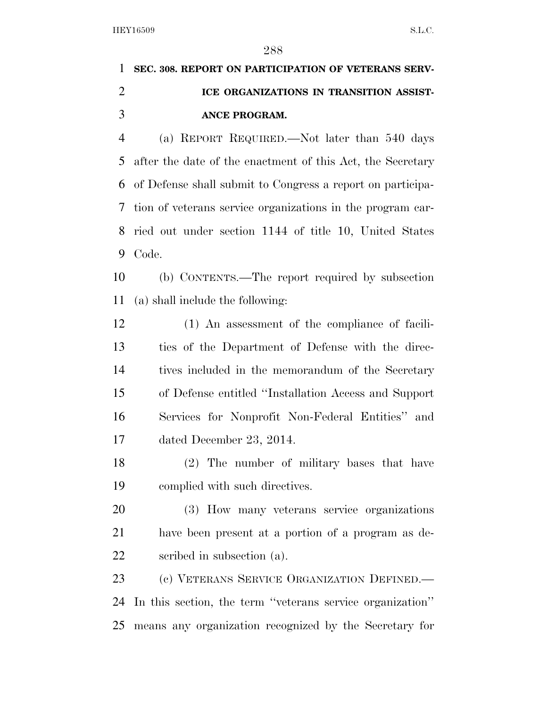## **SEC. 308. REPORT ON PARTICIPATION OF VETERANS SERV- ICE ORGANIZATIONS IN TRANSITION ASSIST- ANCE PROGRAM.**  (a) REPORT REQUIRED.—Not later than 540 days

 after the date of the enactment of this Act, the Secretary of Defense shall submit to Congress a report on participa- tion of veterans service organizations in the program car- ried out under section 1144 of title 10, United States Code.

 (b) CONTENTS.—The report required by subsection (a) shall include the following:

 (1) An assessment of the compliance of facili- ties of the Department of Defense with the direc- tives included in the memorandum of the Secretary of Defense entitled ''Installation Access and Support Services for Nonprofit Non-Federal Entities'' and dated December 23, 2014.

 (2) The number of military bases that have complied with such directives.

 (3) How many veterans service organizations have been present at a portion of a program as de-scribed in subsection (a).

 (c) VETERANS SERVICE ORGANIZATION DEFINED.— In this section, the term ''veterans service organization'' means any organization recognized by the Secretary for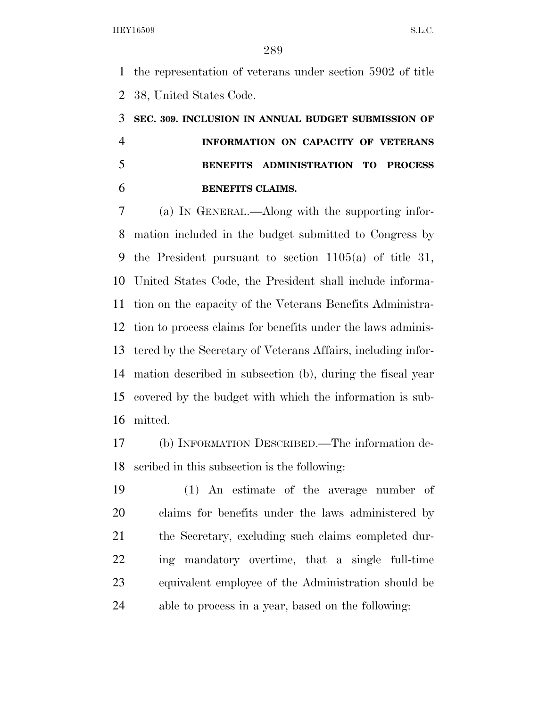the representation of veterans under section 5902 of title 38, United States Code.

# **SEC. 309. INCLUSION IN ANNUAL BUDGET SUBMISSION OF INFORMATION ON CAPACITY OF VETERANS BENEFITS ADMINISTRATION TO PROCESS BENEFITS CLAIMS.**

 (a) IN GENERAL.—Along with the supporting infor- mation included in the budget submitted to Congress by the President pursuant to section 1105(a) of title 31, United States Code, the President shall include informa- tion on the capacity of the Veterans Benefits Administra- tion to process claims for benefits under the laws adminis- tered by the Secretary of Veterans Affairs, including infor- mation described in subsection (b), during the fiscal year covered by the budget with which the information is sub-mitted.

 (b) INFORMATION DESCRIBED.—The information de-scribed in this subsection is the following:

 (1) An estimate of the average number of claims for benefits under the laws administered by the Secretary, excluding such claims completed dur- ing mandatory overtime, that a single full-time equivalent employee of the Administration should be able to process in a year, based on the following: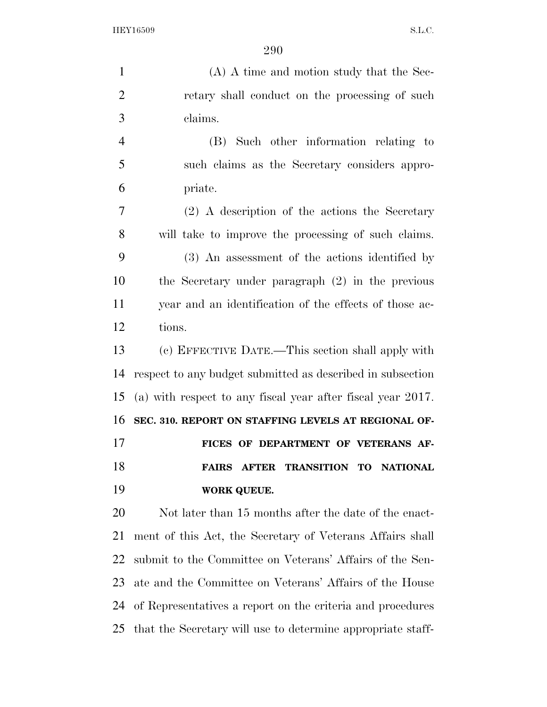(A) A time and motion study that the Sec-2 retary shall conduct on the processing of such claims. (B) Such other information relating to such claims as the Secretary considers appro- priate. (2) A description of the actions the Secretary will take to improve the processing of such claims. (3) An assessment of the actions identified by the Secretary under paragraph (2) in the previous year and an identification of the effects of those ac- tions. (c) EFFECTIVE DATE.—This section shall apply with respect to any budget submitted as described in subsection (a) with respect to any fiscal year after fiscal year 2017. **SEC. 310. REPORT ON STAFFING LEVELS AT REGIONAL OF- FICES OF DEPARTMENT OF VETERANS AF- FAIRS AFTER TRANSITION TO NATIONAL WORK QUEUE.**  Not later than 15 months after the date of the enact- ment of this Act, the Secretary of Veterans Affairs shall submit to the Committee on Veterans' Affairs of the Sen-ate and the Committee on Veterans' Affairs of the House

that the Secretary will use to determine appropriate staff-

of Representatives a report on the criteria and procedures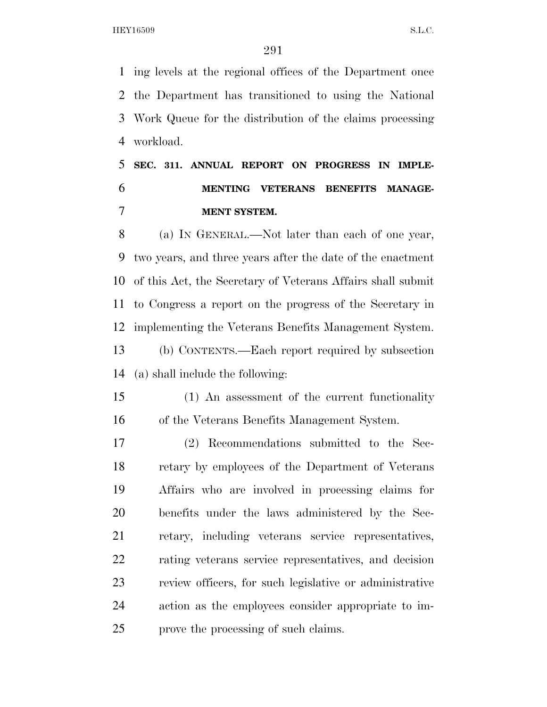ing levels at the regional offices of the Department once the Department has transitioned to using the National Work Queue for the distribution of the claims processing workload.

## **SEC. 311. ANNUAL REPORT ON PROGRESS IN IMPLE- MENTING VETERANS BENEFITS MANAGE-MENT SYSTEM.**

 (a) IN GENERAL.—Not later than each of one year, two years, and three years after the date of the enactment of this Act, the Secretary of Veterans Affairs shall submit to Congress a report on the progress of the Secretary in implementing the Veterans Benefits Management System.

 (b) CONTENTS.—Each report required by subsection (a) shall include the following:

 (1) An assessment of the current functionality of the Veterans Benefits Management System.

 (2) Recommendations submitted to the Sec- retary by employees of the Department of Veterans Affairs who are involved in processing claims for benefits under the laws administered by the Sec- retary, including veterans service representatives, rating veterans service representatives, and decision review officers, for such legislative or administrative action as the employees consider appropriate to im-prove the processing of such claims.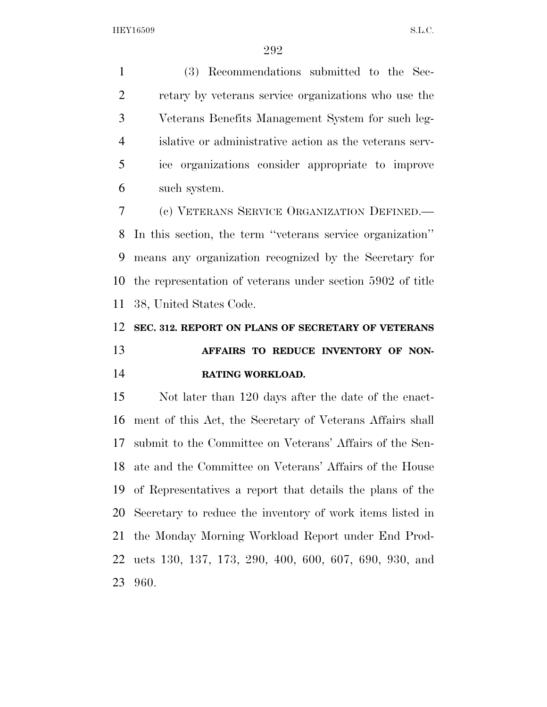(3) Recommendations submitted to the Sec- retary by veterans service organizations who use the Veterans Benefits Management System for such leg- islative or administrative action as the veterans serv- ice organizations consider appropriate to improve such system.

 (c) VETERANS SERVICE ORGANIZATION DEFINED.— In this section, the term ''veterans service organization'' means any organization recognized by the Secretary for the representation of veterans under section 5902 of title 38, United States Code.

### **SEC. 312. REPORT ON PLANS OF SECRETARY OF VETERANS AFFAIRS TO REDUCE INVENTORY OF NON-RATING WORKLOAD.**

 Not later than 120 days after the date of the enact- ment of this Act, the Secretary of Veterans Affairs shall submit to the Committee on Veterans' Affairs of the Sen- ate and the Committee on Veterans' Affairs of the House of Representatives a report that details the plans of the Secretary to reduce the inventory of work items listed in the Monday Morning Workload Report under End Prod- ucts 130, 137, 173, 290, 400, 600, 607, 690, 930, and 960.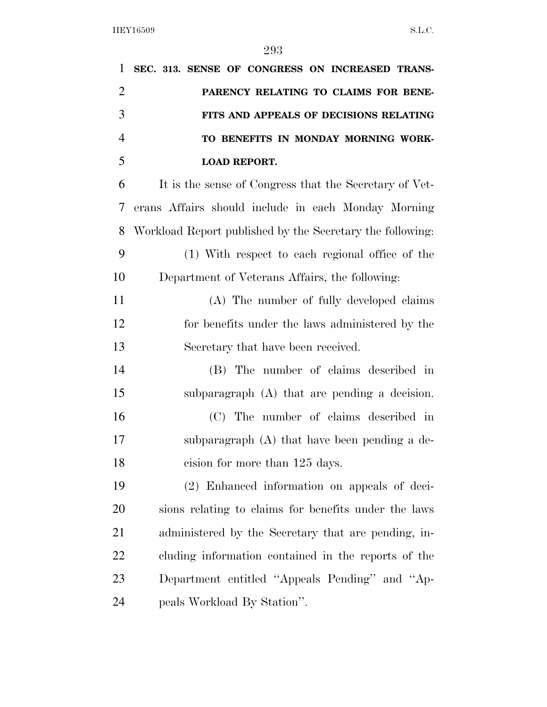| 1              | SEC. 313. SENSE OF CONGRESS ON INCREASED TRANS-           |
|----------------|-----------------------------------------------------------|
| $\overline{2}$ | PARENCY RELATING TO CLAIMS FOR BENE-                      |
| 3              | FITS AND APPEALS OF DECISIONS RELATING                    |
| $\overline{4}$ | TO BENEFITS IN MONDAY MORNING WORK-                       |
| 5              | <b>LOAD REPORT.</b>                                       |
| 6              | It is the sense of Congress that the Secretary of Vet-    |
| 7              | erans Affairs should include in each Monday Morning       |
| 8              | Workload Report published by the Secretary the following: |
| 9              | (1) With respect to each regional office of the           |
| 10             | Department of Veterans Affairs, the following:            |
| 11             | (A) The number of fully developed claims                  |
| 12             | for benefits under the laws administered by the           |
| 13             | Secretary that have been received.                        |
| 14             | (B) The number of claims described in                     |
| 15             | subparagraph (A) that are pending a decision.             |
| 16             | (C) The number of claims described in                     |
| 17             | subparagraph (A) that have been pending a de-             |
| 18             | cision for more than 125 days.                            |
| 19             | (2) Enhanced information on appeals of deci-              |
| 20             | sions relating to claims for benefits under the laws      |
| 21             | administered by the Secretary that are pending, in-       |
| 22             | cluding information contained in the reports of the       |
| 23             | Department entitled "Appeals Pending" and "Ap-            |
| 24             | peals Workload By Station".                               |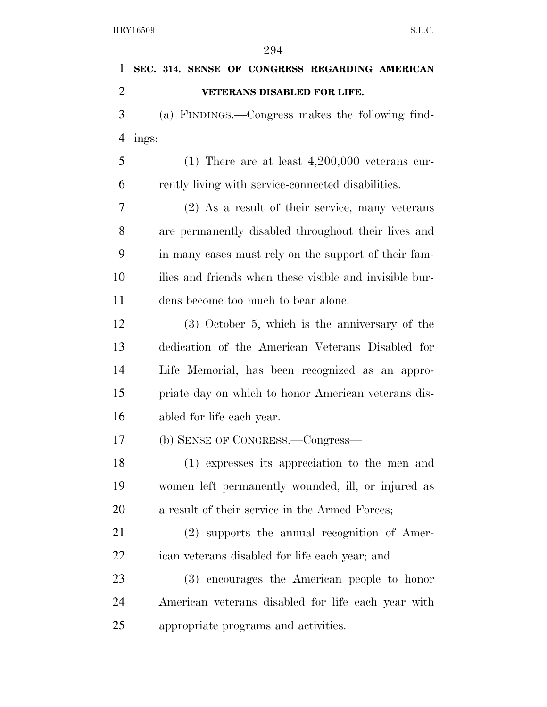| 1              | SEC. 314. SENSE OF CONGRESS REGARDING AMERICAN          |
|----------------|---------------------------------------------------------|
| $\overline{2}$ | VETERANS DISABLED FOR LIFE.                             |
| 3              | (a) FINDINGS.—Congress makes the following find-        |
| $\overline{4}$ | ings:                                                   |
| 5              | $(1)$ There are at least 4,200,000 veterans cur-        |
| 6              | rently living with service-connected disabilities.      |
| 7              | $(2)$ As a result of their service, many veterans       |
| 8              | are permanently disabled throughout their lives and     |
| 9              | in many cases must rely on the support of their fam-    |
| 10             | ilies and friends when these visible and invisible bur- |
| 11             | dens become too much to bear alone.                     |
| 12             | $(3)$ October 5, which is the anniversary of the        |
| 13             | dedication of the American Veterans Disabled for        |
| 14             | Life Memorial, has been recognized as an appro-         |
| 15             | priate day on which to honor American veterans dis-     |
| 16             | abled for life each year.                               |
| 17             | (b) SENSE OF CONGRESS.—Congress—                        |
| 18             | (1) expresses its appreciation to the men and           |
| 19             | women left permanently wounded, ill, or injured as      |
| 20             | a result of their service in the Armed Forces;          |
| 21             | (2) supports the annual recognition of Amer-            |
| 22             | ican veterans disabled for life each year; and          |
| 23             | (3) encourages the American people to honor             |
| 24             | American veterans disabled for life each year with      |
| 25             | appropriate programs and activities.                    |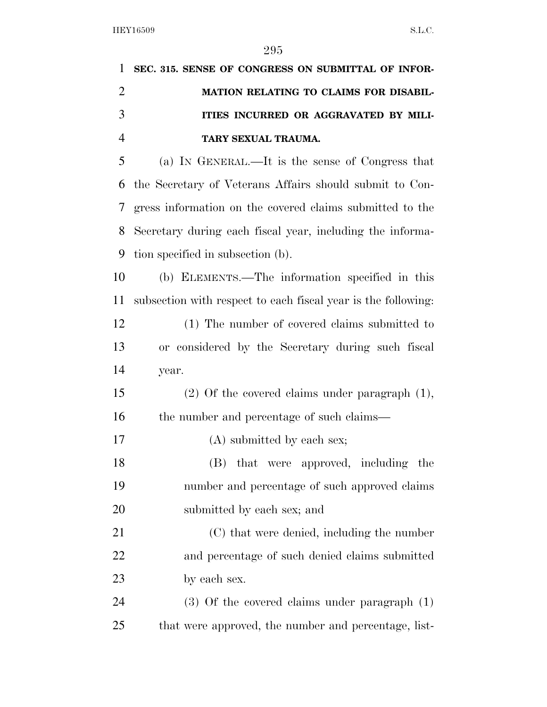| 1              | SEC. 315. SENSE OF CONGRESS ON SUBMITTAL OF INFOR-            |
|----------------|---------------------------------------------------------------|
| $\overline{2}$ | MATION RELATING TO CLAIMS FOR DISABIL-                        |
| 3              | ITIES INCURRED OR AGGRAVATED BY MILI-                         |
| $\overline{4}$ | TARY SEXUAL TRAUMA.                                           |
| 5              | (a) IN GENERAL.—It is the sense of Congress that              |
| 6              | the Secretary of Veterans Affairs should submit to Con-       |
| 7              | gress information on the covered claims submitted to the      |
| 8              | Secretary during each fiscal year, including the informa-     |
| 9              | tion specified in subsection (b).                             |
| 10             | (b) ELEMENTS.—The information specified in this               |
| 11             | subsection with respect to each fiscal year is the following: |
| 12             | (1) The number of covered claims submitted to                 |
| 13             | or considered by the Secretary during such fiscal             |
| 14             | year.                                                         |
| 15             | $(2)$ Of the covered claims under paragraph $(1)$ ,           |
| 16             | the number and percentage of such claims—                     |
| 17             | $(A)$ submitted by each sex;                                  |
| 18             | (B) that were approved, including the                         |
| 19             | number and percentage of such approved claims                 |
| 20             | submitted by each sex; and                                    |
| 21             | (C) that were denied, including the number                    |
| 22             | and percentage of such denied claims submitted                |
| 23             | by each sex.                                                  |
| 24             | $(3)$ Of the covered claims under paragraph $(1)$             |
| 25             | that were approved, the number and percentage, list-          |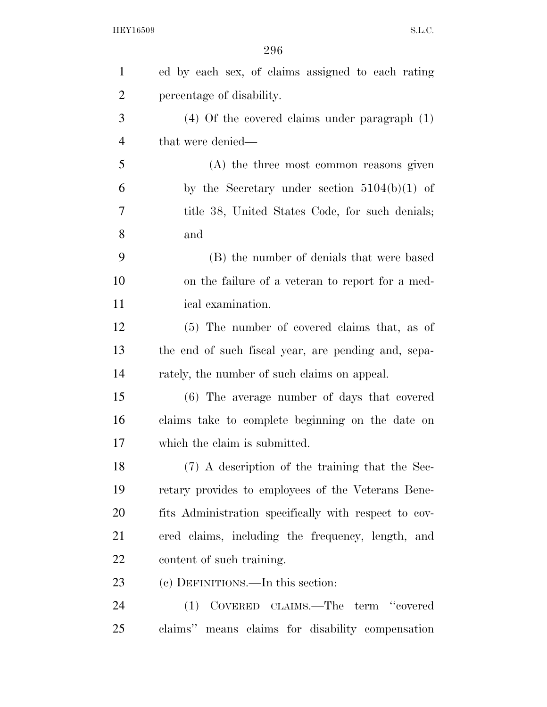| $\mathbf{1}$   | ed by each sex, of claims assigned to each rating     |  |  |  |  |  |  |
|----------------|-------------------------------------------------------|--|--|--|--|--|--|
| $\overline{2}$ | percentage of disability.                             |  |  |  |  |  |  |
| 3              | $(4)$ Of the covered claims under paragraph $(1)$     |  |  |  |  |  |  |
| $\overline{4}$ | that were denied—                                     |  |  |  |  |  |  |
| 5              | (A) the three most common reasons given               |  |  |  |  |  |  |
| 6              | by the Secretary under section $5104(b)(1)$ of        |  |  |  |  |  |  |
| 7              | title 38, United States Code, for such denials;       |  |  |  |  |  |  |
| 8              | and                                                   |  |  |  |  |  |  |
| 9              | (B) the number of denials that were based             |  |  |  |  |  |  |
| 10             | on the failure of a veteran to report for a med-      |  |  |  |  |  |  |
| 11             | ical examination.                                     |  |  |  |  |  |  |
| 12             | (5) The number of covered claims that, as of          |  |  |  |  |  |  |
| 13             | the end of such fiscal year, are pending and, sepa-   |  |  |  |  |  |  |
| 14             | rately, the number of such claims on appeal.          |  |  |  |  |  |  |
| 15             | (6) The average number of days that covered           |  |  |  |  |  |  |
| 16             | claims take to complete beginning on the date on      |  |  |  |  |  |  |
| 17             | which the claim is submitted.                         |  |  |  |  |  |  |
| 18             | (7) A description of the training that the Sec-       |  |  |  |  |  |  |
| 19             | retary provides to employees of the Veterans Bene-    |  |  |  |  |  |  |
| 20             | fits Administration specifically with respect to cov- |  |  |  |  |  |  |
| 21             | ered claims, including the frequency, length, and     |  |  |  |  |  |  |
| 22             | content of such training.                             |  |  |  |  |  |  |
| 23             | (c) DEFINITIONS.—In this section:                     |  |  |  |  |  |  |
| 24             | (1) COVERED CLAIMS.—The term "covered                 |  |  |  |  |  |  |
| 25             | claims" means claims for disability compensation      |  |  |  |  |  |  |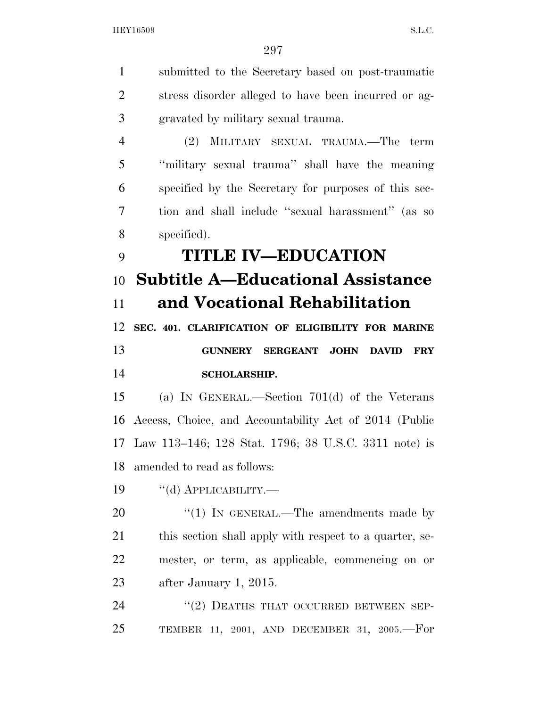submitted to the Secretary based on post-traumatic stress disorder alleged to have been incurred or ag- gravated by military sexual trauma. (2) MILITARY SEXUAL TRAUMA.—The term ''military sexual trauma'' shall have the meaning specified by the Secretary for purposes of this sec- tion and shall include ''sexual harassment'' (as so specified). **TITLE IV—EDUCATION Subtitle A—Educational Assistance and Vocational Rehabilitation SEC. 401. CLARIFICATION OF ELIGIBILITY FOR MARINE GUNNERY SERGEANT JOHN DAVID FRY SCHOLARSHIP.**  (a) IN GENERAL.—Section 701(d) of the Veterans Access, Choice, and Accountability Act of 2014 (Public Law 113–146; 128 Stat. 1796; 38 U.S.C. 3311 note) is amended to read as follows: 19 "(d) APPLICABILITY.— 20 "(1) IN GENERAL.—The amendments made by 21 this section shall apply with respect to a quarter, se- mester, or term, as applicable, commencing on or after January 1, 2015. 24 "(2) DEATHS THAT OCCURRED BETWEEN SEP-TEMBER 11, 2001, AND DECEMBER 31, 2005.—For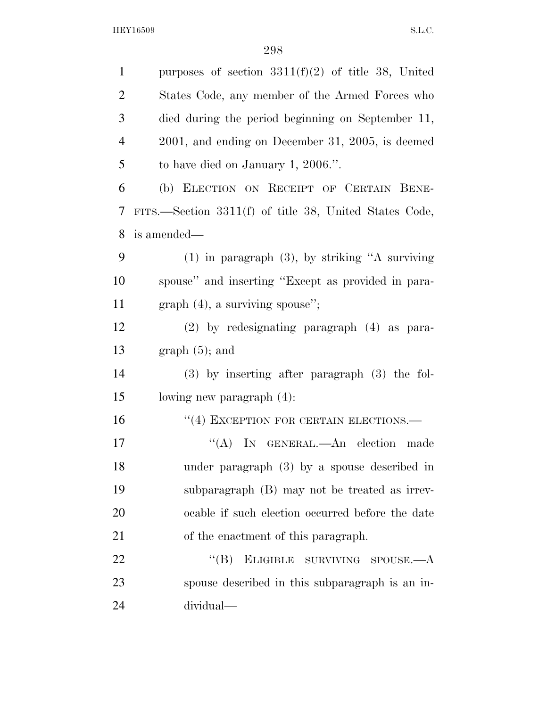| $\mathbf{1}$ | purposes of section $3311(f)(2)$ of title 38, United   |  |  |  |  |  |  |
|--------------|--------------------------------------------------------|--|--|--|--|--|--|
| 2            | States Code, any member of the Armed Forces who        |  |  |  |  |  |  |
| 3            | died during the period beginning on September 11,      |  |  |  |  |  |  |
| 4            | $2001$ , and ending on December 31, 2005, is deemed    |  |  |  |  |  |  |
| 5            | to have died on January 1, 2006.".                     |  |  |  |  |  |  |
| 6            | (b) ELECTION ON RECEIPT OF CERTAIN BENE-               |  |  |  |  |  |  |
| 7            | FITS.—Section 3311(f) of title 38, United States Code, |  |  |  |  |  |  |
| 8            | is amended—                                            |  |  |  |  |  |  |
| 9            | $(1)$ in paragraph $(3)$ , by striking "A surviving    |  |  |  |  |  |  |
| 10           | spouse" and inserting "Except as provided in para-     |  |  |  |  |  |  |
| 11           | $graph (4)$ , a surviving spouse";                     |  |  |  |  |  |  |
| 12           | $(2)$ by redesignating paragraph $(4)$ as para-        |  |  |  |  |  |  |
| 13           | $graph(5)$ ; and                                       |  |  |  |  |  |  |
| 14           | $(3)$ by inserting after paragraph $(3)$ the fol-      |  |  |  |  |  |  |
| 15           | lowing new paragraph (4):                              |  |  |  |  |  |  |
| 16           | "(4) EXCEPTION FOR CERTAIN ELECTIONS.-                 |  |  |  |  |  |  |
| 17           | ``(A)<br>IN GENERAL.—An election made                  |  |  |  |  |  |  |
| 18           | under paragraph $(3)$ by a spouse described in         |  |  |  |  |  |  |
| 19           | subparagraph (B) may not be treated as irrev-          |  |  |  |  |  |  |
| 20           | ocable if such election occurred before the date       |  |  |  |  |  |  |
| 21           | of the enactment of this paragraph.                    |  |  |  |  |  |  |
| 22           | $\lq\lq (B)$<br>ELIGIBLE SURVIVING SPOUSE.—A           |  |  |  |  |  |  |
| 23           | spouse described in this subparagraph is an in-        |  |  |  |  |  |  |
| 24           | dividual—                                              |  |  |  |  |  |  |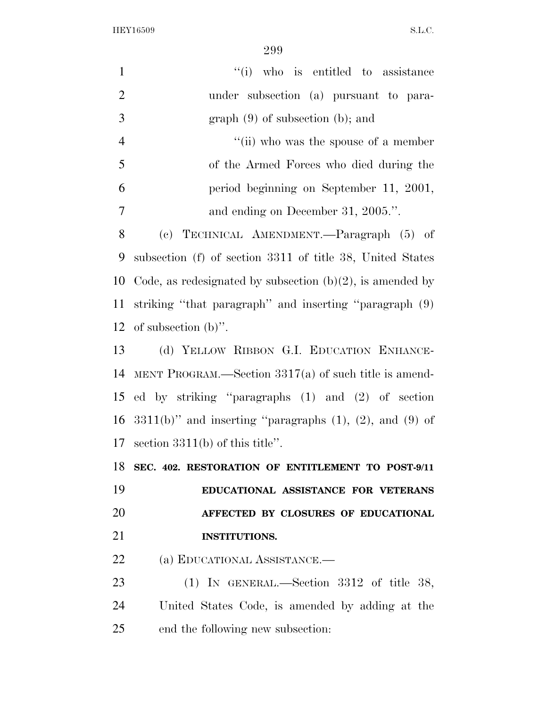| $\mathbf{1}$   | "(i) who is entitled to assistance                                    |
|----------------|-----------------------------------------------------------------------|
| $\overline{2}$ | under subsection (a) pursuant to para-                                |
| 3              | $graph(9)$ of subsection (b); and                                     |
| $\overline{4}$ | "(ii) who was the spouse of a member                                  |
| 5              | of the Armed Forces who died during the                               |
| 6              | period beginning on September 11, 2001,                               |
| 7              | and ending on December 31, 2005.".                                    |
| 8              | (c) TECHNICAL AMENDMENT.—Paragraph (5) of                             |
| 9              | subsection (f) of section 3311 of title 38, United States             |
| 10             | Code, as redesignated by subsection $(b)(2)$ , is amended by          |
| 11             | striking "that paragraph" and inserting "paragraph (9)                |
| 12             | of subsection $(b)$ ".                                                |
| 13             | (d) YELLOW RIBBON G.I. EDUCATION ENHANCE-                             |
| 14             | MENT PROGRAM.—Section $3317(a)$ of such title is amend-               |
| 15             | ed by striking "paragraphs (1) and (2) of section                     |
|                | 16 $3311(b)$ " and inserting "paragraphs $(1)$ , $(2)$ , and $(9)$ of |
| 17             | section $3311(b)$ of this title".                                     |
|                | 18 SEC. 402. RESTORATION OF ENTITLEMENT TO POST-9/11                  |
| 19             | EDUCATIONAL ASSISTANCE FOR VETERANS                                   |
| 20             | AFFECTED BY CLOSURES OF EDUCATIONAL                                   |
| 21             | <b>INSTITUTIONS.</b>                                                  |
| 22             | (a) EDUCATIONAL ASSISTANCE.—                                          |
| 23             | (1) IN GENERAL.—Section $3312$ of title 38,                           |
| 24             | United States Code, is amended by adding at the                       |
| 25             | end the following new subsection:                                     |
|                |                                                                       |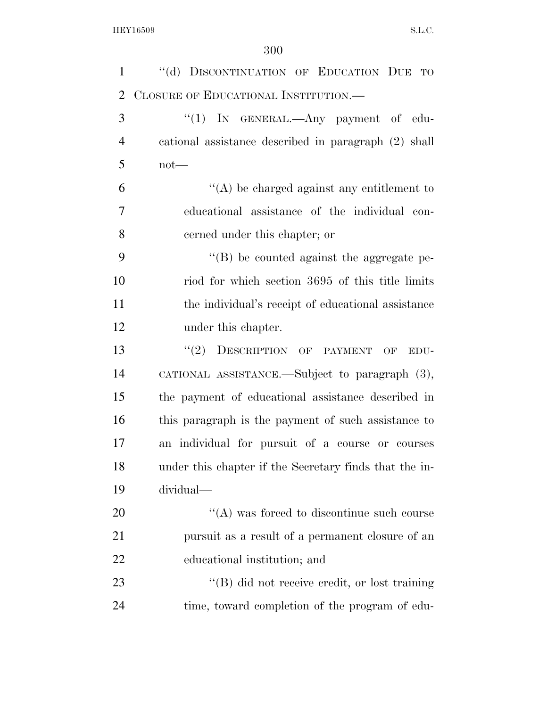| $\mathbf{1}$   | "(d) DISCONTINUATION OF EDUCATION DUE<br>TO                     |  |  |  |  |  |  |  |  |
|----------------|-----------------------------------------------------------------|--|--|--|--|--|--|--|--|
| 2              | CLOSURE OF EDUCATIONAL INSTITUTION.-                            |  |  |  |  |  |  |  |  |
| 3              | " $(1)$ In GENERAL.—Any payment of edu-                         |  |  |  |  |  |  |  |  |
| $\overline{4}$ | cational assistance described in paragraph (2) shall            |  |  |  |  |  |  |  |  |
| 5              | $not$ —                                                         |  |  |  |  |  |  |  |  |
| 6              | $\lq\lq$ be charged against any entitlement to                  |  |  |  |  |  |  |  |  |
| 7              | educational assistance of the individual con-                   |  |  |  |  |  |  |  |  |
| 8              | cerned under this chapter; or                                   |  |  |  |  |  |  |  |  |
| 9              | "(B) be counted against the aggregate pe-                       |  |  |  |  |  |  |  |  |
| 10             | riod for which section 3695 of this title limits                |  |  |  |  |  |  |  |  |
| 11             | the individual's receipt of educational assistance              |  |  |  |  |  |  |  |  |
| 12             | under this chapter.                                             |  |  |  |  |  |  |  |  |
| 13             | DESCRIPTION OF PAYMENT<br>(2)<br>$\overline{\text{OF}}$<br>EDU- |  |  |  |  |  |  |  |  |
| 14             | CATIONAL ASSISTANCE.—Subject to paragraph (3),                  |  |  |  |  |  |  |  |  |
| 15             | the payment of educational assistance described in              |  |  |  |  |  |  |  |  |
| 16             | this paragraph is the payment of such assistance to             |  |  |  |  |  |  |  |  |
| 17             | an individual for pursuit of a course or courses                |  |  |  |  |  |  |  |  |
| 18             | under this chapter if the Secretary finds that the in-          |  |  |  |  |  |  |  |  |
| 19             | dividual-                                                       |  |  |  |  |  |  |  |  |
| 20             | $\cdot$ (A) was forced to discontinue such course               |  |  |  |  |  |  |  |  |
| 21             | pursuit as a result of a permanent closure of an                |  |  |  |  |  |  |  |  |
| 22             | educational institution; and                                    |  |  |  |  |  |  |  |  |
| 23             | "(B) did not receive credit, or lost training                   |  |  |  |  |  |  |  |  |
| 24             | time, toward completion of the program of edu-                  |  |  |  |  |  |  |  |  |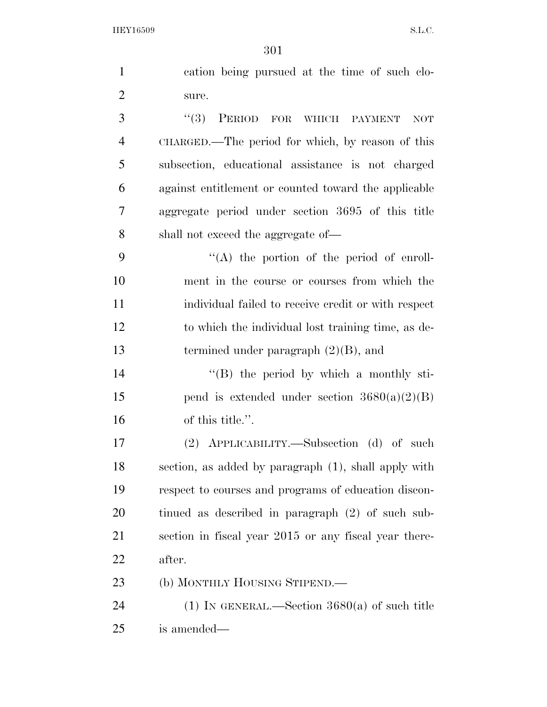|                | 501                                                   |
|----------------|-------------------------------------------------------|
| $\mathbf{1}$   | cation being pursued at the time of such clo-         |
| $\overline{2}$ | sure.                                                 |
| 3              | PERIOD FOR WHICH PAYMENT<br>(3)<br><b>NOT</b>         |
| $\overline{4}$ | CHARGED.—The period for which, by reason of this      |
| 5              | subsection, educational assistance is not charged     |
| 6              | against entitlement or counted toward the applicable  |
| $\overline{7}$ | aggregate period under section 3695 of this title     |
| 8              | shall not exceed the aggregate of—                    |
| 9              | $\lq\lq$ the portion of the period of enroll-         |
| 10             | ment in the course or courses from which the          |
| 11             | individual failed to receive credit or with respect   |
| 12             | to which the individual lost training time, as de-    |
| 13             | termined under paragraph $(2)(B)$ , and               |
| 14             | $\lq\lq$ (B) the period by which a monthly sti-       |
| 15             | pend is extended under section $3680(a)(2)(B)$        |
| 16             | of this title.".                                      |
| 17             | APPLICABILITY.—Subsection (d) of such<br>(2)          |
| 18             | section, as added by paragraph (1), shall apply with  |
| 19             | respect to courses and programs of education discon-  |
| 20             | tinued as described in paragraph (2) of such sub-     |
| 21             | section in fiscal year 2015 or any fiscal year there- |
| 22             | after.                                                |
| 23             | (b) MONTHLY HOUSING STIPEND.—                         |
| 24             | (1) IN GENERAL.—Section $3680(a)$ of such title       |

is amended—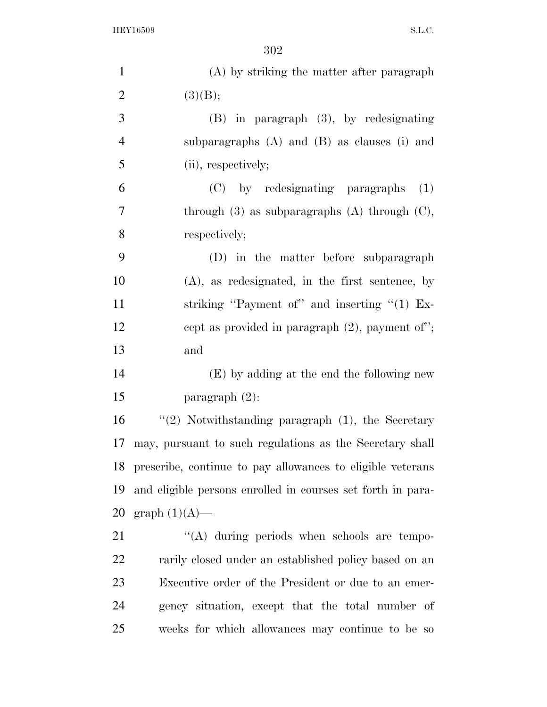| $\mathbf{1}$   | (A) by striking the matter after paragraph                  |  |  |  |  |  |  |  |
|----------------|-------------------------------------------------------------|--|--|--|--|--|--|--|
| $\overline{2}$ | (3)(B);                                                     |  |  |  |  |  |  |  |
| 3              | $(B)$ in paragraph $(3)$ , by redesignating                 |  |  |  |  |  |  |  |
| $\overline{4}$ | subparagraphs $(A)$ and $(B)$ as clauses $(i)$ and          |  |  |  |  |  |  |  |
| 5              | (ii), respectively;                                         |  |  |  |  |  |  |  |
| 6              | (C) by redesignating paragraphs<br>(1)                      |  |  |  |  |  |  |  |
| 7              | through $(3)$ as subparagraphs $(A)$ through $(C)$ ,        |  |  |  |  |  |  |  |
| 8              | respectively;                                               |  |  |  |  |  |  |  |
| 9              | (D) in the matter before subparagraph                       |  |  |  |  |  |  |  |
| 10             | $(A)$ , as redesignated, in the first sentence, by          |  |  |  |  |  |  |  |
| 11             | striking "Payment of" and inserting " $(1)$ Ex-             |  |  |  |  |  |  |  |
| 12             | cept as provided in paragraph $(2)$ , payment of";          |  |  |  |  |  |  |  |
| 13             | and                                                         |  |  |  |  |  |  |  |
| 14             | (E) by adding at the end the following new                  |  |  |  |  |  |  |  |
| 15             | paragraph $(2)$ :                                           |  |  |  |  |  |  |  |
| 16             | "(2) Notwithstanding paragraph $(1)$ , the Secretary        |  |  |  |  |  |  |  |
| 17             | may, pursuant to such regulations as the Secretary shall    |  |  |  |  |  |  |  |
| 18             | prescribe, continue to pay allowances to eligible veterans  |  |  |  |  |  |  |  |
| 19             | and eligible persons enrolled in courses set forth in para- |  |  |  |  |  |  |  |
| 20             | graph $(1)(A)$ —                                            |  |  |  |  |  |  |  |
| 21             | $\lq\lq$ during periods when schools are tempo-             |  |  |  |  |  |  |  |
| 22             | rarily closed under an established policy based on an       |  |  |  |  |  |  |  |
| 23             | Executive order of the President or due to an emer-         |  |  |  |  |  |  |  |
| 24             | gency situation, except that the total number of            |  |  |  |  |  |  |  |
| 25             | weeks for which allowances may continue to be so            |  |  |  |  |  |  |  |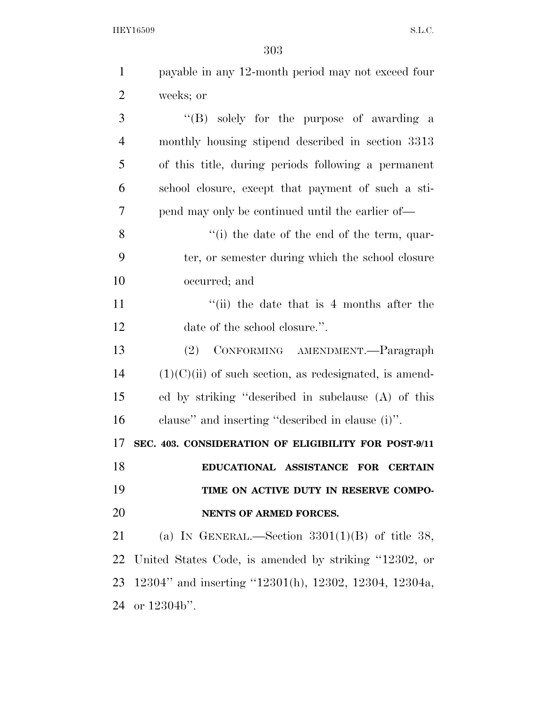| $\mathbf{1}$   | payable in any 12-month period may not exceed four       |
|----------------|----------------------------------------------------------|
| $\overline{2}$ | weeks; or                                                |
| 3              | "(B) solely for the purpose of awarding a                |
| $\overline{4}$ | monthly housing stipend described in section 3313        |
| 5              | of this title, during periods following a permanent      |
| 6              | school closure, except that payment of such a sti-       |
| $\overline{7}$ | pend may only be continued until the earlier of—         |
| 8              | "(i) the date of the end of the term, quar-              |
| 9              | ter, or semester during which the school closure         |
| 10             | occurred; and                                            |
| 11             | "(ii) the date that is 4 months after the                |
| 12             | date of the school closure.".                            |
| 13             | CONFORMING AMENDMENT. - Paragraph<br>(2)                 |
| 14             | $(1)(C)(ii)$ of such section, as redesignated, is amend- |
| 15             | ed by striking "described in subclause (A) of this       |
| 16             | clause" and inserting "described in clause (i)".         |
| 17             | SEC. 403. CONSIDERATION OF ELIGIBILITY FOR POST-9/11     |
| 18             | EDUCATIONAL ASSISTANCE FOR CERTAIN                       |
| 19             | TIME ON ACTIVE DUTY IN RESERVE COMPO-                    |
| 20             | NENTS OF ARMED FORCES.                                   |
| 21             | (a) IN GENERAL.—Section $3301(1)(B)$ of title 38,        |
| 22             | United States Code, is amended by striking "12302, or    |
| 23             | 12304" and inserting "12301(h), 12302, 12304, 12304a,    |
| 24             | or 12304b".                                              |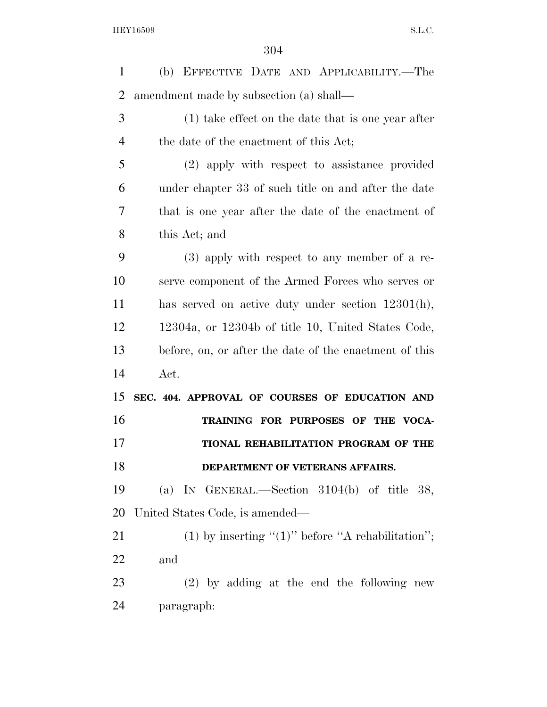(b) EFFECTIVE DATE AND APPLICABILITY.—The amendment made by subsection (a) shall— (1) take effect on the date that is one year after the date of the enactment of this Act; (2) apply with respect to assistance provided under chapter 33 of such title on and after the date that is one year after the date of the enactment of this Act; and (3) apply with respect to any member of a re- serve component of the Armed Forces who serves or has served on active duty under section 12301(h), 12304a, or 12304b of title 10, United States Code, before, on, or after the date of the enactment of this Act. **SEC. 404. APPROVAL OF COURSES OF EDUCATION AND TRAINING FOR PURPOSES OF THE VOCA- TIONAL REHABILITATION PROGRAM OF THE DEPARTMENT OF VETERANS AFFAIRS.**  (a) IN GENERAL.—Section 3104(b) of title 38, United States Code, is amended— 21 (1) by inserting " $(1)$ " before "A rehabilitation"; and (2) by adding at the end the following new paragraph: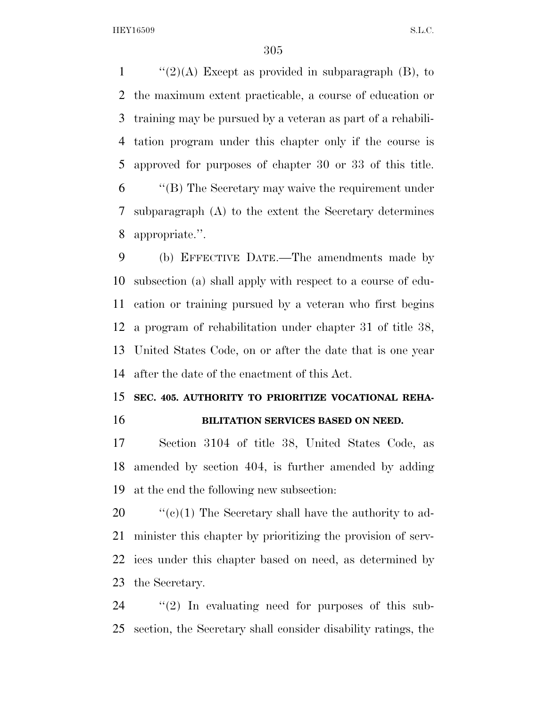$\frac{1}{2}(2)(A)$  Except as provided in subparagraph (B), to the maximum extent practicable, a course of education or training may be pursued by a veteran as part of a rehabili- tation program under this chapter only if the course is approved for purposes of chapter 30 or 33 of this title. ''(B) The Secretary may waive the requirement under subparagraph (A) to the extent the Secretary determines appropriate.''.

 (b) EFFECTIVE DATE.—The amendments made by subsection (a) shall apply with respect to a course of edu- cation or training pursued by a veteran who first begins a program of rehabilitation under chapter 31 of title 38, United States Code, on or after the date that is one year after the date of the enactment of this Act.

### **SEC. 405. AUTHORITY TO PRIORITIZE VOCATIONAL REHA-BILITATION SERVICES BASED ON NEED.**

 Section 3104 of title 38, United States Code, as amended by section 404, is further amended by adding at the end the following new subsection:

 $\frac{1}{20}$  (c)(1) The Secretary shall have the authority to ad- minister this chapter by prioritizing the provision of serv- ices under this chapter based on need, as determined by the Secretary.

 ''(2) In evaluating need for purposes of this sub-section, the Secretary shall consider disability ratings, the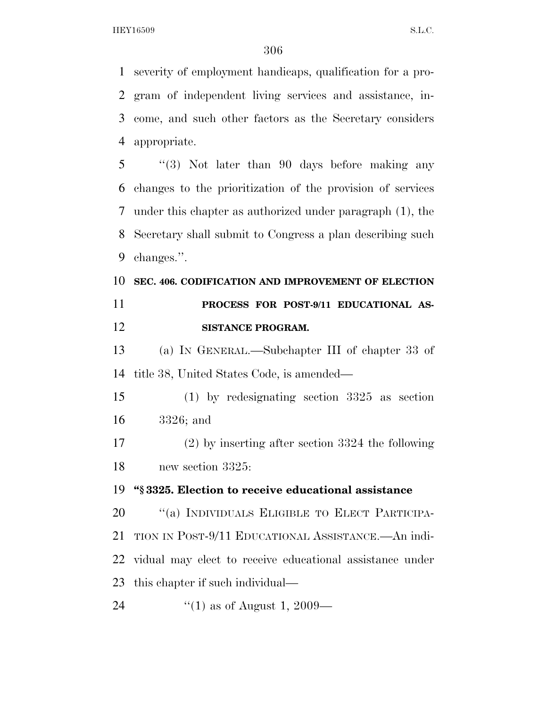severity of employment handicaps, qualification for a pro- gram of independent living services and assistance, in- come, and such other factors as the Secretary considers appropriate.

 ''(3) Not later than 90 days before making any changes to the prioritization of the provision of services under this chapter as authorized under paragraph (1), the Secretary shall submit to Congress a plan describing such changes.''.

## **SEC. 406. CODIFICATION AND IMPROVEMENT OF ELECTION PROCESS FOR POST-9/11 EDUCATIONAL AS-SISTANCE PROGRAM.**

 (a) IN GENERAL.—Subchapter III of chapter 33 of title 38, United States Code, is amended—

 (1) by redesignating section 3325 as section 3326; and

 (2) by inserting after section 3324 the following new section 3325:

**''§ 3325. Election to receive educational assistance** 

20 "(a) INDIVIDUALS ELIGIBLE TO ELECT PARTICIPA- TION IN POST-9/11 EDUCATIONAL ASSISTANCE.—An indi- vidual may elect to receive educational assistance under this chapter if such individual—

24  $\frac{1}{2}$  (1) as of August 1, 2009—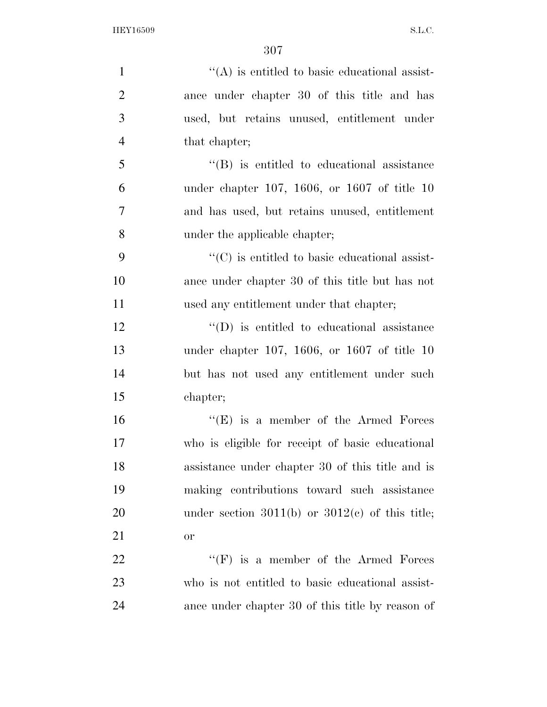| $\mathbf{1}$   | $\lq\lq$ is entitled to basic educational assist-         |
|----------------|-----------------------------------------------------------|
| $\overline{2}$ | ance under chapter 30 of this title and has               |
| 3              | used, but retains unused, entitlement under               |
| $\overline{4}$ | that chapter;                                             |
| 5              | $\lq\lq$ is entitled to educational assistance            |
| 6              | under chapter 107, 1606, or 1607 of title 10              |
| 7              | and has used, but retains unused, entitlement             |
| 8              | under the applicable chapter;                             |
| 9              | $\cdot\cdot$ (C) is entitled to basic educational assist- |
| 10             | ance under chapter 30 of this title but has not           |
| 11             | used any entitlement under that chapter;                  |
| 12             | $\lq\lq$ (D) is entitled to educational assistance        |
| 13             | under chapter 107, 1606, or 1607 of title $10$            |
| 14             | but has not used any entitlement under such               |
| 15             | chapter;                                                  |
| 16             | $\lq\lq(E)$ is a member of the Armed Forces               |
| 17             | who is eligible for receipt of basic educational          |
| 18             | assistance under chapter 30 of this title and is          |
| 19             | making contributions toward such assistance               |
| 20             | under section 3011(b) or $3012(e)$ of this title;         |
| 21             | <b>or</b>                                                 |
| 22             | $\lq\lq(F)$ is a member of the Armed Forces               |
| 23             | who is not entitled to basic educational assist-          |
| 24             | ance under chapter 30 of this title by reason of          |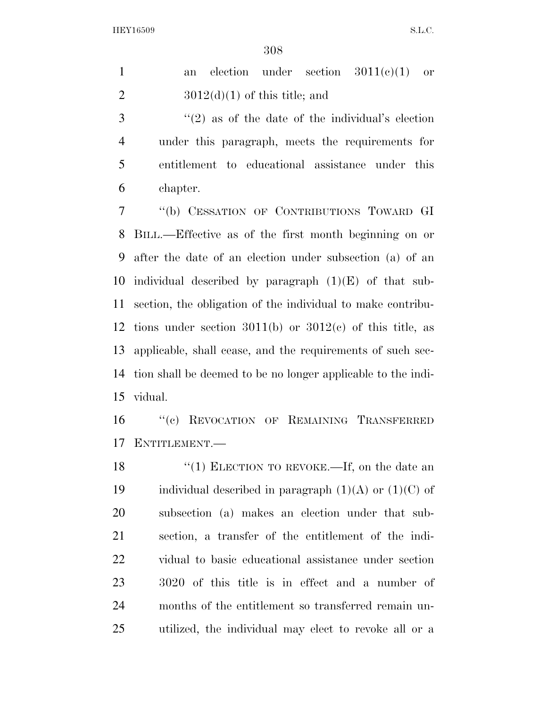|  |                                 |  | an election under section $3011(e)(1)$ or |  |
|--|---------------------------------|--|-------------------------------------------|--|
|  | $3012(d)(1)$ of this title; and |  |                                           |  |

 ''(2) as of the date of the individual's election under this paragraph, meets the requirements for entitlement to educational assistance under this chapter.

 ''(b) CESSATION OF CONTRIBUTIONS TOWARD GI BILL.—Effective as of the first month beginning on or after the date of an election under subsection (a) of an 10 individual described by paragraph  $(1)(E)$  of that sub- section, the obligation of the individual to make contribu-12 tions under section  $3011(b)$  or  $3012(c)$  of this title, as applicable, shall cease, and the requirements of such sec- tion shall be deemed to be no longer applicable to the indi-vidual.

 ''(c) REVOCATION OF REMAINING TRANSFERRED ENTITLEMENT.—

18 "(1) ELECTION TO REVOKE.—If, on the date an 19 individual described in paragraph  $(1)(A)$  or  $(1)(C)$  of subsection (a) makes an election under that sub- section, a transfer of the entitlement of the indi- vidual to basic educational assistance under section 3020 of this title is in effect and a number of months of the entitlement so transferred remain un-utilized, the individual may elect to revoke all or a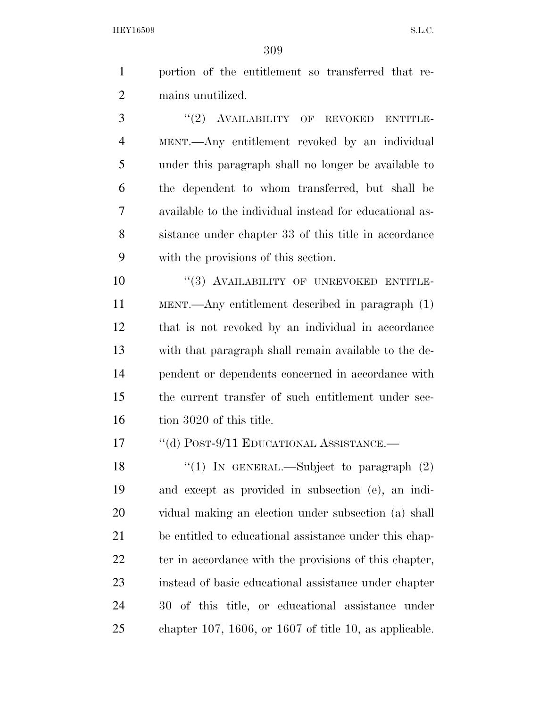portion of the entitlement so transferred that re-mains unutilized.

3 "(2) AVAILABILITY OF REVOKED ENTITLE- MENT.—Any entitlement revoked by an individual under this paragraph shall no longer be available to the dependent to whom transferred, but shall be available to the individual instead for educational as- sistance under chapter 33 of this title in accordance with the provisions of this section.

10 "(3) AVAILABILITY OF UNREVOKED ENTITLE- MENT.—Any entitlement described in paragraph (1) that is not revoked by an individual in accordance with that paragraph shall remain available to the de- pendent or dependents concerned in accordance with the current transfer of such entitlement under sec-16 tion 3020 of this title.

17 "(d) POST-9/11 EDUCATIONAL ASSISTANCE.—

 $\qquad$  ''(1) In GENERAL.—Subject to paragraph (2) and except as provided in subsection (e), an indi- vidual making an election under subsection (a) shall be entitled to educational assistance under this chap-22 ter in accordance with the provisions of this chapter, instead of basic educational assistance under chapter 30 of this title, or educational assistance under chapter 107, 1606, or 1607 of title 10, as applicable.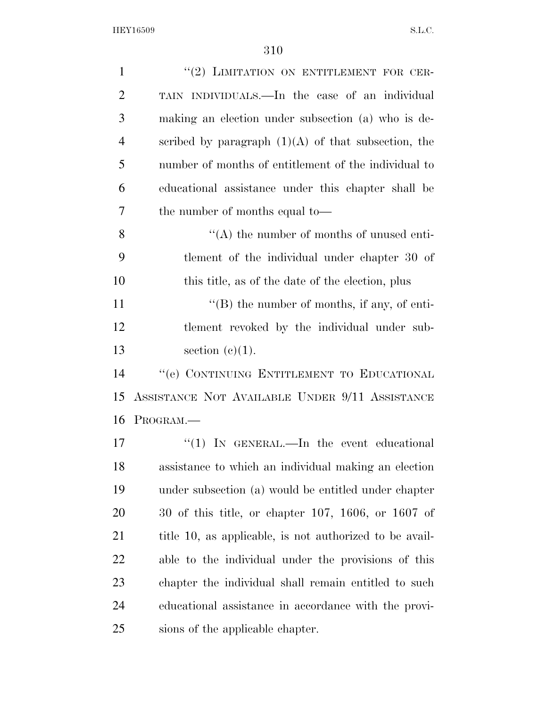| $\mathbf{1}$   | "(2) LIMITATION ON ENTITLEMENT FOR CER-                 |
|----------------|---------------------------------------------------------|
| $\overline{2}$ | TAIN INDIVIDUALS.—In the case of an individual          |
| 3              | making an election under subsection (a) who is de-      |
| $\overline{4}$ | scribed by paragraph $(1)(A)$ of that subsection, the   |
| 5              | number of months of entitlement of the individual to    |
| 6              | educational assistance under this chapter shall be      |
| 7              | the number of months equal to—                          |
| 8              | $\lq\lq$ the number of months of unused enti-           |
| 9              | tlement of the individual under chapter 30 of           |
| 10             | this title, as of the date of the election, plus        |
| 11             | $\lq\lq (B)$ the number of months, if any, of enti-     |
| 12             | tlement revoked by the individual under sub-            |
| 13             | section $(c)(1)$ .                                      |
| 14             | "(e) CONTINUING ENTITLEMENT TO EDUCATIONAL              |
| 15             | ASSISTANCE NOT AVAILABLE UNDER 9/11 ASSISTANCE          |
| 16             | PROGRAM.                                                |
| 17             | "(1) IN GENERAL.—In the event educational               |
| 18             | assistance to which an individual making an election    |
| 19             | under subsection (a) would be entitled under chapter    |
| 20             | $30$ of this title, or chapter 107, 1606, or 1607 of    |
| 21             | title 10, as applicable, is not authorized to be avail- |
| <u>22</u>      | able to the individual under the provisions of this     |
| 23             | chapter the individual shall remain entitled to such    |
| 24             | educational assistance in accordance with the provi-    |
| 25             | sions of the applicable chapter.                        |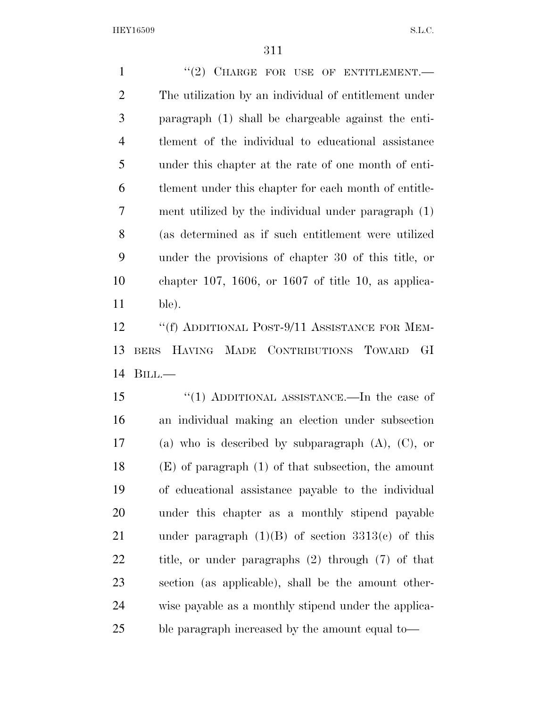1 "(2) CHARGE FOR USE OF ENTITLEMENT. The utilization by an individual of entitlement under paragraph (1) shall be chargeable against the enti- tlement of the individual to educational assistance under this chapter at the rate of one month of enti- tlement under this chapter for each month of entitle- ment utilized by the individual under paragraph (1) (as determined as if such entitlement were utilized under the provisions of chapter 30 of this title, or chapter 107, 1606, or 1607 of title 10, as applica-ble).

12 "(f) ADDITIONAL POST-9/11 ASSISTANCE FOR MEM- BERS HAVING MADE CONTRIBUTIONS TOWARD GI BILL.—

 ''(1) ADDITIONAL ASSISTANCE.—In the case of an individual making an election under subsection (a) who is described by subparagraph (A), (C), or (E) of paragraph (1) of that subsection, the amount of educational assistance payable to the individual under this chapter as a monthly stipend payable 21 under paragraph  $(1)(B)$  of section  $3313(e)$  of this title, or under paragraphs (2) through (7) of that section (as applicable), shall be the amount other- wise payable as a monthly stipend under the applica-ble paragraph increased by the amount equal to—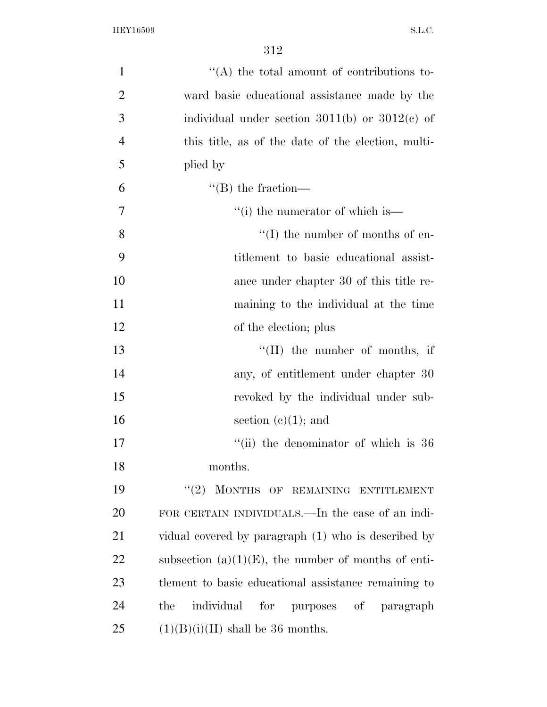| $\mathbf{1}$   | $\cdot$ (A) the total amount of contributions to-      |
|----------------|--------------------------------------------------------|
| $\overline{2}$ | ward basic educational assistance made by the          |
| 3              | individual under section $3011(b)$ or $3012(c)$ of     |
| $\overline{4}$ | this title, as of the date of the election, multi-     |
| 5              | plied by                                               |
| 6              | $\lq\lq (B)$ the fraction—                             |
| 7              | "(i) the numerator of which is—                        |
| 8              | $\lq\lq$ (I) the number of months of en-               |
| 9              | titlement to basic educational assist-                 |
| 10             | ance under chapter 30 of this title re-                |
| 11             | maining to the individual at the time                  |
| 12             | of the election; plus                                  |
| 13             | $\lq\lq$ (II) the number of months, if                 |
| 14             | any, of entitlement under chapter 30                   |
| 15             | revoked by the individual under sub-                   |
| 16             | section $(c)(1)$ ; and                                 |
| 17             | "(ii) the denominator of which is 36                   |
| 18             | months.                                                |
| 19             | "(2) MONTHS OF REMAINING ENTITLEMENT                   |
| 20             | FOR CERTAIN INDIVIDUALS.—In the case of an indi-       |
| 21             | vidual covered by paragraph (1) who is described by    |
| 22             | subsection $(a)(1)(E)$ , the number of months of enti- |
| 23             | tlement to basic educational assistance remaining to   |
| 24             | individual<br>for purposes of<br>the<br>paragraph      |
| 25             | $(1)(B)(i)(II)$ shall be 36 months.                    |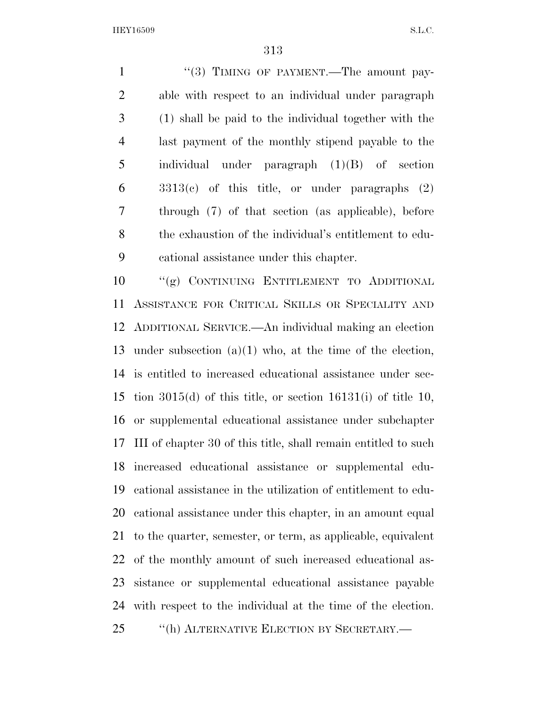1 "(3) TIMING OF PAYMENT.—The amount pay- able with respect to an individual under paragraph (1) shall be paid to the individual together with the last payment of the monthly stipend payable to the individual under paragraph (1)(B) of section 3313(c) of this title, or under paragraphs (2) through (7) of that section (as applicable), before the exhaustion of the individual's entitlement to edu-cational assistance under this chapter.

 ''(g) CONTINUING ENTITLEMENT TO ADDITIONAL ASSISTANCE FOR CRITICAL SKILLS OR SPECIALITY AND ADDITIONAL SERVICE.—An individual making an election under subsection (a)(1) who, at the time of the election, is entitled to increased educational assistance under sec-15 tion  $3015(d)$  of this title, or section  $16131(i)$  of title 10, or supplemental educational assistance under subchapter III of chapter 30 of this title, shall remain entitled to such increased educational assistance or supplemental edu- cational assistance in the utilization of entitlement to edu- cational assistance under this chapter, in an amount equal to the quarter, semester, or term, as applicable, equivalent of the monthly amount of such increased educational as- sistance or supplemental educational assistance payable with respect to the individual at the time of the election. ''(h) ALTERNATIVE ELECTION BY SECRETARY.—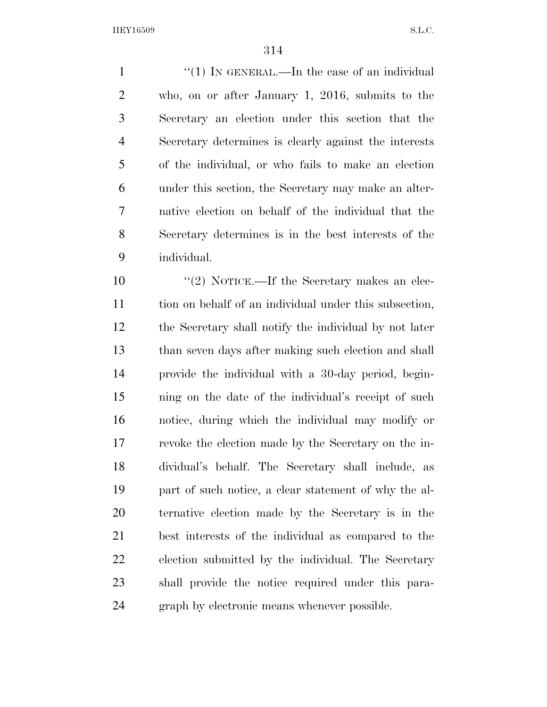1 ''(1) In GENERAL.—In the case of an individual who, on or after January 1, 2016, submits to the Secretary an election under this section that the Secretary determines is clearly against the interests of the individual, or who fails to make an election under this section, the Secretary may make an alter- native election on behalf of the individual that the Secretary determines is in the best interests of the individual.

 $\frac{10}{2}$  NOTICE.—If the Secretary makes an elec- tion on behalf of an individual under this subsection, the Secretary shall notify the individual by not later than seven days after making such election and shall provide the individual with a 30-day period, begin- ning on the date of the individual's receipt of such notice, during which the individual may modify or revoke the election made by the Secretary on the in- dividual's behalf. The Secretary shall include, as part of such notice, a clear statement of why the al- ternative election made by the Secretary is in the best interests of the individual as compared to the election submitted by the individual. The Secretary shall provide the notice required under this para-graph by electronic means whenever possible.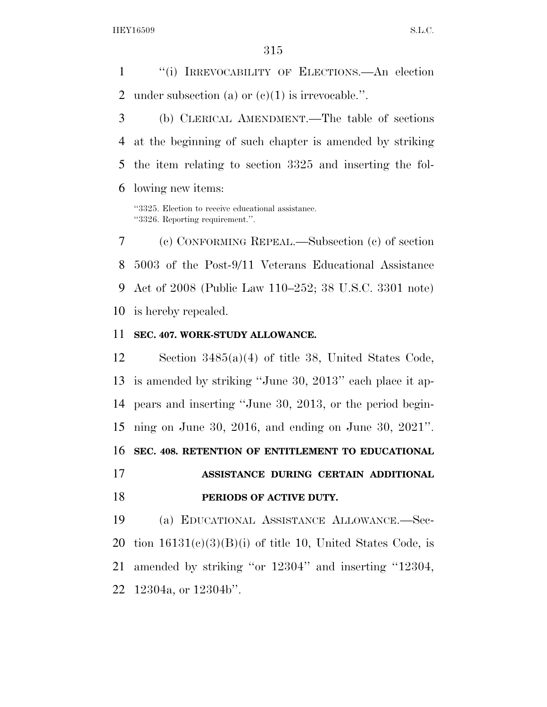''(i) IRREVOCABILITY OF ELECTIONS.—An election 2 under subsection (a) or  $(e)(1)$  is irrevocable.".

 (b) CLERICAL AMENDMENT.—The table of sections at the beginning of such chapter is amended by striking the item relating to section 3325 and inserting the fol-lowing new items:

''3325. Election to receive educational assistance. ''3326. Reporting requirement.''.

 (c) CONFORMING REPEAL.—Subsection (c) of section 5003 of the Post-9/11 Veterans Educational Assistance Act of 2008 (Public Law 110–252; 38 U.S.C. 3301 note) is hereby repealed.

#### **SEC. 407. WORK-STUDY ALLOWANCE.**

 Section 3485(a)(4) of title 38, United States Code, is amended by striking ''June 30, 2013'' each place it ap- pears and inserting ''June 30, 2013, or the period begin- ning on June 30, 2016, and ending on June 30, 2021''. **SEC. 408. RETENTION OF ENTITLEMENT TO EDUCATIONAL ASSISTANCE DURING CERTAIN ADDITIONAL PERIODS OF ACTIVE DUTY.** 

 (a) EDUCATIONAL ASSISTANCE ALLOWANCE.—Sec-20 tion  $16131(e)(3)(B)(i)$  of title 10, United States Code, is amended by striking ''or 12304'' and inserting ''12304, 12304a, or 12304b''.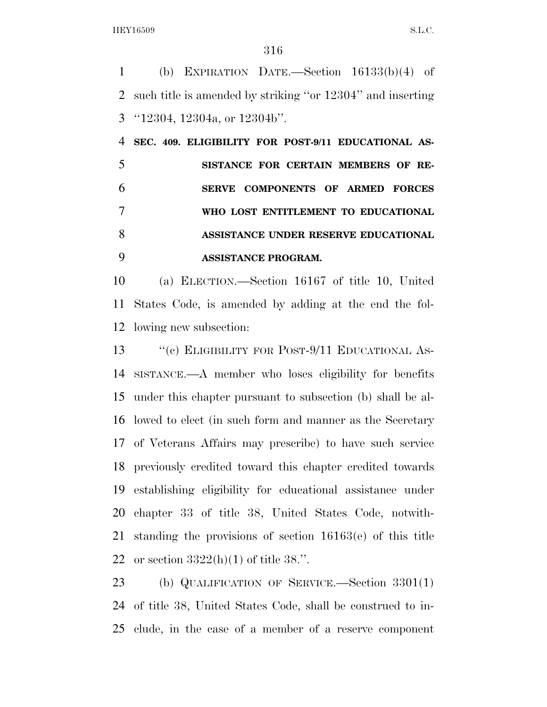(b) EXPIRATION DATE.—Section 16133(b)(4) of such title is amended by striking ''or 12304'' and inserting ''12304, 12304a, or 12304b''.

 **SEC. 409. ELIGIBILITY FOR POST-9/11 EDUCATIONAL AS- SISTANCE FOR CERTAIN MEMBERS OF RE- SERVE COMPONENTS OF ARMED FORCES WHO LOST ENTITLEMENT TO EDUCATIONAL ASSISTANCE UNDER RESERVE EDUCATIONAL ASSISTANCE PROGRAM.** 

 (a) ELECTION.—Section 16167 of title 10, United States Code, is amended by adding at the end the fol-lowing new subsection:

13 "(c) ELIGIBILITY FOR POST-9/11 EDUCATIONAL AS- SISTANCE.—A member who loses eligibility for benefits under this chapter pursuant to subsection (b) shall be al- lowed to elect (in such form and manner as the Secretary of Veterans Affairs may prescribe) to have such service previously credited toward this chapter credited towards establishing eligibility for educational assistance under chapter 33 of title 38, United States Code, notwith- standing the provisions of section 16163(e) of this title 22 or section  $3322(h)(1)$  of title 38.".

 (b) QUALIFICATION OF SERVICE.—Section 3301(1) of title 38, United States Code, shall be construed to in-clude, in the case of a member of a reserve component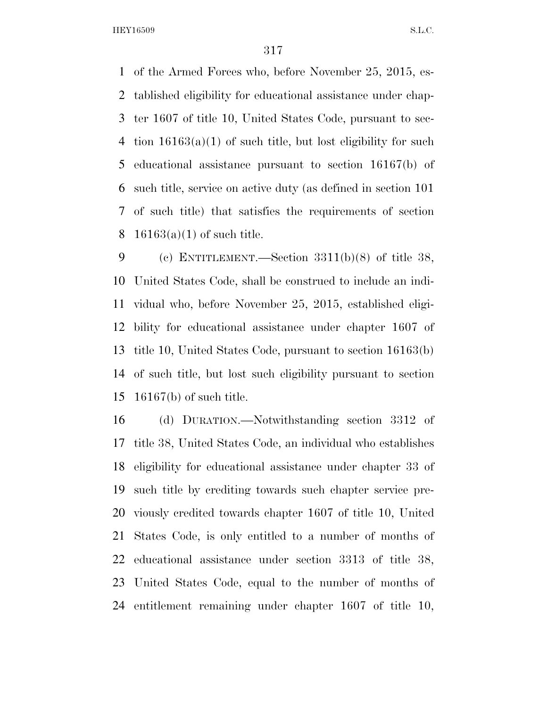of the Armed Forces who, before November 25, 2015, es- tablished eligibility for educational assistance under chap- ter 1607 of title 10, United States Code, pursuant to sec-4 tion  $16163(a)(1)$  of such title, but lost eligibility for such educational assistance pursuant to section 16167(b) of such title, service on active duty (as defined in section 101 of such title) that satisfies the requirements of section 8 16163(a)(1) of such title.

 (c) ENTITLEMENT.—Section 3311(b)(8) of title 38, United States Code, shall be construed to include an indi- vidual who, before November 25, 2015, established eligi- bility for educational assistance under chapter 1607 of title 10, United States Code, pursuant to section 16163(b) of such title, but lost such eligibility pursuant to section 16167(b) of such title.

 (d) DURATION.—Notwithstanding section 3312 of title 38, United States Code, an individual who establishes eligibility for educational assistance under chapter 33 of such title by crediting towards such chapter service pre- viously credited towards chapter 1607 of title 10, United States Code, is only entitled to a number of months of educational assistance under section 3313 of title 38, United States Code, equal to the number of months of entitlement remaining under chapter 1607 of title 10,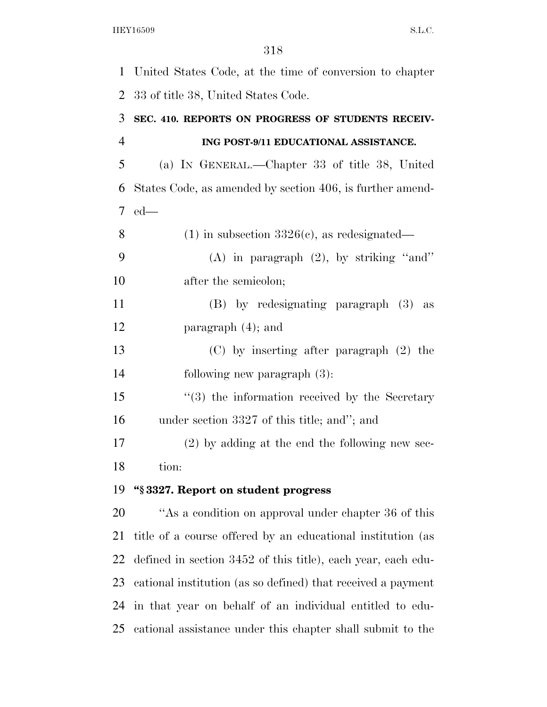United States Code, at the time of conversion to chapter 33 of title 38, United States Code.

# **SEC. 410. REPORTS ON PROGRESS OF STUDENTS RECEIV- ING POST-9/11 EDUCATIONAL ASSISTANCE.**  (a) IN GENERAL.—Chapter 33 of title 38, United

 States Code, as amended by section 406, is further amend-ed—

- 8 (1) in subsection  $3326(c)$ , as redesignated—
- (A) in paragraph (2), by striking ''and'' 10 after the semicolon;

 (B) by redesignating paragraph (3) as paragraph (4); and

 (C) by inserting after paragraph (2) the following new paragraph (3):

 ''(3) the information received by the Secretary under section 3327 of this title; and''; and

 (2) by adding at the end the following new sec-tion:

#### **''§ 3327. Report on student progress**

20 "As a condition on approval under chapter 36 of this title of a course offered by an educational institution (as defined in section 3452 of this title), each year, each edu- cational institution (as so defined) that received a payment in that year on behalf of an individual entitled to edu-cational assistance under this chapter shall submit to the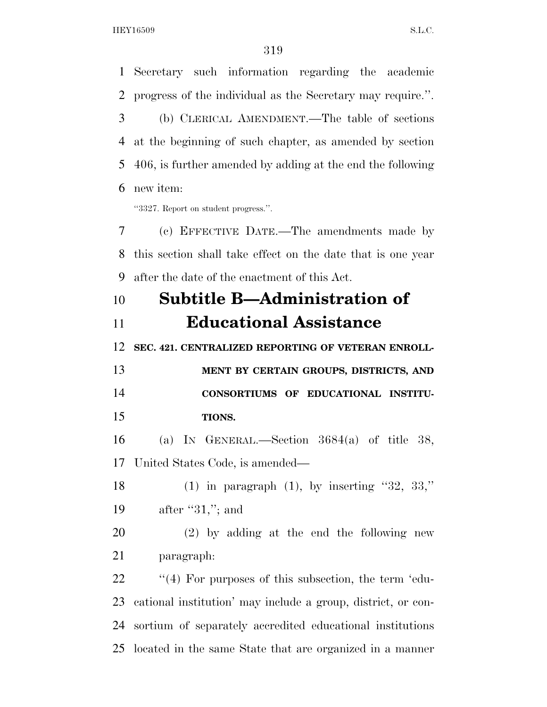Secretary such information regarding the academic

 progress of the individual as the Secretary may require.''. (b) CLERICAL AMENDMENT.—The table of sections at the beginning of such chapter, as amended by section 406, is further amended by adding at the end the following new item: ''3327. Report on student progress.''. (c) EFFECTIVE DATE.—The amendments made by this section shall take effect on the date that is one year after the date of the enactment of this Act. **Subtitle B—Administration of Educational Assistance SEC. 421. CENTRALIZED REPORTING OF VETERAN ENROLL- MENT BY CERTAIN GROUPS, DISTRICTS, AND CONSORTIUMS OF EDUCATIONAL INSTITU- TIONS.**  (a) IN GENERAL.—Section 3684(a) of title 38, United States Code, is amended— 18 (1) in paragraph  $(1)$ , by inserting "32, 33," 19 after "31,"; and (2) by adding at the end the following new paragraph:  $\frac{1}{4}$  For purposes of this subsection, the term 'edu- cational institution' may include a group, district, or con- sortium of separately accredited educational institutions located in the same State that are organized in a manner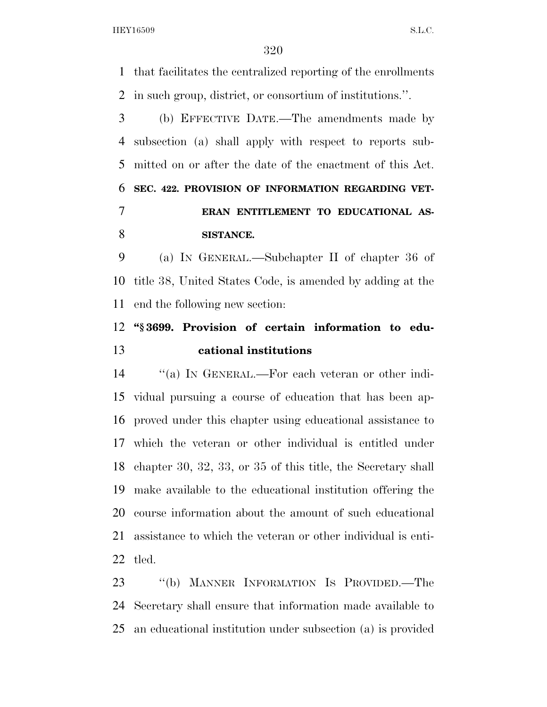that facilitates the centralized reporting of the enrollments in such group, district, or consortium of institutions.''.

 (b) EFFECTIVE DATE.—The amendments made by subsection (a) shall apply with respect to reports sub- mitted on or after the date of the enactment of this Act. **SEC. 422. PROVISION OF INFORMATION REGARDING VET- ERAN ENTITLEMENT TO EDUCATIONAL AS-SISTANCE.** 

 (a) IN GENERAL.—Subchapter II of chapter 36 of title 38, United States Code, is amended by adding at the end the following new section:

### **''§ 3699. Provision of certain information to edu-cational institutions**

 ''(a) IN GENERAL.—For each veteran or other indi- vidual pursuing a course of education that has been ap- proved under this chapter using educational assistance to which the veteran or other individual is entitled under chapter 30, 32, 33, or 35 of this title, the Secretary shall make available to the educational institution offering the course information about the amount of such educational assistance to which the veteran or other individual is enti-tled.

 ''(b) MANNER INFORMATION IS PROVIDED.—The Secretary shall ensure that information made available to an educational institution under subsection (a) is provided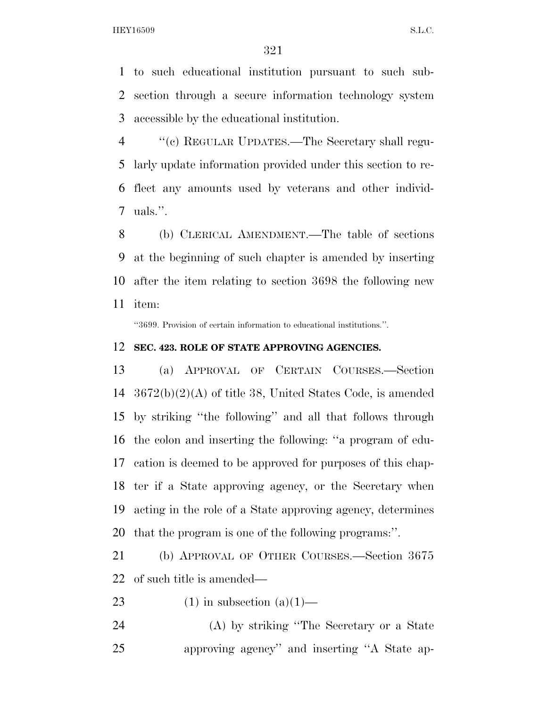to such educational institution pursuant to such sub- section through a secure information technology system accessible by the educational institution.

 ''(c) REGULAR UPDATES.—The Secretary shall regu- larly update information provided under this section to re- flect any amounts used by veterans and other individ-uals.''.

 (b) CLERICAL AMENDMENT.—The table of sections at the beginning of such chapter is amended by inserting after the item relating to section 3698 the following new item:

''3699. Provision of certain information to educational institutions.''.

#### **SEC. 423. ROLE OF STATE APPROVING AGENCIES.**

 (a) APPROVAL OF CERTAIN COURSES.—Section 3672(b)(2)(A) of title 38, United States Code, is amended by striking ''the following'' and all that follows through the colon and inserting the following: ''a program of edu- cation is deemed to be approved for purposes of this chap- ter if a State approving agency, or the Secretary when acting in the role of a State approving agency, determines that the program is one of the following programs:''.

 (b) APPROVAL OF OTHER COURSES.—Section 3675 of such title is amended—

23 (1) in subsection  $(a)(1)$ —

 (A) by striking ''The Secretary or a State approving agency'' and inserting ''A State ap-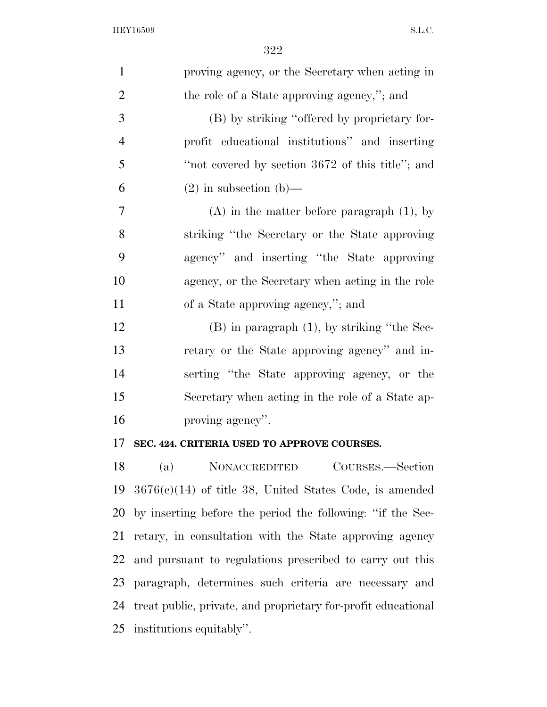| $\mathbf{1}$   | proving agency, or the Secretary when acting in               |
|----------------|---------------------------------------------------------------|
| $\overline{2}$ | the role of a State approving agency,"; and                   |
| 3              | (B) by striking "offered by proprietary for-                  |
| $\overline{4}$ | profit educational institutions" and inserting                |
| 5              | "not covered by section 3672 of this title"; and              |
| 6              | $(2)$ in subsection $(b)$ —                                   |
| 7              | $(A)$ in the matter before paragraph $(1)$ , by               |
| 8              | striking "the Secretary or the State approving"               |
| 9              | agency" and inserting "the State approving                    |
| 10             | agency, or the Secretary when acting in the role              |
| 11             | of a State approving agency,"; and                            |
| 12             | $(B)$ in paragraph $(1)$ , by striking "the Sec-              |
| 13             | retary or the State approving agency" and in-                 |
| 14             | serting "the State approving agency, or the                   |
| 15             | Secretary when acting in the role of a State ap-              |
| 16             | proving agency".                                              |
| 17             | SEC. 424. CRITERIA USED TO APPROVE COURSES.                   |
| 18             | (a)<br><b>NONACCREDITED</b><br>COURSES.—Section               |
| 19             | $3676(c)(14)$ of title 38, United States Code, is amended     |
| 20             | by inserting before the period the following: "if the Sec-    |
| 21             | retary, in consultation with the State approving agency       |
| 22             | and pursuant to regulations prescribed to carry out this      |
| 23             | paragraph, determines such criteria are necessary and         |
| 24             | treat public, private, and proprietary for-profit educational |

institutions equitably''.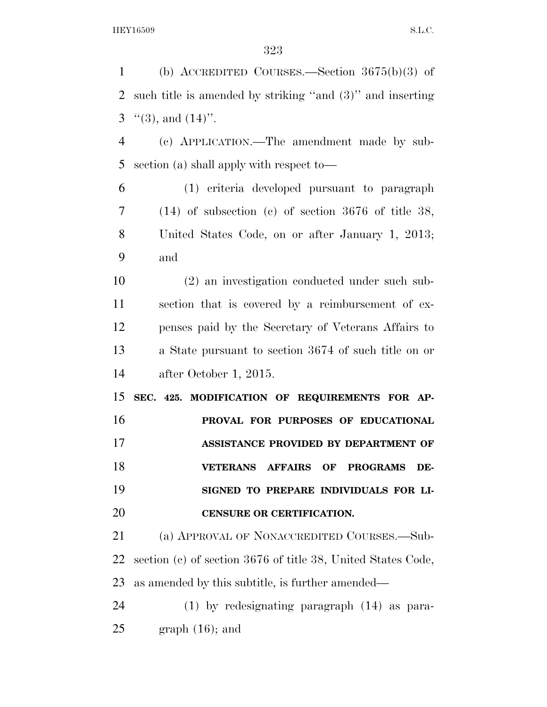(b) ACCREDITED COURSES.—Section 3675(b)(3) of such title is amended by striking ''and (3)'' and inserting  $\lq(3)$ , and  $(14)$ ". (c) APPLICATION.—The amendment made by sub- section (a) shall apply with respect to— (1) criteria developed pursuant to paragraph (14) of subsection (c) of section 3676 of title 38, United States Code, on or after January 1, 2013; and (2) an investigation conducted under such sub- section that is covered by a reimbursement of ex- penses paid by the Secretary of Veterans Affairs to a State pursuant to section 3674 of such title on or after October 1, 2015. **SEC. 425. MODIFICATION OF REQUIREMENTS FOR AP- PROVAL FOR PURPOSES OF EDUCATIONAL ASSISTANCE PROVIDED BY DEPARTMENT OF VETERANS AFFAIRS OF PROGRAMS DE- SIGNED TO PREPARE INDIVIDUALS FOR LI- CENSURE OR CERTIFICATION.**  (a) APPROVAL OF NONACCREDITED COURSES.—Sub- section (c) of section 3676 of title 38, United States Code, as amended by this subtitle, is further amended— (1) by redesignating paragraph (14) as para-graph  $(16)$ ; and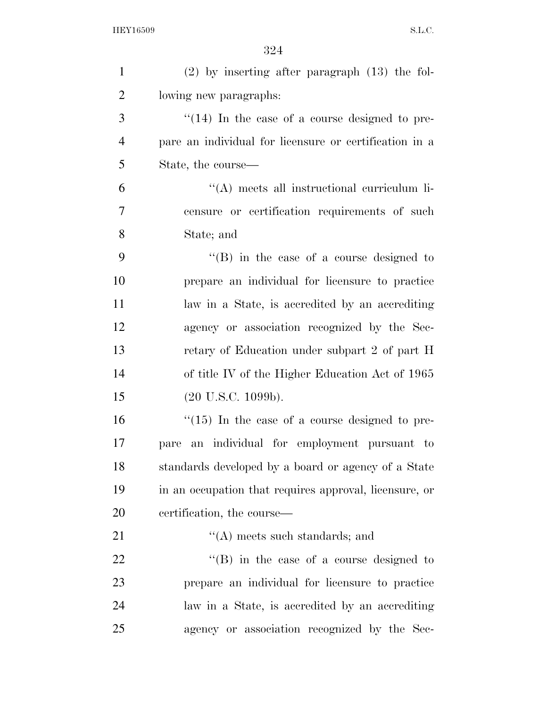| $\mathbf{1}$   | $(2)$ by inserting after paragraph $(13)$ the fol-      |
|----------------|---------------------------------------------------------|
| $\overline{2}$ | lowing new paragraphs:                                  |
| 3              | $\cdot$ (14) In the case of a course designed to pre-   |
| $\overline{4}$ | pare an individual for licensure or certification in a  |
| 5              | State, the course—                                      |
| 6              | $\lq\lq$ meets all instructional curriculum li-         |
| $\overline{7}$ | censure or certification requirements of such           |
| 8              | State; and                                              |
| 9              | $\lq\lq (B)$ in the case of a course designed to        |
| 10             | prepare an individual for licensure to practice         |
| 11             | law in a State, is accredited by an accrediting         |
| 12             | agency or association recognized by the Sec-            |
| 13             | retary of Education under subpart 2 of part H           |
| 14             | of title IV of the Higher Education Act of 1965         |
| 15             | $(20 \text{ U.S.C. } 1099b).$                           |
| 16             | $\degree$ (15) In the case of a course designed to pre- |
| 17             | an individual for employment pursuant to<br>pare        |
| 18             | standards developed by a board or agency of a State     |
| 19             | in an occupation that requires approval, licensure, or  |
| 20             | certification, the course—                              |
| 21             | $\lq\lq$ meets such standards; and                      |
| 22             | $\lq\lq (B)$ in the case of a course designed to        |
| 23             | prepare an individual for licensure to practice         |
| 24             | law in a State, is accredited by an accrediting         |
| 25             | agency or association recognized by the Sec-            |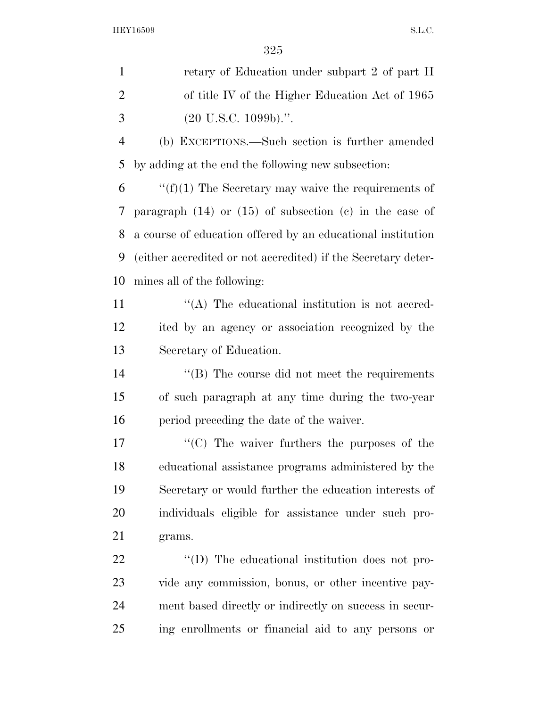| $\mathbf{1}$   | retary of Education under subpart 2 of part H                 |
|----------------|---------------------------------------------------------------|
| $\overline{2}$ | of title IV of the Higher Education Act of 1965               |
| 3              | $(20 \text{ U.S.C. } 1099b)$ .".                              |
| $\overline{4}$ | (b) EXCEPTIONS.—Such section is further amended               |
| 5              | by adding at the end the following new subsection:            |
| 6              | " $(f)(1)$ The Secretary may waive the requirements of        |
| 7              | paragraph $(14)$ or $(15)$ of subsection $(e)$ in the case of |
| 8              | a course of education offered by an educational institution   |
| 9              | (either accredited or not accredited) if the Secretary deter- |
| 10             | mines all of the following:                                   |
| 11             | $\cdot$ (A) The educational institution is not accred-        |
| 12             | ited by an agency or association recognized by the            |
| 13             | Secretary of Education.                                       |
| 14             | "(B) The course did not meet the requirements                 |
| 15             | of such paragraph at any time during the two-year             |
| 16             | period preceding the date of the waiver.                      |
| 17             | $\cdot$ (C) The waiver furthers the purposes of the           |
| 18             | educational assistance programs administered by the           |
| 19             | Secretary or would further the education interests of         |
| 20             | individuals eligible for assistance under such pro-           |
| 21             | grams.                                                        |
| 22             | $\lq\lq$ . The educational institution does not pro-          |
| 23             | vide any commission, bonus, or other incentive pay-           |
| 24             | ment based directly or indirectly on success in secur-        |
| 25             | ing enrollments or financial aid to any persons or            |
|                |                                                               |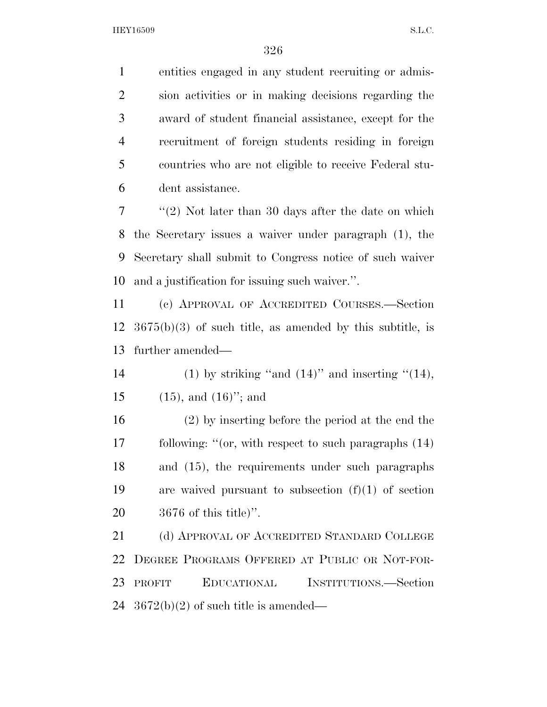entities engaged in any student recruiting or admis- sion activities or in making decisions regarding the award of student financial assistance, except for the recruitment of foreign students residing in foreign countries who are not eligible to receive Federal stu-dent assistance.

 ''(2) Not later than 30 days after the date on which the Secretary issues a waiver under paragraph (1), the Secretary shall submit to Congress notice of such waiver and a justification for issuing such waiver.''.

 (c) APPROVAL OF ACCREDITED COURSES.—Section 3675(b)(3) of such title, as amended by this subtitle, is further amended—

14 (1) by striking "and  $(14)$ " and inserting " $(14)$ , 15  $(15)$ , and  $(16)$ "; and

 (2) by inserting before the period at the end the following: ''(or, with respect to such paragraphs (14) and (15), the requirements under such paragraphs are waived pursuant to subsection (f)(1) of section 3676 of this title)''.

21 (d) APPROVAL OF ACCREDITED STANDARD COLLEGE DEGREE PROGRAMS OFFERED AT PUBLIC OR NOT-FOR- PROFIT EDUCATIONAL INSTITUTIONS.—Section  $3672(b)(2)$  of such title is amended—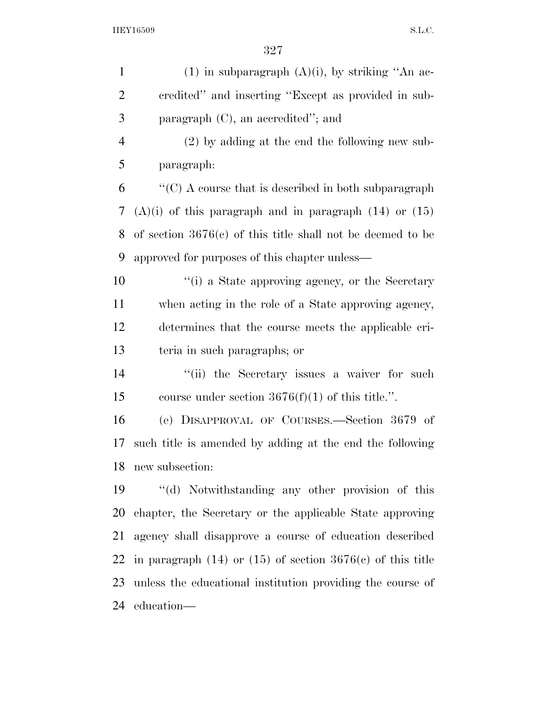| $\mathbf{1}$   | $(1)$ in subparagraph $(A)(i)$ , by striking "An ac-             |
|----------------|------------------------------------------------------------------|
| $\overline{2}$ | credited" and inserting "Except as provided in sub-              |
| 3              | paragraph (C), an accredited"; and                               |
| $\overline{4}$ | $(2)$ by adding at the end the following new sub-                |
| 5              | paragraph:                                                       |
| 6              | $\lq\lq$ C) A course that is described in both subparagraph      |
| 7              | $(A)(i)$ of this paragraph and in paragraph $(14)$ or $(15)$     |
| 8              | of section $3676(c)$ of this title shall not be deemed to be     |
| 9              | approved for purposes of this chapter unless—                    |
| 10             | "(i) a State approving agency, or the Secretary                  |
| 11             | when acting in the role of a State approving agency,             |
| 12             | determines that the course meets the applicable cri-             |
| 13             | teria in such paragraphs; or                                     |
| 14             | "(ii) the Secretary issues a waiver for such                     |
| 15             | course under section $3676(f)(1)$ of this title.".               |
| 16             | (e) DISAPPROVAL OF COURSES.—Section 3679 of                      |
| 17             | such title is amended by adding at the end the following         |
| 18             | new subsection:                                                  |
| 19             | "(d) Notwithstanding any other provision of this                 |
| 20             | chapter, the Secretary or the applicable State approving         |
| 21             | agency shall disapprove a course of education described          |
| 22             | in paragraph $(14)$ or $(15)$ of section $3676(c)$ of this title |
| 23             | unless the educational institution providing the course of       |
| 24             | education—                                                       |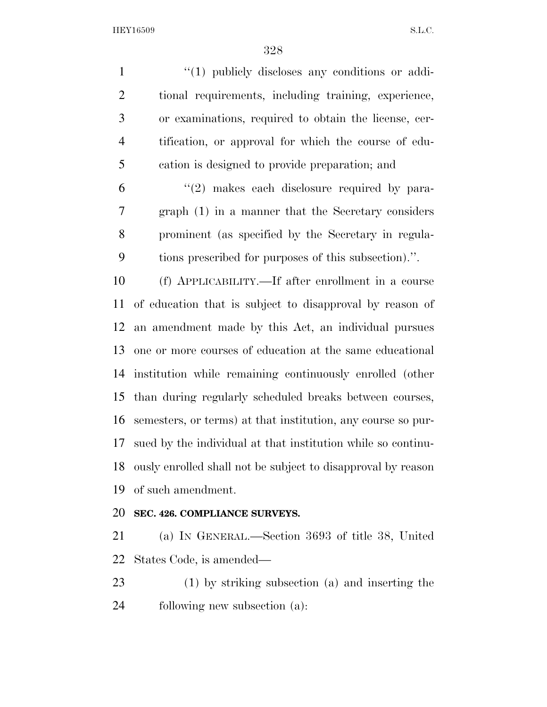$\frac{1}{1}$  (1) publicly discloses any conditions or addi- tional requirements, including training, experience, or examinations, required to obtain the license, cer- tification, or approval for which the course of edu-cation is designed to provide preparation; and

 $(2)$  makes each disclosure required by para- graph (1) in a manner that the Secretary considers prominent (as specified by the Secretary in regula-tions prescribed for purposes of this subsection).''.

 (f) APPLICABILITY.—If after enrollment in a course of education that is subject to disapproval by reason of an amendment made by this Act, an individual pursues one or more courses of education at the same educational institution while remaining continuously enrolled (other than during regularly scheduled breaks between courses, semesters, or terms) at that institution, any course so pur- sued by the individual at that institution while so continu- ously enrolled shall not be subject to disapproval by reason of such amendment.

#### **SEC. 426. COMPLIANCE SURVEYS.**

 (a) IN GENERAL.—Section 3693 of title 38, United States Code, is amended—

 (1) by striking subsection (a) and inserting the following new subsection (a):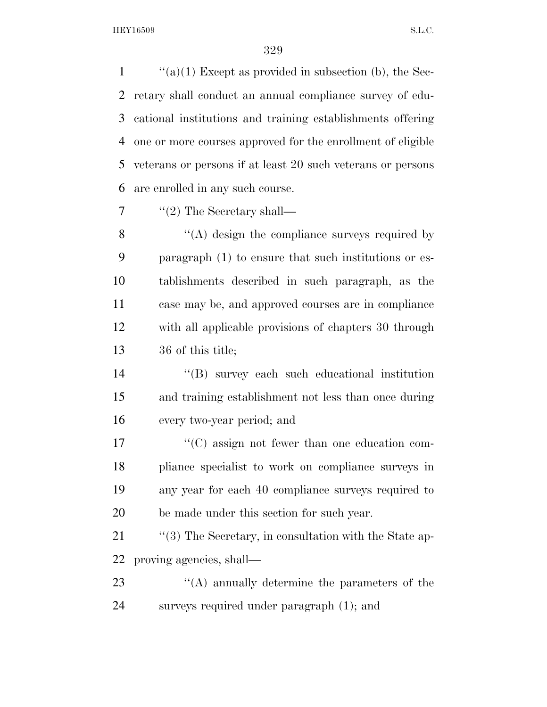$\langle (a)(1) \rangle$  Except as provided in subsection (b), the Sec- retary shall conduct an annual compliance survey of edu- cational institutions and training establishments offering one or more courses approved for the enrollment of eligible veterans or persons if at least 20 such veterans or persons are enrolled in any such course.

 $7 \qquad \text{``(2) The Secretary shall—}$ 

8 "(A) design the compliance surveys required by paragraph (1) to ensure that such institutions or es- tablishments described in such paragraph, as the case may be, and approved courses are in compliance with all applicable provisions of chapters 30 through 36 of this title;

 ''(B) survey each such educational institution and training establishment not less than once during every two-year period; and

 $\langle ^{\prime}(C) \rangle$  assign not fewer than one education com- pliance specialist to work on compliance surveys in any year for each 40 compliance surveys required to be made under this section for such year.

21 ''(3) The Secretary, in consultation with the State ap-proving agencies, shall—

23 ''(A) annually determine the parameters of the surveys required under paragraph (1); and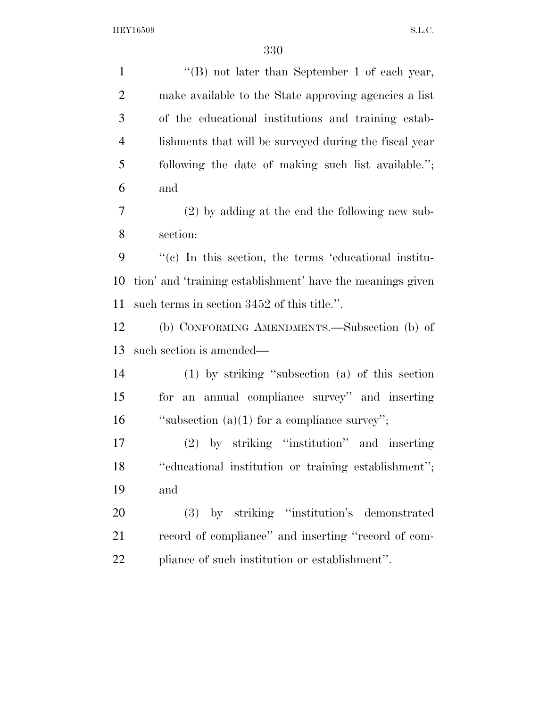''(B) not later than September 1 of each year, make available to the State approving agencies a list of the educational institutions and training estab- lishments that will be surveyed during the fiscal year following the date of making such list available.''; and (2) by adding at the end the following new sub- section: ''(c) In this section, the terms 'educational institu- tion' and 'training establishment' have the meanings given such terms in section 3452 of this title.''. (b) CONFORMING AMENDMENTS.—Subsection (b) of such section is amended— (1) by striking ''subsection (a) of this section for an annual compliance survey'' and inserting ''subsection (a)(1) for a compliance survey''; (2) by striking ''institution'' and inserting ''educational institution or training establishment''; and (3) by striking ''institution's demonstrated record of compliance'' and inserting ''record of com-pliance of such institution or establishment''.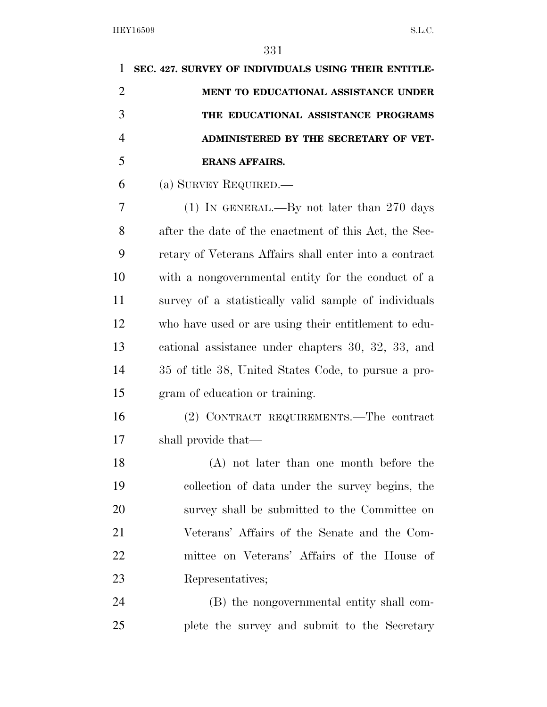| 1              | SEC. 427. SURVEY OF INDIVIDUALS USING THEIR ENTITLE-   |
|----------------|--------------------------------------------------------|
| $\overline{2}$ | MENT TO EDUCATIONAL ASSISTANCE UNDER                   |
| 3              | THE EDUCATIONAL ASSISTANCE PROGRAMS                    |
| $\overline{4}$ | ADMINISTERED BY THE SECRETARY OF VET-                  |
| 5              | <b>ERANS AFFAIRS.</b>                                  |
| 6              | (a) SURVEY REQUIRED.—                                  |
| 7              | $(1)$ IN GENERAL.—By not later than 270 days           |
| 8              | after the date of the enactment of this Act, the Sec-  |
| 9              | retary of Veterans Affairs shall enter into a contract |
| 10             | with a nongovernmental entity for the conduct of a     |
| 11             | survey of a statistically valid sample of individuals  |
| 12             | who have used or are using their entitlement to edu-   |
| 13             | cational assistance under chapters 30, 32, 33, and     |
| 14             | 35 of title 38, United States Code, to pursue a pro-   |
| 15             | gram of education or training.                         |
| 16             | (2) CONTRACT REQUIREMENTS.—The contract                |
| 17             | shall provide that—                                    |
| 18             | (A) not later than one month before the                |
| 19             | collection of data under the survey begins, the        |
| 20             | survey shall be submitted to the Committee on          |
| 21             | Veterans' Affairs of the Senate and the Com-           |
| 22             | mittee on Veterans' Affairs of the House of            |
| 23             | Representatives;                                       |
| 24             | (B) the nongovernmental entity shall com-              |
| 25             | plete the survey and submit to the Secretary           |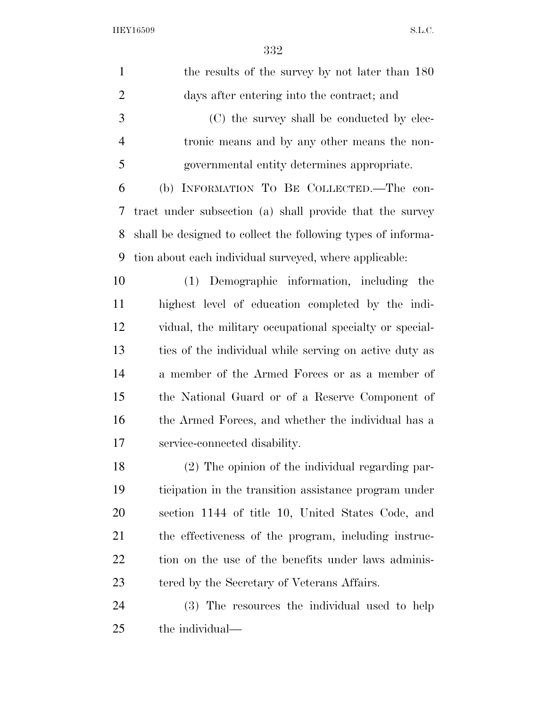| $\mathbf{1}$   | the results of the survey by not later than 180              |
|----------------|--------------------------------------------------------------|
| $\overline{2}$ | days after entering into the contract; and                   |
| 3              | (C) the survey shall be conducted by elec-                   |
| $\overline{4}$ | tronic means and by any other means the non-                 |
| 5              | governmental entity determines appropriate.                  |
| 6              | INFORMATION TO BE COLLECTED.-The con-<br>(b)                 |
| 7              | tract under subsection (a) shall provide that the survey     |
| 8              | shall be designed to collect the following types of informa- |
| 9              | tion about each individual surveyed, where applicable:       |
| 10             | (1) Demographic information, including the                   |
| 11             | highest level of education completed by the indi-            |
| 12             | vidual, the military occupational specialty or special-      |
| 13             | ties of the individual while serving on active duty as       |
| 14             | a member of the Armed Forces or as a member of               |
| 15             | the National Guard or of a Reserve Component of              |
| 16             | the Armed Forces, and whether the individual has a           |
| 17             | service-connected disability.                                |
| 18             | (2) The opinion of the individual regarding par-             |
| 19             | ticipation in the transition assistance program under        |
| 20             | section 1144 of title 10, United States Code, and            |
| 21             | the effectiveness of the program, including instruc-         |
| 22             | tion on the use of the benefits under laws adminis-          |
| 23             | tered by the Secretary of Veterans Affairs.                  |
| 24             | (3) The resources the individual used to help                |
| 25             | the individual—                                              |
|                |                                                              |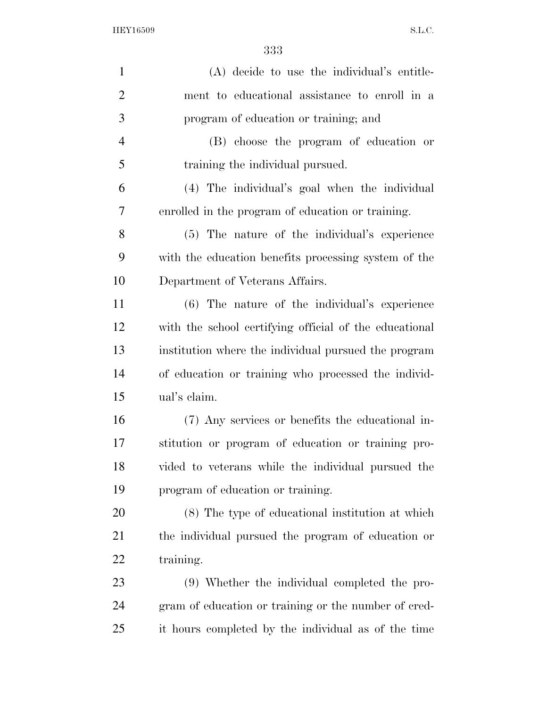| $\mathbf{1}$   | (A) decide to use the individual's entitle-            |
|----------------|--------------------------------------------------------|
| $\overline{2}$ | ment to educational assistance to enroll in a          |
| 3              | program of education or training; and                  |
| $\overline{4}$ | (B) choose the program of education or                 |
| 5              | training the individual pursued.                       |
| 6              | (4) The individual's goal when the individual          |
| 7              | enrolled in the program of education or training.      |
| 8              | (5) The nature of the individual's experience          |
| 9              | with the education benefits processing system of the   |
| 10             | Department of Veterans Affairs.                        |
| 11             | (6) The nature of the individual's experience          |
| 12             | with the school certifying official of the educational |
| 13             | institution where the individual pursued the program   |
| 14             | of education or training who processed the individ-    |
| 15             | ual's claim.                                           |
| 16             | (7) Any services or benefits the educational in-       |
| 17             | stitution or program of education or training pro-     |
| 18             | vided to veterans while the individual pursued the     |
| 19             | program of education or training.                      |
| 20             | (8) The type of educational institution at which       |
| 21             | the individual pursued the program of education or     |
| 22             | training.                                              |
| 23             | (9) Whether the individual completed the pro-          |
| 24             | gram of education or training or the number of cred-   |
| 25             | it hours completed by the individual as of the time    |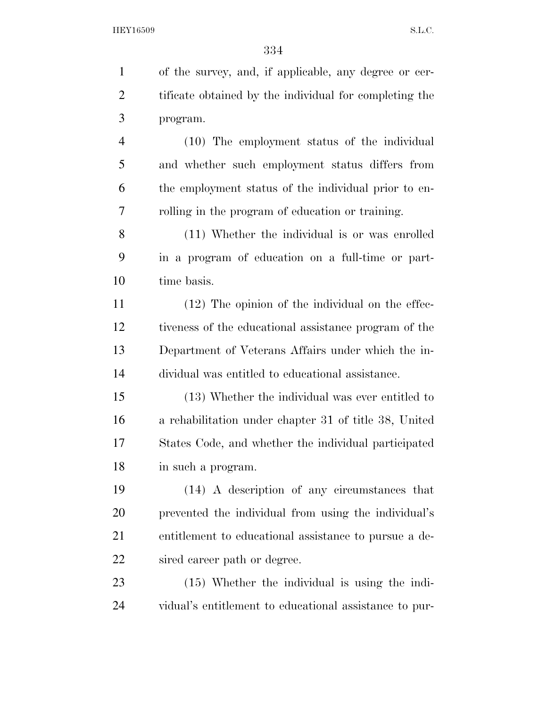| 1              | of the survey, and, if applicable, any degree or cer-  |
|----------------|--------------------------------------------------------|
| $\overline{2}$ | tificate obtained by the individual for completing the |
| 3              | program.                                               |
| $\overline{4}$ | (10) The employment status of the individual           |
| 5              | and whether such employment status differs from        |
| 6              | the employment status of the individual prior to en-   |
| 7              | rolling in the program of education or training.       |
| 8              | (11) Whether the individual is or was enrolled         |
| 9              | in a program of education on a full-time or part-      |
| 10             | time basis.                                            |
| 11             | $(12)$ The opinion of the individual on the effec-     |
| 12             | tiveness of the educational assistance program of the  |
| 13             | Department of Veterans Affairs under which the in-     |
| 14             | dividual was entitled to educational assistance.       |
| 15             | (13) Whether the individual was ever entitled to       |
| 16             | a rehabilitation under chapter 31 of title 38, United  |
| 17             | States Code, and whether the individual participated   |
| 18             | in such a program.                                     |
| 19             | (14) A description of any circumstances that           |
| 20             | prevented the individual from using the individual's   |
| 21             | entitlement to educational assistance to pursue a de-  |
| <u>22</u>      | sired career path or degree.                           |
| 23             | $(15)$ Whether the individual is using the indi-       |
| 24             | vidual's entitlement to educational assistance to pur- |
|                |                                                        |
|                |                                                        |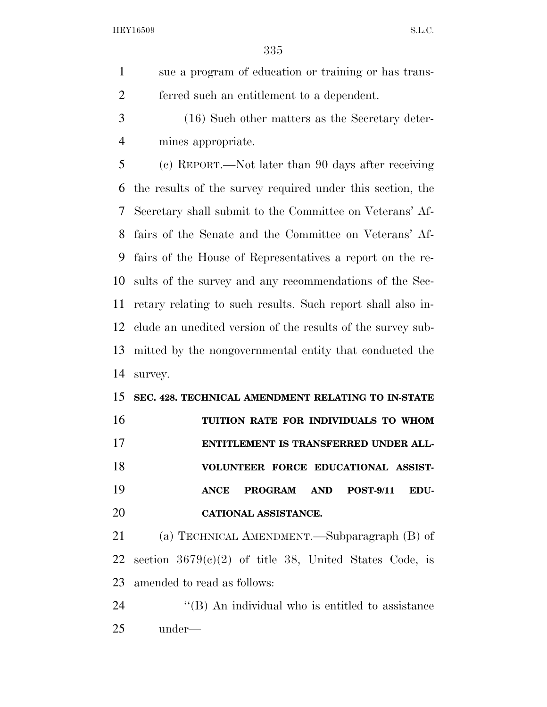sue a program of education or training or has trans-ferred such an entitlement to a dependent.

 (16) Such other matters as the Secretary deter-mines appropriate.

 (c) REPORT.—Not later than 90 days after receiving the results of the survey required under this section, the Secretary shall submit to the Committee on Veterans' Af- fairs of the Senate and the Committee on Veterans' Af- fairs of the House of Representatives a report on the re- sults of the survey and any recommendations of the Sec- retary relating to such results. Such report shall also in- clude an unedited version of the results of the survey sub- mitted by the nongovernmental entity that conducted the survey.

# **SEC. 428. TECHNICAL AMENDMENT RELATING TO IN-STATE TUITION RATE FOR INDIVIDUALS TO WHOM ENTITLEMENT IS TRANSFERRED UNDER ALL- VOLUNTEER FORCE EDUCATIONAL ASSIST- ANCE PROGRAM AND POST-9/11 EDU-CATIONAL ASSISTANCE.**

 (a) TECHNICAL AMENDMENT.—Subparagraph (B) of section 3679(c)(2) of title 38, United States Code, is amended to read as follows:

24  $\langle$  (B) An individual who is entitled to assistance under—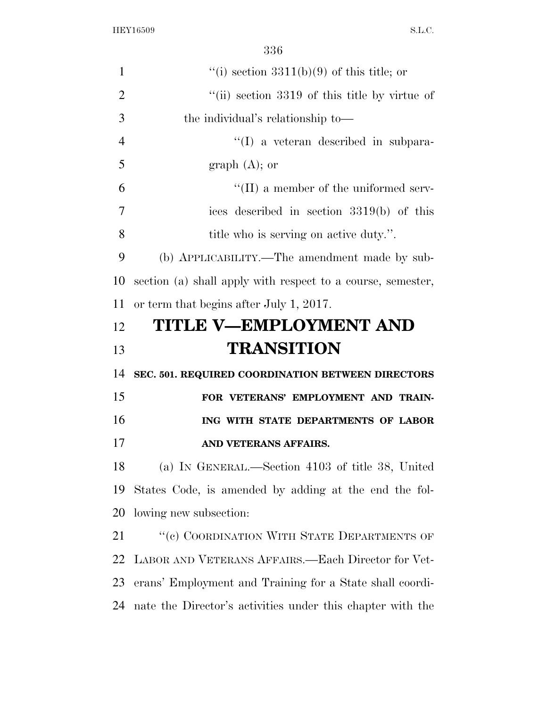| $\mathbf{1}$   | "(i) section $3311(b)(9)$ of this title; or                 |
|----------------|-------------------------------------------------------------|
| $\overline{2}$ | "(ii) section 3319 of this title by virtue of               |
| 3              | the individual's relationship to—                           |
| 4              | $\lq\lq$ a veteran described in subpara-                    |
| 5              | graph $(A)$ ; or                                            |
| 6              | $\lq\lq$ (II) a member of the uniformed serv-               |
| 7              | ices described in section 3319(b) of this                   |
| 8              | title who is serving on active duty.".                      |
| 9              | (b) APPLICABILITY.—The amendment made by sub-               |
| 10             | section (a) shall apply with respect to a course, semester, |
| 11             | or term that begins after July 1, 2017.                     |
| 12             | <b>TITLE V-EMPLOYMENT AND</b>                               |
| 13             | <b>TRANSITION</b>                                           |
| 14             | SEC. 501. REQUIRED COORDINATION BETWEEN DIRECTORS           |
| 15             | FOR VETERANS' EMPLOYMENT AND TRAIN-                         |
| 16             | ING WITH STATE DEPARTMENTS OF LABOR                         |
| 17             | AND VETERANS AFFAIRS.                                       |
| 18             | (a) IN GENERAL.—Section 4103 of title 38, United            |
| 19             | States Code, is amended by adding at the end the fol-       |
| 20             |                                                             |
|                | lowing new subsection:                                      |
| 21             | "(c) COORDINATION WITH STATE DEPARTMENTS OF                 |
| 22             | LABOR AND VETERANS AFFAIRS.—Each Director for Vet-          |
| 23             | erans' Employment and Training for a State shall coordi-    |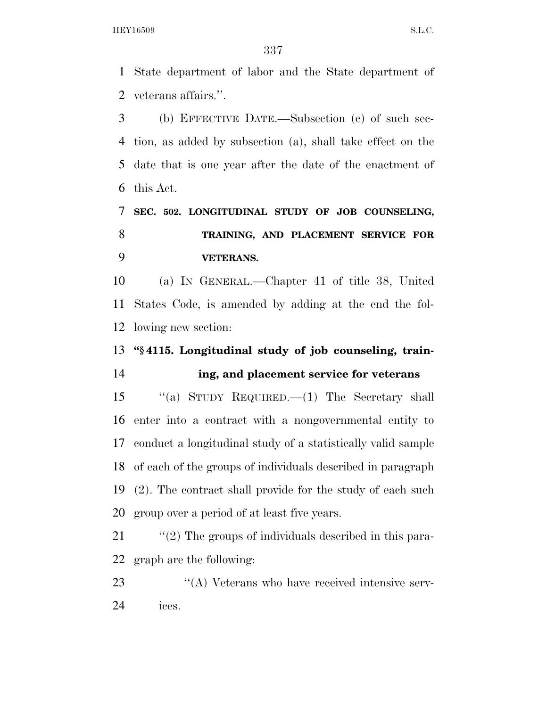State department of labor and the State department of veterans affairs.''.

 (b) EFFECTIVE DATE.—Subsection (c) of such sec- tion, as added by subsection (a), shall take effect on the date that is one year after the date of the enactment of this Act.

 **SEC. 502. LONGITUDINAL STUDY OF JOB COUNSELING, TRAINING, AND PLACEMENT SERVICE FOR VETERANS.** 

 (a) IN GENERAL.—Chapter 41 of title 38, United States Code, is amended by adding at the end the fol-lowing new section:

 **''§ 4115. Longitudinal study of job counseling, train-ing, and placement service for veterans** 

 ''(a) STUDY REQUIRED.—(1) The Secretary shall enter into a contract with a nongovernmental entity to conduct a longitudinal study of a statistically valid sample of each of the groups of individuals described in paragraph (2). The contract shall provide for the study of each such group over a period of at least five years.

21 ''(2) The groups of individuals described in this para-graph are the following:

23 "(A) Veterans who have received intensive serv-ices.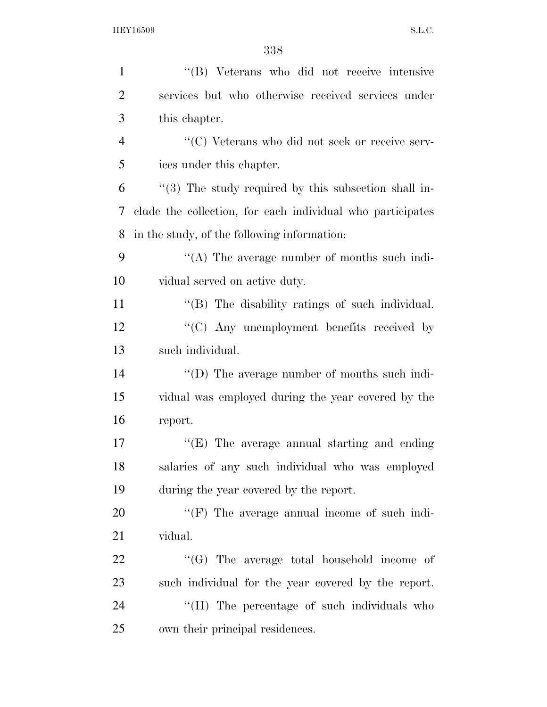| $\mathbf{1}$   | "(B) Veterans who did not receive intensive                |
|----------------|------------------------------------------------------------|
| $\overline{2}$ | services but who otherwise received services under         |
| 3              | this chapter.                                              |
| $\overline{4}$ | "(C) Veterans who did not seek or receive serv-            |
| 5              | ices under this chapter.                                   |
| 6              | $(3)$ The study required by this subsection shall in-      |
| 7              | clude the collection, for each individual who participates |
| 8              | in the study, of the following information:                |
| 9              | "(A) The average number of months such indi-               |
| 10             | vidual served on active duty.                              |
| 11             | "(B) The disability ratings of such individual.            |
| 12             | "(C) Any unemployment benefits received by                 |
| 13             | such individual.                                           |
| 14             | "(D) The average number of months such indi-               |
| 15             | vidual was employed during the year covered by the         |
| 16             | report.                                                    |
| 17             | $\lq\lq$ (E) The average annual starting and ending        |
| 18             | salaries of any such individual who was employed           |
| 19             | during the year covered by the report.                     |
| 20             | $\lq\lq(F)$ The average annual income of such indi-        |
| 21             | vidual.                                                    |
| 22             | " $(G)$ The average total household income of              |
| 23             | such individual for the year covered by the report.        |
| 24             | "(H) The percentage of such individuals who                |
| 25             | own their principal residences.                            |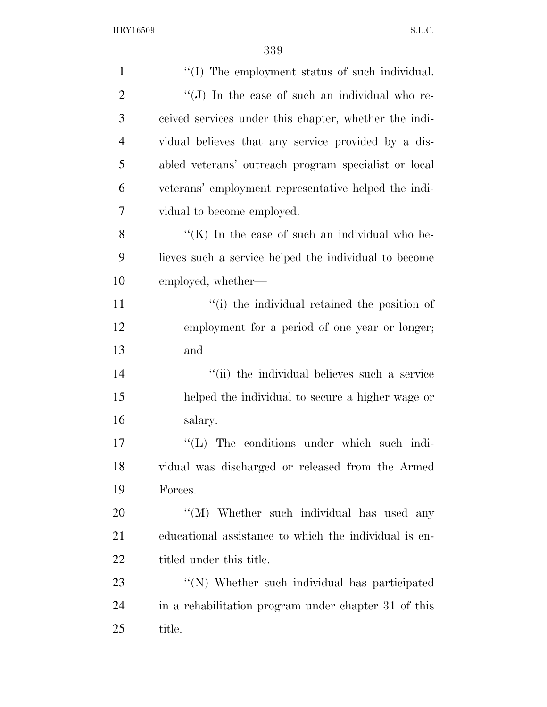| $\mathbf{1}$   | "(I) The employment status of such individual.        |
|----------------|-------------------------------------------------------|
| $\overline{2}$ | " $(J)$ In the case of such an individual who re-     |
| 3              | ceived services under this chapter, whether the indi- |
| $\overline{4}$ | vidual believes that any service provided by a dis-   |
| 5              | abled veterans' outreach program specialist or local  |
| 6              | veterans' employment representative helped the indi-  |
| 7              | vidual to become employed.                            |
| 8              | "(K) In the case of such an individual who be-        |
| 9              | lieves such a service helped the individual to become |
| 10             | employed, whether—                                    |
| 11             | "(i) the individual retained the position of          |
| 12             | employment for a period of one year or longer;        |
| 13             | and                                                   |
| 14             | "(ii) the individual believes such a service          |
| 15             | helped the individual to secure a higher wage or      |
| 16             | salary.                                               |
| 17             | $\lq\lq$ . The conditions under which such indi-      |
| 18             | vidual was discharged or released from the Armed      |
| 19             | Forces.                                               |
| 20             | "(M) Whether such individual has used any             |
| 21             | educational assistance to which the individual is en- |
| 22             | titled under this title.                              |
| 23             | "(N) Whether such individual has participated         |
| 24             | in a rehabilitation program under chapter 31 of this  |
| 25             | title.                                                |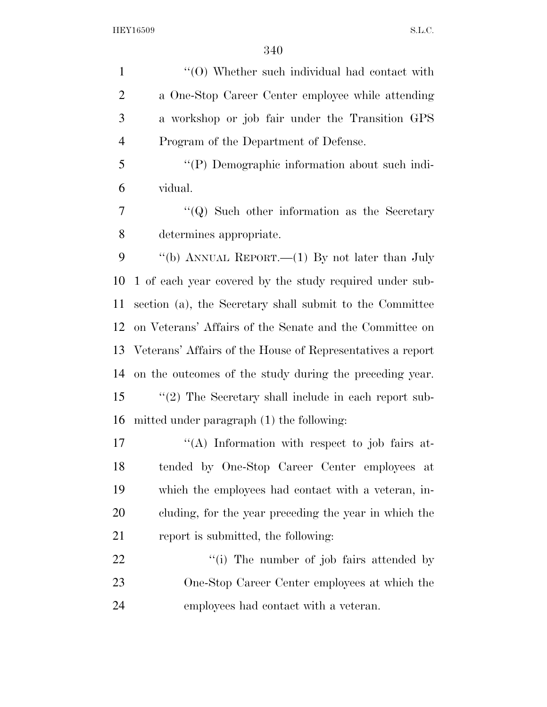1 ''(0) Whether such individual had contact with a One-Stop Career Center employee while attending a workshop or job fair under the Transition GPS Program of the Department of Defense. ''(P) Demographic information about such indi-vidual.

 ''(Q) Such other information as the Secretary determines appropriate.

 ''(b) ANNUAL REPORT.—(1) By not later than July 1 of each year covered by the study required under sub- section (a), the Secretary shall submit to the Committee on Veterans' Affairs of the Senate and the Committee on Veterans' Affairs of the House of Representatives a report on the outcomes of the study during the preceding year. ''(2) The Secretary shall include in each report sub-mitted under paragraph (1) the following:

17 "(A) Information with respect to job fairs at- tended by One-Stop Career Center employees at which the employees had contact with a veteran, in- cluding, for the year preceding the year in which the report is submitted, the following:

22 ''(i) The number of job fairs attended by One-Stop Career Center employees at which the employees had contact with a veteran.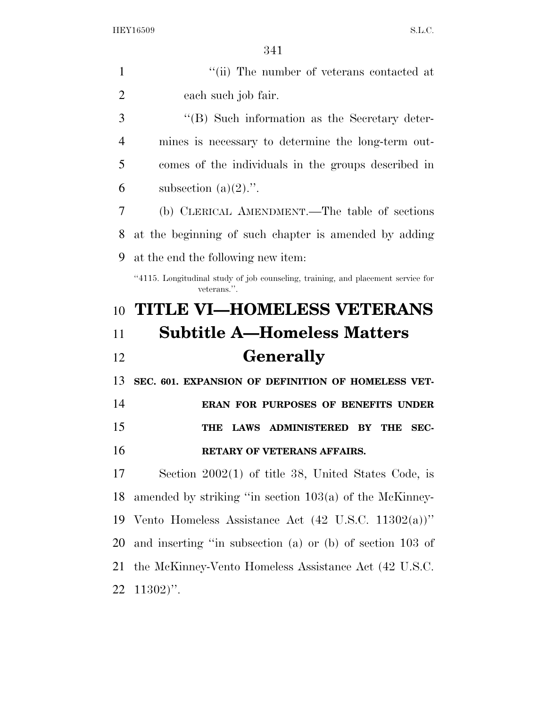$0.41$ 

|                | 341                                                                                             |
|----------------|-------------------------------------------------------------------------------------------------|
| $\mathbf{1}$   | "(ii) The number of veterans contacted at                                                       |
| $\overline{2}$ | each such job fair.                                                                             |
| 3              | "(B) Such information as the Secretary deter-                                                   |
| 4              | mines is necessary to determine the long-term out-                                              |
| 5              | comes of the individuals in the groups described in                                             |
| 6              | subsection $(a)(2)$ .".                                                                         |
| 7              | (b) CLERICAL AMENDMENT.—The table of sections                                                   |
| 8              | at the beginning of such chapter is amended by adding                                           |
| 9              | at the end the following new item:                                                              |
|                | "4115. Longitudinal study of job counseling, training, and placement service for<br>veterans.". |
|                |                                                                                                 |
| 10             | <b>TITLE VI-HOMELESS VETERANS</b>                                                               |
| 11             | <b>Subtitle A—Homeless Matters</b>                                                              |
| 12             | <b>Generally</b>                                                                                |
| 13             | SEC. 601. EXPANSION OF DEFINITION OF HOMELESS VET-                                              |
| 14             | ERAN FOR PURPOSES OF BENEFITS UNDER                                                             |
| 15             | <b>LAWS ADMINISTERED</b><br>THE<br>THE<br>SEC-<br>BY                                            |
| 16             | <b>RETARY OF VETERANS AFFAIRS.</b>                                                              |
| 17             | Section $2002(1)$ of title 38, United States Code, is                                           |
| 18             | amended by striking "in section $103(a)$ of the McKinney-                                       |
| 19             | Vento Homeless Assistance Act $(42 \text{ U.S.C. } 11302(a))$ "                                 |

 the McKinney-Vento Homeless Assistance Act (42 U.S.C. 11302)''.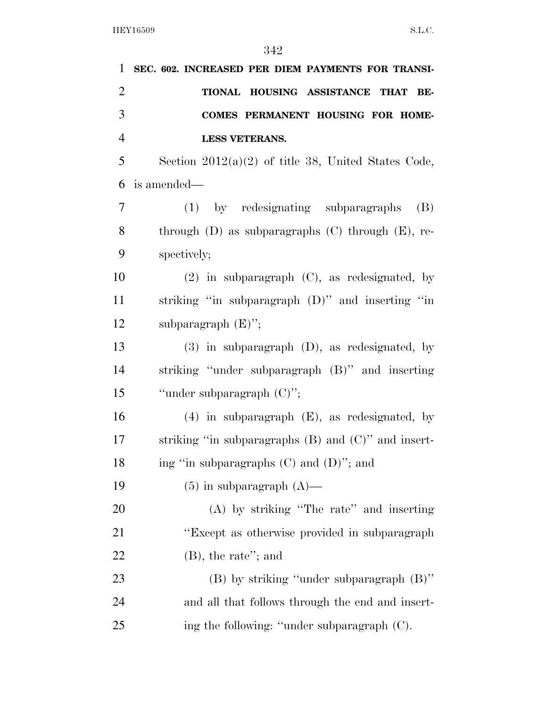| 1              | SEC. 602. INCREASED PER DIEM PAYMENTS FOR TRANSI-        |
|----------------|----------------------------------------------------------|
| $\overline{2}$ | TIONAL HOUSING ASSISTANCE THAT<br>BE-                    |
| 3              | COMES PERMANENT HOUSING FOR HOME-                        |
| $\overline{4}$ | <b>LESS VETERANS.</b>                                    |
| 5              | Section $2012(a)(2)$ of title 38, United States Code,    |
| 6              | is amended—                                              |
| 7              | (1) by redesignating subparagraphs<br>(B)                |
| 8              | through $(D)$ as subparagraphs $(C)$ through $(E)$ , re- |
| 9              | spectively;                                              |
| 10             | $(2)$ in subparagraph $(C)$ , as redesignated, by        |
| 11             | striking "in subparagraph $(D)$ " and inserting "in      |
| 12             | subparagraph $(E)$ ";                                    |
| 13             | $(3)$ in subparagraph $(D)$ , as redesignated, by        |
| 14             | striking "under subparagraph (B)" and inserting          |
| 15             | "under subparagraph $(C)$ ";                             |
| 16             | $(4)$ in subparagraph $(E)$ , as redesignated, by        |
| 17             | striking "in subparagraphs $(B)$ and $(C)$ " and insert- |
| 18             | ing "in subparagraphs $(C)$ and $(D)$ "; and             |
| 19             | $(5)$ in subparagraph $(A)$ —                            |
| 20             | $(A)$ by striking "The rate" and inserting               |
| 21             | "Except as otherwise provided in subparagraph"           |
| 22             | $(B)$ , the rate"; and                                   |
| 23             | $(B)$ by striking "under subparagraph $(B)$ "            |
| 24             | and all that follows through the end and insert-         |
| 25             | ing the following: "under subparagraph (C).              |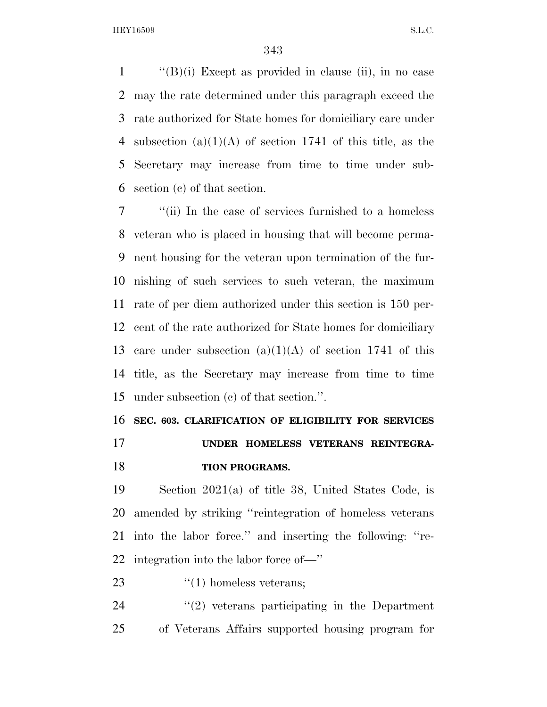$\langle$  (B)(i) Except as provided in clause (ii), in no case may the rate determined under this paragraph exceed the rate authorized for State homes for domiciliary care under 4 subsection  $(a)(1)(A)$  of section 1741 of this title, as the Secretary may increase from time to time under sub-section (c) of that section.

 ''(ii) In the case of services furnished to a homeless veteran who is placed in housing that will become perma- nent housing for the veteran upon termination of the fur- nishing of such services to such veteran, the maximum rate of per diem authorized under this section is 150 per- cent of the rate authorized for State homes for domiciliary 13 care under subsection  $(a)(1)(A)$  of section 1741 of this title, as the Secretary may increase from time to time under subsection (c) of that section.''.

**SEC. 603. CLARIFICATION OF ELIGIBILITY FOR SERVICES** 

 **UNDER HOMELESS VETERANS REINTEGRA-TION PROGRAMS.** 

 Section 2021(a) of title 38, United States Code, is amended by striking ''reintegration of homeless veterans into the labor force.'' and inserting the following: ''re-integration into the labor force of—''

23  $\frac{1}{2}$   $\frac{1}{2}$  homeless veterans;

  $(2)$  veterans participating in the Department of Veterans Affairs supported housing program for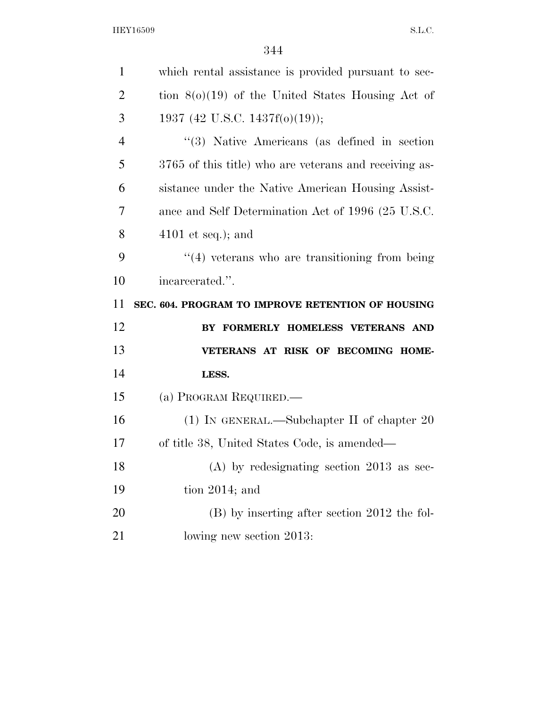| $\mathbf{1}$   | which rental assistance is provided pursuant to sec-   |
|----------------|--------------------------------------------------------|
| $\overline{2}$ | tion $8(0)(19)$ of the United States Housing Act of    |
| 3              | 1937 (42 U.S.C. 1437f(o)(19));                         |
| $\overline{4}$ | $(3)$ Native Americans (as defined in section)         |
| 5              | 3765 of this title) who are veterans and receiving as- |
| 6              | sistance under the Native American Housing Assist-     |
| 7              | ance and Self Determination Act of 1996 (25 U.S.C.     |
| 8              | $4101$ et seq.); and                                   |
| 9              | $\cdot$ (4) veterans who are transitioning from being  |
| 10             | incarcerated.".                                        |
|                |                                                        |
| 11             | SEC. 604. PROGRAM TO IMPROVE RETENTION OF HOUSING      |
| 12             | BY FORMERLY HOMELESS VETERANS AND                      |
| 13             | VETERANS AT RISK OF BECOMING HOME-                     |
| 14             | LESS.                                                  |
| 15             | (a) PROGRAM REQUIRED.—                                 |
| 16             | (1) IN GENERAL.—Subchapter II of chapter $20$          |
| 17             | of title 38, United States Code, is amended—           |
| 18             | $(A)$ by redesignating section 2013 as sec-            |
| 19             | tion $2014$ ; and                                      |
| 20             | $(B)$ by inserting after section 2012 the fol-         |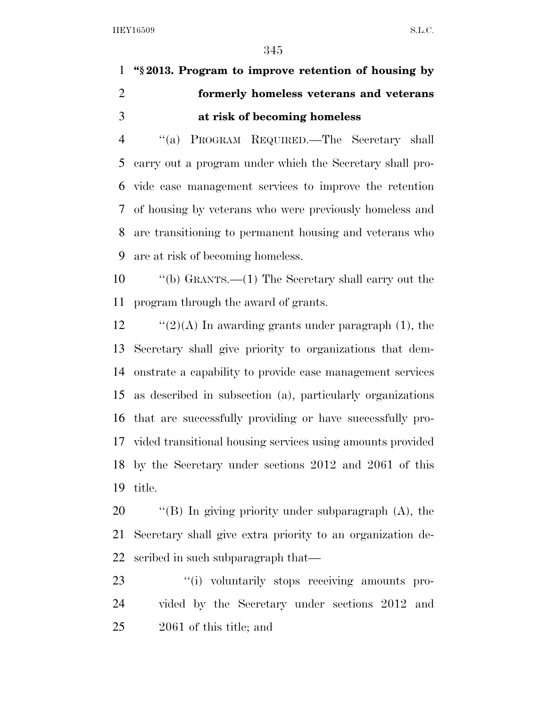## **''§ 2013. Program to improve retention of housing by formerly homeless veterans and veterans at risk of becoming homeless**

 ''(a) PROGRAM REQUIRED.—The Secretary shall carry out a program under which the Secretary shall pro- vide case management services to improve the retention of housing by veterans who were previously homeless and are transitioning to permanent housing and veterans who are at risk of becoming homeless.

 ''(b) GRANTS.—(1) The Secretary shall carry out the program through the award of grants.

 $\frac{1}{2}$  (2)(A) In awarding grants under paragraph (1), the Secretary shall give priority to organizations that dem- onstrate a capability to provide case management services as described in subsection (a), particularly organizations that are successfully providing or have successfully pro- vided transitional housing services using amounts provided by the Secretary under sections 2012 and 2061 of this title.

 ''(B) In giving priority under subparagraph (A), the Secretary shall give extra priority to an organization de-scribed in such subparagraph that—

23  $\frac{1}{2}$   $\frac{1}{2}$  voluntarily stops receiving amounts pro- vided by the Secretary under sections 2012 and 2061 of this title; and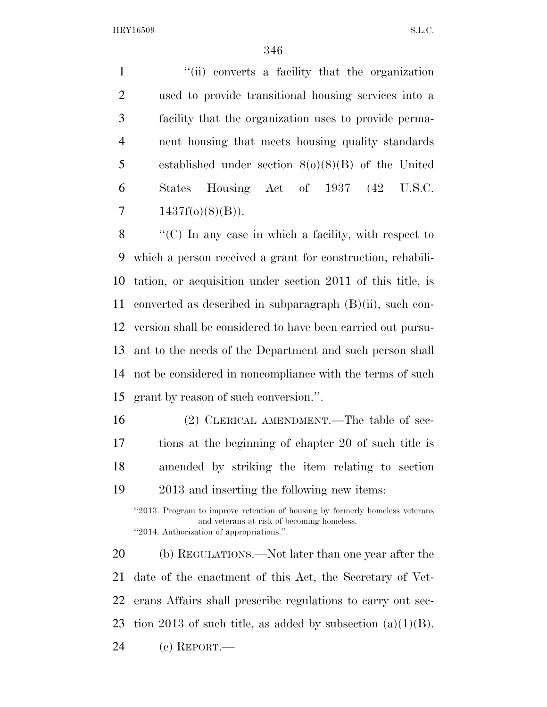1 ''(ii) converts a facility that the organization used to provide transitional housing services into a facility that the organization uses to provide perma- nent housing that meets housing quality standards established under section 8(o)(8)(B) of the United States Housing Act of 1937 (42 U.S.C.  $1437f(0)(8)(B)$ .

 ''(C) In any case in which a facility, with respect to which a person received a grant for construction, rehabili- tation, or acquisition under section 2011 of this title, is converted as described in subparagraph (B)(ii), such con- version shall be considered to have been carried out pursu- ant to the needs of the Department and such person shall not be considered in noncompliance with the terms of such grant by reason of such conversion.''.

 (2) CLERICAL AMENDMENT.—The table of sec- tions at the beginning of chapter 20 of such title is amended by striking the item relating to section 2013 and inserting the following new items:

''2013. Program to improve retention of housing by formerly homeless veterans and veterans at risk of becoming homeless. ''2014. Authorization of appropriations.''.

 (b) REGULATIONS.—Not later than one year after the date of the enactment of this Act, the Secretary of Vet- erans Affairs shall prescribe regulations to carry out sec-23 tion 2013 of such title, as added by subsection  $(a)(1)(B)$ .

(c) REPORT.—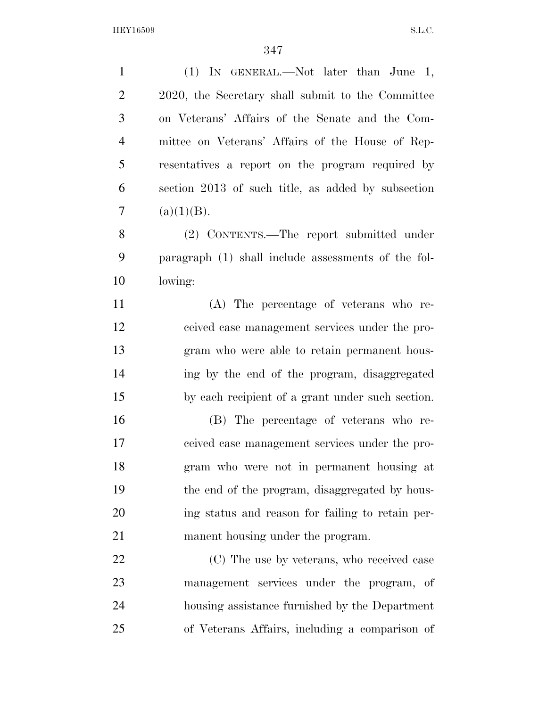| $\mathbf{1}$   | (1) IN GENERAL.—Not later than June 1,              |
|----------------|-----------------------------------------------------|
| $\overline{2}$ | 2020, the Secretary shall submit to the Committee   |
| 3              | on Veterans' Affairs of the Senate and the Com-     |
| $\overline{4}$ | mittee on Veterans' Affairs of the House of Rep-    |
| 5              | resentatives a report on the program required by    |
| 6              | section 2013 of such title, as added by subsection  |
| $\overline{7}$ | (a)(1)(B).                                          |
| 8              | (2) CONTENTS.—The report submitted under            |
| 9              | paragraph (1) shall include assessments of the fol- |
| 10             | lowing:                                             |
| 11             | (A) The percentage of veterans who re-              |
| 12             | ceived case management services under the pro-      |
| 13             | gram who were able to retain permanent hous-        |
| 14             | ing by the end of the program, disaggregated        |
| 15             | by each recipient of a grant under such section.    |
| 16             | (B) The percentage of veterans who re-              |
| 17             | ceived case management services under the pro-      |
| 18             | gram who were not in permanent housing at           |
| 19             | the end of the program, disaggregated by hous-      |
| 20             | ing status and reason for failing to retain per-    |
| 21             | manent housing under the program.                   |
| 22             | (C) The use by veterans, who received case          |
| 23             | management services under the program, of           |
| 24             | housing assistance furnished by the Department      |
| 25             | of Veterans Affairs, including a comparison of      |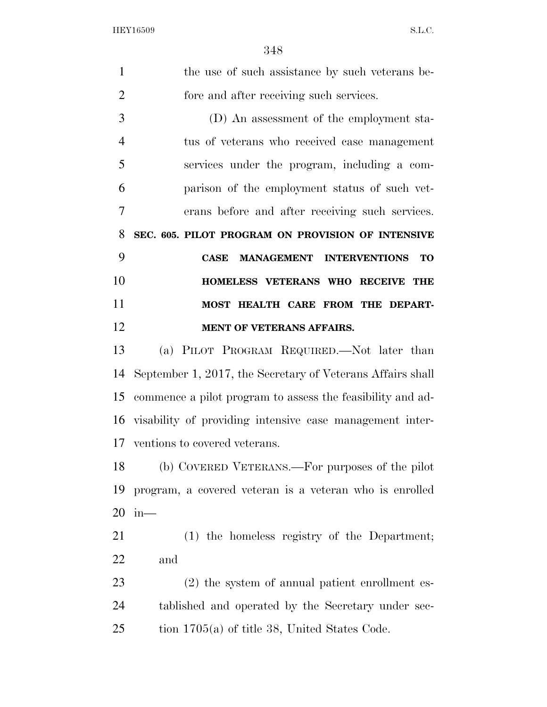| $\mathbf{1}$   | the use of such assistance by such veterans be-             |
|----------------|-------------------------------------------------------------|
| $\mathfrak{2}$ | fore and after receiving such services.                     |
| 3              | (D) An assessment of the employment sta-                    |
| 4              | tus of veterans who received case management                |
| 5              | services under the program, including a com-                |
| 6              | parison of the employment status of such vet-               |
| 7              | erans before and after receiving such services.             |
| 8              | SEC. 605. PILOT PROGRAM ON PROVISION OF INTENSIVE           |
| 9              | <b>MANAGEMENT INTERVENTIONS</b><br><b>TO</b><br><b>CASE</b> |
| 10             | HOMELESS VETERANS WHO RECEIVE THE                           |
| 11             | MOST HEALTH CARE FROM THE DEPART-                           |
| 12             | MENT OF VETERANS AFFAIRS.                                   |
| 13             | (a) PILOT PROGRAM REQUIRED.—Not later than                  |
| 14             | September 1, 2017, the Secretary of Veterans Affairs shall  |
| 15             | commence a pilot program to assess the feasibility and ad-  |
|                | 16 visability of providing intensive case management inter- |
|                | 17 ventions to covered veterans.                            |
| 18             | (b) COVERED VETERANS.—For purposes of the pilot             |
| 19             |                                                             |
|                | program, a covered veteran is a veteran who is enrolled     |
| 20             | $in-$                                                       |
| 21             | (1) the homeless registry of the Department;                |
| 22             | and                                                         |
| 23             | (2) the system of annual patient enrollment es-             |
| 24             | tablished and operated by the Secretary under sec-          |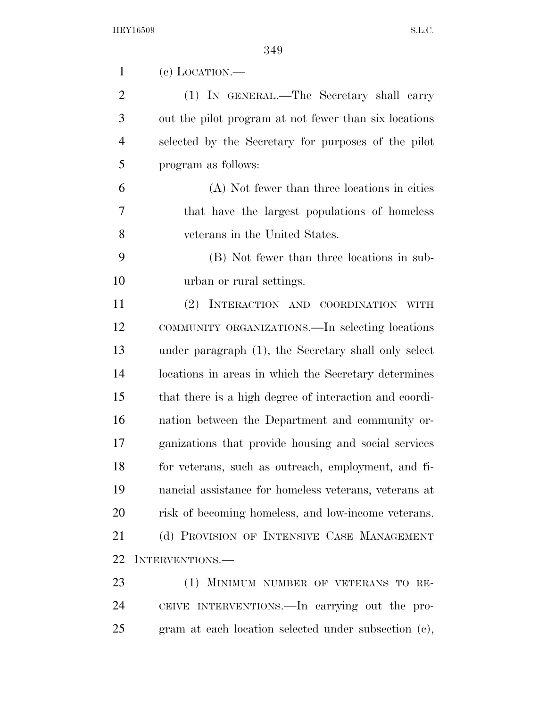| 1              | $(e)$ LOCATION.—                                       |
|----------------|--------------------------------------------------------|
| $\overline{2}$ | (1) IN GENERAL.—The Secretary shall carry              |
| 3              | out the pilot program at not fewer than six locations  |
| $\overline{4}$ | selected by the Secretary for purposes of the pilot    |
| 5              | program as follows:                                    |
| 6              | (A) Not fewer than three locations in cities           |
| 7              | that have the largest populations of homeless          |
| 8              | veterans in the United States.                         |
| 9              | (B) Not fewer than three locations in sub-             |
| 10             | urban or rural settings.                               |
| 11             | (2) INTERACTION AND COORDINATION WITH                  |
| 12             | COMMUNITY ORGANIZATIONS.—In selecting locations        |
| 13             | under paragraph (1), the Secretary shall only select   |
| 14             | locations in areas in which the Secretary determines   |
| 15             | that there is a high degree of interaction and coordi- |
| 16             | nation between the Department and community or-        |
| 17             | ganizations that provide housing and social services   |
| 18             | for veterans, such as outreach, employment, and fi-    |
| 19             | nancial assistance for homeless veterans, veterans at  |
| 20             | risk of becoming homeless, and low-income veterans.    |
| 21             | (d) PROVISION OF INTENSIVE CASE MANAGEMENT             |
| 22             | INTERVENTIONS.—                                        |
| 23             | (1) MINIMUM NUMBER OF VETERANS TO RE-                  |
| 24             | CEIVE INTERVENTIONS.—In carrying out the pro-          |
| 25             | gram at each location selected under subsection (c),   |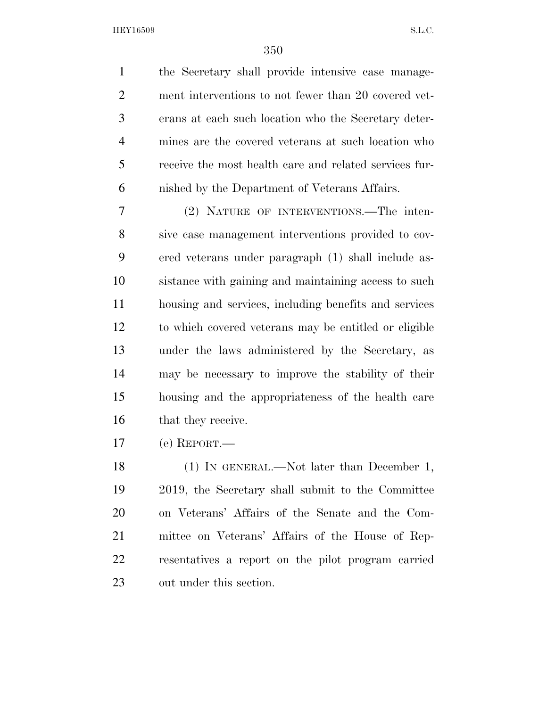the Secretary shall provide intensive case manage- ment interventions to not fewer than 20 covered vet- erans at each such location who the Secretary deter- mines are the covered veterans at such location who receive the most health care and related services fur-nished by the Department of Veterans Affairs.

 (2) NATURE OF INTERVENTIONS.—The inten- sive case management interventions provided to cov- ered veterans under paragraph (1) shall include as- sistance with gaining and maintaining access to such housing and services, including benefits and services to which covered veterans may be entitled or eligible under the laws administered by the Secretary, as may be necessary to improve the stability of their housing and the appropriateness of the health care that they receive.

(e) REPORT.—

18 (1) IN GENERAL.—Not later than December 1, 2019, the Secretary shall submit to the Committee on Veterans' Affairs of the Senate and the Com- mittee on Veterans' Affairs of the House of Rep- resentatives a report on the pilot program carried out under this section.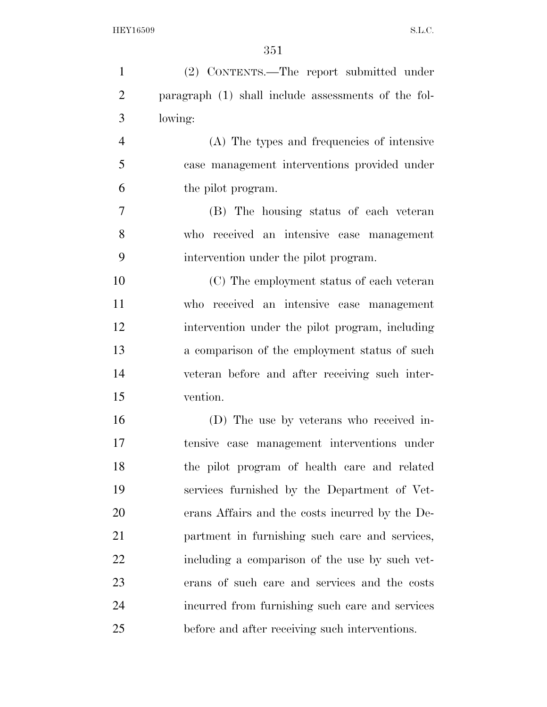| $\mathbf{1}$   | (2) CONTENTS.—The report submitted under            |
|----------------|-----------------------------------------------------|
| $\overline{2}$ | paragraph (1) shall include assessments of the fol- |
| 3              | lowing:                                             |
| $\overline{4}$ | (A) The types and frequencies of intensive          |
| 5              | case management interventions provided under        |
| 6              | the pilot program.                                  |
| 7              | (B) The housing status of each veteran              |
| 8              | who received an intensive case management           |
| 9              | intervention under the pilot program.               |
| 10             | (C) The employment status of each veteran           |
| 11             | who received an intensive case management           |
| 12             | intervention under the pilot program, including     |
| 13             | a comparison of the employment status of such       |
| 14             | veteran before and after receiving such inter-      |
| 15             | vention.                                            |
| 16             | (D) The use by veterans who received in-            |
| 17             | tensive case management interventions under         |
| 18             | the pilot program of health care and related        |
| 19             | services furnished by the Department of Vet-        |
| 20             | erans Affairs and the costs incurred by the De-     |
| 21             | partment in furnishing such care and services,      |
| 22             | including a comparison of the use by such vet-      |
| 23             | erans of such care and services and the costs       |
| 24             | incurred from furnishing such care and services     |
| 25             | before and after receiving such interventions.      |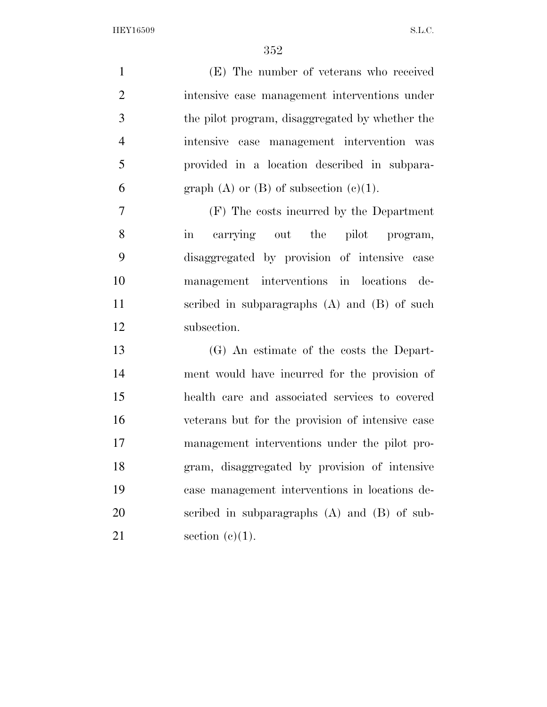| $\mathbf{1}$   | (E) The number of veterans who received          |
|----------------|--------------------------------------------------|
| $\overline{2}$ | intensive case management interventions under    |
| 3              | the pilot program, disaggregated by whether the  |
| $\overline{4}$ | intensive case management intervention was       |
| 5              | provided in a location described in subpara-     |
| 6              | graph $(A)$ or $(B)$ of subsection $(c)(1)$ .    |
| 7              | (F) The costs incurred by the Department         |
| 8              | carrying out the pilot program,<br>in            |
| 9              | disaggregated by provision of intensive case     |
| 10             | management interventions in locations de-        |
| 11             | scribed in subparagraphs $(A)$ and $(B)$ of such |
| 12             | subsection.                                      |
| 13             | (G) An estimate of the costs the Depart-         |
| 14             | ment would have incurred for the provision of    |
| 15             | health care and associated services to covered   |
| 16             | veterans but for the provision of intensive case |
| 17             | management interventions under the pilot pro-    |
| 18             | gram, disaggregated by provision of intensive    |
| 19             | case management interventions in locations de-   |
| 20             | scribed in subparagraphs $(A)$ and $(B)$ of sub- |
| 21             | section $(c)(1)$ .                               |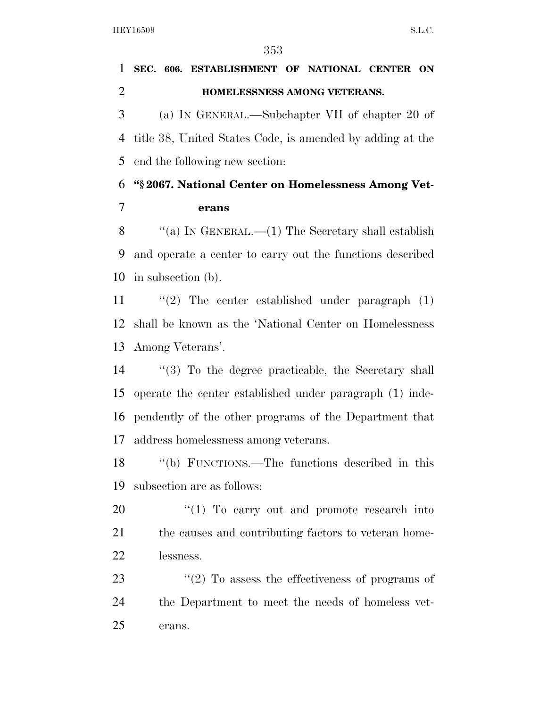## **SEC. 606. ESTABLISHMENT OF NATIONAL CENTER ON HOMELESSNESS AMONG VETERANS.**  (a) IN GENERAL.—Subchapter VII of chapter 20 of

 title 38, United States Code, is amended by adding at the end the following new section:

### **''§ 2067. National Center on Homelessness Among Vet-erans**

8  $\langle$  (a) IN GENERAL.—(1) The Secretary shall establish and operate a center to carry out the functions described in subsection (b).

 ''(2) The center established under paragraph (1) shall be known as the 'National Center on Homelessness Among Veterans'.

 ''(3) To the degree practicable, the Secretary shall operate the center established under paragraph (1) inde- pendently of the other programs of the Department that address homelessness among veterans.

 ''(b) FUNCTIONS.—The functions described in this subsection are as follows:

20 "(1) To carry out and promote research into 21 the causes and contributing factors to veteran home-lessness.

23  $\frac{1}{2}$  To assess the effectiveness of programs of the Department to meet the needs of homeless vet-erans.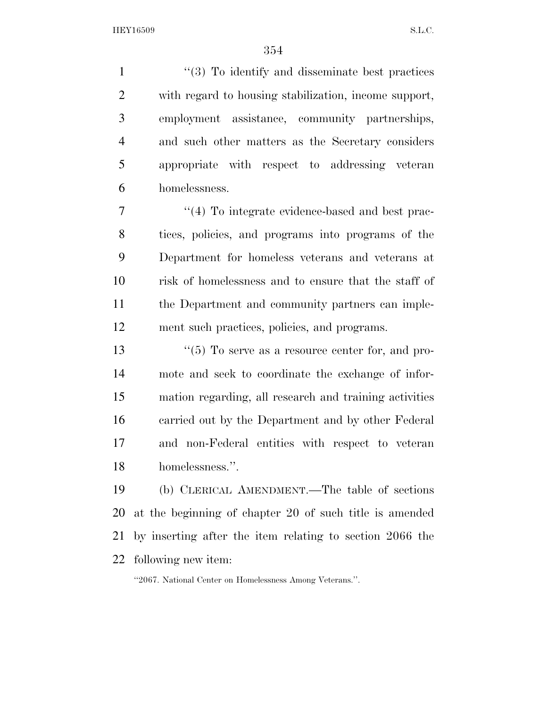1 ''(3) To identify and disseminate best practices with regard to housing stabilization, income support, employment assistance, community partnerships, and such other matters as the Secretary considers appropriate with respect to addressing veteran homelessness.

 $\frac{1}{4}$  To integrate evidence-based and best prac- tices, policies, and programs into programs of the Department for homeless veterans and veterans at risk of homelessness and to ensure that the staff of the Department and community partners can imple-ment such practices, policies, and programs.

 $\frac{13}{10}$  To serve as a resource center for, and pro- mote and seek to coordinate the exchange of infor- mation regarding, all research and training activities carried out by the Department and by other Federal and non-Federal entities with respect to veteran homelessness.''.

 (b) CLERICAL AMENDMENT.—The table of sections at the beginning of chapter 20 of such title is amended by inserting after the item relating to section 2066 the following new item:

''2067. National Center on Homelessness Among Veterans.''.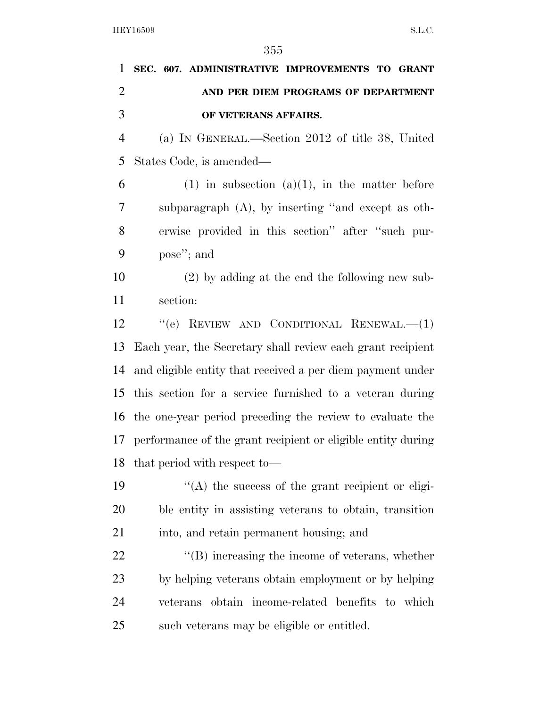| 1              | SEC. 607. ADMINISTRATIVE IMPROVEMENTS TO GRANT                  |
|----------------|-----------------------------------------------------------------|
| $\overline{2}$ | AND PER DIEM PROGRAMS OF DEPARTMENT                             |
| 3              | OF VETERANS AFFAIRS.                                            |
| $\overline{4}$ | (a) IN GENERAL.—Section 2012 of title 38, United                |
| 5              | States Code, is amended—                                        |
| 6              | $(1)$ in subsection $(a)(1)$ , in the matter before             |
| 7              | subparagraph (A), by inserting "and except as oth-              |
| 8              | erwise provided in this section" after "such pur-               |
| 9              | pose"; and                                                      |
| 10             | $(2)$ by adding at the end the following new sub-               |
| 11             | section:                                                        |
| 12             | "(e) REVIEW AND CONDITIONAL RENEWAL.— $(1)$                     |
| 13             | Each year, the Secretary shall review each grant recipient      |
| 14             | and eligible entity that received a per diem payment under      |
| 15             | this section for a service furnished to a veteran during        |
| 16             | the one-year period preceding the review to evaluate the        |
|                | 17 performance of the grant recipient or eligible entity during |
|                | 18 that period with respect to-                                 |
| 19             | $\cdot$ (A) the success of the grant recipient or eligi-        |
| 20             | ble entity in assisting veterans to obtain, transition          |
| 21             | into, and retain permanent housing; and                         |
| 22             | $\lq\lq (B)$ increasing the income of veterans, whether         |
| 23             | by helping veterans obtain employment or by helping             |
| 24             | obtain income-related benefits to which<br>veterans             |
| 25             | such veterans may be eligible or entitled.                      |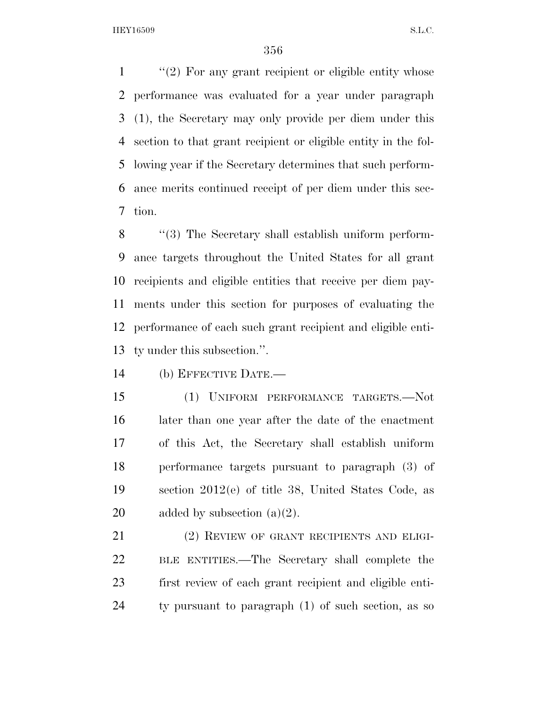''(2) For any grant recipient or eligible entity whose performance was evaluated for a year under paragraph (1), the Secretary may only provide per diem under this section to that grant recipient or eligible entity in the fol- lowing year if the Secretary determines that such perform- ance merits continued receipt of per diem under this sec-tion.

 ''(3) The Secretary shall establish uniform perform- ance targets throughout the United States for all grant recipients and eligible entities that receive per diem pay- ments under this section for purposes of evaluating the performance of each such grant recipient and eligible enti-ty under this subsection.''.

(b) EFFECTIVE DATE.—

 (1) UNIFORM PERFORMANCE TARGETS.—Not later than one year after the date of the enactment of this Act, the Secretary shall establish uniform performance targets pursuant to paragraph (3) of section 2012(e) of title 38, United States Code, as 20 added by subsection  $(a)(2)$ .

21 (2) REVIEW OF GRANT RECIPIENTS AND ELIGI- BLE ENTITIES.—The Secretary shall complete the first review of each grant recipient and eligible enti-ty pursuant to paragraph (1) of such section, as so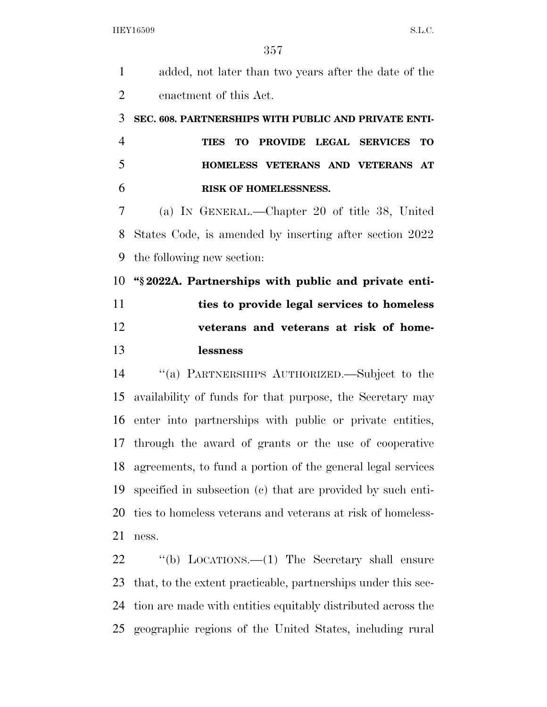| $\mathbf{1}$   | added, not later than two years after the date of the         |
|----------------|---------------------------------------------------------------|
| $\overline{2}$ | enactment of this Act.                                        |
| 3              | SEC. 608. PARTNERSHIPS WITH PUBLIC AND PRIVATE ENTI-          |
| $\overline{4}$ | TO PROVIDE LEGAL SERVICES<br><b>TO</b><br><b>TIES</b>         |
| 5              | HOMELESS VETERANS AND VETERANS AT                             |
| 6              | RISK OF HOMELESSNESS.                                         |
| 7              | (a) IN GENERAL.—Chapter 20 of title 38, United                |
| 8              | States Code, is amended by inserting after section 2022       |
| 9              | the following new section:                                    |
| 10             | "\\$2022A. Partnerships with public and private enti-         |
| 11             | ties to provide legal services to homeless                    |
|                |                                                               |
| 12             | veterans and veterans at risk of home-                        |
| 13             | lessness                                                      |
|                | "(a) PARTNERSHIPS AUTHORIZED.—Subject to the                  |
|                | availability of funds for that purpose, the Secretary may     |
| 14<br>15<br>16 | enter into partnerships with public or private entities,      |
|                | 17 through the award of grants or the use of cooperative      |
| 18             | agreements, to fund a portion of the general legal services   |
| 19             | specified in subsection (c) that are provided by such enti-   |
| 20             | ties to homeless veterans and veterans at risk of homeless-   |
| 21             | ness.                                                         |
| 22             | "(b) LOCATIONS.— $(1)$ The Secretary shall ensure             |
| 23             | that, to the extent practicable, partnerships under this sec- |

geographic regions of the United States, including rural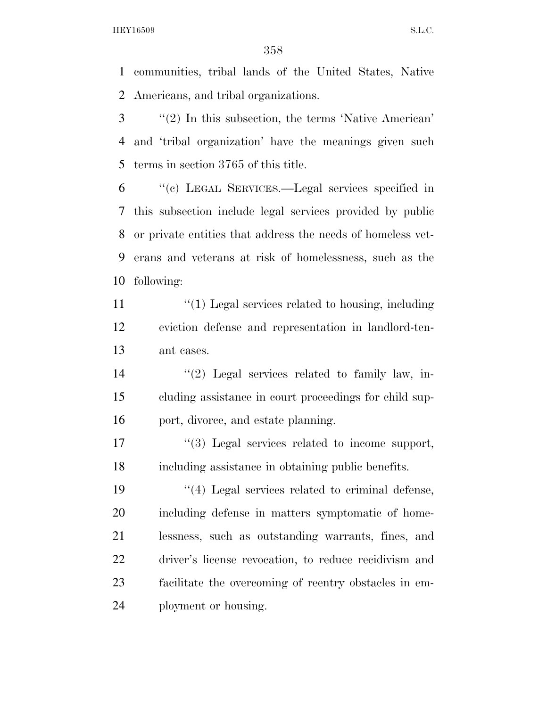communities, tribal lands of the United States, Native Americans, and tribal organizations.

- ''(2) In this subsection, the terms 'Native American' and 'tribal organization' have the meanings given such terms in section 3765 of this title.
- ''(c) LEGAL SERVICES.—Legal services specified in this subsection include legal services provided by public or private entities that address the needs of homeless vet- erans and veterans at risk of homelessness, such as the following:
- 11 ''(1) Legal services related to housing, including eviction defense and representation in landlord-ten-ant cases.
- ''(2) Legal services related to family law, in- cluding assistance in court proceedings for child sup-16 port, divorce, and estate planning.
- 17  $\frac{1}{3}$  Legal services related to income support, including assistance in obtaining public benefits.

 $\frac{1}{2}$  (4) Legal services related to criminal defense, including defense in matters symptomatic of home- lessness, such as outstanding warrants, fines, and driver's license revocation, to reduce recidivism and facilitate the overcoming of reentry obstacles in em-ployment or housing.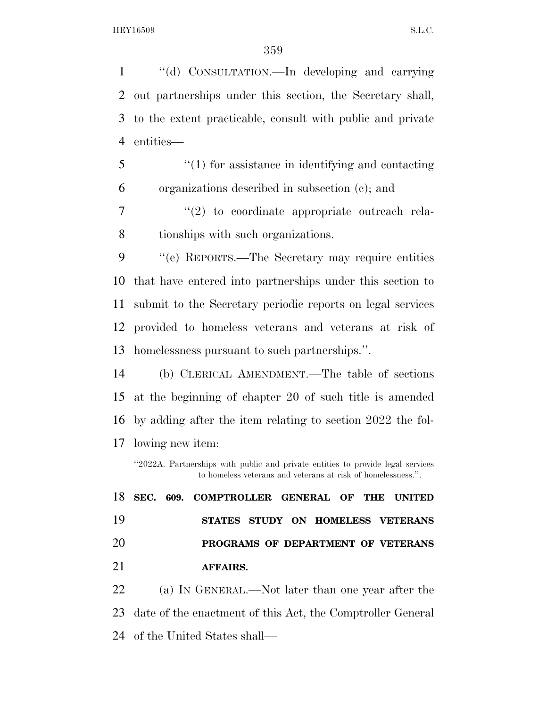''(d) CONSULTATION.—In developing and carrying out partnerships under this section, the Secretary shall, to the extent practicable, consult with public and private entities—

 ''(1) for assistance in identifying and contacting organizations described in subsection (c); and

7  $(2)$  to coordinate appropriate outreach rela-tionships with such organizations.

 ''(e) REPORTS.—The Secretary may require entities that have entered into partnerships under this section to submit to the Secretary periodic reports on legal services provided to homeless veterans and veterans at risk of homelessness pursuant to such partnerships.''.

 (b) CLERICAL AMENDMENT.—The table of sections at the beginning of chapter 20 of such title is amended by adding after the item relating to section 2022 the fol-lowing new item:

''2022A. Partnerships with public and private entities to provide legal services to homeless veterans and veterans at risk of homelessness.''.

 **SEC. 609. COMPTROLLER GENERAL OF THE UNITED STATES STUDY ON HOMELESS VETERANS PROGRAMS OF DEPARTMENT OF VETERANS AFFAIRS.** 

 (a) IN GENERAL.—Not later than one year after the date of the enactment of this Act, the Comptroller General of the United States shall—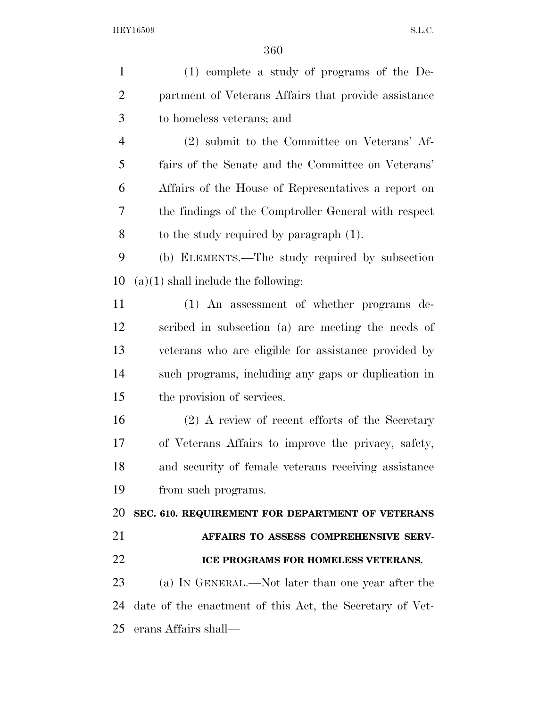| $\mathbf{1}$   | $(1)$ complete a study of programs of the De-            |
|----------------|----------------------------------------------------------|
| $\overline{2}$ | partment of Veterans Affairs that provide assistance     |
| 3              | to homeless veterans; and                                |
| $\overline{4}$ | (2) submit to the Committee on Veterans' Af-             |
| 5              | fairs of the Senate and the Committee on Veterans'       |
| 6              | Affairs of the House of Representatives a report on      |
| 7              | the findings of the Comptroller General with respect     |
| 8              | to the study required by paragraph (1).                  |
| 9              | (b) ELEMENTS.—The study required by subsection           |
| 10             | $(a)(1)$ shall include the following:                    |
| 11             | (1) An assessment of whether programs de-                |
| 12             | scribed in subsection (a) are meeting the needs of       |
| 13             | veterans who are eligible for assistance provided by     |
| 14             | such programs, including any gaps or duplication in      |
| 15             | the provision of services.                               |
| 16             | (2) A review of recent efforts of the Secretary          |
| 17             | of Veterans Affairs to improve the privacy, safety,      |
| 18             | and security of female veterans receiving assistance     |
| 19             | from such programs.                                      |
| 20             | SEC. 610. REQUIREMENT FOR DEPARTMENT OF VETERANS         |
| 21             | AFFAIRS TO ASSESS COMPREHENSIVE SERV-                    |
| 22             | ICE PROGRAMS FOR HOMELESS VETERANS.                      |
| 23             | (a) IN GENERAL.—Not later than one year after the        |
| 24             | date of the enactment of this Act, the Secretary of Vet- |
| 25             | erans Affairs shall—                                     |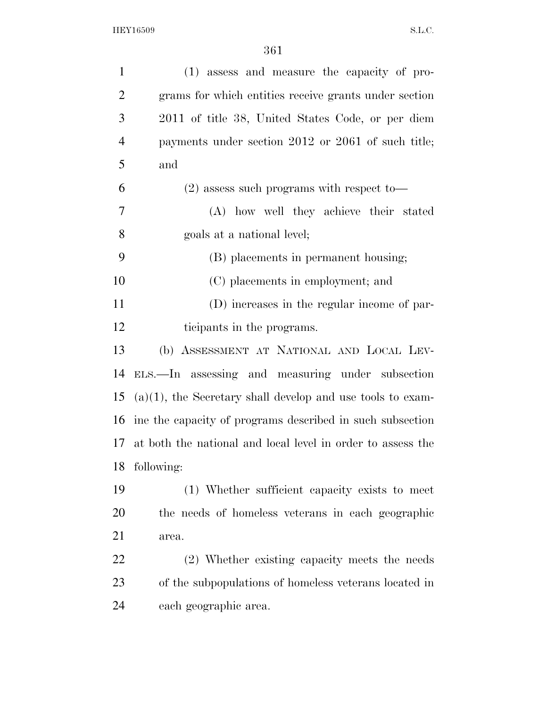| $\mathbf{1}$   | (1) assess and measure the capacity of pro-                   |
|----------------|---------------------------------------------------------------|
| $\overline{2}$ | grams for which entities receive grants under section         |
| 3              | 2011 of title 38, United States Code, or per diem             |
| $\overline{4}$ | payments under section 2012 or 2061 of such title;            |
| 5              | and                                                           |
| 6              | $(2)$ assess such programs with respect to-                   |
| 7              | (A) how well they achieve their stated                        |
| 8              | goals at a national level;                                    |
| 9              | (B) placements in permanent housing;                          |
| 10             | (C) placements in employment; and                             |
| 11             | (D) increases in the regular income of par-                   |
| 12             | ticipants in the programs.                                    |
| 13             | (b) ASSESSMENT AT NATIONAL AND LOCAL LEV-                     |
| 14             | ELS.—In assessing and measuring under subsection              |
| 15             | $(a)(1)$ , the Secretary shall develop and use tools to exam- |
| 16             | ine the capacity of programs described in such subsection     |
| 17             | at both the national and local level in order to assess the   |
| 18             | following:                                                    |
| 19             | (1) Whether sufficient capacity exists to meet                |
| 20             | the needs of homeless veterans in each geographic             |
| 21             | area.                                                         |
| 22             | (2) Whether existing capacity meets the needs                 |
| 23             | of the subpopulations of homeless veterans located in         |
| 24             | each geographic area.                                         |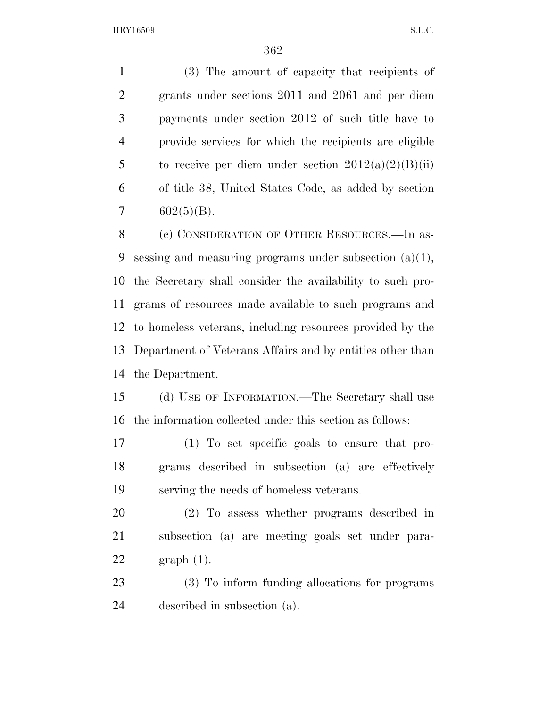(3) The amount of capacity that recipients of grants under sections 2011 and 2061 and per diem payments under section 2012 of such title have to provide services for which the recipients are eligible 5 to receive per diem under section  $2012(a)(2)(B)(ii)$  of title 38, United States Code, as added by section  $7 \quad 602(5)(B).$ 

 (c) CONSIDERATION OF OTHER RESOURCES.—In as- sessing and measuring programs under subsection (a)(1), the Secretary shall consider the availability to such pro- grams of resources made available to such programs and to homeless veterans, including resources provided by the Department of Veterans Affairs and by entities other than the Department.

 (d) USE OF INFORMATION.—The Secretary shall use the information collected under this section as follows:

 (1) To set specific goals to ensure that pro- grams described in subsection (a) are effectively serving the needs of homeless veterans.

 (2) To assess whether programs described in subsection (a) are meeting goals set under para-graph (1).

 (3) To inform funding allocations for programs described in subsection (a).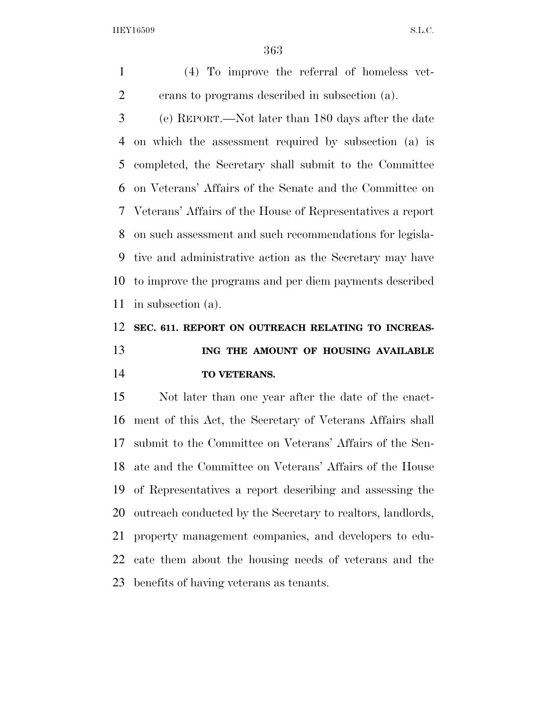(4) To improve the referral of homeless vet-erans to programs described in subsection (a).

 (e) REPORT.—Not later than 180 days after the date on which the assessment required by subsection (a) is completed, the Secretary shall submit to the Committee on Veterans' Affairs of the Senate and the Committee on Veterans' Affairs of the House of Representatives a report on such assessment and such recommendations for legisla- tive and administrative action as the Secretary may have to improve the programs and per diem payments described in subsection (a).

## **SEC. 611. REPORT ON OUTREACH RELATING TO INCREAS- ING THE AMOUNT OF HOUSING AVAILABLE TO VETERANS.**

 Not later than one year after the date of the enact- ment of this Act, the Secretary of Veterans Affairs shall submit to the Committee on Veterans' Affairs of the Sen- ate and the Committee on Veterans' Affairs of the House of Representatives a report describing and assessing the outreach conducted by the Secretary to realtors, landlords, property management companies, and developers to edu- cate them about the housing needs of veterans and the benefits of having veterans as tenants.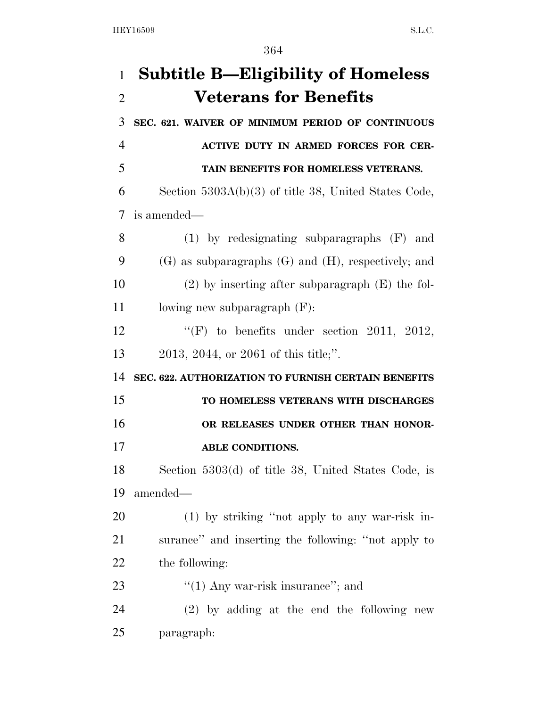| $\mathbf{1}$   | <b>Subtitle B—Eligibility of Homeless</b>                  |
|----------------|------------------------------------------------------------|
| $\overline{2}$ | <b>Veterans for Benefits</b>                               |
| 3              | SEC. 621. WAIVER OF MINIMUM PERIOD OF CONTINUOUS           |
| 4              | <b>ACTIVE DUTY IN ARMED FORCES FOR CER-</b>                |
| 5              | TAIN BENEFITS FOR HOMELESS VETERANS.                       |
| 6              | Section $5303A(b)(3)$ of title 38, United States Code,     |
| 7              | is amended—                                                |
| 8              | $(1)$ by redesignating subparagraphs $(F)$ and             |
| 9              | $(G)$ as subparagraphs $(G)$ and $(H)$ , respectively; and |
| 10             | $(2)$ by inserting after subparagraph $(E)$ the fol-       |
| 11             | lowing new subparagraph $(F)$ :                            |
| 12             | "(F) to benefits under section 2011, 2012,                 |
| 13             | 2013, 2044, or 2061 of this title;".                       |
| 14             | SEC. 622. AUTHORIZATION TO FURNISH CERTAIN BENEFITS        |
| 15             | TO HOMELESS VETERANS WITH DISCHARGES                       |
| 16             | OR RELEASES UNDER OTHER THAN HONOR-                        |
| 17             | <b>ABLE CONDITIONS.</b>                                    |
| 18             | Section 5303(d) of title 38, United States Code, is        |
| 19             | amended—                                                   |
| 20             | (1) by striking "not apply to any war-risk in-             |
| 21             | surance" and inserting the following: "not apply to        |
| 22             | the following:                                             |
| 23             | " $(1)$ Any war-risk insurance"; and                       |
| 24             | $(2)$ by adding at the end the following new               |
| 25             | paragraph:                                                 |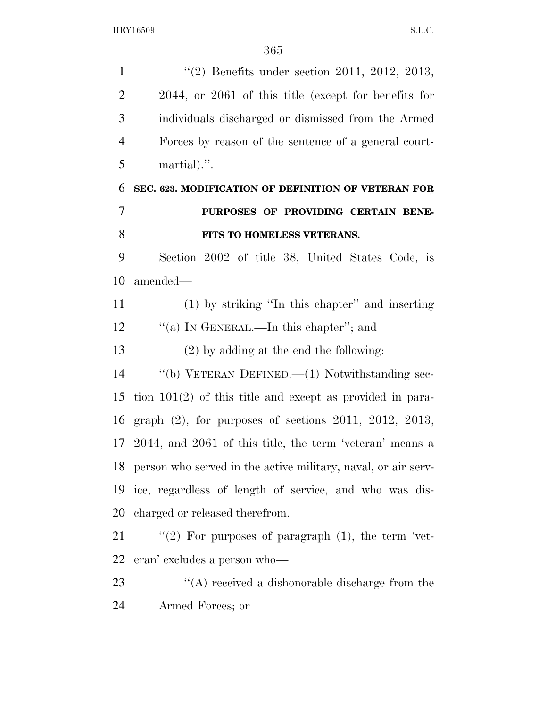1 (2) Benefits under section 2011, 2012, 2013, 2044, or 2061 of this title (except for benefits for individuals discharged or dismissed from the Armed Forces by reason of the sentence of a general court- martial).''. **SEC. 623. MODIFICATION OF DEFINITION OF VETERAN FOR PURPOSES OF PROVIDING CERTAIN BENE- FITS TO HOMELESS VETERANS.**  Section 2002 of title 38, United States Code, is amended— (1) by striking ''In this chapter'' and inserting ''(a) IN GENERAL.—In this chapter''; and (2) by adding at the end the following: ''(b) VETERAN DEFINED.—(1) Notwithstanding sec- tion 101(2) of this title and except as provided in para- graph (2), for purposes of sections 2011, 2012, 2013, 2044, and 2061 of this title, the term 'veteran' means a person who served in the active military, naval, or air serv- ice, regardless of length of service, and who was dis- charged or released therefrom.  $\frac{1}{2}$  (2) For purposes of paragraph (1), the term 'vet- eran' excludes a person who— 23 ''(A) received a dishonorable discharge from the Armed Forces; or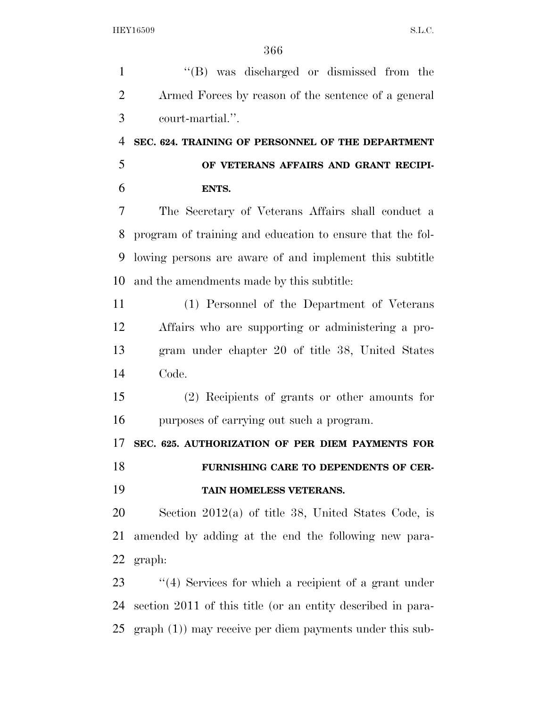1 ''(B) was discharged or dismissed from the Armed Forces by reason of the sentence of a general court-martial.''. **SEC. 624. TRAINING OF PERSONNEL OF THE DEPARTMENT OF VETERANS AFFAIRS AND GRANT RECIPI- ENTS.**  The Secretary of Veterans Affairs shall conduct a program of training and education to ensure that the fol- lowing persons are aware of and implement this subtitle and the amendments made by this subtitle: (1) Personnel of the Department of Veterans Affairs who are supporting or administering a pro- gram under chapter 20 of title 38, United States Code. (2) Recipients of grants or other amounts for purposes of carrying out such a program. **SEC. 625. AUTHORIZATION OF PER DIEM PAYMENTS FOR FURNISHING CARE TO DEPENDENTS OF CER- TAIN HOMELESS VETERANS.**  Section 2012(a) of title 38, United States Code, is amended by adding at the end the following new para-

graph:

23 "(4) Services for which a recipient of a grant under section 2011 of this title (or an entity described in para-graph (1)) may receive per diem payments under this sub-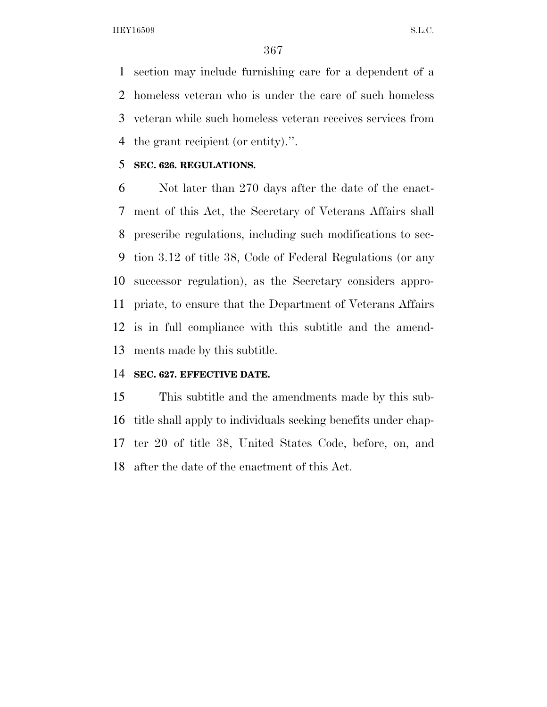section may include furnishing care for a dependent of a homeless veteran who is under the care of such homeless veteran while such homeless veteran receives services from the grant recipient (or entity).''.

#### **SEC. 626. REGULATIONS.**

 Not later than 270 days after the date of the enact- ment of this Act, the Secretary of Veterans Affairs shall prescribe regulations, including such modifications to sec- tion 3.12 of title 38, Code of Federal Regulations (or any successor regulation), as the Secretary considers appro- priate, to ensure that the Department of Veterans Affairs is in full compliance with this subtitle and the amend-ments made by this subtitle.

### **SEC. 627. EFFECTIVE DATE.**

 This subtitle and the amendments made by this sub- title shall apply to individuals seeking benefits under chap- ter 20 of title 38, United States Code, before, on, and after the date of the enactment of this Act.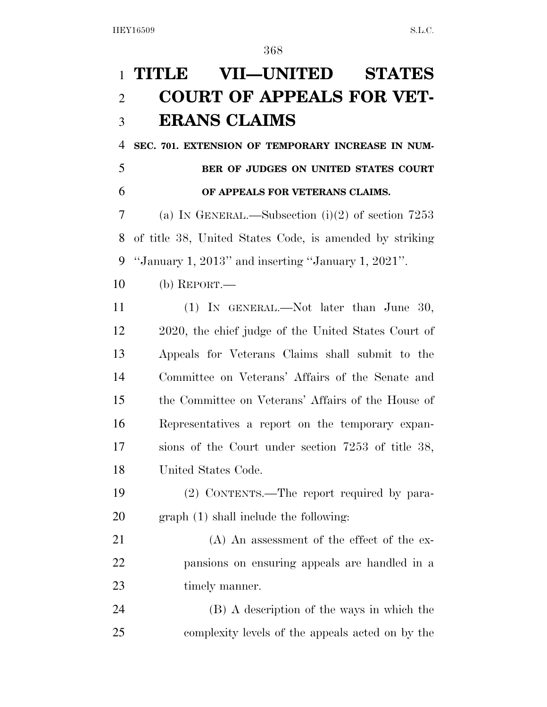## **TITLE VII—UNITED STATES COURT OF APPEALS FOR VET-ERANS CLAIMS**

 **SEC. 701. EXTENSION OF TEMPORARY INCREASE IN NUM-BER OF JUDGES ON UNITED STATES COURT** 

# **OF APPEALS FOR VETERANS CLAIMS.**

 (a) IN GENERAL.—Subsection (i)(2) of section 7253 of title 38, United States Code, is amended by striking ''January 1, 2013'' and inserting ''January 1, 2021''.

- (b) REPORT.—
- (1) IN GENERAL.—Not later than June 30, 2020, the chief judge of the United States Court of Appeals for Veterans Claims shall submit to the Committee on Veterans' Affairs of the Senate and the Committee on Veterans' Affairs of the House of Representatives a report on the temporary expan- sions of the Court under section 7253 of title 38, United States Code.
- (2) CONTENTS.—The report required by para-graph (1) shall include the following:
- (A) An assessment of the effect of the ex- pansions on ensuring appeals are handled in a 23 timely manner.
- (B) A description of the ways in which the complexity levels of the appeals acted on by the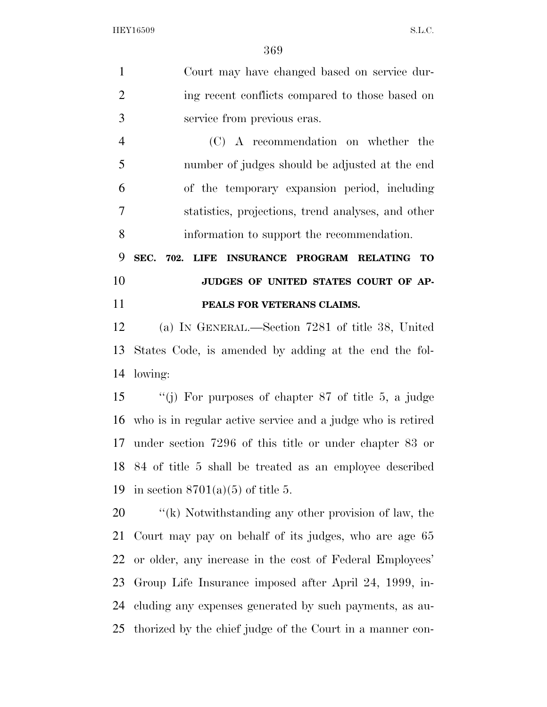Court may have changed based on service dur- ing recent conflicts compared to those based on service from previous eras. (C) A recommendation on whether the number of judges should be adjusted at the end of the temporary expansion period, including statistics, projections, trend analyses, and other information to support the recommendation. **SEC. 702. LIFE INSURANCE PROGRAM RELATING TO JUDGES OF UNITED STATES COURT OF AP- PEALS FOR VETERANS CLAIMS.**  (a) IN GENERAL.—Section 7281 of title 38, United States Code, is amended by adding at the end the fol- lowing: ''(j) For purposes of chapter 87 of title 5, a judge who is in regular active service and a judge who is retired under section 7296 of this title or under chapter 83 or 84 of title 5 shall be treated as an employee described in section 8701(a)(5) of title 5.

 $\frac{1}{k}$  Notwithstanding any other provision of law, the Court may pay on behalf of its judges, who are age 65 or older, any increase in the cost of Federal Employees' Group Life Insurance imposed after April 24, 1999, in- cluding any expenses generated by such payments, as au-thorized by the chief judge of the Court in a manner con-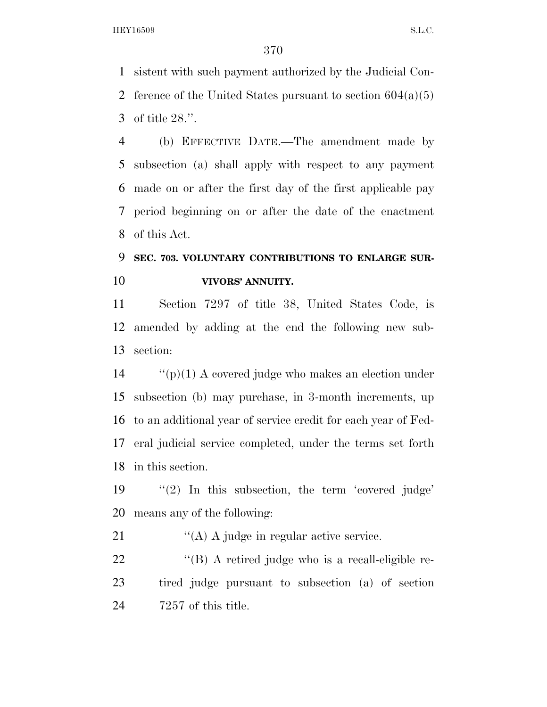sistent with such payment authorized by the Judicial Con-2 ference of the United States pursuant to section  $604(a)(5)$ of title 28.''.

 (b) EFFECTIVE DATE.—The amendment made by subsection (a) shall apply with respect to any payment made on or after the first day of the first applicable pay period beginning on or after the date of the enactment of this Act.

## **SEC. 703. VOLUNTARY CONTRIBUTIONS TO ENLARGE SUR-VIVORS' ANNUITY.**

 Section 7297 of title 38, United States Code, is amended by adding at the end the following new sub-section:

 ''(p)(1) A covered judge who makes an election under subsection (b) may purchase, in 3-month increments, up to an additional year of service credit for each year of Fed- eral judicial service completed, under the terms set forth in this section.

 ''(2) In this subsection, the term 'covered judge' means any of the following:

21 ''(A) A judge in regular active service.

22 "(B) A retired judge who is a recall-eligible re- tired judge pursuant to subsection (a) of section 7257 of this title.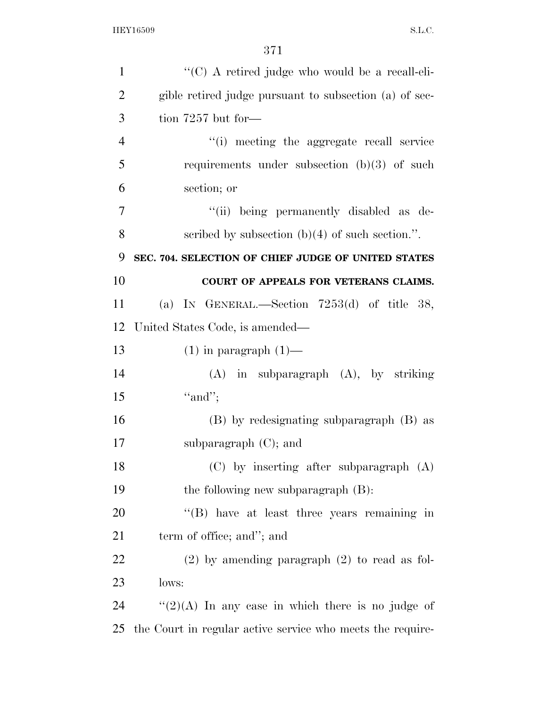| $\mathbf{1}$   | "(C) A retired judge who would be a recall-eli-            |
|----------------|------------------------------------------------------------|
| $\overline{2}$ | gible retired judge pursuant to subsection (a) of sec-     |
| 3              | tion $7257$ but for-                                       |
| $\overline{4}$ | "(i) meeting the aggregate recall service                  |
| 5              | requirements under subsection $(b)(3)$ of such             |
| 6              | section; or                                                |
| 7              | "(ii) being permanently disabled as de-                    |
| 8              | scribed by subsection $(b)(4)$ of such section.".          |
| 9              | SEC. 704. SELECTION OF CHIEF JUDGE OF UNITED STATES        |
| 10             | COURT OF APPEALS FOR VETERANS CLAIMS.                      |
| 11             | (a) IN GENERAL.—Section $7253(d)$ of title 38,             |
| 12             | United States Code, is amended—                            |
| 13             | $(1)$ in paragraph $(1)$ —                                 |
| 14             | $(A)$ in subparagraph $(A)$ , by striking                  |
| 15             | "and";                                                     |
| 16             | (B) by redesignating subparagraph (B) as                   |
| 17             | subparagraph $(C)$ ; and                                   |
| 18             | (C) by inserting after subparagraph (A)                    |
| 19             | the following new subparagraph $(B)$ :                     |
| 20             | $\lq\lq (B)$ have at least three years remaining in        |
| 21             | term of office; and"; and                                  |
| 22             | $(2)$ by amending paragraph $(2)$ to read as fol-          |
| 23             | lows:                                                      |
| 24             | " $(2)(A)$ In any case in which there is no judge of       |
| 25             | the Court in regular active service who meets the require- |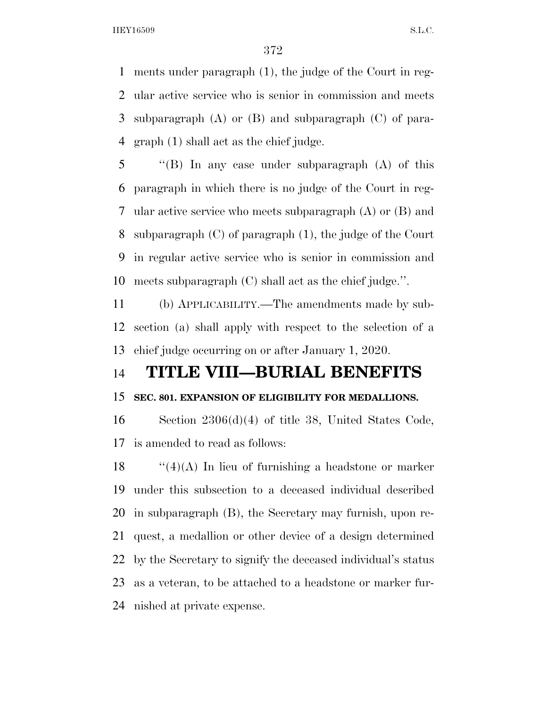ments under paragraph (1), the judge of the Court in reg- ular active service who is senior in commission and meets subparagraph (A) or (B) and subparagraph (C) of para-graph (1) shall act as the chief judge.

 ''(B) In any case under subparagraph (A) of this paragraph in which there is no judge of the Court in reg- ular active service who meets subparagraph (A) or (B) and subparagraph (C) of paragraph (1), the judge of the Court in regular active service who is senior in commission and meets subparagraph (C) shall act as the chief judge.''.

 (b) APPLICABILITY.—The amendments made by sub- section (a) shall apply with respect to the selection of a chief judge occurring on or after January 1, 2020.

### **TITLE VIII—BURIAL BENEFITS**

### **SEC. 801. EXPANSION OF ELIGIBILITY FOR MEDALLIONS.**

 Section 2306(d)(4) of title 38, United States Code, is amended to read as follows:

 $\frac{1}{2}(4)(A)$  In lieu of furnishing a headstone or marker under this subsection to a deceased individual described in subparagraph (B), the Secretary may furnish, upon re- quest, a medallion or other device of a design determined by the Secretary to signify the deceased individual's status as a veteran, to be attached to a headstone or marker fur-nished at private expense.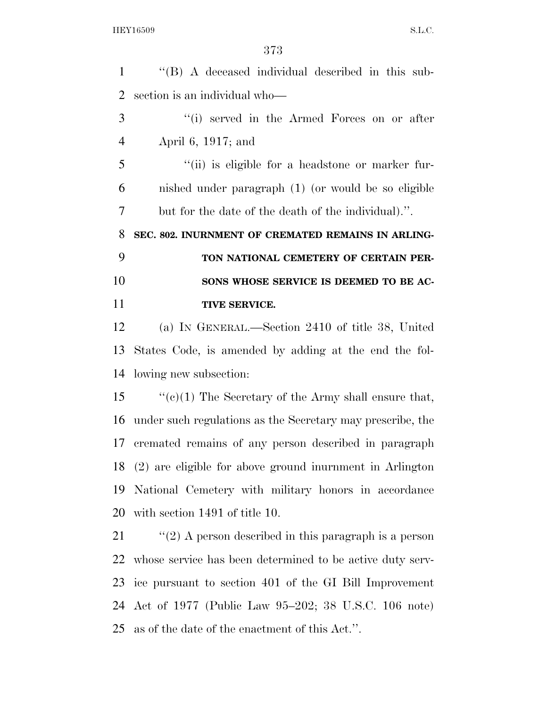| $\mathbf{1}$   | "(B) A deceased individual described in this sub-          |
|----------------|------------------------------------------------------------|
| $\overline{2}$ | section is an individual who-                              |
| 3              | "(i) served in the Armed Forces on or after                |
| $\overline{4}$ | April 6, 1917; and                                         |
| 5              | "(ii) is eligible for a headstone or marker fur-           |
| 6              | nished under paragraph (1) (or would be so eligible        |
| 7              | but for the date of the death of the individual).".        |
| 8              | SEC. 802. INURNMENT OF CREMATED REMAINS IN ARLING-         |
| 9              | TON NATIONAL CEMETERY OF CERTAIN PER-                      |
| 10             | SONS WHOSE SERVICE IS DEEMED TO BE AC-                     |
| 11             | TIVE SERVICE.                                              |
| 12             | (a) IN GENERAL.—Section 2410 of title 38, United           |
| 13             | States Code, is amended by adding at the end the fol-      |
| 14             | lowing new subsection:                                     |
| 15             | " $(e)(1)$ The Secretary of the Army shall ensure that,    |
| 16             | under such regulations as the Secretary may prescribe, the |
| 17             | cremated remains of any person described in paragraph      |
| 18             | (2) are eligible for above ground inurnment in Arlington   |
| 19             | National Cemetery with military honors in accordance       |
| 20             | with section 1491 of title 10.                             |
| 21             | " $(2)$ A person described in this paragraph is a person   |
| 22             | whose service has been determined to be active duty serv-  |
| 23             | ice pursuant to section 401 of the GI Bill Improvement     |
| 24             | Act of 1977 (Public Law 95–202; 38 U.S.C. 106 note)        |
| 25             | as of the date of the enactment of this Act.".             |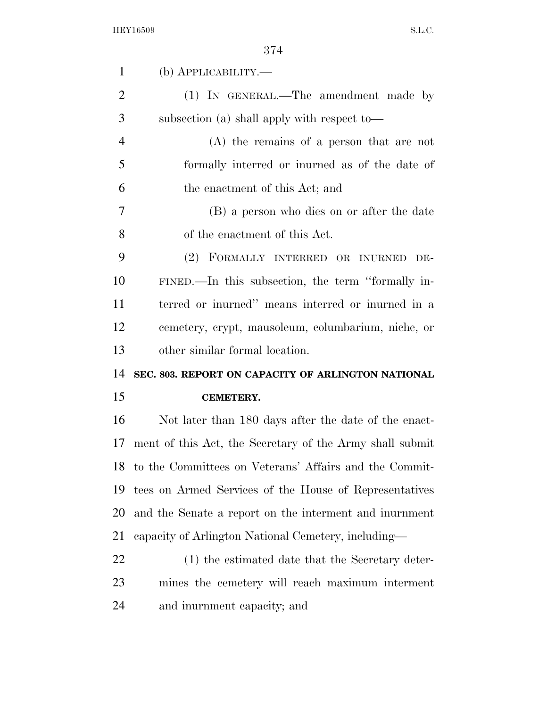| $\mathbf{1}$         | (b) <b>АРР</b> ЫСАВШІТҮ.—                                 |
|----------------------|-----------------------------------------------------------|
| $\overline{2}$       | (1) IN GENERAL.—The amendment made by                     |
| 3                    | subsection (a) shall apply with respect to—               |
| $\overline{4}$       | $(A)$ the remains of a person that are not                |
| 5                    | formally interred or inurned as of the date of            |
| 6                    | the enactment of this Act; and                            |
| 7                    | (B) a person who dies on or after the date                |
| 8                    | of the enactment of this Act.                             |
| 9                    | (2) FORMALLY INTERRED OR INURNED DE-                      |
| 10                   | FINED.—In this subsection, the term "formally in-         |
| 11                   | terred or inurned" means interred or inurned in a         |
| 12                   | cemetery, crypt, mausoleum, columbarium, niche, or        |
|                      |                                                           |
|                      | other similar formal location.                            |
|                      | SEC. 803. REPORT ON CAPACITY OF ARLINGTON NATIONAL        |
|                      | <b>CEMETERY.</b>                                          |
| 13<br>14<br>15<br>16 | Not later than 180 days after the date of the enact-      |
| 17                   | ment of this Act, the Secretary of the Army shall submit  |
|                      | 18 to the Committees on Veterans' Affairs and the Commit- |
| 19                   | tees on Armed Services of the House of Representatives    |
| 20                   | and the Senate a report on the interment and informent    |
| 21                   | capacity of Arlington National Cemetery, including—       |
| 22                   | (1) the estimated date that the Secretary deter-          |
| 23                   | mines the cemetery will reach maximum interment           |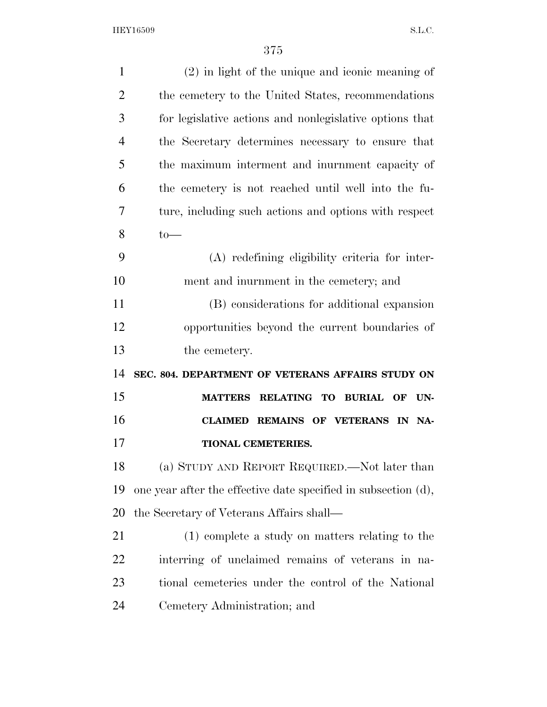| $\mathbf{1}$   | $(2)$ in light of the unique and iconic meaning of             |
|----------------|----------------------------------------------------------------|
| $\overline{2}$ | the cemetery to the United States, recommendations             |
| 3              | for legislative actions and nonlegislative options that        |
| $\overline{4}$ | the Secretary determines necessary to ensure that              |
| 5              | the maximum interment and informate capacity of                |
| 6              | the cemetery is not reached until well into the fu-            |
| 7              | ture, including such actions and options with respect          |
| 8              | $to-$                                                          |
| 9              | (A) redefining eligibility criteria for inter-                 |
| 10             | ment and inurnment in the cemetery; and                        |
| 11             | (B) considerations for additional expansion                    |
| 12             | opportunities beyond the current boundaries of                 |
| 13             | the cemetery.                                                  |
| 14             | SEC. 804. DEPARTMENT OF VETERANS AFFAIRS STUDY ON              |
| 15             | MATTERS RELATING TO BURIAL OF<br>UN-                           |
| 16             | CLAIMED REMAINS OF VETERANS IN NA-                             |
| 17             | <b>TIONAL CEMETERIES.</b>                                      |
| 18             | (a) STUDY AND REPORT REQUIRED.—Not later than                  |
| 19             | one year after the effective date specified in subsection (d), |
| 20             | the Secretary of Veterans Affairs shall—                       |
| 21             | (1) complete a study on matters relating to the                |
| 22             | interring of unclaimed remains of veterans in na-              |
| 23             | tional cemeteries under the control of the National            |
| 24             | Cemetery Administration; and                                   |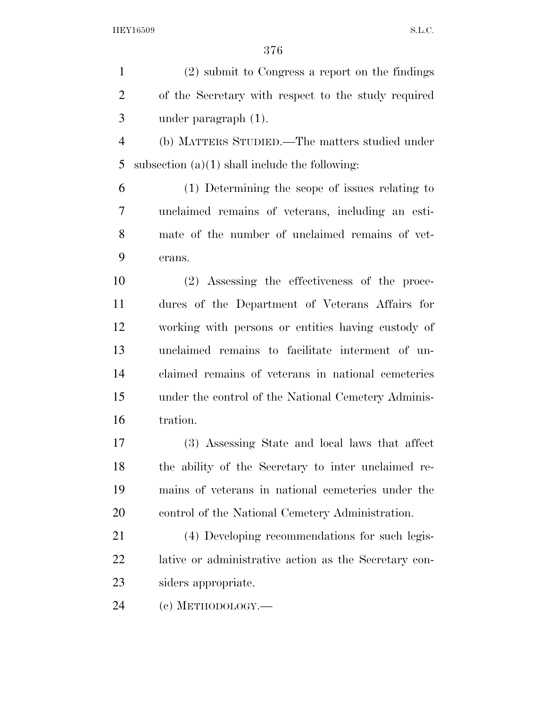(2) submit to Congress a report on the findings of the Secretary with respect to the study required under paragraph (1). (b) MATTERS STUDIED.—The matters studied under 5 subsection  $(a)(1)$  shall include the following: (1) Determining the scope of issues relating to unclaimed remains of veterans, including an esti- mate of the number of unclaimed remains of vet- erans. (2) Assessing the effectiveness of the proce- dures of the Department of Veterans Affairs for working with persons or entities having custody of unclaimed remains to facilitate interment of un- claimed remains of veterans in national cemeteries under the control of the National Cemetery Adminis- tration. (3) Assessing State and local laws that affect the ability of the Secretary to inter unclaimed re- mains of veterans in national cemeteries under the control of the National Cemetery Administration. (4) Developing recommendations for such legis- lative or administrative action as the Secretary con- siders appropriate. (c) METHODOLOGY.—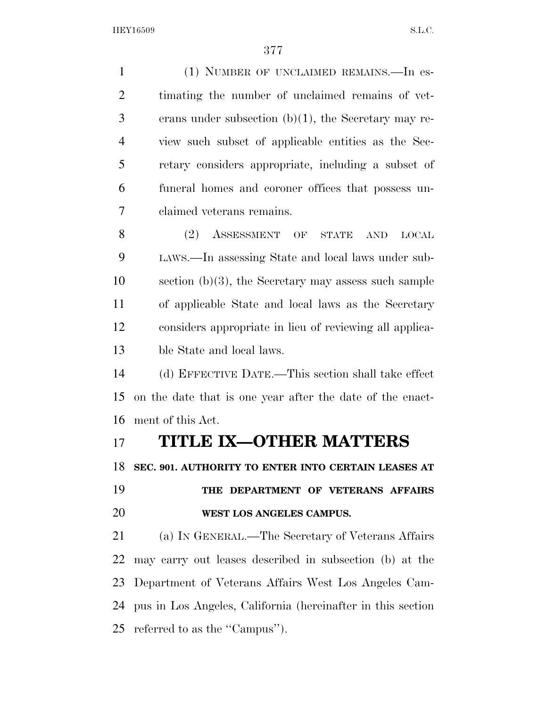(1) NUMBER OF UNCLAIMED REMAINS.—In es- timating the number of unclaimed remains of vet- erans under subsection (b)(1), the Secretary may re- view such subset of applicable entities as the Sec- retary considers appropriate, including a subset of funeral homes and coroner offices that possess un- claimed veterans remains. 8 (2) ASSESSMENT OF STATE AND LOCAL LAWS.—In assessing State and local laws under sub-10 section  $(b)(3)$ , the Secretary may assess such sample of applicable State and local laws as the Secretary considers appropriate in lieu of reviewing all applica- ble State and local laws. (d) EFFECTIVE DATE.—This section shall take effect on the date that is one year after the date of the enact- ment of this Act. **TITLE IX—OTHER MATTERS SEC. 901. AUTHORITY TO ENTER INTO CERTAIN LEASES AT THE DEPARTMENT OF VETERANS AFFAIRS WEST LOS ANGELES CAMPUS.**  (a) IN GENERAL.—The Secretary of Veterans Affairs may carry out leases described in subsection (b) at the Department of Veterans Affairs West Los Angeles Cam- pus in Los Angeles, California (hereinafter in this section referred to as the ''Campus'').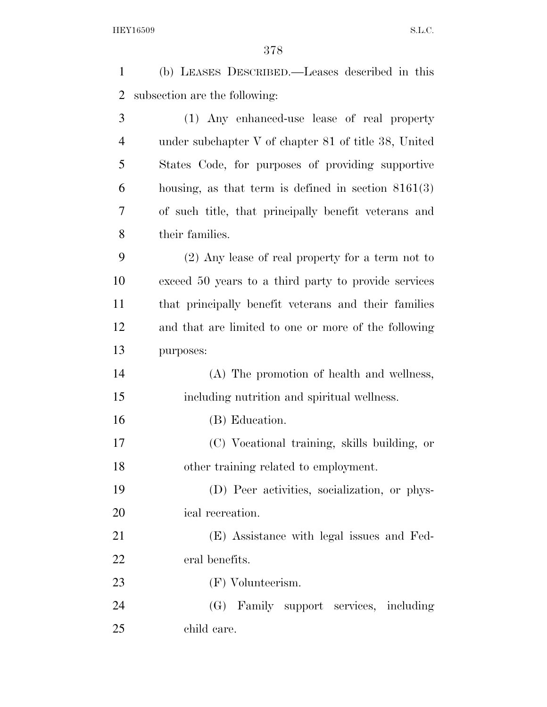| $\mathbf{1}$   | (b) LEASES DESCRIBED.—Leases described in this         |
|----------------|--------------------------------------------------------|
| $\overline{2}$ | subsection are the following:                          |
| 3              | (1) Any enhanced-use lease of real property            |
| $\overline{4}$ | under subchapter $V$ of chapter 81 of title 38, United |
| 5              | States Code, for purposes of providing supportive      |
| 6              | housing, as that term is defined in section $8161(3)$  |
| 7              | of such title, that principally benefit veterans and   |
| 8              | their families.                                        |
| 9              | $(2)$ Any lease of real property for a term not to     |
| 10             | exceed 50 years to a third party to provide services   |
| 11             | that principally benefit veterans and their families   |
| 12             | and that are limited to one or more of the following   |
| 13             | purposes:                                              |
| 14             | (A) The promotion of health and wellness,              |
| 15             | including nutrition and spiritual wellness.            |
| 16             | (B) Education.                                         |
| 17             | (C) Vocational training, skills building, or           |
| 18             | other training related to employment.                  |
| 19             | (D) Peer activities, socialization, or phys-           |
| 20             | ical recreation.                                       |
| 21             | (E) Assistance with legal issues and Fed-              |
| 22             | eral benefits.                                         |
| 23             | (F) Volunteerism.                                      |
| 24             | (G) Family support services, including                 |
| 25             | child care.                                            |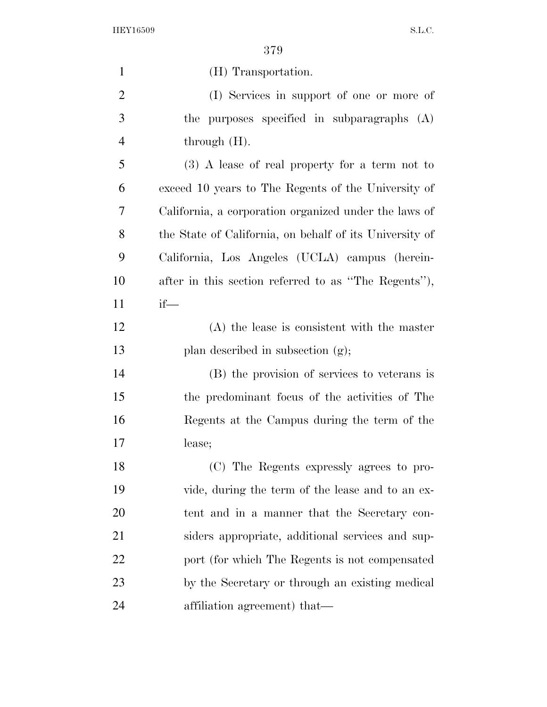| $\mathbf{1}$   | (H) Transportation.                                     |
|----------------|---------------------------------------------------------|
| $\overline{2}$ | (I) Services in support of one or more of               |
| 3              | the purposes specified in subparagraphs (A)             |
| $\overline{4}$ | through $(H)$ .                                         |
| 5              | $(3)$ A lease of real property for a term not to        |
| 6              | exceed 10 years to The Regents of the University of     |
| 7              | California, a corporation organized under the laws of   |
| 8              | the State of California, on behalf of its University of |
| 9              | California, Los Angeles (UCLA) campus (herein-          |
| 10             | after in this section referred to as "The Regents"),    |
| 11             | $if$ —                                                  |
| 12             | $(A)$ the lease is consistent with the master           |
| 13             | plan described in subsection (g);                       |
| 14             | (B) the provision of services to veterans is            |
| 15             | the predominant focus of the activities of The          |
| 16             | Regents at the Campus during the term of the            |
| 17             | lease;                                                  |
| 18             | (C) The Regents expressly agrees to pro-                |
| 19             | vide, during the term of the lease and to an ex-        |
| 20             | tent and in a manner that the Secretary con-            |
| 21             | siders appropriate, additional services and sup-        |
| 22             | port (for which The Regents is not compensated          |
| 23             | by the Secretary or through an existing medical         |
| 24             | affiliation agreement) that—                            |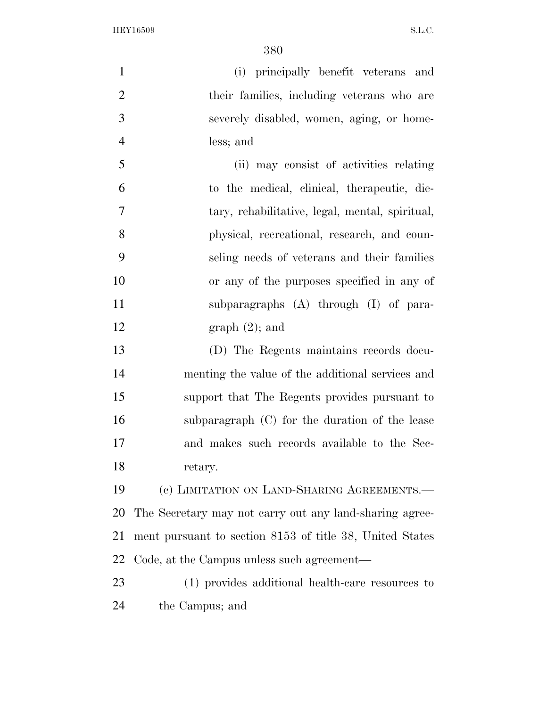| $\mathbf{1}$   | (i) principally benefit veterans and                     |
|----------------|----------------------------------------------------------|
| $\overline{2}$ | their families, including veterans who are               |
| 3              | severely disabled, women, aging, or home-                |
| $\overline{4}$ | less; and                                                |
| 5              | (ii) may consist of activities relating                  |
| 6              | to the medical, clinical, therapeutic, die-              |
| 7              | tary, rehabilitative, legal, mental, spiritual,          |
| 8              | physical, recreational, research, and coun-              |
| 9              | seling needs of veterans and their families              |
| 10             | or any of the purposes specified in any of               |
| 11             | subparagraphs $(A)$ through $(I)$ of para-               |
| 12             | graph(2); and                                            |
| 13             | (D) The Regents maintains records docu-                  |
| 14             | menting the value of the additional services and         |
| 15             | support that The Regents provides pursuant to            |
| 16             | subparagraph (C) for the duration of the lease           |
| 17             | and makes such records available to the Sec-             |
| 18             | retary.                                                  |
| 19             | (c) LIMITATION ON LAND-SHARING AGREEMENTS.—              |
| 20             | The Secretary may not carry out any land-sharing agree-  |
| 21             | ment pursuant to section 8153 of title 38, United States |
| 22             | Code, at the Campus unless such agreement—               |
| 23             | (1) provides additional health-care resources to         |
| 24             | the Campus; and                                          |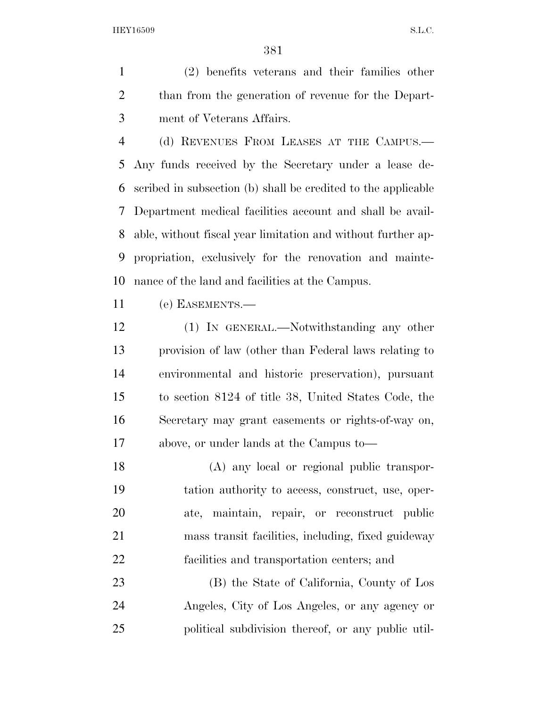(2) benefits veterans and their families other than from the generation of revenue for the Depart-ment of Veterans Affairs.

 (d) REVENUES FROM LEASES AT THE CAMPUS.— Any funds received by the Secretary under a lease de- scribed in subsection (b) shall be credited to the applicable Department medical facilities account and shall be avail- able, without fiscal year limitation and without further ap- propriation, exclusively for the renovation and mainte-nance of the land and facilities at the Campus.

(e) EASEMENTS.—

 (1) IN GENERAL.—Notwithstanding any other provision of law (other than Federal laws relating to environmental and historic preservation), pursuant to section 8124 of title 38, United States Code, the Secretary may grant easements or rights-of-way on, above, or under lands at the Campus to—

 (A) any local or regional public transpor- tation authority to access, construct, use, oper- ate, maintain, repair, or reconstruct public mass transit facilities, including, fixed guideway facilities and transportation centers; and

 (B) the State of California, County of Los Angeles, City of Los Angeles, or any agency or political subdivision thereof, or any public util-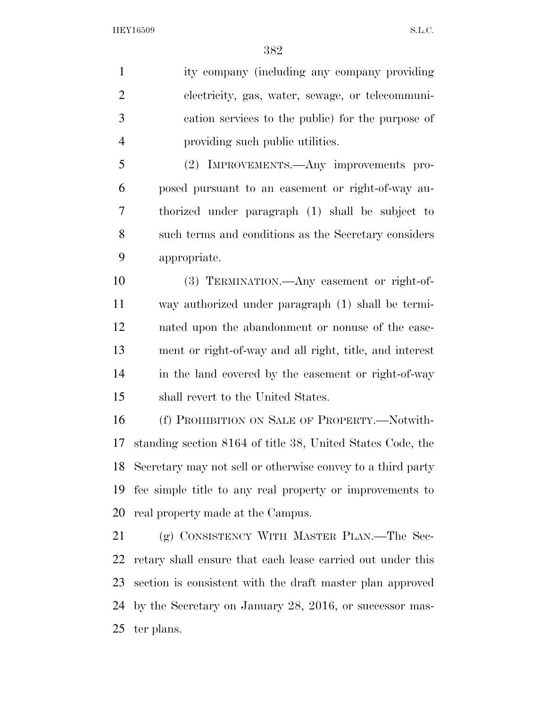ity company (including any company providing electricity, gas, water, sewage, or telecommuni- cation services to the public) for the purpose of providing such public utilities.

 (2) IMPROVEMENTS.—Any improvements pro- posed pursuant to an easement or right-of-way au- thorized under paragraph (1) shall be subject to such terms and conditions as the Secretary considers appropriate.

 (3) TERMINATION.—Any easement or right-of- way authorized under paragraph (1) shall be termi- nated upon the abandonment or nonuse of the ease- ment or right-of-way and all right, title, and interest in the land covered by the easement or right-of-way shall revert to the United States.

 (f) PROHIBITION ON SALE OF PROPERTY.—Notwith- standing section 8164 of title 38, United States Code, the Secretary may not sell or otherwise convey to a third party fee simple title to any real property or improvements to real property made at the Campus.

 (g) CONSISTENCY WITH MASTER PLAN.—The Sec- retary shall ensure that each lease carried out under this section is consistent with the draft master plan approved by the Secretary on January 28, 2016, or successor mas-ter plans.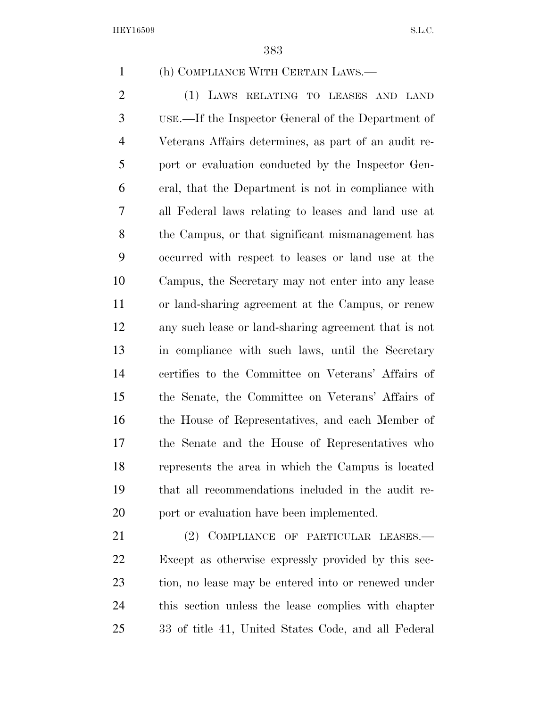(h) COMPLIANCE WITH CERTAIN LAWS.—

 (1) LAWS RELATING TO LEASES AND LAND USE.—If the Inspector General of the Department of Veterans Affairs determines, as part of an audit re- port or evaluation conducted by the Inspector Gen- eral, that the Department is not in compliance with all Federal laws relating to leases and land use at the Campus, or that significant mismanagement has occurred with respect to leases or land use at the Campus, the Secretary may not enter into any lease or land-sharing agreement at the Campus, or renew any such lease or land-sharing agreement that is not in compliance with such laws, until the Secretary certifies to the Committee on Veterans' Affairs of the Senate, the Committee on Veterans' Affairs of the House of Representatives, and each Member of the Senate and the House of Representatives who represents the area in which the Campus is located that all recommendations included in the audit re-20 port or evaluation have been implemented.

 (2) COMPLIANCE OF PARTICULAR LEASES.— Except as otherwise expressly provided by this sec- tion, no lease may be entered into or renewed under this section unless the lease complies with chapter 33 of title 41, United States Code, and all Federal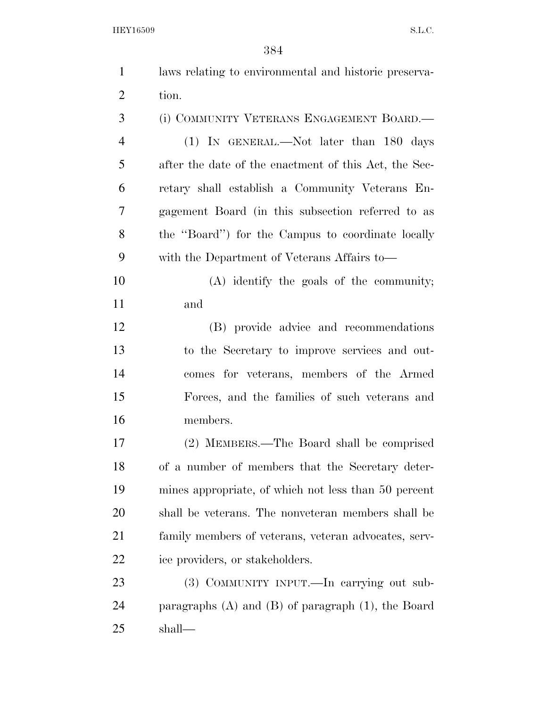| $\mathbf{1}$   | laws relating to environmental and historic preserva-     |
|----------------|-----------------------------------------------------------|
| $\overline{2}$ | tion.                                                     |
| 3              | (i) COMMUNITY VETERANS ENGAGEMENT BOARD.—                 |
| $\overline{4}$ | (1) IN GENERAL.—Not later than 180 days                   |
| 5              | after the date of the enactment of this Act, the Sec-     |
| 6              | retary shall establish a Community Veterans En-           |
| $\tau$         | gagement Board (in this subsection referred to as         |
| 8              | the "Board") for the Campus to coordinate locally         |
| 9              | with the Department of Veterans Affairs to—               |
| 10             | $(A)$ identify the goals of the community;                |
| 11             | and                                                       |
| 12             | (B) provide advice and recommendations                    |
| 13             | to the Secretary to improve services and out-             |
| 14             | comes for veterans, members of the Armed                  |
| 15             | Forces, and the families of such veterans and             |
| 16             | members.                                                  |
| 17             | (2) MEMBERS.—The Board shall be comprised                 |
| 18             | of a number of members that the Secretary deter-          |
| 19             | mines appropriate, of which not less than 50 percent      |
| 20             | shall be veterans. The nonveteran members shall be        |
| 21             | family members of veterans, veteran advocates, serv-      |
| 22             | ice providers, or stakeholders.                           |
| 23             | (3) COMMUNITY INPUT.—In carrying out sub-                 |
| 24             | paragraphs $(A)$ and $(B)$ of paragraph $(1)$ , the Board |
| 25             | shall—                                                    |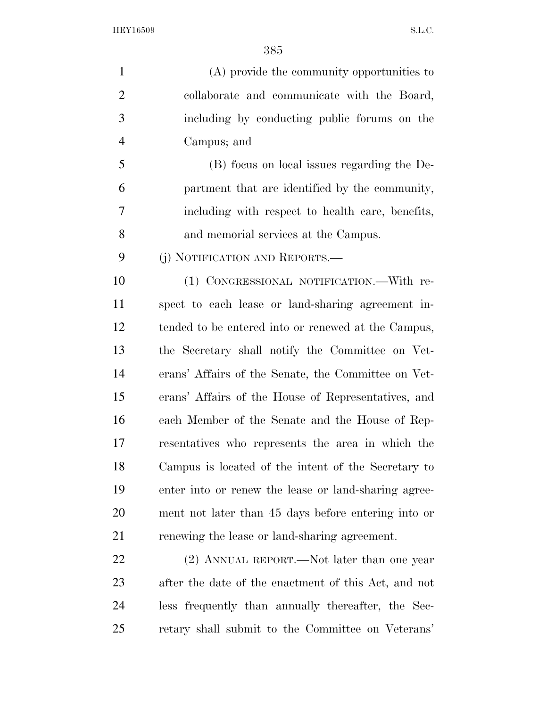(A) provide the community opportunities to collaborate and communicate with the Board, including by conducting public forums on the Campus; and (B) focus on local issues regarding the De- partment that are identified by the community, including with respect to health care, benefits,

and memorial services at the Campus.

(j) NOTIFICATION AND REPORTS.—

 (1) CONGRESSIONAL NOTIFICATION.—With re- spect to each lease or land-sharing agreement in- tended to be entered into or renewed at the Campus, the Secretary shall notify the Committee on Vet- erans' Affairs of the Senate, the Committee on Vet- erans' Affairs of the House of Representatives, and each Member of the Senate and the House of Rep- resentatives who represents the area in which the Campus is located of the intent of the Secretary to enter into or renew the lease or land-sharing agree- ment not later than 45 days before entering into or renewing the lease or land-sharing agreement.

22 (2) ANNUAL REPORT.—Not later than one year after the date of the enactment of this Act, and not less frequently than annually thereafter, the Sec-retary shall submit to the Committee on Veterans'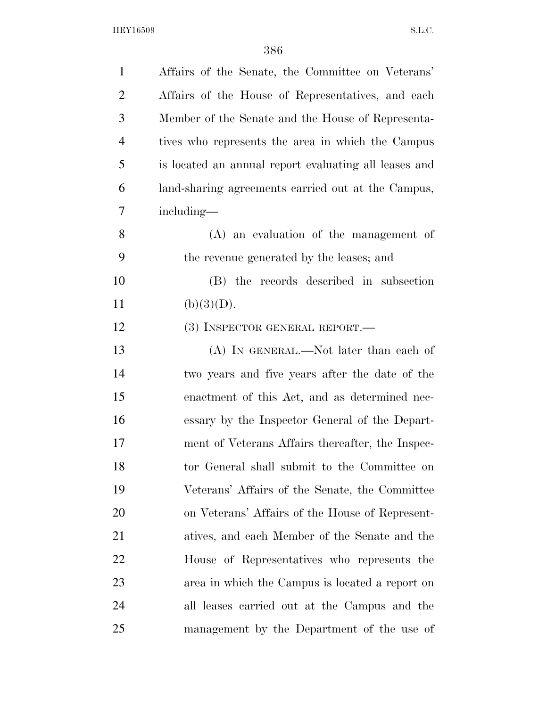| $\mathbf{1}$   | Affairs of the Senate, the Committee on Veterans'     |
|----------------|-------------------------------------------------------|
| $\overline{2}$ | Affairs of the House of Representatives, and each     |
| 3              | Member of the Senate and the House of Representa-     |
| $\overline{4}$ | tives who represents the area in which the Campus     |
| 5              | is located an annual report evaluating all leases and |
| 6              | land-sharing agreements carried out at the Campus,    |
| 7              | including—                                            |
| 8              | $(A)$ an evaluation of the management of              |
| 9              | the revenue generated by the leases; and              |
| 10             | (B) the records described in subsection               |
| 11             | (b)(3)(D).                                            |
| 12             | (3) INSPECTOR GENERAL REPORT.—                        |
| 13             | (A) IN GENERAL.—Not later than each of                |
| 14             | two years and five years after the date of the        |
| 15             | enactment of this Act, and as determined nec-         |
| 16             | essary by the Inspector General of the Depart-        |
| 17             | ment of Veterans Affairs thereafter, the Inspec-      |
| 18             | tor General shall submit to the Committee on          |
| 19             | Veterans' Affairs of the Senate, the Committee        |
| 20             | on Veterans' Affairs of the House of Represent-       |
| 21             | atives, and each Member of the Senate and the         |
| 22             | House of Representatives who represents the           |
| 23             | area in which the Campus is located a report on       |
| 24             | all leases carried out at the Campus and the          |
| 25             | management by the Department of the use of            |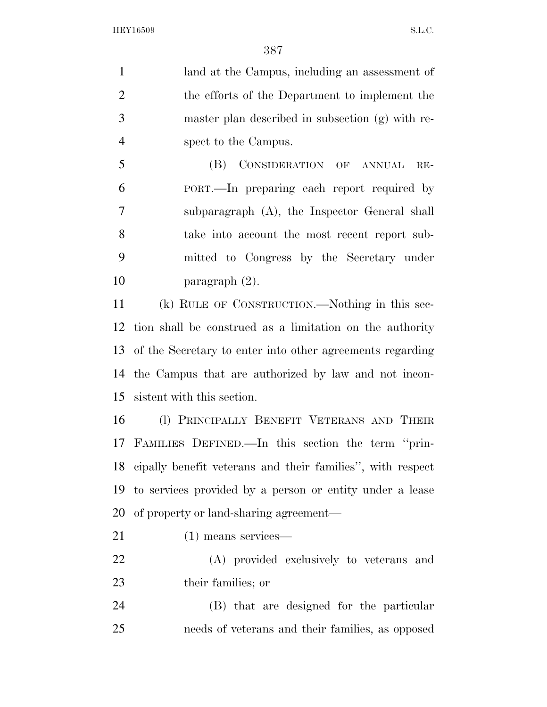land at the Campus, including an assessment of the efforts of the Department to implement the master plan described in subsection (g) with re-spect to the Campus.

 (B) CONSIDERATION OF ANNUAL RE- PORT.—In preparing each report required by subparagraph (A), the Inspector General shall take into account the most recent report sub- mitted to Congress by the Secretary under paragraph (2).

 (k) RULE OF CONSTRUCTION.—Nothing in this sec- tion shall be construed as a limitation on the authority of the Secretary to enter into other agreements regarding the Campus that are authorized by law and not incon-sistent with this section.

 (l) PRINCIPALLY BENEFIT VETERANS AND THEIR FAMILIES DEFINED.—In this section the term ''prin- cipally benefit veterans and their families'', with respect to services provided by a person or entity under a lease of property or land-sharing agreement—

- (1) means services—
- (A) provided exclusively to veterans and their families; or
- (B) that are designed for the particular needs of veterans and their families, as opposed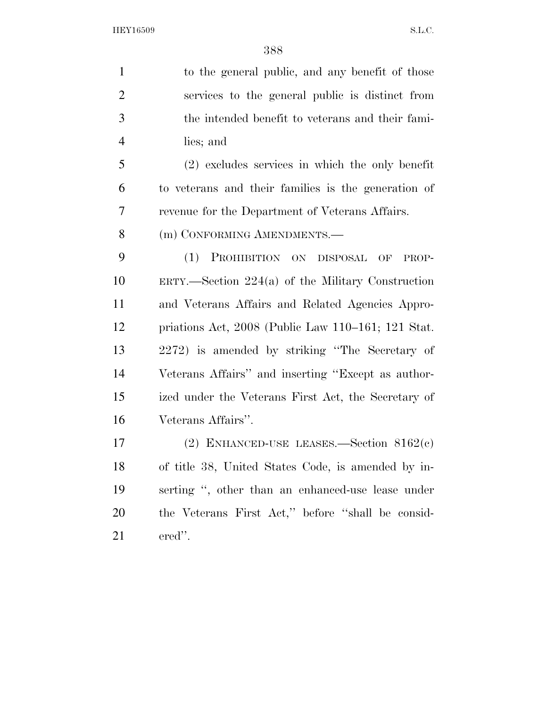to the general public, and any benefit of those services to the general public is distinct from the intended benefit to veterans and their fami- lies; and (2) excludes services in which the only benefit to veterans and their families is the generation of revenue for the Department of Veterans Affairs. 8 (m) CONFORMING AMENDMENTS. (1) PROHIBITION ON DISPOSAL OF PROP- ERTY.—Section 224(a) of the Military Construction and Veterans Affairs and Related Agencies Appro-priations Act, 2008 (Public Law 110–161; 121 Stat.

 2272) is amended by striking ''The Secretary of Veterans Affairs'' and inserting ''Except as author- ized under the Veterans First Act, the Secretary of Veterans Affairs''.

 (2) ENHANCED-USE LEASES.—Section 8162(c) of title 38, United States Code, is amended by in- serting '', other than an enhanced-use lease under the Veterans First Act,'' before ''shall be consid-ered''.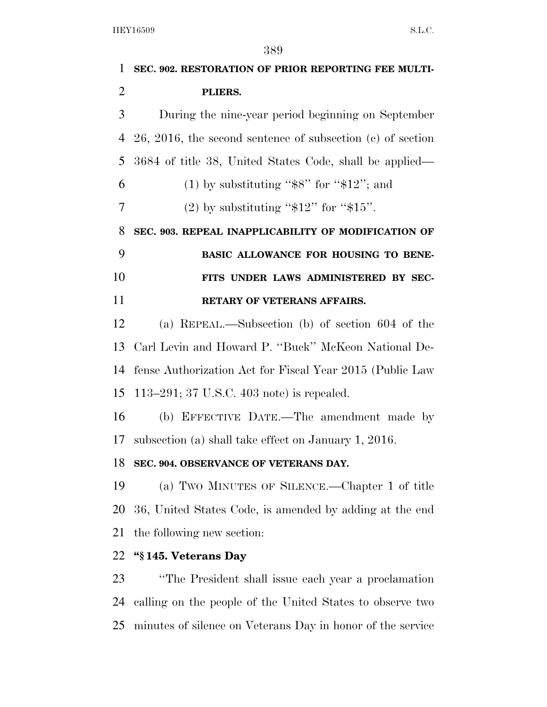| 1              | SEC. 902. RESTORATION OF PRIOR REPORTING FEE MULTI-           |
|----------------|---------------------------------------------------------------|
| $\overline{2}$ | PLIERS.                                                       |
| 3              | During the nine-year period beginning on September            |
| 4              | $26, 2016$ , the second sentence of subsection (c) of section |
| 5              | 3684 of title 38, United States Code, shall be applied—       |
| 6              | $(1)$ by substituting "\$8" for "\$12"; and                   |
| 7              | (2) by substituting " $$12"$ for " $$15"$ .                   |
| 8              | SEC. 903. REPEAL INAPPLICABILITY OF MODIFICATION OF           |
| 9              | BASIC ALLOWANCE FOR HOUSING TO BENE-                          |
| 10             | FITS UNDER LAWS ADMINISTERED BY SEC-                          |
| 11             | <b>RETARY OF VETERANS AFFAIRS.</b>                            |
| 12             | (a) REPEAL.—Subsection (b) of section $604$ of the            |
| 13             | Carl Levin and Howard P. "Buck" McKeon National De-           |
| 14             | fense Authorization Act for Fiscal Year 2015 (Public Law      |
| 15             | 113–291; 37 U.S.C. 403 note) is repealed.                     |
| 16             | (b) EFFECTIVE DATE.—The amendment made by                     |
| 17             | subsection (a) shall take effect on January 1, 2016.          |
| 18             | SEC. 904. OBSERVANCE OF VETERANS DAY.                         |
| 19             | (a) Two MINUTES OF SILENCE.—Chapter 1 of title                |
| 20             | 36, United States Code, is amended by adding at the end       |
| 21             | the following new section:                                    |
| 22             | "\\$145. Veterans Day                                         |
| 23             | "The President shall issue each year a proclamation"          |
| 24             | calling on the people of the United States to observe two     |
| 25             | minutes of silence on Veterans Day in honor of the service    |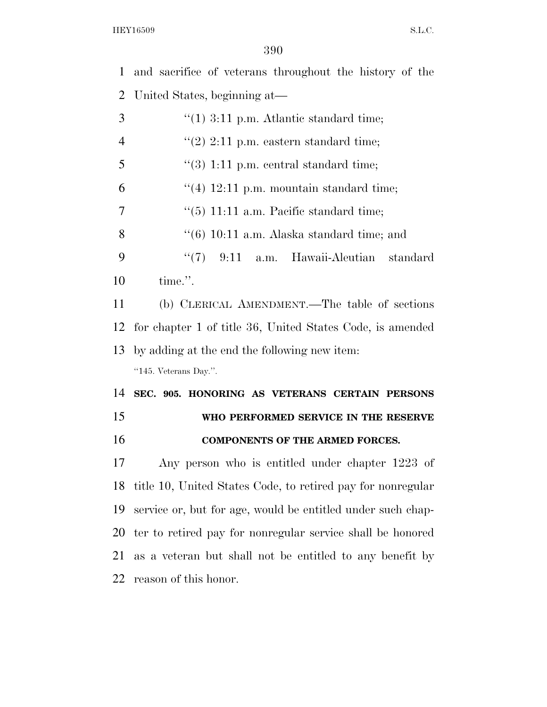and sacrifice of veterans throughout the history of the

 United States, beginning at— ''(1) 3:11 p.m. Atlantic standard time;  $\frac{4}{2}$  (2) 2:11 p.m. eastern standard time;  $\frac{4}{3}$  1:11 p.m. central standard time;  $\frac{4}{12:11}$  p.m. mountain standard time;  $\frac{7}{7}$  (5) 11:11 a.m. Pacific standard time;  $\frac{((6)}{10:11}$  a.m. Alaska standard time; and ''(7) 9:11 a.m. Hawaii-Aleutian standard time.''. (b) CLERICAL AMENDMENT.—The table of sections for chapter 1 of title 36, United States Code, is amended by adding at the end the following new item: ''145. Veterans Day.''. **SEC. 905. HONORING AS VETERANS CERTAIN PERSONS WHO PERFORMED SERVICE IN THE RESERVE COMPONENTS OF THE ARMED FORCES.**  Any person who is entitled under chapter 1223 of title 10, United States Code, to retired pay for nonregular

 service or, but for age, would be entitled under such chap- ter to retired pay for nonregular service shall be honored as a veteran but shall not be entitled to any benefit by reason of this honor.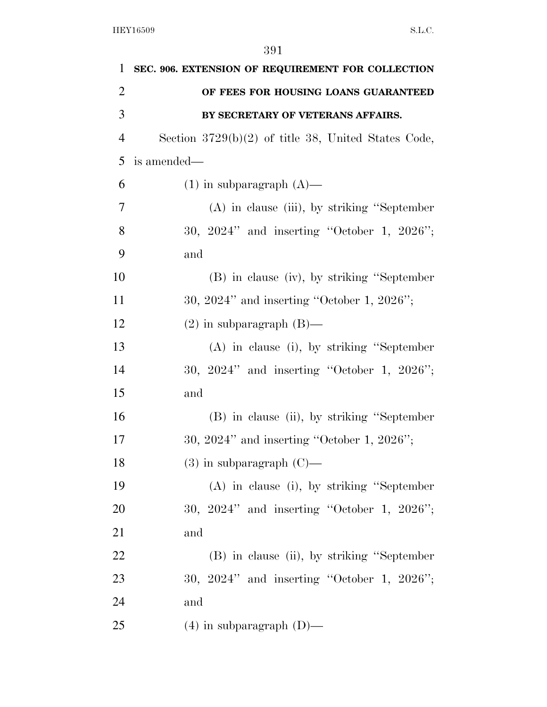| 1              | SEC. 906. EXTENSION OF REQUIREMENT FOR COLLECTION     |
|----------------|-------------------------------------------------------|
| $\overline{2}$ | OF FEES FOR HOUSING LOANS GUARANTEED                  |
| 3              | BY SECRETARY OF VETERANS AFFAIRS.                     |
| $\overline{4}$ | Section $3729(b)(2)$ of title 38, United States Code, |
| 5              | is amended—                                           |
| 6              | $(1)$ in subparagraph $(A)$ —                         |
| 7              | $(A)$ in clause (iii), by striking "September"        |
| 8              | 30, 2024" and inserting "October 1, 2026";            |
| 9              | and                                                   |
| 10             | (B) in clause (iv), by striking "September            |
| 11             | 30, 2024" and inserting "October 1, 2026";            |
| 12             | $(2)$ in subparagraph $(B)$ —                         |
| 13             | $(A)$ in clause (i), by striking "September"          |
| 14             | 30, $2024"$ and inserting "October 1, $2026"$ ;       |
| 15             | and                                                   |
| 16             | (B) in clause (ii), by striking "September            |
| 17             | 30, 2024" and inserting "October 1, 2026";            |
| 18             | $(3)$ in subparagraph $(C)$ —                         |
| 19             | $(A)$ in clause (i), by striking "September"          |
| 20             | 30, $2024"$ and inserting "October 1, $2026"$ ;       |
| 21             | and                                                   |
| 22             | (B) in clause (ii), by striking "September            |
| 23             | 30, $2024"$ and inserting "October 1, $2026"$ ;       |
| 24             | and                                                   |
| 25             | $(4)$ in subparagraph $(D)$ —                         |